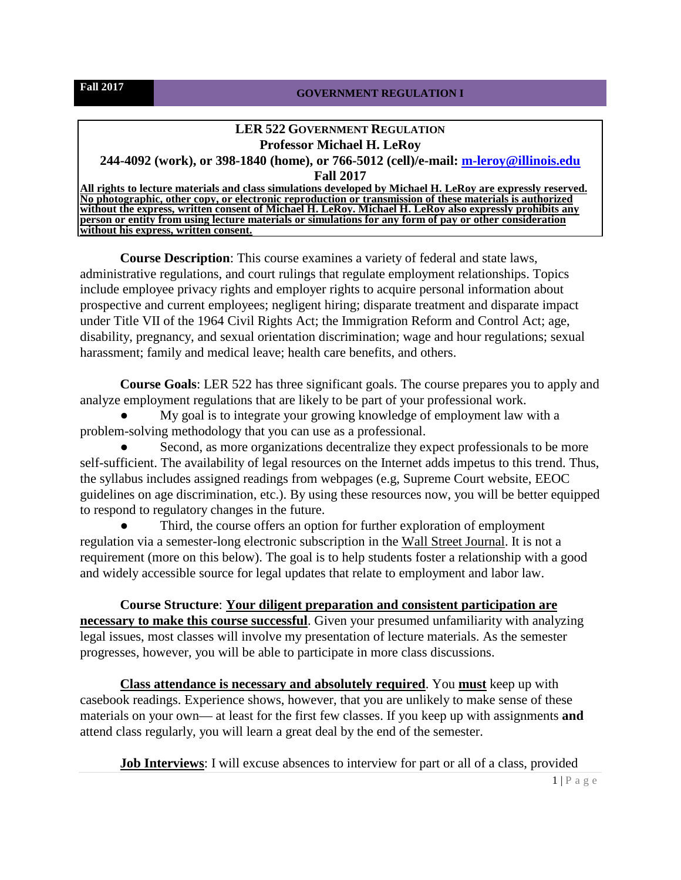### **LER 522 GOVERNMENT REGULATION Professor Michael H. LeRoy**

## **244-4092 (work), or 398-1840 (home), or 766-5012 (cell)/e-mail: [m-leroy@illinois.edu](mailto:m-leroy@illinois.edu)**

**Fall 2017**

**All rights to lecture materials and class simulations developed by Michael H. LeRoy are expressly reserved. No photographic, other copy, or electronic reproduction or transmission of these materials is authorized without the express, written consent of Michael H. LeRoy. Michael H. LeRoy also expressly prohibits any person or entity from using lecture materials or simulations for any form of pay or other consideration without his express, written consent.**

**Course Description**: This course examines a variety of federal and state laws, administrative regulations, and court rulings that regulate employment relationships. Topics include employee privacy rights and employer rights to acquire personal information about prospective and current employees; negligent hiring; disparate treatment and disparate impact under Title VII of the 1964 Civil Rights Act; the Immigration Reform and Control Act; age, disability, pregnancy, and sexual orientation discrimination; wage and hour regulations; sexual harassment; family and medical leave; health care benefits, and others.

**Course Goals**: LER 522 has three significant goals. The course prepares you to apply and analyze employment regulations that are likely to be part of your professional work.

My goal is to integrate your growing knowledge of employment law with a problem-solving methodology that you can use as a professional.

Second, as more organizations decentralize they expect professionals to be more self-sufficient. The availability of legal resources on the Internet adds impetus to this trend. Thus, the syllabus includes assigned readings from webpages (e.g, Supreme Court website, EEOC guidelines on age discrimination, etc.). By using these resources now, you will be better equipped to respond to regulatory changes in the future.

Third, the course offers an option for further exploration of employment regulation via a semester-long electronic subscription in the Wall Street Journal. It is not a requirement (more on this below). The goal is to help students foster a relationship with a good and widely accessible source for legal updates that relate to employment and labor law.

### **Course Structure**: **Your diligent preparation and consistent participation are**

**necessary to make this course successful**. Given your presumed unfamiliarity with analyzing legal issues, most classes will involve my presentation of lecture materials. As the semester progresses, however, you will be able to participate in more class discussions.

**Class attendance is necessary and absolutely required**. You **must** keep up with casebook readings. Experience shows, however, that you are unlikely to make sense of these materials on your own— at least for the first few classes. If you keep up with assignments **and** attend class regularly, you will learn a great deal by the end of the semester.

**Job Interviews**: I will excuse absences to interview for part or all of a class, provided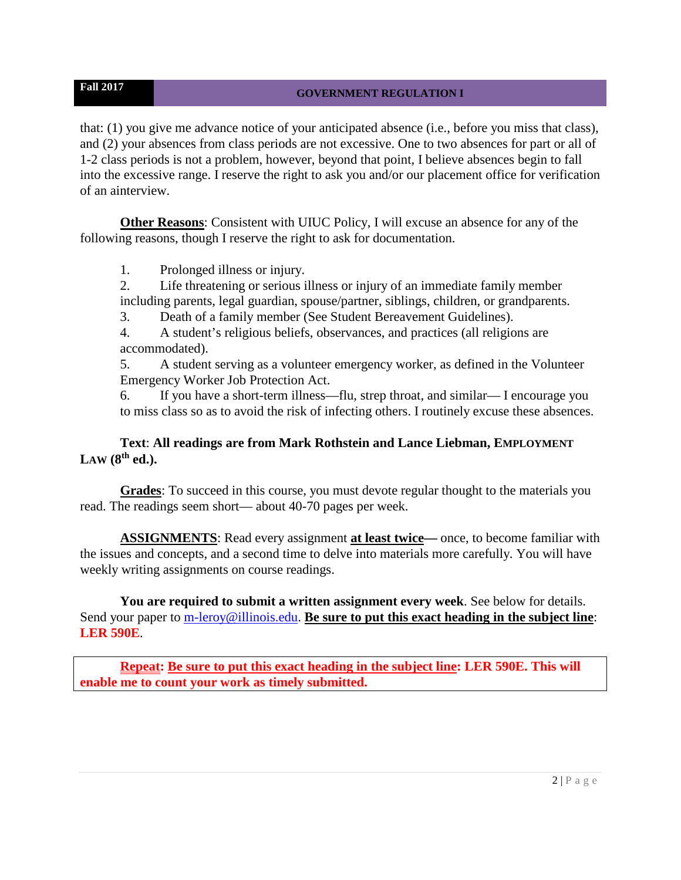that: (1) you give me advance notice of your anticipated absence (i.e., before you miss that class), and (2) your absences from class periods are not excessive. One to two absences for part or all of 1-2 class periods is not a problem, however, beyond that point, I believe absences begin to fall into the excessive range. I reserve the right to ask you and/or our placement office for verification of an ainterview.

**Other Reasons**: Consistent with UIUC Policy, I will excuse an absence for any of the following reasons, though I reserve the right to ask for documentation.

1. Prolonged illness or injury.

2. Life threatening or serious illness or injury of an immediate family member including parents, legal guardian, spouse/partner, siblings, children, or grandparents.

3. Death of a family member (See Student Bereavement Guidelines).

4. A student's religious beliefs, observances, and practices (all religions are accommodated).

5. A student serving as a volunteer emergency worker, as defined in the Volunteer Emergency Worker Job Protection Act.

6. If you have a short-term illness—flu, strep throat, and similar— I encourage you to miss class so as to avoid the risk of infecting others. I routinely excuse these absences.

## **Text**: **All readings are from Mark Rothstein and Lance Liebman, EMPLOYMENT LAW (8th ed.).**

**Grades**: To succeed in this course, you must devote regular thought to the materials you read. The readings seem short— about 40-70 pages per week.

**ASSIGNMENTS**: Read every assignment **at least twice—** once, to become familiar with the issues and concepts, and a second time to delve into materials more carefully. You will have weekly writing assignments on course readings.

**You are required to submit a written assignment every week**. See below for details. Send your paper to [m-leroy@illinois.edu.](mailto:m-leroy@illinois.edu) **Be sure to put this exact heading in the subject line**: **LER 590E**.

**Repeat: Be sure to put this exact heading in the subject line: LER 590E. This will enable me to count your work as timely submitted.**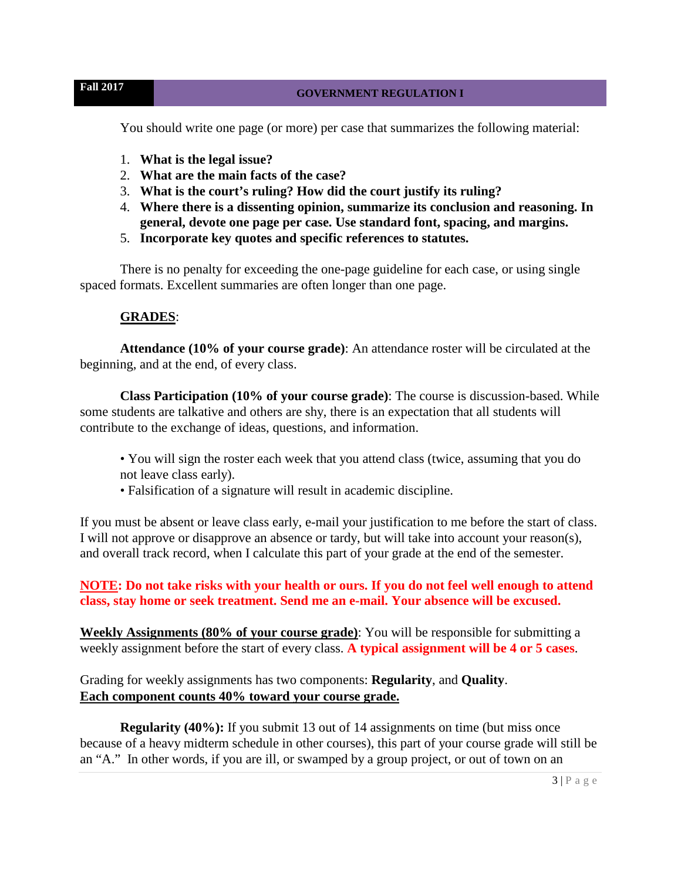You should write one page (or more) per case that summarizes the following material:

- 1. **What is the legal issue?**
- 2. **What are the main facts of the case?**
- 3. **What is the court's ruling? How did the court justify its ruling?**
- 4. **Where there is a dissenting opinion, summarize its conclusion and reasoning. In general, devote one page per case. Use standard font, spacing, and margins.**
- 5. **Incorporate key quotes and specific references to statutes.**

There is no penalty for exceeding the one-page guideline for each case, or using single spaced formats. Excellent summaries are often longer than one page.

### **GRADES**:

**Attendance (10% of your course grade)**: An attendance roster will be circulated at the beginning, and at the end, of every class.

**Class Participation (10% of your course grade)**: The course is discussion-based. While some students are talkative and others are shy, there is an expectation that all students will contribute to the exchange of ideas, questions, and information.

- You will sign the roster each week that you attend class (twice, assuming that you do not leave class early).
- Falsification of a signature will result in academic discipline.

If you must be absent or leave class early, e-mail your justification to me before the start of class. I will not approve or disapprove an absence or tardy, but will take into account your reason(s), and overall track record, when I calculate this part of your grade at the end of the semester.

**NOTE: Do not take risks with your health or ours. If you do not feel well enough to attend class, stay home or seek treatment. Send me an e-mail. Your absence will be excused.**

**Weekly Assignments (80% of your course grade)**: You will be responsible for submitting a weekly assignment before the start of every class. **A typical assignment will be 4 or 5 cases**.

Grading for weekly assignments has two components: **Regularity**, and **Quality**. **Each component counts 40% toward your course grade.** 

**Regularity (40%):** If you submit 13 out of 14 assignments on time (but miss once because of a heavy midterm schedule in other courses), this part of your course grade will still be an "A." In other words, if you are ill, or swamped by a group project, or out of town on an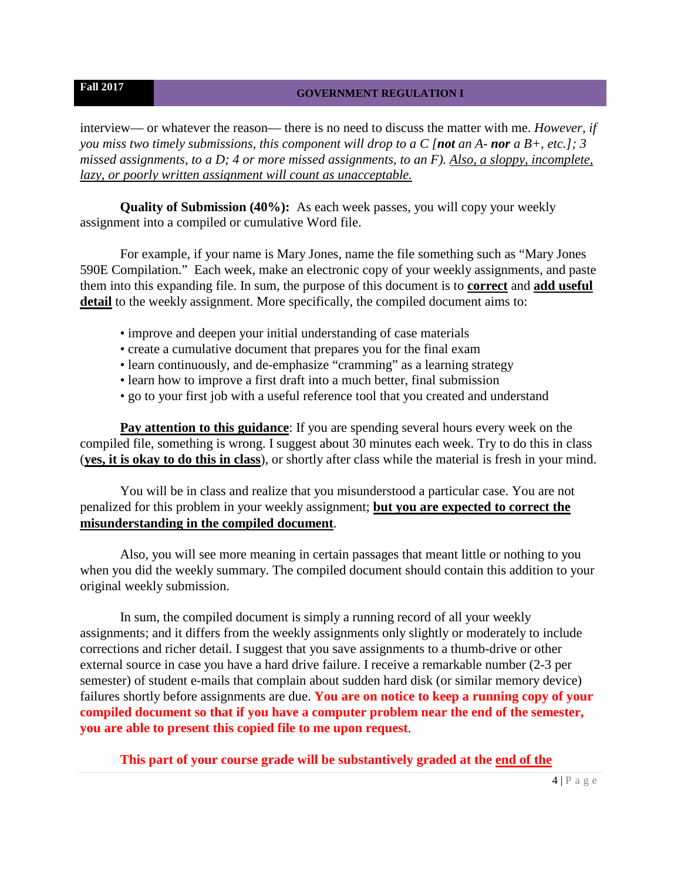interview— or whatever the reason— there is no need to discuss the matter with me. *However, if you miss two timely submissions, this component will drop to a C [not an A- nor a B+, etc.]; 3 missed assignments, to a D; 4 or more missed assignments, to an F). Also, a sloppy, incomplete, lazy, or poorly written assignment will count as unacceptable.*

**Quality of Submission (40%):** As each week passes, you will copy your weekly assignment into a compiled or cumulative Word file.

For example, if your name is Mary Jones, name the file something such as "Mary Jones 590E Compilation." Each week, make an electronic copy of your weekly assignments, and paste them into this expanding file. In sum, the purpose of this document is to **correct** and **add useful detail** to the weekly assignment. More specifically, the compiled document aims to:

- improve and deepen your initial understanding of case materials
- create a cumulative document that prepares you for the final exam
- learn continuously, and de-emphasize "cramming" as a learning strategy
- learn how to improve a first draft into a much better, final submission
- go to your first job with a useful reference tool that you created and understand

**Pay attention to this guidance**: If you are spending several hours every week on the compiled file, something is wrong. I suggest about 30 minutes each week. Try to do this in class (**yes, it is okay to do this in class**), or shortly after class while the material is fresh in your mind.

You will be in class and realize that you misunderstood a particular case. You are not penalized for this problem in your weekly assignment; **but you are expected to correct the misunderstanding in the compiled document**.

Also, you will see more meaning in certain passages that meant little or nothing to you when you did the weekly summary. The compiled document should contain this addition to your original weekly submission.

In sum, the compiled document is simply a running record of all your weekly assignments; and it differs from the weekly assignments only slightly or moderately to include corrections and richer detail. I suggest that you save assignments to a thumb-drive or other external source in case you have a hard drive failure. I receive a remarkable number (2-3 per semester) of student e-mails that complain about sudden hard disk (or similar memory device) failures shortly before assignments are due. **You are on notice to keep a running copy of your compiled document so that if you have a computer problem near the end of the semester, you are able to present this copied file to me upon request**.

**This part of your course grade will be substantively graded at the end of the**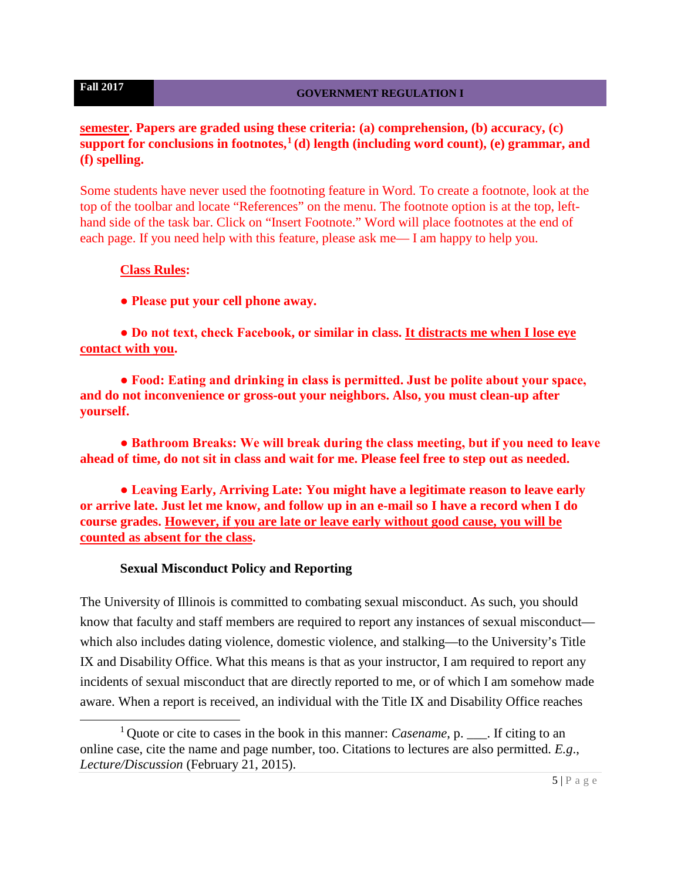## **semester. Papers are graded using these criteria: (a) comprehension, (b) accuracy, (c)**  support for conclusions in footnotes, $\frac{1}{1}$  $\frac{1}{1}$  $\frac{1}{1}$  (d) length (including word count), (e) grammar, and **(f) spelling.**

Some students have never used the footnoting feature in Word. To create a footnote, look at the top of the toolbar and locate "References" on the menu. The footnote option is at the top, lefthand side of the task bar. Click on "Insert Footnote." Word will place footnotes at the end of each page. If you need help with this feature, please ask me— I am happy to help you.

### **Class Rules:**

## **● Please put your cell phone away.**

**● Do not text, check Facebook, or similar in class. It distracts me when I lose eye contact with you.** 

**● Food: Eating and drinking in class is permitted. Just be polite about your space, and do not inconvenience or gross-out your neighbors. Also, you must clean-up after yourself.**

**● Bathroom Breaks: We will break during the class meeting, but if you need to leave ahead of time, do not sit in class and wait for me. Please feel free to step out as needed.**

**● Leaving Early, Arriving Late: You might have a legitimate reason to leave early or arrive late. Just let me know, and follow up in an e-mail so I have a record when I do course grades. However, if you are late or leave early without good cause, you will be counted as absent for the class.**

### **Sexual Misconduct Policy and Reporting**

The University of Illinois is committed to combating sexual misconduct. As such, you should know that faculty and staff members are required to report any instances of sexual misconduct which also includes dating violence, domestic violence, and stalking—to the University's Title IX and Disability Office. What this means is that as your instructor, I am required to report any incidents of sexual misconduct that are directly reported to me, or of which I am somehow made aware. When a report is received, an individual with the Title IX and Disability Office reaches

<span id="page-4-0"></span> <sup>1</sup> Quote or cite to cases in the book in this manner: *Casename*, p. \_\_\_. If citing to an online case, cite the name and page number, too. Citations to lectures are also permitted. *E.g*., *Lecture/Discussion* (February 21, 2015).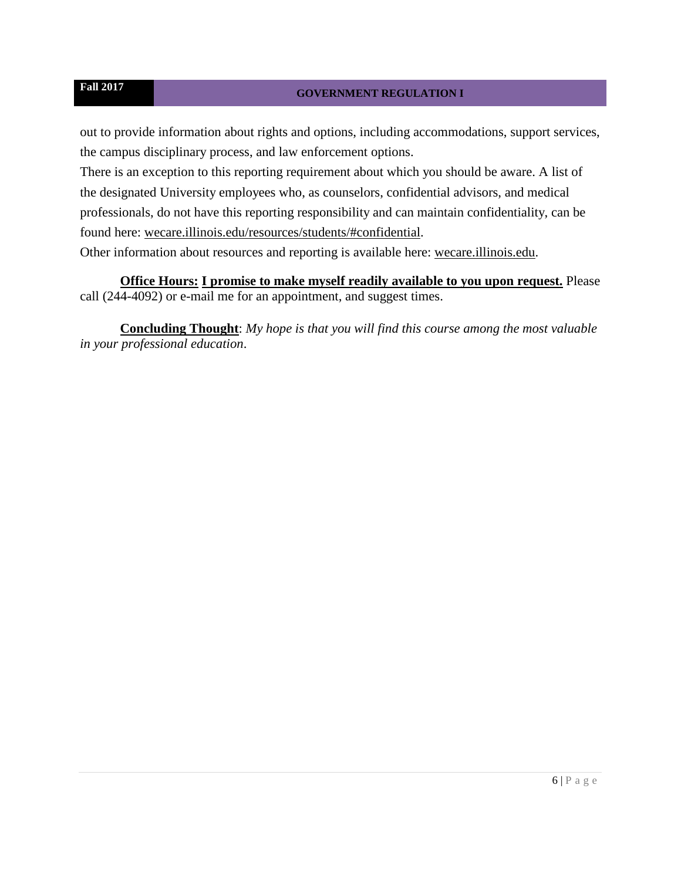out to provide information about rights and options, including accommodations, support services, the campus disciplinary process, and law enforcement options.

There is an exception to this reporting requirement about which you should be aware. A list of the designated University employees who, as counselors, confidential advisors, and medical professionals, do not have this reporting responsibility and can maintain confidentiality, can be found here: [wecare.illinois.edu/resources/students/#confidential.](http://wecare.illinois.edu/resources/students/#confidential)

Other information about resources and reporting is available here: [wecare.illinois.edu.](http://wecare.illinois.edu/)

**Office Hours: I promise to make myself readily available to you upon request.** Please call (244-4092) or e-mail me for an appointment, and suggest times.

**Concluding Thought**: *My hope is that you will find this course among the most valuable in your professional education*.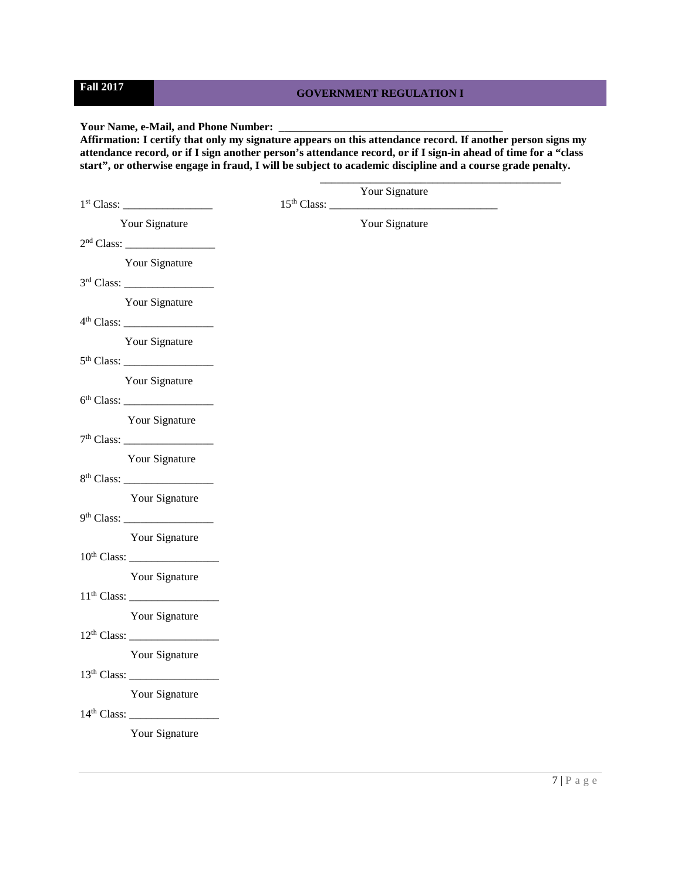Your Name, e-Mail, and Phone Number: \_

**Affirmation: I certify that only my signature appears on this attendance record. If another person signs my attendance record, or if I sign another person's attendance record, or if I sign-in ahead of time for a "class start", or otherwise engage in fraud, I will be subject to academic discipline and a course grade penalty.** 

| 1 <sup>st</sup> Class:  |  | Your Signature |  |
|-------------------------|--|----------------|--|
| Your Signature          |  | Your Signature |  |
| 2 <sup>nd</sup> Class:  |  |                |  |
| Your Signature          |  |                |  |
|                         |  |                |  |
| Your Signature          |  |                |  |
|                         |  |                |  |
| Your Signature          |  |                |  |
|                         |  |                |  |
| Your Signature          |  |                |  |
|                         |  |                |  |
| Your Signature          |  |                |  |
| 7 <sup>th</sup> Class:  |  |                |  |
|                         |  |                |  |
| Your Signature          |  |                |  |
| 8 <sup>th</sup> Class:  |  |                |  |
| Your Signature          |  |                |  |
|                         |  |                |  |
| Your Signature          |  |                |  |
|                         |  |                |  |
| Your Signature          |  |                |  |
|                         |  |                |  |
|                         |  |                |  |
| Your Signature          |  |                |  |
|                         |  |                |  |
| Your Signature          |  |                |  |
| 13 <sup>th</sup> Class: |  |                |  |
| Your Signature          |  |                |  |
|                         |  |                |  |
| Your Signature          |  |                |  |
|                         |  |                |  |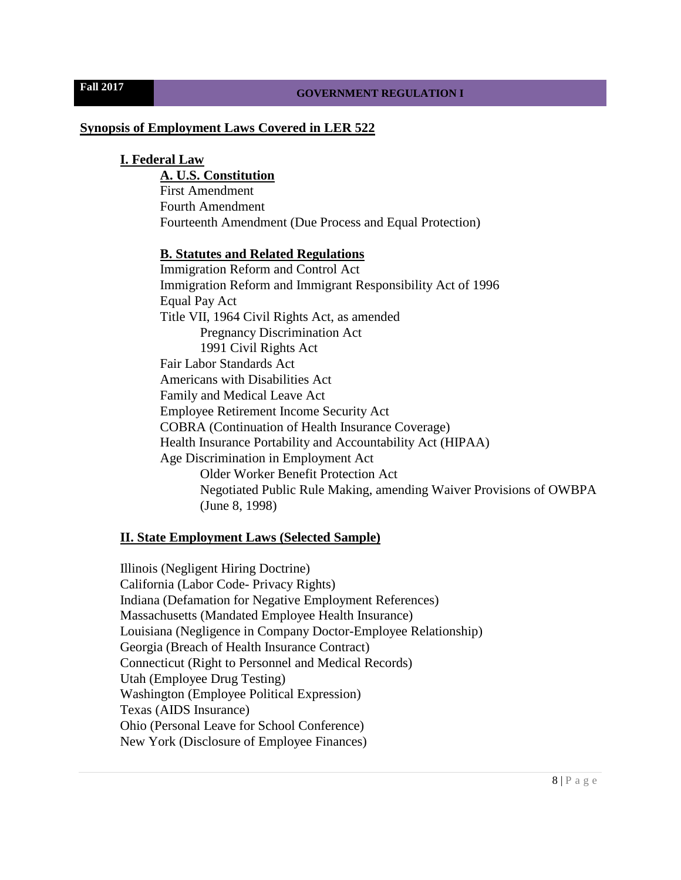### **Synopsis of Employment Laws Covered in LER 522**

### **I. Federal Law**

**A. U.S. Constitution** First Amendment

Fourth Amendment Fourteenth Amendment (Due Process and Equal Protection)

### **B. Statutes and Related Regulations**

Immigration Reform and Control Act Immigration Reform and Immigrant Responsibility Act of 1996 Equal Pay Act Title VII, 1964 Civil Rights Act, as amended Pregnancy Discrimination Act 1991 Civil Rights Act Fair Labor Standards Act Americans with Disabilities Act Family and Medical Leave Act Employee Retirement Income Security Act COBRA (Continuation of Health Insurance Coverage) Health Insurance Portability and Accountability Act (HIPAA) Age Discrimination in Employment Act Older Worker Benefit Protection Act Negotiated Public Rule Making, amending Waiver Provisions of OWBPA (June 8, 1998)

### **II. State Employment Laws (Selected Sample)**

Illinois (Negligent Hiring Doctrine) California (Labor Code- Privacy Rights) Indiana (Defamation for Negative Employment References) Massachusetts (Mandated Employee Health Insurance) Louisiana (Negligence in Company Doctor-Employee Relationship) Georgia (Breach of Health Insurance Contract) Connecticut (Right to Personnel and Medical Records) Utah (Employee Drug Testing) Washington (Employee Political Expression) Texas (AIDS Insurance) Ohio (Personal Leave for School Conference) New York (Disclosure of Employee Finances)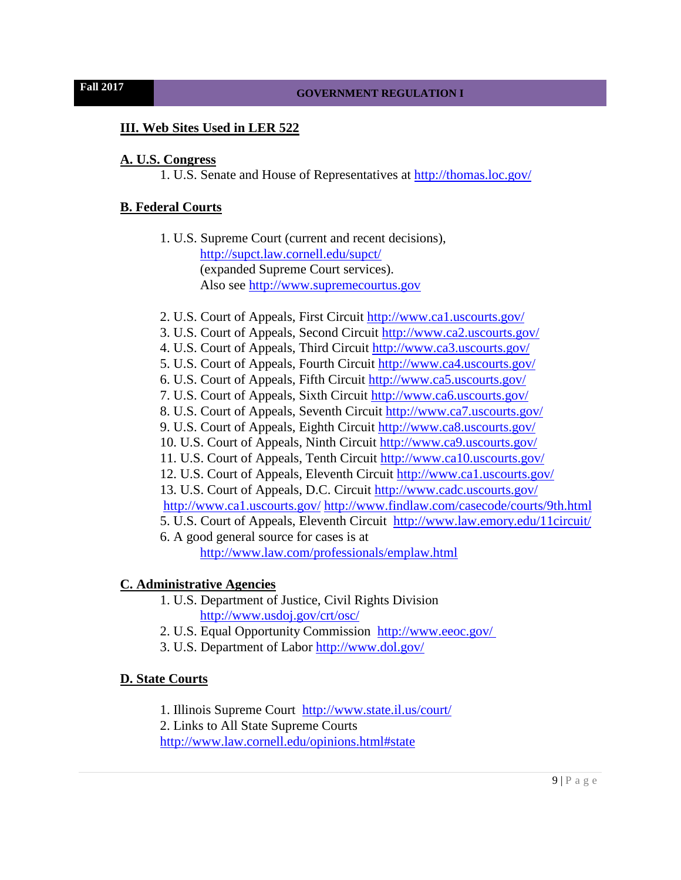## **III. Web Sites Used in LER 522**

### **A. U.S. Congress**

1. U.S. Senate and House of Representatives at <http://thomas.loc.gov/>

### **B. Federal Courts**

- 1. U.S. Supreme Court (current and recent decisions), <http://supct.law.cornell.edu/supct/> (expanded Supreme Court services). Also see [http://www.supremecourtus.gov](http://www.supremecourtus.gov/)
- 2. U.S. Court of Appeals, First Circuit<http://www.ca1.uscourts.gov/>
- 3. U.S. Court of Appeals, Second Circuit <http://www.ca2.uscourts.gov/>
- 4. U.S. Court of Appeals, Third Circuit<http://www.ca3.uscourts.gov/>
- 5. U.S. Court of Appeals, Fourth Circuit<http://www.ca4.uscourts.gov/>
- 6. U.S. Court of Appeals, Fifth Circuit<http://www.ca5.uscourts.gov/>
- 7. U.S. Court of Appeals, Sixth Circuit<http://www.ca6.uscourts.gov/>
- 8. U.S. Court of Appeals, Seventh Circuit<http://www.ca7.uscourts.gov/>
- 9. U.S. Court of Appeals, Eighth Circuit<http://www.ca8.uscourts.gov/>
- 10. U.S. Court of Appeals, Ninth Circuit<http://www.ca9.uscourts.gov/>
- 11. U.S. Court of Appeals, Tenth Circuit<http://www.ca10.uscourts.gov/>
- 12. U.S. Court of Appeals, Eleventh Circuit<http://www.ca1.uscourts.gov/>
- 13. U.S. Court of Appeals, D.C. Circuit<http://www.cadc.uscourts.gov/>

<http://www.ca1.uscourts.gov/> <http://www.findlaw.com/casecode/courts/9th.html>

- 5. U.S. Court of Appeals, Eleventh Circuit <http://www.law.emory.edu/11circuit/>
- 6. A good general source for cases is at <http://www.law.com/professionals/emplaw.html>

### **C. Administrative Agencies**

- 1. U.S. Department of Justice, Civil Rights Division <http://www.usdoj.gov/crt/osc/>
- 2. U.S. Equal Opportunity Commission <http://www.eeoc.gov/>
- 3. U.S. Department of Labor<http://www.dol.gov/>

### **D. State Courts**

- 1. Illinois Supreme Court http://www.state.il.us/court/
- 2. Links to All State Supreme Courts

<http://www.law.cornell.edu/opinions.html#state>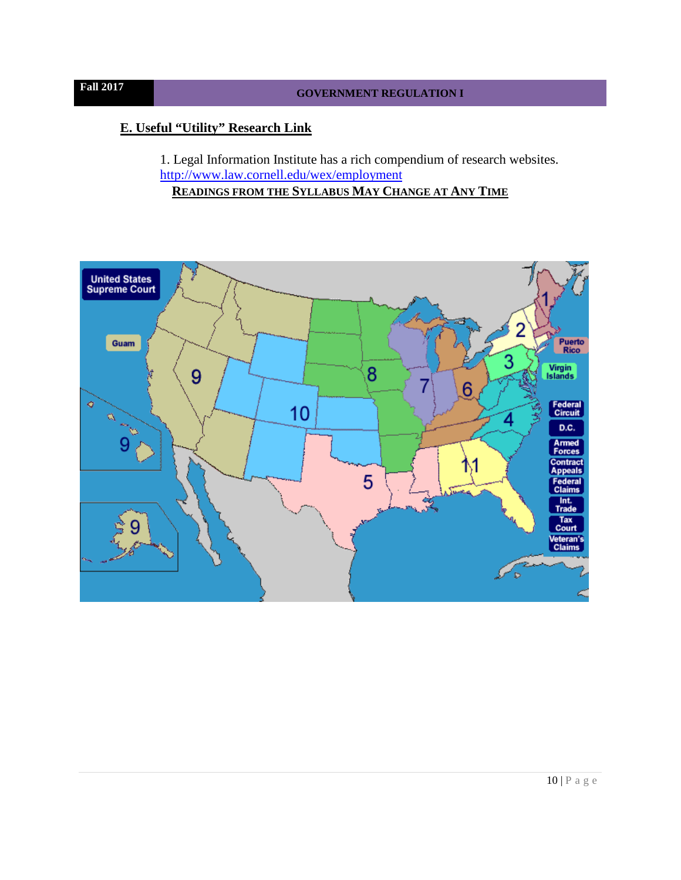## **E. Useful "Utility" Research Link**

1. Legal Information Institute has a rich compendium of research websites. <http://www.law.cornell.edu/wex/employment>

**READINGS FROM THE SYLLABUS MAY CHANGE AT ANY TIME**

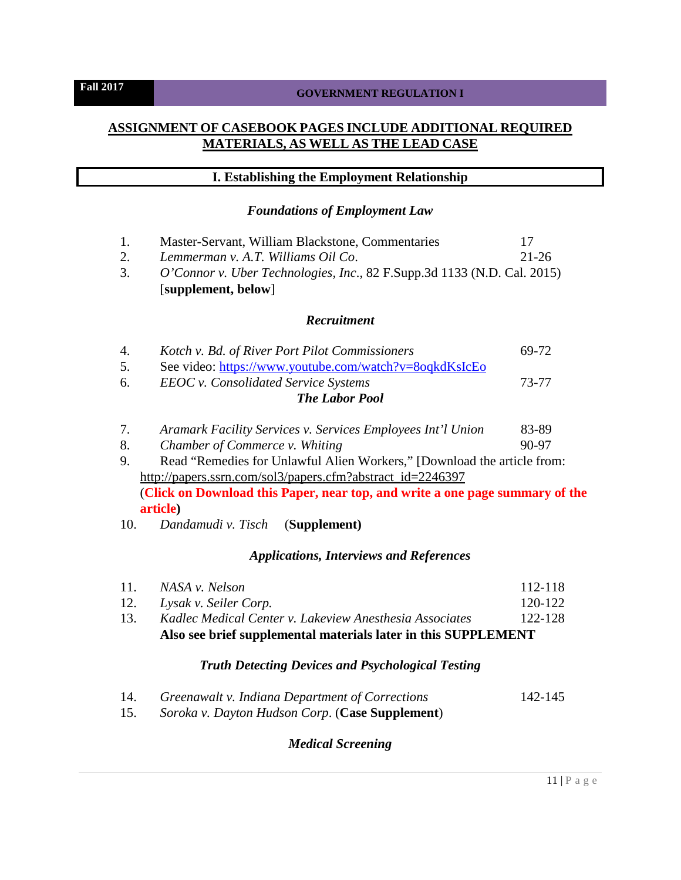## **ASSIGNMENT OF CASEBOOK PAGES INCLUDE ADDITIONAL REQUIRED MATERIALS, AS WELL AS THE LEAD CASE**

## **I. Establishing the Employment Relationship**

## *Foundations of Employment Law*

| 1. | Master-Servant, William Blackstone, Commentaries                        | 17        |
|----|-------------------------------------------------------------------------|-----------|
| 2. | Lemmerman v. A.T. Williams Oil Co.                                      | $21 - 26$ |
| 3. | O'Connor v. Uber Technologies, Inc., 82 F.Supp.3d 1133 (N.D. Cal. 2015) |           |
|    | [supplement, below]                                                     |           |
|    | <b>Recruitment</b>                                                      |           |
| 4. | Kotch v. Bd. of River Port Pilot Commissioners                          | 69-72     |
| 5. | See video: https://www.youtube.com/watch?v=8oqkdKsIcEo                  |           |
| 6. | <b>EEOC</b> v. Consolidated Service Systems                             | 73-77     |

### *The Labor Pool*

|  | Aramark Facility Services v. Services Employees Int'l Union | 83-89 |
|--|-------------------------------------------------------------|-------|
|  |                                                             |       |

- 8. *Chamber of Commerce v. Whiting* 90-97
- 9. Read "Remedies for Unlawful Alien Workers," [Download the article from: [http://papers.ssrn.com/sol3/papers.cfm?abstract\\_id=2246397](http://papers.ssrn.com/sol3/papers.cfm?abstract_id=2246397) (**Click on Download this Paper, near top, and write a one page summary of the article)**
- 10. *Dandamudi v. Tisch* (**Supplement)**

### *Applications, Interviews and References*

| 11. | NASA v. Nelson                                                 | 112-118 |
|-----|----------------------------------------------------------------|---------|
| 12. | Lysak v. Seiler Corp.                                          | 120-122 |
| 13. | Kadlec Medical Center v. Lakeview Anesthesia Associates        | 122-128 |
|     | Also see brief supplemental materials later in this SUPPLEMENT |         |
|     | <b>Truth Detecting Devices and Psychological Testing</b>       |         |

- 14. *Greenawalt v. Indiana Department of Corrections* 142-145
- 15. *Soroka v. Dayton Hudson Corp*. (**Case Supplement**)

## *Medical Screening*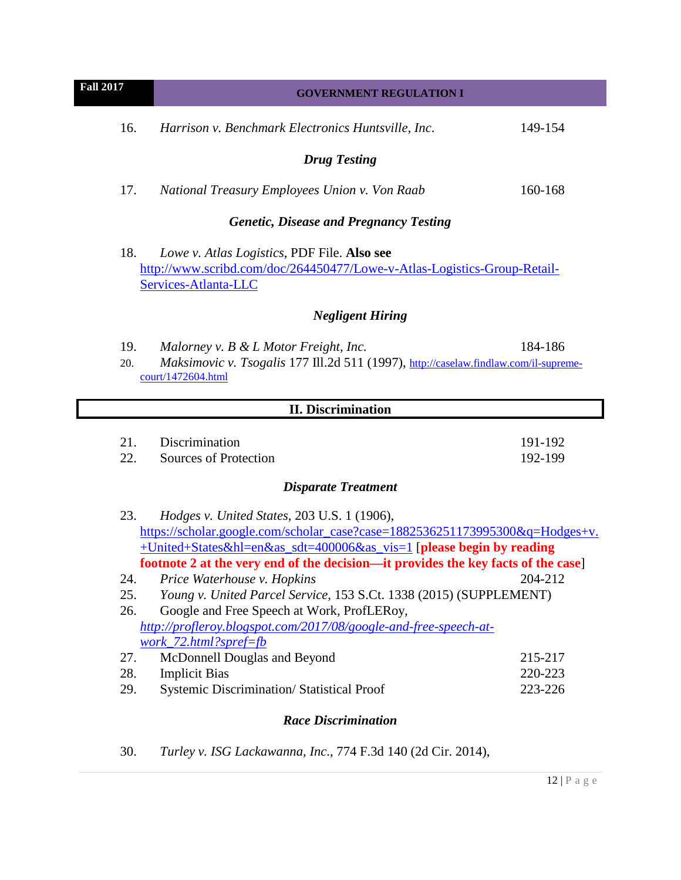| 16.                             | Harrison v. Benchmark Electronics Huntsville, Inc.                                                                                                                                                                                                                                                                                                                                                                                                                                                                                                                      | 149-154            |
|---------------------------------|-------------------------------------------------------------------------------------------------------------------------------------------------------------------------------------------------------------------------------------------------------------------------------------------------------------------------------------------------------------------------------------------------------------------------------------------------------------------------------------------------------------------------------------------------------------------------|--------------------|
|                                 | <b>Drug Testing</b>                                                                                                                                                                                                                                                                                                                                                                                                                                                                                                                                                     |                    |
| 17.                             | National Treasury Employees Union v. Von Raab                                                                                                                                                                                                                                                                                                                                                                                                                                                                                                                           | 160-168            |
|                                 | <b>Genetic, Disease and Pregnancy Testing</b>                                                                                                                                                                                                                                                                                                                                                                                                                                                                                                                           |                    |
| 18.                             | Lowe v. Atlas Logistics, PDF File. Also see<br>http://www.scribd.com/doc/264450477/Lowe-v-Atlas-Logistics-Group-Retail-<br>Services-Atlanta-LLC                                                                                                                                                                                                                                                                                                                                                                                                                         |                    |
|                                 | <b>Negligent Hiring</b>                                                                                                                                                                                                                                                                                                                                                                                                                                                                                                                                                 |                    |
| 19.<br>20.                      | Malorney v. B & L Motor Freight, Inc.<br>Maksimovic v. Tsogalis 177 Ill.2d 511 (1997), http://caselaw.findlaw.com/il-supreme-<br>court/1472604.html                                                                                                                                                                                                                                                                                                                                                                                                                     | 184-186            |
|                                 | <b>II. Discrimination</b>                                                                                                                                                                                                                                                                                                                                                                                                                                                                                                                                               |                    |
| 21.<br>22.                      | Discrimination<br>Sources of Protection                                                                                                                                                                                                                                                                                                                                                                                                                                                                                                                                 | 191-192<br>192-199 |
|                                 | <b>Disparate Treatment</b>                                                                                                                                                                                                                                                                                                                                                                                                                                                                                                                                              |                    |
| 23.<br>24.<br>25.<br>26.<br>27. | Hodges v. United States, 203 U.S. 1 (1906),<br>https://scholar.google.com/scholar_case?case=1882536251173995300&q=Hodges+v.<br>+United+States&hl=en&as_sdt=400006&as_vis=1 [please begin by reading<br>footnote 2 at the very end of the decision—it provides the key facts of the case<br>Price Waterhouse v. Hopkins<br>Young v. United Parcel Service, 153 S.Ct. 1338 (2015) (SUPPLEMENT)<br>Google and Free Speech at Work, ProfLERoy,<br>http://profleroy.blogspot.com/2017/08/google-and-free-speech-at-<br>work_72.html?spref=fb<br>McDonnell Douglas and Beyond | 204-212<br>215-217 |
| 28.                             | <b>Implicit Bias</b>                                                                                                                                                                                                                                                                                                                                                                                                                                                                                                                                                    | 220-223            |
| 29.                             | <b>Systemic Discrimination/ Statistical Proof</b>                                                                                                                                                                                                                                                                                                                                                                                                                                                                                                                       | 223-226            |
|                                 | <b>Race Discrimination</b>                                                                                                                                                                                                                                                                                                                                                                                                                                                                                                                                              |                    |
| 30.                             | Turley v. ISG Lackawanna, Inc., 774 F.3d 140 (2d Cir. 2014),                                                                                                                                                                                                                                                                                                                                                                                                                                                                                                            |                    |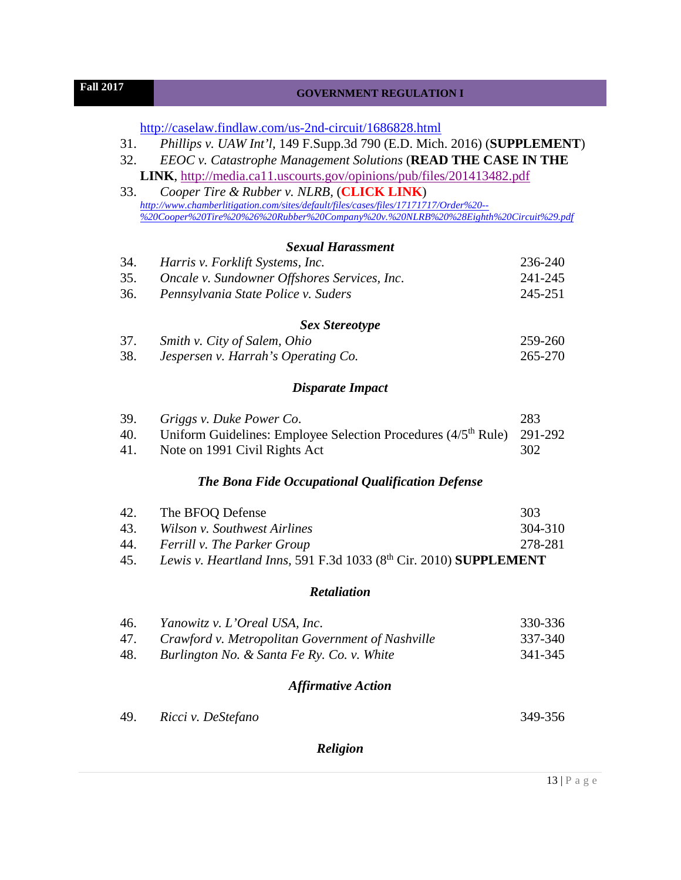<http://caselaw.findlaw.com/us-2nd-circuit/1686828.html>

- 31. *Phillips v. UAW Int'l,* 149 F.Supp.3d 790 (E.D. Mich. 2016) (**SUPPLEMENT**)
- 32. *EEOC v. Catastrophe Management Solutions* (**READ THE CASE IN THE LINK**,<http://media.ca11.uscourts.gov/opinions/pub/files/201413482.pdf>
- 33. *Cooper Tire & Rubber v. NLRB,* (**CLICK LINK**) *[http://www.chamberlitigation.com/sites/default/files/cases/files/17171717/Order%20--](http://www.chamberlitigation.com/sites/default/files/cases/files/17171717/Order%20--%20Cooper%20Tire%20%26%20Rubber%20Company%20v.%20NLRB%20%28Eighth%20Circuit%29.pdf) [%20Cooper%20Tire%20%26%20Rubber%20Company%20v.%20NLRB%20%28Eighth%20Circuit%29.pdf](http://www.chamberlitigation.com/sites/default/files/cases/files/17171717/Order%20--%20Cooper%20Tire%20%26%20Rubber%20Company%20v.%20NLRB%20%28Eighth%20Circuit%29.pdf)*

### *Sexual Harassment*

| 34. | Harris v. Forklift Systems, Inc.                 | 236-240 |
|-----|--------------------------------------------------|---------|
|     | 35. Oncale v. Sundowner Offshores Services, Inc. | 241-245 |
| 36. | Pennsylvania State Police v. Suders              | 245-251 |

### *Sex Stereotype*

| 37. | Smith v. City of Salem, Ohio        | 259-260 |
|-----|-------------------------------------|---------|
| 38. | Jespersen v. Harrah's Operating Co. | 265-270 |

### *Disparate Impact*

| 39. | Griggs v. Duke Power Co.                                                           | 283 |
|-----|------------------------------------------------------------------------------------|-----|
| 40. | Uniform Guidelines: Employee Selection Procedures (4/5 <sup>th</sup> Rule) 291-292 |     |
| 41. | Note on 1991 Civil Rights Act                                                      | 302 |

### *The Bona Fide Occupational Qualification Defense*

| 42. | The BFOQ Defense                                                            | 303.    |
|-----|-----------------------------------------------------------------------------|---------|
| 43. | Wilson v. Southwest Airlines                                                | 304-310 |
| 44. | <b>Ferrill v. The Parker Group</b>                                          | 278-281 |
| 45. | Lewis v. Heartland Inns, 591 F.3d 1033 ( $8th$ Cir. 2010) <b>SUPPLEMENT</b> |         |

### *Retaliation*

| 46. | Yanowitz v. L'Oreal USA, Inc.                    | 330-336 |
|-----|--------------------------------------------------|---------|
| 47. | Crawford v. Metropolitan Government of Nashville | 337-340 |
| 48. | Burlington No. & Santa Fe Ry. Co. v. White       | 341-345 |

### *Affirmative Action*

| 49. | Ricci v. DeStefano | 349-356 |
|-----|--------------------|---------|
|-----|--------------------|---------|

### *Religion*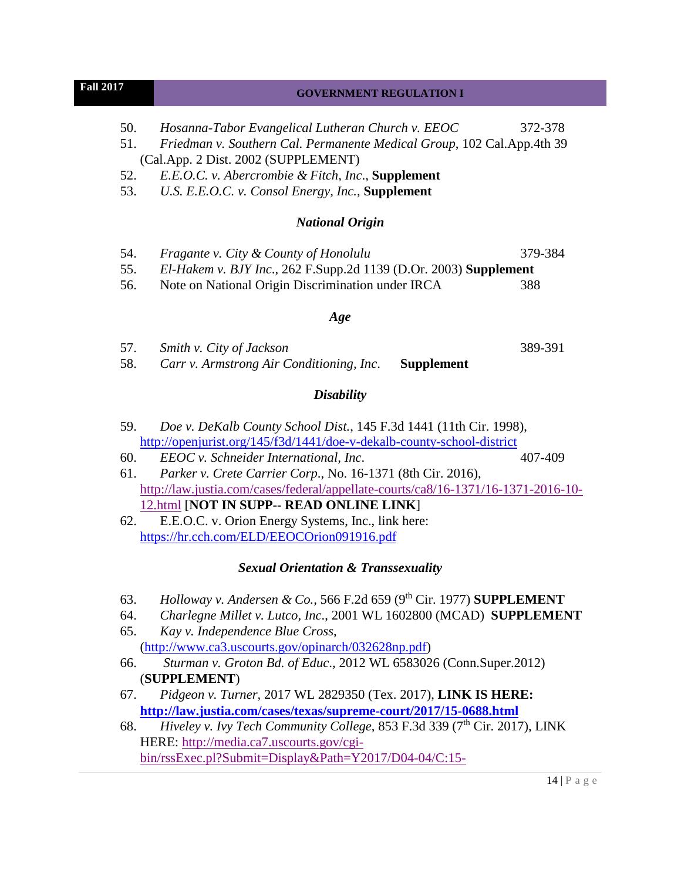- 50. *Hosanna-Tabor Evangelical Lutheran Church v. EEOC* 372-378
- 51. *Friedman v. Southern Cal. Permanente Medical Group*, 102 Cal.App.4th 39 (Cal.App. 2 Dist. 2002 (SUPPLEMENT)
- 52. *E.E.O.C. v. Abercrombie & Fitch, Inc*., **Supplement**
- 53. *U.S. E.E.O.C. v. Consol Energy, Inc.*, **Supplement**

### *National Origin*

- 54. *Fragante v. City & County of Honolulu* 379-384 55. *El-Hakem v. BJY Inc*., 262 F.Supp.2d 1139 (D.Or. 2003) **Supplement**
- 56. Note on National Origin Discrimination under IRCA 388
- 

### *Age*

57. *Smith v. City of Jackson* 389-391 58. *Carr v. Armstrong Air Conditioning, Inc*. **Supplement**

### *Disability*

- 59. *Doe v. DeKalb County School Dist.*, 145 F.3d 1441 (11th Cir. 1998), <http://openjurist.org/145/f3d/1441/doe-v-dekalb-county-school-district>
- 60. *EEOC v. Schneider International, Inc*. 407-409
- 61. *Parker v. Crete Carrier Corp*., No. 16-1371 (8th Cir. 2016), [http://law.justia.com/cases/federal/appellate-courts/ca8/16-1371/16-1371-2016-10-](http://law.justia.com/cases/federal/appellate-courts/ca8/16-1371/16-1371-2016-10-12.html) [12.html](http://law.justia.com/cases/federal/appellate-courts/ca8/16-1371/16-1371-2016-10-12.html) [**NOT IN SUPP-- READ ONLINE LINK**]
- 62. E.E.O.C. v. Orion Energy Systems, Inc., link here: <https://hr.cch.com/ELD/EEOCOrion091916.pdf>

### *Sexual Orientation & Transsexuality*

- 63. *Holloway v. Andersen & Co.,* 566 F.2d 659 (9th Cir. 1977) **SUPPLEMENT**
- 64. *Charlegne Millet v. Lutco, Inc*., 2001 WL 1602800 (MCAD) **SUPPLEMENT**
- 65. *Kay v. Independence Blue Cross*, [\(http://www.ca3.uscourts.gov/opinarch/032628np.pdf\)](http://www.ca3.uscourts.gov/opinarch/032628np.pdf)
- 66. *Sturman v. Groton Bd. of Educ*., 2012 WL 6583026 (Conn.Super.2012) (**SUPPLEMENT**)
- 67. *Pidgeon v. Turner*, 2017 WL 2829350 (Tex. 2017), **LINK IS HERE: <http://law.justia.com/cases/texas/supreme-court/2017/15-0688.html>**
- 68. *Hiveley v. Ivy Tech Community College*, 853 F.3d 339 (7<sup>th</sup> Cir. 2017), LINK HERE: [http://media.ca7.uscourts.gov/cgi](http://media.ca7.uscourts.gov/cgi-bin/rssExec.pl?Submit=Display&Path=Y2017/D04-04/C:15-1720:J:Wood:aut:T:fnOp:N:1942256:S:0)[bin/rssExec.pl?Submit=Display&Path=Y2017/D04-04/C:15-](http://media.ca7.uscourts.gov/cgi-bin/rssExec.pl?Submit=Display&Path=Y2017/D04-04/C:15-1720:J:Wood:aut:T:fnOp:N:1942256:S:0)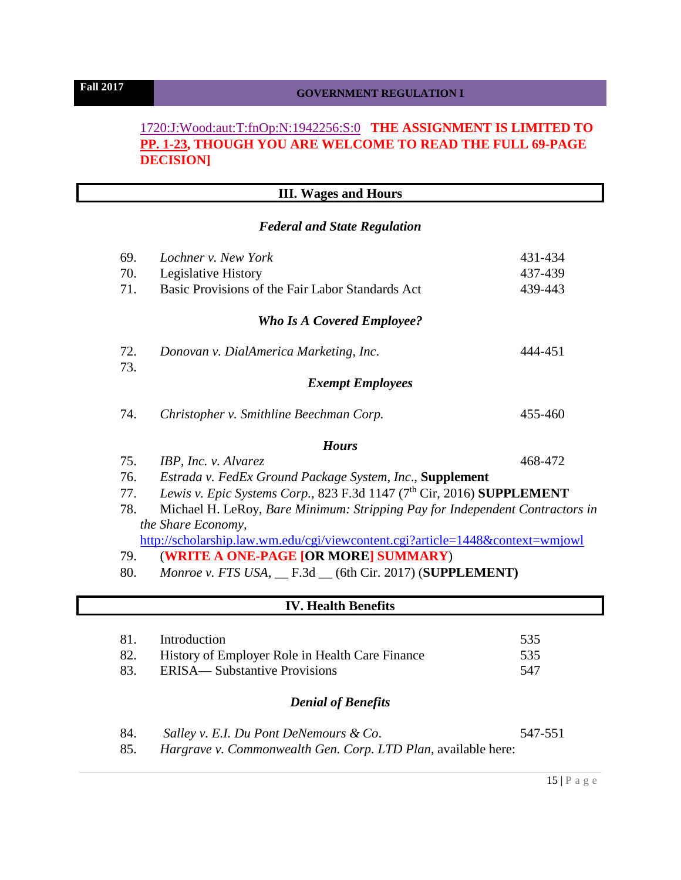## [1720:J:Wood:aut:T:fnOp:N:1942256:S:0](http://media.ca7.uscourts.gov/cgi-bin/rssExec.pl?Submit=Display&Path=Y2017/D04-04/C:15-1720:J:Wood:aut:T:fnOp:N:1942256:S:0) **THE ASSIGNMENT IS LIMITED TO PP. 1-23, THOUGH YOU ARE WELCOME TO READ THE FULL 69-PAGE DECISION]**

| <b>III. Wages and Hours</b> |                                                                               |         |  |
|-----------------------------|-------------------------------------------------------------------------------|---------|--|
|                             | <b>Federal and State Regulation</b>                                           |         |  |
| 69.                         | Lochner v. New York                                                           | 431-434 |  |
| 70.                         | Legislative History                                                           | 437-439 |  |
| 71.                         | Basic Provisions of the Fair Labor Standards Act                              | 439-443 |  |
|                             | <b>Who Is A Covered Employee?</b>                                             |         |  |
| 72.<br>73.                  | Donovan v. DialAmerica Marketing, Inc.                                        | 444-451 |  |
|                             | <b>Exempt Employees</b>                                                       |         |  |
| 74.                         | Christopher v. Smithline Beechman Corp.                                       | 455-460 |  |
|                             | <b>Hours</b>                                                                  |         |  |
| 75.                         | IBP, Inc. v. Alvarez                                                          | 468-472 |  |
| 76.                         | Estrada v. FedEx Ground Package System, Inc., Supplement                      |         |  |
| 77.                         | Lewis v. Epic Systems Corp., 823 F.3d 1147 (7th Cir, 2016) SUPPLEMENT         |         |  |
| 78.                         | Michael H. LeRoy, Bare Minimum: Stripping Pay for Independent Contractors in  |         |  |
|                             | the Share Economy,                                                            |         |  |
|                             | http://scholarship.law.wm.edu/cgi/viewcontent.cgi?article=1448&context=wmjowl |         |  |
| 79.                         | (WRITE A ONE-PAGE [OR MORE] SUMMARY)                                          |         |  |
| 80.                         | Monroe v. FTS USA, __ F.3d __ (6th Cir. 2017) (SUPPLEMENT)                    |         |  |
|                             | <b>IV. Health Benefits</b>                                                    |         |  |
|                             |                                                                               |         |  |
| 81.                         | Introduction                                                                  | 535     |  |
| 82.                         | History of Employer Role in Health Care Finance                               | 535     |  |
| 83.                         | <b>ERISA</b> — Substantive Provisions                                         | 547     |  |
|                             | <b>Denial of Benefits</b>                                                     |         |  |

| 84.           | Salley v. E.I. Du Pont DeNemours & Co. |  |       | 547-551 |
|---------------|----------------------------------------|--|-------|---------|
| $\sim$ $\sim$ |                                        |  | ----- |         |

85. *Hargrave v. Commonwealth Gen. Corp. LTD Plan*, available here: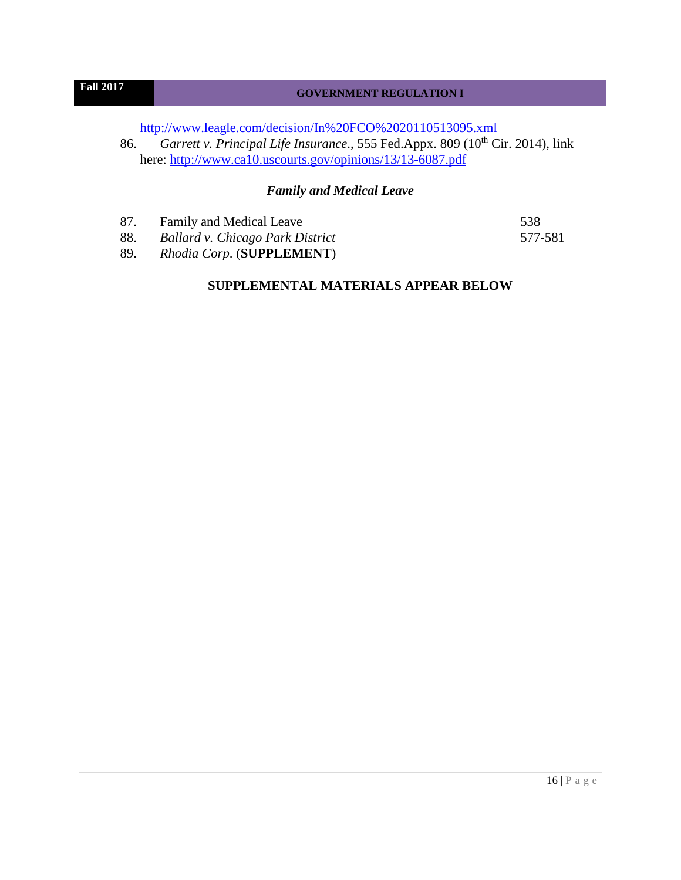<http://www.leagle.com/decision/In%20FCO%2020110513095.xml>

86. *Garrett v. Principal Life Insurance.*, 555 Fed.Appx. 809 (10<sup>th</sup> Cir. 2014), link here:<http://www.ca10.uscourts.gov/opinions/13/13-6087.pdf>

### *Family and Medical Leave*

87. Family and Medical Leave 538 88. *Ballard v. Chicago Park District* 577-581 89. *Rhodia Corp*. (**SUPPLEMENT**)

### **SUPPLEMENTAL MATERIALS APPEAR BELOW**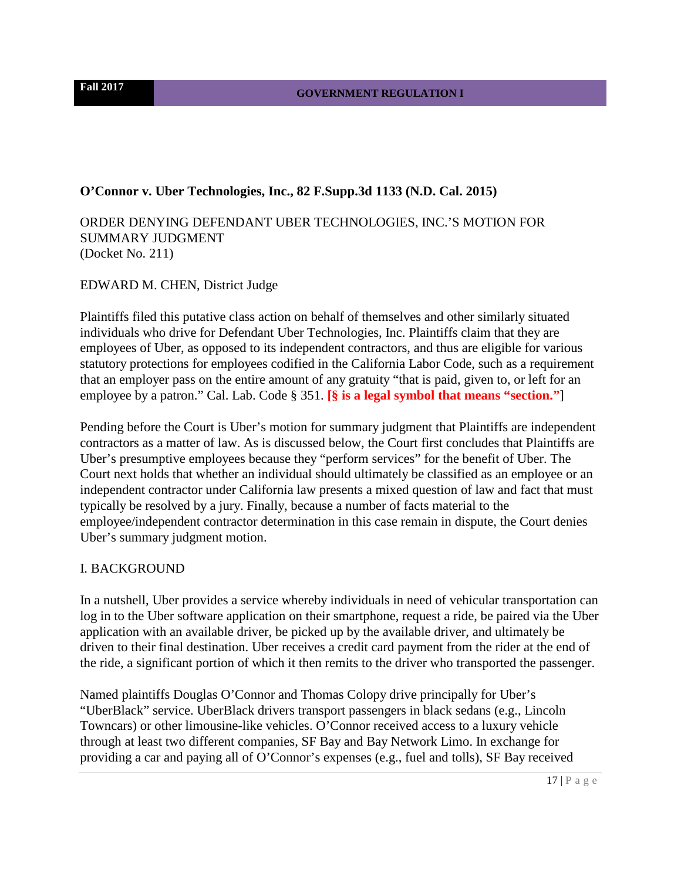### **O'Connor v. Uber Technologies, Inc., 82 F.Supp.3d 1133 (N.D. Cal. 2015)**

ORDER DENYING DEFENDANT UBER TECHNOLOGIES, INC.'S MOTION FOR SUMMARY JUDGMENT (Docket No. 211)

EDWARD M. CHEN, District Judge

Plaintiffs filed this putative class action on behalf of themselves and other similarly situated individuals who drive for Defendant Uber Technologies, Inc. Plaintiffs claim that they are employees of Uber, as opposed to its independent contractors, and thus are eligible for various statutory protections for employees codified in the California Labor Code, such as a requirement that an employer pass on the entire amount of any gratuity "that is paid, given to, or left for an employee by a patron." Cal. Lab. Code § 351. **[§ is a legal symbol that means "section."**]

Pending before the Court is Uber's motion for summary judgment that Plaintiffs are independent contractors as a matter of law. As is discussed below, the Court first concludes that Plaintiffs are Uber's presumptive employees because they "perform services" for the benefit of Uber. The Court next holds that whether an individual should ultimately be classified as an employee or an independent contractor under California law presents a mixed question of law and fact that must typically be resolved by a jury. Finally, because a number of facts material to the employee/independent contractor determination in this case remain in dispute, the Court denies Uber's summary judgment motion.

### I. BACKGROUND

In a nutshell, Uber provides a service whereby individuals in need of vehicular transportation can log in to the Uber software application on their smartphone, request a ride, be paired via the Uber application with an available driver, be picked up by the available driver, and ultimately be driven to their final destination. Uber receives a credit card payment from the rider at the end of the ride, a significant portion of which it then remits to the driver who transported the passenger.

Named plaintiffs Douglas O'Connor and Thomas Colopy drive principally for Uber's "UberBlack" service. UberBlack drivers transport passengers in black sedans (e.g., Lincoln Towncars) or other limousine-like vehicles. O'Connor received access to a luxury vehicle through at least two different companies, SF Bay and Bay Network Limo. In exchange for providing a car and paying all of O'Connor's expenses (e.g., fuel and tolls), SF Bay received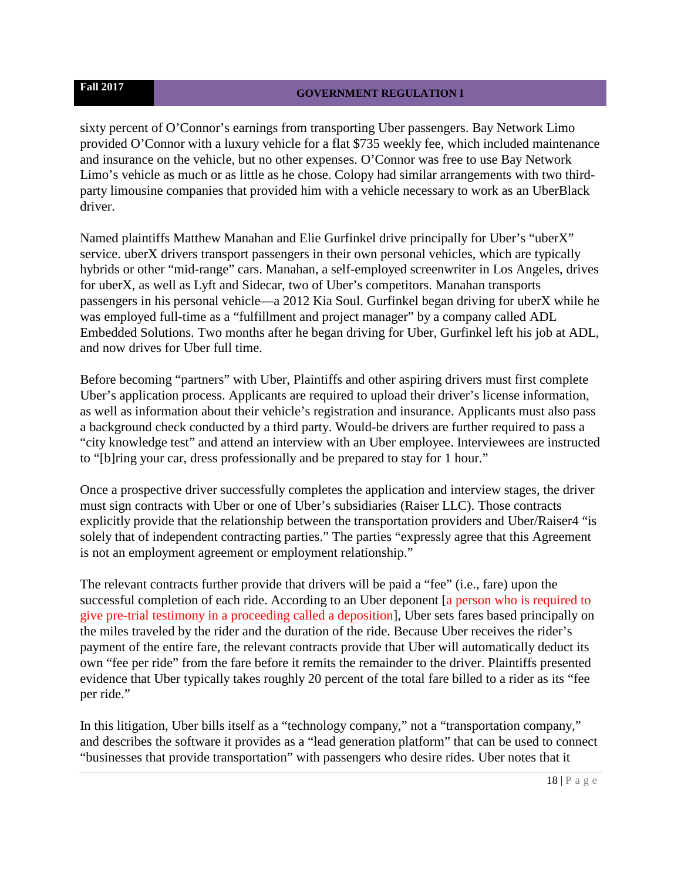sixty percent of O'Connor's earnings from transporting Uber passengers. Bay Network Limo provided O'Connor with a luxury vehicle for a flat \$735 weekly fee, which included maintenance and insurance on the vehicle, but no other expenses. O'Connor was free to use Bay Network Limo's vehicle as much or as little as he chose. Colopy had similar arrangements with two thirdparty limousine companies that provided him with a vehicle necessary to work as an UberBlack driver.

Named plaintiffs Matthew Manahan and Elie Gurfinkel drive principally for Uber's "uberX" service. uberX drivers transport passengers in their own personal vehicles, which are typically hybrids or other "mid-range" cars. Manahan, a self-employed screenwriter in Los Angeles, drives for uberX, as well as Lyft and Sidecar, two of Uber's competitors. Manahan transports passengers in his personal vehicle—a 2012 Kia Soul. Gurfinkel began driving for uberX while he was employed full-time as a "fulfillment and project manager" by a company called ADL Embedded Solutions. Two months after he began driving for Uber, Gurfinkel left his job at ADL, and now drives for Uber full time.

Before becoming "partners" with Uber, Plaintiffs and other aspiring drivers must first complete Uber's application process. Applicants are required to upload their driver's license information, as well as information about their vehicle's registration and insurance. Applicants must also pass a background check conducted by a third party. Would-be drivers are further required to pass a "city knowledge test" and attend an interview with an Uber employee. Interviewees are instructed to "[b]ring your car, dress professionally and be prepared to stay for 1 hour."

Once a prospective driver successfully completes the application and interview stages, the driver must sign contracts with Uber or one of Uber's subsidiaries (Raiser LLC). Those contracts explicitly provide that the relationship between the transportation providers and Uber/Raiser4 "is solely that of independent contracting parties." The parties "expressly agree that this Agreement is not an employment agreement or employment relationship."

The relevant contracts further provide that drivers will be paid a "fee" (i.e., fare) upon the successful completion of each ride. According to an Uber deponent [a person who is required to give pre-trial testimony in a proceeding called a deposition], Uber sets fares based principally on the miles traveled by the rider and the duration of the ride. Because Uber receives the rider's payment of the entire fare, the relevant contracts provide that Uber will automatically deduct its own "fee per ride" from the fare before it remits the remainder to the driver. Plaintiffs presented evidence that Uber typically takes roughly 20 percent of the total fare billed to a rider as its "fee per ride."

In this litigation, Uber bills itself as a "technology company," not a "transportation company," and describes the software it provides as a "lead generation platform" that can be used to connect "businesses that provide transportation" with passengers who desire rides. Uber notes that it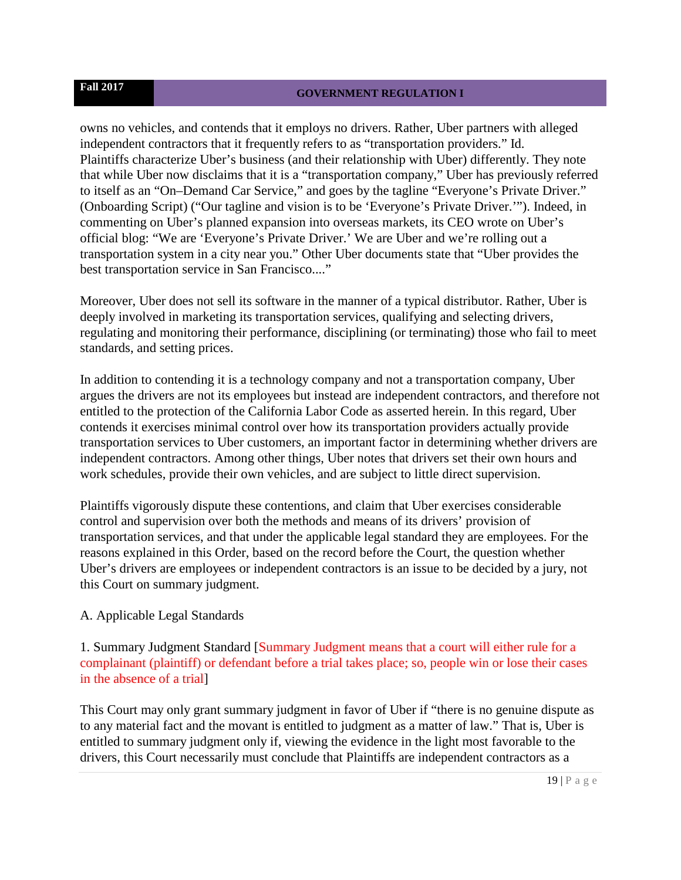owns no vehicles, and contends that it employs no drivers. Rather, Uber partners with alleged independent contractors that it frequently refers to as "transportation providers." Id. Plaintiffs characterize Uber's business (and their relationship with Uber) differently. They note that while Uber now disclaims that it is a "transportation company," Uber has previously referred to itself as an "On–Demand Car Service," and goes by the tagline "Everyone's Private Driver." (Onboarding Script) ("Our tagline and vision is to be 'Everyone's Private Driver.'"). Indeed, in commenting on Uber's planned expansion into overseas markets, its CEO wrote on Uber's official blog: "We are 'Everyone's Private Driver.' We are Uber and we're rolling out a transportation system in a city near you." Other Uber documents state that "Uber provides the best transportation service in San Francisco...."

Moreover, Uber does not sell its software in the manner of a typical distributor. Rather, Uber is deeply involved in marketing its transportation services, qualifying and selecting drivers, regulating and monitoring their performance, disciplining (or terminating) those who fail to meet standards, and setting prices.

In addition to contending it is a technology company and not a transportation company, Uber argues the drivers are not its employees but instead are independent contractors, and therefore not entitled to the protection of the California Labor Code as asserted herein. In this regard, Uber contends it exercises minimal control over how its transportation providers actually provide transportation services to Uber customers, an important factor in determining whether drivers are independent contractors. Among other things, Uber notes that drivers set their own hours and work schedules, provide their own vehicles, and are subject to little direct supervision.

Plaintiffs vigorously dispute these contentions, and claim that Uber exercises considerable control and supervision over both the methods and means of its drivers' provision of transportation services, and that under the applicable legal standard they are employees. For the reasons explained in this Order, based on the record before the Court, the question whether Uber's drivers are employees or independent contractors is an issue to be decided by a jury, not this Court on summary judgment.

### A. Applicable Legal Standards

1. Summary Judgment Standard [Summary Judgment means that a court will either rule for a complainant (plaintiff) or defendant before a trial takes place; so, people win or lose their cases in the absence of a trial]

This Court may only grant summary judgment in favor of Uber if "there is no genuine dispute as to any material fact and the movant is entitled to judgment as a matter of law." That is, Uber is entitled to summary judgment only if, viewing the evidence in the light most favorable to the drivers, this Court necessarily must conclude that Plaintiffs are independent contractors as a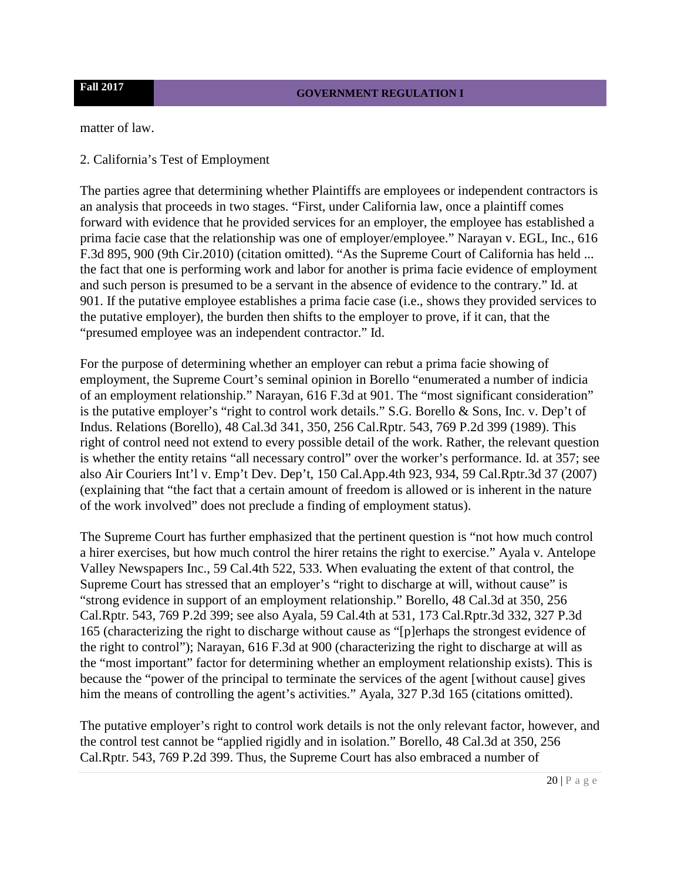matter of law.

2. California's Test of Employment

The parties agree that determining whether Plaintiffs are employees or independent contractors is an analysis that proceeds in two stages. "First, under California law, once a plaintiff comes forward with evidence that he provided services for an employer, the employee has established a prima facie case that the relationship was one of employer/employee." Narayan v. EGL, Inc., 616 F.3d 895, 900 (9th Cir.2010) (citation omitted). "As the Supreme Court of California has held ... the fact that one is performing work and labor for another is prima facie evidence of employment and such person is presumed to be a servant in the absence of evidence to the contrary." Id. at 901. If the putative employee establishes a prima facie case (i.e., shows they provided services to the putative employer), the burden then shifts to the employer to prove, if it can, that the "presumed employee was an independent contractor." Id.

For the purpose of determining whether an employer can rebut a prima facie showing of employment, the Supreme Court's seminal opinion in Borello "enumerated a number of indicia of an employment relationship." Narayan, 616 F.3d at 901. The "most significant consideration" is the putative employer's "right to control work details." S.G. Borello & Sons, Inc. v. Dep't of Indus. Relations (Borello), 48 Cal.3d 341, 350, 256 Cal.Rptr. 543, 769 P.2d 399 (1989). This right of control need not extend to every possible detail of the work. Rather, the relevant question is whether the entity retains "all necessary control" over the worker's performance. Id. at 357; see also Air Couriers Int'l v. Emp't Dev. Dep't, 150 Cal.App.4th 923, 934, 59 Cal.Rptr.3d 37 (2007) (explaining that "the fact that a certain amount of freedom is allowed or is inherent in the nature of the work involved" does not preclude a finding of employment status).

The Supreme Court has further emphasized that the pertinent question is "not how much control a hirer exercises, but how much control the hirer retains the right to exercise." Ayala v. Antelope Valley Newspapers Inc., 59 Cal.4th 522, 533. When evaluating the extent of that control, the Supreme Court has stressed that an employer's "right to discharge at will, without cause" is "strong evidence in support of an employment relationship." Borello, 48 Cal.3d at 350, 256 Cal.Rptr. 543, 769 P.2d 399; see also Ayala, 59 Cal.4th at 531, 173 Cal.Rptr.3d 332, 327 P.3d 165 (characterizing the right to discharge without cause as "[p]erhaps the strongest evidence of the right to control"); Narayan, 616 F.3d at 900 (characterizing the right to discharge at will as the "most important" factor for determining whether an employment relationship exists). This is because the "power of the principal to terminate the services of the agent [without cause] gives him the means of controlling the agent's activities." Ayala, 327 P.3d 165 (citations omitted).

The putative employer's right to control work details is not the only relevant factor, however, and the control test cannot be "applied rigidly and in isolation." Borello, 48 Cal.3d at 350, 256 Cal.Rptr. 543, 769 P.2d 399. Thus, the Supreme Court has also embraced a number of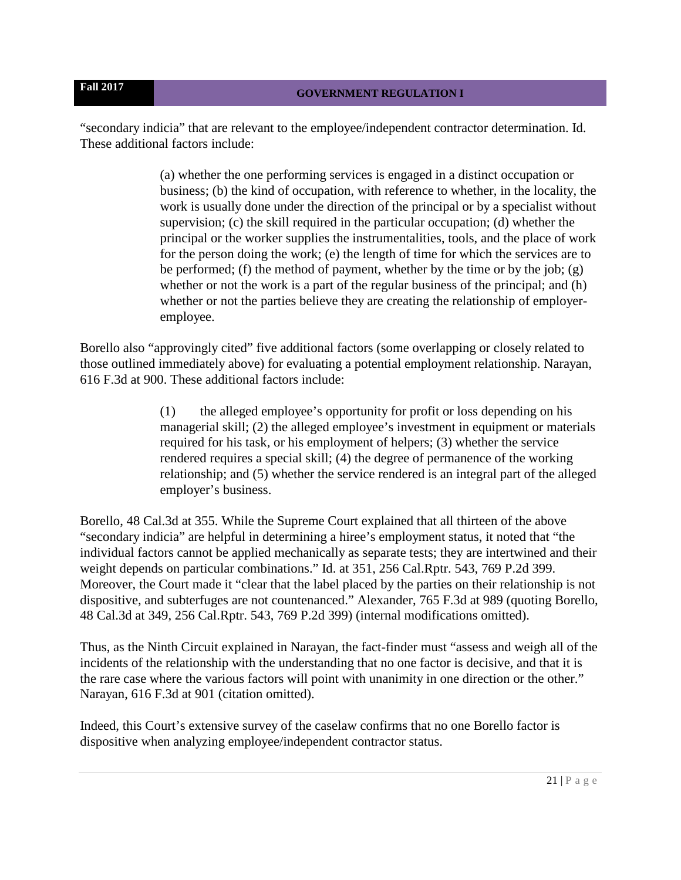"secondary indicia" that are relevant to the employee/independent contractor determination. Id. These additional factors include:

> (a) whether the one performing services is engaged in a distinct occupation or business; (b) the kind of occupation, with reference to whether, in the locality, the work is usually done under the direction of the principal or by a specialist without supervision; (c) the skill required in the particular occupation; (d) whether the principal or the worker supplies the instrumentalities, tools, and the place of work for the person doing the work; (e) the length of time for which the services are to be performed; (f) the method of payment, whether by the time or by the job;  $(g)$ whether or not the work is a part of the regular business of the principal; and (h) whether or not the parties believe they are creating the relationship of employeremployee.

Borello also "approvingly cited" five additional factors (some overlapping or closely related to those outlined immediately above) for evaluating a potential employment relationship. Narayan, 616 F.3d at 900. These additional factors include:

> (1) the alleged employee's opportunity for profit or loss depending on his managerial skill; (2) the alleged employee's investment in equipment or materials required for his task, or his employment of helpers; (3) whether the service rendered requires a special skill; (4) the degree of permanence of the working relationship; and (5) whether the service rendered is an integral part of the alleged employer's business.

Borello, 48 Cal.3d at 355. While the Supreme Court explained that all thirteen of the above "secondary indicia" are helpful in determining a hiree's employment status, it noted that "the individual factors cannot be applied mechanically as separate tests; they are intertwined and their weight depends on particular combinations." Id. at 351, 256 Cal.Rptr. 543, 769 P.2d 399. Moreover, the Court made it "clear that the label placed by the parties on their relationship is not dispositive, and subterfuges are not countenanced." Alexander, 765 F.3d at 989 (quoting Borello, 48 Cal.3d at 349, 256 Cal.Rptr. 543, 769 P.2d 399) (internal modifications omitted).

Thus, as the Ninth Circuit explained in Narayan, the fact-finder must "assess and weigh all of the incidents of the relationship with the understanding that no one factor is decisive, and that it is the rare case where the various factors will point with unanimity in one direction or the other." Narayan, 616 F.3d at 901 (citation omitted).

Indeed, this Court's extensive survey of the caselaw confirms that no one Borello factor is dispositive when analyzing employee/independent contractor status.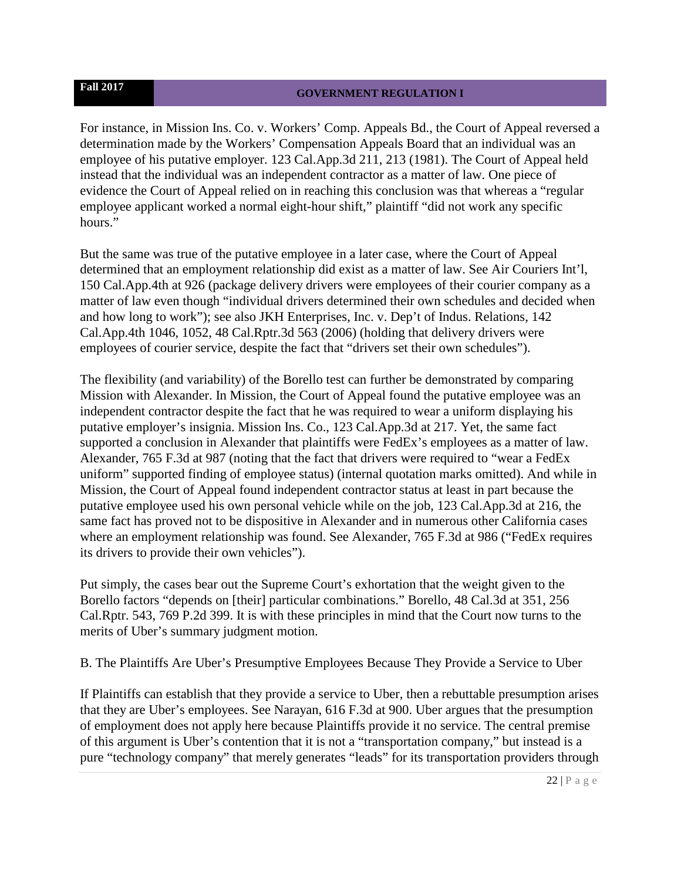For instance, in Mission Ins. Co. v. Workers' Comp. Appeals Bd., the Court of Appeal reversed a determination made by the Workers' Compensation Appeals Board that an individual was an employee of his putative employer. 123 Cal.App.3d 211, 213 (1981). The Court of Appeal held instead that the individual was an independent contractor as a matter of law. One piece of evidence the Court of Appeal relied on in reaching this conclusion was that whereas a "regular employee applicant worked a normal eight-hour shift," plaintiff "did not work any specific hours."

But the same was true of the putative employee in a later case, where the Court of Appeal determined that an employment relationship did exist as a matter of law. See Air Couriers Int'l, 150 Cal.App.4th at 926 (package delivery drivers were employees of their courier company as a matter of law even though "individual drivers determined their own schedules and decided when and how long to work"); see also JKH Enterprises, Inc. v. Dep't of Indus. Relations, 142 Cal.App.4th 1046, 1052, 48 Cal.Rptr.3d 563 (2006) (holding that delivery drivers were employees of courier service, despite the fact that "drivers set their own schedules").

The flexibility (and variability) of the Borello test can further be demonstrated by comparing Mission with Alexander. In Mission, the Court of Appeal found the putative employee was an independent contractor despite the fact that he was required to wear a uniform displaying his putative employer's insignia. Mission Ins. Co., 123 Cal.App.3d at 217. Yet, the same fact supported a conclusion in Alexander that plaintiffs were FedEx's employees as a matter of law. Alexander, 765 F.3d at 987 (noting that the fact that drivers were required to "wear a FedEx uniform" supported finding of employee status) (internal quotation marks omitted). And while in Mission, the Court of Appeal found independent contractor status at least in part because the putative employee used his own personal vehicle while on the job, 123 Cal.App.3d at 216, the same fact has proved not to be dispositive in Alexander and in numerous other California cases where an employment relationship was found. See Alexander, 765 F.3d at 986 ("FedEx requires its drivers to provide their own vehicles").

Put simply, the cases bear out the Supreme Court's exhortation that the weight given to the Borello factors "depends on [their] particular combinations." Borello, 48 Cal.3d at 351, 256 Cal.Rptr. 543, 769 P.2d 399. It is with these principles in mind that the Court now turns to the merits of Uber's summary judgment motion.

B. The Plaintiffs Are Uber's Presumptive Employees Because They Provide a Service to Uber

If Plaintiffs can establish that they provide a service to Uber, then a rebuttable presumption arises that they are Uber's employees. See Narayan, 616 F.3d at 900. Uber argues that the presumption of employment does not apply here because Plaintiffs provide it no service. The central premise of this argument is Uber's contention that it is not a "transportation company," but instead is a pure "technology company" that merely generates "leads" for its transportation providers through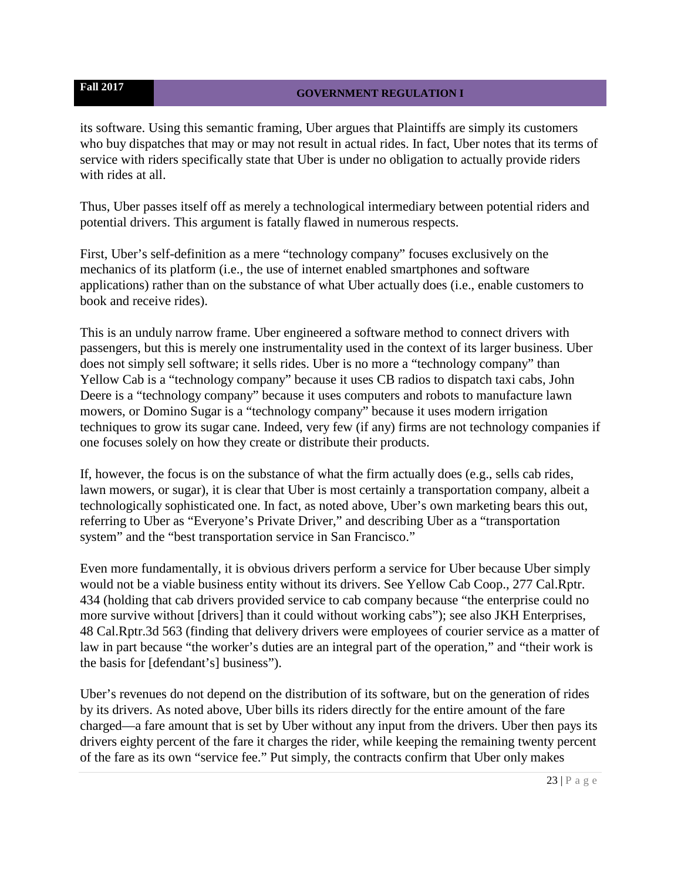its software. Using this semantic framing, Uber argues that Plaintiffs are simply its customers who buy dispatches that may or may not result in actual rides. In fact, Uber notes that its terms of service with riders specifically state that Uber is under no obligation to actually provide riders with rides at all.

Thus, Uber passes itself off as merely a technological intermediary between potential riders and potential drivers. This argument is fatally flawed in numerous respects.

First, Uber's self-definition as a mere "technology company" focuses exclusively on the mechanics of its platform (i.e., the use of internet enabled smartphones and software applications) rather than on the substance of what Uber actually does (i.e., enable customers to book and receive rides).

This is an unduly narrow frame. Uber engineered a software method to connect drivers with passengers, but this is merely one instrumentality used in the context of its larger business. Uber does not simply sell software; it sells rides. Uber is no more a "technology company" than Yellow Cab is a "technology company" because it uses CB radios to dispatch taxi cabs, John Deere is a "technology company" because it uses computers and robots to manufacture lawn mowers, or Domino Sugar is a "technology company" because it uses modern irrigation techniques to grow its sugar cane. Indeed, very few (if any) firms are not technology companies if one focuses solely on how they create or distribute their products.

If, however, the focus is on the substance of what the firm actually does (e.g., sells cab rides, lawn mowers, or sugar), it is clear that Uber is most certainly a transportation company, albeit a technologically sophisticated one. In fact, as noted above, Uber's own marketing bears this out, referring to Uber as "Everyone's Private Driver," and describing Uber as a "transportation system" and the "best transportation service in San Francisco."

Even more fundamentally, it is obvious drivers perform a service for Uber because Uber simply would not be a viable business entity without its drivers. See Yellow Cab Coop., 277 Cal.Rptr. 434 (holding that cab drivers provided service to cab company because "the enterprise could no more survive without [drivers] than it could without working cabs"); see also JKH Enterprises, 48 Cal.Rptr.3d 563 (finding that delivery drivers were employees of courier service as a matter of law in part because "the worker's duties are an integral part of the operation," and "their work is the basis for [defendant's] business").

Uber's revenues do not depend on the distribution of its software, but on the generation of rides by its drivers. As noted above, Uber bills its riders directly for the entire amount of the fare charged—a fare amount that is set by Uber without any input from the drivers. Uber then pays its drivers eighty percent of the fare it charges the rider, while keeping the remaining twenty percent of the fare as its own "service fee." Put simply, the contracts confirm that Uber only makes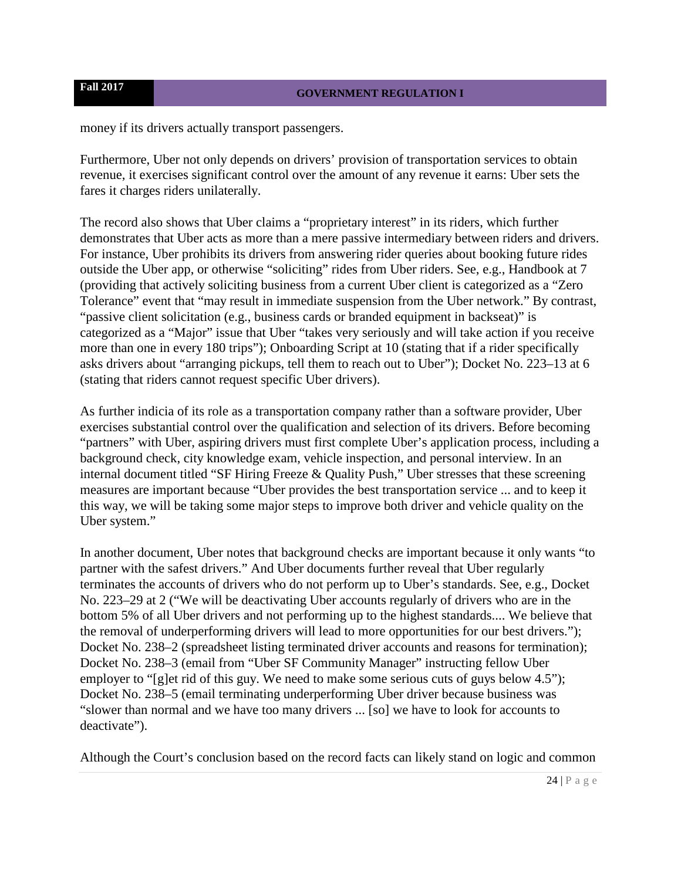money if its drivers actually transport passengers.

Furthermore, Uber not only depends on drivers' provision of transportation services to obtain revenue, it exercises significant control over the amount of any revenue it earns: Uber sets the fares it charges riders unilaterally.

The record also shows that Uber claims a "proprietary interest" in its riders, which further demonstrates that Uber acts as more than a mere passive intermediary between riders and drivers. For instance, Uber prohibits its drivers from answering rider queries about booking future rides outside the Uber app, or otherwise "soliciting" rides from Uber riders. See, e.g., Handbook at 7 (providing that actively soliciting business from a current Uber client is categorized as a "Zero Tolerance" event that "may result in immediate suspension from the Uber network." By contrast, "passive client solicitation (e.g., business cards or branded equipment in backseat)" is categorized as a "Major" issue that Uber "takes very seriously and will take action if you receive more than one in every 180 trips"); Onboarding Script at 10 (stating that if a rider specifically asks drivers about "arranging pickups, tell them to reach out to Uber"); Docket No. 223–13 at 6 (stating that riders cannot request specific Uber drivers).

As further indicia of its role as a transportation company rather than a software provider, Uber exercises substantial control over the qualification and selection of its drivers. Before becoming "partners" with Uber, aspiring drivers must first complete Uber's application process, including a background check, city knowledge exam, vehicle inspection, and personal interview. In an internal document titled "SF Hiring Freeze & Quality Push," Uber stresses that these screening measures are important because "Uber provides the best transportation service ... and to keep it this way, we will be taking some major steps to improve both driver and vehicle quality on the Uber system."

In another document, Uber notes that background checks are important because it only wants "to partner with the safest drivers." And Uber documents further reveal that Uber regularly terminates the accounts of drivers who do not perform up to Uber's standards. See, e.g., Docket No. 223–29 at 2 ("We will be deactivating Uber accounts regularly of drivers who are in the bottom 5% of all Uber drivers and not performing up to the highest standards.... We believe that the removal of underperforming drivers will lead to more opportunities for our best drivers."); Docket No. 238–2 (spreadsheet listing terminated driver accounts and reasons for termination); Docket No. 238–3 (email from "Uber SF Community Manager" instructing fellow Uber employer to "[g]et rid of this guy. We need to make some serious cuts of guys below 4.5"); Docket No. 238–5 (email terminating underperforming Uber driver because business was "slower than normal and we have too many drivers ... [so] we have to look for accounts to deactivate").

Although the Court's conclusion based on the record facts can likely stand on logic and common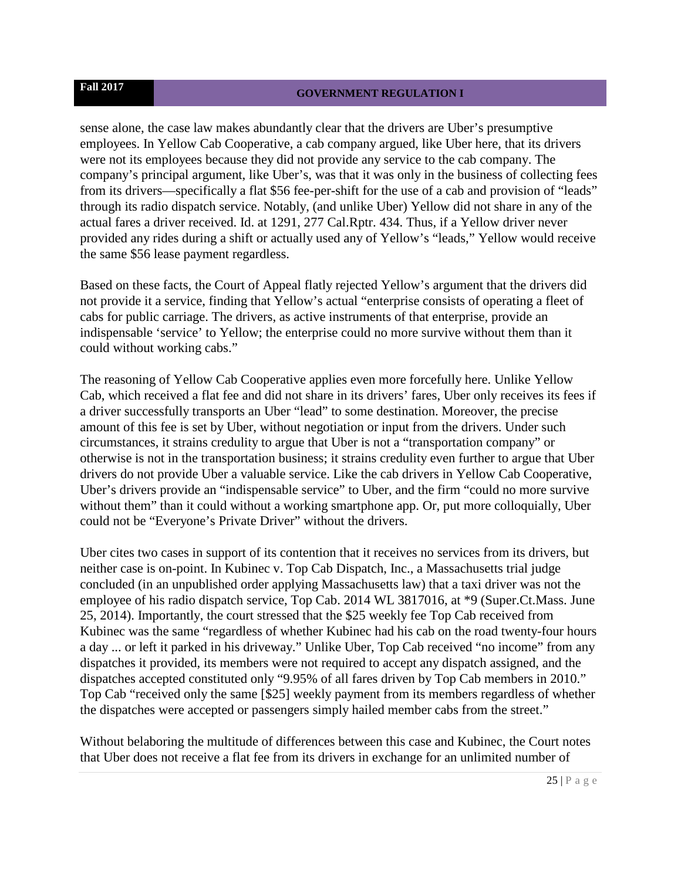sense alone, the case law makes abundantly clear that the drivers are Uber's presumptive employees. In Yellow Cab Cooperative, a cab company argued, like Uber here, that its drivers were not its employees because they did not provide any service to the cab company. The company's principal argument, like Uber's, was that it was only in the business of collecting fees from its drivers—specifically a flat \$56 fee-per-shift for the use of a cab and provision of "leads" through its radio dispatch service. Notably, (and unlike Uber) Yellow did not share in any of the actual fares a driver received. Id. at 1291, 277 Cal.Rptr. 434. Thus, if a Yellow driver never provided any rides during a shift or actually used any of Yellow's "leads," Yellow would receive the same \$56 lease payment regardless.

Based on these facts, the Court of Appeal flatly rejected Yellow's argument that the drivers did not provide it a service, finding that Yellow's actual "enterprise consists of operating a fleet of cabs for public carriage. The drivers, as active instruments of that enterprise, provide an indispensable 'service' to Yellow; the enterprise could no more survive without them than it could without working cabs."

The reasoning of Yellow Cab Cooperative applies even more forcefully here. Unlike Yellow Cab, which received a flat fee and did not share in its drivers' fares, Uber only receives its fees if a driver successfully transports an Uber "lead" to some destination. Moreover, the precise amount of this fee is set by Uber, without negotiation or input from the drivers. Under such circumstances, it strains credulity to argue that Uber is not a "transportation company" or otherwise is not in the transportation business; it strains credulity even further to argue that Uber drivers do not provide Uber a valuable service. Like the cab drivers in Yellow Cab Cooperative, Uber's drivers provide an "indispensable service" to Uber, and the firm "could no more survive without them" than it could without a working smartphone app. Or, put more colloquially, Uber could not be "Everyone's Private Driver" without the drivers.

Uber cites two cases in support of its contention that it receives no services from its drivers, but neither case is on-point. In Kubinec v. Top Cab Dispatch, Inc., a Massachusetts trial judge concluded (in an unpublished order applying Massachusetts law) that a taxi driver was not the employee of his radio dispatch service, Top Cab. 2014 WL 3817016, at \*9 (Super.Ct.Mass. June 25, 2014). Importantly, the court stressed that the \$25 weekly fee Top Cab received from Kubinec was the same "regardless of whether Kubinec had his cab on the road twenty-four hours a day ... or left it parked in his driveway." Unlike Uber, Top Cab received "no income" from any dispatches it provided, its members were not required to accept any dispatch assigned, and the dispatches accepted constituted only "9.95% of all fares driven by Top Cab members in 2010." Top Cab "received only the same [\$25] weekly payment from its members regardless of whether the dispatches were accepted or passengers simply hailed member cabs from the street."

Without belaboring the multitude of differences between this case and Kubinec, the Court notes that Uber does not receive a flat fee from its drivers in exchange for an unlimited number of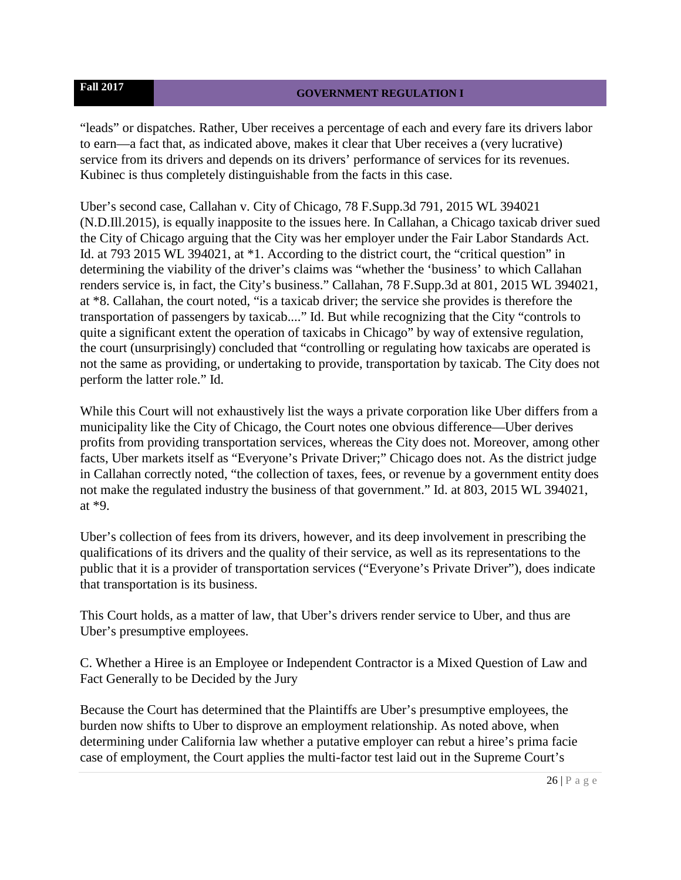"leads" or dispatches. Rather, Uber receives a percentage of each and every fare its drivers labor to earn—a fact that, as indicated above, makes it clear that Uber receives a (very lucrative) service from its drivers and depends on its drivers' performance of services for its revenues. Kubinec is thus completely distinguishable from the facts in this case.

Uber's second case, Callahan v. City of Chicago, 78 F.Supp.3d 791, 2015 WL 394021 (N.D.Ill.2015), is equally inapposite to the issues here. In Callahan, a Chicago taxicab driver sued the City of Chicago arguing that the City was her employer under the Fair Labor Standards Act. Id. at 793 2015 WL 394021, at \*1. According to the district court, the "critical question" in determining the viability of the driver's claims was "whether the 'business' to which Callahan renders service is, in fact, the City's business." Callahan, 78 F.Supp.3d at 801, 2015 WL 394021, at \*8. Callahan, the court noted, "is a taxicab driver; the service she provides is therefore the transportation of passengers by taxicab...." Id. But while recognizing that the City "controls to quite a significant extent the operation of taxicabs in Chicago" by way of extensive regulation, the court (unsurprisingly) concluded that "controlling or regulating how taxicabs are operated is not the same as providing, or undertaking to provide, transportation by taxicab. The City does not perform the latter role." Id.

While this Court will not exhaustively list the ways a private corporation like Uber differs from a municipality like the City of Chicago, the Court notes one obvious difference—Uber derives profits from providing transportation services, whereas the City does not. Moreover, among other facts, Uber markets itself as "Everyone's Private Driver;" Chicago does not. As the district judge in Callahan correctly noted, "the collection of taxes, fees, or revenue by a government entity does not make the regulated industry the business of that government." Id. at 803, 2015 WL 394021, at \*9.

Uber's collection of fees from its drivers, however, and its deep involvement in prescribing the qualifications of its drivers and the quality of their service, as well as its representations to the public that it is a provider of transportation services ("Everyone's Private Driver"), does indicate that transportation is its business.

This Court holds, as a matter of law, that Uber's drivers render service to Uber, and thus are Uber's presumptive employees.

C. Whether a Hiree is an Employee or Independent Contractor is a Mixed Question of Law and Fact Generally to be Decided by the Jury

Because the Court has determined that the Plaintiffs are Uber's presumptive employees, the burden now shifts to Uber to disprove an employment relationship. As noted above, when determining under California law whether a putative employer can rebut a hiree's prima facie case of employment, the Court applies the multi-factor test laid out in the Supreme Court's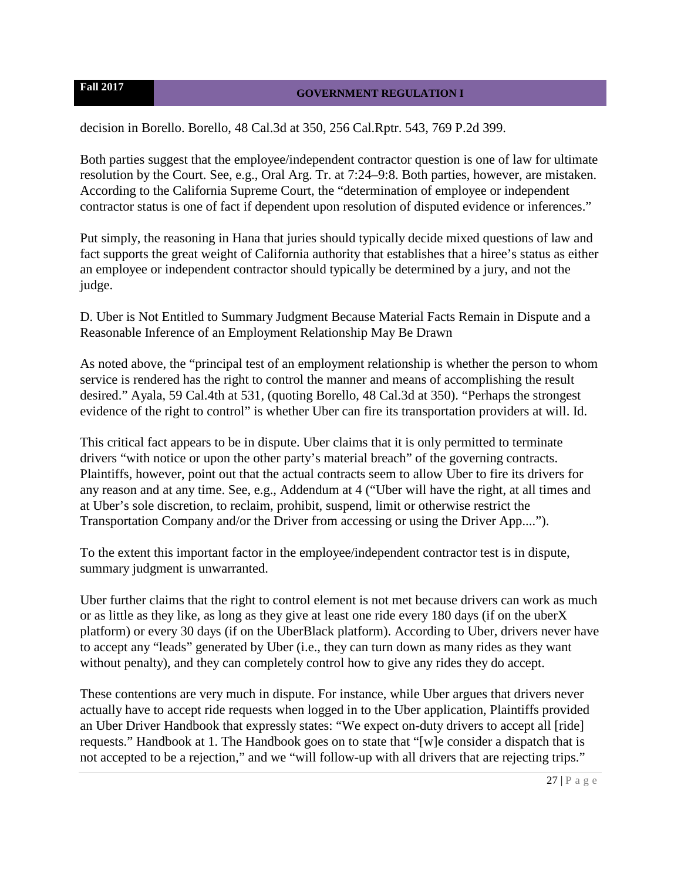decision in Borello. Borello, 48 Cal.3d at 350, 256 Cal.Rptr. 543, 769 P.2d 399.

Both parties suggest that the employee/independent contractor question is one of law for ultimate resolution by the Court. See, e.g., Oral Arg. Tr. at 7:24–9:8. Both parties, however, are mistaken. According to the California Supreme Court, the "determination of employee or independent contractor status is one of fact if dependent upon resolution of disputed evidence or inferences."

Put simply, the reasoning in Hana that juries should typically decide mixed questions of law and fact supports the great weight of California authority that establishes that a hiree's status as either an employee or independent contractor should typically be determined by a jury, and not the judge.

D. Uber is Not Entitled to Summary Judgment Because Material Facts Remain in Dispute and a Reasonable Inference of an Employment Relationship May Be Drawn

As noted above, the "principal test of an employment relationship is whether the person to whom service is rendered has the right to control the manner and means of accomplishing the result desired." Ayala, 59 Cal.4th at 531, (quoting Borello, 48 Cal.3d at 350). "Perhaps the strongest evidence of the right to control" is whether Uber can fire its transportation providers at will. Id.

This critical fact appears to be in dispute. Uber claims that it is only permitted to terminate drivers "with notice or upon the other party's material breach" of the governing contracts. Plaintiffs, however, point out that the actual contracts seem to allow Uber to fire its drivers for any reason and at any time. See, e.g., Addendum at 4 ("Uber will have the right, at all times and at Uber's sole discretion, to reclaim, prohibit, suspend, limit or otherwise restrict the Transportation Company and/or the Driver from accessing or using the Driver App....").

To the extent this important factor in the employee/independent contractor test is in dispute, summary judgment is unwarranted.

Uber further claims that the right to control element is not met because drivers can work as much or as little as they like, as long as they give at least one ride every 180 days (if on the uberX platform) or every 30 days (if on the UberBlack platform). According to Uber, drivers never have to accept any "leads" generated by Uber (i.e., they can turn down as many rides as they want without penalty), and they can completely control how to give any rides they do accept.

These contentions are very much in dispute. For instance, while Uber argues that drivers never actually have to accept ride requests when logged in to the Uber application, Plaintiffs provided an Uber Driver Handbook that expressly states: "We expect on-duty drivers to accept all [ride] requests." Handbook at 1. The Handbook goes on to state that "[w]e consider a dispatch that is not accepted to be a rejection," and we "will follow-up with all drivers that are rejecting trips."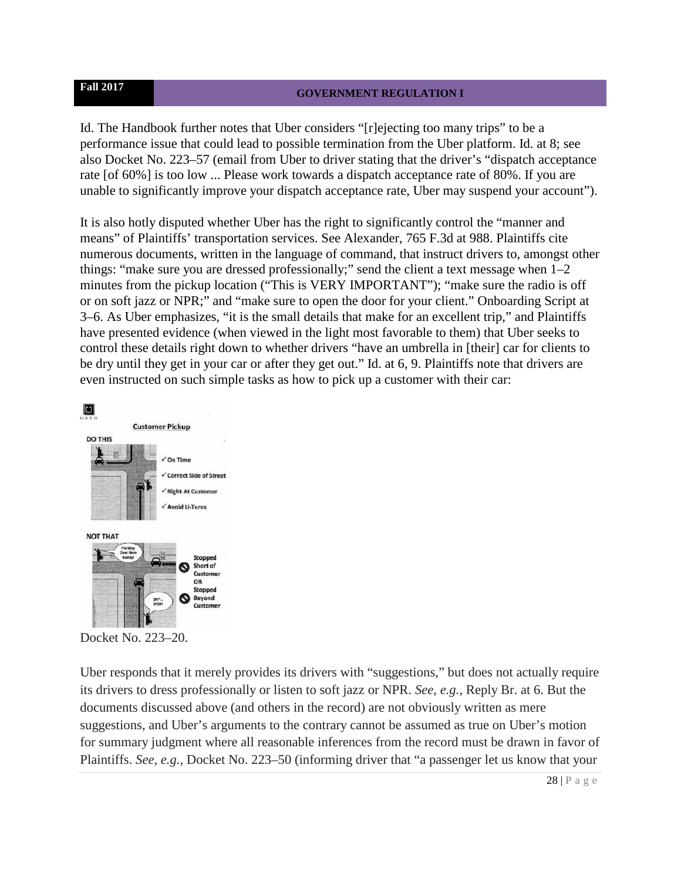Id. The Handbook further notes that Uber considers "[r]ejecting too many trips" to be a performance issue that could lead to possible termination from the Uber platform. Id. at 8; see also Docket No. 223–57 (email from Uber to driver stating that the driver's "dispatch acceptance rate [of 60%] is too low ... Please work towards a dispatch acceptance rate of 80%. If you are unable to significantly improve your dispatch acceptance rate, Uber may suspend your account").

It is also hotly disputed whether Uber has the right to significantly control the "manner and means" of Plaintiffs' transportation services. See Alexander, 765 F.3d at 988. Plaintiffs cite numerous documents, written in the language of command, that instruct drivers to, amongst other things: "make sure you are dressed professionally;" send the client a text message when 1–2 minutes from the pickup location ("This is VERY IMPORTANT"); "make sure the radio is off or on soft jazz or NPR;" and "make sure to open the door for your client." Onboarding Script at 3–6. As Uber emphasizes, "it is the small details that make for an excellent trip," and Plaintiffs have presented evidence (when viewed in the light most favorable to them) that Uber seeks to control these details right down to whether drivers "have an umbrella in [their] car for clients to be dry until they get in your car or after they get out." Id. at 6, 9. Plaintiffs note that drivers are even instructed on such simple tasks as how to pick up a customer with their car:



Docket No. 223–20.

Uber responds that it merely provides its drivers with "suggestions," but does not actually require its drivers to dress professionally or listen to soft jazz or NPR. *See, e.g.,* Reply Br. at 6. But the documents discussed above (and others in the record) are not obviously written as mere suggestions, and Uber's arguments to the contrary cannot be assumed as true on Uber's motion for summary judgment where all reasonable inferences from the record must be drawn in favor of Plaintiffs. *See, e.g.,* Docket No. 223–50 (informing driver that "a passenger let us know that your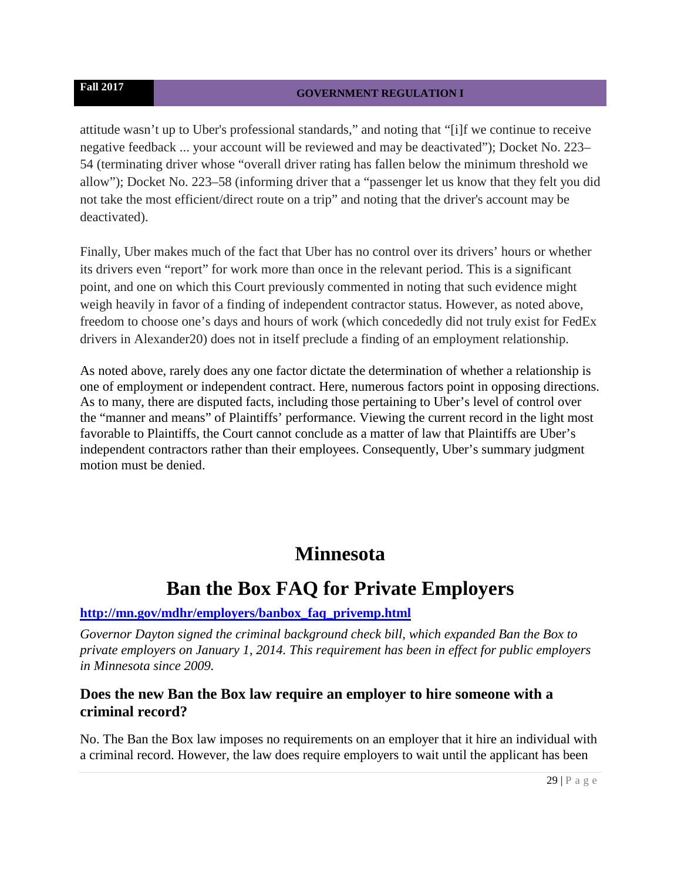attitude wasn't up to Uber's professional standards," and noting that "[i]f we continue to receive negative feedback ... your account will be reviewed and may be deactivated"); Docket No. 223– 54 (terminating driver whose "overall driver rating has fallen below the minimum threshold we allow"); Docket No. 223–58 (informing driver that a "passenger let us know that they felt you did not take the most efficient/direct route on a trip" and noting that the driver's account may be deactivated).

Finally, Uber makes much of the fact that Uber has no control over its drivers' hours or whether its drivers even "report" for work more than once in the relevant period. This is a significant point, and one on which this Court previously commented in noting that such evidence might weigh heavily in favor of a finding of independent contractor status. However, as noted above, freedom to choose one's days and hours of work (which concededly did not truly exist for FedEx drivers in Alexander20) does not in itself preclude a finding of an employment relationship.

As noted above, rarely does any one factor dictate the determination of whether a relationship is one of employment or independent contract. Here, numerous factors point in opposing directions. As to many, there are disputed facts, including those pertaining to Uber's level of control over the "manner and means" of Plaintiffs' performance. Viewing the current record in the light most favorable to Plaintiffs, the Court cannot conclude as a matter of law that Plaintiffs are Uber's independent contractors rather than their employees. Consequently, Uber's summary judgment motion must be denied.

# **Minnesota**

# **Ban the Box FAQ for Private Employers**

## **[http://mn.gov/mdhr/employers/banbox\\_faq\\_privemp.html](http://mn.gov/mdhr/employers/banbox_faq_privemp.html)**

*Governor Dayton signed the criminal background check bill, which expanded Ban the Box to private employers on January 1, 2014. This requirement has been in effect for public employers in Minnesota since 2009.* 

## **Does the new Ban the Box law require an employer to hire someone with a criminal record?**

No. The Ban the Box law imposes no requirements on an employer that it hire an individual with a criminal record. However, the law does require employers to wait until the applicant has been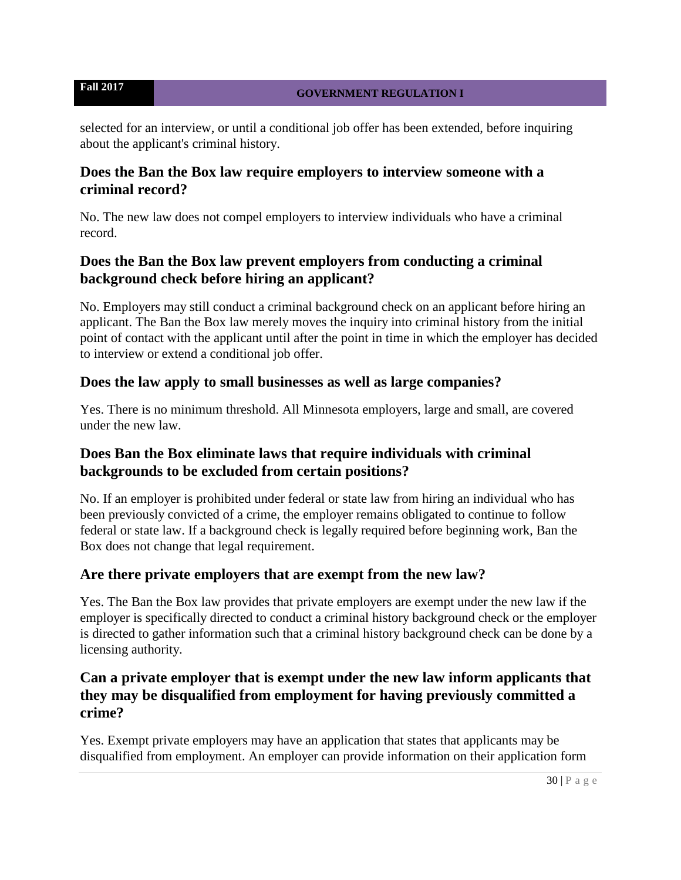selected for an interview, or until a conditional job offer has been extended, before inquiring about the applicant's criminal history.

## **Does the Ban the Box law require employers to interview someone with a criminal record?**

No. The new law does not compel employers to interview individuals who have a criminal record.

## **Does the Ban the Box law prevent employers from conducting a criminal background check before hiring an applicant?**

No. Employers may still conduct a criminal background check on an applicant before hiring an applicant. The Ban the Box law merely moves the inquiry into criminal history from the initial point of contact with the applicant until after the point in time in which the employer has decided to interview or extend a conditional job offer.

## **Does the law apply to small businesses as well as large companies?**

Yes. There is no minimum threshold. All Minnesota employers, large and small, are covered under the new law.

## **Does Ban the Box eliminate laws that require individuals with criminal backgrounds to be excluded from certain positions?**

No. If an employer is prohibited under federal or state law from hiring an individual who has been previously convicted of a crime, the employer remains obligated to continue to follow federal or state law. If a background check is legally required before beginning work, Ban the Box does not change that legal requirement.

## **Are there private employers that are exempt from the new law?**

Yes. The Ban the Box law provides that private employers are exempt under the new law if the employer is specifically directed to conduct a criminal history background check or the employer is directed to gather information such that a criminal history background check can be done by a licensing authority.

## **Can a private employer that is exempt under the new law inform applicants that they may be disqualified from employment for having previously committed a crime?**

Yes. Exempt private employers may have an application that states that applicants may be disqualified from employment. An employer can provide information on their application form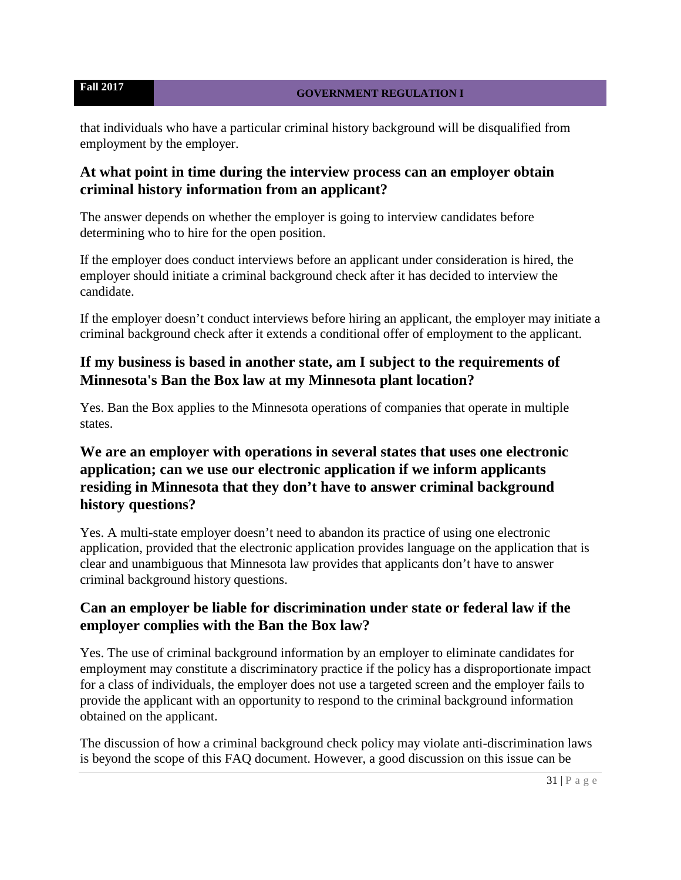that individuals who have a particular criminal history background will be disqualified from employment by the employer.

## **At what point in time during the interview process can an employer obtain criminal history information from an applicant?**

The answer depends on whether the employer is going to interview candidates before determining who to hire for the open position.

If the employer does conduct interviews before an applicant under consideration is hired, the employer should initiate a criminal background check after it has decided to interview the candidate.

If the employer doesn't conduct interviews before hiring an applicant, the employer may initiate a criminal background check after it extends a conditional offer of employment to the applicant.

## **If my business is based in another state, am I subject to the requirements of Minnesota's Ban the Box law at my Minnesota plant location?**

Yes. Ban the Box applies to the Minnesota operations of companies that operate in multiple states.

## **We are an employer with operations in several states that uses one electronic application; can we use our electronic application if we inform applicants residing in Minnesota that they don't have to answer criminal background history questions?**

Yes. A multi-state employer doesn't need to abandon its practice of using one electronic application, provided that the electronic application provides language on the application that is clear and unambiguous that Minnesota law provides that applicants don't have to answer criminal background history questions.

## **Can an employer be liable for discrimination under state or federal law if the employer complies with the Ban the Box law?**

Yes. The use of criminal background information by an employer to eliminate candidates for employment may constitute a discriminatory practice if the policy has a disproportionate impact for a class of individuals, the employer does not use a targeted screen and the employer fails to provide the applicant with an opportunity to respond to the criminal background information obtained on the applicant.

The discussion of how a criminal background check policy may violate anti-discrimination laws is beyond the scope of this FAQ document. However, a good discussion on this issue can be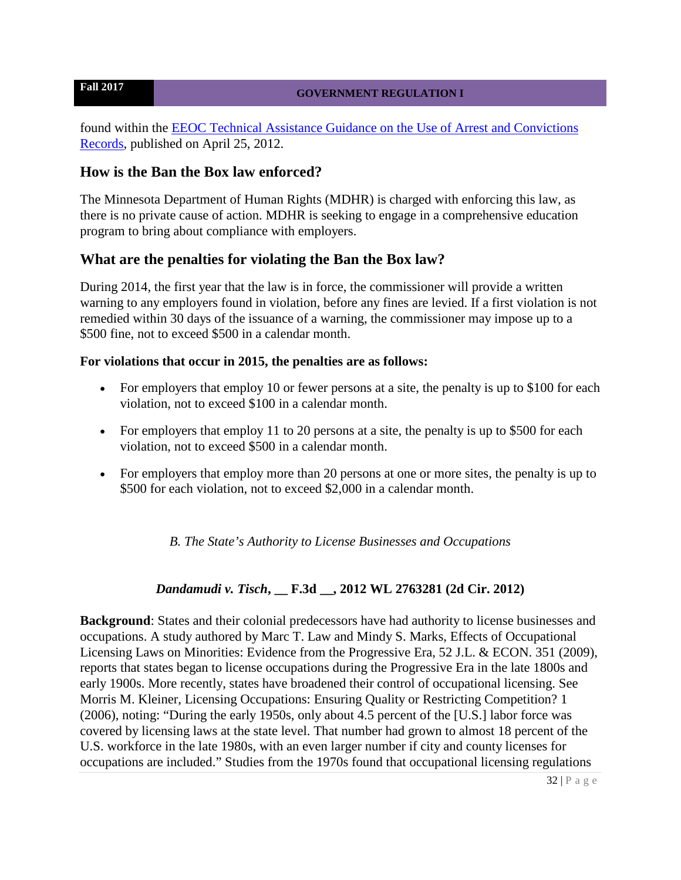found within the [EEOC Technical Assistance Guidance on the Use of Arrest and Convictions](http://www.eeoc.gov/laws/guidance/arrest_conviction.cfm)  [Records,](http://www.eeoc.gov/laws/guidance/arrest_conviction.cfm) published on April 25, 2012.

### **How is the Ban the Box law enforced?**

The Minnesota Department of Human Rights (MDHR) is charged with enforcing this law, as there is no private cause of action. MDHR is seeking to engage in a comprehensive education program to bring about compliance with employers.

### **What are the penalties for violating the Ban the Box law?**

During 2014, the first year that the law is in force, the commissioner will provide a written warning to any employers found in violation, before any fines are levied. If a first violation is not remedied within 30 days of the issuance of a warning, the commissioner may impose up to a \$500 fine, not to exceed \$500 in a calendar month.

### **For violations that occur in 2015, the penalties are as follows:**

- For employers that employ 10 or fewer persons at a site, the penalty is up to \$100 for each violation, not to exceed \$100 in a calendar month.
- For employers that employ 11 to 20 persons at a site, the penalty is up to \$500 for each violation, not to exceed \$500 in a calendar month.
- For employers that employ more than 20 persons at one or more sites, the penalty is up to \$500 for each violation, not to exceed \$2,000 in a calendar month.

*B. The State's Authority to License Businesses and Occupations*

### *Dandamudi v. Tisch***, \_\_ F.3d \_\_, 2012 WL 2763281 (2d Cir. 2012)**

**Background**: States and their colonial predecessors have had authority to license businesses and occupations. A study authored by Marc T. Law and Mindy S. Marks, Effects of Occupational Licensing Laws on Minorities: Evidence from the Progressive Era, 52 J.L. & ECON. 351 (2009), reports that states began to license occupations during the Progressive Era in the late 1800s and early 1900s. More recently, states have broadened their control of occupational licensing. See Morris M. Kleiner, Licensing Occupations: Ensuring Quality or Restricting Competition? 1 (2006), noting: "During the early 1950s, only about 4.5 percent of the [U.S.] labor force was covered by licensing laws at the state level. That number had grown to almost 18 percent of the U.S. workforce in the late 1980s, with an even larger number if city and county licenses for occupations are included." Studies from the 1970s found that occupational licensing regulations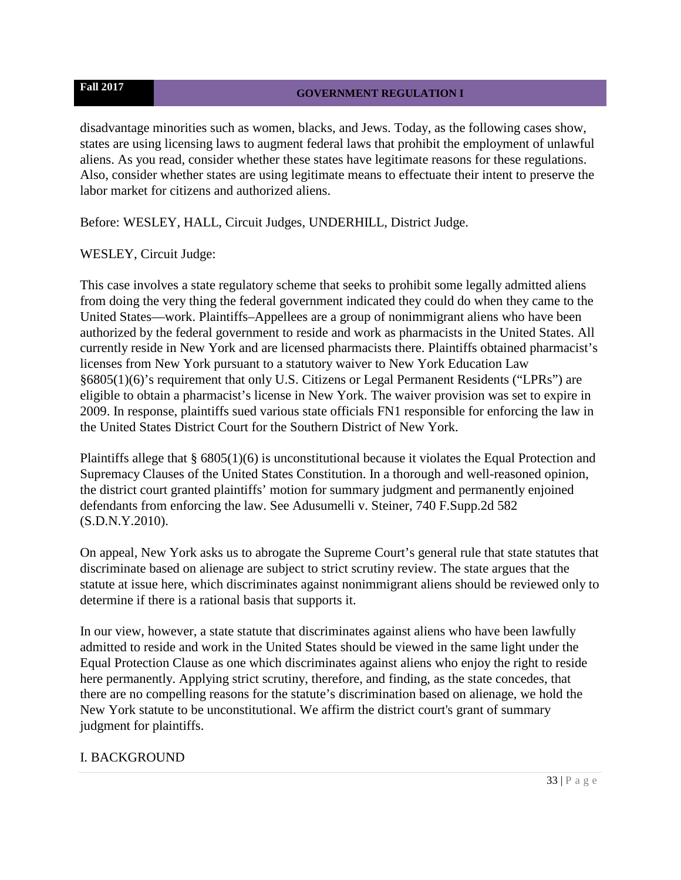disadvantage minorities such as women, blacks, and Jews. Today, as the following cases show, states are using licensing laws to augment federal laws that prohibit the employment of unlawful aliens. As you read, consider whether these states have legitimate reasons for these regulations. Also, consider whether states are using legitimate means to effectuate their intent to preserve the labor market for citizens and authorized aliens.

Before: WESLEY, HALL, Circuit Judges, UNDERHILL, District Judge.

### WESLEY, Circuit Judge:

This case involves a state regulatory scheme that seeks to prohibit some legally admitted aliens from doing the very thing the federal government indicated they could do when they came to the United States—work. Plaintiffs–Appellees are a group of nonimmigrant aliens who have been authorized by the federal government to reside and work as pharmacists in the United States. All currently reside in New York and are licensed pharmacists there. Plaintiffs obtained pharmacist's licenses from New York pursuant to a statutory waiver to New York Education Law §6805(1)(6)'s requirement that only U.S. Citizens or Legal Permanent Residents ("LPRs") are eligible to obtain a pharmacist's license in New York. The waiver provision was set to expire in 2009. In response, plaintiffs sued various state officials FN1 responsible for enforcing the law in the United States District Court for the Southern District of New York.

Plaintiffs allege that § 6805(1)(6) is unconstitutional because it violates the Equal Protection and Supremacy Clauses of the United States Constitution. In a thorough and well-reasoned opinion, the district court granted plaintiffs' motion for summary judgment and permanently enjoined defendants from enforcing the law. See Adusumelli v. Steiner, 740 F.Supp.2d 582 (S.D.N.Y.2010).

On appeal, New York asks us to abrogate the Supreme Court's general rule that state statutes that discriminate based on alienage are subject to strict scrutiny review. The state argues that the statute at issue here, which discriminates against nonimmigrant aliens should be reviewed only to determine if there is a rational basis that supports it.

In our view, however, a state statute that discriminates against aliens who have been lawfully admitted to reside and work in the United States should be viewed in the same light under the Equal Protection Clause as one which discriminates against aliens who enjoy the right to reside here permanently. Applying strict scrutiny, therefore, and finding, as the state concedes, that there are no compelling reasons for the statute's discrimination based on alienage, we hold the New York statute to be unconstitutional. We affirm the district court's grant of summary judgment for plaintiffs.

## I. BACKGROUND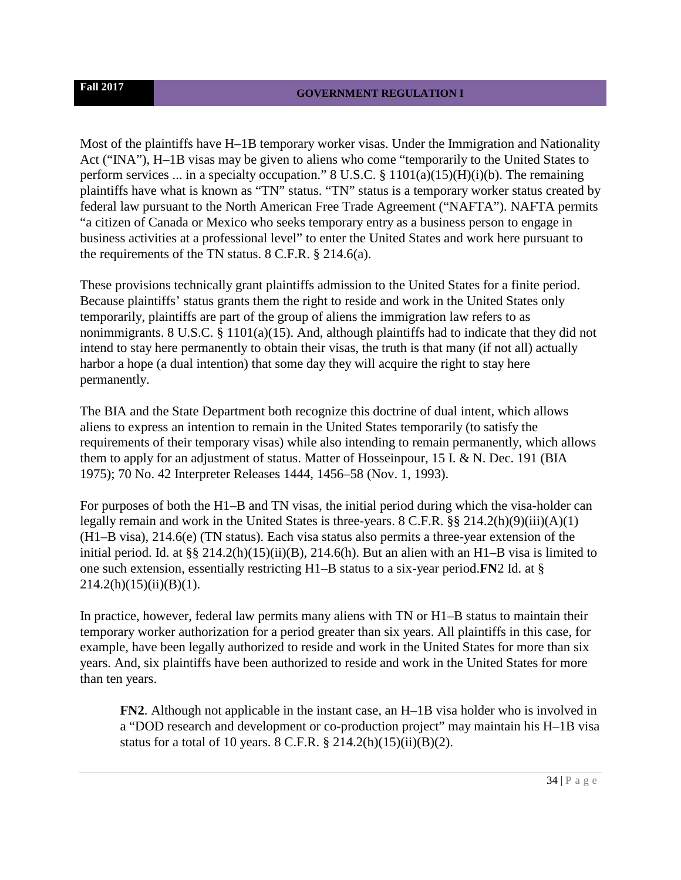Most of the plaintiffs have H–1B temporary worker visas. Under the Immigration and Nationality Act ("INA"), H–1B visas may be given to aliens who come "temporarily to the United States to perform services ... in a specialty occupation." 8 U.S.C.  $\S$  1101(a)(15)(H)(i)(b). The remaining plaintiffs have what is known as "TN" status. "TN" status is a temporary worker status created by federal law pursuant to the North American Free Trade Agreement ("NAFTA"). NAFTA permits "a citizen of Canada or Mexico who seeks temporary entry as a business person to engage in business activities at a professional level" to enter the United States and work here pursuant to the requirements of the TN status. 8 C.F.R. § 214.6(a).

These provisions technically grant plaintiffs admission to the United States for a finite period. Because plaintiffs' status grants them the right to reside and work in the United States only temporarily, plaintiffs are part of the group of aliens the immigration law refers to as nonimmigrants. 8 U.S.C. § 1101(a)(15). And, although plaintiffs had to indicate that they did not intend to stay here permanently to obtain their visas, the truth is that many (if not all) actually harbor a hope (a dual intention) that some day they will acquire the right to stay here permanently.

The BIA and the State Department both recognize this doctrine of dual intent, which allows aliens to express an intention to remain in the United States temporarily (to satisfy the requirements of their temporary visas) while also intending to remain permanently, which allows them to apply for an adjustment of status. Matter of Hosseinpour, 15 I. & N. Dec. 191 (BIA 1975); 70 No. 42 Interpreter Releases 1444, 1456–58 (Nov. 1, 1993).

For purposes of both the H1–B and TN visas, the initial period during which the visa-holder can legally remain and work in the United States is three-years. 8 C.F.R. §§ 214.2(h)(9)(iii)(A)(1) (H1–B visa), 214.6(e) (TN status). Each visa status also permits a three-year extension of the initial period. Id. at §§ 214.2(h)(15)(ii)(B), 214.6(h). But an alien with an H1–B visa is limited to one such extension, essentially restricting H1–B status to a six-year period.**FN**2 Id. at §  $214.2(h)(15)(ii)(B)(1)$ .

In practice, however, federal law permits many aliens with TN or H1–B status to maintain their temporary worker authorization for a period greater than six years. All plaintiffs in this case, for example, have been legally authorized to reside and work in the United States for more than six years. And, six plaintiffs have been authorized to reside and work in the United States for more than ten years.

**FN2**. Although not applicable in the instant case, an H–1B visa holder who is involved in a "DOD research and development or co-production project" may maintain his H–1B visa status for a total of 10 years.  $8 \text{ C.F.R.}$   $\frac{8}{9}$  214.2(h)(15)(ii)(B)(2).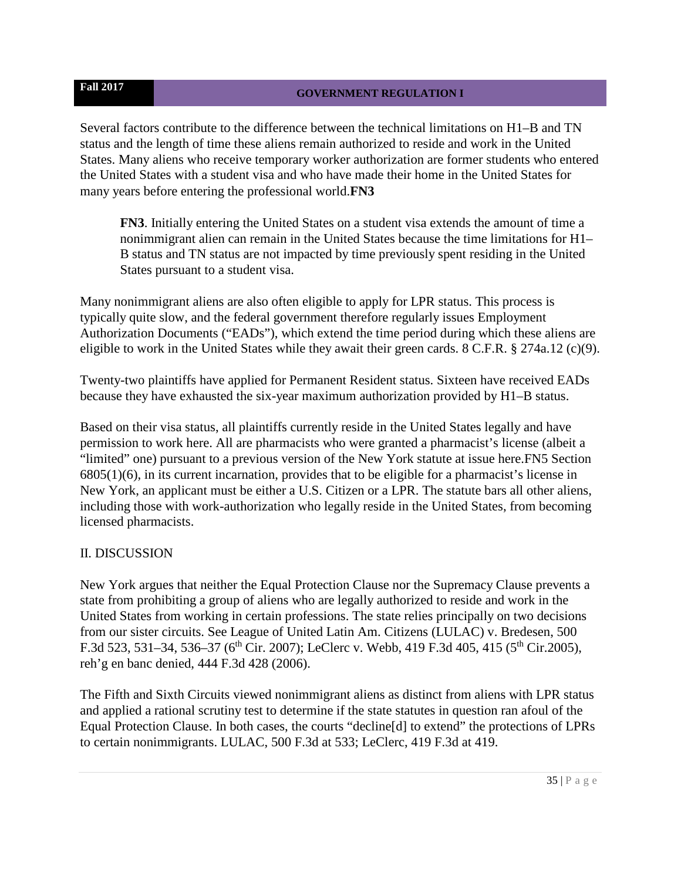Several factors contribute to the difference between the technical limitations on H1–B and TN status and the length of time these aliens remain authorized to reside and work in the United States. Many aliens who receive temporary worker authorization are former students who entered the United States with a student visa and who have made their home in the United States for many years before entering the professional world.**FN3**

**FN3**. Initially entering the United States on a student visa extends the amount of time a nonimmigrant alien can remain in the United States because the time limitations for H1– B status and TN status are not impacted by time previously spent residing in the United States pursuant to a student visa.

Many nonimmigrant aliens are also often eligible to apply for LPR status. This process is typically quite slow, and the federal government therefore regularly issues Employment Authorization Documents ("EADs"), which extend the time period during which these aliens are eligible to work in the United States while they await their green cards. 8 C.F.R. § 274a.12 (c)(9).

Twenty-two plaintiffs have applied for Permanent Resident status. Sixteen have received EADs because they have exhausted the six-year maximum authorization provided by H1–B status.

Based on their visa status, all plaintiffs currently reside in the United States legally and have permission to work here. All are pharmacists who were granted a pharmacist's license (albeit a "limited" one) pursuant to a previous version of the New York statute at issue here.FN5 Section 6805(1)(6), in its current incarnation, provides that to be eligible for a pharmacist's license in New York, an applicant must be either a U.S. Citizen or a LPR. The statute bars all other aliens, including those with work-authorization who legally reside in the United States, from becoming licensed pharmacists.

## II. DISCUSSION

New York argues that neither the Equal Protection Clause nor the Supremacy Clause prevents a state from prohibiting a group of aliens who are legally authorized to reside and work in the United States from working in certain professions. The state relies principally on two decisions from our sister circuits. See League of United Latin Am. Citizens (LULAC) v. Bredesen, 500 F.3d 523, 531–34, 536–37 (6<sup>th</sup> Cir. 2007); LeClerc v. Webb, 419 F.3d 405, 415 (5<sup>th</sup> Cir.2005), reh'g en banc denied, 444 F.3d 428 (2006).

The Fifth and Sixth Circuits viewed nonimmigrant aliens as distinct from aliens with LPR status and applied a rational scrutiny test to determine if the state statutes in question ran afoul of the Equal Protection Clause. In both cases, the courts "decline[d] to extend" the protections of LPRs to certain nonimmigrants. LULAC, 500 F.3d at 533; LeClerc, 419 F.3d at 419.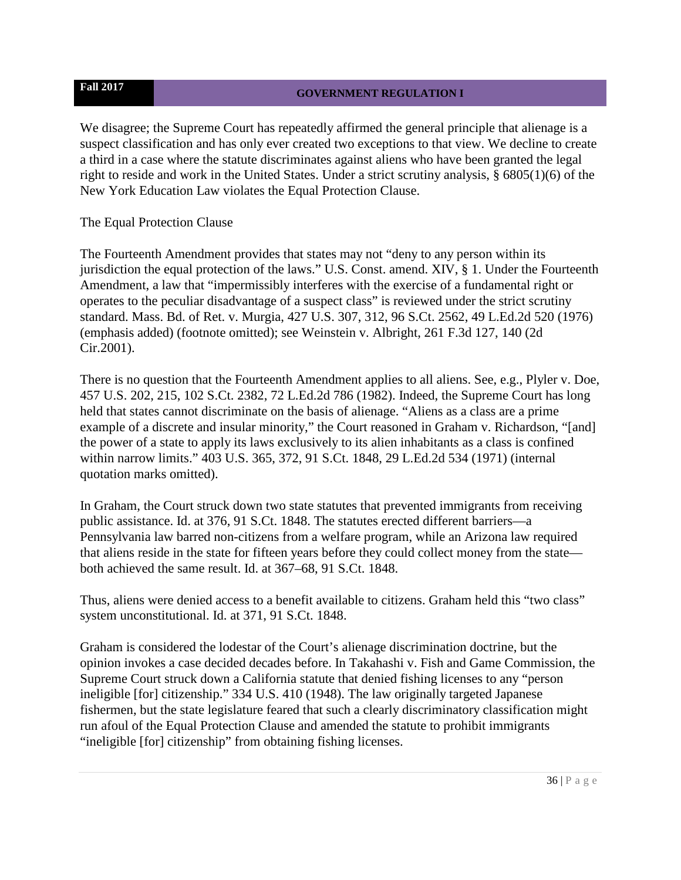We disagree; the Supreme Court has repeatedly affirmed the general principle that alienage is a suspect classification and has only ever created two exceptions to that view. We decline to create a third in a case where the statute discriminates against aliens who have been granted the legal right to reside and work in the United States. Under a strict scrutiny analysis, § 6805(1)(6) of the New York Education Law violates the Equal Protection Clause.

### The Equal Protection Clause

The Fourteenth Amendment provides that states may not "deny to any person within its jurisdiction the equal protection of the laws." U.S. Const. amend. XIV, § 1. Under the Fourteenth Amendment, a law that "impermissibly interferes with the exercise of a fundamental right or operates to the peculiar disadvantage of a suspect class" is reviewed under the strict scrutiny standard. Mass. Bd. of Ret. v. Murgia, 427 U.S. 307, 312, 96 S.Ct. 2562, 49 L.Ed.2d 520 (1976) (emphasis added) (footnote omitted); see Weinstein v. Albright, 261 F.3d 127, 140 (2d Cir.2001).

There is no question that the Fourteenth Amendment applies to all aliens. See, e.g., Plyler v. Doe, 457 U.S. 202, 215, 102 S.Ct. 2382, 72 L.Ed.2d 786 (1982). Indeed, the Supreme Court has long held that states cannot discriminate on the basis of alienage. "Aliens as a class are a prime example of a discrete and insular minority," the Court reasoned in Graham v. Richardson, "[and] the power of a state to apply its laws exclusively to its alien inhabitants as a class is confined within narrow limits." 403 U.S. 365, 372, 91 S.Ct. 1848, 29 L.Ed.2d 534 (1971) (internal quotation marks omitted).

In Graham, the Court struck down two state statutes that prevented immigrants from receiving public assistance. Id. at 376, 91 S.Ct. 1848. The statutes erected different barriers—a Pennsylvania law barred non-citizens from a welfare program, while an Arizona law required that aliens reside in the state for fifteen years before they could collect money from the state both achieved the same result. Id. at 367–68, 91 S.Ct. 1848.

Thus, aliens were denied access to a benefit available to citizens. Graham held this "two class" system unconstitutional. Id. at 371, 91 S.Ct. 1848.

Graham is considered the lodestar of the Court's alienage discrimination doctrine, but the opinion invokes a case decided decades before. In Takahashi v. Fish and Game Commission, the Supreme Court struck down a California statute that denied fishing licenses to any "person ineligible [for] citizenship." 334 U.S. 410 (1948). The law originally targeted Japanese fishermen, but the state legislature feared that such a clearly discriminatory classification might run afoul of the Equal Protection Clause and amended the statute to prohibit immigrants "ineligible [for] citizenship" from obtaining fishing licenses.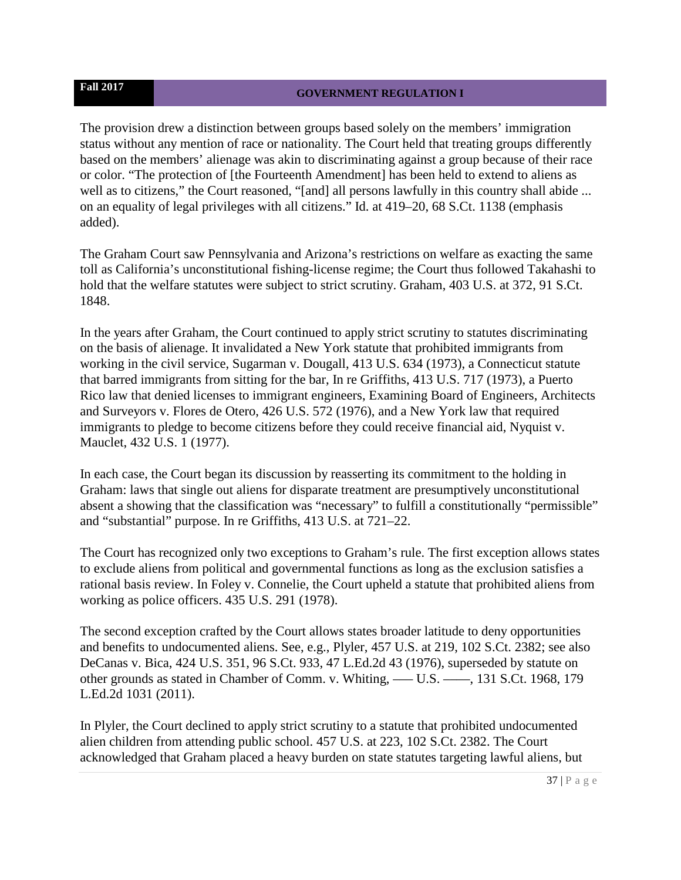The provision drew a distinction between groups based solely on the members' immigration status without any mention of race or nationality. The Court held that treating groups differently based on the members' alienage was akin to discriminating against a group because of their race or color. "The protection of [the Fourteenth Amendment] has been held to extend to aliens as well as to citizens," the Court reasoned, "[and] all persons lawfully in this country shall abide ... on an equality of legal privileges with all citizens." Id. at 419–20, 68 S.Ct. 1138 (emphasis added).

The Graham Court saw Pennsylvania and Arizona's restrictions on welfare as exacting the same toll as California's unconstitutional fishing-license regime; the Court thus followed Takahashi to hold that the welfare statutes were subject to strict scrutiny. Graham, 403 U.S. at 372, 91 S.Ct. 1848.

In the years after Graham, the Court continued to apply strict scrutiny to statutes discriminating on the basis of alienage. It invalidated a New York statute that prohibited immigrants from working in the civil service, Sugarman v. Dougall, 413 U.S. 634 (1973), a Connecticut statute that barred immigrants from sitting for the bar, In re Griffiths, 413 U.S. 717 (1973), a Puerto Rico law that denied licenses to immigrant engineers, Examining Board of Engineers, Architects and Surveyors v. Flores de Otero, 426 U.S. 572 (1976), and a New York law that required immigrants to pledge to become citizens before they could receive financial aid, Nyquist v. Mauclet, 432 U.S. 1 (1977).

In each case, the Court began its discussion by reasserting its commitment to the holding in Graham: laws that single out aliens for disparate treatment are presumptively unconstitutional absent a showing that the classification was "necessary" to fulfill a constitutionally "permissible" and "substantial" purpose. In re Griffiths, 413 U.S. at 721–22.

The Court has recognized only two exceptions to Graham's rule. The first exception allows states to exclude aliens from political and governmental functions as long as the exclusion satisfies a rational basis review. In Foley v. Connelie, the Court upheld a statute that prohibited aliens from working as police officers. 435 U.S. 291 (1978).

The second exception crafted by the Court allows states broader latitude to deny opportunities and benefits to undocumented aliens. See, e.g., Plyler, 457 U.S. at 219, 102 S.Ct. 2382; see also DeCanas v. Bica, 424 U.S. 351, 96 S.Ct. 933, 47 L.Ed.2d 43 (1976), superseded by statute on other grounds as stated in Chamber of Comm. v. Whiting, — U.S. — , 131 S.Ct. 1968, 179 L.Ed.2d 1031 (2011).

In Plyler, the Court declined to apply strict scrutiny to a statute that prohibited undocumented alien children from attending public school. 457 U.S. at 223, 102 S.Ct. 2382. The Court acknowledged that Graham placed a heavy burden on state statutes targeting lawful aliens, but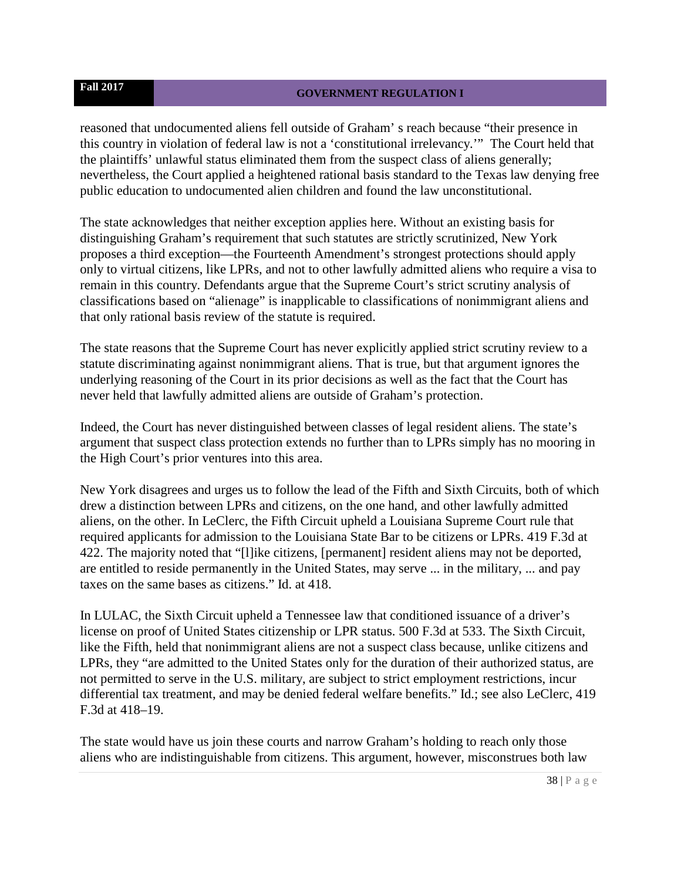reasoned that undocumented aliens fell outside of Graham' s reach because "their presence in this country in violation of federal law is not a 'constitutional irrelevancy.'" The Court held that the plaintiffs' unlawful status eliminated them from the suspect class of aliens generally; nevertheless, the Court applied a heightened rational basis standard to the Texas law denying free public education to undocumented alien children and found the law unconstitutional.

The state acknowledges that neither exception applies here. Without an existing basis for distinguishing Graham's requirement that such statutes are strictly scrutinized, New York proposes a third exception—the Fourteenth Amendment's strongest protections should apply only to virtual citizens, like LPRs, and not to other lawfully admitted aliens who require a visa to remain in this country. Defendants argue that the Supreme Court's strict scrutiny analysis of classifications based on "alienage" is inapplicable to classifications of nonimmigrant aliens and that only rational basis review of the statute is required.

The state reasons that the Supreme Court has never explicitly applied strict scrutiny review to a statute discriminating against nonimmigrant aliens. That is true, but that argument ignores the underlying reasoning of the Court in its prior decisions as well as the fact that the Court has never held that lawfully admitted aliens are outside of Graham's protection.

Indeed, the Court has never distinguished between classes of legal resident aliens. The state's argument that suspect class protection extends no further than to LPRs simply has no mooring in the High Court's prior ventures into this area.

New York disagrees and urges us to follow the lead of the Fifth and Sixth Circuits, both of which drew a distinction between LPRs and citizens, on the one hand, and other lawfully admitted aliens, on the other. In LeClerc, the Fifth Circuit upheld a Louisiana Supreme Court rule that required applicants for admission to the Louisiana State Bar to be citizens or LPRs. 419 F.3d at 422. The majority noted that "[l]ike citizens, [permanent] resident aliens may not be deported, are entitled to reside permanently in the United States, may serve ... in the military, ... and pay taxes on the same bases as citizens." Id. at 418.

In LULAC, the Sixth Circuit upheld a Tennessee law that conditioned issuance of a driver's license on proof of United States citizenship or LPR status. 500 F.3d at 533. The Sixth Circuit, like the Fifth, held that nonimmigrant aliens are not a suspect class because, unlike citizens and LPRs, they "are admitted to the United States only for the duration of their authorized status, are not permitted to serve in the U.S. military, are subject to strict employment restrictions, incur differential tax treatment, and may be denied federal welfare benefits." Id.; see also LeClerc, 419 F.3d at 418–19.

The state would have us join these courts and narrow Graham's holding to reach only those aliens who are indistinguishable from citizens. This argument, however, misconstrues both law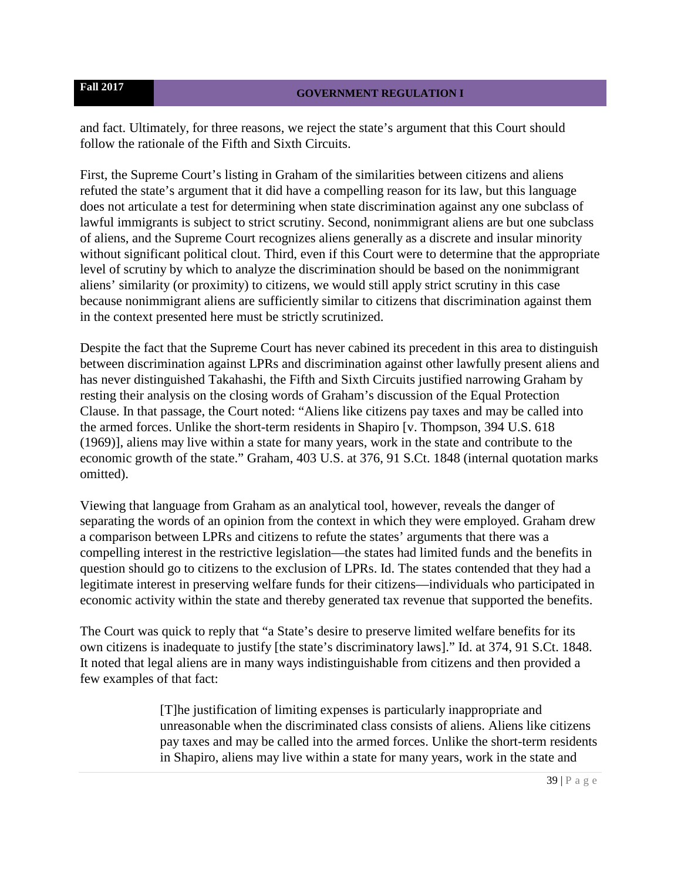and fact. Ultimately, for three reasons, we reject the state's argument that this Court should follow the rationale of the Fifth and Sixth Circuits.

First, the Supreme Court's listing in Graham of the similarities between citizens and aliens refuted the state's argument that it did have a compelling reason for its law, but this language does not articulate a test for determining when state discrimination against any one subclass of lawful immigrants is subject to strict scrutiny. Second, nonimmigrant aliens are but one subclass of aliens, and the Supreme Court recognizes aliens generally as a discrete and insular minority without significant political clout. Third, even if this Court were to determine that the appropriate level of scrutiny by which to analyze the discrimination should be based on the nonimmigrant aliens' similarity (or proximity) to citizens, we would still apply strict scrutiny in this case because nonimmigrant aliens are sufficiently similar to citizens that discrimination against them in the context presented here must be strictly scrutinized.

Despite the fact that the Supreme Court has never cabined its precedent in this area to distinguish between discrimination against LPRs and discrimination against other lawfully present aliens and has never distinguished Takahashi, the Fifth and Sixth Circuits justified narrowing Graham by resting their analysis on the closing words of Graham's discussion of the Equal Protection Clause. In that passage, the Court noted: "Aliens like citizens pay taxes and may be called into the armed forces. Unlike the short-term residents in Shapiro [v. Thompson, 394 U.S. 618 (1969)], aliens may live within a state for many years, work in the state and contribute to the economic growth of the state." Graham, 403 U.S. at 376, 91 S.Ct. 1848 (internal quotation marks omitted).

Viewing that language from Graham as an analytical tool, however, reveals the danger of separating the words of an opinion from the context in which they were employed. Graham drew a comparison between LPRs and citizens to refute the states' arguments that there was a compelling interest in the restrictive legislation—the states had limited funds and the benefits in question should go to citizens to the exclusion of LPRs. Id. The states contended that they had a legitimate interest in preserving welfare funds for their citizens—individuals who participated in economic activity within the state and thereby generated tax revenue that supported the benefits.

The Court was quick to reply that "a State's desire to preserve limited welfare benefits for its own citizens is inadequate to justify [the state's discriminatory laws]." Id. at 374, 91 S.Ct. 1848. It noted that legal aliens are in many ways indistinguishable from citizens and then provided a few examples of that fact:

> [T]he justification of limiting expenses is particularly inappropriate and unreasonable when the discriminated class consists of aliens. Aliens like citizens pay taxes and may be called into the armed forces. Unlike the short-term residents in Shapiro, aliens may live within a state for many years, work in the state and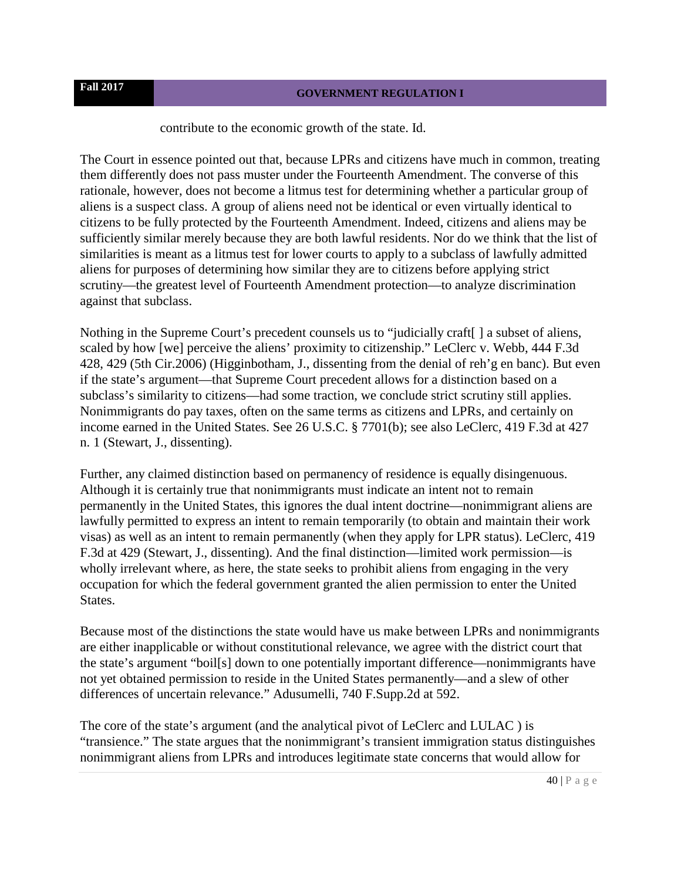contribute to the economic growth of the state. Id.

The Court in essence pointed out that, because LPRs and citizens have much in common, treating them differently does not pass muster under the Fourteenth Amendment. The converse of this rationale, however, does not become a litmus test for determining whether a particular group of aliens is a suspect class. A group of aliens need not be identical or even virtually identical to citizens to be fully protected by the Fourteenth Amendment. Indeed, citizens and aliens may be sufficiently similar merely because they are both lawful residents. Nor do we think that the list of similarities is meant as a litmus test for lower courts to apply to a subclass of lawfully admitted aliens for purposes of determining how similar they are to citizens before applying strict scrutiny—the greatest level of Fourteenth Amendment protection—to analyze discrimination against that subclass.

Nothing in the Supreme Court's precedent counsels us to "judicially craft[ ] a subset of aliens, scaled by how [we] perceive the aliens' proximity to citizenship." LeClerc v. Webb, 444 F.3d 428, 429 (5th Cir.2006) (Higginbotham, J., dissenting from the denial of reh'g en banc). But even if the state's argument—that Supreme Court precedent allows for a distinction based on a subclass's similarity to citizens—had some traction, we conclude strict scrutiny still applies. Nonimmigrants do pay taxes, often on the same terms as citizens and LPRs, and certainly on income earned in the United States. See 26 U.S.C. § 7701(b); see also LeClerc, 419 F.3d at 427 n. 1 (Stewart, J., dissenting).

Further, any claimed distinction based on permanency of residence is equally disingenuous. Although it is certainly true that nonimmigrants must indicate an intent not to remain permanently in the United States, this ignores the dual intent doctrine—nonimmigrant aliens are lawfully permitted to express an intent to remain temporarily (to obtain and maintain their work visas) as well as an intent to remain permanently (when they apply for LPR status). LeClerc, 419 F.3d at 429 (Stewart, J., dissenting). And the final distinction—limited work permission—is wholly irrelevant where, as here, the state seeks to prohibit aliens from engaging in the very occupation for which the federal government granted the alien permission to enter the United States.

Because most of the distinctions the state would have us make between LPRs and nonimmigrants are either inapplicable or without constitutional relevance, we agree with the district court that the state's argument "boil[s] down to one potentially important difference—nonimmigrants have not yet obtained permission to reside in the United States permanently—and a slew of other differences of uncertain relevance." Adusumelli, 740 F.Supp.2d at 592.

The core of the state's argument (and the analytical pivot of LeClerc and LULAC ) is "transience." The state argues that the nonimmigrant's transient immigration status distinguishes nonimmigrant aliens from LPRs and introduces legitimate state concerns that would allow for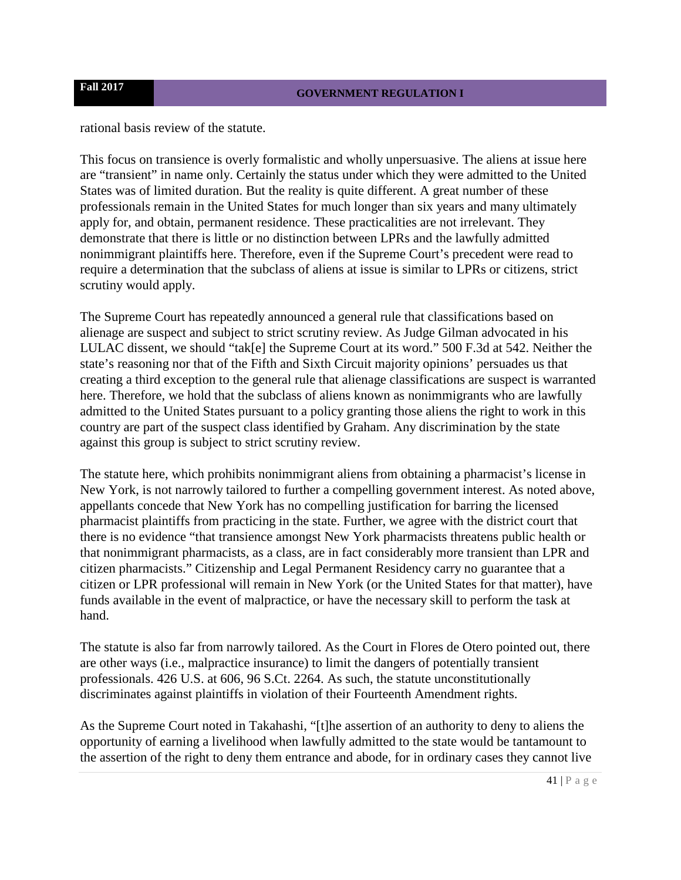rational basis review of the statute.

This focus on transience is overly formalistic and wholly unpersuasive. The aliens at issue here are "transient" in name only. Certainly the status under which they were admitted to the United States was of limited duration. But the reality is quite different. A great number of these professionals remain in the United States for much longer than six years and many ultimately apply for, and obtain, permanent residence. These practicalities are not irrelevant. They demonstrate that there is little or no distinction between LPRs and the lawfully admitted nonimmigrant plaintiffs here. Therefore, even if the Supreme Court's precedent were read to require a determination that the subclass of aliens at issue is similar to LPRs or citizens, strict scrutiny would apply.

The Supreme Court has repeatedly announced a general rule that classifications based on alienage are suspect and subject to strict scrutiny review. As Judge Gilman advocated in his LULAC dissent, we should "tak[e] the Supreme Court at its word." 500 F.3d at 542. Neither the state's reasoning nor that of the Fifth and Sixth Circuit majority opinions' persuades us that creating a third exception to the general rule that alienage classifications are suspect is warranted here. Therefore, we hold that the subclass of aliens known as nonimmigrants who are lawfully admitted to the United States pursuant to a policy granting those aliens the right to work in this country are part of the suspect class identified by Graham. Any discrimination by the state against this group is subject to strict scrutiny review.

The statute here, which prohibits nonimmigrant aliens from obtaining a pharmacist's license in New York, is not narrowly tailored to further a compelling government interest. As noted above, appellants concede that New York has no compelling justification for barring the licensed pharmacist plaintiffs from practicing in the state. Further, we agree with the district court that there is no evidence "that transience amongst New York pharmacists threatens public health or that nonimmigrant pharmacists, as a class, are in fact considerably more transient than LPR and citizen pharmacists." Citizenship and Legal Permanent Residency carry no guarantee that a citizen or LPR professional will remain in New York (or the United States for that matter), have funds available in the event of malpractice, or have the necessary skill to perform the task at hand.

The statute is also far from narrowly tailored. As the Court in Flores de Otero pointed out, there are other ways (i.e., malpractice insurance) to limit the dangers of potentially transient professionals. 426 U.S. at 606, 96 S.Ct. 2264. As such, the statute unconstitutionally discriminates against plaintiffs in violation of their Fourteenth Amendment rights.

As the Supreme Court noted in Takahashi, "[t]he assertion of an authority to deny to aliens the opportunity of earning a livelihood when lawfully admitted to the state would be tantamount to the assertion of the right to deny them entrance and abode, for in ordinary cases they cannot live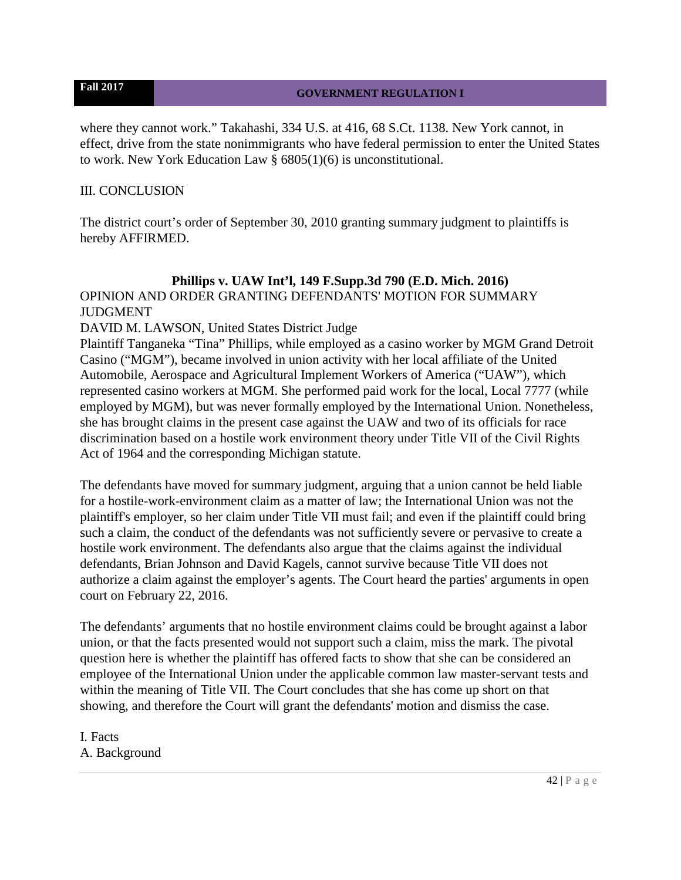where they cannot work." Takahashi, 334 U.S. at 416, 68 S.Ct. 1138. New York cannot, in effect, drive from the state nonimmigrants who have federal permission to enter the United States to work. New York Education Law § 6805(1)(6) is unconstitutional.

### III. CONCLUSION

The district court's order of September 30, 2010 granting summary judgment to plaintiffs is hereby AFFIRMED.

### **Phillips v. UAW Int'l, 149 F.Supp.3d 790 (E.D. Mich. 2016)**

OPINION AND ORDER GRANTING DEFENDANTS' MOTION FOR SUMMARY JUDGMENT

DAVID M. LAWSON, United States District Judge

Plaintiff Tanganeka "Tina" Phillips, while employed as a casino worker by MGM Grand Detroit Casino ("MGM"), became involved in union activity with her local affiliate of the United Automobile, Aerospace and Agricultural Implement Workers of America ("UAW"), which represented casino workers at MGM. She performed paid work for the local, Local 7777 (while employed by MGM), but was never formally employed by the International Union. Nonetheless, she has brought claims in the present case against the UAW and two of its officials for race discrimination based on a hostile work environment theory under Title VII of the Civil Rights Act of 1964 and the corresponding Michigan statute.

The defendants have moved for summary judgment, arguing that a union cannot be held liable for a hostile-work-environment claim as a matter of law; the International Union was not the plaintiff's employer, so her claim under Title VII must fail; and even if the plaintiff could bring such a claim, the conduct of the defendants was not sufficiently severe or pervasive to create a hostile work environment. The defendants also argue that the claims against the individual defendants, Brian Johnson and David Kagels, cannot survive because Title VII does not authorize a claim against the employer's agents. The Court heard the parties' arguments in open court on February 22, 2016.

The defendants' arguments that no hostile environment claims could be brought against a labor union, or that the facts presented would not support such a claim, miss the mark. The pivotal question here is whether the plaintiff has offered facts to show that she can be considered an employee of the International Union under the applicable common law master-servant tests and within the meaning of Title VII. The Court concludes that she has come up short on that showing, and therefore the Court will grant the defendants' motion and dismiss the case.

I. Facts A. Background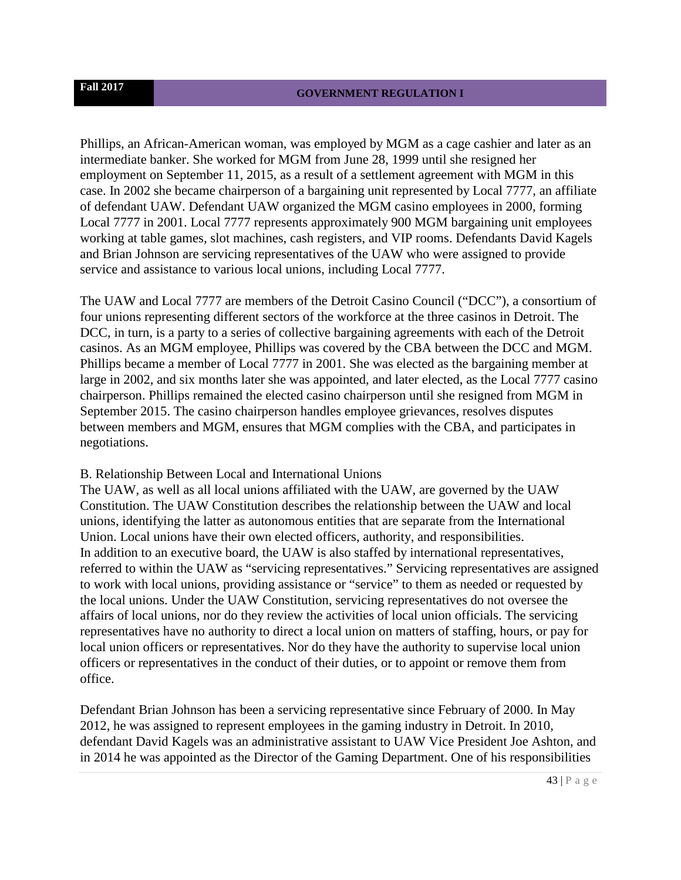Phillips, an African-American woman, was employed by MGM as a cage cashier and later as an intermediate banker. She worked for MGM from June 28, 1999 until she resigned her employment on September 11, 2015, as a result of a settlement agreement with MGM in this case. In 2002 she became chairperson of a bargaining unit represented by Local 7777, an affiliate of defendant UAW. Defendant UAW organized the MGM casino employees in 2000, forming Local 7777 in 2001. Local 7777 represents approximately 900 MGM bargaining unit employees working at table games, slot machines, cash registers, and VIP rooms. Defendants David Kagels and Brian Johnson are servicing representatives of the UAW who were assigned to provide service and assistance to various local unions, including Local 7777.

The UAW and Local 7777 are members of the Detroit Casino Council ("DCC"), a consortium of four unions representing different sectors of the workforce at the three casinos in Detroit. The DCC, in turn, is a party to a series of collective bargaining agreements with each of the Detroit casinos. As an MGM employee, Phillips was covered by the CBA between the DCC and MGM. Phillips became a member of Local 7777 in 2001. She was elected as the bargaining member at large in 2002, and six months later she was appointed, and later elected, as the Local 7777 casino chairperson. Phillips remained the elected casino chairperson until she resigned from MGM in September 2015. The casino chairperson handles employee grievances, resolves disputes between members and MGM, ensures that MGM complies with the CBA, and participates in negotiations.

### B. Relationship Between Local and International Unions

The UAW, as well as all local unions affiliated with the UAW, are governed by the UAW Constitution. The UAW Constitution describes the relationship between the UAW and local unions, identifying the latter as autonomous entities that are separate from the International Union. Local unions have their own elected officers, authority, and responsibilities. In addition to an executive board, the UAW is also staffed by international representatives, referred to within the UAW as "servicing representatives." Servicing representatives are assigned to work with local unions, providing assistance or "service" to them as needed or requested by the local unions. Under the UAW Constitution, servicing representatives do not oversee the affairs of local unions, nor do they review the activities of local union officials. The servicing representatives have no authority to direct a local union on matters of staffing, hours, or pay for local union officers or representatives. Nor do they have the authority to supervise local union officers or representatives in the conduct of their duties, or to appoint or remove them from office.

Defendant Brian Johnson has been a servicing representative since February of 2000. In May 2012, he was assigned to represent employees in the gaming industry in Detroit. In 2010, defendant David Kagels was an administrative assistant to UAW Vice President Joe Ashton, and in 2014 he was appointed as the Director of the Gaming Department. One of his responsibilities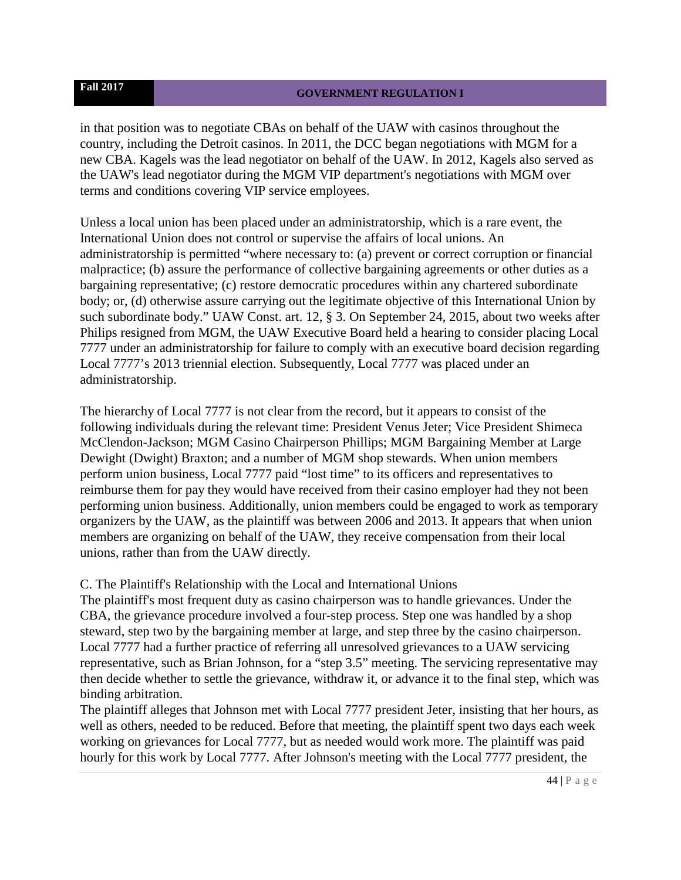in that position was to negotiate CBAs on behalf of the UAW with casinos throughout the country, including the Detroit casinos. In 2011, the DCC began negotiations with MGM for a new CBA. Kagels was the lead negotiator on behalf of the UAW. In 2012, Kagels also served as the UAW's lead negotiator during the MGM VIP department's negotiations with MGM over terms and conditions covering VIP service employees.

Unless a local union has been placed under an administratorship, which is a rare event, the International Union does not control or supervise the affairs of local unions. An administratorship is permitted "where necessary to: (a) prevent or correct corruption or financial malpractice; (b) assure the performance of collective bargaining agreements or other duties as a bargaining representative; (c) restore democratic procedures within any chartered subordinate body; or, (d) otherwise assure carrying out the legitimate objective of this International Union by such subordinate body." UAW Const. art. 12, § 3. On September 24, 2015, about two weeks after Philips resigned from MGM, the UAW Executive Board held a hearing to consider placing Local 7777 under an administratorship for failure to comply with an executive board decision regarding Local 7777's 2013 triennial election. Subsequently, Local 7777 was placed under an administratorship.

The hierarchy of Local 7777 is not clear from the record, but it appears to consist of the following individuals during the relevant time: President Venus Jeter; Vice President Shimeca McClendon-Jackson; MGM Casino Chairperson Phillips; MGM Bargaining Member at Large Dewight (Dwight) Braxton; and a number of MGM shop stewards. When union members perform union business, Local 7777 paid "lost time" to its officers and representatives to reimburse them for pay they would have received from their casino employer had they not been performing union business. Additionally, union members could be engaged to work as temporary organizers by the UAW, as the plaintiff was between 2006 and 2013. It appears that when union members are organizing on behalf of the UAW, they receive compensation from their local unions, rather than from the UAW directly.

### C. The Plaintiff's Relationship with the Local and International Unions

The plaintiff's most frequent duty as casino chairperson was to handle grievances. Under the CBA, the grievance procedure involved a four-step process. Step one was handled by a shop steward, step two by the bargaining member at large, and step three by the casino chairperson. Local 7777 had a further practice of referring all unresolved grievances to a UAW servicing representative, such as Brian Johnson, for a "step 3.5" meeting. The servicing representative may then decide whether to settle the grievance, withdraw it, or advance it to the final step, which was binding arbitration.

The plaintiff alleges that Johnson met with Local 7777 president Jeter, insisting that her hours, as well as others, needed to be reduced. Before that meeting, the plaintiff spent two days each week working on grievances for Local 7777, but as needed would work more. The plaintiff was paid hourly for this work by Local 7777. After Johnson's meeting with the Local 7777 president, the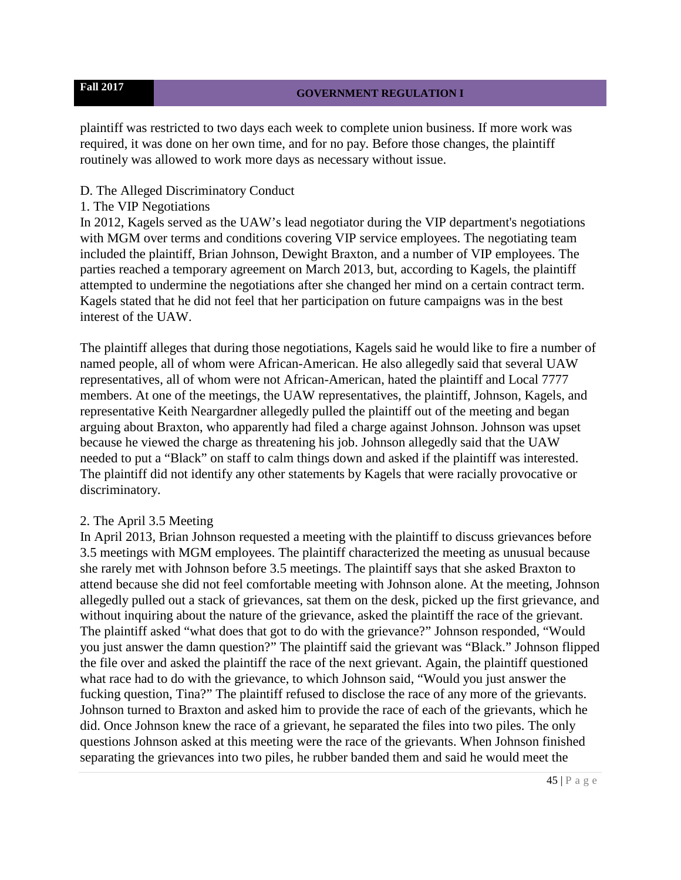plaintiff was restricted to two days each week to complete union business. If more work was required, it was done on her own time, and for no pay. Before those changes, the plaintiff routinely was allowed to work more days as necessary without issue.

### D. The Alleged Discriminatory Conduct

1. The VIP Negotiations

In 2012, Kagels served as the UAW's lead negotiator during the VIP department's negotiations with MGM over terms and conditions covering VIP service employees. The negotiating team included the plaintiff, Brian Johnson, Dewight Braxton, and a number of VIP employees. The parties reached a temporary agreement on March 2013, but, according to Kagels, the plaintiff attempted to undermine the negotiations after she changed her mind on a certain contract term. Kagels stated that he did not feel that her participation on future campaigns was in the best interest of the UAW.

The plaintiff alleges that during those negotiations, Kagels said he would like to fire a number of named people, all of whom were African-American. He also allegedly said that several UAW representatives, all of whom were not African-American, hated the plaintiff and Local 7777 members. At one of the meetings, the UAW representatives, the plaintiff, Johnson, Kagels, and representative Keith Neargardner allegedly pulled the plaintiff out of the meeting and began arguing about Braxton, who apparently had filed a charge against Johnson. Johnson was upset because he viewed the charge as threatening his job. Johnson allegedly said that the UAW needed to put a "Black" on staff to calm things down and asked if the plaintiff was interested. The plaintiff did not identify any other statements by Kagels that were racially provocative or discriminatory.

### 2. The April 3.5 Meeting

In April 2013, Brian Johnson requested a meeting with the plaintiff to discuss grievances before 3.5 meetings with MGM employees. The plaintiff characterized the meeting as unusual because she rarely met with Johnson before 3.5 meetings. The plaintiff says that she asked Braxton to attend because she did not feel comfortable meeting with Johnson alone. At the meeting, Johnson allegedly pulled out a stack of grievances, sat them on the desk, picked up the first grievance, and without inquiring about the nature of the grievance, asked the plaintiff the race of the grievant. The plaintiff asked "what does that got to do with the grievance?" Johnson responded, "Would you just answer the damn question?" The plaintiff said the grievant was "Black." Johnson flipped the file over and asked the plaintiff the race of the next grievant. Again, the plaintiff questioned what race had to do with the grievance, to which Johnson said, "Would you just answer the fucking question, Tina?" The plaintiff refused to disclose the race of any more of the grievants. Johnson turned to Braxton and asked him to provide the race of each of the grievants, which he did. Once Johnson knew the race of a grievant, he separated the files into two piles. The only questions Johnson asked at this meeting were the race of the grievants. When Johnson finished separating the grievances into two piles, he rubber banded them and said he would meet the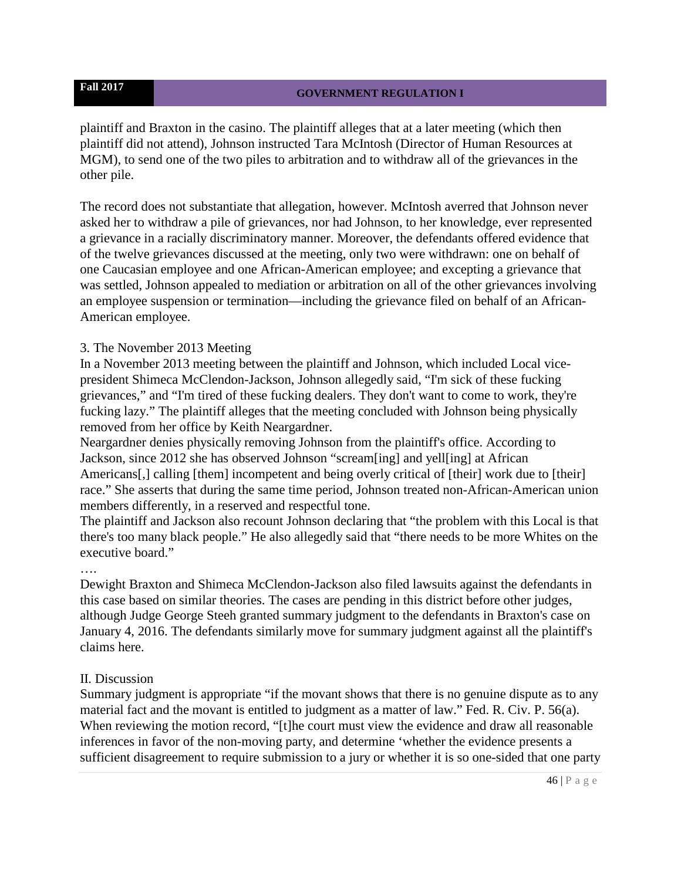plaintiff and Braxton in the casino. The plaintiff alleges that at a later meeting (which then plaintiff did not attend), Johnson instructed Tara McIntosh (Director of Human Resources at MGM), to send one of the two piles to arbitration and to withdraw all of the grievances in the other pile.

The record does not substantiate that allegation, however. McIntosh averred that Johnson never asked her to withdraw a pile of grievances, nor had Johnson, to her knowledge, ever represented a grievance in a racially discriminatory manner. Moreover, the defendants offered evidence that of the twelve grievances discussed at the meeting, only two were withdrawn: one on behalf of one Caucasian employee and one African-American employee; and excepting a grievance that was settled, Johnson appealed to mediation or arbitration on all of the other grievances involving an employee suspension or termination—including the grievance filed on behalf of an African-American employee.

### 3. The November 2013 Meeting

In a November 2013 meeting between the plaintiff and Johnson, which included Local vicepresident Shimeca McClendon-Jackson, Johnson allegedly said, "I'm sick of these fucking grievances," and "I'm tired of these fucking dealers. They don't want to come to work, they're fucking lazy." The plaintiff alleges that the meeting concluded with Johnson being physically removed from her office by Keith Neargardner.

Neargardner denies physically removing Johnson from the plaintiff's office. According to Jackson, since 2012 she has observed Johnson "scream[ing] and yell[ing] at African Americans[,] calling [them] incompetent and being overly critical of [their] work due to [their] race." She asserts that during the same time period, Johnson treated non-African-American union members differently, in a reserved and respectful tone.

The plaintiff and Jackson also recount Johnson declaring that "the problem with this Local is that there's too many black people." He also allegedly said that "there needs to be more Whites on the executive board."

### ….

Dewight Braxton and Shimeca McClendon-Jackson also filed lawsuits against the defendants in this case based on similar theories. The cases are pending in this district before other judges, although Judge George Steeh granted summary judgment to the defendants in Braxton's case on January 4, 2016. The defendants similarly move for summary judgment against all the plaintiff's claims here.

### II. Discussion

Summary judgment is appropriate "if the movant shows that there is no genuine dispute as to any material fact and the movant is entitled to judgment as a matter of law." Fed. R. Civ. P. 56(a). When reviewing the motion record, "[t]he court must view the evidence and draw all reasonable inferences in favor of the non-moving party, and determine 'whether the evidence presents a sufficient disagreement to require submission to a jury or whether it is so one-sided that one party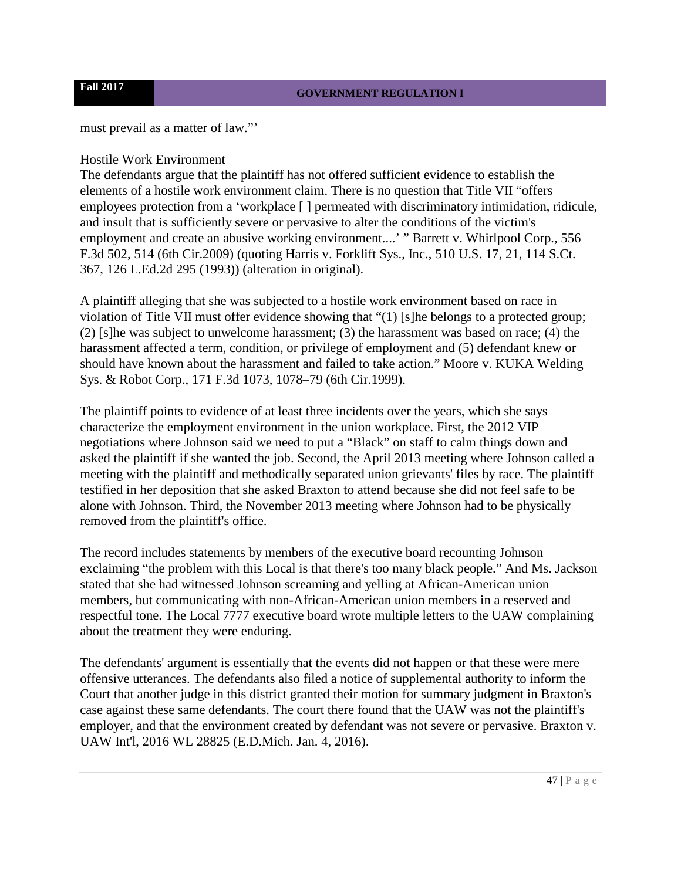must prevail as a matter of law."'

### Hostile Work Environment

The defendants argue that the plaintiff has not offered sufficient evidence to establish the elements of a hostile work environment claim. There is no question that Title VII "offers employees protection from a 'workplace [ ] permeated with discriminatory intimidation, ridicule, and insult that is sufficiently severe or pervasive to alter the conditions of the victim's employment and create an abusive working environment....' " Barrett v. Whirlpool Corp., 556 F.3d 502, 514 (6th Cir.2009) (quoting Harris v. Forklift Sys., Inc., 510 U.S. 17, 21, 114 S.Ct. 367, 126 L.Ed.2d 295 (1993)) (alteration in original).

A plaintiff alleging that she was subjected to a hostile work environment based on race in violation of Title VII must offer evidence showing that "(1) [s]he belongs to a protected group; (2) [s]he was subject to unwelcome harassment; (3) the harassment was based on race; (4) the harassment affected a term, condition, or privilege of employment and (5) defendant knew or should have known about the harassment and failed to take action." Moore v. KUKA Welding Sys. & Robot Corp., 171 F.3d 1073, 1078–79 (6th Cir.1999).

The plaintiff points to evidence of at least three incidents over the years, which she says characterize the employment environment in the union workplace. First, the 2012 VIP negotiations where Johnson said we need to put a "Black" on staff to calm things down and asked the plaintiff if she wanted the job. Second, the April 2013 meeting where Johnson called a meeting with the plaintiff and methodically separated union grievants' files by race. The plaintiff testified in her deposition that she asked Braxton to attend because she did not feel safe to be alone with Johnson. Third, the November 2013 meeting where Johnson had to be physically removed from the plaintiff's office.

The record includes statements by members of the executive board recounting Johnson exclaiming "the problem with this Local is that there's too many black people." And Ms. Jackson stated that she had witnessed Johnson screaming and yelling at African-American union members, but communicating with non-African-American union members in a reserved and respectful tone. The Local 7777 executive board wrote multiple letters to the UAW complaining about the treatment they were enduring.

The defendants' argument is essentially that the events did not happen or that these were mere offensive utterances. The defendants also filed a notice of supplemental authority to inform the Court that another judge in this district granted their motion for summary judgment in Braxton's case against these same defendants. The court there found that the UAW was not the plaintiff's employer, and that the environment created by defendant was not severe or pervasive. Braxton v. UAW Int'l, 2016 WL 28825 (E.D.Mich. Jan. 4, 2016).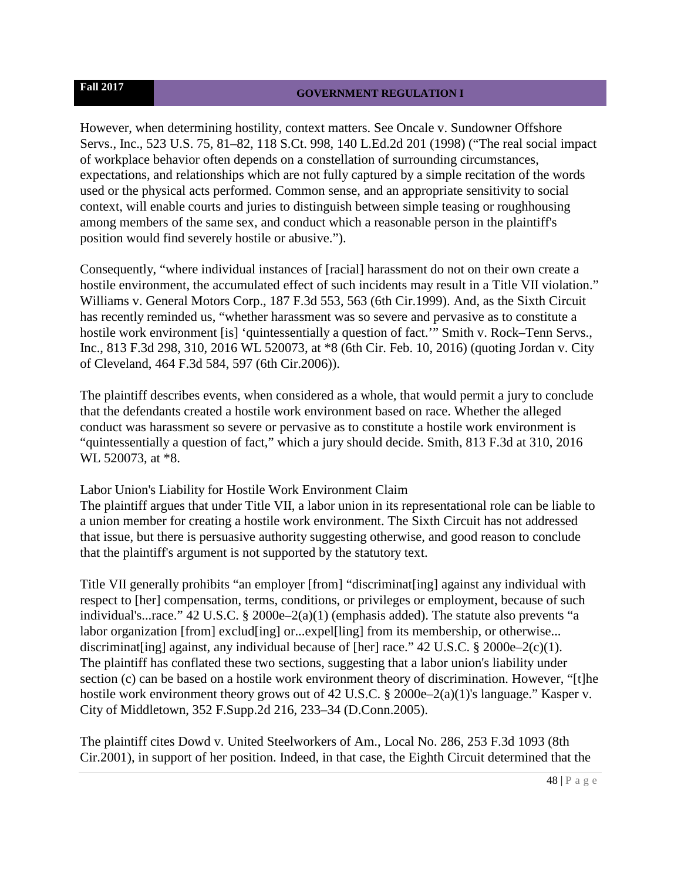However, when determining hostility, context matters. See Oncale v. Sundowner Offshore Servs., Inc., 523 U.S. 75, 81–82, 118 S.Ct. 998, 140 L.Ed.2d 201 (1998) ("The real social impact of workplace behavior often depends on a constellation of surrounding circumstances, expectations, and relationships which are not fully captured by a simple recitation of the words used or the physical acts performed. Common sense, and an appropriate sensitivity to social context, will enable courts and juries to distinguish between simple teasing or roughhousing among members of the same sex, and conduct which a reasonable person in the plaintiff's position would find severely hostile or abusive.").

Consequently, "where individual instances of [racial] harassment do not on their own create a hostile environment, the accumulated effect of such incidents may result in a Title VII violation." Williams v. General Motors Corp., 187 F.3d 553, 563 (6th Cir.1999). And, as the Sixth Circuit has recently reminded us, "whether harassment was so severe and pervasive as to constitute a hostile work environment [is] 'quintessentially a question of fact.'" Smith v. Rock–Tenn Servs., Inc., 813 F.3d 298, 310, 2016 WL 520073, at \*8 (6th Cir. Feb. 10, 2016) (quoting Jordan v. City of Cleveland, 464 F.3d 584, 597 (6th Cir.2006)).

The plaintiff describes events, when considered as a whole, that would permit a jury to conclude that the defendants created a hostile work environment based on race. Whether the alleged conduct was harassment so severe or pervasive as to constitute a hostile work environment is "quintessentially a question of fact," which a jury should decide. Smith, 813 F.3d at 310, 2016 WL 520073, at \*8.

Labor Union's Liability for Hostile Work Environment Claim

The plaintiff argues that under Title VII, a labor union in its representational role can be liable to a union member for creating a hostile work environment. The Sixth Circuit has not addressed that issue, but there is persuasive authority suggesting otherwise, and good reason to conclude that the plaintiff's argument is not supported by the statutory text.

Title VII generally prohibits "an employer [from] "discriminat[ing] against any individual with respect to [her] compensation, terms, conditions, or privileges or employment, because of such individual's...race." 42 U.S.C. § 2000e–2(a)(1) (emphasis added). The statute also prevents "a labor organization [from] exclud[ing] or...expel[ling] from its membership, or otherwise... discriminat [ing] against, any individual because of [her] race."  $42 \text{ U.S.C. }$  \$ 2000e–2(c)(1). The plaintiff has conflated these two sections, suggesting that a labor union's liability under section (c) can be based on a hostile work environment theory of discrimination. However, "[t]he hostile work environment theory grows out of 42 U.S.C. § 2000e–2(a)(1)'s language." Kasper v. City of Middletown, 352 F.Supp.2d 216, 233–34 (D.Conn.2005).

The plaintiff cites Dowd v. United Steelworkers of Am., Local No. 286, 253 F.3d 1093 (8th Cir.2001), in support of her position. Indeed, in that case, the Eighth Circuit determined that the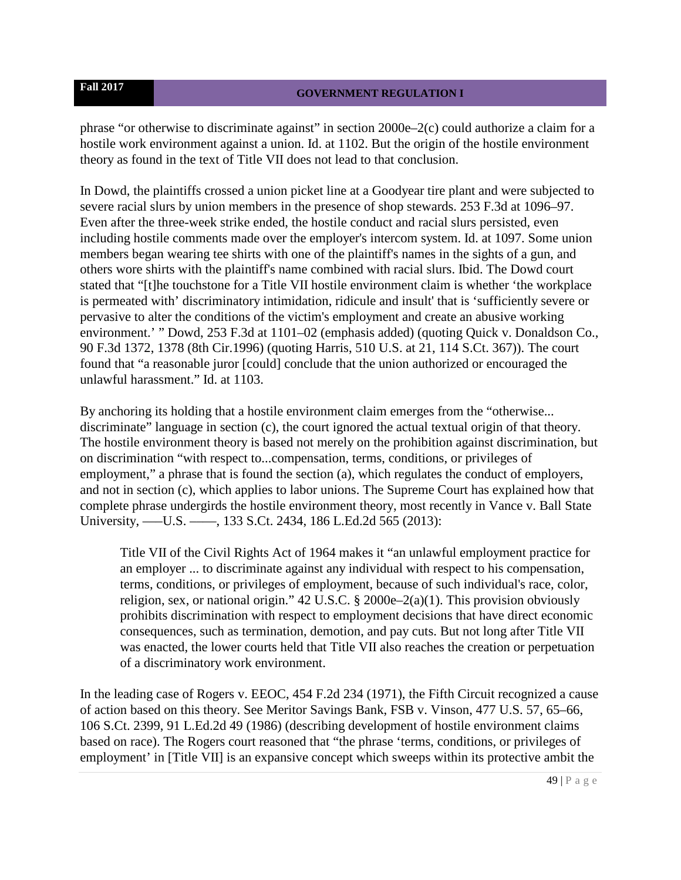phrase "or otherwise to discriminate against" in section 2000e–2(c) could authorize a claim for a hostile work environment against a union. Id. at 1102. But the origin of the hostile environment theory as found in the text of Title VII does not lead to that conclusion.

In Dowd, the plaintiffs crossed a union picket line at a Goodyear tire plant and were subjected to severe racial slurs by union members in the presence of shop stewards. 253 F.3d at 1096–97. Even after the three-week strike ended, the hostile conduct and racial slurs persisted, even including hostile comments made over the employer's intercom system. Id. at 1097. Some union members began wearing tee shirts with one of the plaintiff's names in the sights of a gun, and others wore shirts with the plaintiff's name combined with racial slurs. Ibid. The Dowd court stated that "[t]he touchstone for a Title VII hostile environment claim is whether 'the workplace is permeated with' discriminatory intimidation, ridicule and insult' that is 'sufficiently severe or pervasive to alter the conditions of the victim's employment and create an abusive working environment.' " Dowd, 253 F.3d at 1101–02 (emphasis added) (quoting Quick v. Donaldson Co., 90 F.3d 1372, 1378 (8th Cir.1996) (quoting Harris, 510 U.S. at 21, 114 S.Ct. 367)). The court found that "a reasonable juror [could] conclude that the union authorized or encouraged the unlawful harassment." Id. at 1103.

By anchoring its holding that a hostile environment claim emerges from the "otherwise... discriminate" language in section (c), the court ignored the actual textual origin of that theory. The hostile environment theory is based not merely on the prohibition against discrimination, but on discrimination "with respect to...compensation, terms, conditions, or privileges of employment," a phrase that is found the section (a), which regulates the conduct of employers, and not in section (c), which applies to labor unions. The Supreme Court has explained how that complete phrase undergirds the hostile environment theory, most recently in Vance v. Ball State University, ——U.S. ——, 133 S.Ct. 2434, 186 L.Ed.2d 565 (2013):

Title VII of the Civil Rights Act of 1964 makes it "an unlawful employment practice for an employer ... to discriminate against any individual with respect to his compensation, terms, conditions, or privileges of employment, because of such individual's race, color, religion, sex, or national origin."  $42 \text{ U.S.C.}$  §  $2000e-2(a)(1)$ . This provision obviously prohibits discrimination with respect to employment decisions that have direct economic consequences, such as termination, demotion, and pay cuts. But not long after Title VII was enacted, the lower courts held that Title VII also reaches the creation or perpetuation of a discriminatory work environment.

In the leading case of Rogers v. EEOC, 454 F.2d 234 (1971), the Fifth Circuit recognized a cause of action based on this theory. See Meritor Savings Bank, FSB v. Vinson, 477 U.S. 57, 65–66, 106 S.Ct. 2399, 91 L.Ed.2d 49 (1986) (describing development of hostile environment claims based on race). The Rogers court reasoned that "the phrase 'terms, conditions, or privileges of employment' in [Title VII] is an expansive concept which sweeps within its protective ambit the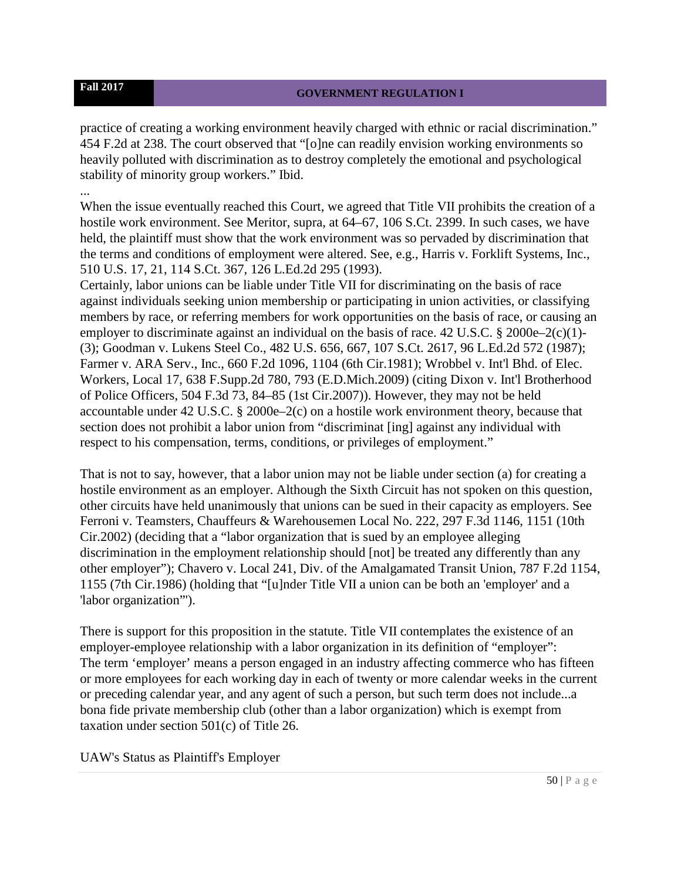practice of creating a working environment heavily charged with ethnic or racial discrimination." 454 F.2d at 238. The court observed that "[o]ne can readily envision working environments so heavily polluted with discrimination as to destroy completely the emotional and psychological stability of minority group workers." Ibid.

...

When the issue eventually reached this Court, we agreed that Title VII prohibits the creation of a hostile work environment. See Meritor, supra, at 64–67, 106 S.Ct. 2399. In such cases, we have held, the plaintiff must show that the work environment was so pervaded by discrimination that the terms and conditions of employment were altered. See, e.g., Harris v. Forklift Systems, Inc., 510 U.S. 17, 21, 114 S.Ct. 367, 126 L.Ed.2d 295 (1993).

Certainly, labor unions can be liable under Title VII for discriminating on the basis of race against individuals seeking union membership or participating in union activities, or classifying members by race, or referring members for work opportunities on the basis of race, or causing an employer to discriminate against an individual on the basis of race. 42 U.S.C.  $\S 2000e^{-2}(c)(1)$ -(3); Goodman v. Lukens Steel Co., 482 U.S. 656, 667, 107 S.Ct. 2617, 96 L.Ed.2d 572 (1987); Farmer v. ARA Serv., Inc., 660 F.2d 1096, 1104 (6th Cir.1981); Wrobbel v. Int'l Bhd. of Elec. Workers, Local 17, 638 F.Supp.2d 780, 793 (E.D.Mich.2009) (citing Dixon v. Int'l Brotherhood of Police Officers, 504 F.3d 73, 84–85 (1st Cir.2007)). However, they may not be held accountable under 42 U.S.C. § 2000e–2(c) on a hostile work environment theory, because that section does not prohibit a labor union from "discriminat [ing] against any individual with respect to his compensation, terms, conditions, or privileges of employment."

That is not to say, however, that a labor union may not be liable under section (a) for creating a hostile environment as an employer. Although the Sixth Circuit has not spoken on this question, other circuits have held unanimously that unions can be sued in their capacity as employers. See Ferroni v. Teamsters, Chauffeurs & Warehousemen Local No. 222, 297 F.3d 1146, 1151 (10th Cir.2002) (deciding that a "labor organization that is sued by an employee alleging discrimination in the employment relationship should [not] be treated any differently than any other employer"); Chavero v. Local 241, Div. of the Amalgamated Transit Union, 787 F.2d 1154, 1155 (7th Cir.1986) (holding that "[u]nder Title VII a union can be both an 'employer' and a 'labor organization"').

There is support for this proposition in the statute. Title VII contemplates the existence of an employer-employee relationship with a labor organization in its definition of "employer": The term 'employer' means a person engaged in an industry affecting commerce who has fifteen or more employees for each working day in each of twenty or more calendar weeks in the current or preceding calendar year, and any agent of such a person, but such term does not include...a bona fide private membership club (other than a labor organization) which is exempt from taxation under section 501(c) of Title 26.

UAW's Status as Plaintiff's Employer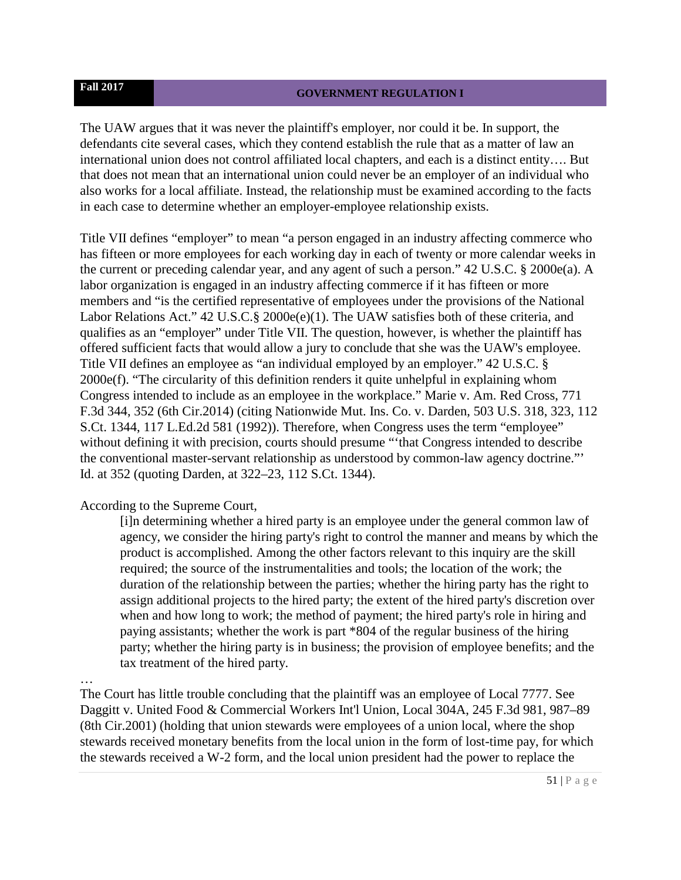The UAW argues that it was never the plaintiff's employer, nor could it be. In support, the defendants cite several cases, which they contend establish the rule that as a matter of law an international union does not control affiliated local chapters, and each is a distinct entity…. But that does not mean that an international union could never be an employer of an individual who also works for a local affiliate. Instead, the relationship must be examined according to the facts in each case to determine whether an employer-employee relationship exists.

Title VII defines "employer" to mean "a person engaged in an industry affecting commerce who has fifteen or more employees for each working day in each of twenty or more calendar weeks in the current or preceding calendar year, and any agent of such a person." 42 U.S.C. § 2000e(a). A labor organization is engaged in an industry affecting commerce if it has fifteen or more members and "is the certified representative of employees under the provisions of the National Labor Relations Act." 42 U.S.C.§ 2000e(e)(1). The UAW satisfies both of these criteria, and qualifies as an "employer" under Title VII. The question, however, is whether the plaintiff has offered sufficient facts that would allow a jury to conclude that she was the UAW's employee. Title VII defines an employee as "an individual employed by an employer." 42 U.S.C. § 2000e(f). "The circularity of this definition renders it quite unhelpful in explaining whom Congress intended to include as an employee in the workplace." Marie v. Am. Red Cross, 771 F.3d 344, 352 (6th Cir.2014) (citing Nationwide Mut. Ins. Co. v. Darden, 503 U.S. 318, 323, 112 S.Ct. 1344, 117 L.Ed.2d 581 (1992)). Therefore, when Congress uses the term "employee" without defining it with precision, courts should presume "that Congress intended to describe the conventional master-servant relationship as understood by common-law agency doctrine."' Id. at 352 (quoting Darden, at 322–23, 112 S.Ct. 1344).

### According to the Supreme Court,

[i]n determining whether a hired party is an employee under the general common law of agency, we consider the hiring party's right to control the manner and means by which the product is accomplished. Among the other factors relevant to this inquiry are the skill required; the source of the instrumentalities and tools; the location of the work; the duration of the relationship between the parties; whether the hiring party has the right to assign additional projects to the hired party; the extent of the hired party's discretion over when and how long to work; the method of payment; the hired party's role in hiring and paying assistants; whether the work is part \*804 of the regular business of the hiring party; whether the hiring party is in business; the provision of employee benefits; and the tax treatment of the hired party.

…

The Court has little trouble concluding that the plaintiff was an employee of Local 7777. See Daggitt v. United Food & Commercial Workers Int'l Union, Local 304A, 245 F.3d 981, 987–89 (8th Cir.2001) (holding that union stewards were employees of a union local, where the shop stewards received monetary benefits from the local union in the form of lost-time pay, for which the stewards received a W-2 form, and the local union president had the power to replace the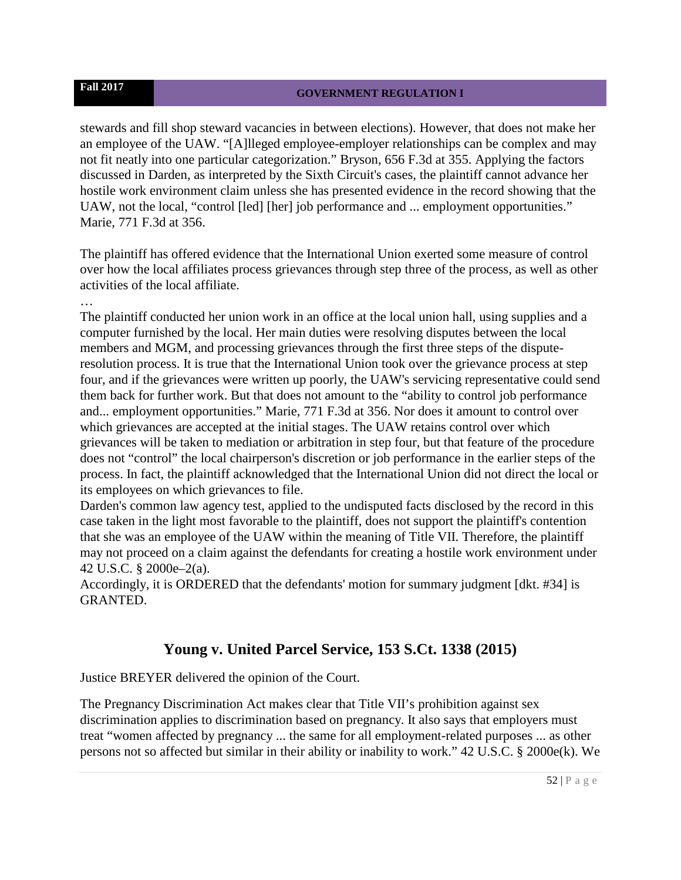stewards and fill shop steward vacancies in between elections). However, that does not make her an employee of the UAW. "[A]lleged employee-employer relationships can be complex and may not fit neatly into one particular categorization." Bryson, 656 F.3d at 355. Applying the factors discussed in Darden, as interpreted by the Sixth Circuit's cases, the plaintiff cannot advance her hostile work environment claim unless she has presented evidence in the record showing that the UAW, not the local, "control [led] [her] job performance and ... employment opportunities." Marie, 771 F.3d at 356.

The plaintiff has offered evidence that the International Union exerted some measure of control over how the local affiliates process grievances through step three of the process, as well as other activities of the local affiliate.

 $\mathbb{R}^2$ 

The plaintiff conducted her union work in an office at the local union hall, using supplies and a computer furnished by the local. Her main duties were resolving disputes between the local members and MGM, and processing grievances through the first three steps of the disputeresolution process. It is true that the International Union took over the grievance process at step four, and if the grievances were written up poorly, the UAW's servicing representative could send them back for further work. But that does not amount to the "ability to control job performance and... employment opportunities." Marie, 771 F.3d at 356. Nor does it amount to control over which grievances are accepted at the initial stages. The UAW retains control over which grievances will be taken to mediation or arbitration in step four, but that feature of the procedure does not "control" the local chairperson's discretion or job performance in the earlier steps of the process. In fact, the plaintiff acknowledged that the International Union did not direct the local or its employees on which grievances to file.

Darden's common law agency test, applied to the undisputed facts disclosed by the record in this case taken in the light most favorable to the plaintiff, does not support the plaintiff's contention that she was an employee of the UAW within the meaning of Title VII. Therefore, the plaintiff may not proceed on a claim against the defendants for creating a hostile work environment under 42 U.S.C. § 2000e–2(a).

Accordingly, it is ORDERED that the defendants' motion for summary judgment [dkt. #34] is GRANTED.

### **Young v. United Parcel Service, 153 S.Ct. 1338 (2015)**

Justice BREYER delivered the opinion of the Court.

The Pregnancy Discrimination Act makes clear that Title VII's prohibition against sex discrimination applies to discrimination based on pregnancy. It also says that employers must treat "women affected by pregnancy ... the same for all employment-related purposes ... as other persons not so affected but similar in their ability or inability to work." 42 U.S.C. § 2000e(k). We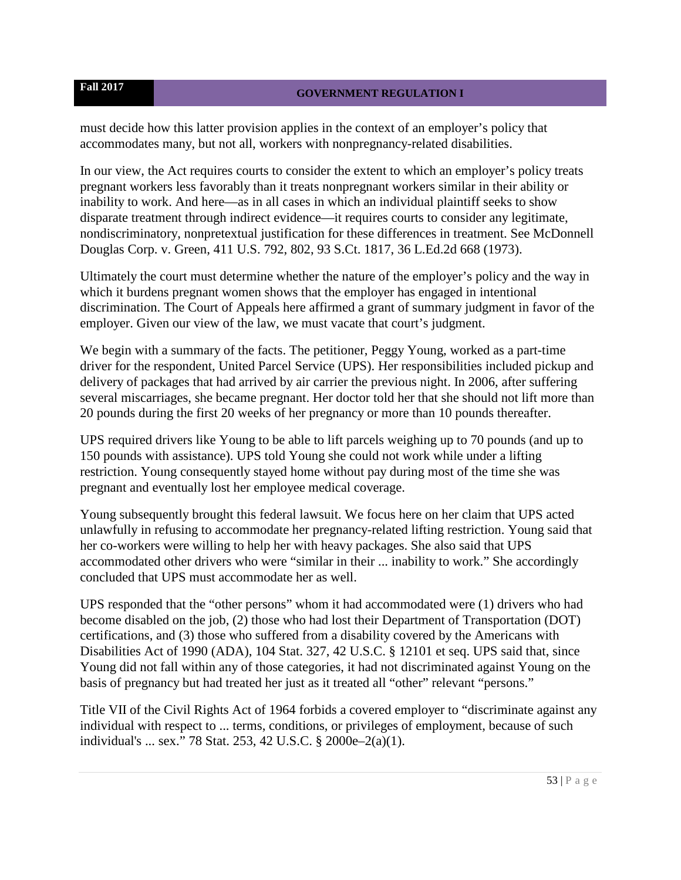must decide how this latter provision applies in the context of an employer's policy that accommodates many, but not all, workers with nonpregnancy-related disabilities.

In our view, the Act requires courts to consider the extent to which an employer's policy treats pregnant workers less favorably than it treats nonpregnant workers similar in their ability or inability to work. And here—as in all cases in which an individual plaintiff seeks to show disparate treatment through indirect evidence—it requires courts to consider any legitimate, nondiscriminatory, nonpretextual justification for these differences in treatment. See McDonnell Douglas Corp. v. Green, 411 U.S. 792, 802, 93 S.Ct. 1817, 36 L.Ed.2d 668 (1973).

Ultimately the court must determine whether the nature of the employer's policy and the way in which it burdens pregnant women shows that the employer has engaged in intentional discrimination. The Court of Appeals here affirmed a grant of summary judgment in favor of the employer. Given our view of the law, we must vacate that court's judgment.

We begin with a summary of the facts. The petitioner, Peggy Young, worked as a part-time driver for the respondent, United Parcel Service (UPS). Her responsibilities included pickup and delivery of packages that had arrived by air carrier the previous night. In 2006, after suffering several miscarriages, she became pregnant. Her doctor told her that she should not lift more than 20 pounds during the first 20 weeks of her pregnancy or more than 10 pounds thereafter.

UPS required drivers like Young to be able to lift parcels weighing up to 70 pounds (and up to 150 pounds with assistance). UPS told Young she could not work while under a lifting restriction. Young consequently stayed home without pay during most of the time she was pregnant and eventually lost her employee medical coverage.

Young subsequently brought this federal lawsuit. We focus here on her claim that UPS acted unlawfully in refusing to accommodate her pregnancy-related lifting restriction. Young said that her co-workers were willing to help her with heavy packages. She also said that UPS accommodated other drivers who were "similar in their ... inability to work." She accordingly concluded that UPS must accommodate her as well.

UPS responded that the "other persons" whom it had accommodated were (1) drivers who had become disabled on the job, (2) those who had lost their Department of Transportation (DOT) certifications, and (3) those who suffered from a disability covered by the Americans with Disabilities Act of 1990 (ADA), 104 Stat. 327, 42 U.S.C. § 12101 et seq. UPS said that, since Young did not fall within any of those categories, it had not discriminated against Young on the basis of pregnancy but had treated her just as it treated all "other" relevant "persons."

Title VII of the Civil Rights Act of 1964 forbids a covered employer to "discriminate against any individual with respect to ... terms, conditions, or privileges of employment, because of such individual's ... sex." 78 Stat. 253, 42 U.S.C. § 2000e–2(a)(1).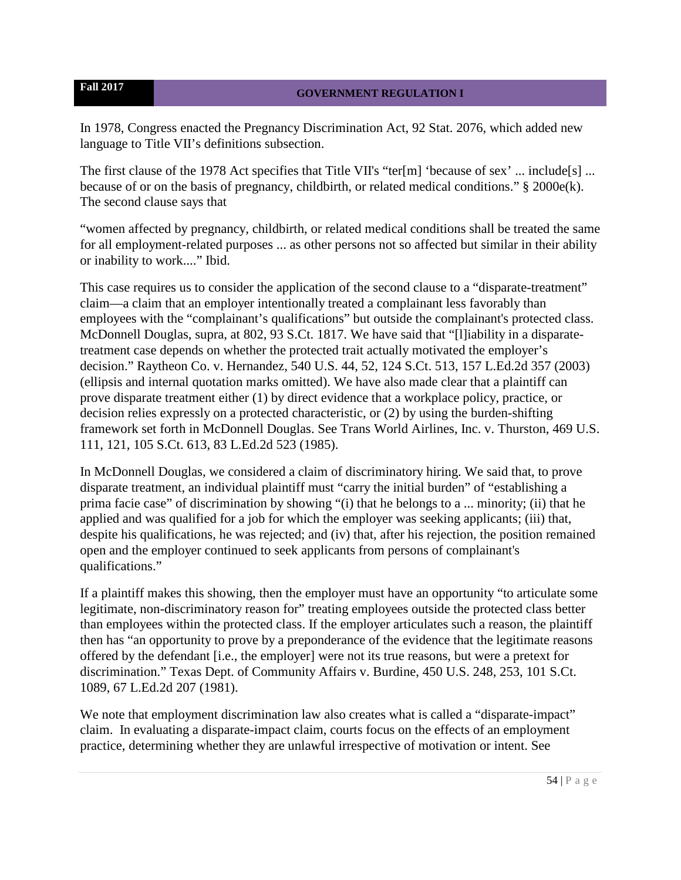In 1978, Congress enacted the Pregnancy Discrimination Act, 92 Stat. 2076, which added new language to Title VII's definitions subsection.

The first clause of the 1978 Act specifies that Title VII's "ter[m] 'because of sex' ... include[s] ... because of or on the basis of pregnancy, childbirth, or related medical conditions."  $\S$  2000 $e(k)$ . The second clause says that

"women affected by pregnancy, childbirth, or related medical conditions shall be treated the same for all employment-related purposes ... as other persons not so affected but similar in their ability or inability to work...." Ibid.

This case requires us to consider the application of the second clause to a "disparate-treatment" claim—a claim that an employer intentionally treated a complainant less favorably than employees with the "complainant's qualifications" but outside the complainant's protected class. McDonnell Douglas, supra, at 802, 93 S.Ct. 1817. We have said that "[l]iability in a disparatetreatment case depends on whether the protected trait actually motivated the employer's decision." Raytheon Co. v. Hernandez, 540 U.S. 44, 52, 124 S.Ct. 513, 157 L.Ed.2d 357 (2003) (ellipsis and internal quotation marks omitted). We have also made clear that a plaintiff can prove disparate treatment either (1) by direct evidence that a workplace policy, practice, or decision relies expressly on a protected characteristic, or (2) by using the burden-shifting framework set forth in McDonnell Douglas. See Trans World Airlines, Inc. v. Thurston, 469 U.S. 111, 121, 105 S.Ct. 613, 83 L.Ed.2d 523 (1985).

In McDonnell Douglas, we considered a claim of discriminatory hiring. We said that, to prove disparate treatment, an individual plaintiff must "carry the initial burden" of "establishing a prima facie case" of discrimination by showing "(i) that he belongs to a ... minority; (ii) that he applied and was qualified for a job for which the employer was seeking applicants; (iii) that, despite his qualifications, he was rejected; and (iv) that, after his rejection, the position remained open and the employer continued to seek applicants from persons of complainant's qualifications."

If a plaintiff makes this showing, then the employer must have an opportunity "to articulate some legitimate, non-discriminatory reason for" treating employees outside the protected class better than employees within the protected class. If the employer articulates such a reason, the plaintiff then has "an opportunity to prove by a preponderance of the evidence that the legitimate reasons offered by the defendant [i.e., the employer] were not its true reasons, but were a pretext for discrimination." Texas Dept. of Community Affairs v. Burdine, 450 U.S. 248, 253, 101 S.Ct. 1089, 67 L.Ed.2d 207 (1981).

We note that employment discrimination law also creates what is called a "disparate-impact" claim. In evaluating a disparate-impact claim, courts focus on the effects of an employment practice, determining whether they are unlawful irrespective of motivation or intent. See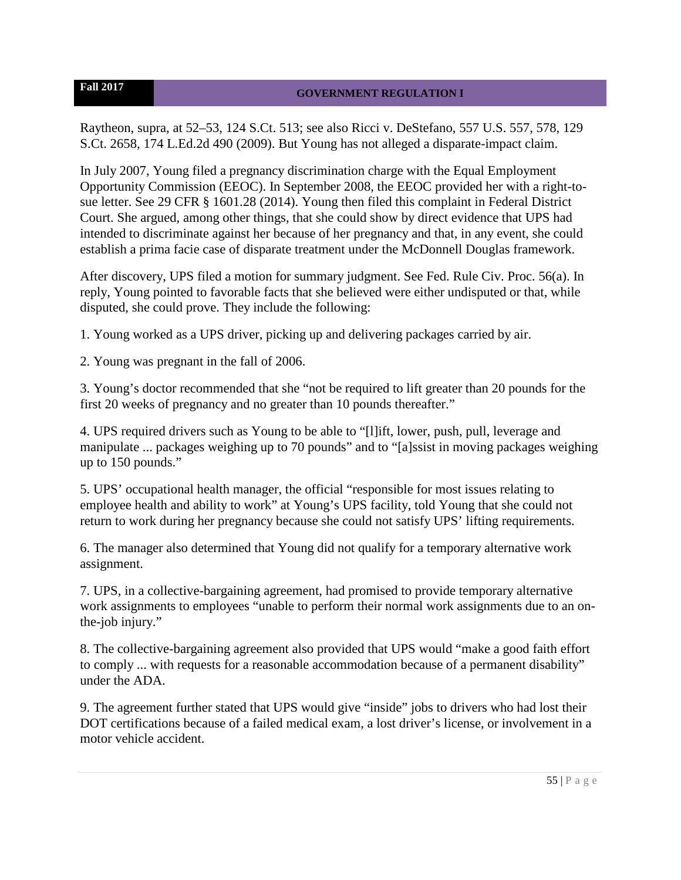Raytheon, supra, at 52–53, 124 S.Ct. 513; see also Ricci v. DeStefano, 557 U.S. 557, 578, 129 S.Ct. 2658, 174 L.Ed.2d 490 (2009). But Young has not alleged a disparate-impact claim.

In July 2007, Young filed a pregnancy discrimination charge with the Equal Employment Opportunity Commission (EEOC). In September 2008, the EEOC provided her with a right-tosue letter. See 29 CFR § 1601.28 (2014). Young then filed this complaint in Federal District Court. She argued, among other things, that she could show by direct evidence that UPS had intended to discriminate against her because of her pregnancy and that, in any event, she could establish a prima facie case of disparate treatment under the McDonnell Douglas framework.

After discovery, UPS filed a motion for summary judgment. See Fed. Rule Civ. Proc. 56(a). In reply, Young pointed to favorable facts that she believed were either undisputed or that, while disputed, she could prove. They include the following:

1. Young worked as a UPS driver, picking up and delivering packages carried by air.

2. Young was pregnant in the fall of 2006.

3. Young's doctor recommended that she "not be required to lift greater than 20 pounds for the first 20 weeks of pregnancy and no greater than 10 pounds thereafter."

4. UPS required drivers such as Young to be able to "[l]ift, lower, push, pull, leverage and manipulate ... packages weighing up to 70 pounds" and to "[a]ssist in moving packages weighing up to 150 pounds."

5. UPS' occupational health manager, the official "responsible for most issues relating to employee health and ability to work" at Young's UPS facility, told Young that she could not return to work during her pregnancy because she could not satisfy UPS' lifting requirements.

6. The manager also determined that Young did not qualify for a temporary alternative work assignment.

7. UPS, in a collective-bargaining agreement, had promised to provide temporary alternative work assignments to employees "unable to perform their normal work assignments due to an onthe-job injury."

8. The collective-bargaining agreement also provided that UPS would "make a good faith effort to comply ... with requests for a reasonable accommodation because of a permanent disability" under the ADA.

9. The agreement further stated that UPS would give "inside" jobs to drivers who had lost their DOT certifications because of a failed medical exam, a lost driver's license, or involvement in a motor vehicle accident.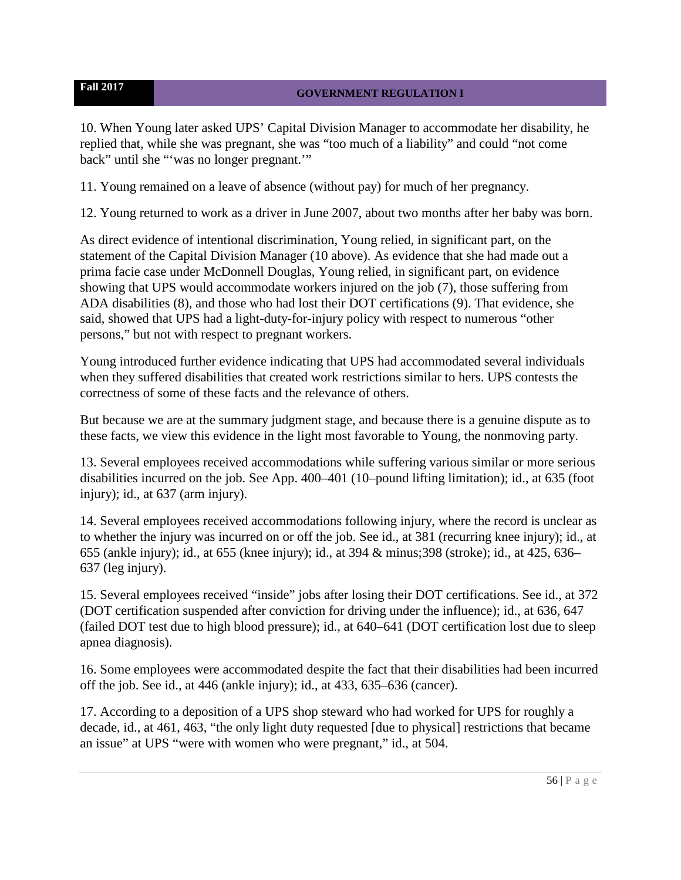10. When Young later asked UPS' Capital Division Manager to accommodate her disability, he replied that, while she was pregnant, she was "too much of a liability" and could "not come back" until she "'was no longer pregnant.'"

11. Young remained on a leave of absence (without pay) for much of her pregnancy.

12. Young returned to work as a driver in June 2007, about two months after her baby was born.

As direct evidence of intentional discrimination, Young relied, in significant part, on the statement of the Capital Division Manager (10 above). As evidence that she had made out a prima facie case under McDonnell Douglas, Young relied, in significant part, on evidence showing that UPS would accommodate workers injured on the job (7), those suffering from ADA disabilities (8), and those who had lost their DOT certifications (9). That evidence, she said, showed that UPS had a light-duty-for-injury policy with respect to numerous "other persons," but not with respect to pregnant workers.

Young introduced further evidence indicating that UPS had accommodated several individuals when they suffered disabilities that created work restrictions similar to hers. UPS contests the correctness of some of these facts and the relevance of others.

But because we are at the summary judgment stage, and because there is a genuine dispute as to these facts, we view this evidence in the light most favorable to Young, the nonmoving party.

13. Several employees received accommodations while suffering various similar or more serious disabilities incurred on the job. See App. 400–401 (10–pound lifting limitation); id., at 635 (foot injury); id., at 637 (arm injury).

14. Several employees received accommodations following injury, where the record is unclear as to whether the injury was incurred on or off the job. See id., at 381 (recurring knee injury); id., at 655 (ankle injury); id., at 655 (knee injury); id., at 394 & minus;398 (stroke); id., at 425, 636– 637 (leg injury).

15. Several employees received "inside" jobs after losing their DOT certifications. See id., at 372 (DOT certification suspended after conviction for driving under the influence); id., at 636, 647 (failed DOT test due to high blood pressure); id., at 640–641 (DOT certification lost due to sleep apnea diagnosis).

16. Some employees were accommodated despite the fact that their disabilities had been incurred off the job. See id., at 446 (ankle injury); id., at 433, 635–636 (cancer).

17. According to a deposition of a UPS shop steward who had worked for UPS for roughly a decade, id., at 461, 463, "the only light duty requested [due to physical] restrictions that became an issue" at UPS "were with women who were pregnant," id., at 504.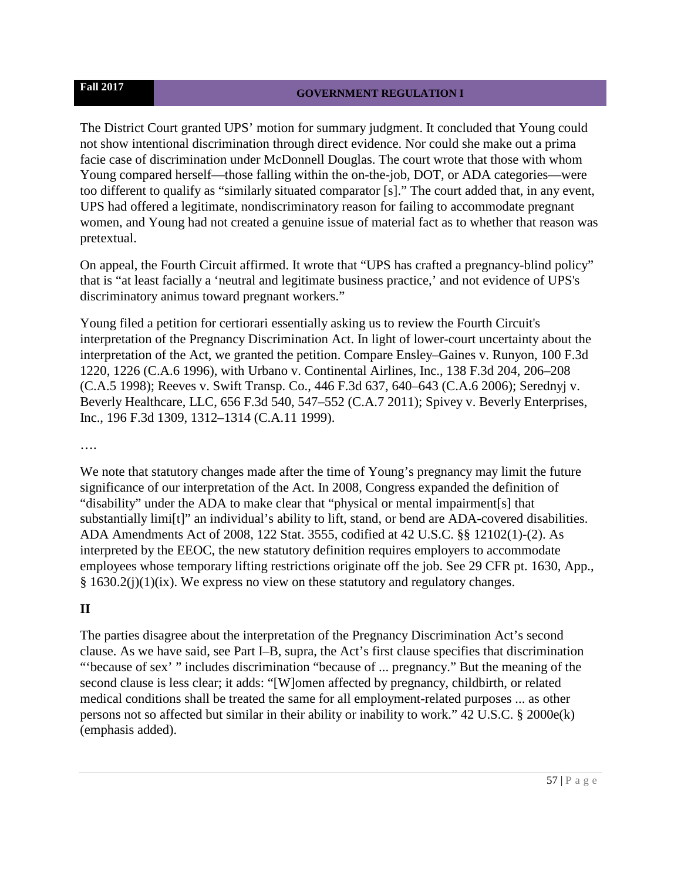The District Court granted UPS' motion for summary judgment. It concluded that Young could not show intentional discrimination through direct evidence. Nor could she make out a prima facie case of discrimination under McDonnell Douglas. The court wrote that those with whom Young compared herself—those falling within the on-the-job, DOT, or ADA categories—were too different to qualify as "similarly situated comparator [s]." The court added that, in any event, UPS had offered a legitimate, nondiscriminatory reason for failing to accommodate pregnant women, and Young had not created a genuine issue of material fact as to whether that reason was pretextual.

On appeal, the Fourth Circuit affirmed. It wrote that "UPS has crafted a pregnancy-blind policy" that is "at least facially a 'neutral and legitimate business practice,' and not evidence of UPS's discriminatory animus toward pregnant workers."

Young filed a petition for certiorari essentially asking us to review the Fourth Circuit's interpretation of the Pregnancy Discrimination Act. In light of lower-court uncertainty about the interpretation of the Act, we granted the petition. Compare Ensley–Gaines v. Runyon, 100 F.3d 1220, 1226 (C.A.6 1996), with Urbano v. Continental Airlines, Inc., 138 F.3d 204, 206–208 (C.A.5 1998); Reeves v. Swift Transp. Co., 446 F.3d 637, 640–643 (C.A.6 2006); Serednyj v. Beverly Healthcare, LLC, 656 F.3d 540, 547–552 (C.A.7 2011); Spivey v. Beverly Enterprises, Inc., 196 F.3d 1309, 1312–1314 (C.A.11 1999).

….

We note that statutory changes made after the time of Young's pregnancy may limit the future significance of our interpretation of the Act. In 2008, Congress expanded the definition of "disability" under the ADA to make clear that "physical or mental impairment[s] that substantially limi[t]" an individual's ability to lift, stand, or bend are ADA-covered disabilities. ADA Amendments Act of 2008, 122 Stat. 3555, codified at 42 U.S.C. §§ 12102(1)-(2). As interpreted by the EEOC, the new statutory definition requires employers to accommodate employees whose temporary lifting restrictions originate off the job. See 29 CFR pt. 1630, App., § 1630.2(j)(1)(ix). We express no view on these statutory and regulatory changes.

### **II**

The parties disagree about the interpretation of the Pregnancy Discrimination Act's second clause. As we have said, see Part I–B, supra, the Act's first clause specifies that discrimination "'because of sex' " includes discrimination "because of ... pregnancy." But the meaning of the second clause is less clear; it adds: "[W]omen affected by pregnancy, childbirth, or related medical conditions shall be treated the same for all employment-related purposes ... as other persons not so affected but similar in their ability or inability to work." 42 U.S.C. § 2000e(k) (emphasis added).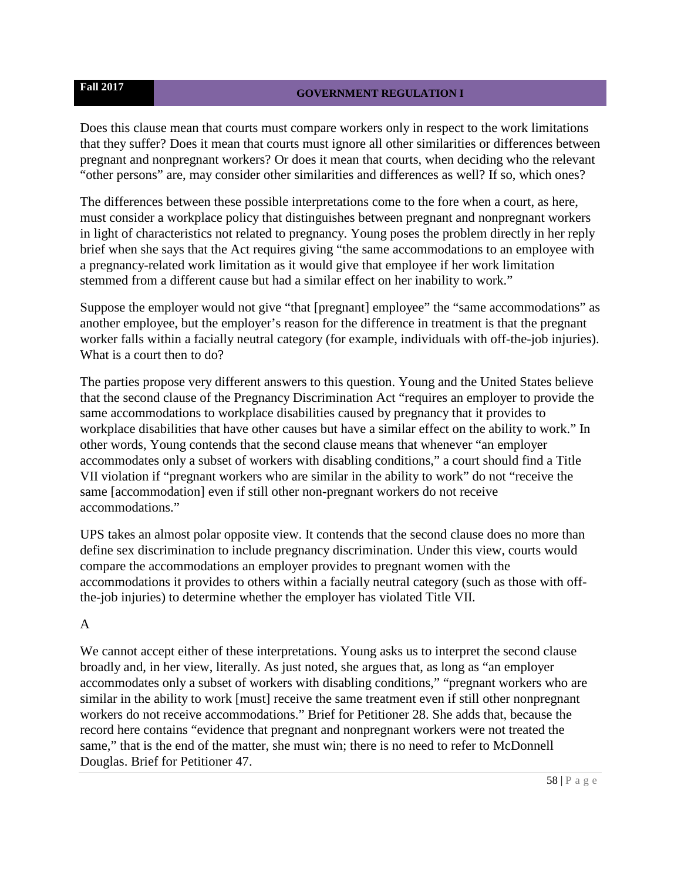Does this clause mean that courts must compare workers only in respect to the work limitations that they suffer? Does it mean that courts must ignore all other similarities or differences between pregnant and nonpregnant workers? Or does it mean that courts, when deciding who the relevant "other persons" are, may consider other similarities and differences as well? If so, which ones?

The differences between these possible interpretations come to the fore when a court, as here, must consider a workplace policy that distinguishes between pregnant and nonpregnant workers in light of characteristics not related to pregnancy. Young poses the problem directly in her reply brief when she says that the Act requires giving "the same accommodations to an employee with a pregnancy-related work limitation as it would give that employee if her work limitation stemmed from a different cause but had a similar effect on her inability to work."

Suppose the employer would not give "that [pregnant] employee" the "same accommodations" as another employee, but the employer's reason for the difference in treatment is that the pregnant worker falls within a facially neutral category (for example, individuals with off-the-job injuries). What is a court then to do?

The parties propose very different answers to this question. Young and the United States believe that the second clause of the Pregnancy Discrimination Act "requires an employer to provide the same accommodations to workplace disabilities caused by pregnancy that it provides to workplace disabilities that have other causes but have a similar effect on the ability to work." In other words, Young contends that the second clause means that whenever "an employer accommodates only a subset of workers with disabling conditions," a court should find a Title VII violation if "pregnant workers who are similar in the ability to work" do not "receive the same [accommodation] even if still other non-pregnant workers do not receive accommodations."

UPS takes an almost polar opposite view. It contends that the second clause does no more than define sex discrimination to include pregnancy discrimination. Under this view, courts would compare the accommodations an employer provides to pregnant women with the accommodations it provides to others within a facially neutral category (such as those with offthe-job injuries) to determine whether the employer has violated Title VII.

### A

We cannot accept either of these interpretations. Young asks us to interpret the second clause broadly and, in her view, literally. As just noted, she argues that, as long as "an employer accommodates only a subset of workers with disabling conditions," "pregnant workers who are similar in the ability to work [must] receive the same treatment even if still other nonpregnant workers do not receive accommodations." Brief for Petitioner 28. She adds that, because the record here contains "evidence that pregnant and nonpregnant workers were not treated the same," that is the end of the matter, she must win; there is no need to refer to McDonnell Douglas. Brief for Petitioner 47.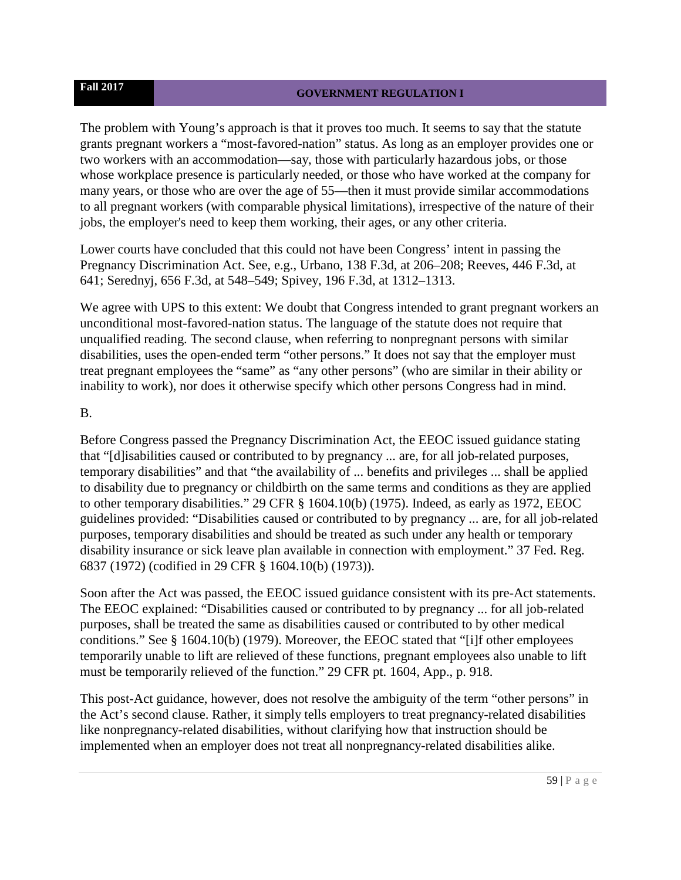The problem with Young's approach is that it proves too much. It seems to say that the statute grants pregnant workers a "most-favored-nation" status. As long as an employer provides one or two workers with an accommodation—say, those with particularly hazardous jobs, or those whose workplace presence is particularly needed, or those who have worked at the company for many years, or those who are over the age of 55—then it must provide similar accommodations to all pregnant workers (with comparable physical limitations), irrespective of the nature of their jobs, the employer's need to keep them working, their ages, or any other criteria.

Lower courts have concluded that this could not have been Congress' intent in passing the Pregnancy Discrimination Act. See, e.g., Urbano, 138 F.3d, at 206–208; Reeves, 446 F.3d, at 641; Serednyj, 656 F.3d, at 548–549; Spivey, 196 F.3d, at 1312–1313.

We agree with UPS to this extent: We doubt that Congress intended to grant pregnant workers an unconditional most-favored-nation status. The language of the statute does not require that unqualified reading. The second clause, when referring to nonpregnant persons with similar disabilities, uses the open-ended term "other persons." It does not say that the employer must treat pregnant employees the "same" as "any other persons" (who are similar in their ability or inability to work), nor does it otherwise specify which other persons Congress had in mind.

### B.

Before Congress passed the Pregnancy Discrimination Act, the EEOC issued guidance stating that "[d]isabilities caused or contributed to by pregnancy ... are, for all job-related purposes, temporary disabilities" and that "the availability of ... benefits and privileges ... shall be applied to disability due to pregnancy or childbirth on the same terms and conditions as they are applied to other temporary disabilities." 29 CFR § 1604.10(b) (1975). Indeed, as early as 1972, EEOC guidelines provided: "Disabilities caused or contributed to by pregnancy ... are, for all job-related purposes, temporary disabilities and should be treated as such under any health or temporary disability insurance or sick leave plan available in connection with employment." 37 Fed. Reg. 6837 (1972) (codified in 29 CFR § 1604.10(b) (1973)).

Soon after the Act was passed, the EEOC issued guidance consistent with its pre-Act statements. The EEOC explained: "Disabilities caused or contributed to by pregnancy ... for all job-related purposes, shall be treated the same as disabilities caused or contributed to by other medical conditions." See § 1604.10(b) (1979). Moreover, the EEOC stated that "[i]f other employees temporarily unable to lift are relieved of these functions, pregnant employees also unable to lift must be temporarily relieved of the function." 29 CFR pt. 1604, App., p. 918.

This post-Act guidance, however, does not resolve the ambiguity of the term "other persons" in the Act's second clause. Rather, it simply tells employers to treat pregnancy-related disabilities like nonpregnancy-related disabilities, without clarifying how that instruction should be implemented when an employer does not treat all nonpregnancy-related disabilities alike.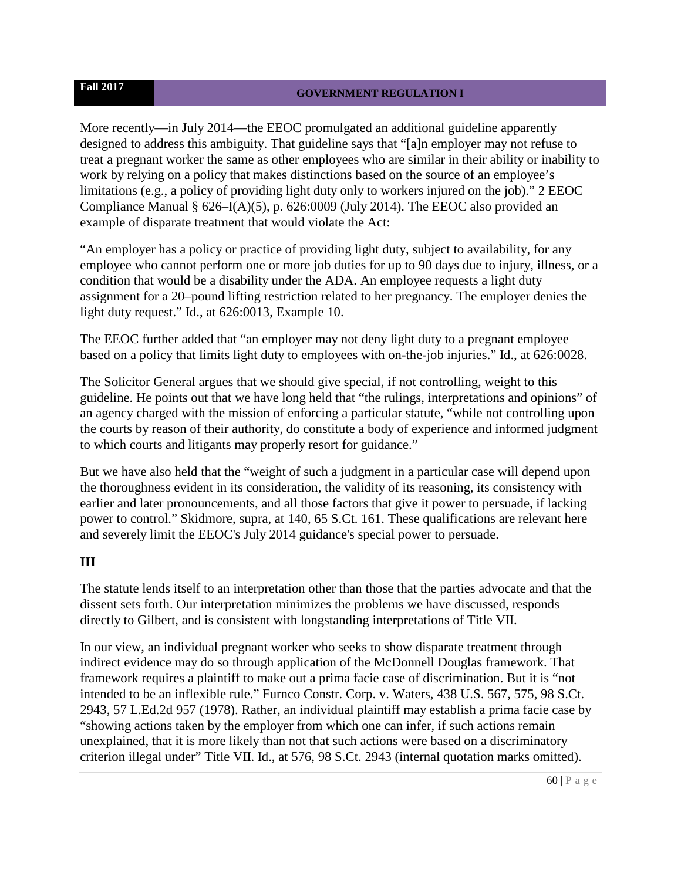More recently—in July 2014—the EEOC promulgated an additional guideline apparently designed to address this ambiguity. That guideline says that "[a]n employer may not refuse to treat a pregnant worker the same as other employees who are similar in their ability or inability to work by relying on a policy that makes distinctions based on the source of an employee's limitations (e.g., a policy of providing light duty only to workers injured on the job)." 2 EEOC Compliance Manual § 626–I(A)(5), p. 626:0009 (July 2014). The EEOC also provided an example of disparate treatment that would violate the Act:

"An employer has a policy or practice of providing light duty, subject to availability, for any employee who cannot perform one or more job duties for up to 90 days due to injury, illness, or a condition that would be a disability under the ADA. An employee requests a light duty assignment for a 20–pound lifting restriction related to her pregnancy. The employer denies the light duty request." Id., at 626:0013, Example 10.

The EEOC further added that "an employer may not deny light duty to a pregnant employee based on a policy that limits light duty to employees with on-the-job injuries." Id., at 626:0028.

The Solicitor General argues that we should give special, if not controlling, weight to this guideline. He points out that we have long held that "the rulings, interpretations and opinions" of an agency charged with the mission of enforcing a particular statute, "while not controlling upon the courts by reason of their authority, do constitute a body of experience and informed judgment to which courts and litigants may properly resort for guidance."

But we have also held that the "weight of such a judgment in a particular case will depend upon the thoroughness evident in its consideration, the validity of its reasoning, its consistency with earlier and later pronouncements, and all those factors that give it power to persuade, if lacking power to control." Skidmore, supra, at 140, 65 S.Ct. 161. These qualifications are relevant here and severely limit the EEOC's July 2014 guidance's special power to persuade.

### **III**

The statute lends itself to an interpretation other than those that the parties advocate and that the dissent sets forth. Our interpretation minimizes the problems we have discussed, responds directly to Gilbert, and is consistent with longstanding interpretations of Title VII.

In our view, an individual pregnant worker who seeks to show disparate treatment through indirect evidence may do so through application of the McDonnell Douglas framework. That framework requires a plaintiff to make out a prima facie case of discrimination. But it is "not intended to be an inflexible rule." Furnco Constr. Corp. v. Waters, 438 U.S. 567, 575, 98 S.Ct. 2943, 57 L.Ed.2d 957 (1978). Rather, an individual plaintiff may establish a prima facie case by "showing actions taken by the employer from which one can infer, if such actions remain unexplained, that it is more likely than not that such actions were based on a discriminatory criterion illegal under" Title VII. Id., at 576, 98 S.Ct. 2943 (internal quotation marks omitted).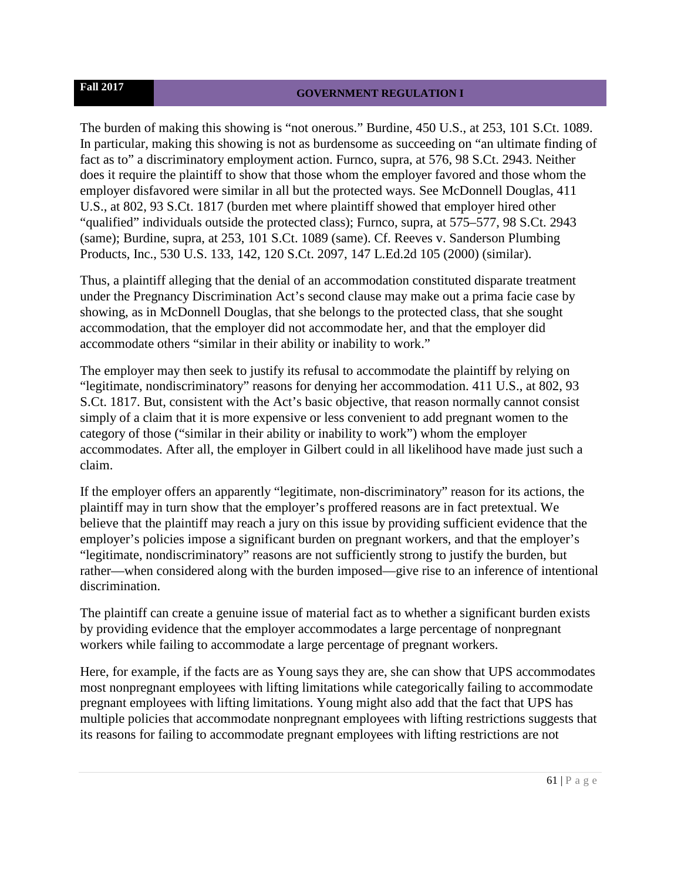The burden of making this showing is "not onerous." Burdine, 450 U.S., at 253, 101 S.Ct. 1089. In particular, making this showing is not as burdensome as succeeding on "an ultimate finding of fact as to" a discriminatory employment action. Furnco, supra, at 576, 98 S.Ct. 2943. Neither does it require the plaintiff to show that those whom the employer favored and those whom the employer disfavored were similar in all but the protected ways. See McDonnell Douglas, 411 U.S., at 802, 93 S.Ct. 1817 (burden met where plaintiff showed that employer hired other "qualified" individuals outside the protected class); Furnco, supra, at 575–577, 98 S.Ct. 2943 (same); Burdine, supra, at 253, 101 S.Ct. 1089 (same). Cf. Reeves v. Sanderson Plumbing Products, Inc., 530 U.S. 133, 142, 120 S.Ct. 2097, 147 L.Ed.2d 105 (2000) (similar).

Thus, a plaintiff alleging that the denial of an accommodation constituted disparate treatment under the Pregnancy Discrimination Act's second clause may make out a prima facie case by showing, as in McDonnell Douglas, that she belongs to the protected class, that she sought accommodation, that the employer did not accommodate her, and that the employer did accommodate others "similar in their ability or inability to work."

The employer may then seek to justify its refusal to accommodate the plaintiff by relying on "legitimate, nondiscriminatory" reasons for denying her accommodation. 411 U.S., at 802, 93 S.Ct. 1817. But, consistent with the Act's basic objective, that reason normally cannot consist simply of a claim that it is more expensive or less convenient to add pregnant women to the category of those ("similar in their ability or inability to work") whom the employer accommodates. After all, the employer in Gilbert could in all likelihood have made just such a claim.

If the employer offers an apparently "legitimate, non-discriminatory" reason for its actions, the plaintiff may in turn show that the employer's proffered reasons are in fact pretextual. We believe that the plaintiff may reach a jury on this issue by providing sufficient evidence that the employer's policies impose a significant burden on pregnant workers, and that the employer's "legitimate, nondiscriminatory" reasons are not sufficiently strong to justify the burden, but rather—when considered along with the burden imposed—give rise to an inference of intentional discrimination.

The plaintiff can create a genuine issue of material fact as to whether a significant burden exists by providing evidence that the employer accommodates a large percentage of nonpregnant workers while failing to accommodate a large percentage of pregnant workers.

Here, for example, if the facts are as Young says they are, she can show that UPS accommodates most nonpregnant employees with lifting limitations while categorically failing to accommodate pregnant employees with lifting limitations. Young might also add that the fact that UPS has multiple policies that accommodate nonpregnant employees with lifting restrictions suggests that its reasons for failing to accommodate pregnant employees with lifting restrictions are not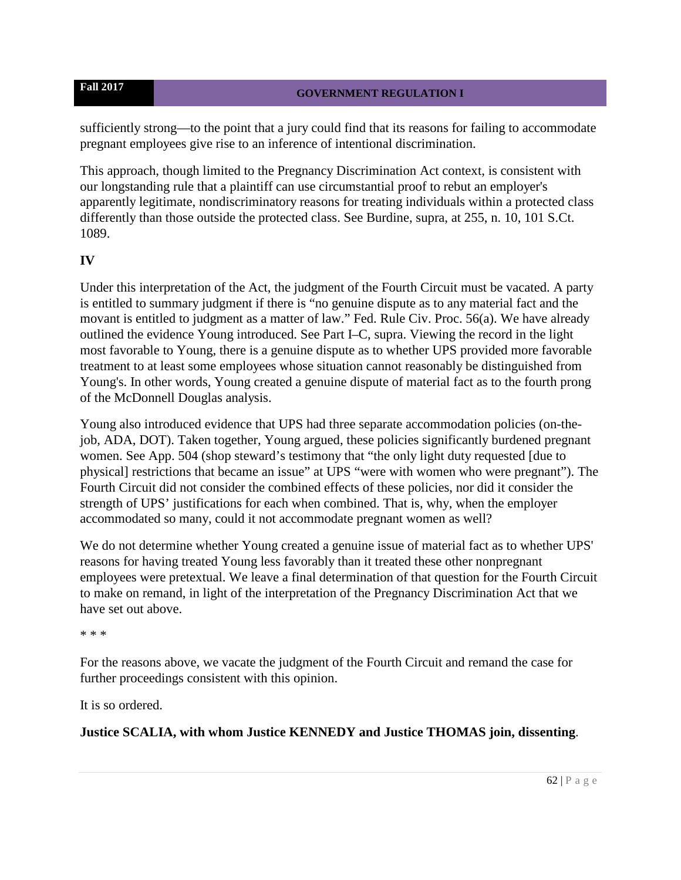sufficiently strong—to the point that a jury could find that its reasons for failing to accommodate pregnant employees give rise to an inference of intentional discrimination.

This approach, though limited to the Pregnancy Discrimination Act context, is consistent with our longstanding rule that a plaintiff can use circumstantial proof to rebut an employer's apparently legitimate, nondiscriminatory reasons for treating individuals within a protected class differently than those outside the protected class. See Burdine, supra, at 255, n. 10, 101 S.Ct. 1089.

### **IV**

Under this interpretation of the Act, the judgment of the Fourth Circuit must be vacated. A party is entitled to summary judgment if there is "no genuine dispute as to any material fact and the movant is entitled to judgment as a matter of law." Fed. Rule Civ. Proc. 56(a). We have already outlined the evidence Young introduced. See Part I–C, supra. Viewing the record in the light most favorable to Young, there is a genuine dispute as to whether UPS provided more favorable treatment to at least some employees whose situation cannot reasonably be distinguished from Young's. In other words, Young created a genuine dispute of material fact as to the fourth prong of the McDonnell Douglas analysis.

Young also introduced evidence that UPS had three separate accommodation policies (on-thejob, ADA, DOT). Taken together, Young argued, these policies significantly burdened pregnant women. See App. 504 (shop steward's testimony that "the only light duty requested [due to physical] restrictions that became an issue" at UPS "were with women who were pregnant"). The Fourth Circuit did not consider the combined effects of these policies, nor did it consider the strength of UPS' justifications for each when combined. That is, why, when the employer accommodated so many, could it not accommodate pregnant women as well?

We do not determine whether Young created a genuine issue of material fact as to whether UPS' reasons for having treated Young less favorably than it treated these other nonpregnant employees were pretextual. We leave a final determination of that question for the Fourth Circuit to make on remand, in light of the interpretation of the Pregnancy Discrimination Act that we have set out above.

\* \* \*

For the reasons above, we vacate the judgment of the Fourth Circuit and remand the case for further proceedings consistent with this opinion.

It is so ordered.

### **Justice SCALIA, with whom Justice KENNEDY and Justice THOMAS join, dissenting**.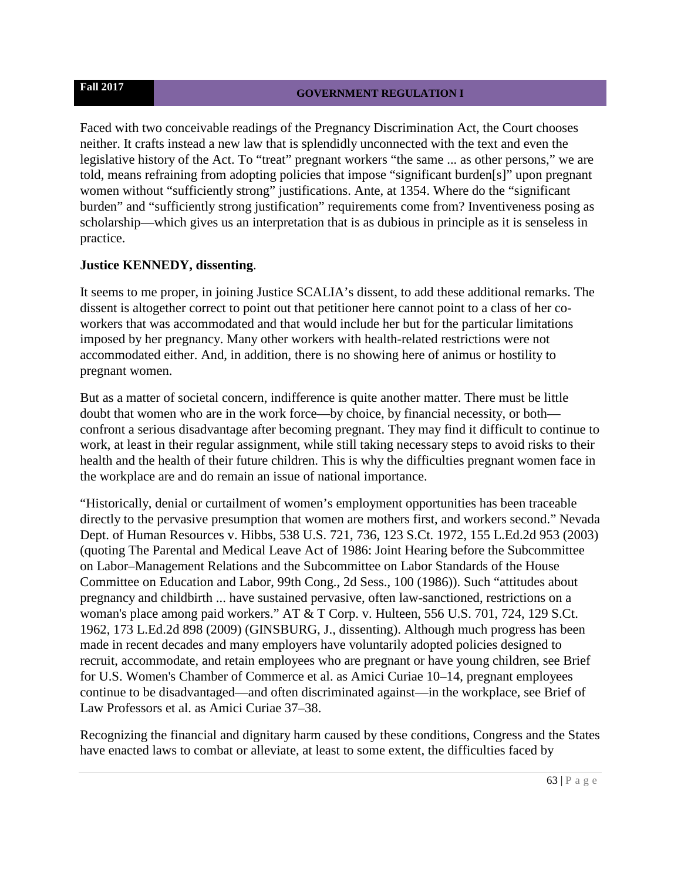Faced with two conceivable readings of the Pregnancy Discrimination Act, the Court chooses neither. It crafts instead a new law that is splendidly unconnected with the text and even the legislative history of the Act. To "treat" pregnant workers "the same ... as other persons," we are told, means refraining from adopting policies that impose "significant burden[s]" upon pregnant women without "sufficiently strong" justifications. Ante, at 1354. Where do the "significant burden" and "sufficiently strong justification" requirements come from? Inventiveness posing as scholarship—which gives us an interpretation that is as dubious in principle as it is senseless in practice.

### **Justice KENNEDY, dissenting**.

It seems to me proper, in joining Justice SCALIA's dissent, to add these additional remarks. The dissent is altogether correct to point out that petitioner here cannot point to a class of her coworkers that was accommodated and that would include her but for the particular limitations imposed by her pregnancy. Many other workers with health-related restrictions were not accommodated either. And, in addition, there is no showing here of animus or hostility to pregnant women.

But as a matter of societal concern, indifference is quite another matter. There must be little doubt that women who are in the work force—by choice, by financial necessity, or both confront a serious disadvantage after becoming pregnant. They may find it difficult to continue to work, at least in their regular assignment, while still taking necessary steps to avoid risks to their health and the health of their future children. This is why the difficulties pregnant women face in the workplace are and do remain an issue of national importance.

"Historically, denial or curtailment of women's employment opportunities has been traceable directly to the pervasive presumption that women are mothers first, and workers second." Nevada Dept. of Human Resources v. Hibbs, 538 U.S. 721, 736, 123 S.Ct. 1972, 155 L.Ed.2d 953 (2003) (quoting The Parental and Medical Leave Act of 1986: Joint Hearing before the Subcommittee on Labor–Management Relations and the Subcommittee on Labor Standards of the House Committee on Education and Labor, 99th Cong., 2d Sess., 100 (1986)). Such "attitudes about pregnancy and childbirth ... have sustained pervasive, often law-sanctioned, restrictions on a woman's place among paid workers." AT & T Corp. v. Hulteen, 556 U.S. 701, 724, 129 S.Ct. 1962, 173 L.Ed.2d 898 (2009) (GINSBURG, J., dissenting). Although much progress has been made in recent decades and many employers have voluntarily adopted policies designed to recruit, accommodate, and retain employees who are pregnant or have young children, see Brief for U.S. Women's Chamber of Commerce et al. as Amici Curiae 10–14, pregnant employees continue to be disadvantaged—and often discriminated against—in the workplace, see Brief of Law Professors et al. as Amici Curiae 37–38.

Recognizing the financial and dignitary harm caused by these conditions, Congress and the States have enacted laws to combat or alleviate, at least to some extent, the difficulties faced by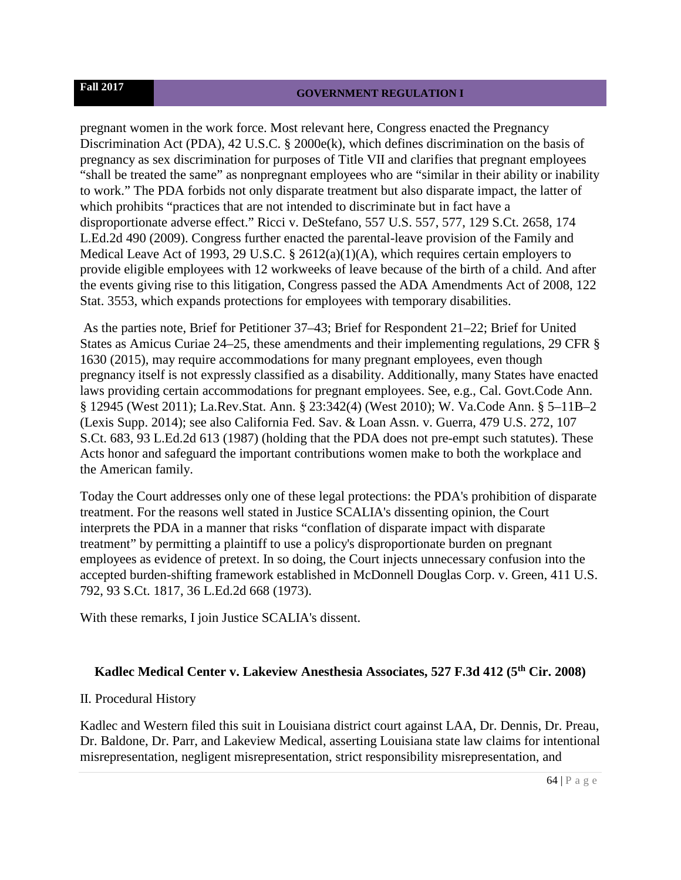pregnant women in the work force. Most relevant here, Congress enacted the Pregnancy Discrimination Act (PDA), 42 U.S.C. § 2000e(k), which defines discrimination on the basis of pregnancy as sex discrimination for purposes of Title VII and clarifies that pregnant employees "shall be treated the same" as nonpregnant employees who are "similar in their ability or inability to work." The PDA forbids not only disparate treatment but also disparate impact, the latter of which prohibits "practices that are not intended to discriminate but in fact have a disproportionate adverse effect." Ricci v. DeStefano, 557 U.S. 557, 577, 129 S.Ct. 2658, 174 L.Ed.2d 490 (2009). Congress further enacted the parental-leave provision of the Family and Medical Leave Act of 1993, 29 U.S.C. § 2612(a)(1)(A), which requires certain employers to provide eligible employees with 12 workweeks of leave because of the birth of a child. And after the events giving rise to this litigation, Congress passed the ADA Amendments Act of 2008, 122 Stat. 3553, which expands protections for employees with temporary disabilities.

As the parties note, Brief for Petitioner 37–43; Brief for Respondent 21–22; Brief for United States as Amicus Curiae 24–25, these amendments and their implementing regulations, 29 CFR § 1630 (2015), may require accommodations for many pregnant employees, even though pregnancy itself is not expressly classified as a disability. Additionally, many States have enacted laws providing certain accommodations for pregnant employees. See, e.g., Cal. Govt.Code Ann. § 12945 (West 2011); La.Rev.Stat. Ann. § 23:342(4) (West 2010); W. Va.Code Ann. § 5–11B–2 (Lexis Supp. 2014); see also California Fed. Sav. & Loan Assn. v. Guerra, 479 U.S. 272, 107 S.Ct. 683, 93 L.Ed.2d 613 (1987) (holding that the PDA does not pre-empt such statutes). These Acts honor and safeguard the important contributions women make to both the workplace and the American family.

Today the Court addresses only one of these legal protections: the PDA's prohibition of disparate treatment. For the reasons well stated in Justice SCALIA's dissenting opinion, the Court interprets the PDA in a manner that risks "conflation of disparate impact with disparate treatment" by permitting a plaintiff to use a policy's disproportionate burden on pregnant employees as evidence of pretext. In so doing, the Court injects unnecessary confusion into the accepted burden-shifting framework established in McDonnell Douglas Corp. v. Green, 411 U.S. 792, 93 S.Ct. 1817, 36 L.Ed.2d 668 (1973).

With these remarks, I join Justice SCALIA's dissent.

### **Kadlec Medical Center v. Lakeview Anesthesia Associates, 527 F.3d 412 (5th Cir. 2008)**

### II. Procedural History

Kadlec and Western filed this suit in Louisiana district court against LAA, Dr. Dennis, Dr. Preau, Dr. Baldone, Dr. Parr, and Lakeview Medical, asserting Louisiana state law claims for intentional misrepresentation, negligent misrepresentation, strict responsibility misrepresentation, and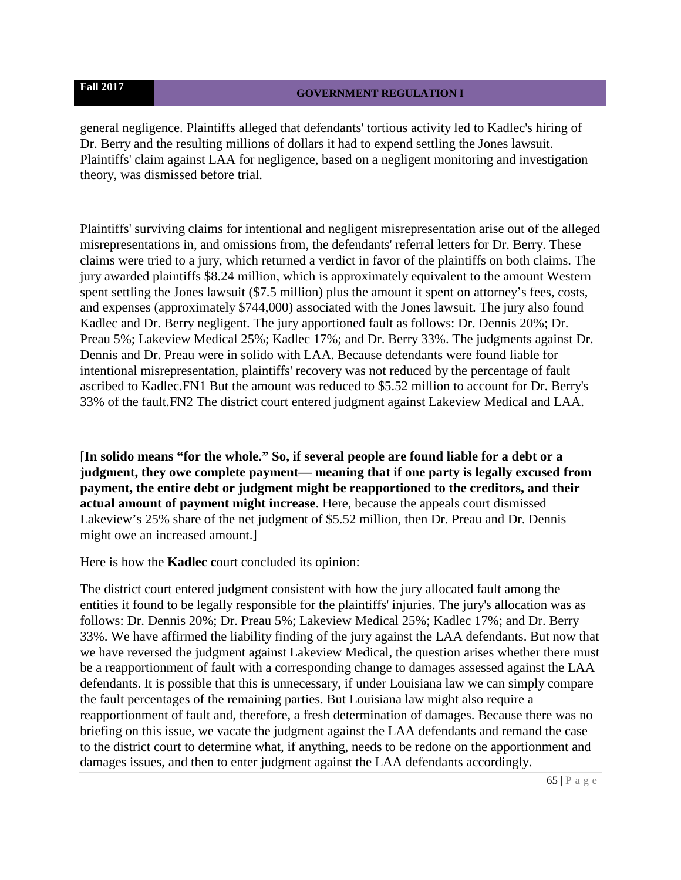general negligence. Plaintiffs alleged that defendants' tortious activity led to Kadlec's hiring of Dr. Berry and the resulting millions of dollars it had to expend settling the Jones lawsuit. Plaintiffs' claim against LAA for negligence, based on a negligent monitoring and investigation theory, was dismissed before trial.

Plaintiffs' surviving claims for intentional and negligent misrepresentation arise out of the alleged misrepresentations in, and omissions from, the defendants' referral letters for Dr. Berry. These claims were tried to a jury, which returned a verdict in favor of the plaintiffs on both claims. The jury awarded plaintiffs \$8.24 million, which is approximately equivalent to the amount Western spent settling the Jones lawsuit (\$7.5 million) plus the amount it spent on attorney's fees, costs, and expenses (approximately \$744,000) associated with the Jones lawsuit. The jury also found Kadlec and Dr. Berry negligent. The jury apportioned fault as follows: Dr. Dennis 20%; Dr. Preau 5%; Lakeview Medical 25%; Kadlec 17%; and Dr. Berry 33%. The judgments against Dr. Dennis and Dr. Preau were in solido with LAA. Because defendants were found liable for intentional misrepresentation, plaintiffs' recovery was not reduced by the percentage of fault ascribed to Kadlec.FN1 But the amount was reduced to \$5.52 million to account for Dr. Berry's 33% of the fault.FN2 The district court entered judgment against Lakeview Medical and LAA.

[**In solido means "for the whole." So, if several people are found liable for a debt or a judgment, they owe complete payment— meaning that if one party is legally excused from payment, the entire debt or judgment might be reapportioned to the creditors, and their actual amount of payment might increase**. Here, because the appeals court dismissed Lakeview's 25% share of the net judgment of \$5.52 million, then Dr. Preau and Dr. Dennis might owe an increased amount.]

Here is how the **Kadlec c**ourt concluded its opinion:

The district court entered judgment consistent with how the jury allocated fault among the entities it found to be legally responsible for the plaintiffs' injuries. The jury's allocation was as follows: Dr. Dennis 20%; Dr. Preau 5%; Lakeview Medical 25%; Kadlec 17%; and Dr. Berry 33%. We have affirmed the liability finding of the jury against the LAA defendants. But now that we have reversed the judgment against Lakeview Medical, the question arises whether there must be a reapportionment of fault with a corresponding change to damages assessed against the LAA defendants. It is possible that this is unnecessary, if under Louisiana law we can simply compare the fault percentages of the remaining parties. But Louisiana law might also require a reapportionment of fault and, therefore, a fresh determination of damages. Because there was no briefing on this issue, we vacate the judgment against the LAA defendants and remand the case to the district court to determine what, if anything, needs to be redone on the apportionment and damages issues, and then to enter judgment against the LAA defendants accordingly.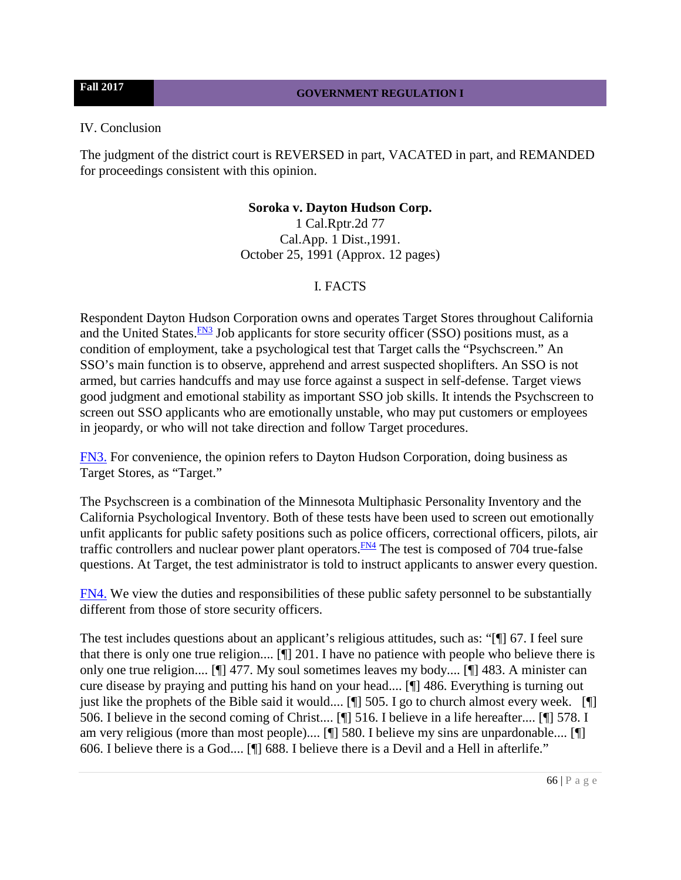### IV. Conclusion

The judgment of the district court is REVERSED in part, VACATED in part, and REMANDED for proceedings consistent with this opinion.

### **Soroka v. Dayton Hudson Corp.**

1 Cal.Rptr.2d 77 Cal.App. 1 Dist.,1991. October 25, 1991 (Approx. 12 pages)

### I. FACTS

Respondent Dayton Hudson Corporation owns and operates Target Stores throughout California and the United States.  $\frac{FN3}{FN3}$  Job applicants for store security officer (SSO) positions must, as a condition of employment, take a psychological test that Target calls the "Psychscreen." An SSO's main function is to observe, apprehend and arrest suspected shoplifters. An SSO is not armed, but carries handcuffs and may use force against a suspect in self-defense. Target views good judgment and emotional stability as important SSO job skills. It intends the Psychscreen to screen out SSO applicants who are emotionally unstable, who may put customers or employees in jeopardy, or who will not take direction and follow Target procedures.

[FN3.](http://web2.westlaw.com/result/documenttext.aspx?sv=Split&service=Find&fcl=False&findtype=Y&rlti=1&cnt=DOC&cxt=DC&rlt=CLID_FQRLT292812249&rs=WLW7.09&ss=CNT&fn=_top&n=1&mt=LawSchoolPractitioner&vr=2.0&rp=%2fFind%2fdefault.wl&serialnum=1991176399&db=3484&docsample=False#F00431991176399#F00431991176399) For convenience, the opinion refers to Dayton Hudson Corporation, doing business as Target Stores, as "Target."

The Psychscreen is a combination of the Minnesota Multiphasic Personality Inventory and the California Psychological Inventory. Both of these tests have been used to screen out emotionally unfit applicants for public safety positions such as police officers, correctional officers, pilots, air traffic controllers and nuclear power plant operators.  $\frac{FN4}{FN4}$  The test is composed of 704 true-false questions. At Target, the test administrator is told to instruct applicants to answer every question.

[FN4.](http://web2.westlaw.com/result/documenttext.aspx?sv=Split&service=Find&fcl=False&findtype=Y&rlti=1&cnt=DOC&cxt=DC&rlt=CLID_FQRLT292812249&rs=WLW7.09&ss=CNT&fn=_top&n=1&mt=LawSchoolPractitioner&vr=2.0&rp=%2fFind%2fdefault.wl&serialnum=1991176399&db=3484&docsample=False#F00541991176399#F00541991176399) We view the duties and responsibilities of these public safety personnel to be substantially different from those of store security officers.

The test includes questions about an applicant's religious attitudes, such as: "[¶] 67. I feel sure that there is only one true religion.... [¶] 201. I have no patience with people who believe there is only one true religion.... [¶] 477. My soul sometimes leaves my body.... [¶] 483. A minister can cure disease by praying and putting his hand on your head.... [¶] 486. Everything is turning out just like the prophets of the Bible said it would.... [¶] 505. I go to church almost every week. [¶] 506. I believe in the second coming of Christ.... [¶] 516. I believe in a life hereafter.... [¶] 578. I am very religious (more than most people).... [¶] 580. I believe my sins are unpardonable.... [¶] 606. I believe there is a God.... [¶] 688. I believe there is a Devil and a Hell in afterlife."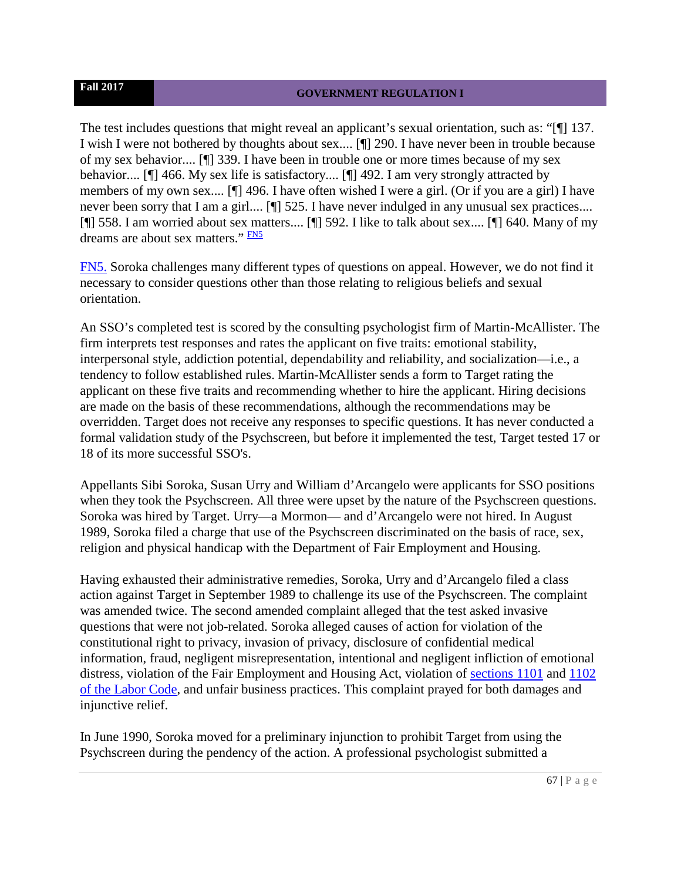The test includes questions that might reveal an applicant's sexual orientation, such as: "[¶] 137. I wish I were not bothered by thoughts about sex.... [¶] 290. I have never been in trouble because of my sex behavior.... [¶] 339. I have been in trouble one or more times because of my sex behavior.... [¶] 466. My sex life is satisfactory.... [¶] 492. I am very strongly attracted by members of my own sex.... [¶] 496. I have often wished I were a girl. (Or if you are a girl) I have never been sorry that I am a girl.... [¶] 525. I have never indulged in any unusual sex practices.... [¶] 558. I am worried about sex matters.... [¶] 592. I like to talk about sex.... [¶] 640. Many of my dreams are about sex matters." **[FN5](http://web2.westlaw.com/result/documenttext.aspx?sv=Split&service=Find&fcl=False&findtype=Y&rlti=1&cnt=DOC&cxt=DC&rlt=CLID_FQRLT292812249&rs=WLW7.09&ss=CNT&fn=_top&n=1&mt=LawSchoolPractitioner&vr=2.0&rp=%2fFind%2fdefault.wl&serialnum=1991176399&db=3484&docsample=False#B00651991176399#B00651991176399)** 

[FN5.](http://web2.westlaw.com/result/documenttext.aspx?sv=Split&service=Find&fcl=False&findtype=Y&rlti=1&cnt=DOC&cxt=DC&rlt=CLID_FQRLT292812249&rs=WLW7.09&ss=CNT&fn=_top&n=1&mt=LawSchoolPractitioner&vr=2.0&rp=%2fFind%2fdefault.wl&serialnum=1991176399&db=3484&docsample=False#F00651991176399#F00651991176399) Soroka challenges many different types of questions on appeal. However, we do not find it necessary to consider questions other than those relating to religious beliefs and sexual orientation.

An SSO's completed test is scored by the consulting psychologist firm of Martin-McAllister. The firm interprets test responses and rates the applicant on five traits: emotional stability, interpersonal style, addiction potential, dependability and reliability, and socialization—i.e., a tendency to follow established rules. Martin-McAllister sends a form to Target rating the applicant on these five traits and recommending whether to hire the applicant. Hiring decisions are made on the basis of these recommendations, although the recommendations may be overridden. Target does not receive any responses to specific questions. It has never conducted a formal validation study of the Psychscreen, but before it implemented the test, Target tested 17 or 18 of its more successful SSO's.

Appellants Sibi Soroka, Susan Urry and William d'Arcangelo were applicants for SSO positions when they took the Psychscreen. All three were upset by the nature of the Psychscreen questions. Soroka was hired by Target. Urry—a Mormon— and d'Arcangelo were not hired. In August 1989, Soroka filed a charge that use of the Psychscreen discriminated on the basis of race, sex, religion and physical handicap with the Department of Fair Employment and Housing.

Having exhausted their administrative remedies, Soroka, Urry and d'Arcangelo filed a class action against Target in September 1989 to challenge its use of the Psychscreen. The complaint was amended twice. The second amended complaint alleged that the test asked invasive questions that were not job-related. Soroka alleged causes of action for violation of the constitutional right to privacy, invasion of privacy, disclosure of confidential medical information, fraud, negligent misrepresentation, intentional and negligent infliction of emotional distress, violation of the Fair Employment and Housing Act, violation of [sections 1101](http://web2.westlaw.com/find/default.wl?tf=-1&rs=WLW7.09&fn=_top&sv=Split&tc=-1&findtype=L&docname=CALBS1101&db=1000298&vr=2.0&rp=%2ffind%2fdefault.wl&mt=LawSchoolPractitioner) and [1102](http://web2.westlaw.com/find/default.wl?tf=-1&rs=WLW7.09&fn=_top&sv=Split&tc=-1&findtype=L&docname=CALBS1102&db=1000298&vr=2.0&rp=%2ffind%2fdefault.wl&mt=LawSchoolPractitioner)  [of the Labor Code,](http://web2.westlaw.com/find/default.wl?tf=-1&rs=WLW7.09&fn=_top&sv=Split&tc=-1&findtype=L&docname=CALBS1102&db=1000298&vr=2.0&rp=%2ffind%2fdefault.wl&mt=LawSchoolPractitioner) and unfair business practices. This complaint prayed for both damages and injunctive relief.

In June 1990, Soroka moved for a preliminary injunction to prohibit Target from using the Psychscreen during the pendency of the action. A professional psychologist submitted a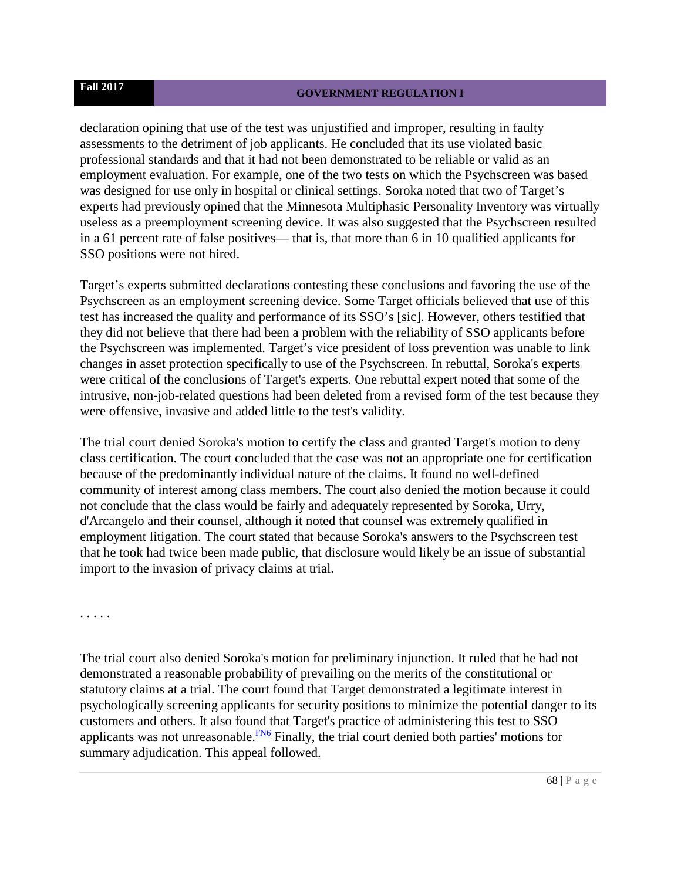declaration opining that use of the test was unjustified and improper, resulting in faulty assessments to the detriment of job applicants. He concluded that its use violated basic professional standards and that it had not been demonstrated to be reliable or valid as an employment evaluation. For example, one of the two tests on which the Psychscreen was based was designed for use only in hospital or clinical settings. Soroka noted that two of Target's experts had previously opined that the Minnesota Multiphasic Personality Inventory was virtually useless as a preemployment screening device. It was also suggested that the Psychscreen resulted in a 61 percent rate of false positives— that is, that more than 6 in 10 qualified applicants for SSO positions were not hired.

Target's experts submitted declarations contesting these conclusions and favoring the use of the Psychscreen as an employment screening device. Some Target officials believed that use of this test has increased the quality and performance of its SSO's [sic]. However, others testified that they did not believe that there had been a problem with the reliability of SSO applicants before the Psychscreen was implemented. Target's vice president of loss prevention was unable to link changes in asset protection specifically to use of the Psychscreen. In rebuttal, Soroka's experts were critical of the conclusions of Target's experts. One rebuttal expert noted that some of the intrusive, non-job-related questions had been deleted from a revised form of the test because they were offensive, invasive and added little to the test's validity.

The trial court denied Soroka's motion to certify the class and granted Target's motion to deny class certification. The court concluded that the case was not an appropriate one for certification because of the predominantly individual nature of the claims. It found no well-defined community of interest among class members. The court also denied the motion because it could not conclude that the class would be fairly and adequately represented by Soroka, Urry, d'Arcangelo and their counsel, although it noted that counsel was extremely qualified in employment litigation. The court stated that because Soroka's answers to the Psychscreen test that he took had twice been made public, that disclosure would likely be an issue of substantial import to the invasion of privacy claims at trial.

. . . . .

The trial court also denied Soroka's motion for preliminary injunction. It ruled that he had not demonstrated a reasonable probability of prevailing on the merits of the constitutional or statutory claims at a trial. The court found that Target demonstrated a legitimate interest in psychologically screening applicants for security positions to minimize the potential danger to its customers and others. It also found that Target's practice of administering this test to SSO applicants was not unreasonable.  $\frac{FN}{T}$  Finally, the trial court denied both parties' motions for summary adjudication. This appeal followed[.](http://web2.westlaw.com/result/documenttext.aspx?sv=Split&service=Find&fcl=False&findtype=Y&rlti=1&cnt=DOC&cxt=DC&rlt=CLID_FQRLT292812249&rs=WLW7.09&ss=CNT&fn=_top&n=1&mt=LawSchoolPractitioner&vr=2.0&rp=%2fFind%2fdefault.wl&serialnum=1991176399&db=3484&docsample=False#B00871991176399#B00871991176399)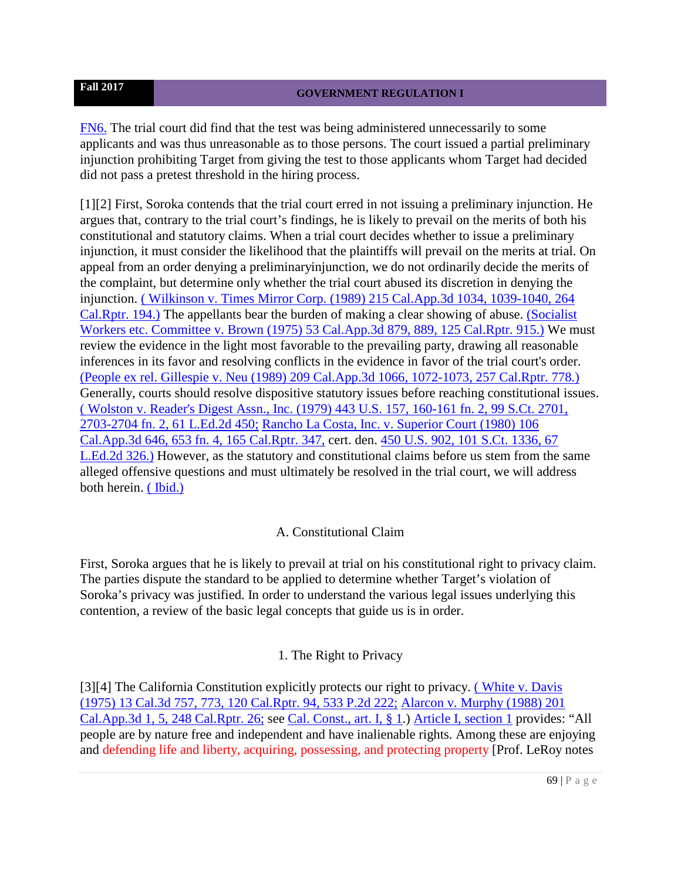[FN6.](http://web2.westlaw.com/result/documenttext.aspx?sv=Split&service=Find&fcl=False&findtype=Y&rlti=1&cnt=DOC&cxt=DC&rlt=CLID_FQRLT292812249&rs=WLW7.09&ss=CNT&fn=_top&n=1&mt=LawSchoolPractitioner&vr=2.0&rp=%2fFind%2fdefault.wl&serialnum=1991176399&db=3484&docsample=False#F00761991176399#F00761991176399) The trial court did find that the test was being administered unnecessarily to some applicants and was thus unreasonable as to those persons. The court issued a partial preliminary injunction prohibiting Target from giving the test to those applicants whom Target had decided did not pass a pretest threshold in the hiring process.

[1][2] First, Soroka contends that the trial court erred in not issuing a preliminary injunction. He argues that, contrary to the trial court's findings, he is likely to prevail on the merits of both his constitutional and statutory claims. When a trial court decides whether to issue a preliminary injunction, it must consider the likelihood that the plaintiffs will prevail on the merits at trial. On appeal from an order denying a preliminaryinjunction, we do not ordinarily decide the merits of the complaint, but determine only whether the trial court abused its discretion in denying the injunction. ( Wilkinson v. Times Mirror Corp. [\(1989\) 215 Cal.App.3d 1034, 1039-1040, 264](http://web2.westlaw.com/find/default.wl?rs=WLW7.09&serialnum=1989165715&fn=_top&sv=Split&tc=-1&findtype=Y&tf=-1&db=227&vr=2.0&rp=%2ffind%2fdefault.wl&mt=LawSchoolPractitioner)  [Cal.Rptr. 194.\)](http://web2.westlaw.com/find/default.wl?rs=WLW7.09&serialnum=1989165715&fn=_top&sv=Split&tc=-1&findtype=Y&tf=-1&db=227&vr=2.0&rp=%2ffind%2fdefault.wl&mt=LawSchoolPractitioner) The appellants bear the burden of making a clear showing of abuse. [\(Socialist](http://web2.westlaw.com/find/default.wl?rs=WLW7.09&serialnum=1975104731&fn=_top&sv=Split&tc=-1&findtype=Y&tf=-1&db=227&vr=2.0&rp=%2ffind%2fdefault.wl&mt=LawSchoolPractitioner)  Workers etc. Committee v. Brown [\(1975\) 53 Cal.App.3d 879, 889, 125 Cal.Rptr. 915.\)](http://web2.westlaw.com/find/default.wl?rs=WLW7.09&serialnum=1975104731&fn=_top&sv=Split&tc=-1&findtype=Y&tf=-1&db=227&vr=2.0&rp=%2ffind%2fdefault.wl&mt=LawSchoolPractitioner) We must review the evidence in the light most favorable to the prevailing party, drawing all reasonable inferences in its favor and resolving conflicts in the evidence in favor of the trial court's order. (People ex rel. Gillespie v. Neu [\(1989\) 209 Cal.App.3d 1066, 1072-1073, 257 Cal.Rptr. 778.\)](http://web2.westlaw.com/find/default.wl?rs=WLW7.09&serialnum=1989059711&fn=_top&sv=Split&tc=-1&findtype=Y&tf=-1&db=227&vr=2.0&rp=%2ffind%2fdefault.wl&mt=LawSchoolPractitioner) Generally, courts should resolve dispositive statutory issues before reaching constitutional issues. ( Wolston v. Reader's Digest Assn., Inc. [\(1979\) 443 U.S. 157, 160-161 fn. 2, 99 S.Ct. 2701,](http://web2.westlaw.com/find/default.wl?tf=-1&rs=WLW7.09&referencepositiontype=S&serialnum=1979135166&fn=_top&sv=Split&tc=-1&findtype=Y&referenceposition=2703&db=708&vr=2.0&rp=%2ffind%2fdefault.wl&mt=LawSchoolPractitioner)  [2703-2704 fn. 2, 61 L.Ed.2d 450;](http://web2.westlaw.com/find/default.wl?tf=-1&rs=WLW7.09&referencepositiontype=S&serialnum=1979135166&fn=_top&sv=Split&tc=-1&findtype=Y&referenceposition=2703&db=708&vr=2.0&rp=%2ffind%2fdefault.wl&mt=LawSchoolPractitioner) [Rancho La Costa, Inc. v. Superior Court](http://web2.westlaw.com/find/default.wl?rs=WLW7.09&serialnum=1980112413&fn=_top&sv=Split&tc=-1&findtype=Y&tf=-1&db=227&vr=2.0&rp=%2ffind%2fdefault.wl&mt=LawSchoolPractitioner) (1980) 106 [Cal.App.3d 646, 653 fn. 4, 165 Cal.Rptr. 347,](http://web2.westlaw.com/find/default.wl?rs=WLW7.09&serialnum=1980112413&fn=_top&sv=Split&tc=-1&findtype=Y&tf=-1&db=227&vr=2.0&rp=%2ffind%2fdefault.wl&mt=LawSchoolPractitioner) cert. den. [450 U.S. 902, 101 S.Ct. 1336, 67](http://web2.westlaw.com/find/default.wl?rs=WLW7.09&serialnum=1981212101&fn=_top&sv=Split&tc=-1&findtype=Y&tf=-1&db=708&vr=2.0&rp=%2ffind%2fdefault.wl&mt=LawSchoolPractitioner)  [L.Ed.2d 326.\)](http://web2.westlaw.com/find/default.wl?rs=WLW7.09&serialnum=1981212101&fn=_top&sv=Split&tc=-1&findtype=Y&tf=-1&db=708&vr=2.0&rp=%2ffind%2fdefault.wl&mt=LawSchoolPractitioner) However, as the statutory and constitutional claims before us stem from the same alleged offensive questions and must ultimately be resolved in the trial court, we will address both herein. [\( Ibid.\)](http://web2.westlaw.com/find/default.wl?rs=WLW7.09&serialnum=1980112413&sv=Split&fn=_top&findtype=Y&tc=-1&tf=-1&vr=2.0&rp=%2ffind%2fdefault.wl&mt=LawSchoolPractitioner)

### A. Constitutional Claim

First, Soroka argues that he is likely to prevail at trial on his constitutional right to privacy claim. The parties dispute the standard to be applied to determine whether Target's violation of Soroka's privacy was justified. In order to understand the various legal issues underlying this contention, a review of the basic legal concepts that guide us is in order.

### 1. The Right to Privacy

[3][4] The California Constitution explicitly protects our right to privacy. (White v. Davis [\(1975\) 13 Cal.3d 757, 773, 120 Cal.Rptr. 94, 533 P.2d 222;](http://web2.westlaw.com/find/default.wl?rs=WLW7.09&serialnum=1975125764&fn=_top&sv=Split&tc=-1&findtype=Y&tf=-1&db=661&vr=2.0&rp=%2ffind%2fdefault.wl&mt=LawSchoolPractitioner) [Alarcon v. Murphy](http://web2.westlaw.com/find/default.wl?rs=WLW7.09&serialnum=1988078447&fn=_top&sv=Split&tc=-1&findtype=Y&tf=-1&db=227&vr=2.0&rp=%2ffind%2fdefault.wl&mt=LawSchoolPractitioner) (1988) 201 [Cal.App.3d 1, 5, 248 Cal.Rptr. 26;](http://web2.westlaw.com/find/default.wl?rs=WLW7.09&serialnum=1988078447&fn=_top&sv=Split&tc=-1&findtype=Y&tf=-1&db=227&vr=2.0&rp=%2ffind%2fdefault.wl&mt=LawSchoolPractitioner) see [Cal. Const., art. I, § 1.](http://web2.westlaw.com/find/default.wl?tf=-1&rs=WLW7.09&fn=_top&sv=Split&tc=-1&findtype=L&docname=CACNART1S1&db=1000298&vr=2.0&rp=%2ffind%2fdefault.wl&mt=LawSchoolPractitioner)) [Article I, section 1](http://web2.westlaw.com/find/default.wl?tf=-1&rs=WLW7.09&fn=_top&sv=Split&tc=-1&findtype=L&docname=CACNART1S1&db=1000298&vr=2.0&rp=%2ffind%2fdefault.wl&mt=LawSchoolPractitioner) provides: "All people are by nature free and independent and have inalienable rights. Among these are enjoying and defending life and liberty, acquiring, possessing, and protecting property [Prof. LeRoy notes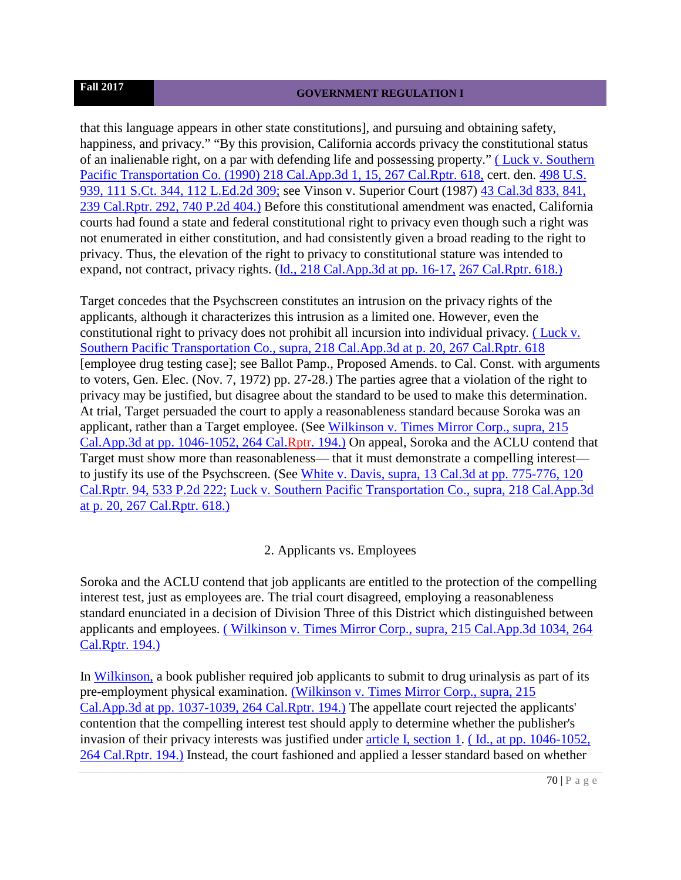that this language appears in other state constitutions], and pursuing and obtaining safety, happiness, and privacy." "By this provision, California accords privacy the constitutional status of an inalienable right, on a par with defending life and possessing property." [\( Luck v. Southern](http://web2.westlaw.com/find/default.wl?rs=WLW7.09&serialnum=1990041440&fn=_top&sv=Split&tc=-1&findtype=Y&tf=-1&db=227&vr=2.0&rp=%2ffind%2fdefault.wl&mt=LawSchoolPractitioner)  Pacific Transportation Co. [\(1990\) 218 Cal.App.3d 1, 15, 267 Cal.Rptr. 618,](http://web2.westlaw.com/find/default.wl?rs=WLW7.09&serialnum=1990041440&fn=_top&sv=Split&tc=-1&findtype=Y&tf=-1&db=227&vr=2.0&rp=%2ffind%2fdefault.wl&mt=LawSchoolPractitioner) cert. den. [498 U.S.](http://web2.westlaw.com/find/default.wl?rs=WLW7.09&serialnum=1990133717&fn=_top&sv=Split&tc=-1&findtype=Y&tf=-1&db=708&vr=2.0&rp=%2ffind%2fdefault.wl&mt=LawSchoolPractitioner)  [939, 111 S.Ct. 344, 112 L.Ed.2d 309;](http://web2.westlaw.com/find/default.wl?rs=WLW7.09&serialnum=1990133717&fn=_top&sv=Split&tc=-1&findtype=Y&tf=-1&db=708&vr=2.0&rp=%2ffind%2fdefault.wl&mt=LawSchoolPractitioner) see Vinson v. Superior Court (1987) [43 Cal.3d 833, 841,](http://web2.westlaw.com/find/default.wl?rs=WLW7.09&serialnum=1987107014&fn=_top&sv=Split&tc=-1&findtype=Y&tf=-1&db=661&vr=2.0&rp=%2ffind%2fdefault.wl&mt=LawSchoolPractitioner)  [239 Cal.Rptr. 292, 740 P.2d 404.\)](http://web2.westlaw.com/find/default.wl?rs=WLW7.09&serialnum=1987107014&fn=_top&sv=Split&tc=-1&findtype=Y&tf=-1&db=661&vr=2.0&rp=%2ffind%2fdefault.wl&mt=LawSchoolPractitioner) Before this constitutional amendment was enacted, California courts had found a state and federal constitutional right to privacy even though such a right was not enumerated in either constitution, and had consistently given a broad reading to the right to privacy. Thus, the elevation of the right to privacy to constitutional stature was intended to expand, not contract, privacy rights. (Id., [218 Cal.App.3d at pp. 16-17,](http://web2.westlaw.com/find/default.wl?tf=-1&rs=WLW7.09&referencepositiontype=S&serialnum=1990041440&fn=_top&sv=Split&tc=-1&findtype=Y&referenceposition=16&db=226&vr=2.0&rp=%2ffind%2fdefault.wl&mt=LawSchoolPractitioner) [267 Cal.Rptr. 618.\)](http://web2.westlaw.com/find/default.wl?rs=WLW7.09&serialnum=1990041440&fn=_top&sv=Split&tc=-1&findtype=Y&tf=-1&db=227&vr=2.0&rp=%2ffind%2fdefault.wl&mt=LawSchoolPractitioner)

Target concedes that the Psychscreen constitutes an intrusion on the privacy rights of the applicants, although it characterizes this intrusion as a limited one. However, even the constitutional right to privacy does not prohibit all incursion into individual privacy. [\( Luck v.](http://web2.westlaw.com/find/default.wl?rs=WLW7.09&serialnum=1990041440&fn=_top&sv=Split&tc=-1&findtype=Y&tf=-1&db=227&vr=2.0&rp=%2ffind%2fdefault.wl&mt=LawSchoolPractitioner)  [Southern Pacific Transportation Co., supra,](http://web2.westlaw.com/find/default.wl?rs=WLW7.09&serialnum=1990041440&fn=_top&sv=Split&tc=-1&findtype=Y&tf=-1&db=227&vr=2.0&rp=%2ffind%2fdefault.wl&mt=LawSchoolPractitioner) 218 Cal.App.3d at p. 20, 267 Cal.Rptr. 618 [employee drug testing case]; see Ballot Pamp., Proposed Amends. to Cal. Const. with arguments to voters, Gen. Elec. (Nov. 7, 1972) pp. 27-28.) The parties agree that a violation of the right to privacy may be justified, but disagree about the standard to be used to make this determination. At trial, Target persuaded the court to apply a reasonableness standard because Soroka was an applicant, rather than a Target employee. (See [Wilkinson v. Times Mirror Corp., supra,](http://web2.westlaw.com/find/default.wl?rs=WLW7.09&serialnum=1989165715&fn=_top&sv=Split&tc=-1&findtype=Y&tf=-1&db=227&vr=2.0&rp=%2ffind%2fdefault.wl&mt=LawSchoolPractitioner) 215 [Cal.App.3d at pp. 1046-1052, 264 Cal.Rptr. 194.\)](http://web2.westlaw.com/find/default.wl?rs=WLW7.09&serialnum=1989165715&fn=_top&sv=Split&tc=-1&findtype=Y&tf=-1&db=227&vr=2.0&rp=%2ffind%2fdefault.wl&mt=LawSchoolPractitioner) On appeal, Soroka and the ACLU contend that Target must show more than reasonableness— that it must demonstrate a compelling interest to justify its use of the Psychscreen. (See White v. Davis, supra, [13 Cal.3d at pp. 775-776, 120](http://web2.westlaw.com/find/default.wl?rs=WLW7.09&serialnum=1975125764&fn=_top&sv=Split&tc=-1&findtype=Y&tf=-1&db=661&vr=2.0&rp=%2ffind%2fdefault.wl&mt=LawSchoolPractitioner)  [Cal.Rptr. 94, 533 P.2d 222;](http://web2.westlaw.com/find/default.wl?rs=WLW7.09&serialnum=1975125764&fn=_top&sv=Split&tc=-1&findtype=Y&tf=-1&db=661&vr=2.0&rp=%2ffind%2fdefault.wl&mt=LawSchoolPractitioner) [Luck v. Southern Pacific Transportation Co., supra,](http://web2.westlaw.com/find/default.wl?rs=WLW7.09&serialnum=1990041440&fn=_top&sv=Split&tc=-1&findtype=Y&tf=-1&db=227&vr=2.0&rp=%2ffind%2fdefault.wl&mt=LawSchoolPractitioner) 218 Cal.App.3d [at p. 20, 267 Cal.Rptr. 618.\)](http://web2.westlaw.com/find/default.wl?rs=WLW7.09&serialnum=1990041440&fn=_top&sv=Split&tc=-1&findtype=Y&tf=-1&db=227&vr=2.0&rp=%2ffind%2fdefault.wl&mt=LawSchoolPractitioner)

### 2. Applicants vs. Employees

Soroka and the ACLU contend that job applicants are entitled to the protection of the compelling interest test, just as employees are. The trial court disagreed, employing a reasonableness standard enunciated in a decision of Division Three of this District which distinguished between applicants and employees. [\( Wilkinson v. Times Mirror Corp., supra,](http://web2.westlaw.com/find/default.wl?rs=WLW7.09&serialnum=1989165715&fn=_top&sv=Split&tc=-1&findtype=Y&tf=-1&db=227&vr=2.0&rp=%2ffind%2fdefault.wl&mt=LawSchoolPractitioner) 215 Cal.App.3d 1034, 264 [Cal.Rptr. 194.\)](http://web2.westlaw.com/find/default.wl?rs=WLW7.09&serialnum=1989165715&fn=_top&sv=Split&tc=-1&findtype=Y&tf=-1&db=227&vr=2.0&rp=%2ffind%2fdefault.wl&mt=LawSchoolPractitioner)

In [Wilkinson,](http://web2.westlaw.com/find/default.wl?rs=WLW7.09&serialnum=1989165715&sv=Split&fn=_top&findtype=Y&tc=-1&tf=-1&vr=2.0&rp=%2ffind%2fdefault.wl&mt=LawSchoolPractitioner) a book publisher required job applicants to submit to drug urinalysis as part of its pre-employment physical examination. [\(Wilkinson v. Times Mirror Corp., supra,](http://web2.westlaw.com/find/default.wl?rs=WLW7.09&serialnum=1989165715&fn=_top&sv=Split&tc=-1&findtype=Y&tf=-1&db=227&vr=2.0&rp=%2ffind%2fdefault.wl&mt=LawSchoolPractitioner) 215 [Cal.App.3d at pp. 1037-1039, 264 Cal.Rptr. 194.\)](http://web2.westlaw.com/find/default.wl?rs=WLW7.09&serialnum=1989165715&fn=_top&sv=Split&tc=-1&findtype=Y&tf=-1&db=227&vr=2.0&rp=%2ffind%2fdefault.wl&mt=LawSchoolPractitioner) The appellate court rejected the applicants' contention that the compelling interest test should apply to determine whether the publisher's invasion of their privacy interests was justified under [article I, section 1.](http://web2.westlaw.com/find/default.wl?tf=-1&rs=WLW7.09&fn=_top&sv=Split&tc=-1&findtype=L&docname=CACNART1S1&db=1000298&vr=2.0&rp=%2ffind%2fdefault.wl&mt=LawSchoolPractitioner) ( Id., [at pp. 1046-1052,](http://web2.westlaw.com/find/default.wl?rs=WLW7.09&serialnum=1989165715&fn=_top&sv=Split&tc=-1&findtype=Y&tf=-1&db=227&vr=2.0&rp=%2ffind%2fdefault.wl&mt=LawSchoolPractitioner)  [264 Cal.Rptr. 194.\)](http://web2.westlaw.com/find/default.wl?rs=WLW7.09&serialnum=1989165715&fn=_top&sv=Split&tc=-1&findtype=Y&tf=-1&db=227&vr=2.0&rp=%2ffind%2fdefault.wl&mt=LawSchoolPractitioner) Instead, the court fashioned and applied a lesser standard based on whether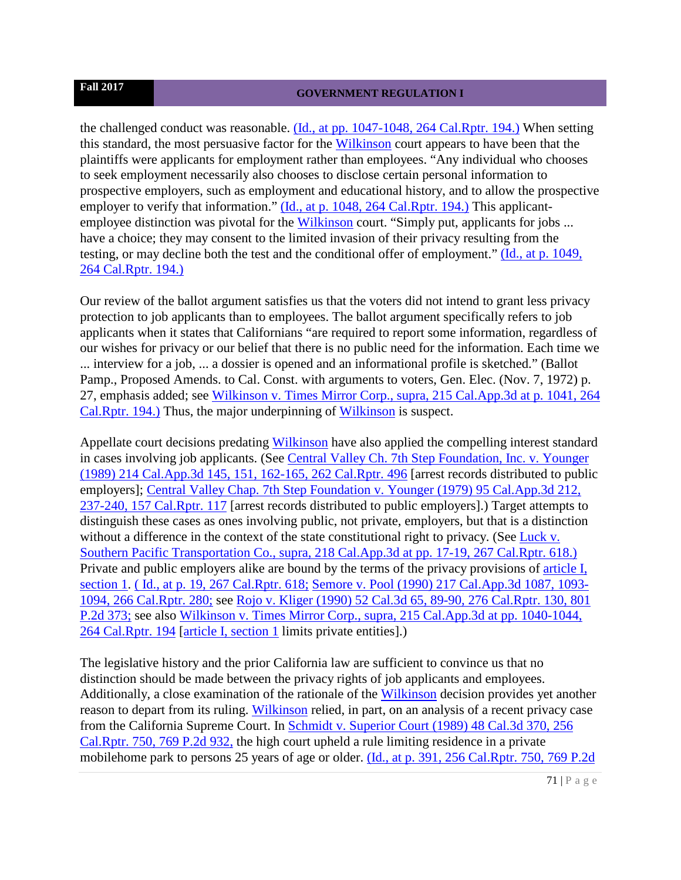the challenged conduct was reasonable. (Id., [at pp. 1047-1048, 264 Cal.Rptr. 194.\)](http://web2.westlaw.com/find/default.wl?rs=WLW7.09&serialnum=1989165715&fn=_top&sv=Split&tc=-1&findtype=Y&tf=-1&db=227&vr=2.0&rp=%2ffind%2fdefault.wl&mt=LawSchoolPractitioner) When setting this standard, the most persuasive factor for the [Wilkinson](http://web2.westlaw.com/find/default.wl?rs=WLW7.09&serialnum=1989165715&sv=Split&fn=_top&findtype=Y&tc=-1&tf=-1&vr=2.0&rp=%2ffind%2fdefault.wl&mt=LawSchoolPractitioner) court appears to have been that the plaintiffs were applicants for employment rather than employees. "Any individual who chooses to seek employment necessarily also chooses to disclose certain personal information to prospective employers, such as employment and educational history, and to allow the prospective employer to verify that information." (Id., [at p. 1048, 264 Cal.Rptr. 194.\)](http://web2.westlaw.com/find/default.wl?rs=WLW7.09&serialnum=1989165715&fn=_top&sv=Split&tc=-1&findtype=Y&tf=-1&db=227&vr=2.0&rp=%2ffind%2fdefault.wl&mt=LawSchoolPractitioner) This applicant-employee distinction was pivotal for the [Wilkinson](http://web2.westlaw.com/find/default.wl?rs=WLW7.09&serialnum=1989165715&sv=Split&fn=_top&findtype=Y&tc=-1&tf=-1&vr=2.0&rp=%2ffind%2fdefault.wl&mt=LawSchoolPractitioner) court. "Simply put, applicants for jobs ... have a choice; they may consent to the limited invasion of their privacy resulting from the testing, or may decline both the test and the conditional offer of employment." (Id., [at p. 1049,](http://web2.westlaw.com/find/default.wl?rs=WLW7.09&serialnum=1989165715&fn=_top&sv=Split&tc=-1&findtype=Y&tf=-1&db=227&vr=2.0&rp=%2ffind%2fdefault.wl&mt=LawSchoolPractitioner)  [264 Cal.Rptr. 194.\)](http://web2.westlaw.com/find/default.wl?rs=WLW7.09&serialnum=1989165715&fn=_top&sv=Split&tc=-1&findtype=Y&tf=-1&db=227&vr=2.0&rp=%2ffind%2fdefault.wl&mt=LawSchoolPractitioner)

Our review of the ballot argument satisfies us that the voters did not intend to grant less privacy protection to job applicants than to employees. The ballot argument specifically refers to job applicants when it states that Californians "are required to report some information, regardless of our wishes for privacy or our belief that there is no public need for the information. Each time we ... interview for a job, ... a dossier is opened and an informational profile is sketched." (Ballot Pamp., Proposed Amends. to Cal. Const. with arguments to voters, Gen. Elec. (Nov. 7, 1972) p. 27, emphasis added; see [Wilkinson v. Times Mirror Corp., supra,](http://web2.westlaw.com/find/default.wl?rs=WLW7.09&serialnum=1989165715&fn=_top&sv=Split&tc=-1&findtype=Y&tf=-1&db=227&vr=2.0&rp=%2ffind%2fdefault.wl&mt=LawSchoolPractitioner) 215 Cal.App.3d at p. 1041, 264 [Cal.Rptr. 194.\)](http://web2.westlaw.com/find/default.wl?rs=WLW7.09&serialnum=1989165715&fn=_top&sv=Split&tc=-1&findtype=Y&tf=-1&db=227&vr=2.0&rp=%2ffind%2fdefault.wl&mt=LawSchoolPractitioner) Thus, the major underpinning of [Wilkinson](http://web2.westlaw.com/find/default.wl?rs=WLW7.09&serialnum=1989165715&sv=Split&fn=_top&findtype=Y&tc=-1&tf=-1&vr=2.0&rp=%2ffind%2fdefault.wl&mt=LawSchoolPractitioner) is suspect.

Appellate court decisions predating [Wilkinson](http://web2.westlaw.com/find/default.wl?rs=WLW7.09&serialnum=1989165715&sv=Split&fn=_top&findtype=Y&tc=-1&tf=-1&vr=2.0&rp=%2ffind%2fdefault.wl&mt=LawSchoolPractitioner) have also applied the compelling interest standard in cases involving job applicants. (See [Central Valley Ch. 7th Step Foundation, Inc. v. Younger](http://web2.westlaw.com/find/default.wl?rs=WLW7.09&serialnum=1989134846&fn=_top&sv=Split&tc=-1&findtype=Y&tf=-1&db=227&vr=2.0&rp=%2ffind%2fdefault.wl&mt=LawSchoolPractitioner) [\(1989\) 214 Cal.App.3d 145, 151, 162-165, 262 Cal.Rptr. 496](http://web2.westlaw.com/find/default.wl?rs=WLW7.09&serialnum=1989134846&fn=_top&sv=Split&tc=-1&findtype=Y&tf=-1&db=227&vr=2.0&rp=%2ffind%2fdefault.wl&mt=LawSchoolPractitioner) [arrest records distributed to public employers]; [Central Valley Chap. 7th Step Foundation v. Younger](http://web2.westlaw.com/find/default.wl?rs=WLW7.09&serialnum=1979111543&fn=_top&sv=Split&tc=-1&findtype=Y&tf=-1&db=227&vr=2.0&rp=%2ffind%2fdefault.wl&mt=LawSchoolPractitioner) (1979) 95 Cal.App.3d 212, [237-240, 157 Cal.Rptr. 117](http://web2.westlaw.com/find/default.wl?rs=WLW7.09&serialnum=1979111543&fn=_top&sv=Split&tc=-1&findtype=Y&tf=-1&db=227&vr=2.0&rp=%2ffind%2fdefault.wl&mt=LawSchoolPractitioner) [arrest records distributed to public employers].) Target attempts to distinguish these cases as ones involving public, not private, employers, but that is a distinction without a difference in the context of the state constitutional right to privacy. (See Luck v. Southern Pacific Transportation Co., supra, [218 Cal.App.3d at pp. 17-19, 267 Cal.Rptr. 618.\)](http://web2.westlaw.com/find/default.wl?rs=WLW7.09&serialnum=1990041440&fn=_top&sv=Split&tc=-1&findtype=Y&tf=-1&db=227&vr=2.0&rp=%2ffind%2fdefault.wl&mt=LawSchoolPractitioner) Private and public employers alike are bound by the terms of the privacy provisions of [article I,](http://web2.westlaw.com/find/default.wl?tf=-1&rs=WLW7.09&fn=_top&sv=Split&tc=-1&findtype=L&docname=CACNART1S1&db=1000298&vr=2.0&rp=%2ffind%2fdefault.wl&mt=LawSchoolPractitioner)  [section 1.](http://web2.westlaw.com/find/default.wl?tf=-1&rs=WLW7.09&fn=_top&sv=Split&tc=-1&findtype=L&docname=CACNART1S1&db=1000298&vr=2.0&rp=%2ffind%2fdefault.wl&mt=LawSchoolPractitioner) ( Id., [at p. 19, 267 Cal.Rptr. 618;](http://web2.westlaw.com/find/default.wl?rs=WLW7.09&serialnum=1990041440&fn=_top&sv=Split&tc=-1&findtype=Y&tf=-1&db=227&vr=2.0&rp=%2ffind%2fdefault.wl&mt=LawSchoolPractitioner) Semore v. Pool [\(1990\) 217 Cal.App.3d 1087, 1093-](http://web2.westlaw.com/find/default.wl?rs=WLW7.09&serialnum=1990030344&fn=_top&sv=Split&tc=-1&findtype=Y&tf=-1&db=227&vr=2.0&rp=%2ffind%2fdefault.wl&mt=LawSchoolPractitioner) [1094, 266 Cal.Rptr. 280;](http://web2.westlaw.com/find/default.wl?rs=WLW7.09&serialnum=1990030344&fn=_top&sv=Split&tc=-1&findtype=Y&tf=-1&db=227&vr=2.0&rp=%2ffind%2fdefault.wl&mt=LawSchoolPractitioner) see Rojo v. Kliger [\(1990\) 52 Cal.3d 65, 89-90, 276 Cal.Rptr. 130, 801](http://web2.westlaw.com/find/default.wl?rs=WLW7.09&serialnum=1990179762&fn=_top&sv=Split&tc=-1&findtype=Y&tf=-1&db=661&vr=2.0&rp=%2ffind%2fdefault.wl&mt=LawSchoolPractitioner)  [P.2d 373;](http://web2.westlaw.com/find/default.wl?rs=WLW7.09&serialnum=1990179762&fn=_top&sv=Split&tc=-1&findtype=Y&tf=-1&db=661&vr=2.0&rp=%2ffind%2fdefault.wl&mt=LawSchoolPractitioner) see also [Wilkinson v. Times Mirror Corp., supra,](http://web2.westlaw.com/find/default.wl?rs=WLW7.09&serialnum=1989165715&fn=_top&sv=Split&tc=-1&findtype=Y&tf=-1&db=227&vr=2.0&rp=%2ffind%2fdefault.wl&mt=LawSchoolPractitioner) 215 Cal.App.3d at pp. 1040-1044, [264 Cal.Rptr. 194](http://web2.westlaw.com/find/default.wl?rs=WLW7.09&serialnum=1989165715&fn=_top&sv=Split&tc=-1&findtype=Y&tf=-1&db=227&vr=2.0&rp=%2ffind%2fdefault.wl&mt=LawSchoolPractitioner) [\[article I, section 1](http://web2.westlaw.com/find/default.wl?tf=-1&rs=WLW7.09&fn=_top&sv=Split&tc=-1&findtype=L&docname=CACNART1S1&db=1000298&vr=2.0&rp=%2ffind%2fdefault.wl&mt=LawSchoolPractitioner) limits private entities].)

The legislative history and the prior California law are sufficient to convince us that no distinction should be made between the privacy rights of job applicants and employees. Additionally, a close examination of the rationale of the [Wilkinson](http://web2.westlaw.com/find/default.wl?rs=WLW7.09&serialnum=1989165715&sv=Split&fn=_top&findtype=Y&tc=-1&tf=-1&vr=2.0&rp=%2ffind%2fdefault.wl&mt=LawSchoolPractitioner) decision provides yet another reason to depart from its ruling. [Wilkinson](http://web2.westlaw.com/find/default.wl?rs=WLW7.09&serialnum=1989165715&sv=Split&fn=_top&findtype=Y&tc=-1&tf=-1&vr=2.0&rp=%2ffind%2fdefault.wl&mt=LawSchoolPractitioner) relied, in part, on an analysis of a recent privacy case from the California Supreme Court. In Schmidt v. Superior Court [\(1989\) 48 Cal.3d 370, 256](http://web2.westlaw.com/find/default.wl?rs=WLW7.09&serialnum=1989047325&fn=_top&sv=Split&tc=-1&findtype=Y&tf=-1&db=661&vr=2.0&rp=%2ffind%2fdefault.wl&mt=LawSchoolPractitioner)  [Cal.Rptr. 750, 769 P.2d 932,](http://web2.westlaw.com/find/default.wl?rs=WLW7.09&serialnum=1989047325&fn=_top&sv=Split&tc=-1&findtype=Y&tf=-1&db=661&vr=2.0&rp=%2ffind%2fdefault.wl&mt=LawSchoolPractitioner) the high court upheld a rule limiting residence in a private mobilehome park to persons 25 years of age or older. (Id., [at p. 391, 256 Cal.Rptr. 750, 769 P.2d](http://web2.westlaw.com/find/default.wl?rs=WLW7.09&serialnum=1989047325&fn=_top&sv=Split&tc=-1&findtype=Y&tf=-1&db=661&vr=2.0&rp=%2ffind%2fdefault.wl&mt=LawSchoolPractitioner)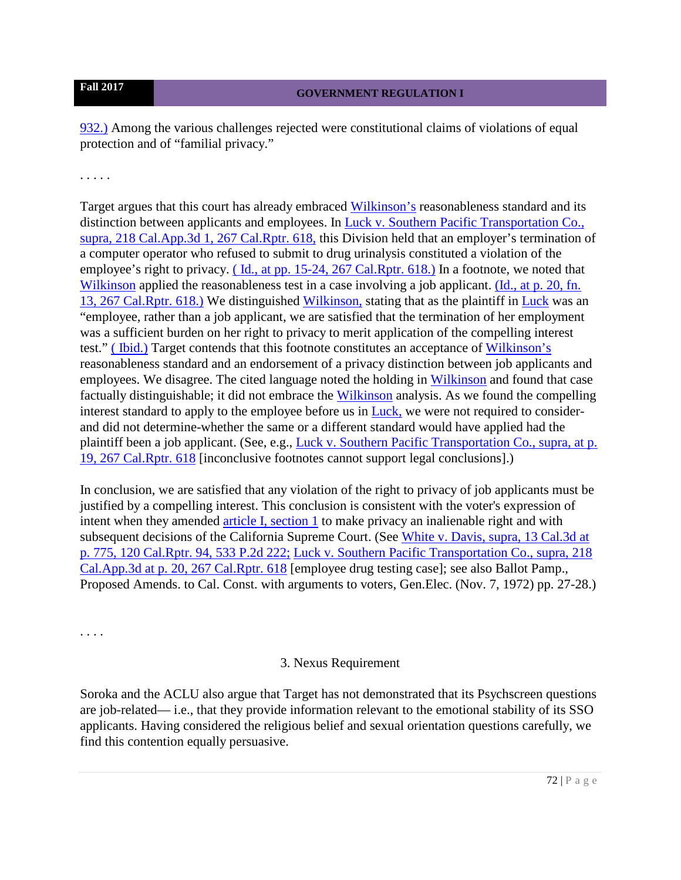[932.\)](http://web2.westlaw.com/find/default.wl?rs=WLW7.09&serialnum=1989047325&fn=_top&sv=Split&tc=-1&findtype=Y&tf=-1&db=661&vr=2.0&rp=%2ffind%2fdefault.wl&mt=LawSchoolPractitioner) Among the various challenges rejected were constitutional claims of violations of equal protection and of "familial privacy."

### . . . . .

Target argues that this court has already embraced [Wilkinson's](http://web2.westlaw.com/find/default.wl?rs=WLW7.09&serialnum=1989165715&sv=Split&fn=_top&findtype=Y&tc=-1&tf=-1&vr=2.0&rp=%2ffind%2fdefault.wl&mt=LawSchoolPractitioner) reasonableness standard and its distinction between applicants and employees. In [Luck v. Southern Pacific Transportation Co.,](http://web2.westlaw.com/find/default.wl?rs=WLW7.09&serialnum=1990041440&fn=_top&sv=Split&tc=-1&findtype=Y&tf=-1&db=227&vr=2.0&rp=%2ffind%2fdefault.wl&mt=LawSchoolPractitioner)  supra, [218 Cal.App.3d 1, 267 Cal.Rptr. 618,](http://web2.westlaw.com/find/default.wl?rs=WLW7.09&serialnum=1990041440&fn=_top&sv=Split&tc=-1&findtype=Y&tf=-1&db=227&vr=2.0&rp=%2ffind%2fdefault.wl&mt=LawSchoolPractitioner) this Division held that an employer's termination of a computer operator who refused to submit to drug urinalysis constituted a violation of the employee's right to privacy. (*Id., [at pp. 15-24, 267](http://web2.westlaw.com/find/default.wl?rs=WLW7.09&serialnum=1990041440&fn=_top&sv=Split&tc=-1&findtype=Y&tf=-1&db=227&vr=2.0&rp=%2ffind%2fdefault.wl&mt=LawSchoolPractitioner) Cal.Rptr. 618.*) In a footnote, we noted that [Wilkinson](http://web2.westlaw.com/find/default.wl?rs=WLW7.09&serialnum=1989165715&sv=Split&fn=_top&findtype=Y&tc=-1&tf=-1&vr=2.0&rp=%2ffind%2fdefault.wl&mt=LawSchoolPractitioner) applied the reasonableness test in a case involving a job applicant. (Id., at p. 20, fn. [13, 267 Cal.Rptr. 618.\)](http://web2.westlaw.com/find/default.wl?rs=WLW7.09&serialnum=1990041440&fn=_top&sv=Split&tc=-1&findtype=Y&tf=-1&db=227&vr=2.0&rp=%2ffind%2fdefault.wl&mt=LawSchoolPractitioner) We distinguished [Wilkinson,](http://web2.westlaw.com/find/default.wl?rs=WLW7.09&serialnum=1989165715&sv=Split&fn=_top&findtype=Y&tc=-1&tf=-1&vr=2.0&rp=%2ffind%2fdefault.wl&mt=LawSchoolPractitioner) stating that as the plaintiff in [Luck](http://web2.westlaw.com/find/default.wl?rs=WLW7.09&serialnum=1990041440&sv=Split&fn=_top&findtype=Y&tc=-1&tf=-1&vr=2.0&rp=%2ffind%2fdefault.wl&mt=LawSchoolPractitioner) was an "employee, rather than a job applicant, we are satisfied that the termination of her employment was a sufficient burden on her right to privacy to merit application of the compelling interest test." [\( Ibid.\)](http://web2.westlaw.com/find/default.wl?rs=WLW7.09&serialnum=1990041440&sv=Split&fn=_top&findtype=Y&tc=-1&tf=-1&vr=2.0&rp=%2ffind%2fdefault.wl&mt=LawSchoolPractitioner) Target contends that this footnote constitutes an acceptance of [Wilkinson's](http://web2.westlaw.com/find/default.wl?rs=WLW7.09&serialnum=1989165715&sv=Split&fn=_top&findtype=Y&tc=-1&tf=-1&vr=2.0&rp=%2ffind%2fdefault.wl&mt=LawSchoolPractitioner) reasonableness standard and an endorsement of a privacy distinction between job applicants and employees. We disagree. The cited language noted the holding in [Wilkinson](http://web2.westlaw.com/find/default.wl?rs=WLW7.09&serialnum=1989165715&sv=Split&fn=_top&findtype=Y&tc=-1&tf=-1&vr=2.0&rp=%2ffind%2fdefault.wl&mt=LawSchoolPractitioner) and found that case factually distinguishable; it did not embrace the [Wilkinson](http://web2.westlaw.com/find/default.wl?rs=WLW7.09&serialnum=1989165715&sv=Split&fn=_top&findtype=Y&tc=-1&tf=-1&vr=2.0&rp=%2ffind%2fdefault.wl&mt=LawSchoolPractitioner) analysis. As we found the compelling interest standard to apply to the employee before us in [Luck,](http://web2.westlaw.com/find/default.wl?rs=WLW7.09&serialnum=1990041440&sv=Split&fn=_top&findtype=Y&tc=-1&tf=-1&vr=2.0&rp=%2ffind%2fdefault.wl&mt=LawSchoolPractitioner) we were not required to considerand did not determine-whether the same or a different standard would have applied had the plaintiff been a job applicant. (See, e.g., [Luck v. Southern Pacific Transportation Co., supra,](http://web2.westlaw.com/find/default.wl?rs=WLW7.09&serialnum=1990041440&fn=_top&sv=Split&tc=-1&findtype=Y&tf=-1&db=227&vr=2.0&rp=%2ffind%2fdefault.wl&mt=LawSchoolPractitioner) at p. [19, 267 Cal.Rptr. 618](http://web2.westlaw.com/find/default.wl?rs=WLW7.09&serialnum=1990041440&fn=_top&sv=Split&tc=-1&findtype=Y&tf=-1&db=227&vr=2.0&rp=%2ffind%2fdefault.wl&mt=LawSchoolPractitioner) [inconclusive footnotes cannot support legal conclusions].)

In conclusion, we are satisfied that any violation of the right to privacy of job applicants must be justified by a compelling interest. This conclusion is consistent with the voter's expression of intent when they amended [article I, section 1](http://web2.westlaw.com/find/default.wl?tf=-1&rs=WLW7.09&fn=_top&sv=Split&tc=-1&findtype=L&docname=CACNART1S1&db=1000298&vr=2.0&rp=%2ffind%2fdefault.wl&mt=LawSchoolPractitioner) to make privacy an inalienable right and with subsequent decisions of the California Supreme Court. (See [White v. Davis, supra,](http://web2.westlaw.com/find/default.wl?rs=WLW7.09&serialnum=1975125764&fn=_top&sv=Split&tc=-1&findtype=Y&tf=-1&db=661&vr=2.0&rp=%2ffind%2fdefault.wl&mt=LawSchoolPractitioner) 13 Cal.3d at [p. 775, 120 Cal.Rptr. 94, 533 P.2d 222;](http://web2.westlaw.com/find/default.wl?rs=WLW7.09&serialnum=1975125764&fn=_top&sv=Split&tc=-1&findtype=Y&tf=-1&db=661&vr=2.0&rp=%2ffind%2fdefault.wl&mt=LawSchoolPractitioner) [Luck v. Southern Pacific Transportation Co., supra,](http://web2.westlaw.com/find/default.wl?rs=WLW7.09&serialnum=1990041440&fn=_top&sv=Split&tc=-1&findtype=Y&tf=-1&db=227&vr=2.0&rp=%2ffind%2fdefault.wl&mt=LawSchoolPractitioner) 218 [Cal.App.3d at p. 20, 267 Cal.Rptr. 618](http://web2.westlaw.com/find/default.wl?rs=WLW7.09&serialnum=1990041440&fn=_top&sv=Split&tc=-1&findtype=Y&tf=-1&db=227&vr=2.0&rp=%2ffind%2fdefault.wl&mt=LawSchoolPractitioner) [employee drug testing case]; see also Ballot Pamp., Proposed Amends. to Cal. Const. with arguments to voters, Gen.Elec. (Nov. 7, 1972) pp. 27-28.)

. . . .

### 3. Nexus Requirement

Soroka and the ACLU also argue that Target has not demonstrated that its Psychscreen questions are job-related— i.e., that they provide information relevant to the emotional stability of its SSO applicants. Having considered the religious belief and sexual orientation questions carefully, we find this contention equally persuasive.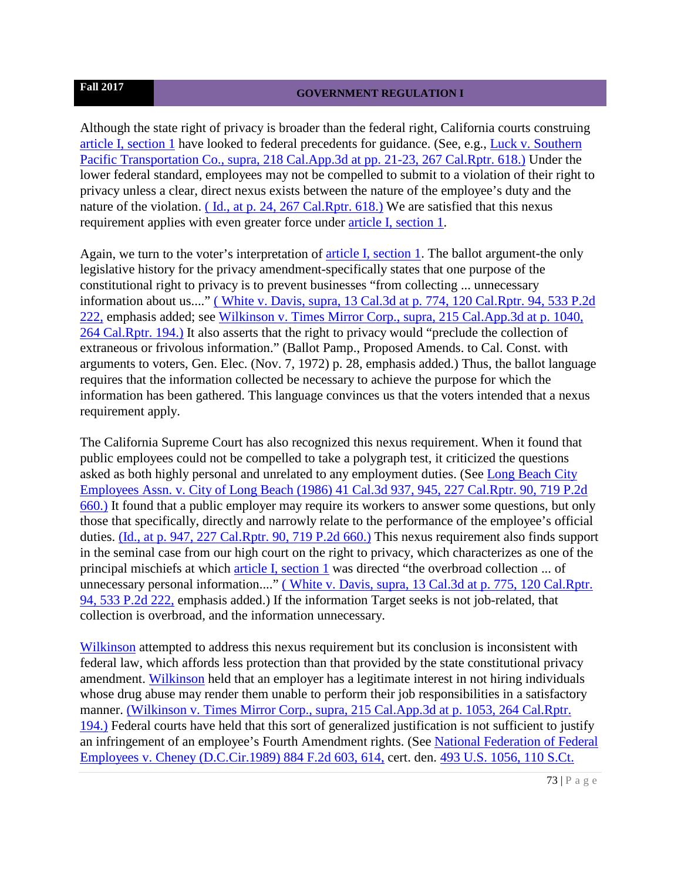Although the state right of privacy is broader than the federal right, California courts construing [article I, section 1](http://web2.westlaw.com/find/default.wl?tf=-1&rs=WLW7.09&fn=_top&sv=Split&tc=-1&findtype=L&docname=CACNART1S1&db=1000298&vr=2.0&rp=%2ffind%2fdefault.wl&mt=LawSchoolPractitioner) have looked to federal precedents for guidance. (See, e.g., [Luck v. Southern](http://web2.westlaw.com/find/default.wl?rs=WLW7.09&serialnum=1990041440&fn=_top&sv=Split&tc=-1&findtype=Y&tf=-1&db=227&vr=2.0&rp=%2ffind%2fdefault.wl&mt=LawSchoolPractitioner)  Pacific Transportation Co., supra, [218 Cal.App.3d at pp. 21-23, 267 Cal.Rptr. 618.\)](http://web2.westlaw.com/find/default.wl?rs=WLW7.09&serialnum=1990041440&fn=_top&sv=Split&tc=-1&findtype=Y&tf=-1&db=227&vr=2.0&rp=%2ffind%2fdefault.wl&mt=LawSchoolPractitioner) Under the lower federal standard, employees may not be compelled to submit to a violation of their right to privacy unless a clear, direct nexus exists between the nature of the employee's duty and the nature of the violation. (Id., [at p. 24, 267 Cal.Rptr. 618.\)](http://web2.westlaw.com/find/default.wl?rs=WLW7.09&serialnum=1990041440&fn=_top&sv=Split&tc=-1&findtype=Y&tf=-1&db=227&vr=2.0&rp=%2ffind%2fdefault.wl&mt=LawSchoolPractitioner) We are satisfied that this nexus requirement applies with even greater force under [article I, section 1.](http://web2.westlaw.com/find/default.wl?tf=-1&rs=WLW7.09&fn=_top&sv=Split&tc=-1&findtype=L&docname=CACNART1S1&db=1000298&vr=2.0&rp=%2ffind%2fdefault.wl&mt=LawSchoolPractitioner)

Again, we turn to the voter's interpretation of [article I, section 1.](http://web2.westlaw.com/find/default.wl?tf=-1&rs=WLW7.09&fn=_top&sv=Split&tc=-1&findtype=L&docname=CACNART1S1&db=1000298&vr=2.0&rp=%2ffind%2fdefault.wl&mt=LawSchoolPractitioner) The ballot argument-the only legislative history for the privacy amendment-specifically states that one purpose of the constitutional right to privacy is to prevent businesses "from collecting ... unnecessary information about us...." ( White v. Davis, supra, [13 Cal.3d at p. 774, 120 Cal.Rptr. 94, 533 P.2d](http://web2.westlaw.com/find/default.wl?rs=WLW7.09&serialnum=1975125764&fn=_top&sv=Split&tc=-1&findtype=Y&tf=-1&db=661&vr=2.0&rp=%2ffind%2fdefault.wl&mt=LawSchoolPractitioner)  [222,](http://web2.westlaw.com/find/default.wl?rs=WLW7.09&serialnum=1975125764&fn=_top&sv=Split&tc=-1&findtype=Y&tf=-1&db=661&vr=2.0&rp=%2ffind%2fdefault.wl&mt=LawSchoolPractitioner) emphasis added; see [Wilkinson v. Times Mirror Corp., supra,](http://web2.westlaw.com/find/default.wl?rs=WLW7.09&serialnum=1989165715&fn=_top&sv=Split&tc=-1&findtype=Y&tf=-1&db=227&vr=2.0&rp=%2ffind%2fdefault.wl&mt=LawSchoolPractitioner) 215 Cal.App.3d at p. 1040, [264 Cal.Rptr. 194.\)](http://web2.westlaw.com/find/default.wl?rs=WLW7.09&serialnum=1989165715&fn=_top&sv=Split&tc=-1&findtype=Y&tf=-1&db=227&vr=2.0&rp=%2ffind%2fdefault.wl&mt=LawSchoolPractitioner) It also asserts that the right to privacy would "preclude the collection of extraneous or frivolous information." (Ballot Pamp., Proposed Amends. to Cal. Const. with arguments to voters, Gen. Elec. (Nov. 7, 1972) p. 28, emphasis added.) Thus, the ballot language requires that the information collected be necessary to achieve the purpose for which the information has been gathered. This language convinces us that the voters intended that a nexus requirement apply.

The California Supreme Court has also recognized this nexus requirement. When it found that public employees could not be compelled to take a polygraph test, it criticized the questions asked as both highly personal and unrelated to any employment duties. (See [Long Beach City](http://web2.westlaw.com/find/default.wl?rs=WLW7.09&serialnum=1986131833&fn=_top&sv=Split&tc=-1&findtype=Y&tf=-1&db=661&vr=2.0&rp=%2ffind%2fdefault.wl&mt=LawSchoolPractitioner)  Employees Assn. v. City of Long Beach [\(1986\) 41 Cal.3d 937, 945, 227 Cal.Rptr. 90, 719 P.2d](http://web2.westlaw.com/find/default.wl?rs=WLW7.09&serialnum=1986131833&fn=_top&sv=Split&tc=-1&findtype=Y&tf=-1&db=661&vr=2.0&rp=%2ffind%2fdefault.wl&mt=LawSchoolPractitioner)  [660.\)](http://web2.westlaw.com/find/default.wl?rs=WLW7.09&serialnum=1986131833&fn=_top&sv=Split&tc=-1&findtype=Y&tf=-1&db=661&vr=2.0&rp=%2ffind%2fdefault.wl&mt=LawSchoolPractitioner) It found that a public employer may require its workers to answer some questions, but only those that specifically, directly and narrowly relate to the performance of the employee's official duties. (Id., [at p. 947, 227 Cal.Rptr. 90, 719 P.2d 660.\)](http://web2.westlaw.com/find/default.wl?rs=WLW7.09&serialnum=1986131833&fn=_top&sv=Split&tc=-1&findtype=Y&tf=-1&db=661&vr=2.0&rp=%2ffind%2fdefault.wl&mt=LawSchoolPractitioner) This nexus requirement also finds support in the seminal case from our high court on the right to privacy, which characterizes as one of the principal mischiefs at which [article I, section 1](http://web2.westlaw.com/find/default.wl?tf=-1&rs=WLW7.09&fn=_top&sv=Split&tc=-1&findtype=L&docname=CACNART1S1&db=1000298&vr=2.0&rp=%2ffind%2fdefault.wl&mt=LawSchoolPractitioner) was directed "the overbroad collection ... of unnecessary personal information...." ( White v. Davis, supra, [13 Cal.3d at p. 775, 120 Cal.Rptr.](http://web2.westlaw.com/find/default.wl?rs=WLW7.09&serialnum=1975125764&fn=_top&sv=Split&tc=-1&findtype=Y&tf=-1&db=661&vr=2.0&rp=%2ffind%2fdefault.wl&mt=LawSchoolPractitioner)  [94, 533 P.2d 222,](http://web2.westlaw.com/find/default.wl?rs=WLW7.09&serialnum=1975125764&fn=_top&sv=Split&tc=-1&findtype=Y&tf=-1&db=661&vr=2.0&rp=%2ffind%2fdefault.wl&mt=LawSchoolPractitioner) emphasis added.) If the information Target seeks is not job-related, that collection is overbroad, and the information unnecessary.

[Wilkinson](http://web2.westlaw.com/find/default.wl?rs=WLW7.09&serialnum=1989165715&sv=Split&fn=_top&findtype=Y&tc=-1&tf=-1&vr=2.0&rp=%2ffind%2fdefault.wl&mt=LawSchoolPractitioner) attempted to address this nexus requirement but its conclusion is inconsistent with federal law, which affords less protection than that provided by the state constitutional privacy amendment. [Wilkinson](http://web2.westlaw.com/find/default.wl?rs=WLW7.09&serialnum=1989165715&sv=Split&fn=_top&findtype=Y&tc=-1&tf=-1&vr=2.0&rp=%2ffind%2fdefault.wl&mt=LawSchoolPractitioner) held that an employer has a legitimate interest in not hiring individuals whose drug abuse may render them unable to perform their job responsibilities in a satisfactory manner. (Wilkinson v. Times Mirror Corp., supra, [215 Cal.App.3d at p. 1053, 264 Cal.Rptr.](http://web2.westlaw.com/find/default.wl?rs=WLW7.09&serialnum=1989165715&fn=_top&sv=Split&tc=-1&findtype=Y&tf=-1&db=227&vr=2.0&rp=%2ffind%2fdefault.wl&mt=LawSchoolPractitioner)  [194.\)](http://web2.westlaw.com/find/default.wl?rs=WLW7.09&serialnum=1989165715&fn=_top&sv=Split&tc=-1&findtype=Y&tf=-1&db=227&vr=2.0&rp=%2ffind%2fdefault.wl&mt=LawSchoolPractitioner) Federal courts have held that this sort of generalized justification is not sufficient to justify an infringement of an employee's Fourth Amendment rights. (See [National Federation of Federal](http://web2.westlaw.com/find/default.wl?tf=-1&rs=WLW7.09&referencepositiontype=S&serialnum=1989125774&fn=_top&sv=Split&tc=-1&findtype=Y&referenceposition=614&db=350&vr=2.0&rp=%2ffind%2fdefault.wl&mt=LawSchoolPractitioner)  Employees v. Cheney [\(D.C.Cir.1989\) 884 F.2d 603, 614,](http://web2.westlaw.com/find/default.wl?tf=-1&rs=WLW7.09&referencepositiontype=S&serialnum=1989125774&fn=_top&sv=Split&tc=-1&findtype=Y&referenceposition=614&db=350&vr=2.0&rp=%2ffind%2fdefault.wl&mt=LawSchoolPractitioner) cert. den. [493 U.S. 1056, 110 S.Ct.](http://web2.westlaw.com/find/default.wl?rs=WLW7.09&serialnum=1989156494&fn=_top&sv=Split&tc=-1&findtype=Y&tf=-1&db=708&vr=2.0&rp=%2ffind%2fdefault.wl&mt=LawSchoolPractitioner)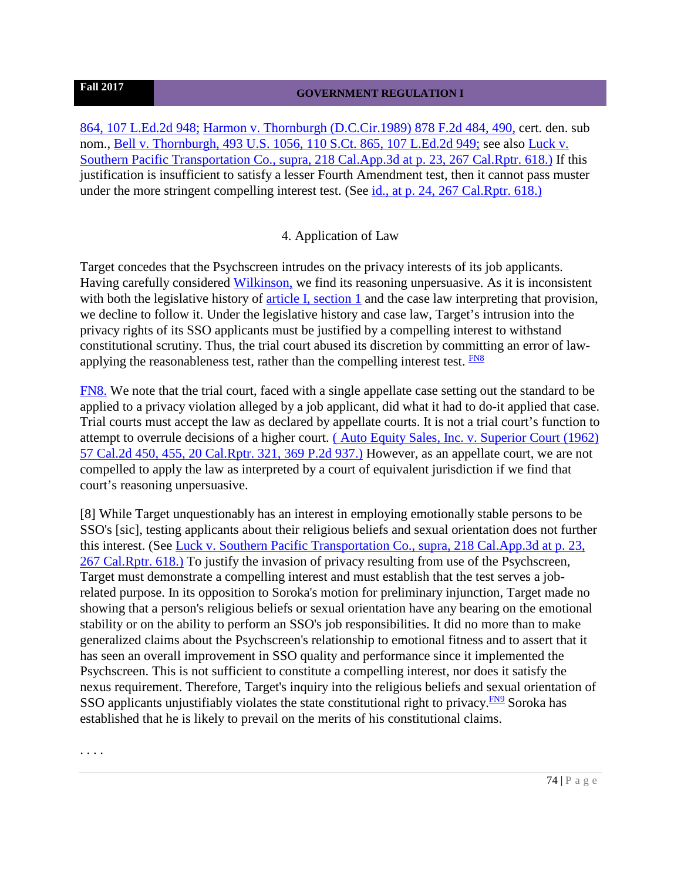864, [107 L.Ed.2d 948;](http://web2.westlaw.com/find/default.wl?rs=WLW7.09&serialnum=1989156494&fn=_top&sv=Split&tc=-1&findtype=Y&tf=-1&db=708&vr=2.0&rp=%2ffind%2fdefault.wl&mt=LawSchoolPractitioner) Harmon v. Thornburgh [\(D.C.Cir.1989\) 878 F.2d 484, 490,](http://web2.westlaw.com/find/default.wl?tf=-1&rs=WLW7.09&referencepositiontype=S&serialnum=1989097829&fn=_top&sv=Split&tc=-1&findtype=Y&referenceposition=490&db=350&vr=2.0&rp=%2ffind%2fdefault.wl&mt=LawSchoolPractitioner) cert. den. sub nom., Bell v. Thornburgh, [493 U.S. 1056, 110 S.Ct. 865, 107 L.Ed.2d 949;](http://web2.westlaw.com/find/default.wl?rs=WLW7.09&serialnum=1989162933&fn=_top&sv=Split&tc=-1&findtype=Y&tf=-1&db=708&vr=2.0&rp=%2ffind%2fdefault.wl&mt=LawSchoolPractitioner) see also [Luck v.](http://web2.westlaw.com/find/default.wl?rs=WLW7.09&serialnum=1990041440&fn=_top&sv=Split&tc=-1&findtype=Y&tf=-1&db=227&vr=2.0&rp=%2ffind%2fdefault.wl&mt=LawSchoolPractitioner)  Southern Pacific Transportation Co., supra, [218 Cal.App.3d at p. 23, 267 Cal.Rptr. 618.\)](http://web2.westlaw.com/find/default.wl?rs=WLW7.09&serialnum=1990041440&fn=_top&sv=Split&tc=-1&findtype=Y&tf=-1&db=227&vr=2.0&rp=%2ffind%2fdefault.wl&mt=LawSchoolPractitioner) If this justification is insufficient to satisfy a lesser Fourth Amendment test, then it cannot pass muster under the more stringent compelling interest test. (See id., [at p. 24, 267 Cal.Rptr. 618.\)](http://web2.westlaw.com/find/default.wl?rs=WLW7.09&serialnum=1990041440&fn=_top&sv=Split&tc=-1&findtype=Y&tf=-1&db=227&vr=2.0&rp=%2ffind%2fdefault.wl&mt=LawSchoolPractitioner)

### 4. Application of Law

Target concedes that the Psychscreen intrudes on the privacy interests of its job applicants. Having carefully considered [Wilkinson,](http://web2.westlaw.com/find/default.wl?rs=WLW7.09&serialnum=1989165715&sv=Split&fn=_top&findtype=Y&tc=-1&tf=-1&vr=2.0&rp=%2ffind%2fdefault.wl&mt=LawSchoolPractitioner) we find its reasoning unpersuasive. As it is inconsistent with both the legislative history of [article I, section 1](http://web2.westlaw.com/find/default.wl?tf=-1&rs=WLW7.09&fn=_top&sv=Split&tc=-1&findtype=L&docname=CACNART1S1&db=1000298&vr=2.0&rp=%2ffind%2fdefault.wl&mt=LawSchoolPractitioner) and the case law interpreting that provision, we decline to follow it. Under the legislative history and case law, Target's intrusion into the privacy rights of its SSO applicants must be justified by a compelling interest to withstand constitutional scrutiny. Thus, the trial court abused its discretion by committing an error of lawapplying the reasonableness test, rather than the compelling interest test.  $\frac{FN8}{FN}$ 

[FN8.](http://web2.westlaw.com/result/documenttext.aspx?sv=Split&service=Find&fcl=False&findtype=Y&rlti=1&cnt=DOC&cxt=DC&rlt=CLID_FQRLT292812249&rs=WLW7.09&ss=CNT&fn=_top&n=1&mt=LawSchoolPractitioner&vr=2.0&rp=%2fFind%2fdefault.wl&serialnum=1991176399&db=3484&docsample=False#F00981991176399#F00981991176399) We note that the trial court, faced with a single appellate case setting out the standard to be applied to a privacy violation alleged by a job applicant, did what it had to do-it applied that case. Trial courts must accept the law as declared by appellate courts. It is not a trial court's function to attempt to overrule decisions of a higher court. [\( Auto Equity Sales, Inc. v. Superior Court](http://web2.westlaw.com/find/default.wl?rs=WLW7.09&serialnum=1962109537&fn=_top&sv=Split&tc=-1&findtype=Y&tf=-1&db=661&vr=2.0&rp=%2ffind%2fdefault.wl&mt=LawSchoolPractitioner) (1962) [57 Cal.2d 450, 455, 20 Cal.Rptr. 321, 369 P.2d 937.\)](http://web2.westlaw.com/find/default.wl?rs=WLW7.09&serialnum=1962109537&fn=_top&sv=Split&tc=-1&findtype=Y&tf=-1&db=661&vr=2.0&rp=%2ffind%2fdefault.wl&mt=LawSchoolPractitioner) However, as an appellate court, we are not compelled to apply the law as interpreted by a court of equivalent jurisdiction if we find that court's reasoning unpersuasive.

[8] While Target unquestionably has an interest in employing emotionally stable persons to be SSO's [sic], testing applicants about their religious beliefs and sexual orientation does not further this interest. (See [Luck v. Southern Pacific Transportation Co., supra,](http://web2.westlaw.com/find/default.wl?rs=WLW7.09&serialnum=1990041440&fn=_top&sv=Split&tc=-1&findtype=Y&tf=-1&db=227&vr=2.0&rp=%2ffind%2fdefault.wl&mt=LawSchoolPractitioner) 218 Cal.App.3d at p. 23, [267 Cal.Rptr. 618.\)](http://web2.westlaw.com/find/default.wl?rs=WLW7.09&serialnum=1990041440&fn=_top&sv=Split&tc=-1&findtype=Y&tf=-1&db=227&vr=2.0&rp=%2ffind%2fdefault.wl&mt=LawSchoolPractitioner) To justify the invasion of privacy resulting from use of the Psychscreen, Target must demonstrate a compelling interest and must establish that the test serves a jobrelated purpose. In its opposition to Soroka's motion for preliminary injunction, Target made no showing that a person's religious beliefs or sexual orientation have any bearing on the emotional stability or on the ability to perform an SSO's job responsibilities. It did no more than to make generalized claims about the Psychscreen's relationship to emotional fitness and to assert that it has seen an overall improvement in SSO quality and performance since it implemented the Psychscreen. This is not sufficient to constitute a compelling interest, nor does it satisfy the nexus requirement. Therefore, Target's inquiry into the religious beliefs and sexual orientation of SSO applicants unjustifiably violates the state constitutional right to privacy.  $\frac{FN9}{FN9}$  $\frac{FN9}{FN9}$  $\frac{FN9}{FN9}$  Soroka has established that he is likely to prevail on the merits of his constitutional claims.

. . . .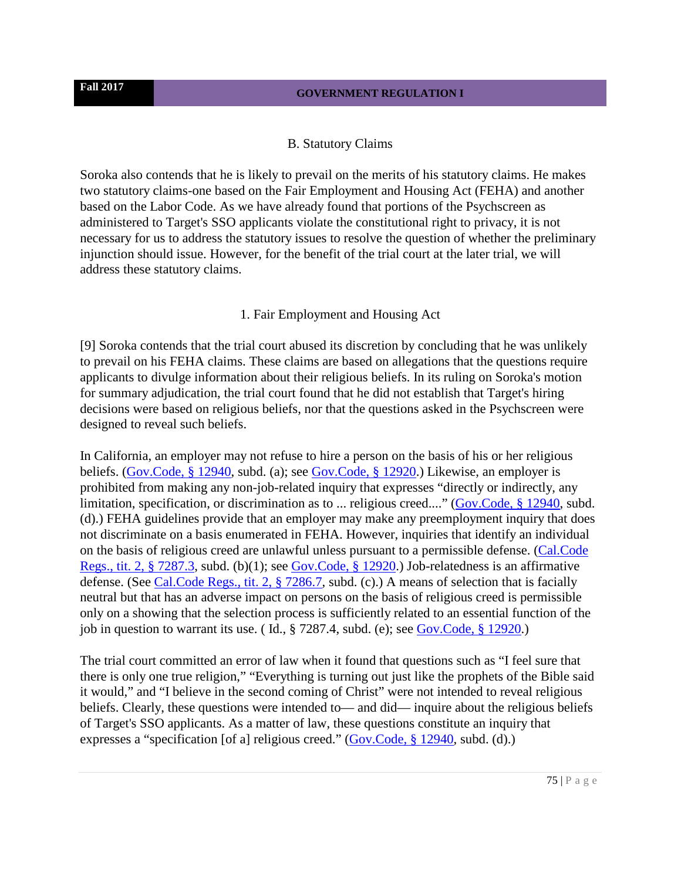### B. Statutory Claims

Soroka also contends that he is likely to prevail on the merits of his statutory claims. He makes two statutory claims-one based on the Fair Employment and Housing Act (FEHA) and another based on the Labor Code. As we have already found that portions of the Psychscreen as administered to Target's SSO applicants violate the constitutional right to privacy, it is not necessary for us to address the statutory issues to resolve the question of whether the preliminary injunction should issue. However, for the benefit of the trial court at the later trial, we will address these statutory claims.

### 1. Fair Employment and Housing Act

[9] Soroka contends that the trial court abused its discretion by concluding that he was unlikely to prevail on his FEHA claims. These claims are based on allegations that the questions require applicants to divulge information about their religious beliefs. In its ruling on Soroka's motion for summary adjudication, the trial court found that he did not establish that Target's hiring decisions were based on religious beliefs, nor that the questions asked in the Psychscreen were designed to reveal such beliefs.

In California, an employer may not refuse to hire a person on the basis of his or her religious beliefs. [\(Gov.Code, § 12940,](http://web2.westlaw.com/find/default.wl?tf=-1&rs=WLW7.09&fn=_top&sv=Split&tc=-1&findtype=L&docname=CAGTS12940&db=1000298&vr=2.0&rp=%2ffind%2fdefault.wl&mt=LawSchoolPractitioner) subd. (a); see [Gov.Code, § 12920.](http://web2.westlaw.com/find/default.wl?tf=-1&rs=WLW7.09&fn=_top&sv=Split&tc=-1&findtype=L&docname=CAGTS12920&db=1000298&vr=2.0&rp=%2ffind%2fdefault.wl&mt=LawSchoolPractitioner)) Likewise, an employer is prohibited from making any non-job-related inquiry that expresses "directly or indirectly, any limitation, specification, or discrimination as to ... religious creed...." [\(Gov.Code, § 12940,](http://web2.westlaw.com/find/default.wl?tf=-1&rs=WLW7.09&fn=_top&sv=Split&tc=-1&findtype=L&docname=CAGTS12940&db=1000298&vr=2.0&rp=%2ffind%2fdefault.wl&mt=LawSchoolPractitioner) subd. (d).) FEHA guidelines provide that an employer may make any preemployment inquiry that does not discriminate on a basis enumerated in FEHA. However, inquiries that identify an individual on the basis of religious creed are unlawful unless pursuant to a permissible defense. [\(Cal.Code](http://web2.westlaw.com/find/default.wl?tf=-1&rs=WLW7.09&fn=_top&sv=Split&tc=-1&findtype=L&docname=2CAADCS7287.3&db=1000937&vr=2.0&rp=%2ffind%2fdefault.wl&mt=LawSchoolPractitioner)  [Regs., tit. 2, § 7287.3,](http://web2.westlaw.com/find/default.wl?tf=-1&rs=WLW7.09&fn=_top&sv=Split&tc=-1&findtype=L&docname=2CAADCS7287.3&db=1000937&vr=2.0&rp=%2ffind%2fdefault.wl&mt=LawSchoolPractitioner) subd. (b)(1); see [Gov.Code, § 12920.](http://web2.westlaw.com/find/default.wl?tf=-1&rs=WLW7.09&fn=_top&sv=Split&tc=-1&findtype=L&docname=CAGTS12920&db=1000298&vr=2.0&rp=%2ffind%2fdefault.wl&mt=LawSchoolPractitioner)) Job-relatedness is an affirmative defense. (See [Cal.Code Regs., tit. 2, § 7286.7,](http://web2.westlaw.com/find/default.wl?tf=-1&rs=WLW7.09&fn=_top&sv=Split&tc=-1&findtype=L&docname=2CAADCS7286.7&db=1000937&vr=2.0&rp=%2ffind%2fdefault.wl&mt=LawSchoolPractitioner) subd. (c).) A means of selection that is facially neutral but that has an adverse impact on persons on the basis of religious creed is permissible only on a showing that the selection process is sufficiently related to an essential function of the job in question to warrant its use. (Id., § 7287.4, subd. (e); see [Gov.Code, § 12920.](http://web2.westlaw.com/find/default.wl?tf=-1&rs=WLW7.09&fn=_top&sv=Split&tc=-1&findtype=L&docname=CAGTS12920&db=1000298&vr=2.0&rp=%2ffind%2fdefault.wl&mt=LawSchoolPractitioner))

The trial court committed an error of law when it found that questions such as "I feel sure that there is only one true religion," "Everything is turning out just like the prophets of the Bible said it would," and "I believe in the second coming of Christ" were not intended to reveal religious beliefs. Clearly, these questions were intended to— and did— inquire about the religious beliefs of Target's SSO applicants. As a matter of law, these questions constitute an inquiry that expresses a "specification [of a] religious creed." [\(Gov.Code, § 12940,](http://web2.westlaw.com/find/default.wl?tf=-1&rs=WLW7.09&fn=_top&sv=Split&tc=-1&findtype=L&docname=CAGTS12940&db=1000298&vr=2.0&rp=%2ffind%2fdefault.wl&mt=LawSchoolPractitioner) subd. (d).)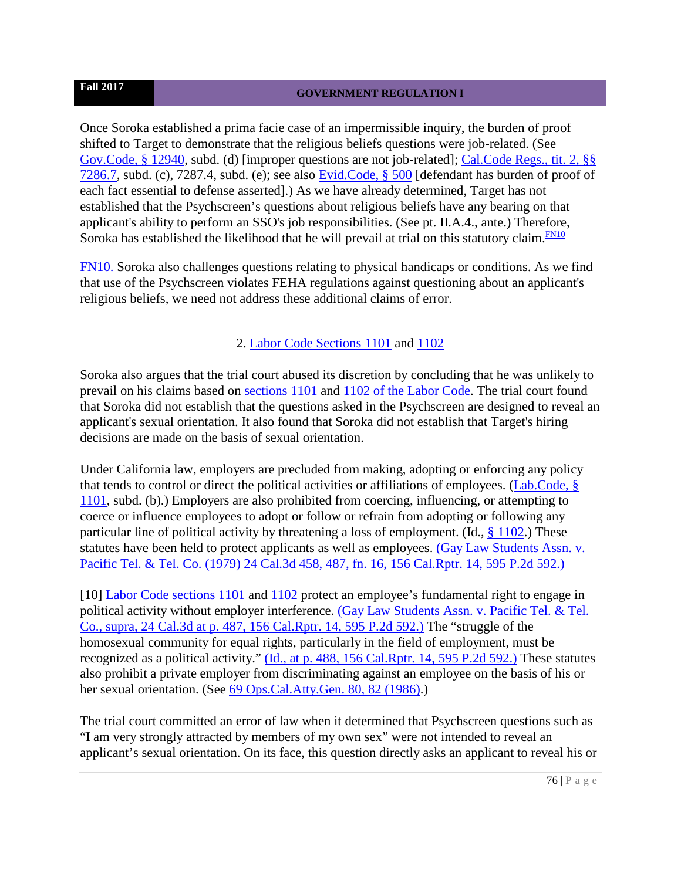Once Soroka established a prima facie case of an impermissible inquiry, the burden of proof shifted to Target to demonstrate that the religious beliefs questions were job-related. (See [Gov.Code, § 12940,](http://web2.westlaw.com/find/default.wl?tf=-1&rs=WLW7.09&fn=_top&sv=Split&tc=-1&findtype=L&docname=CAGTS12940&db=1000298&vr=2.0&rp=%2ffind%2fdefault.wl&mt=LawSchoolPractitioner) subd. (d) [improper questions are not job-related]; [Cal.Code Regs., tit. 2, §§](http://web2.westlaw.com/find/default.wl?tf=-1&rs=WLW7.09&fn=_top&sv=Split&tc=-1&findtype=L&docname=2CAADCS7286.7&db=1000937&vr=2.0&rp=%2ffind%2fdefault.wl&mt=LawSchoolPractitioner)  [7286.7,](http://web2.westlaw.com/find/default.wl?tf=-1&rs=WLW7.09&fn=_top&sv=Split&tc=-1&findtype=L&docname=2CAADCS7286.7&db=1000937&vr=2.0&rp=%2ffind%2fdefault.wl&mt=LawSchoolPractitioner) subd. (c), 7287.4, subd. (e); see also [Evid.Code, § 500](http://web2.westlaw.com/find/default.wl?tf=-1&rs=WLW7.09&fn=_top&sv=Split&tc=-1&findtype=L&docname=CAEVS500&db=1000298&vr=2.0&rp=%2ffind%2fdefault.wl&mt=LawSchoolPractitioner) [defendant has burden of proof of each fact essential to defense asserted].) As we have already determined, Target has not established that the Psychscreen's questions about religious beliefs have any bearing on that applicant's ability to perform an SSO's job responsibilities. (See pt. II.A.4., ante.) Therefore, Soroka has established the likelihood that he will prevail at trial on this statutory claim. **FN10** 

[FN10.](http://web2.westlaw.com/result/documenttext.aspx?sv=Split&service=Find&fcl=False&findtype=Y&rlti=1&cnt=DOC&cxt=DC&rlt=CLID_FQRLT292812249&rs=WLW7.09&ss=CNT&fn=_top&n=1&mt=LawSchoolPractitioner&vr=2.0&rp=%2fFind%2fdefault.wl&serialnum=1991176399&db=3484&docsample=False#F011101991176399#F011101991176399) Soroka also challenges questions relating to physical handicaps or conditions. As we find that use of the Psychscreen violates FEHA regulations against questioning about an applicant's religious beliefs, we need not address these additional claims of error.

## 2. [Labor Code Sections 1101](http://web2.westlaw.com/find/default.wl?tf=-1&rs=WLW7.09&fn=_top&sv=Split&tc=-1&findtype=L&docname=CALBS1101&db=1000298&vr=2.0&rp=%2ffind%2fdefault.wl&mt=LawSchoolPractitioner) and [1102](http://web2.westlaw.com/find/default.wl?tf=-1&rs=WLW7.09&fn=_top&sv=Split&tc=-1&findtype=L&docname=CALBS1102&db=1000298&vr=2.0&rp=%2ffind%2fdefault.wl&mt=LawSchoolPractitioner)

Soroka also argues that the trial court abused its discretion by concluding that he was unlikely to prevail on his claims based on [sections 1101](http://web2.westlaw.com/find/default.wl?tf=-1&rs=WLW7.09&fn=_top&sv=Split&tc=-1&findtype=L&docname=CALBS1101&db=1000298&vr=2.0&rp=%2ffind%2fdefault.wl&mt=LawSchoolPractitioner) and [1102 of the Labor Code.](http://web2.westlaw.com/find/default.wl?tf=-1&rs=WLW7.09&fn=_top&sv=Split&tc=-1&findtype=L&docname=CALBS1102&db=1000298&vr=2.0&rp=%2ffind%2fdefault.wl&mt=LawSchoolPractitioner) The trial court found that Soroka did not establish that the questions asked in the Psychscreen are designed to reveal an applicant's sexual orientation. It also found that Soroka did not establish that Target's hiring decisions are made on the basis of sexual orientation.

Under California law, employers are precluded from making, adopting or enforcing any policy that tends to control or direct the political activities or affiliations of employees. [\(Lab.Code, §](http://web2.westlaw.com/find/default.wl?tf=-1&rs=WLW7.09&fn=_top&sv=Split&tc=-1&findtype=L&docname=CALBS1101&db=1000298&vr=2.0&rp=%2ffind%2fdefault.wl&mt=LawSchoolPractitioner)  [1101,](http://web2.westlaw.com/find/default.wl?tf=-1&rs=WLW7.09&fn=_top&sv=Split&tc=-1&findtype=L&docname=CALBS1101&db=1000298&vr=2.0&rp=%2ffind%2fdefault.wl&mt=LawSchoolPractitioner) subd. (b).) Employers are also prohibited from coercing, influencing, or attempting to coerce or influence employees to adopt or follow or refrain from adopting or following any particular line of political activity by threatening a loss of employment. (Id., [§ 1102.](http://web2.westlaw.com/find/default.wl?tf=-1&rs=WLW7.09&fn=_top&sv=Split&tc=-1&findtype=L&docname=CALBS1102&db=1000298&vr=2.0&rp=%2ffind%2fdefault.wl&mt=LawSchoolPractitioner)) These statutes have been held to protect applicants as well as employees. (Gay Law Students Assn. v. Pacific Tel. & Tel. Co. [\(1979\) 24 Cal.3d 458, 487, fn. 16, 156 Cal.Rptr. 14, 595 P.2d 592.\)](http://web2.westlaw.com/find/default.wl?rs=WLW7.09&serialnum=1979124223&fn=_top&sv=Split&tc=-1&findtype=Y&tf=-1&db=661&vr=2.0&rp=%2ffind%2fdefault.wl&mt=LawSchoolPractitioner)

[10] [Labor Code sections 1101](http://web2.westlaw.com/find/default.wl?tf=-1&rs=WLW7.09&fn=_top&sv=Split&tc=-1&findtype=L&docname=CALBS1101&db=1000298&vr=2.0&rp=%2ffind%2fdefault.wl&mt=LawSchoolPractitioner) and [1102](http://web2.westlaw.com/find/default.wl?tf=-1&rs=WLW7.09&fn=_top&sv=Split&tc=-1&findtype=L&docname=CALBS1102&db=1000298&vr=2.0&rp=%2ffind%2fdefault.wl&mt=LawSchoolPractitioner) protect an employee's fundamental right to engage in political activity without employer interference. [\(Gay Law Students Assn. v. Pacific Tel. & Tel.](http://web2.westlaw.com/find/default.wl?rs=WLW7.09&serialnum=1979124223&fn=_top&sv=Split&tc=-1&findtype=Y&tf=-1&db=661&vr=2.0&rp=%2ffind%2fdefault.wl&mt=LawSchoolPractitioner)  Co., supra, [24 Cal.3d at p. 487, 156 Cal.Rptr. 14, 595 P.2d 592.\)](http://web2.westlaw.com/find/default.wl?rs=WLW7.09&serialnum=1979124223&fn=_top&sv=Split&tc=-1&findtype=Y&tf=-1&db=661&vr=2.0&rp=%2ffind%2fdefault.wl&mt=LawSchoolPractitioner) The "struggle of the homosexual community for equal rights, particularly in the field of employment, must be recognized as a political activity." (Id., [at p. 488, 156 Cal.Rptr. 14, 595 P.2d 592.\)](http://web2.westlaw.com/find/default.wl?rs=WLW7.09&serialnum=1979124223&fn=_top&sv=Split&tc=-1&findtype=Y&tf=-1&db=661&vr=2.0&rp=%2ffind%2fdefault.wl&mt=LawSchoolPractitioner) These statutes also prohibit a private employer from discriminating against an employee on the basis of his or her sexual orientation. (See [69 Ops.Cal.Atty.Gen. 80, 82 \(1986\).](http://web2.westlaw.com/find/default.wl?tf=-1&rs=WLW7.09&referencepositiontype=S&serialnum=0102691174&fn=_top&sv=Split&tc=-1&findtype=Y&referenceposition=82&db=880&vr=2.0&rp=%2ffind%2fdefault.wl&mt=LawSchoolPractitioner))

The trial court committed an error of law when it determined that Psychscreen questions such as "I am very strongly attracted by members of my own sex" were not intended to reveal an applicant's sexual orientation. On its face, this question directly asks an applicant to reveal his or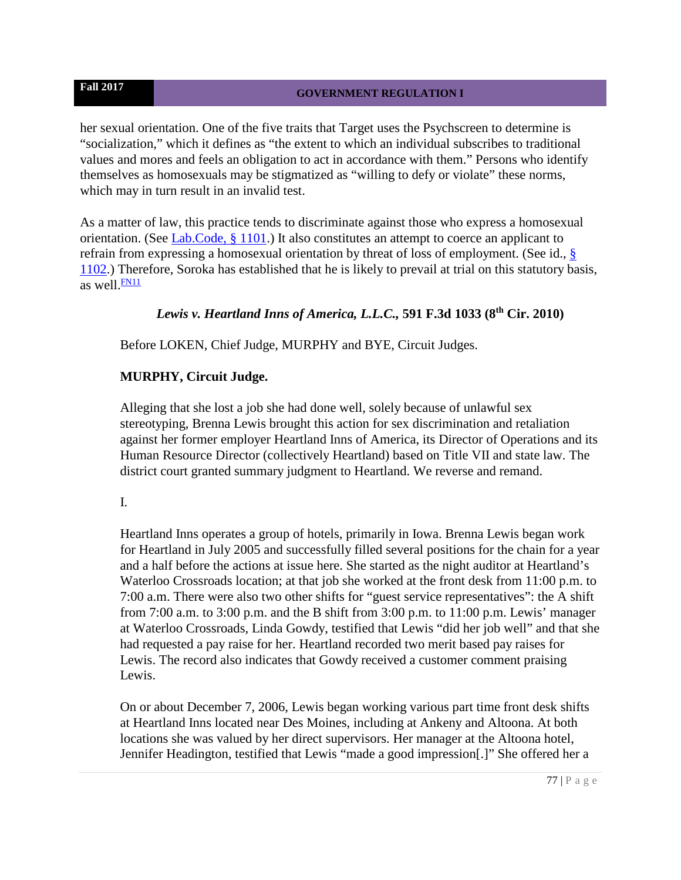her sexual orientation. One of the five traits that Target uses the Psychscreen to determine is "socialization," which it defines as "the extent to which an individual subscribes to traditional values and mores and feels an obligation to act in accordance with them." Persons who identify themselves as homosexuals may be stigmatized as "willing to defy or violate" these norms, which may in turn result in an invalid test.

As a matter of law, this practice tends to discriminate against those who express a homosexual orientation. (See [Lab.Code, § 1101.](http://web2.westlaw.com/find/default.wl?tf=-1&rs=WLW7.09&fn=_top&sv=Split&tc=-1&findtype=L&docname=CALBS1101&db=1000298&vr=2.0&rp=%2ffind%2fdefault.wl&mt=LawSchoolPractitioner)) It also constitutes an attempt to coerce an applicant to refrain from expressing a homosexual orientation by threat of loss of employment. (See id., [§](http://web2.westlaw.com/find/default.wl?tf=-1&rs=WLW7.09&fn=_top&sv=Split&tc=-1&findtype=L&docname=CALBS1102&db=1000298&vr=2.0&rp=%2ffind%2fdefault.wl&mt=LawSchoolPractitioner)  [1102.](http://web2.westlaw.com/find/default.wl?tf=-1&rs=WLW7.09&fn=_top&sv=Split&tc=-1&findtype=L&docname=CALBS1102&db=1000298&vr=2.0&rp=%2ffind%2fdefault.wl&mt=LawSchoolPractitioner)) Therefore, Soroka has established that he is likely to prevail at trial on this statutory basis, as well. $\frac{FN11}{}$ 

## *Lewis v. Heartland Inns of America, L.L.C.,* **591 F.3d 1033 (8th Cir. 2010)**

Before LOKEN, Chief Judge, MURPHY and BYE, Circuit Judges.

### **MURPHY, Circuit Judge.**

Alleging that she lost a job she had done well, solely because of unlawful sex stereotyping, Brenna Lewis brought this action for sex discrimination and retaliation against her former employer Heartland Inns of America, its Director of Operations and its Human Resource Director (collectively Heartland) based on Title VII and state law. The district court granted summary judgment to Heartland. We reverse and remand.

I.

Heartland Inns operates a group of hotels, primarily in Iowa. Brenna Lewis began work for Heartland in July 2005 and successfully filled several positions for the chain for a year and a half before the actions at issue here. She started as the night auditor at Heartland's Waterloo Crossroads location; at that job she worked at the front desk from 11:00 p.m. to 7:00 a.m. There were also two other shifts for "guest service representatives": the A shift from 7:00 a.m. to 3:00 p.m. and the B shift from 3:00 p.m. to  $11:00$  p.m. Lewis' manager at Waterloo Crossroads, Linda Gowdy, testified that Lewis "did her job well" and that she had requested a pay raise for her. Heartland recorded two merit based pay raises for Lewis. The record also indicates that Gowdy received a customer comment praising Lewis.

On or about December 7, 2006, Lewis began working various part time front desk shifts at Heartland Inns located near Des Moines, including at Ankeny and Altoona. At both locations she was valued by her direct supervisors. Her manager at the Altoona hotel, Jennifer Headington, testified that Lewis "made a good impression[.]" She offered her a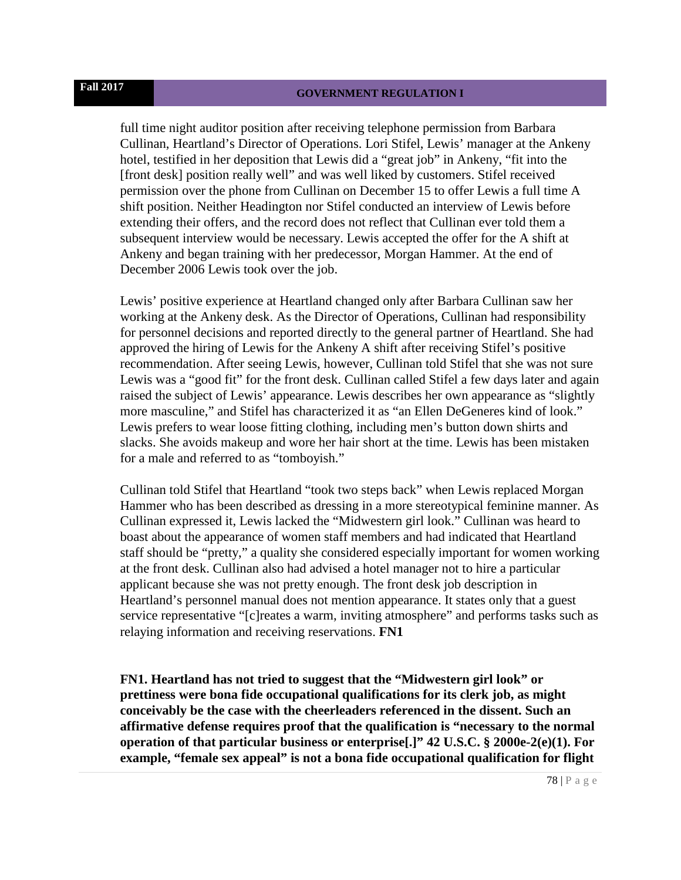full time night auditor position after receiving telephone permission from Barbara Cullinan, Heartland's Director of Operations. Lori Stifel, Lewis' manager at the Ankeny hotel, testified in her deposition that Lewis did a "great job" in Ankeny, "fit into the [front desk] position really well" and was well liked by customers. Stifel received permission over the phone from Cullinan on December 15 to offer Lewis a full time A shift position. Neither Headington nor Stifel conducted an interview of Lewis before extending their offers, and the record does not reflect that Cullinan ever told them a subsequent interview would be necessary. Lewis accepted the offer for the A shift at Ankeny and began training with her predecessor, Morgan Hammer. At the end of December 2006 Lewis took over the job.

Lewis' positive experience at Heartland changed only after Barbara Cullinan saw her working at the Ankeny desk. As the Director of Operations, Cullinan had responsibility for personnel decisions and reported directly to the general partner of Heartland. She had approved the hiring of Lewis for the Ankeny A shift after receiving Stifel's positive recommendation. After seeing Lewis, however, Cullinan told Stifel that she was not sure Lewis was a "good fit" for the front desk. Cullinan called Stifel a few days later and again raised the subject of Lewis' appearance. Lewis describes her own appearance as "slightly more masculine," and Stifel has characterized it as "an Ellen DeGeneres kind of look." Lewis prefers to wear loose fitting clothing, including men's button down shirts and slacks. She avoids makeup and wore her hair short at the time. Lewis has been mistaken for a male and referred to as "tomboyish."

Cullinan told Stifel that Heartland "took two steps back" when Lewis replaced Morgan Hammer who has been described as dressing in a more stereotypical feminine manner. As Cullinan expressed it, Lewis lacked the "Midwestern girl look." Cullinan was heard to boast about the appearance of women staff members and had indicated that Heartland staff should be "pretty," a quality she considered especially important for women working at the front desk. Cullinan also had advised a hotel manager not to hire a particular applicant because she was not pretty enough. The front desk job description in Heartland's personnel manual does not mention appearance. It states only that a guest service representative "[c]reates a warm, inviting atmosphere" and performs tasks such as relaying information and receiving reservations. **FN1**

**FN1. Heartland has not tried to suggest that the "Midwestern girl look" or prettiness were bona fide occupational qualifications for its clerk job, as might conceivably be the case with the cheerleaders referenced in the dissent. Such an affirmative defense requires proof that the qualification is "necessary to the normal operation of that particular business or enterprise[.]" 42 U.S.C. § 2000e-2(e)(1). For example, "female sex appeal" is not a bona fide occupational qualification for flight**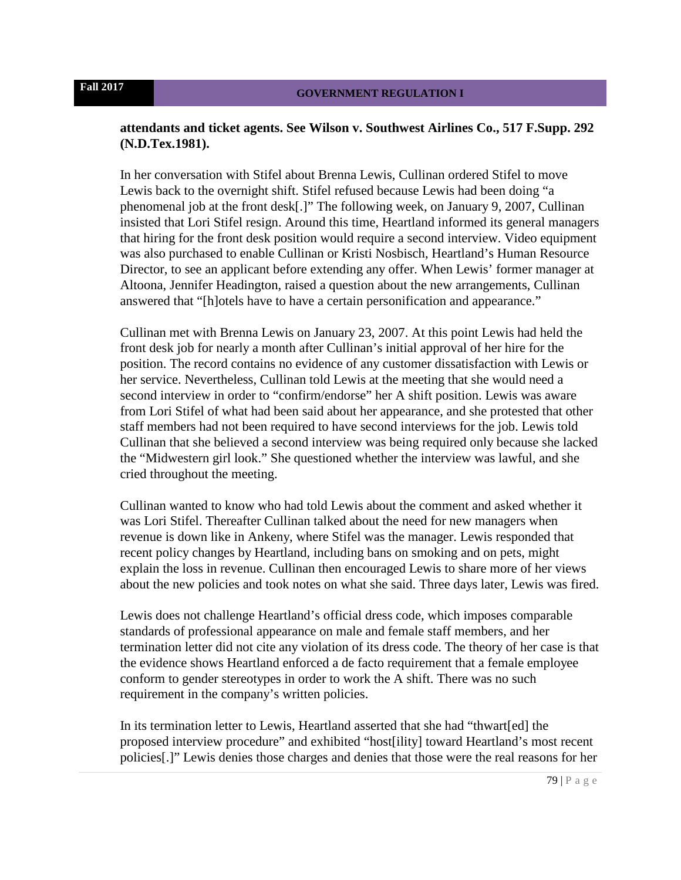## **attendants and ticket agents. See Wilson v. Southwest Airlines Co., 517 F.Supp. 292 (N.D.Tex.1981).**

In her conversation with Stifel about Brenna Lewis, Cullinan ordered Stifel to move Lewis back to the overnight shift. Stifel refused because Lewis had been doing "a phenomenal job at the front desk[.]" The following week, on January 9, 2007, Cullinan insisted that Lori Stifel resign. Around this time, Heartland informed its general managers that hiring for the front desk position would require a second interview. Video equipment was also purchased to enable Cullinan or Kristi Nosbisch, Heartland's Human Resource Director, to see an applicant before extending any offer. When Lewis' former manager at Altoona, Jennifer Headington, raised a question about the new arrangements, Cullinan answered that "[h]otels have to have a certain personification and appearance."

Cullinan met with Brenna Lewis on January 23, 2007. At this point Lewis had held the front desk job for nearly a month after Cullinan's initial approval of her hire for the position. The record contains no evidence of any customer dissatisfaction with Lewis or her service. Nevertheless, Cullinan told Lewis at the meeting that she would need a second interview in order to "confirm/endorse" her A shift position. Lewis was aware from Lori Stifel of what had been said about her appearance, and she protested that other staff members had not been required to have second interviews for the job. Lewis told Cullinan that she believed a second interview was being required only because she lacked the "Midwestern girl look." She questioned whether the interview was lawful, and she cried throughout the meeting.

Cullinan wanted to know who had told Lewis about the comment and asked whether it was Lori Stifel. Thereafter Cullinan talked about the need for new managers when revenue is down like in Ankeny, where Stifel was the manager. Lewis responded that recent policy changes by Heartland, including bans on smoking and on pets, might explain the loss in revenue. Cullinan then encouraged Lewis to share more of her views about the new policies and took notes on what she said. Three days later, Lewis was fired.

Lewis does not challenge Heartland's official dress code, which imposes comparable standards of professional appearance on male and female staff members, and her termination letter did not cite any violation of its dress code. The theory of her case is that the evidence shows Heartland enforced a de facto requirement that a female employee conform to gender stereotypes in order to work the A shift. There was no such requirement in the company's written policies.

In its termination letter to Lewis, Heartland asserted that she had "thwart[ed] the proposed interview procedure" and exhibited "host[ility] toward Heartland's most recent policies[.]" Lewis denies those charges and denies that those were the real reasons for her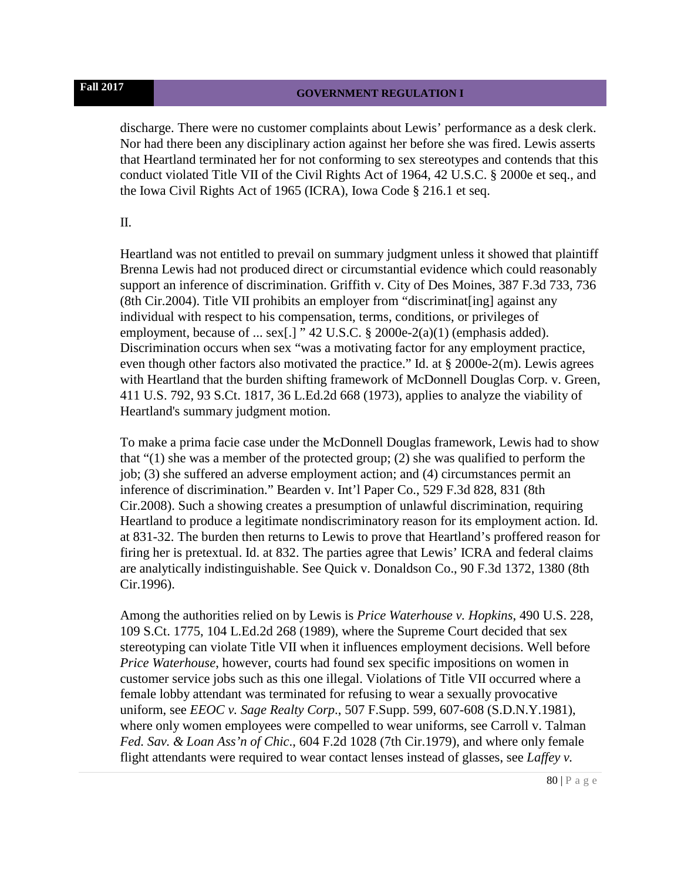discharge. There were no customer complaints about Lewis' performance as a desk clerk. Nor had there been any disciplinary action against her before she was fired. Lewis asserts that Heartland terminated her for not conforming to sex stereotypes and contends that this conduct violated Title VII of the Civil Rights Act of 1964, 42 U.S.C. § 2000e et seq., and the Iowa Civil Rights Act of 1965 (ICRA), Iowa Code § 216.1 et seq.

II.

Heartland was not entitled to prevail on summary judgment unless it showed that plaintiff Brenna Lewis had not produced direct or circumstantial evidence which could reasonably support an inference of discrimination. Griffith v. City of Des Moines, 387 F.3d 733, 736 (8th Cir.2004). Title VII prohibits an employer from "discriminat[ing] against any individual with respect to his compensation, terms, conditions, or privileges of employment, because of ... sex[.] " 42 U.S.C. § 2000e-2(a)(1) (emphasis added). Discrimination occurs when sex "was a motivating factor for any employment practice, even though other factors also motivated the practice." Id. at § 2000e-2(m). Lewis agrees with Heartland that the burden shifting framework of McDonnell Douglas Corp. v. Green, 411 U.S. 792, 93 S.Ct. 1817, 36 L.Ed.2d 668 (1973), applies to analyze the viability of Heartland's summary judgment motion.

To make a prima facie case under the McDonnell Douglas framework, Lewis had to show that "(1) she was a member of the protected group; (2) she was qualified to perform the job; (3) she suffered an adverse employment action; and (4) circumstances permit an inference of discrimination." Bearden v. Int'l Paper Co., 529 F.3d 828, 831 (8th Cir.2008). Such a showing creates a presumption of unlawful discrimination, requiring Heartland to produce a legitimate nondiscriminatory reason for its employment action. Id. at 831-32. The burden then returns to Lewis to prove that Heartland's proffered reason for firing her is pretextual. Id. at 832. The parties agree that Lewis' ICRA and federal claims are analytically indistinguishable. See Quick v. Donaldson Co., 90 F.3d 1372, 1380 (8th Cir.1996).

Among the authorities relied on by Lewis is *Price Waterhouse v. Hopkins*, 490 U.S. 228, 109 S.Ct. 1775, 104 L.Ed.2d 268 (1989), where the Supreme Court decided that sex stereotyping can violate Title VII when it influences employment decisions. Well before *Price Waterhouse*, however, courts had found sex specific impositions on women in customer service jobs such as this one illegal. Violations of Title VII occurred where a female lobby attendant was terminated for refusing to wear a sexually provocative uniform, see *EEOC v. Sage Realty Corp*., 507 F.Supp. 599, 607-608 (S.D.N.Y.1981), where only women employees were compelled to wear uniforms, see Carroll v. Talman *Fed. Sav. & Loan Ass'n of Chic*., 604 F.2d 1028 (7th Cir.1979), and where only female flight attendants were required to wear contact lenses instead of glasses, see *Laffey v.*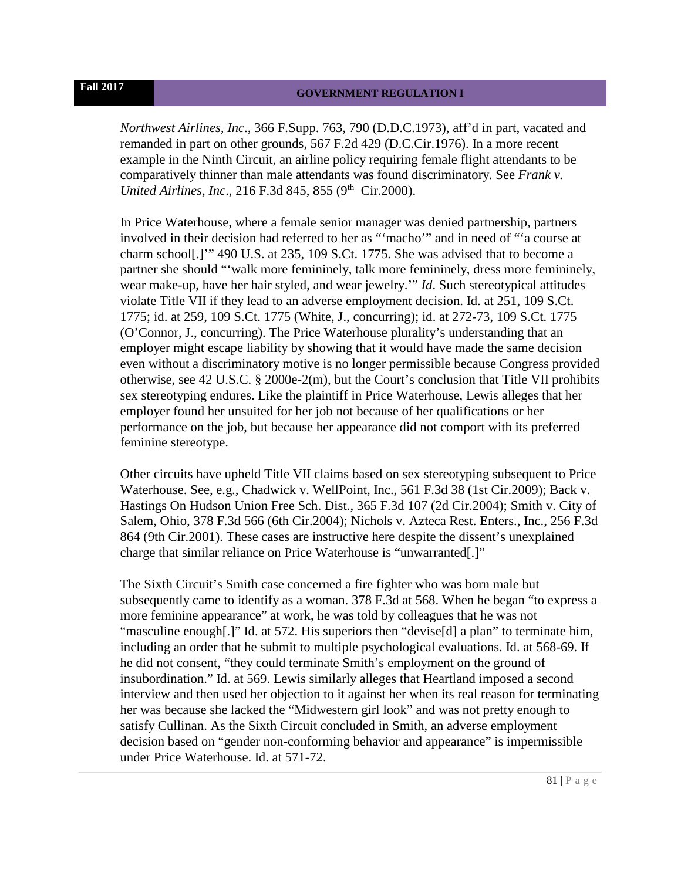*Northwest Airlines, Inc*., 366 F.Supp. 763, 790 (D.D.C.1973), aff'd in part, vacated and remanded in part on other grounds, 567 F.2d 429 (D.C.Cir.1976). In a more recent example in the Ninth Circuit, an airline policy requiring female flight attendants to be comparatively thinner than male attendants was found discriminatory. See *Frank v. United Airlines, Inc., 216 F.3d 845, 855 (9<sup>th</sup> Cir.2000).* 

In Price Waterhouse, where a female senior manager was denied partnership, partners involved in their decision had referred to her as "'macho'" and in need of "'a course at charm school[.]'" 490 U.S. at 235, 109 S.Ct. 1775. She was advised that to become a partner she should "'walk more femininely, talk more femininely, dress more femininely, wear make-up, have her hair styled, and wear jewelry.'" *Id*. Such stereotypical attitudes violate Title VII if they lead to an adverse employment decision. Id. at 251, 109 S.Ct. 1775; id. at 259, 109 S.Ct. 1775 (White, J., concurring); id. at 272-73, 109 S.Ct. 1775 (O'Connor, J., concurring). The Price Waterhouse plurality's understanding that an employer might escape liability by showing that it would have made the same decision even without a discriminatory motive is no longer permissible because Congress provided otherwise, see 42 U.S.C. § 2000e-2(m), but the Court's conclusion that Title VII prohibits sex stereotyping endures. Like the plaintiff in Price Waterhouse, Lewis alleges that her employer found her unsuited for her job not because of her qualifications or her performance on the job, but because her appearance did not comport with its preferred feminine stereotype.

Other circuits have upheld Title VII claims based on sex stereotyping subsequent to Price Waterhouse. See, e.g., Chadwick v. WellPoint, Inc., 561 F.3d 38 (1st Cir.2009); Back v. Hastings On Hudson Union Free Sch. Dist., 365 F.3d 107 (2d Cir.2004); Smith v. City of Salem, Ohio, 378 F.3d 566 (6th Cir.2004); Nichols v. Azteca Rest. Enters., Inc., 256 F.3d 864 (9th Cir.2001). These cases are instructive here despite the dissent's unexplained charge that similar reliance on Price Waterhouse is "unwarranted[.]"

The Sixth Circuit's Smith case concerned a fire fighter who was born male but subsequently came to identify as a woman. 378 F.3d at 568. When he began "to express a more feminine appearance" at work, he was told by colleagues that he was not "masculine enough[.]" Id. at 572. His superiors then "devise[d] a plan" to terminate him, including an order that he submit to multiple psychological evaluations. Id. at 568-69. If he did not consent, "they could terminate Smith's employment on the ground of insubordination." Id. at 569. Lewis similarly alleges that Heartland imposed a second interview and then used her objection to it against her when its real reason for terminating her was because she lacked the "Midwestern girl look" and was not pretty enough to satisfy Cullinan. As the Sixth Circuit concluded in Smith, an adverse employment decision based on "gender non-conforming behavior and appearance" is impermissible under Price Waterhouse. Id. at 571-72.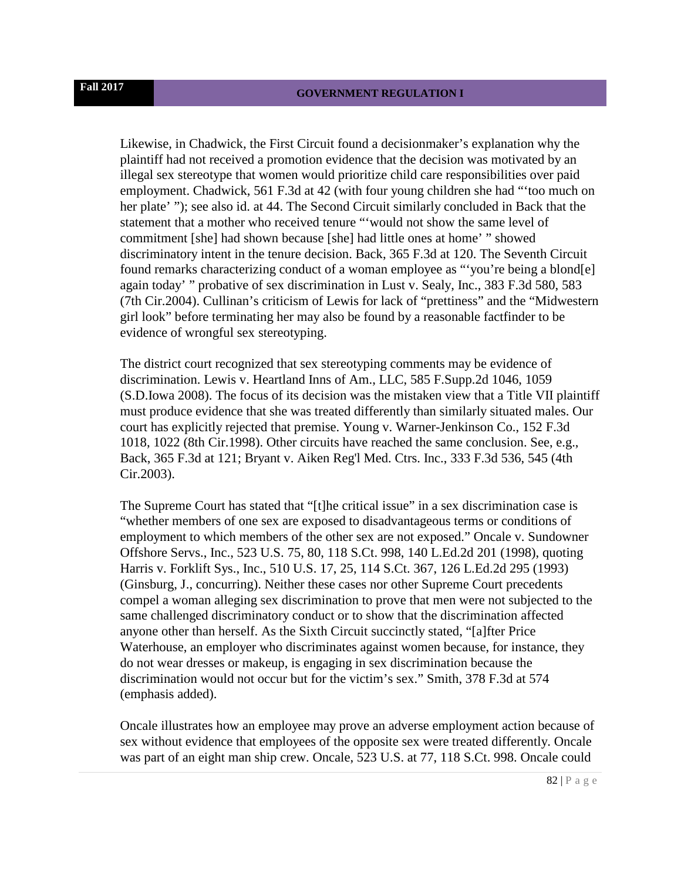Likewise, in Chadwick, the First Circuit found a decisionmaker's explanation why the plaintiff had not received a promotion evidence that the decision was motivated by an illegal sex stereotype that women would prioritize child care responsibilities over paid employment. Chadwick, 561 F.3d at 42 (with four young children she had "'too much on her plate' "); see also id. at 44. The Second Circuit similarly concluded in Back that the statement that a mother who received tenure "'would not show the same level of commitment [she] had shown because [she] had little ones at home' " showed discriminatory intent in the tenure decision. Back, 365 F.3d at 120. The Seventh Circuit found remarks characterizing conduct of a woman employee as "'you're being a blond[e] again today' " probative of sex discrimination in Lust v. Sealy, Inc., 383 F.3d 580, 583 (7th Cir.2004). Cullinan's criticism of Lewis for lack of "prettiness" and the "Midwestern girl look" before terminating her may also be found by a reasonable factfinder to be evidence of wrongful sex stereotyping.

The district court recognized that sex stereotyping comments may be evidence of discrimination. Lewis v. Heartland Inns of Am., LLC, 585 F.Supp.2d 1046, 1059 (S.D.Iowa 2008). The focus of its decision was the mistaken view that a Title VII plaintiff must produce evidence that she was treated differently than similarly situated males. Our court has explicitly rejected that premise. Young v. Warner-Jenkinson Co., 152 F.3d 1018, 1022 (8th Cir.1998). Other circuits have reached the same conclusion. See, e.g., Back, 365 F.3d at 121; Bryant v. Aiken Reg'l Med. Ctrs. Inc., 333 F.3d 536, 545 (4th Cir.2003).

The Supreme Court has stated that "[t]he critical issue" in a sex discrimination case is "whether members of one sex are exposed to disadvantageous terms or conditions of employment to which members of the other sex are not exposed." Oncale v. Sundowner Offshore Servs., Inc., 523 U.S. 75, 80, 118 S.Ct. 998, 140 L.Ed.2d 201 (1998), quoting Harris v. Forklift Sys., Inc., 510 U.S. 17, 25, 114 S.Ct. 367, 126 L.Ed.2d 295 (1993) (Ginsburg, J., concurring). Neither these cases nor other Supreme Court precedents compel a woman alleging sex discrimination to prove that men were not subjected to the same challenged discriminatory conduct or to show that the discrimination affected anyone other than herself. As the Sixth Circuit succinctly stated, "[a]fter Price Waterhouse, an employer who discriminates against women because, for instance, they do not wear dresses or makeup, is engaging in sex discrimination because the discrimination would not occur but for the victim's sex." Smith, 378 F.3d at 574 (emphasis added).

Oncale illustrates how an employee may prove an adverse employment action because of sex without evidence that employees of the opposite sex were treated differently. Oncale was part of an eight man ship crew. Oncale, 523 U.S. at 77, 118 S.Ct. 998. Oncale could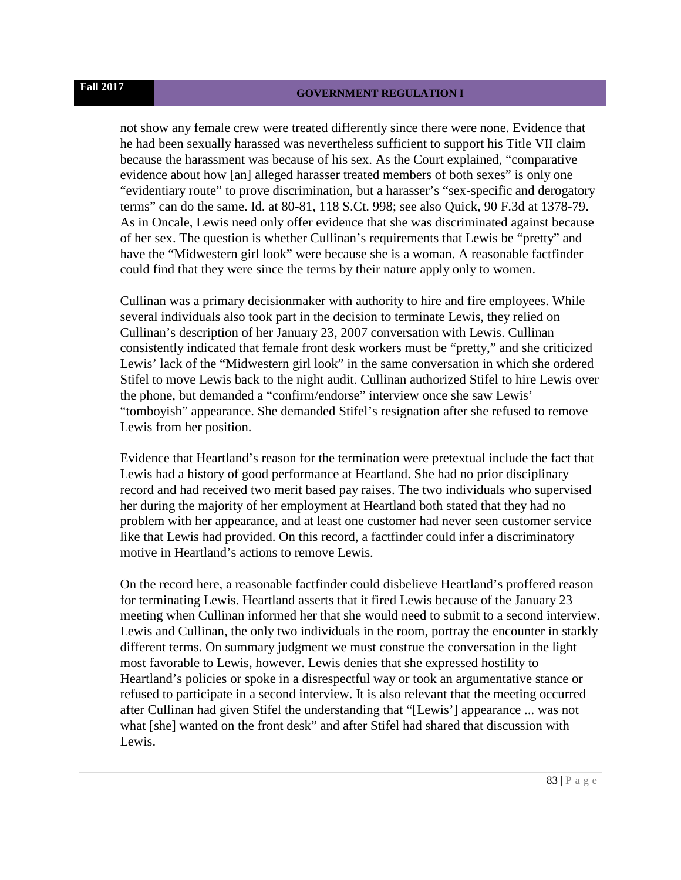not show any female crew were treated differently since there were none. Evidence that he had been sexually harassed was nevertheless sufficient to support his Title VII claim because the harassment was because of his sex. As the Court explained, "comparative evidence about how [an] alleged harasser treated members of both sexes" is only one "evidentiary route" to prove discrimination, but a harasser's "sex-specific and derogatory terms" can do the same. Id. at 80-81, 118 S.Ct. 998; see also Quick, 90 F.3d at 1378-79. As in Oncale, Lewis need only offer evidence that she was discriminated against because of her sex. The question is whether Cullinan's requirements that Lewis be "pretty" and have the "Midwestern girl look" were because she is a woman. A reasonable factfinder could find that they were since the terms by their nature apply only to women.

Cullinan was a primary decisionmaker with authority to hire and fire employees. While several individuals also took part in the decision to terminate Lewis, they relied on Cullinan's description of her January 23, 2007 conversation with Lewis. Cullinan consistently indicated that female front desk workers must be "pretty," and she criticized Lewis' lack of the "Midwestern girl look" in the same conversation in which she ordered Stifel to move Lewis back to the night audit. Cullinan authorized Stifel to hire Lewis over the phone, but demanded a "confirm/endorse" interview once she saw Lewis' "tomboyish" appearance. She demanded Stifel's resignation after she refused to remove Lewis from her position.

Evidence that Heartland's reason for the termination were pretextual include the fact that Lewis had a history of good performance at Heartland. She had no prior disciplinary record and had received two merit based pay raises. The two individuals who supervised her during the majority of her employment at Heartland both stated that they had no problem with her appearance, and at least one customer had never seen customer service like that Lewis had provided. On this record, a factfinder could infer a discriminatory motive in Heartland's actions to remove Lewis.

On the record here, a reasonable factfinder could disbelieve Heartland's proffered reason for terminating Lewis. Heartland asserts that it fired Lewis because of the January 23 meeting when Cullinan informed her that she would need to submit to a second interview. Lewis and Cullinan, the only two individuals in the room, portray the encounter in starkly different terms. On summary judgment we must construe the conversation in the light most favorable to Lewis, however. Lewis denies that she expressed hostility to Heartland's policies or spoke in a disrespectful way or took an argumentative stance or refused to participate in a second interview. It is also relevant that the meeting occurred after Cullinan had given Stifel the understanding that "[Lewis'] appearance ... was not what [she] wanted on the front desk" and after Stifel had shared that discussion with Lewis.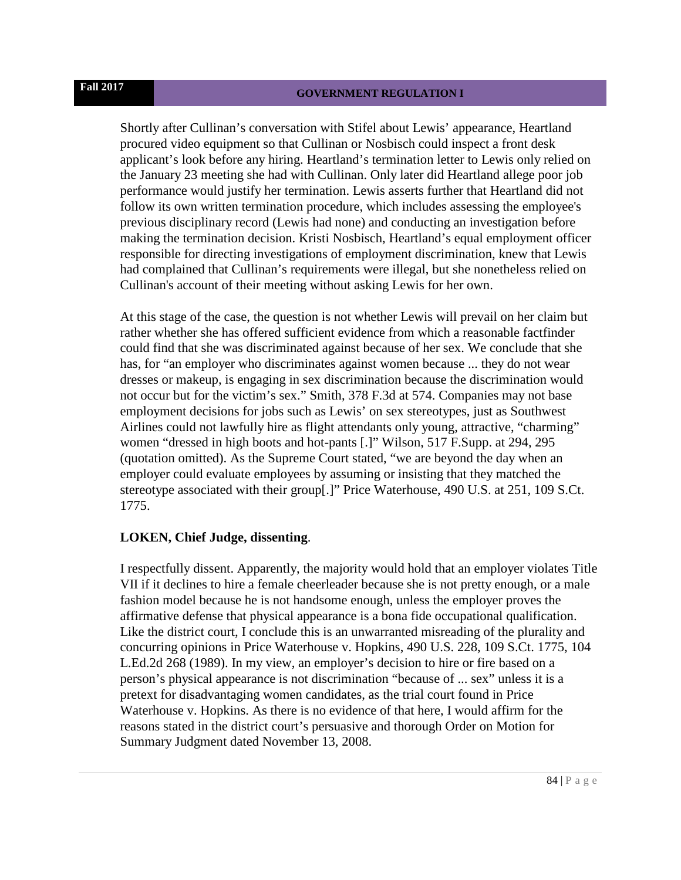Shortly after Cullinan's conversation with Stifel about Lewis' appearance, Heartland procured video equipment so that Cullinan or Nosbisch could inspect a front desk applicant's look before any hiring. Heartland's termination letter to Lewis only relied on the January 23 meeting she had with Cullinan. Only later did Heartland allege poor job performance would justify her termination. Lewis asserts further that Heartland did not follow its own written termination procedure, which includes assessing the employee's previous disciplinary record (Lewis had none) and conducting an investigation before making the termination decision. Kristi Nosbisch, Heartland's equal employment officer responsible for directing investigations of employment discrimination, knew that Lewis had complained that Cullinan's requirements were illegal, but she nonetheless relied on Cullinan's account of their meeting without asking Lewis for her own.

At this stage of the case, the question is not whether Lewis will prevail on her claim but rather whether she has offered sufficient evidence from which a reasonable factfinder could find that she was discriminated against because of her sex. We conclude that she has, for "an employer who discriminates against women because ... they do not wear dresses or makeup, is engaging in sex discrimination because the discrimination would not occur but for the victim's sex." Smith, 378 F.3d at 574. Companies may not base employment decisions for jobs such as Lewis' on sex stereotypes, just as Southwest Airlines could not lawfully hire as flight attendants only young, attractive, "charming" women "dressed in high boots and hot-pants [.]" Wilson, 517 F.Supp. at 294, 295 (quotation omitted). As the Supreme Court stated, "we are beyond the day when an employer could evaluate employees by assuming or insisting that they matched the stereotype associated with their group[.]" Price Waterhouse, 490 U.S. at 251, 109 S.Ct. 1775.

## **LOKEN, Chief Judge, dissenting**.

I respectfully dissent. Apparently, the majority would hold that an employer violates Title VII if it declines to hire a female cheerleader because she is not pretty enough, or a male fashion model because he is not handsome enough, unless the employer proves the affirmative defense that physical appearance is a bona fide occupational qualification. Like the district court, I conclude this is an unwarranted misreading of the plurality and concurring opinions in Price Waterhouse v. Hopkins, 490 U.S. 228, 109 S.Ct. 1775, 104 L.Ed.2d 268 (1989). In my view, an employer's decision to hire or fire based on a person's physical appearance is not discrimination "because of ... sex" unless it is a pretext for disadvantaging women candidates, as the trial court found in Price Waterhouse v. Hopkins. As there is no evidence of that here, I would affirm for the reasons stated in the district court's persuasive and thorough Order on Motion for Summary Judgment dated November 13, 2008.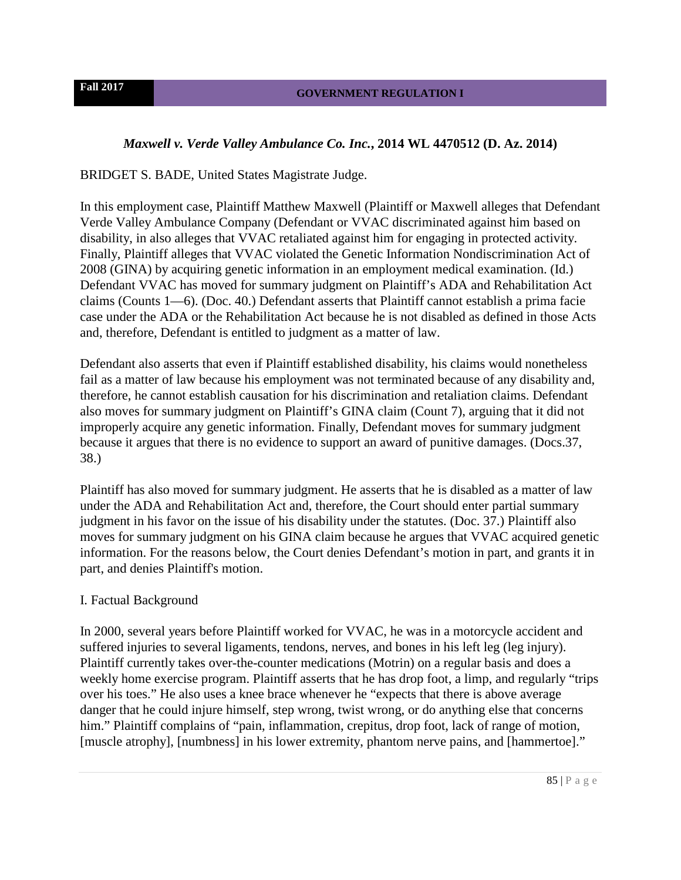### *Maxwell v. Verde Valley Ambulance Co. Inc.***, 2014 WL 4470512 (D. Az. 2014)**

BRIDGET S. BADE, United States Magistrate Judge.

In this employment case, Plaintiff Matthew Maxwell (Plaintiff or Maxwell alleges that Defendant Verde Valley Ambulance Company (Defendant or VVAC discriminated against him based on disability, in also alleges that VVAC retaliated against him for engaging in protected activity. Finally, Plaintiff alleges that VVAC violated the Genetic Information Nondiscrimination Act of 2008 (GINA) by acquiring genetic information in an employment medical examination. (Id.) Defendant VVAC has moved for summary judgment on Plaintiff's ADA and Rehabilitation Act claims (Counts 1—6). (Doc. 40.) Defendant asserts that Plaintiff cannot establish a prima facie case under the ADA or the Rehabilitation Act because he is not disabled as defined in those Acts and, therefore, Defendant is entitled to judgment as a matter of law.

Defendant also asserts that even if Plaintiff established disability, his claims would nonetheless fail as a matter of law because his employment was not terminated because of any disability and, therefore, he cannot establish causation for his discrimination and retaliation claims. Defendant also moves for summary judgment on Plaintiff's GINA claim (Count 7), arguing that it did not improperly acquire any genetic information. Finally, Defendant moves for summary judgment because it argues that there is no evidence to support an award of punitive damages. (Docs.37, 38.)

Plaintiff has also moved for summary judgment. He asserts that he is disabled as a matter of law under the ADA and Rehabilitation Act and, therefore, the Court should enter partial summary judgment in his favor on the issue of his disability under the statutes. (Doc. 37.) Plaintiff also moves for summary judgment on his GINA claim because he argues that VVAC acquired genetic information. For the reasons below, the Court denies Defendant's motion in part, and grants it in part, and denies Plaintiff's motion.

### I. Factual Background

In 2000, several years before Plaintiff worked for VVAC, he was in a motorcycle accident and suffered injuries to several ligaments, tendons, nerves, and bones in his left leg (leg injury). Plaintiff currently takes over-the-counter medications (Motrin) on a regular basis and does a weekly home exercise program. Plaintiff asserts that he has drop foot, a limp, and regularly "trips over his toes." He also uses a knee brace whenever he "expects that there is above average danger that he could injure himself, step wrong, twist wrong, or do anything else that concerns him." Plaintiff complains of "pain, inflammation, crepitus, drop foot, lack of range of motion, [muscle atrophy], [numbness] in his lower extremity, phantom nerve pains, and [hammertoe]."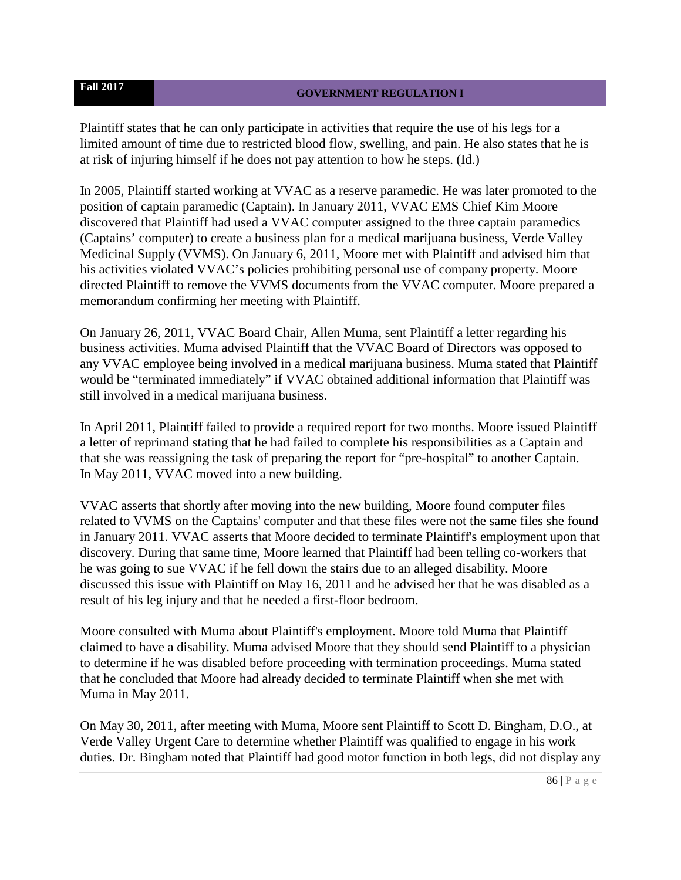Plaintiff states that he can only participate in activities that require the use of his legs for a limited amount of time due to restricted blood flow, swelling, and pain. He also states that he is at risk of injuring himself if he does not pay attention to how he steps. (Id.)

In 2005, Plaintiff started working at VVAC as a reserve paramedic. He was later promoted to the position of captain paramedic (Captain). In January 2011, VVAC EMS Chief Kim Moore discovered that Plaintiff had used a VVAC computer assigned to the three captain paramedics (Captains' computer) to create a business plan for a medical marijuana business, Verde Valley Medicinal Supply (VVMS). On January 6, 2011, Moore met with Plaintiff and advised him that his activities violated VVAC's policies prohibiting personal use of company property. Moore directed Plaintiff to remove the VVMS documents from the VVAC computer. Moore prepared a memorandum confirming her meeting with Plaintiff.

On January 26, 2011, VVAC Board Chair, Allen Muma, sent Plaintiff a letter regarding his business activities. Muma advised Plaintiff that the VVAC Board of Directors was opposed to any VVAC employee being involved in a medical marijuana business. Muma stated that Plaintiff would be "terminated immediately" if VVAC obtained additional information that Plaintiff was still involved in a medical marijuana business.

In April 2011, Plaintiff failed to provide a required report for two months. Moore issued Plaintiff a letter of reprimand stating that he had failed to complete his responsibilities as a Captain and that she was reassigning the task of preparing the report for "pre-hospital" to another Captain. In May 2011, VVAC moved into a new building.

VVAC asserts that shortly after moving into the new building, Moore found computer files related to VVMS on the Captains' computer and that these files were not the same files she found in January 2011. VVAC asserts that Moore decided to terminate Plaintiff's employment upon that discovery. During that same time, Moore learned that Plaintiff had been telling co-workers that he was going to sue VVAC if he fell down the stairs due to an alleged disability. Moore discussed this issue with Plaintiff on May 16, 2011 and he advised her that he was disabled as a result of his leg injury and that he needed a first-floor bedroom.

Moore consulted with Muma about Plaintiff's employment. Moore told Muma that Plaintiff claimed to have a disability. Muma advised Moore that they should send Plaintiff to a physician to determine if he was disabled before proceeding with termination proceedings. Muma stated that he concluded that Moore had already decided to terminate Plaintiff when she met with Muma in May 2011.

On May 30, 2011, after meeting with Muma, Moore sent Plaintiff to Scott D. Bingham, D.O., at Verde Valley Urgent Care to determine whether Plaintiff was qualified to engage in his work duties. Dr. Bingham noted that Plaintiff had good motor function in both legs, did not display any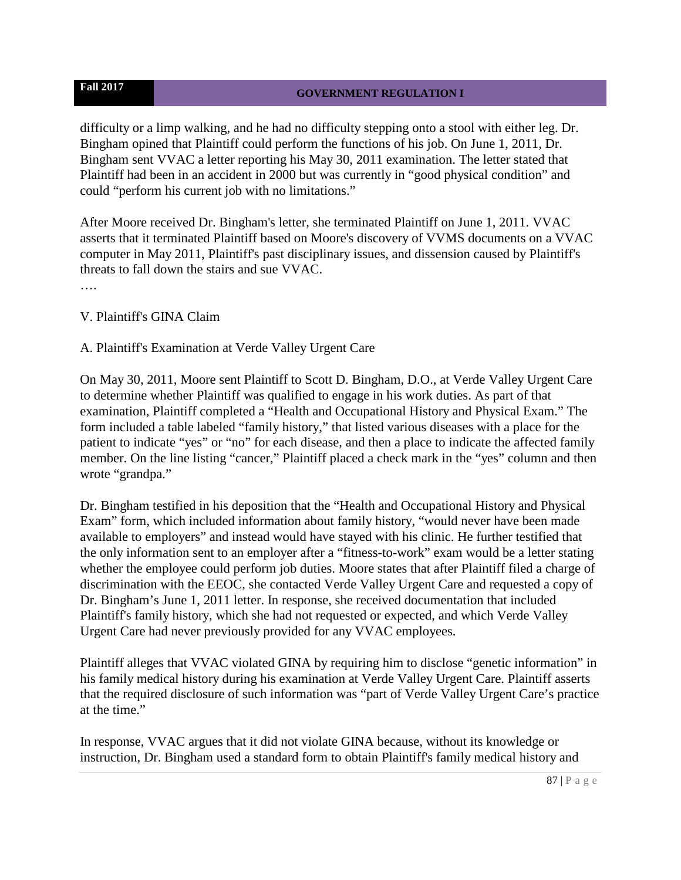difficulty or a limp walking, and he had no difficulty stepping onto a stool with either leg. Dr. Bingham opined that Plaintiff could perform the functions of his job. On June 1, 2011, Dr. Bingham sent VVAC a letter reporting his May 30, 2011 examination. The letter stated that Plaintiff had been in an accident in 2000 but was currently in "good physical condition" and could "perform his current job with no limitations."

After Moore received Dr. Bingham's letter, she terminated Plaintiff on June 1, 2011. VVAC asserts that it terminated Plaintiff based on Moore's discovery of VVMS documents on a VVAC computer in May 2011, Plaintiff's past disciplinary issues, and dissension caused by Plaintiff's threats to fall down the stairs and sue VVAC.

….

### V. Plaintiff's GINA Claim

### A. Plaintiff's Examination at Verde Valley Urgent Care

On May 30, 2011, Moore sent Plaintiff to Scott D. Bingham, D.O., at Verde Valley Urgent Care to determine whether Plaintiff was qualified to engage in his work duties. As part of that examination, Plaintiff completed a "Health and Occupational History and Physical Exam." The form included a table labeled "family history," that listed various diseases with a place for the patient to indicate "yes" or "no" for each disease, and then a place to indicate the affected family member. On the line listing "cancer," Plaintiff placed a check mark in the "yes" column and then wrote "grandpa."

Dr. Bingham testified in his deposition that the "Health and Occupational History and Physical Exam" form, which included information about family history, "would never have been made available to employers" and instead would have stayed with his clinic. He further testified that the only information sent to an employer after a "fitness-to-work" exam would be a letter stating whether the employee could perform job duties. Moore states that after Plaintiff filed a charge of discrimination with the EEOC, she contacted Verde Valley Urgent Care and requested a copy of Dr. Bingham's June 1, 2011 letter. In response, she received documentation that included Plaintiff's family history, which she had not requested or expected, and which Verde Valley Urgent Care had never previously provided for any VVAC employees.

Plaintiff alleges that VVAC violated GINA by requiring him to disclose "genetic information" in his family medical history during his examination at Verde Valley Urgent Care. Plaintiff asserts that the required disclosure of such information was "part of Verde Valley Urgent Care's practice at the time."

In response, VVAC argues that it did not violate GINA because, without its knowledge or instruction, Dr. Bingham used a standard form to obtain Plaintiff's family medical history and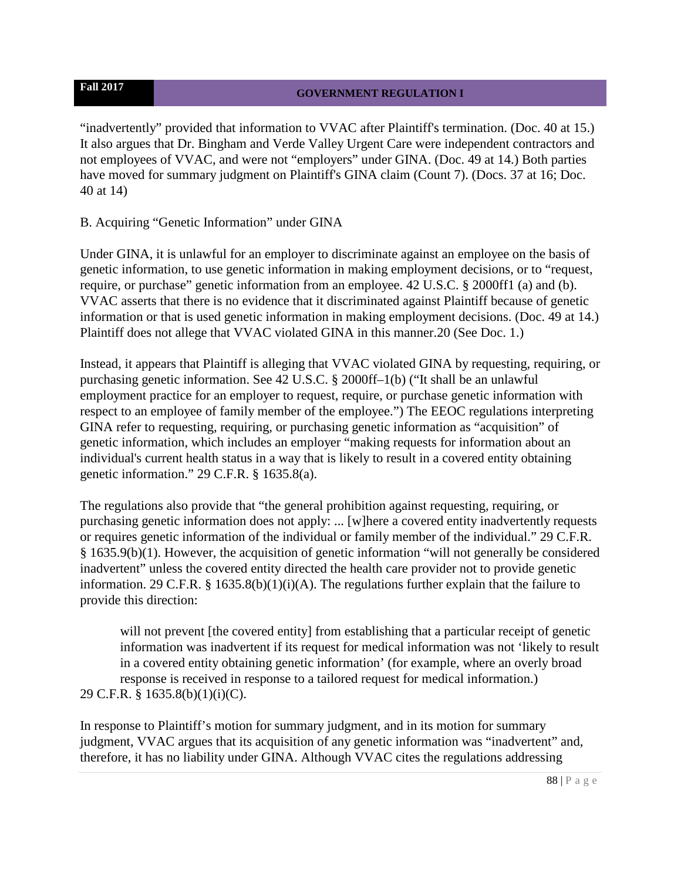"inadvertently" provided that information to VVAC after Plaintiff's termination. (Doc. 40 at 15.) It also argues that Dr. Bingham and Verde Valley Urgent Care were independent contractors and not employees of VVAC, and were not "employers" under GINA. (Doc. 49 at 14.) Both parties have moved for summary judgment on Plaintiff's GINA claim (Count 7). (Docs. 37 at 16; Doc. 40 at 14)

### B. Acquiring "Genetic Information" under GINA

Under GINA, it is unlawful for an employer to discriminate against an employee on the basis of genetic information, to use genetic information in making employment decisions, or to "request, require, or purchase" genetic information from an employee. 42 U.S.C. § 2000ff1 (a) and (b). VVAC asserts that there is no evidence that it discriminated against Plaintiff because of genetic information or that is used genetic information in making employment decisions. (Doc. 49 at 14.) Plaintiff does not allege that VVAC violated GINA in this manner.20 (See Doc. 1.)

Instead, it appears that Plaintiff is alleging that VVAC violated GINA by requesting, requiring, or purchasing genetic information. See 42 U.S.C. § 2000ff–1(b) ("It shall be an unlawful employment practice for an employer to request, require, or purchase genetic information with respect to an employee of family member of the employee.") The EEOC regulations interpreting GINA refer to requesting, requiring, or purchasing genetic information as "acquisition" of genetic information, which includes an employer "making requests for information about an individual's current health status in a way that is likely to result in a covered entity obtaining genetic information." 29 C.F.R. § 1635.8(a).

The regulations also provide that "the general prohibition against requesting, requiring, or purchasing genetic information does not apply: ... [w]here a covered entity inadvertently requests or requires genetic information of the individual or family member of the individual." 29 C.F.R. § 1635.9(b)(1). However, the acquisition of genetic information "will not generally be considered inadvertent" unless the covered entity directed the health care provider not to provide genetic information. 29 C.F.R. § 1635.8(b)(1)(i)(A). The regulations further explain that the failure to provide this direction:

will not prevent [the covered entity] from establishing that a particular receipt of genetic information was inadvertent if its request for medical information was not 'likely to result in a covered entity obtaining genetic information' (for example, where an overly broad response is received in response to a tailored request for medical information.) 29 C.F.R. § 1635.8(b)(1)(i)(C).

In response to Plaintiff's motion for summary judgment, and in its motion for summary judgment, VVAC argues that its acquisition of any genetic information was "inadvertent" and, therefore, it has no liability under GINA. Although VVAC cites the regulations addressing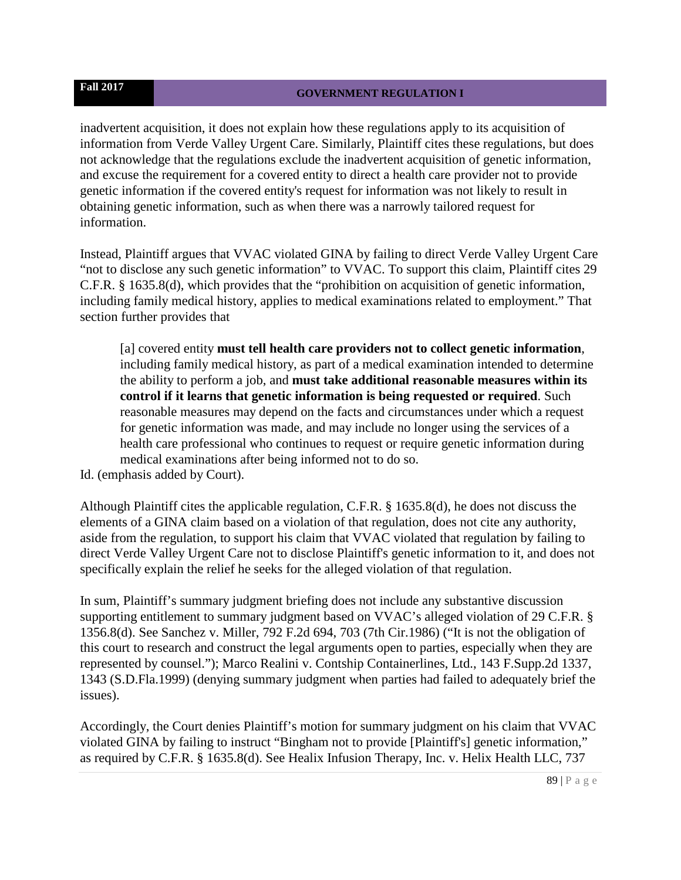inadvertent acquisition, it does not explain how these regulations apply to its acquisition of information from Verde Valley Urgent Care. Similarly, Plaintiff cites these regulations, but does not acknowledge that the regulations exclude the inadvertent acquisition of genetic information, and excuse the requirement for a covered entity to direct a health care provider not to provide genetic information if the covered entity's request for information was not likely to result in obtaining genetic information, such as when there was a narrowly tailored request for information.

Instead, Plaintiff argues that VVAC violated GINA by failing to direct Verde Valley Urgent Care "not to disclose any such genetic information" to VVAC. To support this claim, Plaintiff cites 29 C.F.R. § 1635.8(d), which provides that the "prohibition on acquisition of genetic information, including family medical history, applies to medical examinations related to employment." That section further provides that

[a] covered entity **must tell health care providers not to collect genetic information**, including family medical history, as part of a medical examination intended to determine the ability to perform a job, and **must take additional reasonable measures within its control if it learns that genetic information is being requested or required**. Such reasonable measures may depend on the facts and circumstances under which a request for genetic information was made, and may include no longer using the services of a health care professional who continues to request or require genetic information during medical examinations after being informed not to do so.

Id. (emphasis added by Court).

Although Plaintiff cites the applicable regulation, C.F.R. § 1635.8(d), he does not discuss the elements of a GINA claim based on a violation of that regulation, does not cite any authority, aside from the regulation, to support his claim that VVAC violated that regulation by failing to direct Verde Valley Urgent Care not to disclose Plaintiff's genetic information to it, and does not specifically explain the relief he seeks for the alleged violation of that regulation.

In sum, Plaintiff's summary judgment briefing does not include any substantive discussion supporting entitlement to summary judgment based on VVAC's alleged violation of 29 C.F.R. § 1356.8(d). See Sanchez v. Miller, 792 F.2d 694, 703 (7th Cir.1986) ("It is not the obligation of this court to research and construct the legal arguments open to parties, especially when they are represented by counsel."); Marco Realini v. Contship Containerlines, Ltd., 143 F.Supp.2d 1337, 1343 (S.D.Fla.1999) (denying summary judgment when parties had failed to adequately brief the issues).

Accordingly, the Court denies Plaintiff's motion for summary judgment on his claim that VVAC violated GINA by failing to instruct "Bingham not to provide [Plaintiff's] genetic information," as required by C.F.R. § 1635.8(d). See Healix Infusion Therapy, Inc. v. Helix Health LLC, 737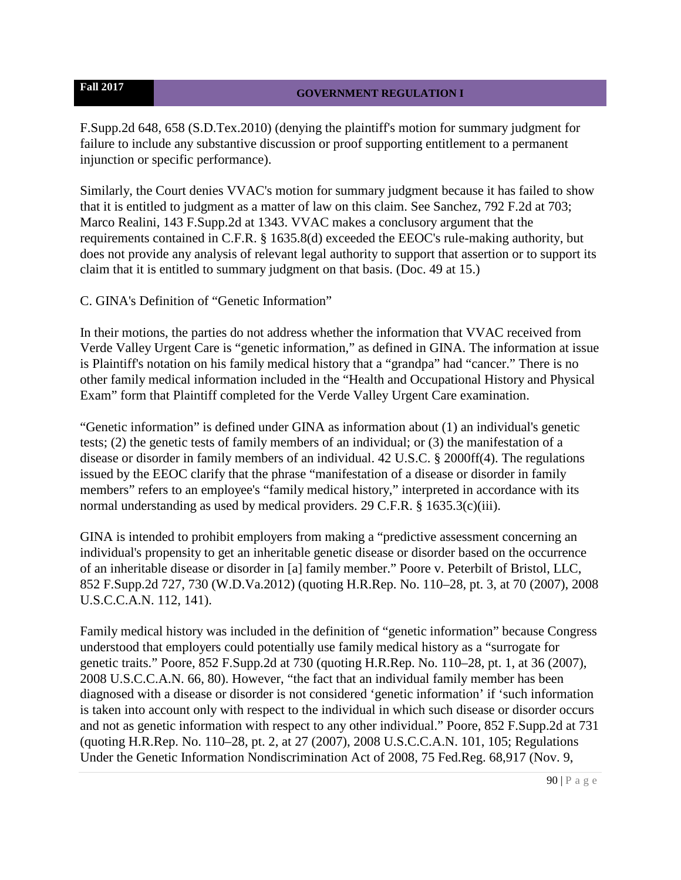F.Supp.2d 648, 658 (S.D.Tex.2010) (denying the plaintiff's motion for summary judgment for failure to include any substantive discussion or proof supporting entitlement to a permanent injunction or specific performance).

Similarly, the Court denies VVAC's motion for summary judgment because it has failed to show that it is entitled to judgment as a matter of law on this claim. See Sanchez, 792 F.2d at 703; Marco Realini, 143 F.Supp.2d at 1343. VVAC makes a conclusory argument that the requirements contained in C.F.R. § 1635.8(d) exceeded the EEOC's rule-making authority, but does not provide any analysis of relevant legal authority to support that assertion or to support its claim that it is entitled to summary judgment on that basis. (Doc. 49 at 15.)

C. GINA's Definition of "Genetic Information"

In their motions, the parties do not address whether the information that VVAC received from Verde Valley Urgent Care is "genetic information," as defined in GINA. The information at issue is Plaintiff's notation on his family medical history that a "grandpa" had "cancer." There is no other family medical information included in the "Health and Occupational History and Physical Exam" form that Plaintiff completed for the Verde Valley Urgent Care examination.

"Genetic information" is defined under GINA as information about (1) an individual's genetic tests; (2) the genetic tests of family members of an individual; or (3) the manifestation of a disease or disorder in family members of an individual. 42 U.S.C. § 2000ff(4). The regulations issued by the EEOC clarify that the phrase "manifestation of a disease or disorder in family members" refers to an employee's "family medical history," interpreted in accordance with its normal understanding as used by medical providers. 29 C.F.R.  $\S$  1635.3(c)(iii).

GINA is intended to prohibit employers from making a "predictive assessment concerning an individual's propensity to get an inheritable genetic disease or disorder based on the occurrence of an inheritable disease or disorder in [a] family member." Poore v. Peterbilt of Bristol, LLC, 852 F.Supp.2d 727, 730 (W.D.Va.2012) (quoting H.R.Rep. No. 110–28, pt. 3, at 70 (2007), 2008 U.S.C.C.A.N. 112, 141).

Family medical history was included in the definition of "genetic information" because Congress understood that employers could potentially use family medical history as a "surrogate for genetic traits." Poore, 852 F.Supp.2d at 730 (quoting H.R.Rep. No. 110–28, pt. 1, at 36 (2007), 2008 U.S.C.C.A.N. 66, 80). However, "the fact that an individual family member has been diagnosed with a disease or disorder is not considered 'genetic information' if 'such information is taken into account only with respect to the individual in which such disease or disorder occurs and not as genetic information with respect to any other individual." Poore, 852 F.Supp.2d at 731 (quoting H.R.Rep. No. 110–28, pt. 2, at 27 (2007), 2008 U.S.C.C.A.N. 101, 105; Regulations Under the Genetic Information Nondiscrimination Act of 2008, 75 Fed.Reg. 68,917 (Nov. 9,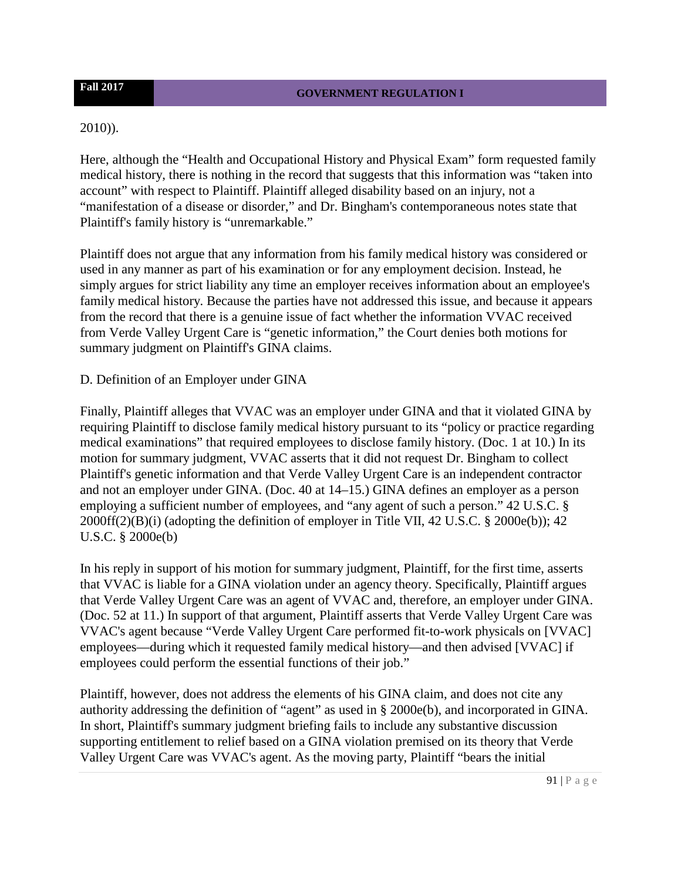### 2010)).

Here, although the "Health and Occupational History and Physical Exam" form requested family medical history, there is nothing in the record that suggests that this information was "taken into account" with respect to Plaintiff. Plaintiff alleged disability based on an injury, not a "manifestation of a disease or disorder," and Dr. Bingham's contemporaneous notes state that Plaintiff's family history is "unremarkable."

Plaintiff does not argue that any information from his family medical history was considered or used in any manner as part of his examination or for any employment decision. Instead, he simply argues for strict liability any time an employer receives information about an employee's family medical history. Because the parties have not addressed this issue, and because it appears from the record that there is a genuine issue of fact whether the information VVAC received from Verde Valley Urgent Care is "genetic information," the Court denies both motions for summary judgment on Plaintiff's GINA claims.

### D. Definition of an Employer under GINA

Finally, Plaintiff alleges that VVAC was an employer under GINA and that it violated GINA by requiring Plaintiff to disclose family medical history pursuant to its "policy or practice regarding medical examinations" that required employees to disclose family history. (Doc. 1 at 10.) In its motion for summary judgment, VVAC asserts that it did not request Dr. Bingham to collect Plaintiff's genetic information and that Verde Valley Urgent Care is an independent contractor and not an employer under GINA. (Doc. 40 at 14–15.) GINA defines an employer as a person employing a sufficient number of employees, and "any agent of such a person." 42 U.S.C. § 2000ff(2)(B)(i) (adopting the definition of employer in Title VII, 42 U.S.C. § 2000e(b)); 42 U.S.C. § 2000e(b)

In his reply in support of his motion for summary judgment, Plaintiff, for the first time, asserts that VVAC is liable for a GINA violation under an agency theory. Specifically, Plaintiff argues that Verde Valley Urgent Care was an agent of VVAC and, therefore, an employer under GINA. (Doc. 52 at 11.) In support of that argument, Plaintiff asserts that Verde Valley Urgent Care was VVAC's agent because "Verde Valley Urgent Care performed fit-to-work physicals on [VVAC] employees—during which it requested family medical history—and then advised [VVAC] if employees could perform the essential functions of their job."

Plaintiff, however, does not address the elements of his GINA claim, and does not cite any authority addressing the definition of "agent" as used in § 2000e(b), and incorporated in GINA. In short, Plaintiff's summary judgment briefing fails to include any substantive discussion supporting entitlement to relief based on a GINA violation premised on its theory that Verde Valley Urgent Care was VVAC's agent. As the moving party, Plaintiff "bears the initial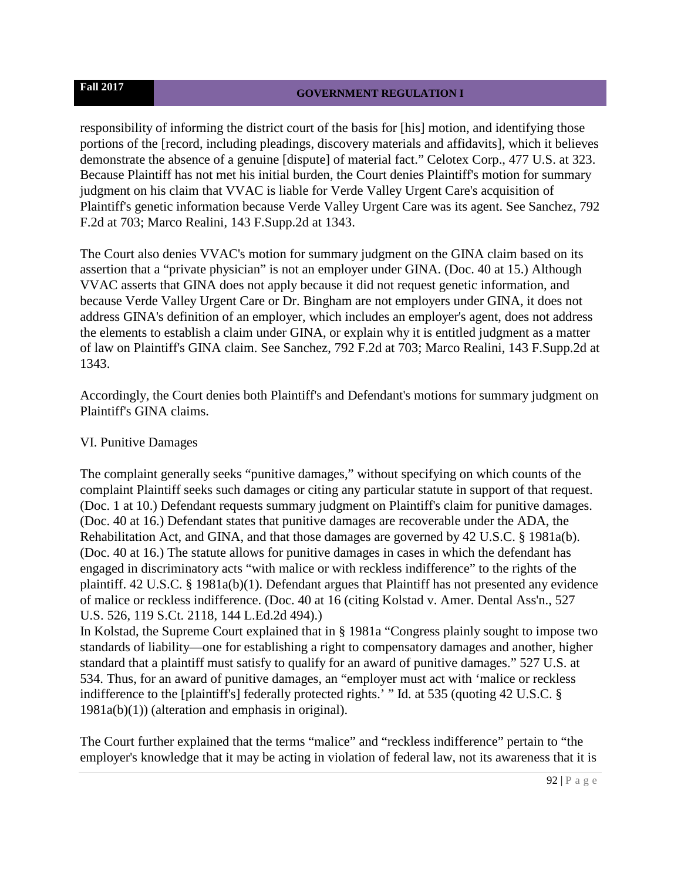responsibility of informing the district court of the basis for [his] motion, and identifying those portions of the [record, including pleadings, discovery materials and affidavits], which it believes demonstrate the absence of a genuine [dispute] of material fact." Celotex Corp., 477 U.S. at 323. Because Plaintiff has not met his initial burden, the Court denies Plaintiff's motion for summary judgment on his claim that VVAC is liable for Verde Valley Urgent Care's acquisition of Plaintiff's genetic information because Verde Valley Urgent Care was its agent. See Sanchez, 792 F.2d at 703; Marco Realini, 143 F.Supp.2d at 1343.

The Court also denies VVAC's motion for summary judgment on the GINA claim based on its assertion that a "private physician" is not an employer under GINA. (Doc. 40 at 15.) Although VVAC asserts that GINA does not apply because it did not request genetic information, and because Verde Valley Urgent Care or Dr. Bingham are not employers under GINA, it does not address GINA's definition of an employer, which includes an employer's agent, does not address the elements to establish a claim under GINA, or explain why it is entitled judgment as a matter of law on Plaintiff's GINA claim. See Sanchez, 792 F.2d at 703; Marco Realini, 143 F.Supp.2d at 1343.

Accordingly, the Court denies both Plaintiff's and Defendant's motions for summary judgment on Plaintiff's GINA claims.

### VI. Punitive Damages

The complaint generally seeks "punitive damages," without specifying on which counts of the complaint Plaintiff seeks such damages or citing any particular statute in support of that request. (Doc. 1 at 10.) Defendant requests summary judgment on Plaintiff's claim for punitive damages. (Doc. 40 at 16.) Defendant states that punitive damages are recoverable under the ADA, the Rehabilitation Act, and GINA, and that those damages are governed by 42 U.S.C. § 1981a(b). (Doc. 40 at 16.) The statute allows for punitive damages in cases in which the defendant has engaged in discriminatory acts "with malice or with reckless indifference" to the rights of the plaintiff. 42 U.S.C. § 1981a(b)(1). Defendant argues that Plaintiff has not presented any evidence of malice or reckless indifference. (Doc. 40 at 16 (citing Kolstad v. Amer. Dental Ass'n., 527 U.S. 526, 119 S.Ct. 2118, 144 L.Ed.2d 494).)

In Kolstad, the Supreme Court explained that in § 1981a "Congress plainly sought to impose two standards of liability—one for establishing a right to compensatory damages and another, higher standard that a plaintiff must satisfy to qualify for an award of punitive damages." 527 U.S. at 534. Thus, for an award of punitive damages, an "employer must act with 'malice or reckless indifference to the [plaintiff's] federally protected rights.' " Id. at 535 (quoting 42 U.S.C. § 1981a(b)(1)) (alteration and emphasis in original).

The Court further explained that the terms "malice" and "reckless indifference" pertain to "the employer's knowledge that it may be acting in violation of federal law, not its awareness that it is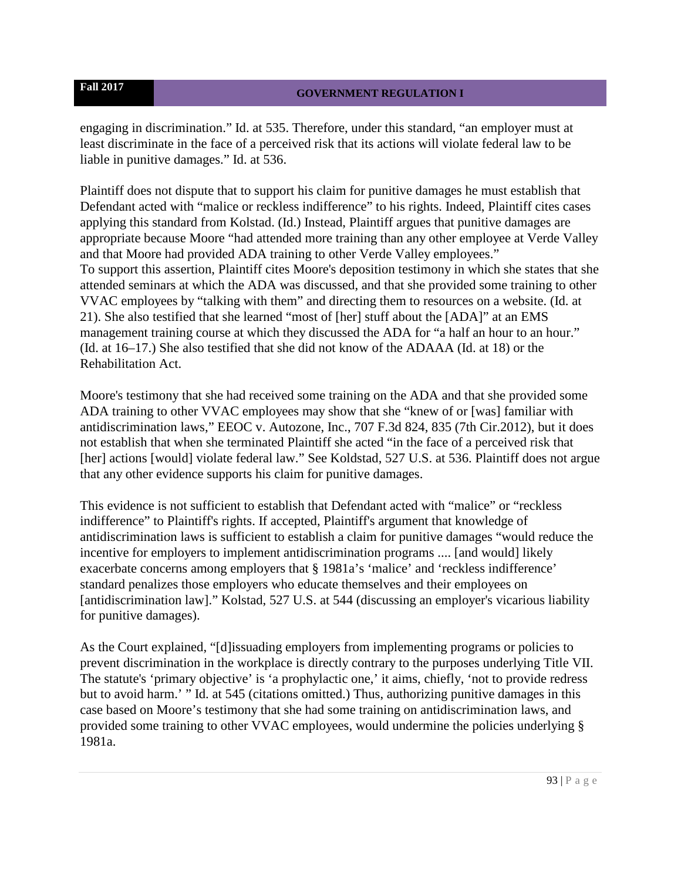engaging in discrimination." Id. at 535. Therefore, under this standard, "an employer must at least discriminate in the face of a perceived risk that its actions will violate federal law to be liable in punitive damages." Id. at 536.

Plaintiff does not dispute that to support his claim for punitive damages he must establish that Defendant acted with "malice or reckless indifference" to his rights. Indeed, Plaintiff cites cases applying this standard from Kolstad. (Id.) Instead, Plaintiff argues that punitive damages are appropriate because Moore "had attended more training than any other employee at Verde Valley and that Moore had provided ADA training to other Verde Valley employees." To support this assertion, Plaintiff cites Moore's deposition testimony in which she states that she attended seminars at which the ADA was discussed, and that she provided some training to other VVAC employees by "talking with them" and directing them to resources on a website. (Id. at 21). She also testified that she learned "most of [her] stuff about the [ADA]" at an EMS management training course at which they discussed the ADA for "a half an hour to an hour." (Id. at 16–17.) She also testified that she did not know of the ADAAA (Id. at 18) or the Rehabilitation Act.

Moore's testimony that she had received some training on the ADA and that she provided some ADA training to other VVAC employees may show that she "knew of or [was] familiar with antidiscrimination laws," EEOC v. Autozone, Inc., 707 F.3d 824, 835 (7th Cir.2012), but it does not establish that when she terminated Plaintiff she acted "in the face of a perceived risk that [her] actions [would] violate federal law." See Koldstad, 527 U.S. at 536. Plaintiff does not argue that any other evidence supports his claim for punitive damages.

This evidence is not sufficient to establish that Defendant acted with "malice" or "reckless indifference" to Plaintiff's rights. If accepted, Plaintiff's argument that knowledge of antidiscrimination laws is sufficient to establish a claim for punitive damages "would reduce the incentive for employers to implement antidiscrimination programs .... [and would] likely exacerbate concerns among employers that § 1981a's 'malice' and 'reckless indifference' standard penalizes those employers who educate themselves and their employees on [antidiscrimination law]." Kolstad, 527 U.S. at 544 (discussing an employer's vicarious liability for punitive damages).

As the Court explained, "[d]issuading employers from implementing programs or policies to prevent discrimination in the workplace is directly contrary to the purposes underlying Title VII. The statute's 'primary objective' is 'a prophylactic one,' it aims, chiefly, 'not to provide redress but to avoid harm.' " Id. at 545 (citations omitted.) Thus, authorizing punitive damages in this case based on Moore's testimony that she had some training on antidiscrimination laws, and provided some training to other VVAC employees, would undermine the policies underlying § 1981a.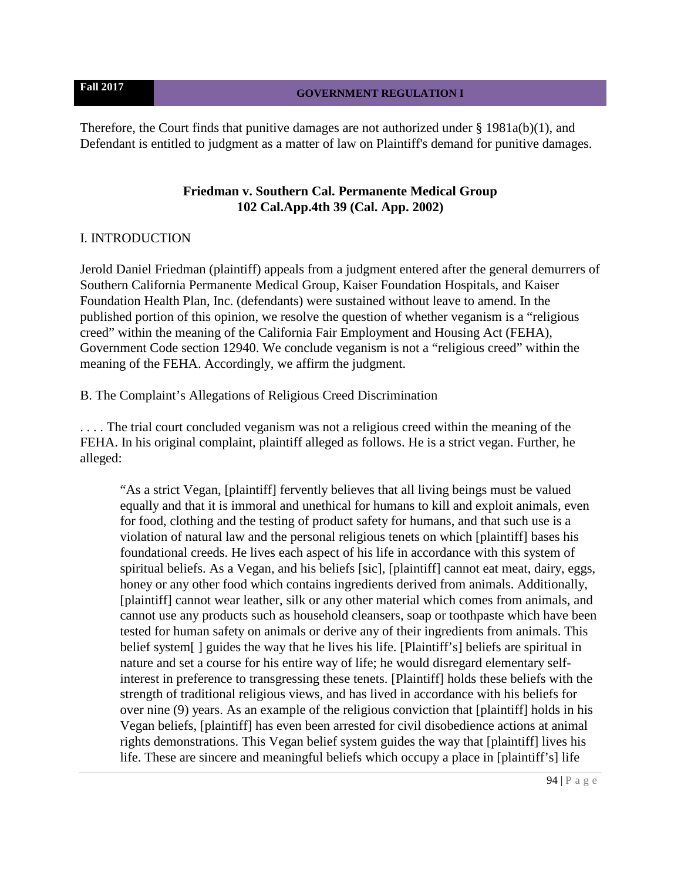Therefore, the Court finds that punitive damages are not authorized under § 1981a(b)(1), and Defendant is entitled to judgment as a matter of law on Plaintiff's demand for punitive damages.

### **Friedman v. Southern Cal. Permanente Medical Group 102 Cal.App.4th 39 (Cal. App. 2002)**

### I. INTRODUCTION

Jerold Daniel Friedman (plaintiff) appeals from a judgment entered after the general demurrers of Southern California Permanente Medical Group, Kaiser Foundation Hospitals, and Kaiser Foundation Health Plan, Inc. (defendants) were sustained without leave to amend. In the published portion of this opinion, we resolve the question of whether veganism is a "religious creed" within the meaning of the California Fair Employment and Housing Act (FEHA), Government Code section 12940. We conclude veganism is not a "religious creed" within the meaning of the FEHA. Accordingly, we affirm the judgment.

B. The Complaint's Allegations of Religious Creed Discrimination

. . . . The trial court concluded veganism was not a religious creed within the meaning of the FEHA. In his original complaint, plaintiff alleged as follows. He is a strict vegan. Further, he alleged:

"As a strict Vegan, [plaintiff] fervently believes that all living beings must be valued equally and that it is immoral and unethical for humans to kill and exploit animals, even for food, clothing and the testing of product safety for humans, and that such use is a violation of natural law and the personal religious tenets on which [plaintiff] bases his foundational creeds. He lives each aspect of his life in accordance with this system of spiritual beliefs. As a Vegan, and his beliefs [sic], [plaintiff] cannot eat meat, dairy, eggs, honey or any other food which contains ingredients derived from animals. Additionally, [plaintiff] cannot wear leather, silk or any other material which comes from animals, and cannot use any products such as household cleansers, soap or toothpaste which have been tested for human safety on animals or derive any of their ingredients from animals. This belief system[ ] guides the way that he lives his life. [Plaintiff's] beliefs are spiritual in nature and set a course for his entire way of life; he would disregard elementary selfinterest in preference to transgressing these tenets. [Plaintiff] holds these beliefs with the strength of traditional religious views, and has lived in accordance with his beliefs for over nine (9) years. As an example of the religious conviction that [plaintiff] holds in his Vegan beliefs, [plaintiff] has even been arrested for civil disobedience actions at animal rights demonstrations. This Vegan belief system guides the way that [plaintiff] lives his life. These are sincere and meaningful beliefs which occupy a place in [plaintiff's] life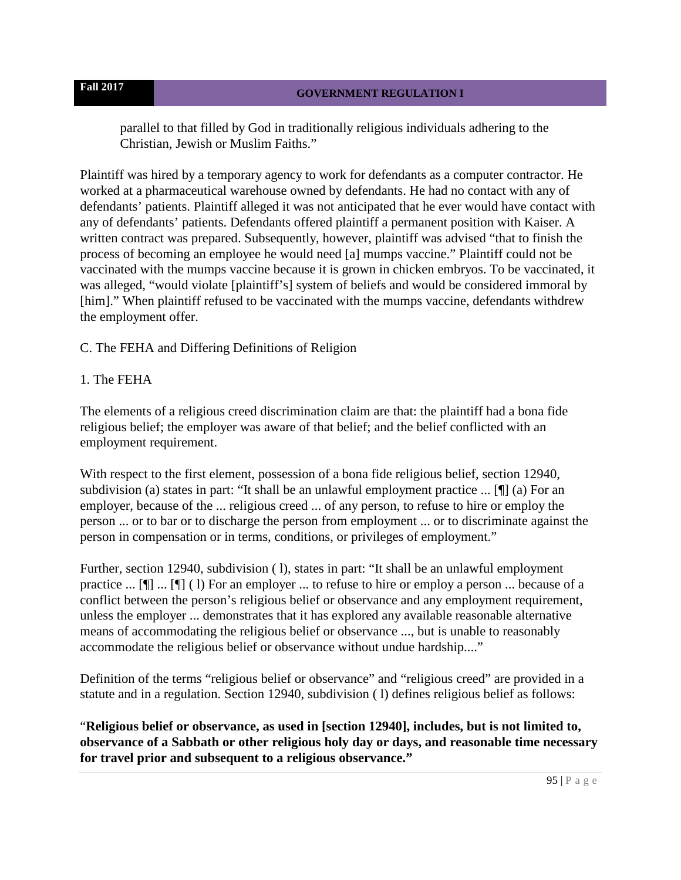parallel to that filled by God in traditionally religious individuals adhering to the Christian, Jewish or Muslim Faiths."

Plaintiff was hired by a temporary agency to work for defendants as a computer contractor. He worked at a pharmaceutical warehouse owned by defendants. He had no contact with any of defendants' patients. Plaintiff alleged it was not anticipated that he ever would have contact with any of defendants' patients. Defendants offered plaintiff a permanent position with Kaiser. A written contract was prepared. Subsequently, however, plaintiff was advised "that to finish the process of becoming an employee he would need [a] mumps vaccine." Plaintiff could not be vaccinated with the mumps vaccine because it is grown in chicken embryos. To be vaccinated, it was alleged, "would violate [plaintiff's] system of beliefs and would be considered immoral by [him]." When plaintiff refused to be vaccinated with the mumps vaccine, defendants withdrew the employment offer.

## C. The FEHA and Differing Definitions of Religion

## 1. The FEHA

The elements of a religious creed discrimination claim are that: the plaintiff had a bona fide religious belief; the employer was aware of that belief; and the belief conflicted with an employment requirement.

With respect to the first element, possession of a bona fide religious belief, section 12940, subdivision (a) states in part: "It shall be an unlawful employment practice ... [¶] (a) For an employer, because of the ... religious creed ... of any person, to refuse to hire or employ the person ... or to bar or to discharge the person from employment ... or to discriminate against the person in compensation or in terms, conditions, or privileges of employment."

Further, section 12940, subdivision (1), states in part: "It shall be an unlawful employment practice ... [¶] ... [¶] ( l) For an employer ... to refuse to hire or employ a person ... because of a conflict between the person's religious belief or observance and any employment requirement, unless the employer ... demonstrates that it has explored any available reasonable alternative means of accommodating the religious belief or observance ..., but is unable to reasonably accommodate the religious belief or observance without undue hardship...."

Definition of the terms "religious belief or observance" and "religious creed" are provided in a statute and in a regulation. Section 12940, subdivision ( l) defines religious belief as follows:

"**Religious belief or observance, as used in [section 12940], includes, but is not limited to, observance of a Sabbath or other religious holy day or days, and reasonable time necessary for travel prior and subsequent to a religious observance."**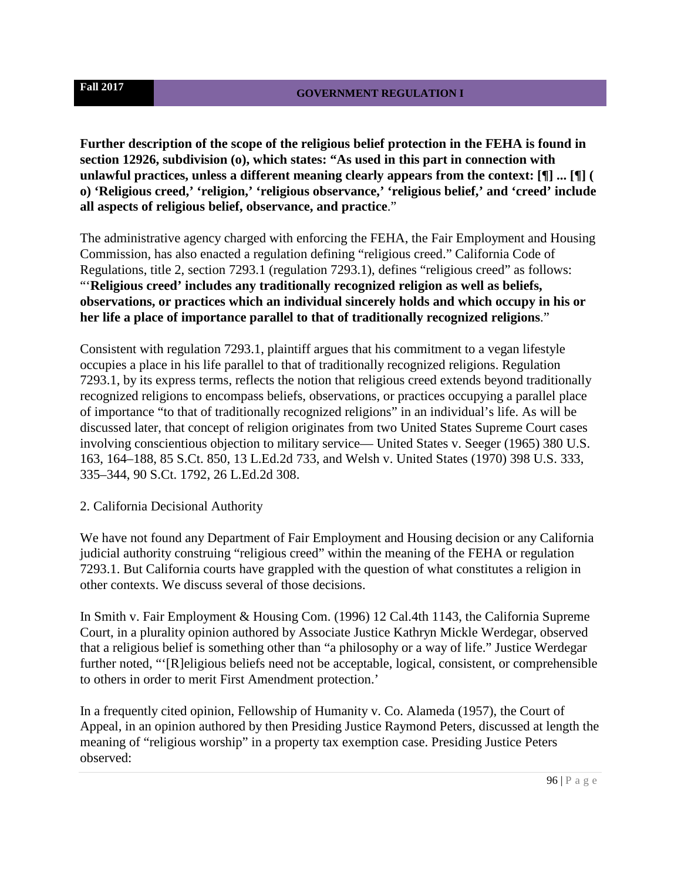**Further description of the scope of the religious belief protection in the FEHA is found in section 12926, subdivision (o), which states: "As used in this part in connection with unlawful practices, unless a different meaning clearly appears from the context: [¶] ... [¶] ( o) 'Religious creed,' 'religion,' 'religious observance,' 'religious belief,' and 'creed' include all aspects of religious belief, observance, and practice**."

The administrative agency charged with enforcing the FEHA, the Fair Employment and Housing Commission, has also enacted a regulation defining "religious creed." California Code of Regulations, title 2, section 7293.1 (regulation 7293.1), defines "religious creed" as follows: "'**Religious creed' includes any traditionally recognized religion as well as beliefs, observations, or practices which an individual sincerely holds and which occupy in his or her life a place of importance parallel to that of traditionally recognized religions**."

Consistent with regulation 7293.1, plaintiff argues that his commitment to a vegan lifestyle occupies a place in his life parallel to that of traditionally recognized religions. Regulation 7293.1, by its express terms, reflects the notion that religious creed extends beyond traditionally recognized religions to encompass beliefs, observations, or practices occupying a parallel place of importance "to that of traditionally recognized religions" in an individual's life. As will be discussed later, that concept of religion originates from two United States Supreme Court cases involving conscientious objection to military service— United States v. Seeger (1965) 380 U.S. 163, 164–188, 85 S.Ct. 850, 13 L.Ed.2d 733, and Welsh v. United States (1970) 398 U.S. 333, 335–344, 90 S.Ct. 1792, 26 L.Ed.2d 308.

### 2. California Decisional Authority

We have not found any Department of Fair Employment and Housing decision or any California judicial authority construing "religious creed" within the meaning of the FEHA or regulation 7293.1. But California courts have grappled with the question of what constitutes a religion in other contexts. We discuss several of those decisions.

In Smith v. Fair Employment & Housing Com. (1996) 12 Cal.4th 1143, the California Supreme Court, in a plurality opinion authored by Associate Justice Kathryn Mickle Werdegar, observed that a religious belief is something other than "a philosophy or a way of life." Justice Werdegar further noted, "'[R]eligious beliefs need not be acceptable, logical, consistent, or comprehensible to others in order to merit First Amendment protection.'

In a frequently cited opinion, Fellowship of Humanity v. Co. Alameda (1957), the Court of Appeal, in an opinion authored by then Presiding Justice Raymond Peters, discussed at length the meaning of "religious worship" in a property tax exemption case. Presiding Justice Peters observed: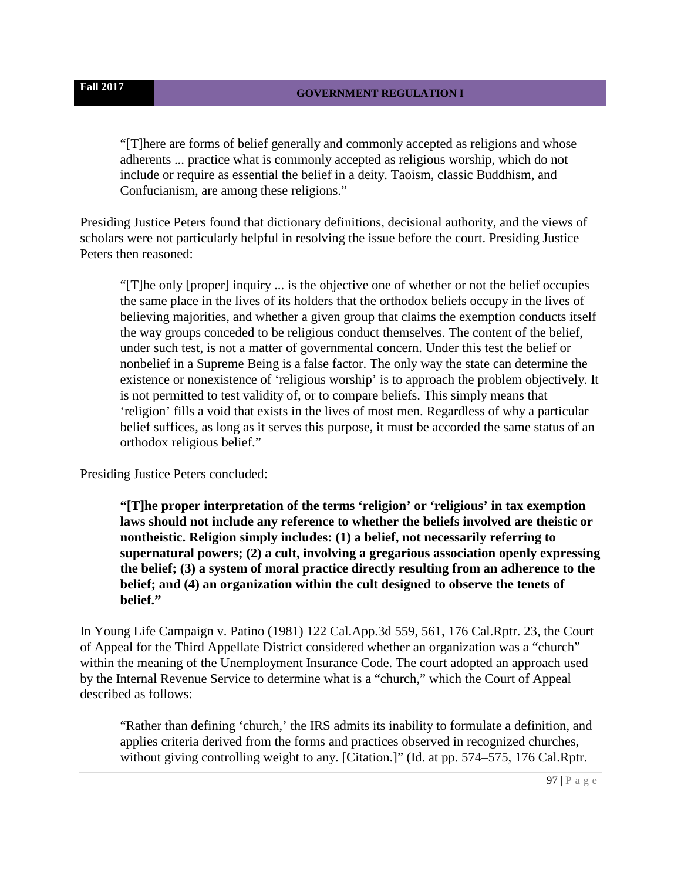"[T]here are forms of belief generally and commonly accepted as religions and whose adherents ... practice what is commonly accepted as religious worship, which do not include or require as essential the belief in a deity. Taoism, classic Buddhism, and Confucianism, are among these religions."

Presiding Justice Peters found that dictionary definitions, decisional authority, and the views of scholars were not particularly helpful in resolving the issue before the court. Presiding Justice Peters then reasoned:

"[T]he only [proper] inquiry ... is the objective one of whether or not the belief occupies the same place in the lives of its holders that the orthodox beliefs occupy in the lives of believing majorities, and whether a given group that claims the exemption conducts itself the way groups conceded to be religious conduct themselves. The content of the belief, under such test, is not a matter of governmental concern. Under this test the belief or nonbelief in a Supreme Being is a false factor. The only way the state can determine the existence or nonexistence of 'religious worship' is to approach the problem objectively. It is not permitted to test validity of, or to compare beliefs. This simply means that 'religion' fills a void that exists in the lives of most men. Regardless of why a particular belief suffices, as long as it serves this purpose, it must be accorded the same status of an orthodox religious belief."

Presiding Justice Peters concluded:

**"[T]he proper interpretation of the terms 'religion' or 'religious' in tax exemption laws should not include any reference to whether the beliefs involved are theistic or nontheistic. Religion simply includes: (1) a belief, not necessarily referring to supernatural powers; (2) a cult, involving a gregarious association openly expressing the belief; (3) a system of moral practice directly resulting from an adherence to the belief; and (4) an organization within the cult designed to observe the tenets of belief."** 

In Young Life Campaign v. Patino (1981) 122 Cal.App.3d 559, 561, 176 Cal.Rptr. 23, the Court of Appeal for the Third Appellate District considered whether an organization was a "church" within the meaning of the Unemployment Insurance Code. The court adopted an approach used by the Internal Revenue Service to determine what is a "church," which the Court of Appeal described as follows:

"Rather than defining 'church,' the IRS admits its inability to formulate a definition, and applies criteria derived from the forms and practices observed in recognized churches, without giving controlling weight to any. [Citation.]" (Id. at pp. 574–575, 176 Cal.Rptr.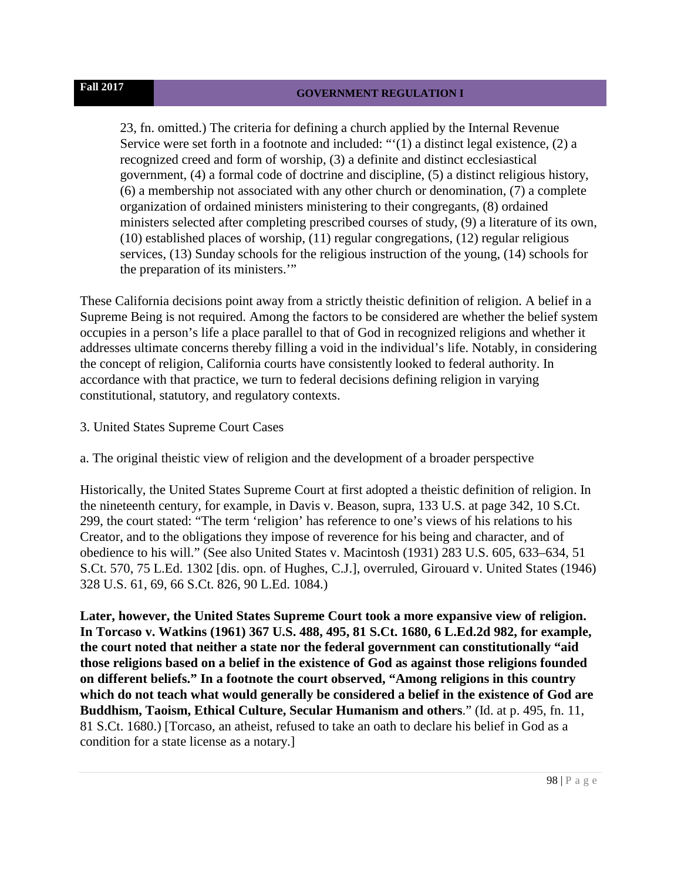23, fn. omitted.) The criteria for defining a church applied by the Internal Revenue Service were set forth in a footnote and included: "'(1) a distinct legal existence, (2) a recognized creed and form of worship, (3) a definite and distinct ecclesiastical government, (4) a formal code of doctrine and discipline, (5) a distinct religious history, (6) a membership not associated with any other church or denomination, (7) a complete organization of ordained ministers ministering to their congregants, (8) ordained ministers selected after completing prescribed courses of study, (9) a literature of its own, (10) established places of worship, (11) regular congregations, (12) regular religious services, (13) Sunday schools for the religious instruction of the young, (14) schools for the preparation of its ministers.'"

These California decisions point away from a strictly theistic definition of religion. A belief in a Supreme Being is not required. Among the factors to be considered are whether the belief system occupies in a person's life a place parallel to that of God in recognized religions and whether it addresses ultimate concerns thereby filling a void in the individual's life. Notably, in considering the concept of religion, California courts have consistently looked to federal authority. In accordance with that practice, we turn to federal decisions defining religion in varying constitutional, statutory, and regulatory contexts.

3. United States Supreme Court Cases

a. The original theistic view of religion and the development of a broader perspective

Historically, the United States Supreme Court at first adopted a theistic definition of religion. In the nineteenth century, for example, in Davis v. Beason, supra, 133 U.S. at page 342, 10 S.Ct. 299, the court stated: "The term 'religion' has reference to one's views of his relations to his Creator, and to the obligations they impose of reverence for his being and character, and of obedience to his will." (See also United States v. Macintosh (1931) 283 U.S. 605, 633–634, 51 S.Ct. 570, 75 L.Ed. 1302 [dis. opn. of Hughes, C.J.], overruled, Girouard v. United States (1946) 328 U.S. 61, 69, 66 S.Ct. 826, 90 L.Ed. 1084.)

**Later, however, the United States Supreme Court took a more expansive view of religion. In Torcaso v. Watkins (1961) 367 U.S. 488, 495, 81 S.Ct. 1680, 6 L.Ed.2d 982, for example, the court noted that neither a state nor the federal government can constitutionally "aid those religions based on a belief in the existence of God as against those religions founded on different beliefs." In a footnote the court observed, "Among religions in this country which do not teach what would generally be considered a belief in the existence of God are Buddhism, Taoism, Ethical Culture, Secular Humanism and others**." (Id. at p. 495, fn. 11, 81 S.Ct. 1680.) [Torcaso, an atheist, refused to take an oath to declare his belief in God as a condition for a state license as a notary.]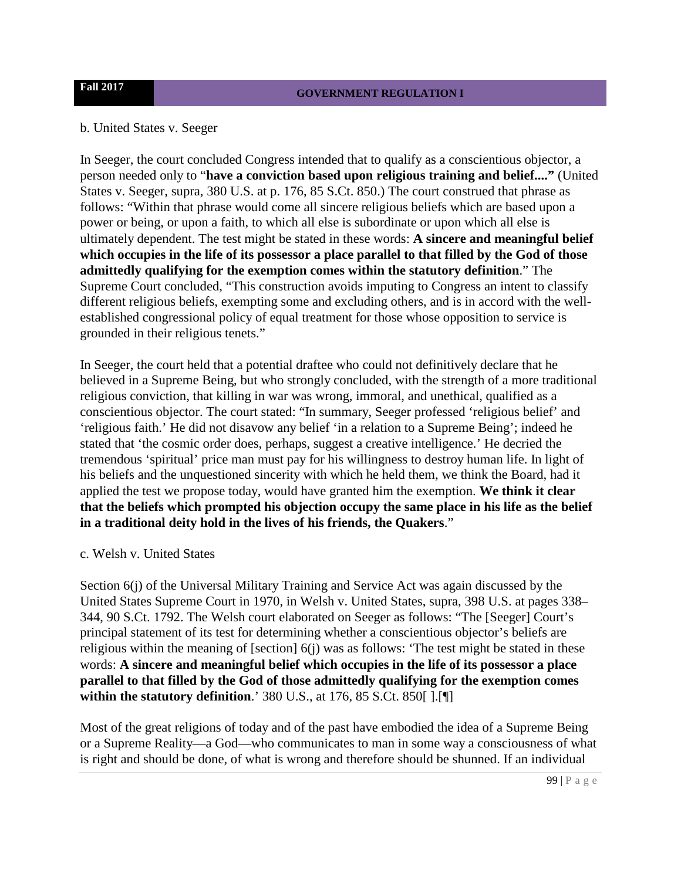## b. United States v. Seeger

In Seeger, the court concluded Congress intended that to qualify as a conscientious objector, a person needed only to "**have a conviction based upon religious training and belief...."** (United States v. Seeger, supra, 380 U.S. at p. 176, 85 S.Ct. 850.) The court construed that phrase as follows: "Within that phrase would come all sincere religious beliefs which are based upon a power or being, or upon a faith, to which all else is subordinate or upon which all else is ultimately dependent. The test might be stated in these words: **A sincere and meaningful belief which occupies in the life of its possessor a place parallel to that filled by the God of those admittedly qualifying for the exemption comes within the statutory definition**." The Supreme Court concluded, "This construction avoids imputing to Congress an intent to classify different religious beliefs, exempting some and excluding others, and is in accord with the wellestablished congressional policy of equal treatment for those whose opposition to service is grounded in their religious tenets."

In Seeger, the court held that a potential draftee who could not definitively declare that he believed in a Supreme Being, but who strongly concluded, with the strength of a more traditional religious conviction, that killing in war was wrong, immoral, and unethical, qualified as a conscientious objector. The court stated: "In summary, Seeger professed 'religious belief' and 'religious faith.' He did not disavow any belief 'in a relation to a Supreme Being'; indeed he stated that 'the cosmic order does, perhaps, suggest a creative intelligence.' He decried the tremendous 'spiritual' price man must pay for his willingness to destroy human life. In light of his beliefs and the unquestioned sincerity with which he held them, we think the Board, had it applied the test we propose today, would have granted him the exemption. **We think it clear that the beliefs which prompted his objection occupy the same place in his life as the belief in a traditional deity hold in the lives of his friends, the Quakers**."

### c. Welsh v. United States

Section 6(j) of the Universal Military Training and Service Act was again discussed by the United States Supreme Court in 1970, in Welsh v. United States, supra, 398 U.S. at pages 338– 344, 90 S.Ct. 1792. The Welsh court elaborated on Seeger as follows: "The [Seeger] Court's principal statement of its test for determining whether a conscientious objector's beliefs are religious within the meaning of [section] 6(j) was as follows: 'The test might be stated in these words: **A sincere and meaningful belief which occupies in the life of its possessor a place parallel to that filled by the God of those admittedly qualifying for the exemption comes within the statutory definition**.' 380 U.S., at 176, 85 S.Ct. 850[ ].[¶]

Most of the great religions of today and of the past have embodied the idea of a Supreme Being or a Supreme Reality—a God—who communicates to man in some way a consciousness of what is right and should be done, of what is wrong and therefore should be shunned. If an individual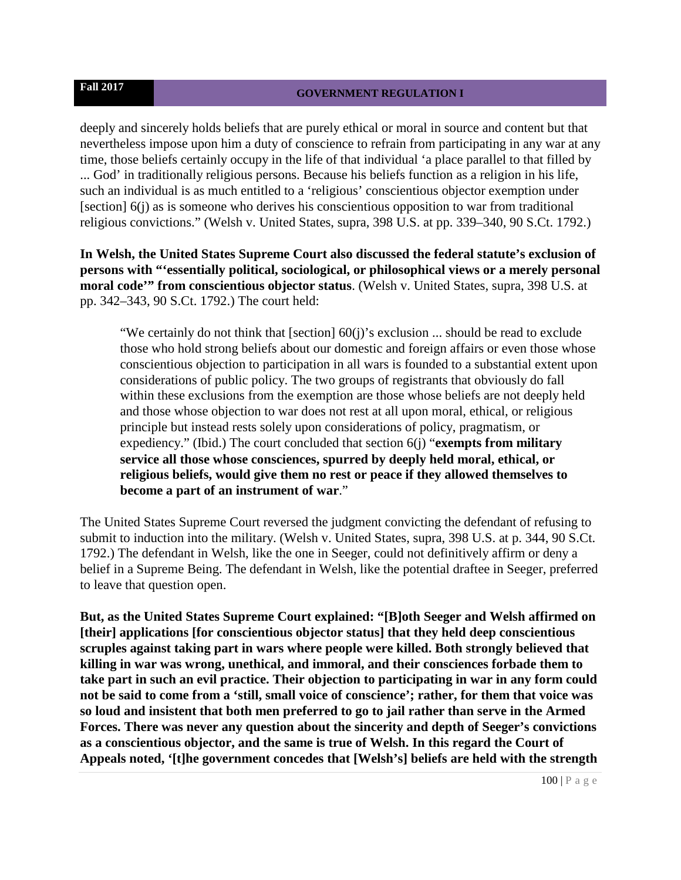deeply and sincerely holds beliefs that are purely ethical or moral in source and content but that nevertheless impose upon him a duty of conscience to refrain from participating in any war at any time, those beliefs certainly occupy in the life of that individual 'a place parallel to that filled by ... God' in traditionally religious persons. Because his beliefs function as a religion in his life, such an individual is as much entitled to a 'religious' conscientious objector exemption under [section] 6(j) as is someone who derives his conscientious opposition to war from traditional religious convictions." (Welsh v. United States, supra, 398 U.S. at pp. 339–340, 90 S.Ct. 1792.)

**In Welsh, the United States Supreme Court also discussed the federal statute's exclusion of persons with "'essentially political, sociological, or philosophical views or a merely personal moral code'" from conscientious objector status**. (Welsh v. United States, supra, 398 U.S. at pp. 342–343, 90 S.Ct. 1792.) The court held:

"We certainly do not think that [section] 60(j)'s exclusion ... should be read to exclude those who hold strong beliefs about our domestic and foreign affairs or even those whose conscientious objection to participation in all wars is founded to a substantial extent upon considerations of public policy. The two groups of registrants that obviously do fall within these exclusions from the exemption are those whose beliefs are not deeply held and those whose objection to war does not rest at all upon moral, ethical, or religious principle but instead rests solely upon considerations of policy, pragmatism, or expediency." (Ibid.) The court concluded that section 6(j) "**exempts from military service all those whose consciences, spurred by deeply held moral, ethical, or religious beliefs, would give them no rest or peace if they allowed themselves to become a part of an instrument of war**."

The United States Supreme Court reversed the judgment convicting the defendant of refusing to submit to induction into the military. (Welsh v. United States, supra, 398 U.S. at p. 344, 90 S.Ct. 1792.) The defendant in Welsh, like the one in Seeger, could not definitively affirm or deny a belief in a Supreme Being. The defendant in Welsh, like the potential draftee in Seeger, preferred to leave that question open.

**But, as the United States Supreme Court explained: "[B]oth Seeger and Welsh affirmed on [their] applications [for conscientious objector status] that they held deep conscientious scruples against taking part in wars where people were killed. Both strongly believed that killing in war was wrong, unethical, and immoral, and their consciences forbade them to take part in such an evil practice. Their objection to participating in war in any form could not be said to come from a 'still, small voice of conscience'; rather, for them that voice was so loud and insistent that both men preferred to go to jail rather than serve in the Armed Forces. There was never any question about the sincerity and depth of Seeger's convictions as a conscientious objector, and the same is true of Welsh. In this regard the Court of Appeals noted, '[t]he government concedes that [Welsh's] beliefs are held with the strength**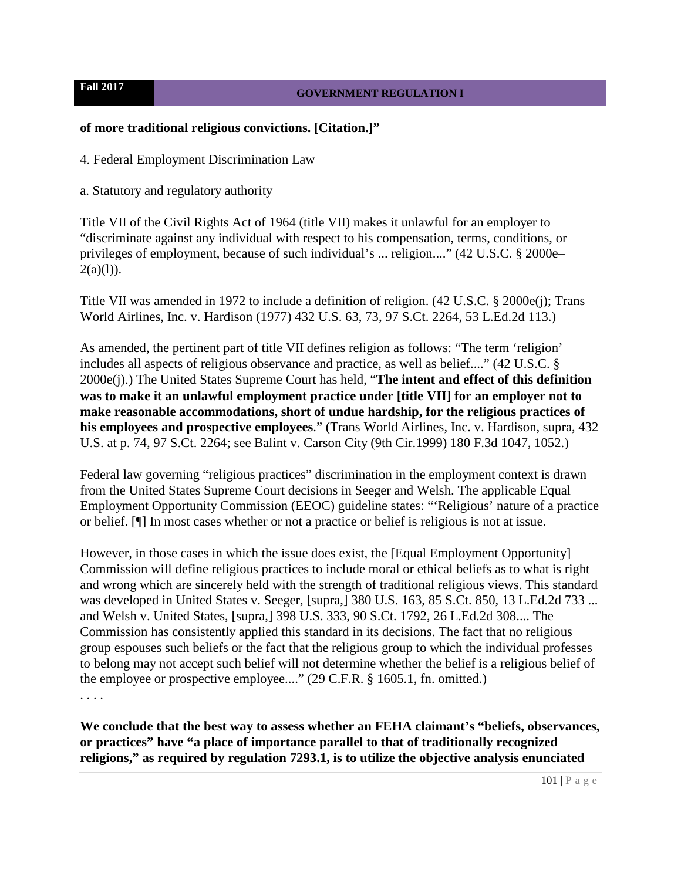### **of more traditional religious convictions. [Citation.]"**

- 4. Federal Employment Discrimination Law
- a. Statutory and regulatory authority

Title VII of the Civil Rights Act of 1964 (title VII) makes it unlawful for an employer to "discriminate against any individual with respect to his compensation, terms, conditions, or privileges of employment, because of such individual's ... religion...." (42 U.S.C. § 2000e–  $2(a)(1)$ ).

Title VII was amended in 1972 to include a definition of religion. (42 U.S.C. § 2000e(j); Trans World Airlines, Inc. v. Hardison (1977) 432 U.S. 63, 73, 97 S.Ct. 2264, 53 L.Ed.2d 113.)

As amended, the pertinent part of title VII defines religion as follows: "The term 'religion' includes all aspects of religious observance and practice, as well as belief...." (42 U.S.C. § 2000e(j).) The United States Supreme Court has held, "**The intent and effect of this definition was to make it an unlawful employment practice under [title VII] for an employer not to make reasonable accommodations, short of undue hardship, for the religious practices of his employees and prospective employees**." (Trans World Airlines, Inc. v. Hardison, supra, 432 U.S. at p. 74, 97 S.Ct. 2264; see Balint v. Carson City (9th Cir.1999) 180 F.3d 1047, 1052.)

Federal law governing "religious practices" discrimination in the employment context is drawn from the United States Supreme Court decisions in Seeger and Welsh. The applicable Equal Employment Opportunity Commission (EEOC) guideline states: "'Religious' nature of a practice or belief. [¶] In most cases whether or not a practice or belief is religious is not at issue.

However, in those cases in which the issue does exist, the [Equal Employment Opportunity] Commission will define religious practices to include moral or ethical beliefs as to what is right and wrong which are sincerely held with the strength of traditional religious views. This standard was developed in United States v. Seeger, [supra,] 380 U.S. 163, 85 S.Ct. 850, 13 L.Ed.2d 733 ... and Welsh v. United States, [supra,] 398 U.S. 333, 90 S.Ct. 1792, 26 L.Ed.2d 308.... The Commission has consistently applied this standard in its decisions. The fact that no religious group espouses such beliefs or the fact that the religious group to which the individual professes to belong may not accept such belief will not determine whether the belief is a religious belief of the employee or prospective employee...." (29 C.F.R. § 1605.1, fn. omitted.) . . . .

**We conclude that the best way to assess whether an FEHA claimant's "beliefs, observances, or practices" have "a place of importance parallel to that of traditionally recognized religions," as required by regulation 7293.1, is to utilize the objective analysis enunciated**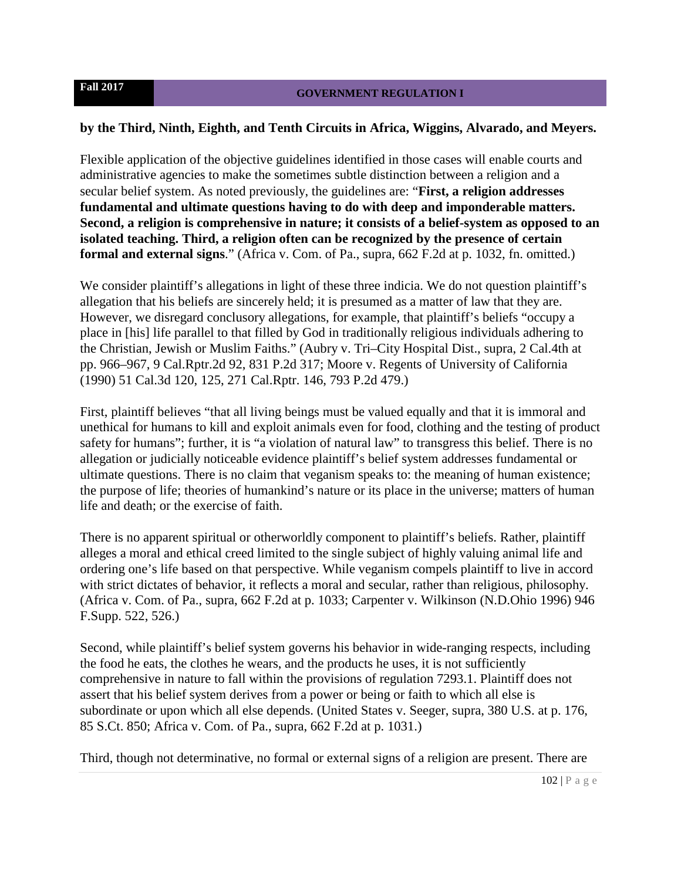## **by the Third, Ninth, Eighth, and Tenth Circuits in Africa, Wiggins, Alvarado, and Meyers.**

Flexible application of the objective guidelines identified in those cases will enable courts and administrative agencies to make the sometimes subtle distinction between a religion and a secular belief system. As noted previously, the guidelines are: "**First, a religion addresses fundamental and ultimate questions having to do with deep and imponderable matters. Second, a religion is comprehensive in nature; it consists of a belief-system as opposed to an isolated teaching. Third, a religion often can be recognized by the presence of certain formal and external signs**." (Africa v. Com. of Pa., supra, 662 F.2d at p. 1032, fn. omitted.)

We consider plaintiff's allegations in light of these three indicia. We do not question plaintiff's allegation that his beliefs are sincerely held; it is presumed as a matter of law that they are. However, we disregard conclusory allegations, for example, that plaintiff's beliefs "occupy a place in [his] life parallel to that filled by God in traditionally religious individuals adhering to the Christian, Jewish or Muslim Faiths." (Aubry v. Tri–City Hospital Dist., supra, 2 Cal.4th at pp. 966–967, 9 Cal.Rptr.2d 92, 831 P.2d 317; Moore v. Regents of University of California (1990) 51 Cal.3d 120, 125, 271 Cal.Rptr. 146, 793 P.2d 479.)

First, plaintiff believes "that all living beings must be valued equally and that it is immoral and unethical for humans to kill and exploit animals even for food, clothing and the testing of product safety for humans"; further, it is "a violation of natural law" to transgress this belief. There is no allegation or judicially noticeable evidence plaintiff's belief system addresses fundamental or ultimate questions. There is no claim that veganism speaks to: the meaning of human existence; the purpose of life; theories of humankind's nature or its place in the universe; matters of human life and death; or the exercise of faith.

There is no apparent spiritual or otherworldly component to plaintiff's beliefs. Rather, plaintiff alleges a moral and ethical creed limited to the single subject of highly valuing animal life and ordering one's life based on that perspective. While veganism compels plaintiff to live in accord with strict dictates of behavior, it reflects a moral and secular, rather than religious, philosophy. (Africa v. Com. of Pa., supra, 662 F.2d at p. 1033; Carpenter v. Wilkinson (N.D.Ohio 1996) 946 F.Supp. 522, 526.)

Second, while plaintiff's belief system governs his behavior in wide-ranging respects, including the food he eats, the clothes he wears, and the products he uses, it is not sufficiently comprehensive in nature to fall within the provisions of regulation 7293.1. Plaintiff does not assert that his belief system derives from a power or being or faith to which all else is subordinate or upon which all else depends. (United States v. Seeger, supra, 380 U.S. at p. 176, 85 S.Ct. 850; Africa v. Com. of Pa., supra, 662 F.2d at p. 1031.)

Third, though not determinative, no formal or external signs of a religion are present. There are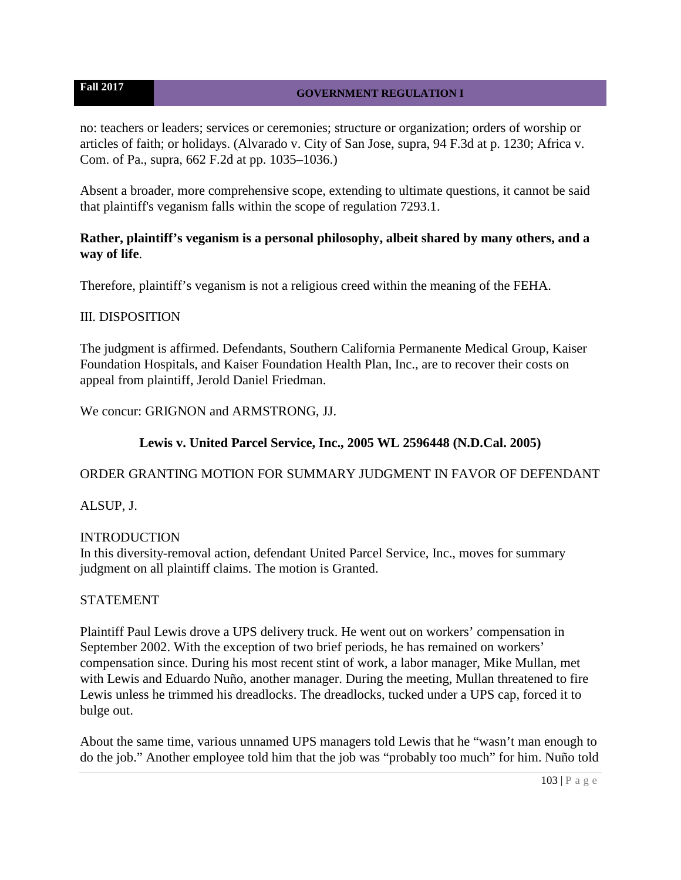no: teachers or leaders; services or ceremonies; structure or organization; orders of worship or articles of faith; or holidays. (Alvarado v. City of San Jose, supra, 94 F.3d at p. 1230; Africa v. Com. of Pa., supra, 662 F.2d at pp. 1035–1036.)

Absent a broader, more comprehensive scope, extending to ultimate questions, it cannot be said that plaintiff's veganism falls within the scope of regulation 7293.1.

## **Rather, plaintiff's veganism is a personal philosophy, albeit shared by many others, and a way of life**.

Therefore, plaintiff's veganism is not a religious creed within the meaning of the FEHA.

## III. DISPOSITION

The judgment is affirmed. Defendants, Southern California Permanente Medical Group, Kaiser Foundation Hospitals, and Kaiser Foundation Health Plan, Inc., are to recover their costs on appeal from plaintiff, Jerold Daniel Friedman.

We concur: GRIGNON and ARMSTRONG, JJ.

## **Lewis v. United Parcel Service, Inc., 2005 WL 2596448 (N.D.Cal. 2005)**

## ORDER GRANTING MOTION FOR SUMMARY JUDGMENT IN FAVOR OF DEFENDANT

ALSUP, J.

## **INTRODUCTION**

In this diversity-removal action, defendant United Parcel Service, Inc., moves for summary judgment on all plaintiff claims. The motion is Granted.

### STATEMENT

Plaintiff Paul Lewis drove a UPS delivery truck. He went out on workers' compensation in September 2002. With the exception of two brief periods, he has remained on workers' compensation since. During his most recent stint of work, a labor manager, Mike Mullan, met with Lewis and Eduardo Nuño, another manager. During the meeting, Mullan threatened to fire Lewis unless he trimmed his dreadlocks. The dreadlocks, tucked under a UPS cap, forced it to bulge out.

About the same time, various unnamed UPS managers told Lewis that he "wasn't man enough to do the job." Another employee told him that the job was "probably too much" for him. Nuño told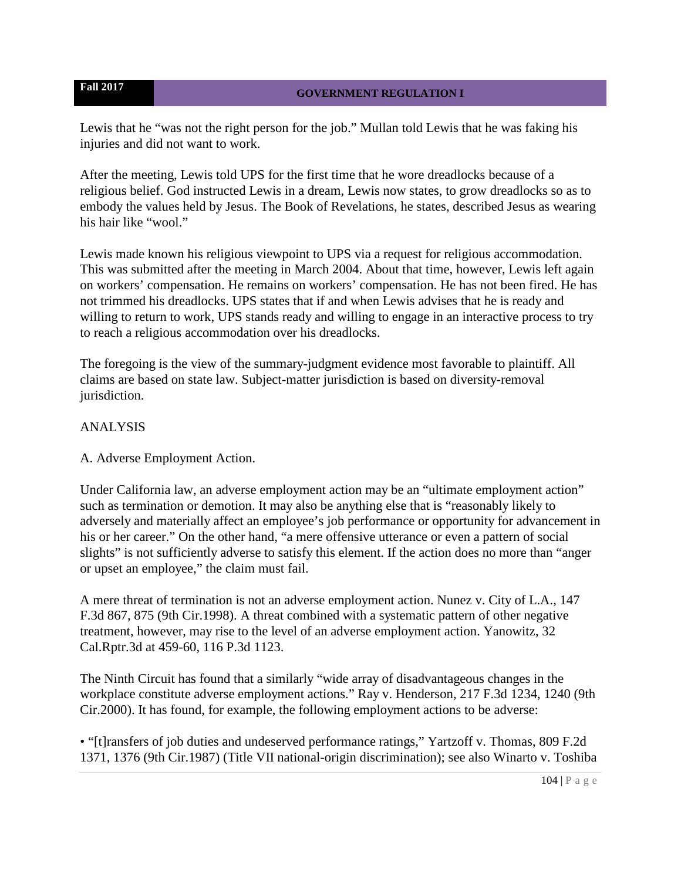Lewis that he "was not the right person for the job." Mullan told Lewis that he was faking his injuries and did not want to work.

After the meeting, Lewis told UPS for the first time that he wore dreadlocks because of a religious belief. God instructed Lewis in a dream, Lewis now states, to grow dreadlocks so as to embody the values held by Jesus. The Book of Revelations, he states, described Jesus as wearing his hair like "wool."

Lewis made known his religious viewpoint to UPS via a request for religious accommodation. This was submitted after the meeting in March 2004. About that time, however, Lewis left again on workers' compensation. He remains on workers' compensation. He has not been fired. He has not trimmed his dreadlocks. UPS states that if and when Lewis advises that he is ready and willing to return to work, UPS stands ready and willing to engage in an interactive process to try to reach a religious accommodation over his dreadlocks.

The foregoing is the view of the summary-judgment evidence most favorable to plaintiff. All claims are based on state law. Subject-matter jurisdiction is based on diversity-removal jurisdiction.

### ANALYSIS

A. Adverse Employment Action.

Under California law, an adverse employment action may be an "ultimate employment action" such as termination or demotion. It may also be anything else that is "reasonably likely to adversely and materially affect an employee's job performance or opportunity for advancement in his or her career." On the other hand, "a mere offensive utterance or even a pattern of social slights" is not sufficiently adverse to satisfy this element. If the action does no more than "anger" or upset an employee," the claim must fail.

A mere threat of termination is not an adverse employment action. Nunez v. City of L.A., 147 F.3d 867, 875 (9th Cir.1998). A threat combined with a systematic pattern of other negative treatment, however, may rise to the level of an adverse employment action. Yanowitz, 32 Cal.Rptr.3d at 459-60, 116 P.3d 1123.

The Ninth Circuit has found that a similarly "wide array of disadvantageous changes in the workplace constitute adverse employment actions." Ray v. Henderson, 217 F.3d 1234, 1240 (9th Cir.2000). It has found, for example, the following employment actions to be adverse:

• "[t]ransfers of job duties and undeserved performance ratings," Yartzoff v. Thomas, 809 F.2d 1371, 1376 (9th Cir.1987) (Title VII national-origin discrimination); see also Winarto v. Toshiba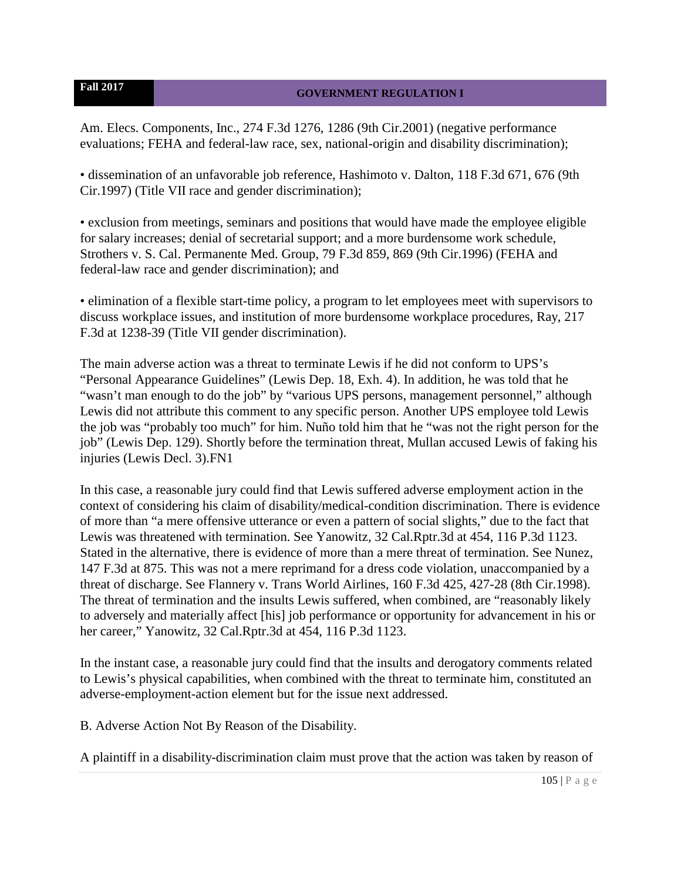Am. Elecs. Components, Inc., 274 F.3d 1276, 1286 (9th Cir.2001) (negative performance evaluations; FEHA and federal-law race, sex, national-origin and disability discrimination);

• dissemination of an unfavorable job reference, Hashimoto v. Dalton, 118 F.3d 671, 676 (9th Cir.1997) (Title VII race and gender discrimination);

• exclusion from meetings, seminars and positions that would have made the employee eligible for salary increases; denial of secretarial support; and a more burdensome work schedule, Strothers v. S. Cal. Permanente Med. Group, 79 F.3d 859, 869 (9th Cir.1996) (FEHA and federal-law race and gender discrimination); and

• elimination of a flexible start-time policy, a program to let employees meet with supervisors to discuss workplace issues, and institution of more burdensome workplace procedures, Ray, 217 F.3d at 1238-39 (Title VII gender discrimination).

The main adverse action was a threat to terminate Lewis if he did not conform to UPS's "Personal Appearance Guidelines" (Lewis Dep. 18, Exh. 4). In addition, he was told that he "wasn't man enough to do the job" by "various UPS persons, management personnel," although Lewis did not attribute this comment to any specific person. Another UPS employee told Lewis the job was "probably too much" for him. Nuño told him that he "was not the right person for the job" (Lewis Dep. 129). Shortly before the termination threat, Mullan accused Lewis of faking his injuries (Lewis Decl. 3).FN1

In this case, a reasonable jury could find that Lewis suffered adverse employment action in the context of considering his claim of disability/medical-condition discrimination. There is evidence of more than "a mere offensive utterance or even a pattern of social slights," due to the fact that Lewis was threatened with termination. See Yanowitz, 32 Cal.Rptr.3d at 454, 116 P.3d 1123. Stated in the alternative, there is evidence of more than a mere threat of termination. See Nunez, 147 F.3d at 875. This was not a mere reprimand for a dress code violation, unaccompanied by a threat of discharge. See Flannery v. Trans World Airlines, 160 F.3d 425, 427-28 (8th Cir.1998). The threat of termination and the insults Lewis suffered, when combined, are "reasonably likely to adversely and materially affect [his] job performance or opportunity for advancement in his or her career," Yanowitz, 32 Cal.Rptr.3d at 454, 116 P.3d 1123.

In the instant case, a reasonable jury could find that the insults and derogatory comments related to Lewis's physical capabilities, when combined with the threat to terminate him, constituted an adverse-employment-action element but for the issue next addressed.

B. Adverse Action Not By Reason of the Disability.

A plaintiff in a disability-discrimination claim must prove that the action was taken by reason of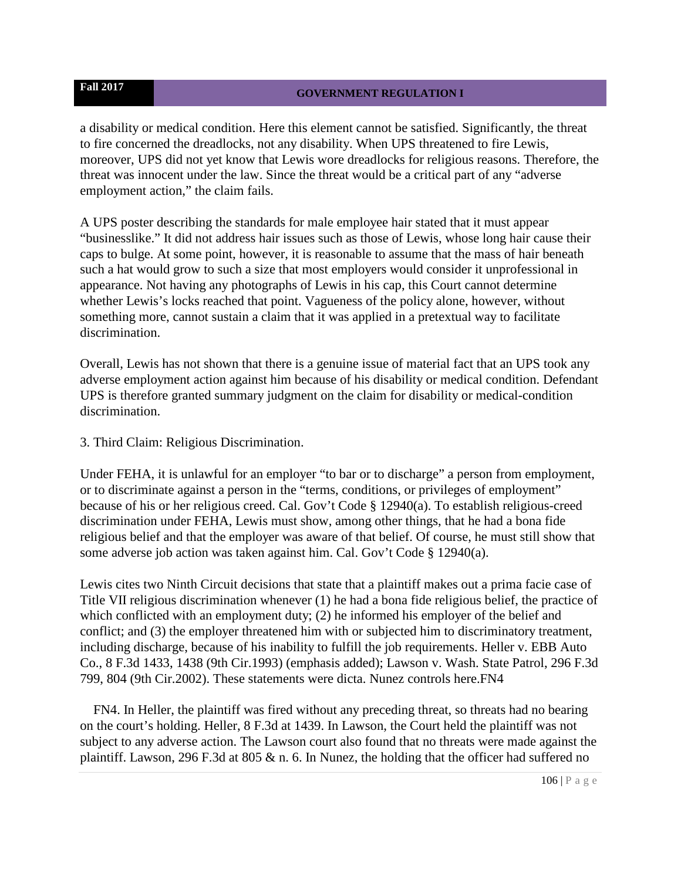a disability or medical condition. Here this element cannot be satisfied. Significantly, the threat to fire concerned the dreadlocks, not any disability. When UPS threatened to fire Lewis, moreover, UPS did not yet know that Lewis wore dreadlocks for religious reasons. Therefore, the threat was innocent under the law. Since the threat would be a critical part of any "adverse employment action," the claim fails.

A UPS poster describing the standards for male employee hair stated that it must appear "businesslike." It did not address hair issues such as those of Lewis, whose long hair cause their caps to bulge. At some point, however, it is reasonable to assume that the mass of hair beneath such a hat would grow to such a size that most employers would consider it unprofessional in appearance. Not having any photographs of Lewis in his cap, this Court cannot determine whether Lewis's locks reached that point. Vagueness of the policy alone, however, without something more, cannot sustain a claim that it was applied in a pretextual way to facilitate discrimination.

Overall, Lewis has not shown that there is a genuine issue of material fact that an UPS took any adverse employment action against him because of his disability or medical condition. Defendant UPS is therefore granted summary judgment on the claim for disability or medical-condition discrimination.

### 3. Third Claim: Religious Discrimination.

Under FEHA, it is unlawful for an employer "to bar or to discharge" a person from employment, or to discriminate against a person in the "terms, conditions, or privileges of employment" because of his or her religious creed. Cal. Gov't Code § 12940(a). To establish religious-creed discrimination under FEHA, Lewis must show, among other things, that he had a bona fide religious belief and that the employer was aware of that belief. Of course, he must still show that some adverse job action was taken against him. Cal. Gov't Code § 12940(a).

Lewis cites two Ninth Circuit decisions that state that a plaintiff makes out a prima facie case of Title VII religious discrimination whenever (1) he had a bona fide religious belief, the practice of which conflicted with an employment duty; (2) he informed his employer of the belief and conflict; and (3) the employer threatened him with or subjected him to discriminatory treatment, including discharge, because of his inability to fulfill the job requirements. Heller v. EBB Auto Co., 8 F.3d 1433, 1438 (9th Cir.1993) (emphasis added); Lawson v. Wash. State Patrol, 296 F.3d 799, 804 (9th Cir.2002). These statements were dicta. Nunez controls here.FN4

 FN4. In Heller, the plaintiff was fired without any preceding threat, so threats had no bearing on the court's holding. Heller, 8 F.3d at 1439. In Lawson, the Court held the plaintiff was not subject to any adverse action. The Lawson court also found that no threats were made against the plaintiff. Lawson, 296 F.3d at 805 & n. 6. In Nunez, the holding that the officer had suffered no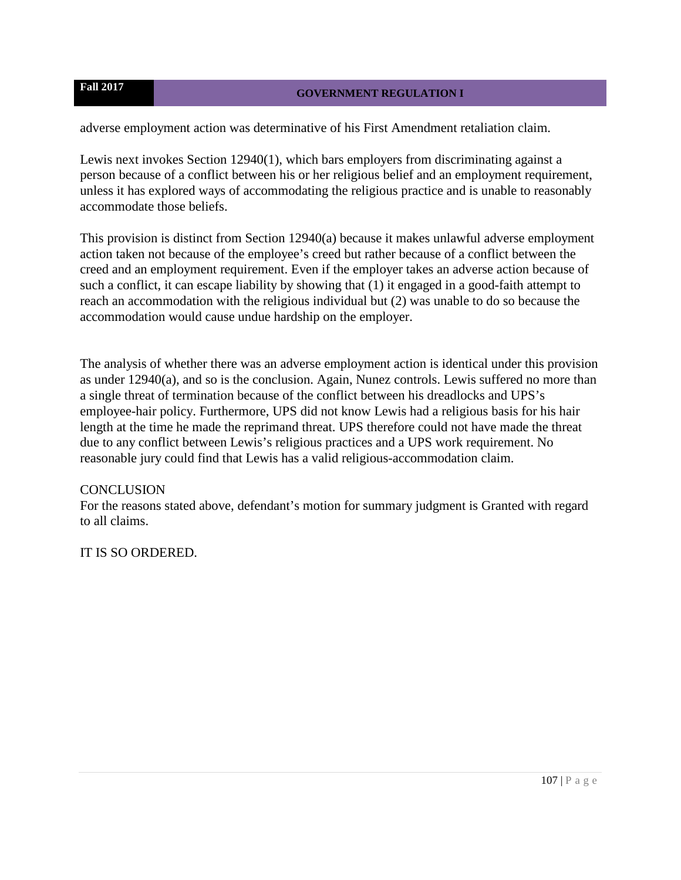adverse employment action was determinative of his First Amendment retaliation claim.

Lewis next invokes Section 12940(1), which bars employers from discriminating against a person because of a conflict between his or her religious belief and an employment requirement, unless it has explored ways of accommodating the religious practice and is unable to reasonably accommodate those beliefs.

This provision is distinct from Section 12940(a) because it makes unlawful adverse employment action taken not because of the employee's creed but rather because of a conflict between the creed and an employment requirement. Even if the employer takes an adverse action because of such a conflict, it can escape liability by showing that (1) it engaged in a good-faith attempt to reach an accommodation with the religious individual but (2) was unable to do so because the accommodation would cause undue hardship on the employer.

The analysis of whether there was an adverse employment action is identical under this provision as under 12940(a), and so is the conclusion. Again, Nunez controls. Lewis suffered no more than a single threat of termination because of the conflict between his dreadlocks and UPS's employee-hair policy. Furthermore, UPS did not know Lewis had a religious basis for his hair length at the time he made the reprimand threat. UPS therefore could not have made the threat due to any conflict between Lewis's religious practices and a UPS work requirement. No reasonable jury could find that Lewis has a valid religious-accommodation claim.

### **CONCLUSION**

For the reasons stated above, defendant's motion for summary judgment is Granted with regard to all claims.

### IT IS SO ORDERED.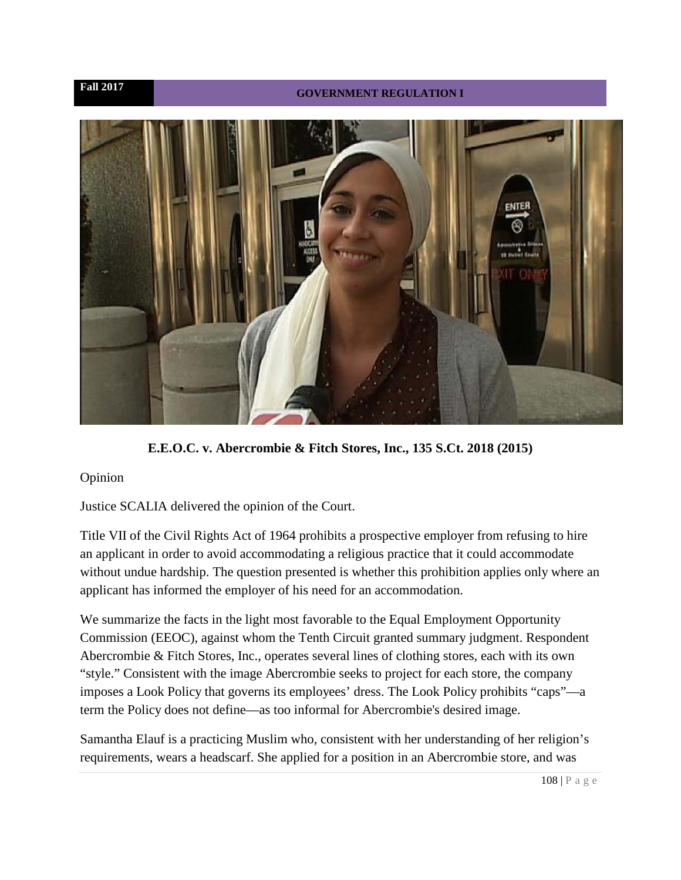

**E.E.O.C. v. Abercrombie & Fitch Stores, Inc., 135 S.Ct. 2018 (2015)**

Opinion

Justice SCALIA delivered the opinion of the Court.

Title VII of the Civil Rights Act of 1964 prohibits a prospective employer from refusing to hire an applicant in order to avoid accommodating a religious practice that it could accommodate without undue hardship. The question presented is whether this prohibition applies only where an applicant has informed the employer of his need for an accommodation.

We summarize the facts in the light most favorable to the Equal Employment Opportunity Commission (EEOC), against whom the Tenth Circuit granted summary judgment. Respondent Abercrombie & Fitch Stores, Inc., operates several lines of clothing stores, each with its own "style." Consistent with the image Abercrombie seeks to project for each store, the company imposes a Look Policy that governs its employees' dress. The Look Policy prohibits "caps"—a term the Policy does not define—as too informal for Abercrombie's desired image.

Samantha Elauf is a practicing Muslim who, consistent with her understanding of her religion's requirements, wears a headscarf. She applied for a position in an Abercrombie store, and was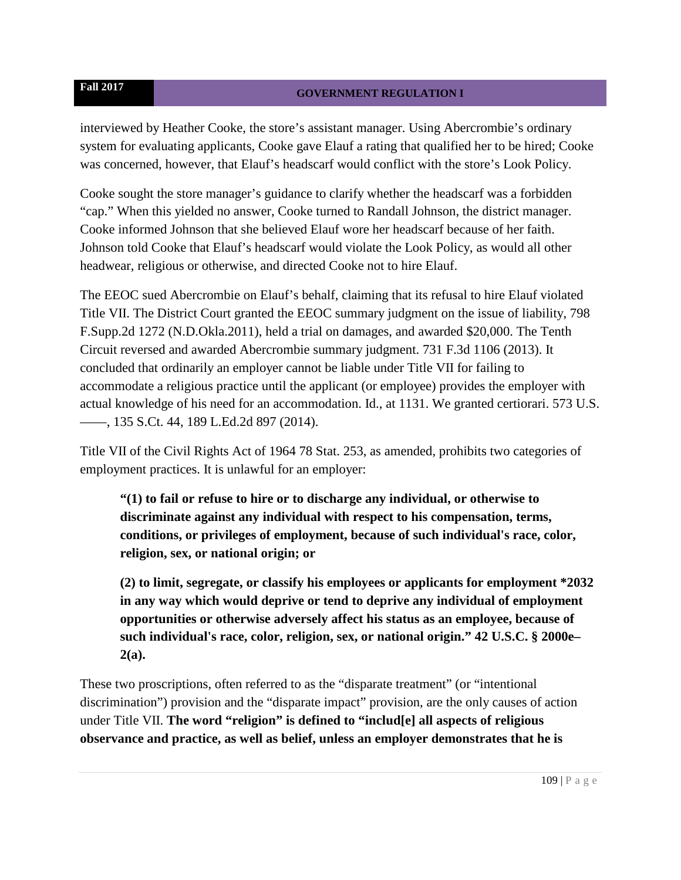interviewed by Heather Cooke, the store's assistant manager. Using Abercrombie's ordinary system for evaluating applicants, Cooke gave Elauf a rating that qualified her to be hired; Cooke was concerned, however, that Elauf's headscarf would conflict with the store's Look Policy.

Cooke sought the store manager's guidance to clarify whether the headscarf was a forbidden "cap." When this yielded no answer, Cooke turned to Randall Johnson, the district manager. Cooke informed Johnson that she believed Elauf wore her headscarf because of her faith. Johnson told Cooke that Elauf's headscarf would violate the Look Policy, as would all other headwear, religious or otherwise, and directed Cooke not to hire Elauf.

The EEOC sued Abercrombie on Elauf's behalf, claiming that its refusal to hire Elauf violated Title VII. The District Court granted the EEOC summary judgment on the issue of liability, 798 F.Supp.2d 1272 (N.D.Okla.2011), held a trial on damages, and awarded \$20,000. The Tenth Circuit reversed and awarded Abercrombie summary judgment. 731 F.3d 1106 (2013). It concluded that ordinarily an employer cannot be liable under Title VII for failing to accommodate a religious practice until the applicant (or employee) provides the employer with actual knowledge of his need for an accommodation. Id., at 1131. We granted certiorari. 573 U.S. ––––, 135 S.Ct. 44, 189 L.Ed.2d 897 (2014).

Title VII of the Civil Rights Act of 1964 78 Stat. 253, as amended, prohibits two categories of employment practices. It is unlawful for an employer:

**"(1) to fail or refuse to hire or to discharge any individual, or otherwise to discriminate against any individual with respect to his compensation, terms, conditions, or privileges of employment, because of such individual's race, color, religion, sex, or national origin; or**

**(2) to limit, segregate, or classify his employees or applicants for employment \*2032 in any way which would deprive or tend to deprive any individual of employment opportunities or otherwise adversely affect his status as an employee, because of such individual's race, color, religion, sex, or national origin." 42 U.S.C. § 2000e– 2(a).**

These two proscriptions, often referred to as the "disparate treatment" (or "intentional discrimination") provision and the "disparate impact" provision, are the only causes of action under Title VII. **The word "religion" is defined to "includ[e] all aspects of religious observance and practice, as well as belief, unless an employer demonstrates that he is**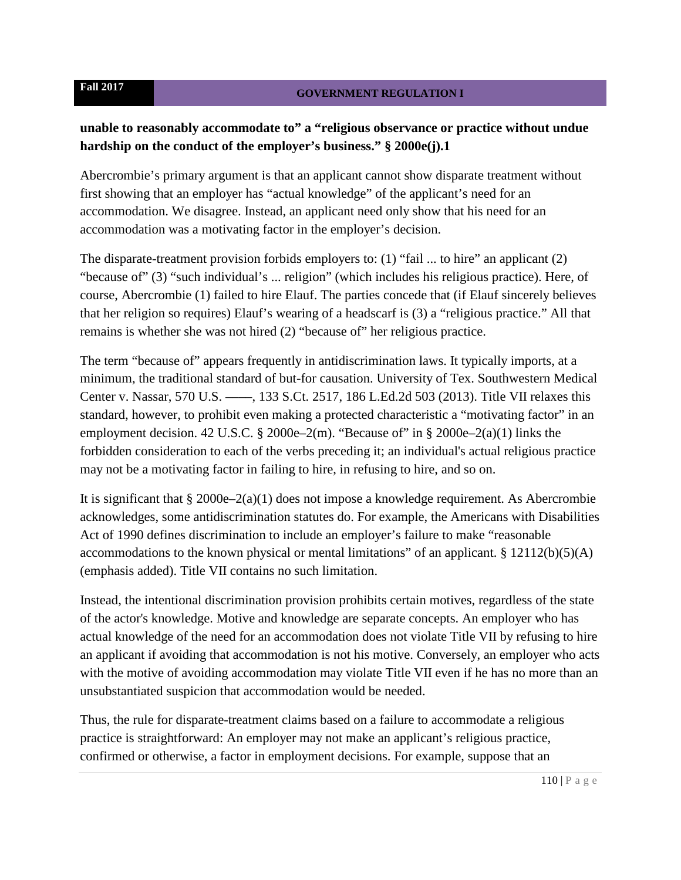### **unable to reasonably accommodate to" a "religious observance or practice without undue hardship on the conduct of the employer's business." § 2000e(j).1**

Abercrombie's primary argument is that an applicant cannot show disparate treatment without first showing that an employer has "actual knowledge" of the applicant's need for an accommodation. We disagree. Instead, an applicant need only show that his need for an accommodation was a motivating factor in the employer's decision.

The disparate-treatment provision forbids employers to: (1) "fail ... to hire" an applicant (2) "because of" (3) "such individual's ... religion" (which includes his religious practice). Here, of course, Abercrombie (1) failed to hire Elauf. The parties concede that (if Elauf sincerely believes that her religion so requires) Elauf's wearing of a headscarf is (3) a "religious practice." All that remains is whether she was not hired (2) "because of" her religious practice.

The term "because of" appears frequently in antidiscrimination laws. It typically imports, at a minimum, the traditional standard of but-for causation. University of Tex. Southwestern Medical Center v. Nassar, 570 U.S. ––––, 133 S.Ct. 2517, 186 L.Ed.2d 503 (2013). Title VII relaxes this standard, however, to prohibit even making a protected characteristic a "motivating factor" in an employment decision. 42 U.S.C.  $\S$  2000e–2(m). "Because of" in  $\S$  2000e–2(a)(1) links the forbidden consideration to each of the verbs preceding it; an individual's actual religious practice may not be a motivating factor in failing to hire, in refusing to hire, and so on.

It is significant that  $\S 2000e^{-2(a)(1)}$  does not impose a knowledge requirement. As Abercrombie acknowledges, some antidiscrimination statutes do. For example, the Americans with Disabilities Act of 1990 defines discrimination to include an employer's failure to make "reasonable accommodations to the known physical or mental limitations" of an applicant. § 12112(b)(5)(A) (emphasis added). Title VII contains no such limitation.

Instead, the intentional discrimination provision prohibits certain motives, regardless of the state of the actor's knowledge. Motive and knowledge are separate concepts. An employer who has actual knowledge of the need for an accommodation does not violate Title VII by refusing to hire an applicant if avoiding that accommodation is not his motive. Conversely, an employer who acts with the motive of avoiding accommodation may violate Title VII even if he has no more than an unsubstantiated suspicion that accommodation would be needed.

Thus, the rule for disparate-treatment claims based on a failure to accommodate a religious practice is straightforward: An employer may not make an applicant's religious practice, confirmed or otherwise, a factor in employment decisions. For example, suppose that an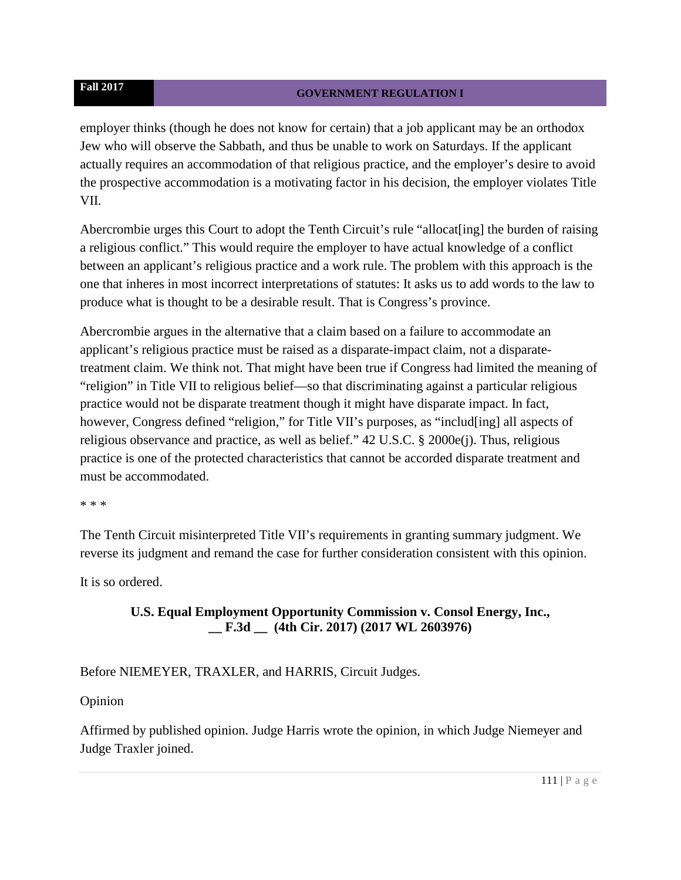employer thinks (though he does not know for certain) that a job applicant may be an orthodox Jew who will observe the Sabbath, and thus be unable to work on Saturdays. If the applicant actually requires an accommodation of that religious practice, and the employer's desire to avoid the prospective accommodation is a motivating factor in his decision, the employer violates Title VII.

Abercrombie urges this Court to adopt the Tenth Circuit's rule "allocat[ing] the burden of raising a religious conflict." This would require the employer to have actual knowledge of a conflict between an applicant's religious practice and a work rule. The problem with this approach is the one that inheres in most incorrect interpretations of statutes: It asks us to add words to the law to produce what is thought to be a desirable result. That is Congress's province.

Abercrombie argues in the alternative that a claim based on a failure to accommodate an applicant's religious practice must be raised as a disparate-impact claim, not a disparatetreatment claim. We think not. That might have been true if Congress had limited the meaning of "religion" in Title VII to religious belief—so that discriminating against a particular religious practice would not be disparate treatment though it might have disparate impact. In fact, however, Congress defined "religion," for Title VII's purposes, as "includ[ing] all aspects of religious observance and practice, as well as belief." 42 U.S.C. § 2000e(j). Thus, religious practice is one of the protected characteristics that cannot be accorded disparate treatment and must be accommodated.

\* \* \*

The Tenth Circuit misinterpreted Title VII's requirements in granting summary judgment. We reverse its judgment and remand the case for further consideration consistent with this opinion.

It is so ordered.

### **U.S. Equal Employment Opportunity Commission v. Consol Energy, Inc., \_\_ F.3d \_\_ (4th Cir. 2017) (2017 WL 2603976)**

Before NIEMEYER, TRAXLER, and HARRIS, Circuit Judges.

Opinion

Affirmed by published opinion. Judge Harris wrote the opinion, in which Judge Niemeyer and Judge Traxler joined.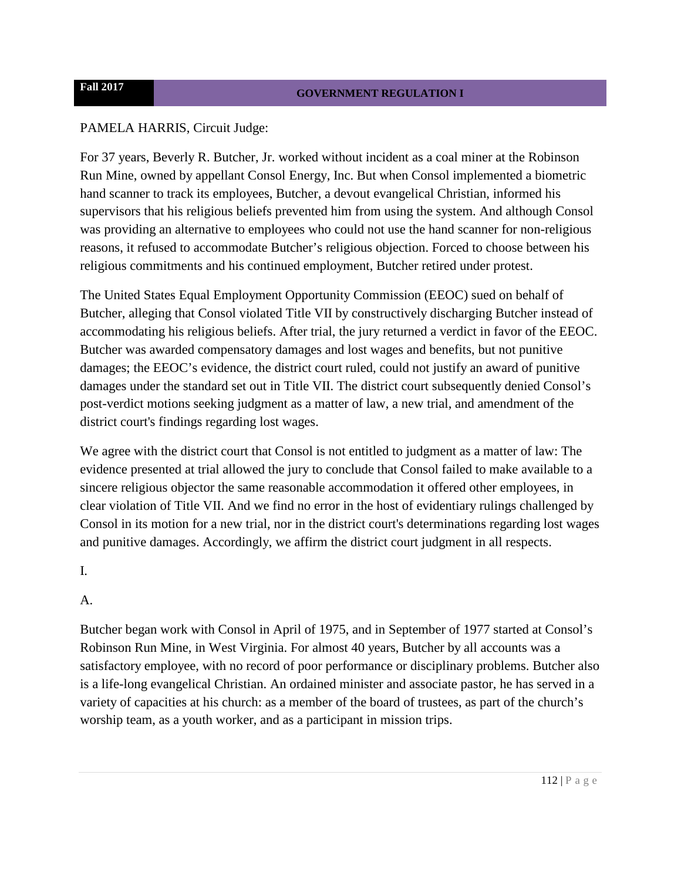### PAMELA HARRIS, Circuit Judge:

For 37 years, Beverly R. Butcher, Jr. worked without incident as a coal miner at the Robinson Run Mine, owned by appellant Consol Energy, Inc. But when Consol implemented a biometric hand scanner to track its employees, Butcher, a devout evangelical Christian, informed his supervisors that his religious beliefs prevented him from using the system. And although Consol was providing an alternative to employees who could not use the hand scanner for non-religious reasons, it refused to accommodate Butcher's religious objection. Forced to choose between his religious commitments and his continued employment, Butcher retired under protest.

The United States Equal Employment Opportunity Commission (EEOC) sued on behalf of Butcher, alleging that Consol violated Title VII by constructively discharging Butcher instead of accommodating his religious beliefs. After trial, the jury returned a verdict in favor of the EEOC. Butcher was awarded compensatory damages and lost wages and benefits, but not punitive damages; the EEOC's evidence, the district court ruled, could not justify an award of punitive damages under the standard set out in Title VII. The district court subsequently denied Consol's post-verdict motions seeking judgment as a matter of law, a new trial, and amendment of the district court's findings regarding lost wages.

We agree with the district court that Consol is not entitled to judgment as a matter of law: The evidence presented at trial allowed the jury to conclude that Consol failed to make available to a sincere religious objector the same reasonable accommodation it offered other employees, in clear violation of Title VII. And we find no error in the host of evidentiary rulings challenged by Consol in its motion for a new trial, nor in the district court's determinations regarding lost wages and punitive damages. Accordingly, we affirm the district court judgment in all respects.

I.

### A.

Butcher began work with Consol in April of 1975, and in September of 1977 started at Consol's Robinson Run Mine, in West Virginia. For almost 40 years, Butcher by all accounts was a satisfactory employee, with no record of poor performance or disciplinary problems. Butcher also is a life-long evangelical Christian. An ordained minister and associate pastor, he has served in a variety of capacities at his church: as a member of the board of trustees, as part of the church's worship team, as a youth worker, and as a participant in mission trips.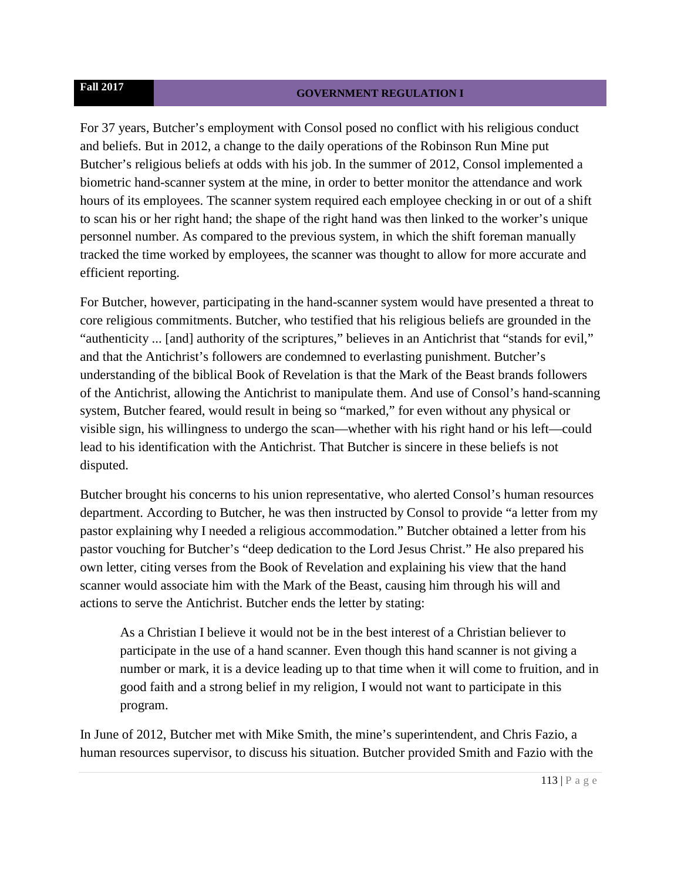For 37 years, Butcher's employment with Consol posed no conflict with his religious conduct and beliefs. But in 2012, a change to the daily operations of the Robinson Run Mine put Butcher's religious beliefs at odds with his job. In the summer of 2012, Consol implemented a biometric hand-scanner system at the mine, in order to better monitor the attendance and work hours of its employees. The scanner system required each employee checking in or out of a shift to scan his or her right hand; the shape of the right hand was then linked to the worker's unique personnel number. As compared to the previous system, in which the shift foreman manually tracked the time worked by employees, the scanner was thought to allow for more accurate and efficient reporting.

For Butcher, however, participating in the hand-scanner system would have presented a threat to core religious commitments. Butcher, who testified that his religious beliefs are grounded in the "authenticity ... [and] authority of the scriptures," believes in an Antichrist that "stands for evil," and that the Antichrist's followers are condemned to everlasting punishment. Butcher's understanding of the biblical Book of Revelation is that the Mark of the Beast brands followers of the Antichrist, allowing the Antichrist to manipulate them. And use of Consol's hand-scanning system, Butcher feared, would result in being so "marked," for even without any physical or visible sign, his willingness to undergo the scan—whether with his right hand or his left—could lead to his identification with the Antichrist. That Butcher is sincere in these beliefs is not disputed.

Butcher brought his concerns to his union representative, who alerted Consol's human resources department. According to Butcher, he was then instructed by Consol to provide "a letter from my pastor explaining why I needed a religious accommodation." Butcher obtained a letter from his pastor vouching for Butcher's "deep dedication to the Lord Jesus Christ." He also prepared his own letter, citing verses from the Book of Revelation and explaining his view that the hand scanner would associate him with the Mark of the Beast, causing him through his will and actions to serve the Antichrist. Butcher ends the letter by stating:

As a Christian I believe it would not be in the best interest of a Christian believer to participate in the use of a hand scanner. Even though this hand scanner is not giving a number or mark, it is a device leading up to that time when it will come to fruition, and in good faith and a strong belief in my religion, I would not want to participate in this program.

In June of 2012, Butcher met with Mike Smith, the mine's superintendent, and Chris Fazio, a human resources supervisor, to discuss his situation. Butcher provided Smith and Fazio with the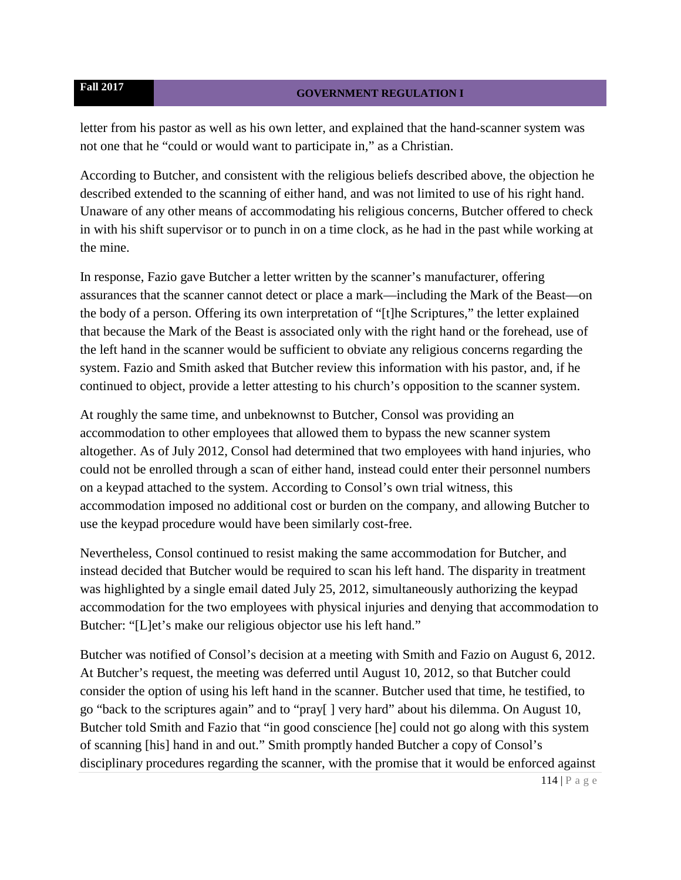letter from his pastor as well as his own letter, and explained that the hand-scanner system was not one that he "could or would want to participate in," as a Christian.

According to Butcher, and consistent with the religious beliefs described above, the objection he described extended to the scanning of either hand, and was not limited to use of his right hand. Unaware of any other means of accommodating his religious concerns, Butcher offered to check in with his shift supervisor or to punch in on a time clock, as he had in the past while working at the mine.

In response, Fazio gave Butcher a letter written by the scanner's manufacturer, offering assurances that the scanner cannot detect or place a mark—including the Mark of the Beast—on the body of a person. Offering its own interpretation of "[t]he Scriptures," the letter explained that because the Mark of the Beast is associated only with the right hand or the forehead, use of the left hand in the scanner would be sufficient to obviate any religious concerns regarding the system. Fazio and Smith asked that Butcher review this information with his pastor, and, if he continued to object, provide a letter attesting to his church's opposition to the scanner system.

At roughly the same time, and unbeknownst to Butcher, Consol was providing an accommodation to other employees that allowed them to bypass the new scanner system altogether. As of July 2012, Consol had determined that two employees with hand injuries, who could not be enrolled through a scan of either hand, instead could enter their personnel numbers on a keypad attached to the system. According to Consol's own trial witness, this accommodation imposed no additional cost or burden on the company, and allowing Butcher to use the keypad procedure would have been similarly cost-free.

Nevertheless, Consol continued to resist making the same accommodation for Butcher, and instead decided that Butcher would be required to scan his left hand. The disparity in treatment was highlighted by a single email dated July 25, 2012, simultaneously authorizing the keypad accommodation for the two employees with physical injuries and denying that accommodation to Butcher: "[L]et's make our religious objector use his left hand."

Butcher was notified of Consol's decision at a meeting with Smith and Fazio on August 6, 2012. At Butcher's request, the meeting was deferred until August 10, 2012, so that Butcher could consider the option of using his left hand in the scanner. Butcher used that time, he testified, to go "back to the scriptures again" and to "pray[ ] very hard" about his dilemma. On August 10, Butcher told Smith and Fazio that "in good conscience [he] could not go along with this system of scanning [his] hand in and out." Smith promptly handed Butcher a copy of Consol's disciplinary procedures regarding the scanner, with the promise that it would be enforced against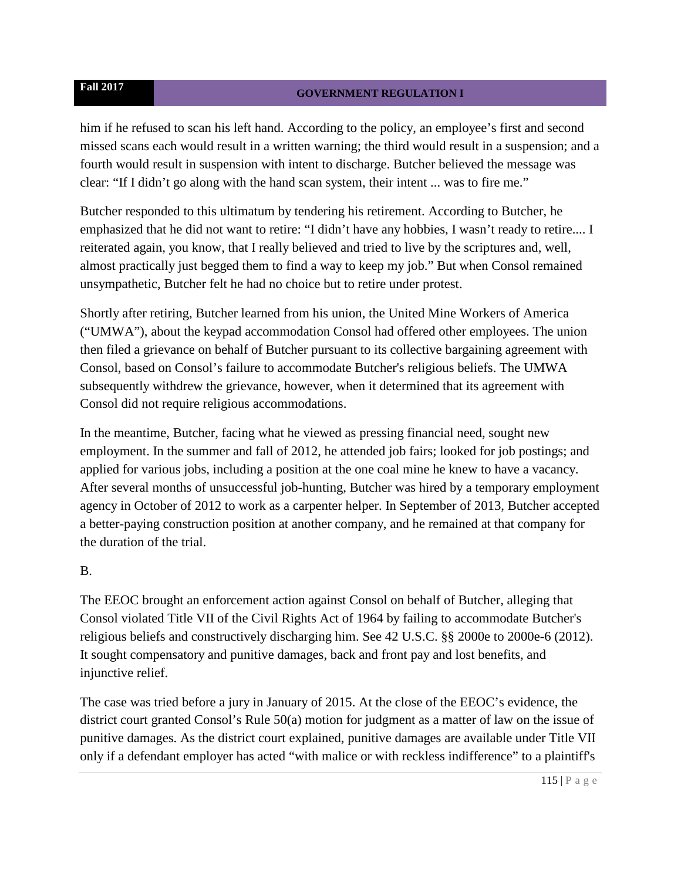him if he refused to scan his left hand. According to the policy, an employee's first and second missed scans each would result in a written warning; the third would result in a suspension; and a fourth would result in suspension with intent to discharge. Butcher believed the message was clear: "If I didn't go along with the hand scan system, their intent ... was to fire me."

Butcher responded to this ultimatum by tendering his retirement. According to Butcher, he emphasized that he did not want to retire: "I didn't have any hobbies, I wasn't ready to retire.... I reiterated again, you know, that I really believed and tried to live by the scriptures and, well, almost practically just begged them to find a way to keep my job." But when Consol remained unsympathetic, Butcher felt he had no choice but to retire under protest.

Shortly after retiring, Butcher learned from his union, the United Mine Workers of America ("UMWA"), about the keypad accommodation Consol had offered other employees. The union then filed a grievance on behalf of Butcher pursuant to its collective bargaining agreement with Consol, based on Consol's failure to accommodate Butcher's religious beliefs. The UMWA subsequently withdrew the grievance, however, when it determined that its agreement with Consol did not require religious accommodations.

In the meantime, Butcher, facing what he viewed as pressing financial need, sought new employment. In the summer and fall of 2012, he attended job fairs; looked for job postings; and applied for various jobs, including a position at the one coal mine he knew to have a vacancy. After several months of unsuccessful job-hunting, Butcher was hired by a temporary employment agency in October of 2012 to work as a carpenter helper. In September of 2013, Butcher accepted a better-paying construction position at another company, and he remained at that company for the duration of the trial.

### B.

The EEOC brought an enforcement action against Consol on behalf of Butcher, alleging that Consol violated Title VII of the Civil Rights Act of 1964 by failing to accommodate Butcher's religious beliefs and constructively discharging him. See 42 U.S.C. §§ 2000e to 2000e-6 (2012). It sought compensatory and punitive damages, back and front pay and lost benefits, and injunctive relief.

The case was tried before a jury in January of 2015. At the close of the EEOC's evidence, the district court granted Consol's Rule 50(a) motion for judgment as a matter of law on the issue of punitive damages. As the district court explained, punitive damages are available under Title VII only if a defendant employer has acted "with malice or with reckless indifference" to a plaintiff's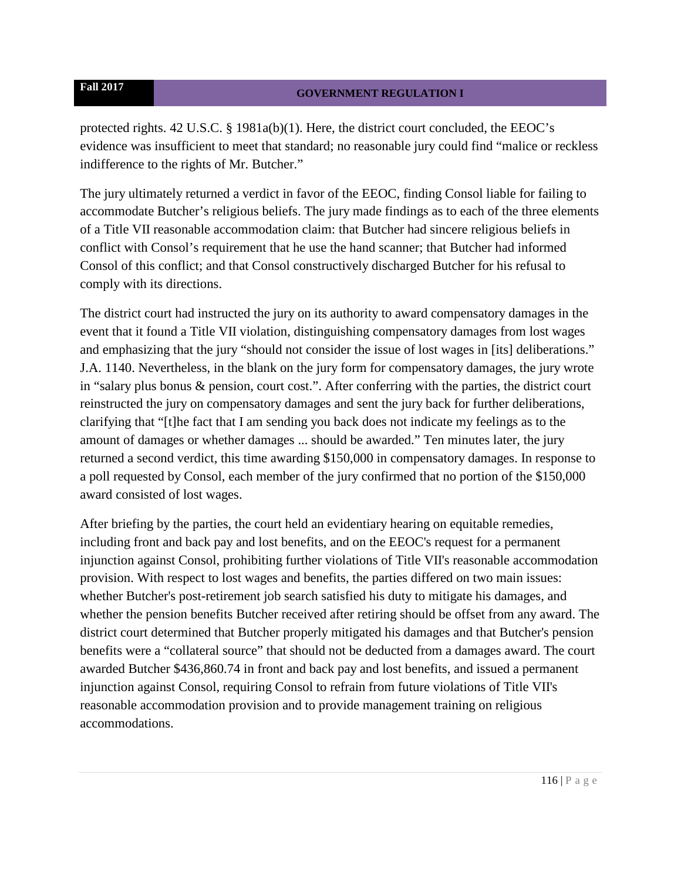protected rights. 42 U.S.C. § 1981a(b)(1). Here, the district court concluded, the EEOC's evidence was insufficient to meet that standard; no reasonable jury could find "malice or reckless indifference to the rights of Mr. Butcher."

The jury ultimately returned a verdict in favor of the EEOC, finding Consol liable for failing to accommodate Butcher's religious beliefs. The jury made findings as to each of the three elements of a Title VII reasonable accommodation claim: that Butcher had sincere religious beliefs in conflict with Consol's requirement that he use the hand scanner; that Butcher had informed Consol of this conflict; and that Consol constructively discharged Butcher for his refusal to comply with its directions.

The district court had instructed the jury on its authority to award compensatory damages in the event that it found a Title VII violation, distinguishing compensatory damages from lost wages and emphasizing that the jury "should not consider the issue of lost wages in [its] deliberations." J.A. 1140. Nevertheless, in the blank on the jury form for compensatory damages, the jury wrote in "salary plus bonus & pension, court cost.". After conferring with the parties, the district court reinstructed the jury on compensatory damages and sent the jury back for further deliberations, clarifying that "[t]he fact that I am sending you back does not indicate my feelings as to the amount of damages or whether damages ... should be awarded." Ten minutes later, the jury returned a second verdict, this time awarding \$150,000 in compensatory damages. In response to a poll requested by Consol, each member of the jury confirmed that no portion of the \$150,000 award consisted of lost wages.

After briefing by the parties, the court held an evidentiary hearing on equitable remedies, including front and back pay and lost benefits, and on the EEOC's request for a permanent injunction against Consol, prohibiting further violations of Title VII's reasonable accommodation provision. With respect to lost wages and benefits, the parties differed on two main issues: whether Butcher's post-retirement job search satisfied his duty to mitigate his damages, and whether the pension benefits Butcher received after retiring should be offset from any award. The district court determined that Butcher properly mitigated his damages and that Butcher's pension benefits were a "collateral source" that should not be deducted from a damages award. The court awarded Butcher \$436,860.74 in front and back pay and lost benefits, and issued a permanent injunction against Consol, requiring Consol to refrain from future violations of Title VII's reasonable accommodation provision and to provide management training on religious accommodations.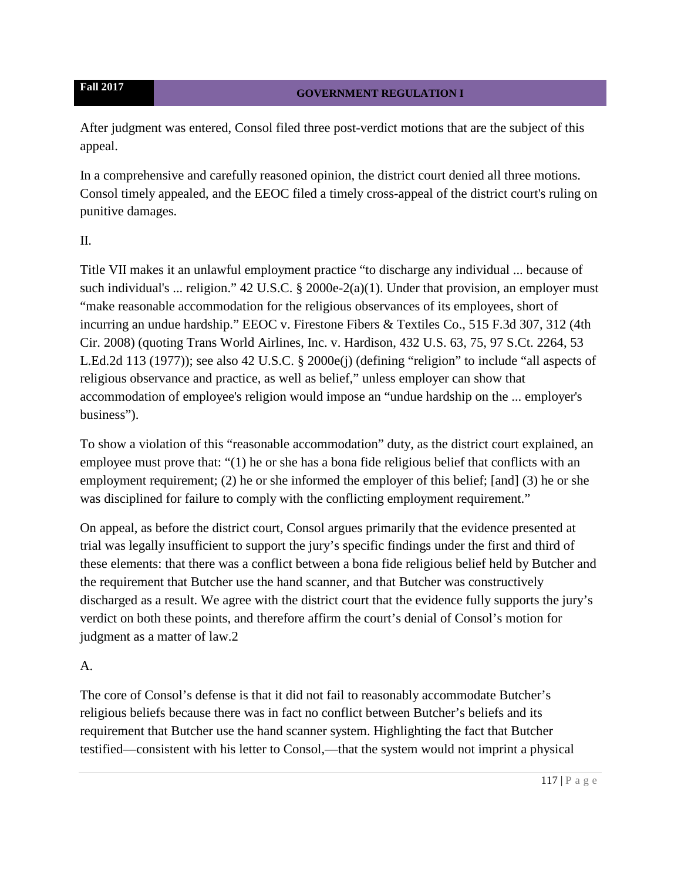After judgment was entered, Consol filed three post-verdict motions that are the subject of this appeal.

In a comprehensive and carefully reasoned opinion, the district court denied all three motions. Consol timely appealed, and the EEOC filed a timely cross-appeal of the district court's ruling on punitive damages.

### II.

Title VII makes it an unlawful employment practice "to discharge any individual ... because of such individual's ... religion." 42 U.S.C. § 2000e-2(a)(1). Under that provision, an employer must "make reasonable accommodation for the religious observances of its employees, short of incurring an undue hardship." EEOC v. Firestone Fibers & Textiles Co., 515 F.3d 307, 312 (4th Cir. 2008) (quoting Trans World Airlines, Inc. v. Hardison, 432 U.S. 63, 75, 97 S.Ct. 2264, 53 L.Ed.2d 113 (1977)); see also 42 U.S.C. § 2000e(j) (defining "religion" to include "all aspects of religious observance and practice, as well as belief," unless employer can show that accommodation of employee's religion would impose an "undue hardship on the ... employer's business").

To show a violation of this "reasonable accommodation" duty, as the district court explained, an employee must prove that: "(1) he or she has a bona fide religious belief that conflicts with an employment requirement; (2) he or she informed the employer of this belief; [and] (3) he or she was disciplined for failure to comply with the conflicting employment requirement."

On appeal, as before the district court, Consol argues primarily that the evidence presented at trial was legally insufficient to support the jury's specific findings under the first and third of these elements: that there was a conflict between a bona fide religious belief held by Butcher and the requirement that Butcher use the hand scanner, and that Butcher was constructively discharged as a result. We agree with the district court that the evidence fully supports the jury's verdict on both these points, and therefore affirm the court's denial of Consol's motion for judgment as a matter of law.2

### A.

The core of Consol's defense is that it did not fail to reasonably accommodate Butcher's religious beliefs because there was in fact no conflict between Butcher's beliefs and its requirement that Butcher use the hand scanner system. Highlighting the fact that Butcher testified—consistent with his letter to Consol,—that the system would not imprint a physical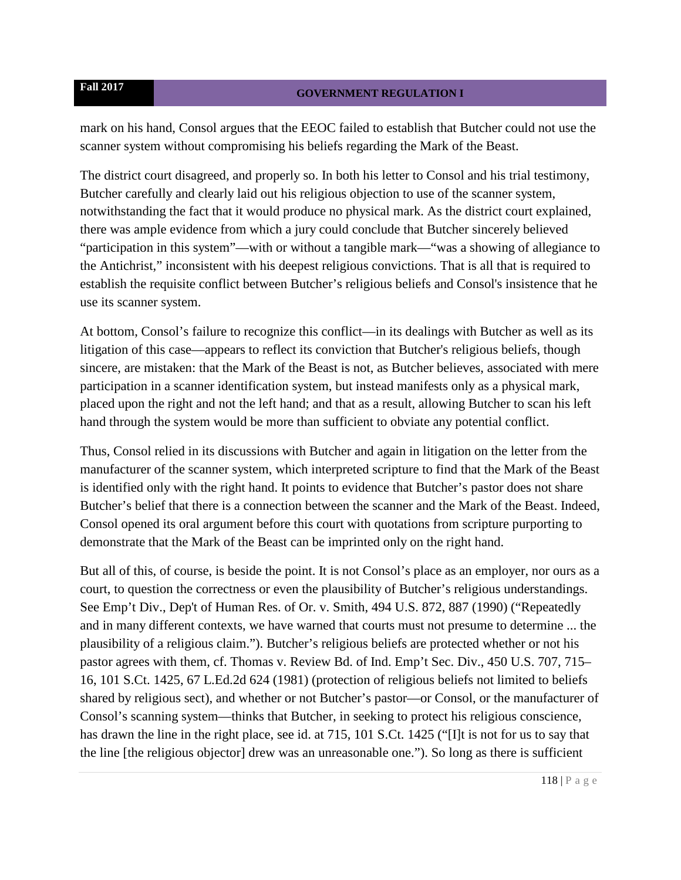mark on his hand, Consol argues that the EEOC failed to establish that Butcher could not use the scanner system without compromising his beliefs regarding the Mark of the Beast.

The district court disagreed, and properly so. In both his letter to Consol and his trial testimony, Butcher carefully and clearly laid out his religious objection to use of the scanner system, notwithstanding the fact that it would produce no physical mark. As the district court explained, there was ample evidence from which a jury could conclude that Butcher sincerely believed "participation in this system"—with or without a tangible mark—"was a showing of allegiance to the Antichrist," inconsistent with his deepest religious convictions. That is all that is required to establish the requisite conflict between Butcher's religious beliefs and Consol's insistence that he use its scanner system.

At bottom, Consol's failure to recognize this conflict—in its dealings with Butcher as well as its litigation of this case—appears to reflect its conviction that Butcher's religious beliefs, though sincere, are mistaken: that the Mark of the Beast is not, as Butcher believes, associated with mere participation in a scanner identification system, but instead manifests only as a physical mark, placed upon the right and not the left hand; and that as a result, allowing Butcher to scan his left hand through the system would be more than sufficient to obviate any potential conflict.

Thus, Consol relied in its discussions with Butcher and again in litigation on the letter from the manufacturer of the scanner system, which interpreted scripture to find that the Mark of the Beast is identified only with the right hand. It points to evidence that Butcher's pastor does not share Butcher's belief that there is a connection between the scanner and the Mark of the Beast. Indeed, Consol opened its oral argument before this court with quotations from scripture purporting to demonstrate that the Mark of the Beast can be imprinted only on the right hand.

But all of this, of course, is beside the point. It is not Consol's place as an employer, nor ours as a court, to question the correctness or even the plausibility of Butcher's religious understandings. See Emp't Div., Dep't of Human Res. of Or. v. Smith, 494 U.S. 872, 887 (1990) ("Repeatedly and in many different contexts, we have warned that courts must not presume to determine ... the plausibility of a religious claim."). Butcher's religious beliefs are protected whether or not his pastor agrees with them, cf. Thomas v. Review Bd. of Ind. Emp't Sec. Div., 450 U.S. 707, 715– 16, 101 S.Ct. 1425, 67 L.Ed.2d 624 (1981) (protection of religious beliefs not limited to beliefs shared by religious sect), and whether or not Butcher's pastor—or Consol, or the manufacturer of Consol's scanning system—thinks that Butcher, in seeking to protect his religious conscience, has drawn the line in the right place, see id. at 715, 101 S.Ct. 1425 ("[I]t is not for us to say that the line [the religious objector] drew was an unreasonable one."). So long as there is sufficient

118 | Page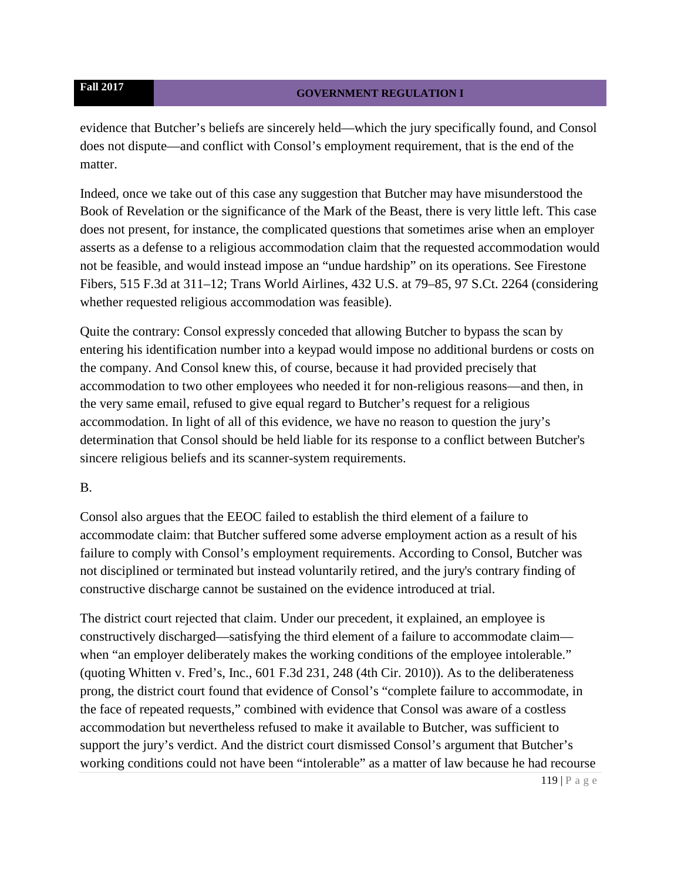evidence that Butcher's beliefs are sincerely held—which the jury specifically found, and Consol does not dispute—and conflict with Consol's employment requirement, that is the end of the matter.

Indeed, once we take out of this case any suggestion that Butcher may have misunderstood the Book of Revelation or the significance of the Mark of the Beast, there is very little left. This case does not present, for instance, the complicated questions that sometimes arise when an employer asserts as a defense to a religious accommodation claim that the requested accommodation would not be feasible, and would instead impose an "undue hardship" on its operations. See Firestone Fibers, 515 F.3d at 311–12; Trans World Airlines, 432 U.S. at 79–85, 97 S.Ct. 2264 (considering whether requested religious accommodation was feasible).

Quite the contrary: Consol expressly conceded that allowing Butcher to bypass the scan by entering his identification number into a keypad would impose no additional burdens or costs on the company. And Consol knew this, of course, because it had provided precisely that accommodation to two other employees who needed it for non-religious reasons—and then, in the very same email, refused to give equal regard to Butcher's request for a religious accommodation. In light of all of this evidence, we have no reason to question the jury's determination that Consol should be held liable for its response to a conflict between Butcher's sincere religious beliefs and its scanner-system requirements.

### B.

Consol also argues that the EEOC failed to establish the third element of a failure to accommodate claim: that Butcher suffered some adverse employment action as a result of his failure to comply with Consol's employment requirements. According to Consol, Butcher was not disciplined or terminated but instead voluntarily retired, and the jury's contrary finding of constructive discharge cannot be sustained on the evidence introduced at trial.

The district court rejected that claim. Under our precedent, it explained, an employee is constructively discharged—satisfying the third element of a failure to accommodate claim when "an employer deliberately makes the working conditions of the employee intolerable." (quoting Whitten v. Fred's, Inc., 601 F.3d 231, 248 (4th Cir. 2010)). As to the deliberateness prong, the district court found that evidence of Consol's "complete failure to accommodate, in the face of repeated requests," combined with evidence that Consol was aware of a costless accommodation but nevertheless refused to make it available to Butcher, was sufficient to support the jury's verdict. And the district court dismissed Consol's argument that Butcher's working conditions could not have been "intolerable" as a matter of law because he had recourse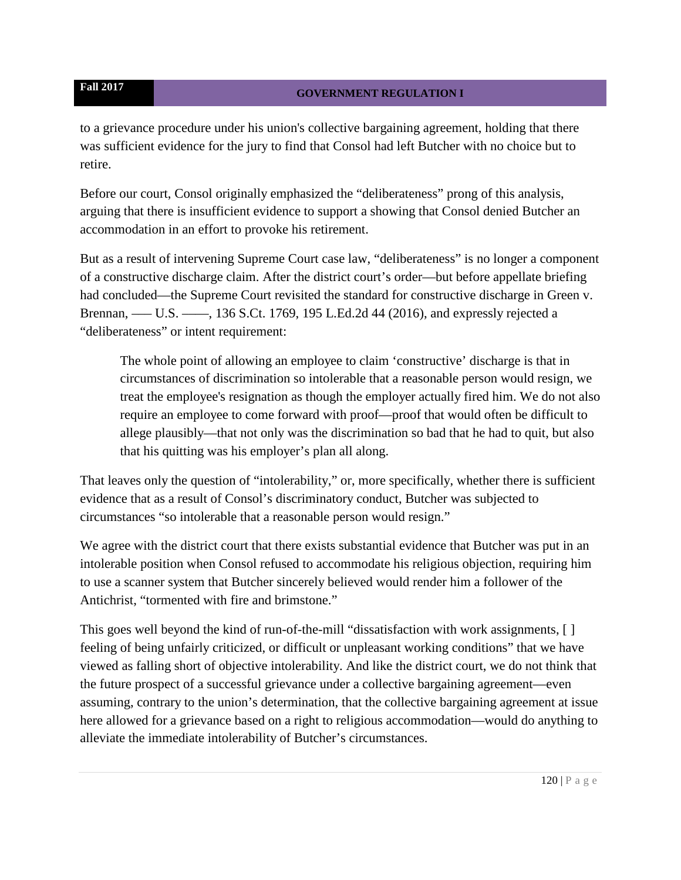to a grievance procedure under his union's collective bargaining agreement, holding that there was sufficient evidence for the jury to find that Consol had left Butcher with no choice but to retire.

Before our court, Consol originally emphasized the "deliberateness" prong of this analysis, arguing that there is insufficient evidence to support a showing that Consol denied Butcher an accommodation in an effort to provoke his retirement.

But as a result of intervening Supreme Court case law, "deliberateness" is no longer a component of a constructive discharge claim. After the district court's order—but before appellate briefing had concluded—the Supreme Court revisited the standard for constructive discharge in Green v. Brennan, —– U.S. —–, 136 S.Ct. 1769, 195 L.Ed.2d 44 (2016), and expressly rejected a "deliberateness" or intent requirement:

The whole point of allowing an employee to claim 'constructive' discharge is that in circumstances of discrimination so intolerable that a reasonable person would resign, we treat the employee's resignation as though the employer actually fired him. We do not also require an employee to come forward with proof—proof that would often be difficult to allege plausibly—that not only was the discrimination so bad that he had to quit, but also that his quitting was his employer's plan all along.

That leaves only the question of "intolerability," or, more specifically, whether there is sufficient evidence that as a result of Consol's discriminatory conduct, Butcher was subjected to circumstances "so intolerable that a reasonable person would resign."

We agree with the district court that there exists substantial evidence that Butcher was put in an intolerable position when Consol refused to accommodate his religious objection, requiring him to use a scanner system that Butcher sincerely believed would render him a follower of the Antichrist, "tormented with fire and brimstone."

This goes well beyond the kind of run-of-the-mill "dissatisfaction with work assignments, [ ] feeling of being unfairly criticized, or difficult or unpleasant working conditions" that we have viewed as falling short of objective intolerability. And like the district court, we do not think that the future prospect of a successful grievance under a collective bargaining agreement—even assuming, contrary to the union's determination, that the collective bargaining agreement at issue here allowed for a grievance based on a right to religious accommodation—would do anything to alleviate the immediate intolerability of Butcher's circumstances.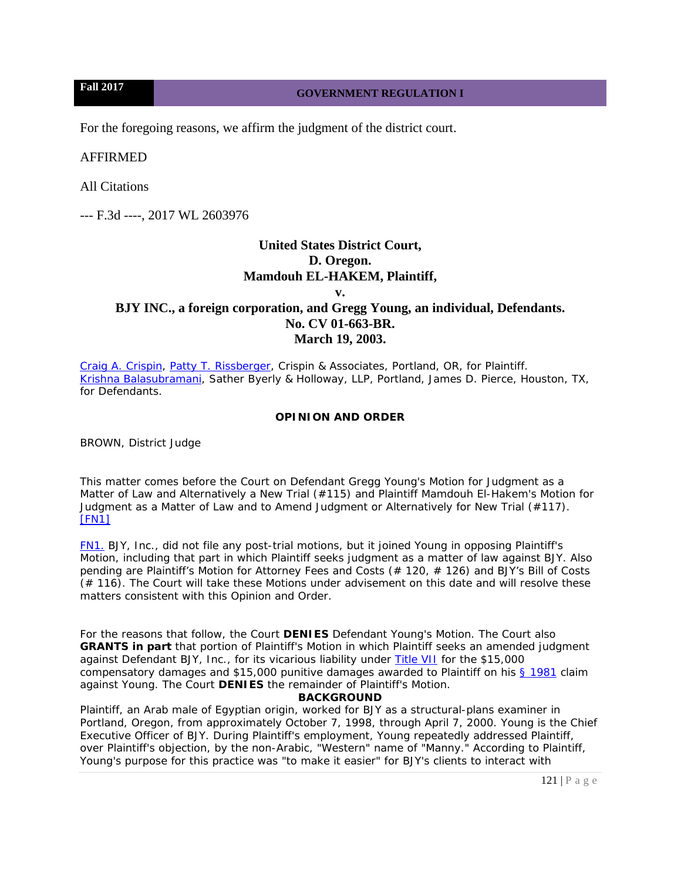For the foregoing reasons, we affirm the judgment of the district court.

### AFFIRMED

All Citations

--- F.3d ----, 2017 WL 2603976

### **United States District Court, D. Oregon. Mamdouh EL-HAKEM, Plaintiff,**

**v.**

### **BJY INC., a foreign corporation, and Gregg Young, an individual, Defendants. No. CV 01-663-BR. March 19, 2003.**

[Craig A. Crispin,](http://web2.westlaw.com/find/default.wl?rp=%2ffind%2fdefault.wl&vc=0&DB=WLD%2DPEOPLECITE&DocName=0207628701&FindType=h&AP=&fn=_top&rs=WLW7.01&mt=LawSchoolPractitioner&vr=2.0&sv=Split) [Patty T. Rissberger,](http://web2.westlaw.com/find/default.wl?rp=%2ffind%2fdefault.wl&vc=0&DB=WLD%2DPEOPLECITE&DocName=0308572301&FindType=h&AP=&fn=_top&rs=WLW7.01&mt=LawSchoolPractitioner&vr=2.0&sv=Split) Crispin & Associates, Portland, OR, for Plaintiff. [Krishna Balasubramani,](http://web2.westlaw.com/find/default.wl?rp=%2ffind%2fdefault.wl&vc=0&DB=WLD%2DPEOPLECITE&DocName=0238063201&FindType=h&AP=&fn=_top&rs=WLW7.01&mt=LawSchoolPractitioner&vr=2.0&sv=Split) Sather Byerly & Holloway, LLP, Portland, James D. Pierce, Houston, TX, for Defendants.

### **OPINION AND ORDER**

BROWN, District Judge

This matter comes before the Court on Defendant Gregg Young's Motion for Judgment as a Matter of Law and Alternatively a New Trial (#115) and Plaintiff Mamdouh El-Hakem's Motion for Judgment as a Matter of Law and to Amend Judgment or Alternatively for New Trial (#117)[.](http://web2.westlaw.com/result/documenttext.aspx?sv=Split&service=Find&fcl=False&findtype=0&casecite=126+S.Ct.+1470&cnt=DOC&cxt=DC&rlt=CLID_FQRLT3022812&rs=WLW7.01&ss=CNT&docname=262F.Supp.2d1139&fn=_top&n=1&mt=LawSchoolPractitioner&vr=2.0&rp=%2fFind%2fdefault.wl&caseserial=2008108931&serialnum=2003349506&docsample=False#FN;F0011#FN;F0011) [\[FN1\]](http://web2.westlaw.com/result/documenttext.aspx?sv=Split&service=Find&fcl=False&findtype=0&casecite=126+S.Ct.+1470&cnt=DOC&cxt=DC&rlt=CLID_FQRLT3022812&rs=WLW7.01&ss=CNT&docname=262F.Supp.2d1139&fn=_top&n=1&mt=LawSchoolPractitioner&vr=2.0&rp=%2fFind%2fdefault.wl&caseserial=2008108931&serialnum=2003349506&docsample=False#FN;F0011#FN;F0011)

[FN1.](http://web2.westlaw.com/result/documenttext.aspx?sv=Split&service=Find&fcl=False&findtype=0&casecite=126+S.Ct.+1470&cnt=DOC&cxt=DC&rlt=CLID_FQRLT3022812&rs=WLW7.01&ss=CNT&docname=262F.Supp.2d1139&fn=_top&n=1&mt=LawSchoolPractitioner&vr=2.0&rp=%2fFind%2fdefault.wl&caseserial=2008108931&serialnum=2003349506&docsample=False#FN;B0011#FN;B0011) BJY, Inc., did not file any post-trial motions, but it joined Young in opposing Plaintiff's Motion, including that part in which Plaintiff seeks judgment as a matter of law against BJY. Also pending are Plaintiff's Motion for Attorney Fees and Costs (# 120, # 126) and BJY's Bill of Costs  $(# 116)$ . The Court will take these Motions under advisement on this date and will resolve these matters consistent with this Opinion and Order.

For the reasons that follow, the Court **DENIES** Defendant Young's Motion. The Court also **GRANTS in part** that portion of Plaintiff's Motion in which Plaintiff seeks an amended judgment against Defendant BJY, Inc., for its vicarious liability under [Title VII](http://web2.westlaw.com/find/default.wl?rp=%2ffind%2fdefault.wl&vc=0&DB=1000546&DocName=7USCAS1981&FindType=L&AP=&fn=_top&rs=WLW7.01&mt=LawSchoolPractitioner&vr=2.0&sv=Split) for the \$15,000 compensatory damages and \$15,000 punitive damages awarded to Plaintiff on his [§ 1981](http://web2.westlaw.com/find/default.wl?rp=%2ffind%2fdefault.wl&vc=0&DB=1000546&DocName=42USCAS1981&FindType=L&AP=&fn=_top&rs=WLW7.01&mt=LawSchoolPractitioner&vr=2.0&sv=Split) claim against Young. The Court **DENIES** the remainder of Plaintiff's Motion.

### *BACKGROUND*

Plaintiff, an Arab male of Egyptian origin, worked for BJY as a structural-plans examiner in Portland, Oregon, from approximately October 7, 1998, through April 7, 2000. Young is the Chief Executive Officer of BJY. During Plaintiff's employment, Young repeatedly addressed Plaintiff, over Plaintiff's objection, by the non-Arabic, "Western" name of "Manny." According to Plaintiff, Young's purpose for this practice was "to make it easier" for BJY's clients to interact with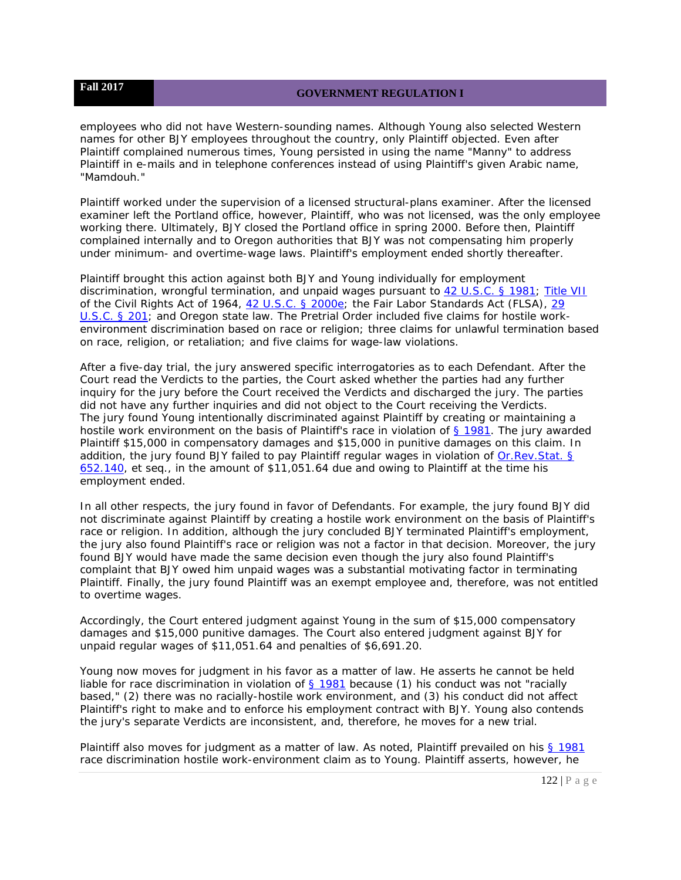employees who did not have Western-sounding names. Although Young also selected Western names for other BJY employees throughout the country, only Plaintiff objected. Even after Plaintiff complained numerous times, Young persisted in using the name "Manny" to address Plaintiff in e-mails and in telephone conferences instead of using Plaintiff's given Arabic name, "Mamdouh."

Plaintiff worked under the supervision of a licensed structural-plans examiner. After the licensed examiner left the Portland office, however, Plaintiff, who was not licensed, was the only employee working there. Ultimately, BJY closed the Portland office in spring 2000. Before then, Plaintiff complained internally and to Oregon authorities that BJY was not compensating him properly under minimum- and overtime-wage laws. Plaintiff's employment ended shortly thereafter.

Plaintiff brought this action against both BJY and Young individually for employment discrimination, wrongful termination, and unpaid wages pursuant to [42 U.S.C. § 1981;](http://web2.westlaw.com/find/default.wl?rp=%2ffind%2fdefault.wl&vc=0&DB=1000546&DocName=42USCAS1981&FindType=L&AP=&fn=_top&rs=WLW7.01&mt=LawSchoolPractitioner&vr=2.0&sv=Split) [Title VII](http://web2.westlaw.com/find/default.wl?rp=%2ffind%2fdefault.wl&vc=0&DB=1000546&DocName=7USCAS1981&FindType=L&AP=&fn=_top&rs=WLW7.01&mt=LawSchoolPractitioner&vr=2.0&sv=Split) of the Civil Rights Act of 1964, [42 U.S.C. § 2000e;](http://web2.westlaw.com/find/default.wl?rp=%2ffind%2fdefault.wl&vc=0&DB=1000546&DocName=42USCAS2000E&FindType=L&AP=&fn=_top&rs=WLW7.01&mt=LawSchoolPractitioner&vr=2.0&sv=Split) the Fair Labor Standards Act (FLSA), [29](http://web2.westlaw.com/find/default.wl?rp=%2ffind%2fdefault.wl&vc=0&DB=1000546&DocName=29USCAS201&FindType=L&AP=&fn=_top&rs=WLW7.01&mt=LawSchoolPractitioner&vr=2.0&sv=Split)  [U.S.C. § 201;](http://web2.westlaw.com/find/default.wl?rp=%2ffind%2fdefault.wl&vc=0&DB=1000546&DocName=29USCAS201&FindType=L&AP=&fn=_top&rs=WLW7.01&mt=LawSchoolPractitioner&vr=2.0&sv=Split) and Oregon state law. The Pretrial Order included five claims for hostile workenvironment discrimination based on race or religion; three claims for unlawful termination based on race, religion, or retaliation; and five claims for wage-law violations.

After a five-day trial, the jury answered specific interrogatories as to each Defendant. After the Court read the Verdicts to the parties, the Court asked whether the parties had any further inquiry for the jury before the Court received the Verdicts and discharged the jury. The parties did not have any further inquiries and did not object to the Court receiving the Verdicts. The jury found Young intentionally discriminated against Plaintiff by creating or maintaining a hostile work environment on the basis of Plaintiff's race in violation of [§ 1981.](http://web2.westlaw.com/find/default.wl?rp=%2ffind%2fdefault.wl&vc=0&DB=1000546&DocName=42USCAS1981&FindType=L&AP=&fn=_top&rs=WLW7.01&mt=LawSchoolPractitioner&vr=2.0&sv=Split) The jury awarded Plaintiff \$15,000 in compensatory damages and \$15,000 in punitive damages on this claim. In addition, the jury found BJY failed to pay Plaintiff regular wages in violation of Or.Rev.Stat. § [652.140,](http://web2.westlaw.com/find/default.wl?rp=%2ffind%2fdefault.wl&vc=0&DB=1000534&DocName=ORSTS652%2E140&FindType=L&AP=&fn=_top&rs=WLW7.01&mt=LawSchoolPractitioner&vr=2.0&sv=Split) *et seq.,* in the amount of \$11,051.64 due and owing to Plaintiff at the time his employment ended.

In all other respects, the jury found in favor of Defendants. For example, the jury found BJY did not discriminate against Plaintiff by creating a hostile work environment on the basis of Plaintiff's race or religion. In addition, although the jury concluded BJY terminated Plaintiff's employment, the jury also found Plaintiff's race or religion was not a factor in that decision. Moreover, the jury found BJY would have made the same decision even though the jury also found Plaintiff's complaint that BJY owed him unpaid wages was a substantial motivating factor in terminating Plaintiff. Finally, the jury found Plaintiff was an exempt employee and, therefore, was not entitled to overtime wages.

Accordingly, the Court entered judgment against Young in the sum of \$15,000 compensatory damages and \$15,000 punitive damages. The Court also entered judgment against BJY for unpaid regular wages of \$11,051.64 and penalties of \$6,691.20.

Young now moves for judgment in his favor as a matter of law. He asserts he cannot be held liable for race discrimination in violation of [§ 1981](http://web2.westlaw.com/find/default.wl?rp=%2ffind%2fdefault.wl&vc=0&DB=1000546&DocName=42USCAS1981&FindType=L&AP=&fn=_top&rs=WLW7.01&mt=LawSchoolPractitioner&vr=2.0&sv=Split) because (1) his conduct was not "racially based," (2) there was no racially-hostile work environment, and (3) his conduct did not affect Plaintiff's right to make and to enforce his employment contract with BJY. Young also contends the jury's separate Verdicts are inconsistent, and, therefore, he moves for a new trial.

Plaintiff also moves for judgment as a matter of law. As noted, Plaintiff prevailed on his [§ 1981](http://web2.westlaw.com/find/default.wl?rp=%2ffind%2fdefault.wl&vc=0&DB=1000546&DocName=42USCAS1981&FindType=L&AP=&fn=_top&rs=WLW7.01&mt=LawSchoolPractitioner&vr=2.0&sv=Split) race discrimination hostile work-environment claim as to Young. Plaintiff asserts, however, he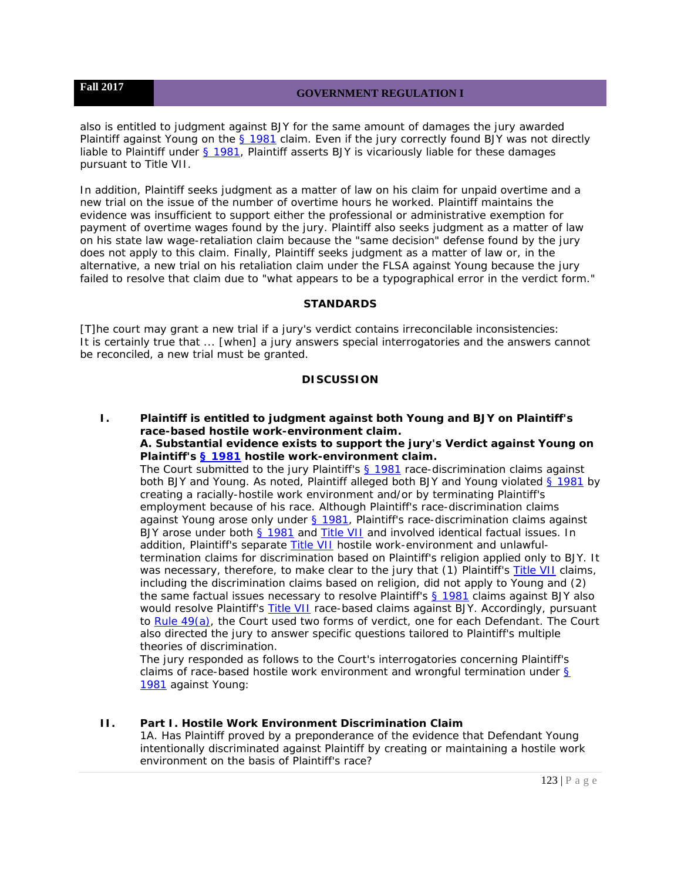also is entitled to judgment against BJY for the same amount of damages the jury awarded Plaintiff against Young on the  $\S$  1981 claim. Even if the jury correctly found BJY was not directly liable to Plaintiff under  $\S$  1981, Plaintiff asserts BJY is vicariously liable for these damages pursuant to Title VII.

In addition, Plaintiff seeks judgment as a matter of law on his claim for unpaid overtime and a new trial on the issue of the number of overtime hours he worked. Plaintiff maintains the evidence was insufficient to support either the professional or administrative exemption for payment of overtime wages found by the jury. Plaintiff also seeks judgment as a matter of law on his state law wage-retaliation claim because the "same decision" defense found by the jury does not apply to this claim. Finally, Plaintiff seeks judgment as a matter of law or, in the alternative, a new trial on his retaliation claim under the FLSA against Young because the jury failed to resolve that claim due to "what appears to be a typographical error in the verdict form."

### *STANDARDS*

[T]he court may grant a new trial if a jury's verdict contains irreconcilable inconsistencies: It is certainly true that ... [when] a jury answers special interrogatories and the answers cannot be reconciled, a new trial must be granted.

### *DISCUSSION*

**I. Plaintiff is entitled to judgment against both Young and BJY on Plaintiff's race-based hostile work-environment claim. A. Substantial evidence exists to support the jury's Verdict against Young on Plaintiff's [§ 1981](http://web2.westlaw.com/find/default.wl?rp=%2ffind%2fdefault.wl&vc=0&DB=1000546&DocName=42USCAS1981&FindType=L&AP=&fn=_top&rs=WLW7.01&mt=LawSchoolPractitioner&vr=2.0&sv=Split) hostile work-environment claim.** The Court submitted to the jury Plaintiff's [§ 1981](http://web2.westlaw.com/find/default.wl?rp=%2ffind%2fdefault.wl&vc=0&DB=1000546&DocName=42USCAS1981&FindType=L&AP=&fn=_top&rs=WLW7.01&mt=LawSchoolPractitioner&vr=2.0&sv=Split) race-discrimination claims against both BJY and Young. As noted, Plaintiff alleged both BJY and Young violated [§ 1981](http://web2.westlaw.com/find/default.wl?rp=%2ffind%2fdefault.wl&vc=0&DB=1000546&DocName=42USCAS1981&FindType=L&AP=&fn=_top&rs=WLW7.01&mt=LawSchoolPractitioner&vr=2.0&sv=Split) by creating a racially-hostile work environment and/or by terminating Plaintiff's employment because of his race. Although Plaintiff's race-discrimination claims against Young arose only under  $§$  1981, Plaintiff's race-discrimination claims against BJY arose under both [§ 1981](http://web2.westlaw.com/find/default.wl?rp=%2ffind%2fdefault.wl&vc=0&DB=1000546&DocName=7USCAS1981&FindType=L&AP=&fn=_top&rs=WLW7.01&mt=LawSchoolPractitioner&vr=2.0&sv=Split) and [Title VII](http://web2.westlaw.com/find/default.wl?rp=%2ffind%2fdefault.wl&vc=0&DB=1000546&DocName=7USCAS1981&FindType=L&AP=&fn=_top&rs=WLW7.01&mt=LawSchoolPractitioner&vr=2.0&sv=Split) and involved identical factual issues. In addition, Plaintiff's separate [Title VII](http://web2.westlaw.com/find/default.wl?rp=%2ffind%2fdefault.wl&vc=0&DB=1000546&DocName=7USCAS1981&FindType=L&AP=&fn=_top&rs=WLW7.01&mt=LawSchoolPractitioner&vr=2.0&sv=Split) hostile work-environment and unlawfultermination claims for discrimination based on Plaintiff's religion applied only to BJY. It was necessary, therefore, to make clear to the jury that (1) Plaintiff's [Title VII](http://web2.westlaw.com/find/default.wl?rp=%2ffind%2fdefault.wl&vc=0&DB=1000546&DocName=7USCAS1981&FindType=L&AP=&fn=_top&rs=WLW7.01&mt=LawSchoolPractitioner&vr=2.0&sv=Split) claims, including the discrimination claims based on religion, did not apply to Young and (2) the same factual issues necessary to resolve Plaintiff's  $\S$  1981 claims against BJY also would resolve Plaintiff's [Title VII](http://web2.westlaw.com/find/default.wl?rp=%2ffind%2fdefault.wl&vc=0&DB=1000546&DocName=7USCAS1981&FindType=L&AP=&fn=_top&rs=WLW7.01&mt=LawSchoolPractitioner&vr=2.0&sv=Split) race-based claims against BJY. Accordingly, pursuant to [Rule 49\(a\),](http://web2.westlaw.com/find/default.wl?rp=%2ffind%2fdefault.wl&vc=0&DB=1004365&DocName=USFRCPR49&FindType=L&AP=&fn=_top&rs=WLW7.01&mt=LawSchoolPractitioner&vr=2.0&sv=Split) the Court used two forms of verdict, one for each Defendant. The Court also directed the jury to answer specific questions tailored to Plaintiff's multiple theories of discrimination.

The jury responded as follows to the Court's interrogatories concerning Plaintiff's claims of race-based hostile work environment and wrongful termination under  $\S$ [1981](http://web2.westlaw.com/find/default.wl?rp=%2ffind%2fdefault.wl&vc=0&DB=1000546&DocName=42USCAS1981&FindType=L&AP=&fn=_top&rs=WLW7.01&mt=LawSchoolPractitioner&vr=2.0&sv=Split) against Young:

### **II. Part I. Hostile Work Environment Discrimination Claim**

1A. Has Plaintiff proved by a preponderance of the evidence that Defendant Young intentionally discriminated against Plaintiff by creating or maintaining a hostile work environment on the basis of Plaintiff's race?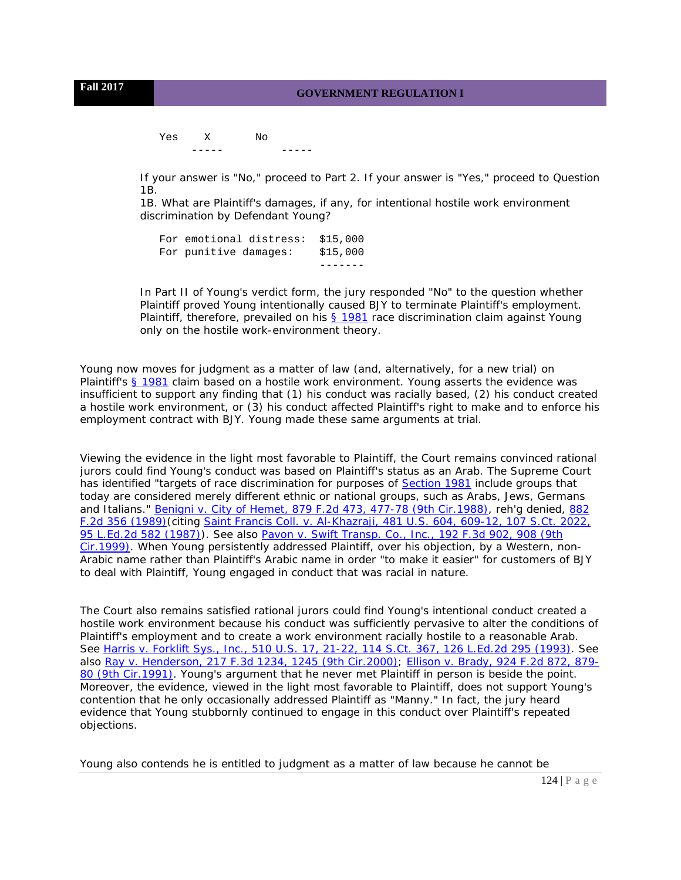Yes X No ----- -----

If your answer is "No," proceed to Part 2. If your answer is "Yes," proceed to Question 1B.

1B. What are Plaintiff's damages, if any, for intentional hostile work environment discrimination by Defendant Young?

 For emotional distress: \$15,000 For punitive damages: \$15,000<br>-------------

In Part II of Young's verdict form, the jury responded "No" to the question whether Plaintiff proved Young intentionally caused BJY to terminate Plaintiff's employment. Plaintiff, therefore, prevailed on his [§ 1981](http://web2.westlaw.com/find/default.wl?rp=%2ffind%2fdefault.wl&vc=0&DB=1000546&DocName=42USCAS1981&FindType=L&AP=&fn=_top&rs=WLW7.01&mt=LawSchoolPractitioner&vr=2.0&sv=Split) race discrimination claim against Young only on the hostile work-environment theory.

Young now moves for judgment as a matter of law (and, alternatively, for a new trial) on Plaintiff's [§ 1981](http://web2.westlaw.com/find/default.wl?rp=%2ffind%2fdefault.wl&vc=0&DB=1000546&DocName=42USCAS1981&FindType=L&AP=&fn=_top&rs=WLW7.01&mt=LawSchoolPractitioner&vr=2.0&sv=Split) claim based on a hostile work environment. Young asserts the evidence was insufficient to support any finding that (1) his conduct was racially based, (2) his conduct created a hostile work environment, or (3) his conduct affected Plaintiff's right to make and to enforce his employment contract with BJY. Young made these same arguments at trial.

Viewing the evidence in the light most favorable to Plaintiff, the Court remains convinced rational jurors could find Young's conduct was based on Plaintiff's status as an Arab. The Supreme Court has identified "targets of race discrimination for purposes of [Section 1981](http://web2.westlaw.com/find/default.wl?rp=%2ffind%2fdefault.wl&vc=0&DB=1000546&DocName=42USCAS1981&FindType=L&AP=&fn=_top&rs=WLW7.01&mt=LawSchoolPractitioner&vr=2.0&sv=Split) include groups that today are considered merely different ethnic or national groups, such as Arabs, Jews, Germans and Italians." *Benigni v. City of Hemet,* [879 F.2d 473, 477-78 \(9th Cir.1988\),](http://web2.westlaw.com/find/default.wl?rp=%2ffind%2fdefault.wl&vc=0&DB=350&SerialNum=1989091654&FindType=Y&ReferencePositionType=S&ReferencePosition=477&AP=&fn=_top&rs=WLW7.01&mt=LawSchoolPractitioner&vr=2.0&sv=Split) *reh'g denied,* [882](http://web2.westlaw.com/find/default.wl?rp=%2ffind%2fdefault.wl&vc=0&DB=350&SerialNum=1989113622&FindType=Y&AP=&fn=_top&rs=WLW7.01&mt=LawSchoolPractitioner&vr=2.0&sv=Split)  [F.2d 356 \(1989\)\(](http://web2.westlaw.com/find/default.wl?rp=%2ffind%2fdefault.wl&vc=0&DB=350&SerialNum=1989113622&FindType=Y&AP=&fn=_top&rs=WLW7.01&mt=LawSchoolPractitioner&vr=2.0&sv=Split)citing *Saint Francis Coll. v. Al-Khazraji,* [481 U.S. 604, 609-12, 107 S.Ct. 2022,](http://web2.westlaw.com/find/default.wl?rp=%2ffind%2fdefault.wl&vc=0&DB=708&SerialNum=1987062389&FindType=Y&AP=&fn=_top&rs=WLW7.01&mt=LawSchoolPractitioner&vr=2.0&sv=Split)  [95 L.Ed.2d 582 \(1987\)\)](http://web2.westlaw.com/find/default.wl?rp=%2ffind%2fdefault.wl&vc=0&DB=708&SerialNum=1987062389&FindType=Y&AP=&fn=_top&rs=WLW7.01&mt=LawSchoolPractitioner&vr=2.0&sv=Split). *See also [Pavon v. Swift Transp. Co., Inc.,](http://web2.westlaw.com/find/default.wl?rp=%2ffind%2fdefault.wl&vc=0&DB=506&SerialNum=1999214582&FindType=Y&ReferencePositionType=S&ReferencePosition=908&AP=&fn=_top&rs=WLW7.01&mt=LawSchoolPractitioner&vr=2.0&sv=Split)* 192 F.3d 902, 908 (9th [Cir.1999\).](http://web2.westlaw.com/find/default.wl?rp=%2ffind%2fdefault.wl&vc=0&DB=506&SerialNum=1999214582&FindType=Y&ReferencePositionType=S&ReferencePosition=908&AP=&fn=_top&rs=WLW7.01&mt=LawSchoolPractitioner&vr=2.0&sv=Split) When Young persistently addressed Plaintiff, over his objection, by a Western, non-Arabic name rather than Plaintiff's Arabic name in order "to make it easier" for customers of BJY to deal with Plaintiff, Young engaged in conduct that was racial in nature.

The Court also remains satisfied rational jurors could find Young's intentional conduct created a hostile work environment because his conduct was sufficiently pervasive to alter the conditions of Plaintiff's employment and to create a work environment racially hostile to a reasonable Arab. *See Harris v. Forklift Sys., Inc.*[, 510 U.S. 17, 21-22, 114 S.Ct. 367, 126 L.Ed.2d 295 \(1993\).](http://web2.westlaw.com/find/default.wl?rp=%2ffind%2fdefault.wl&vc=0&DB=708&SerialNum=1993212367&FindType=Y&AP=&fn=_top&rs=WLW7.01&mt=LawSchoolPractitioner&vr=2.0&sv=Split) *See also Ray v. Henderson,* [217 F.3d 1234, 1245 \(9th Cir.2000\);](http://web2.westlaw.com/find/default.wl?rp=%2ffind%2fdefault.wl&vc=0&DB=506&SerialNum=2000395417&FindType=Y&ReferencePositionType=S&ReferencePosition=1245&AP=&fn=_top&rs=WLW7.01&mt=LawSchoolPractitioner&vr=2.0&sv=Split) *Ellison v. Brady,* [924 F.2d 872, 879-](http://web2.westlaw.com/find/default.wl?rp=%2ffind%2fdefault.wl&vc=0&DB=350&SerialNum=1991027709&FindType=Y&ReferencePositionType=S&ReferencePosition=879&AP=&fn=_top&rs=WLW7.01&mt=LawSchoolPractitioner&vr=2.0&sv=Split) [80 \(9th Cir.1991\).](http://web2.westlaw.com/find/default.wl?rp=%2ffind%2fdefault.wl&vc=0&DB=350&SerialNum=1991027709&FindType=Y&ReferencePositionType=S&ReferencePosition=879&AP=&fn=_top&rs=WLW7.01&mt=LawSchoolPractitioner&vr=2.0&sv=Split) Young's argument that he never met Plaintiff in person is beside the point. Moreover, the evidence, viewed in the light most favorable to Plaintiff, does not support Young's contention that he only occasionally addressed Plaintiff as "Manny." In fact, the jury heard evidence that Young stubbornly continued to engage in this conduct over Plaintiff's repeated objections.

Young also contends he is entitled to judgment as a matter of law because he cannot be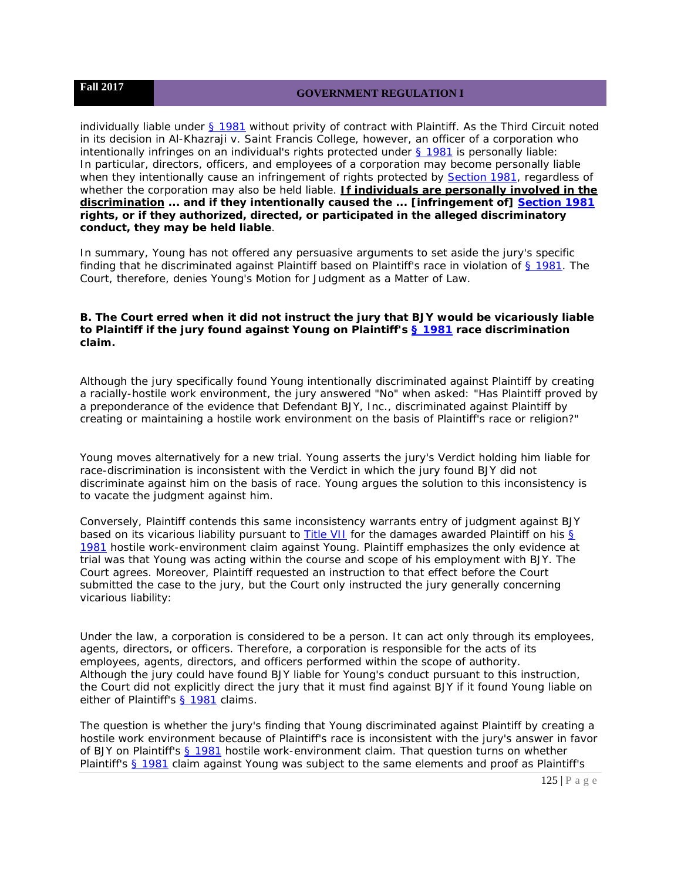individually liable under [§ 1981](http://web2.westlaw.com/find/default.wl?rp=%2ffind%2fdefault.wl&vc=0&DB=1000546&DocName=42USCAS1981&FindType=L&AP=&fn=_top&rs=WLW7.01&mt=LawSchoolPractitioner&vr=2.0&sv=Split) without privity of contract with Plaintiff. As the Third Circuit noted in its decision in *Al-Khazraji v. Saint Francis College,* however, an officer of a corporation who intentionally infringes on an individual's rights protected under  $\S$  1981 is personally liable: In particular, directors, officers, and employees of a corporation may become personally liable when they intentionally cause an infringement of rights protected by **Section 1981**, regardless of whether the corporation may also be held liable. **If individuals are personally involved in the discrimination ... and if they intentionally caused the ... [infringement of] [Section 1981](http://web2.westlaw.com/find/default.wl?rp=%2ffind%2fdefault.wl&vc=0&DB=1000546&DocName=42USCAS1981&FindType=L&AP=&fn=_top&rs=WLW7.01&mt=LawSchoolPractitioner&vr=2.0&sv=Split) rights, or if they authorized, directed, or participated in the alleged discriminatory conduct, they may be held liable**.

In summary, Young has not offered any persuasive arguments to set aside the jury's specific finding that he discriminated against Plaintiff based on Plaintiff's race in violation of [§ 1981.](http://web2.westlaw.com/find/default.wl?rp=%2ffind%2fdefault.wl&vc=0&DB=1000546&DocName=42USCAS1981&FindType=L&AP=&fn=_top&rs=WLW7.01&mt=LawSchoolPractitioner&vr=2.0&sv=Split) The Court, therefore, denies Young's Motion for Judgment as a Matter of Law.

### **B. The Court erred when it did not instruct the jury that BJY would be vicariously liable to Plaintiff if the jury found against Young on Plaintiff's [§ 1981](http://web2.westlaw.com/find/default.wl?rp=%2ffind%2fdefault.wl&vc=0&DB=1000546&DocName=42USCAS1981&FindType=L&AP=&fn=_top&rs=WLW7.01&mt=LawSchoolPractitioner&vr=2.0&sv=Split) race discrimination claim.**

Although the jury specifically found Young intentionally discriminated against Plaintiff by creating a racially-hostile work environment, the jury answered "No" when asked: "Has Plaintiff proved by a preponderance of the evidence that Defendant BJY, Inc., discriminated against Plaintiff by creating or maintaining a hostile work environment on the basis of Plaintiff's race or religion?"

Young moves alternatively for a new trial. Young asserts the jury's Verdict holding him liable for race-discrimination is inconsistent with the Verdict in which the jury found BJY did not discriminate against him on the basis of race. Young argues the solution to this inconsistency is to vacate the judgment against him.

Conversely, Plaintiff contends this same inconsistency warrants entry of judgment against BJY based on its vicarious liability pursuant to [Title VII](http://web2.westlaw.com/find/default.wl?rp=%2ffind%2fdefault.wl&vc=0&DB=1000546&DocName=7USCAS1981&FindType=L&AP=&fn=_top&rs=WLW7.01&mt=LawSchoolPractitioner&vr=2.0&sv=Split) for the damages awarded Plaintiff on his § [1981](http://web2.westlaw.com/find/default.wl?rp=%2ffind%2fdefault.wl&vc=0&DB=1000546&DocName=42USCAS1981&FindType=L&AP=&fn=_top&rs=WLW7.01&mt=LawSchoolPractitioner&vr=2.0&sv=Split) hostile work-environment claim against Young. Plaintiff emphasizes the only evidence at trial was that Young was acting within the course and scope of his employment with BJY. The Court agrees. Moreover, Plaintiff requested an instruction to that effect before the Court submitted the case to the jury, but the Court only instructed the jury generally concerning vicarious liability:

Under the law, a corporation is considered to be a person. It can act only through its employees, agents, directors, or officers. Therefore, a corporation is responsible for the acts of its employees, agents, directors, and officers performed within the scope of authority. Although the jury could have found BJY liable for Young's conduct pursuant to this instruction, the Court did not explicitly direct the jury that it must find against BJY if it found Young liable on either of Plaintiff's [§ 1981](http://web2.westlaw.com/find/default.wl?rp=%2ffind%2fdefault.wl&vc=0&DB=1000546&DocName=42USCAS1981&FindType=L&AP=&fn=_top&rs=WLW7.01&mt=LawSchoolPractitioner&vr=2.0&sv=Split) claims.

The question is whether the jury's finding that Young discriminated against Plaintiff by creating a hostile work environment because of Plaintiff's race is inconsistent with the jury's answer in favor of BJY on Plaintiff's [§ 1981](http://web2.westlaw.com/find/default.wl?rp=%2ffind%2fdefault.wl&vc=0&DB=1000546&DocName=42USCAS1981&FindType=L&AP=&fn=_top&rs=WLW7.01&mt=LawSchoolPractitioner&vr=2.0&sv=Split) hostile work-environment claim. That question turns on whether Plaintiff's [§ 1981](http://web2.westlaw.com/find/default.wl?rp=%2ffind%2fdefault.wl&vc=0&DB=1000546&DocName=42USCAS1981&FindType=L&AP=&fn=_top&rs=WLW7.01&mt=LawSchoolPractitioner&vr=2.0&sv=Split) claim against Young was subject to the same elements and proof as Plaintiff's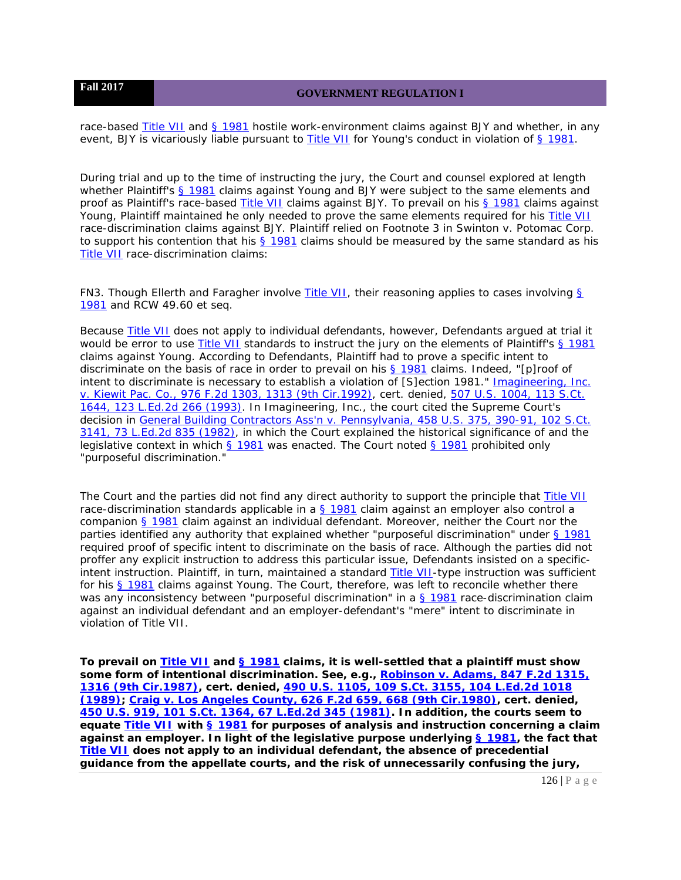race-based [Title VII](http://web2.westlaw.com/find/default.wl?rp=%2ffind%2fdefault.wl&vc=0&DB=1000546&DocName=7USCAS1981&FindType=L&AP=&fn=_top&rs=WLW7.01&mt=LawSchoolPractitioner&vr=2.0&sv=Split) and [§ 1981](http://web2.westlaw.com/find/default.wl?rp=%2ffind%2fdefault.wl&vc=0&DB=1000546&DocName=42USCAS1981&FindType=L&AP=&fn=_top&rs=WLW7.01&mt=LawSchoolPractitioner&vr=2.0&sv=Split) hostile work-environment claims against BJY and whether, in any event, BJY is vicariously liable pursuant to **Title VII** for Young's conduct in violation of [§ 1981.](http://web2.westlaw.com/find/default.wl?rp=%2ffind%2fdefault.wl&vc=0&DB=1000546&DocName=42USCAS1981&FindType=L&AP=&fn=_top&rs=WLW7.01&mt=LawSchoolPractitioner&vr=2.0&sv=Split)

During trial and up to the time of instructing the jury, the Court and counsel explored at length whether Plaintiff's [§ 1981](http://web2.westlaw.com/find/default.wl?rp=%2ffind%2fdefault.wl&vc=0&DB=1000546&DocName=42USCAS1981&FindType=L&AP=&fn=_top&rs=WLW7.01&mt=LawSchoolPractitioner&vr=2.0&sv=Split) claims against Young and BJY were subject to the same elements and proof as Plaintiff's race-based [Title VII](http://web2.westlaw.com/find/default.wl?rp=%2ffind%2fdefault.wl&vc=0&DB=1000546&DocName=7USCAS1981&FindType=L&AP=&fn=_top&rs=WLW7.01&mt=LawSchoolPractitioner&vr=2.0&sv=Split) claims against BJY. To prevail on his [§ 1981](http://web2.westlaw.com/find/default.wl?rp=%2ffind%2fdefault.wl&vc=0&DB=1000546&DocName=42USCAS1981&FindType=L&AP=&fn=_top&rs=WLW7.01&mt=LawSchoolPractitioner&vr=2.0&sv=Split) claims against Young, Plaintiff maintained he only needed to prove the same elements required for his [Title VII](http://web2.westlaw.com/find/default.wl?rp=%2ffind%2fdefault.wl&vc=0&DB=1000546&DocName=7USCAS1981&FindType=L&AP=&fn=_top&rs=WLW7.01&mt=LawSchoolPractitioner&vr=2.0&sv=Split) race-discrimination claims against BJY. Plaintiff relied on Footnote 3 in *Swinton v. Potomac Corp.* to support his contention that his [§ 1981](http://web2.westlaw.com/find/default.wl?rp=%2ffind%2fdefault.wl&vc=0&DB=1000546&DocName=42USCAS1981&FindType=L&AP=&fn=_top&rs=WLW7.01&mt=LawSchoolPractitioner&vr=2.0&sv=Split) claims should be measured by the same standard as his [Title VII](http://web2.westlaw.com/find/default.wl?rp=%2ffind%2fdefault.wl&vc=0&DB=1000546&DocName=7USCAS1981&FindType=L&AP=&fn=_top&rs=WLW7.01&mt=LawSchoolPractitioner&vr=2.0&sv=Split) race-discrimination claims:

FN3. Though *Ellerth* and *Faragher* involve **Title VII**, their reasoning applies to cases involving § [1981](http://web2.westlaw.com/find/default.wl?rp=%2ffind%2fdefault.wl&vc=0&DB=1000546&DocName=42USCAS1981&FindType=L&AP=&fn=_top&rs=WLW7.01&mt=LawSchoolPractitioner&vr=2.0&sv=Split) and RCW 49.60 et seq.

Because [Title VII](http://web2.westlaw.com/find/default.wl?rp=%2ffind%2fdefault.wl&vc=0&DB=1000546&DocName=7USCAS1981&FindType=L&AP=&fn=_top&rs=WLW7.01&mt=LawSchoolPractitioner&vr=2.0&sv=Split) does not apply to individual defendants, however, Defendants argued at trial it would be error to use [Title VII](http://web2.westlaw.com/find/default.wl?rp=%2ffind%2fdefault.wl&vc=0&DB=1000546&DocName=7USCAS1981&FindType=L&AP=&fn=_top&rs=WLW7.01&mt=LawSchoolPractitioner&vr=2.0&sv=Split) standards to instruct the jury on the elements of Plaintiff's [§ 1981](http://web2.westlaw.com/find/default.wl?rp=%2ffind%2fdefault.wl&vc=0&DB=1000546&DocName=42USCAS1981&FindType=L&AP=&fn=_top&rs=WLW7.01&mt=LawSchoolPractitioner&vr=2.0&sv=Split) claims against Young. According to Defendants, Plaintiff had to prove a specific intent to discriminate on the basis of race in order to prevail on his [§ 1981](http://web2.westlaw.com/find/default.wl?rp=%2ffind%2fdefault.wl&vc=0&DB=1000546&DocName=42USCAS1981&FindType=L&AP=&fn=_top&rs=WLW7.01&mt=LawSchoolPractitioner&vr=2.0&sv=Split) claims. Indeed, "[p]roof of intent to discriminate is necessary to establish a violation of [S]ection 1981." *[Imagineering, Inc.](http://web2.westlaw.com/find/default.wl?rp=%2ffind%2fdefault.wl&vc=0&DB=350&SerialNum=1992172922&FindType=Y&ReferencePositionType=S&ReferencePosition=1313&AP=&fn=_top&rs=WLW7.01&mt=LawSchoolPractitioner&vr=2.0&sv=Split)  v. Kiewit Pac. Co.,* [976 F.2d 1303, 1313 \(9th Cir.1992\),](http://web2.westlaw.com/find/default.wl?rp=%2ffind%2fdefault.wl&vc=0&DB=350&SerialNum=1992172922&FindType=Y&ReferencePositionType=S&ReferencePosition=1313&AP=&fn=_top&rs=WLW7.01&mt=LawSchoolPractitioner&vr=2.0&sv=Split) *cert. denied,* [507 U.S. 1004, 113 S.Ct.](http://web2.westlaw.com/find/default.wl?rp=%2ffind%2fdefault.wl&vc=0&DB=708&SerialNum=1993036104&FindType=Y&AP=&fn=_top&rs=WLW7.01&mt=LawSchoolPractitioner&vr=2.0&sv=Split)  [1644, 123 L.Ed.2d 266 \(1993\).](http://web2.westlaw.com/find/default.wl?rp=%2ffind%2fdefault.wl&vc=0&DB=708&SerialNum=1993036104&FindType=Y&AP=&fn=_top&rs=WLW7.01&mt=LawSchoolPractitioner&vr=2.0&sv=Split) In *Imagineering, Inc.,* the court cited the Supreme Court's decision in *[General Building Contractors Ass'n v. Pennsylvania,](http://web2.westlaw.com/find/default.wl?rp=%2ffind%2fdefault.wl&vc=0&DB=708&SerialNum=1982129179&FindType=Y&AP=&fn=_top&rs=WLW7.01&mt=LawSchoolPractitioner&vr=2.0&sv=Split)* 458 U.S. 375, 390-91, 102 S.Ct. 3141, [73 L.Ed.2d 835 \(1982\),](http://web2.westlaw.com/find/default.wl?rp=%2ffind%2fdefault.wl&vc=0&DB=708&SerialNum=1982129179&FindType=Y&AP=&fn=_top&rs=WLW7.01&mt=LawSchoolPractitioner&vr=2.0&sv=Split) in which the Court explained the historical significance of and the legislative context in which  $\frac{6}{9}$  1981 was enacted. The Court noted  $\frac{6}{9}$  1981 prohibited only "purposeful discrimination."

The Court and the parties did not find any direct authority to support the principle that [Title VII](http://web2.westlaw.com/find/default.wl?rp=%2ffind%2fdefault.wl&vc=0&DB=1000546&DocName=7USCAS1981&FindType=L&AP=&fn=_top&rs=WLW7.01&mt=LawSchoolPractitioner&vr=2.0&sv=Split) race-discrimination standards applicable in a [§ 1981](http://web2.westlaw.com/find/default.wl?rp=%2ffind%2fdefault.wl&vc=0&DB=1000546&DocName=42USCAS1981&FindType=L&AP=&fn=_top&rs=WLW7.01&mt=LawSchoolPractitioner&vr=2.0&sv=Split) claim against an employer also control a companion [§ 1981](http://web2.westlaw.com/find/default.wl?rp=%2ffind%2fdefault.wl&vc=0&DB=1000546&DocName=42USCAS1981&FindType=L&AP=&fn=_top&rs=WLW7.01&mt=LawSchoolPractitioner&vr=2.0&sv=Split) claim against an individual defendant. Moreover, neither the Court nor the parties identified any authority that explained whether "purposeful discrimination" under § [1981](http://web2.westlaw.com/find/default.wl?rp=%2ffind%2fdefault.wl&vc=0&DB=1000546&DocName=42USCAS1981&FindType=L&AP=&fn=_top&rs=WLW7.01&mt=LawSchoolPractitioner&vr=2.0&sv=Split) required proof of specific intent to discriminate on the basis of race. Although the parties did not proffer any explicit instruction to address this particular issue, Defendants insisted on a specific-intent instruction. Plaintiff, in turn, maintained a standard [Title VII-](http://web2.westlaw.com/find/default.wl?rp=%2ffind%2fdefault.wl&vc=0&DB=1000546&DocName=7USCAS1981&FindType=L&AP=&fn=_top&rs=WLW7.01&mt=LawSchoolPractitioner&vr=2.0&sv=Split)type instruction was sufficient for his [§ 1981](http://web2.westlaw.com/find/default.wl?rp=%2ffind%2fdefault.wl&vc=0&DB=1000546&DocName=42USCAS1981&FindType=L&AP=&fn=_top&rs=WLW7.01&mt=LawSchoolPractitioner&vr=2.0&sv=Split) claims against Young. The Court, therefore, was left to reconcile whether there was any inconsistency between "purposeful discrimination" in a [§ 1981](http://web2.westlaw.com/find/default.wl?rp=%2ffind%2fdefault.wl&vc=0&DB=1000546&DocName=42USCAS1981&FindType=L&AP=&fn=_top&rs=WLW7.01&mt=LawSchoolPractitioner&vr=2.0&sv=Split) race-discrimination claim against an individual defendant and an employer-defendant's "mere" intent to discriminate in violation of Title VII.

**To prevail on [Title VII](http://web2.westlaw.com/find/default.wl?rp=%2ffind%2fdefault.wl&vc=0&DB=1000546&DocName=7USCAS1981&FindType=L&AP=&fn=_top&rs=WLW7.01&mt=LawSchoolPractitioner&vr=2.0&sv=Split) and [§ 1981](http://web2.westlaw.com/find/default.wl?rp=%2ffind%2fdefault.wl&vc=0&DB=1000546&DocName=42USCAS1981&FindType=L&AP=&fn=_top&rs=WLW7.01&mt=LawSchoolPractitioner&vr=2.0&sv=Split) claims, it is well-settled that a plaintiff must show some form of intentional discrimination.** *See, e.g., [Robinson v. Adams,](http://web2.westlaw.com/find/default.wl?rp=%2ffind%2fdefault.wl&vc=0&DB=350&SerialNum=1988070972&FindType=Y&ReferencePositionType=S&ReferencePosition=1316&AP=&fn=_top&rs=WLW7.01&mt=LawSchoolPractitioner&vr=2.0&sv=Split)* **847 F.2d 1315, 1316 [\(9th Cir.1987\),](http://web2.westlaw.com/find/default.wl?rp=%2ffind%2fdefault.wl&vc=0&DB=350&SerialNum=1988070972&FindType=Y&ReferencePositionType=S&ReferencePosition=1316&AP=&fn=_top&rs=WLW7.01&mt=LawSchoolPractitioner&vr=2.0&sv=Split)** *cert. denied,* **[490 U.S. 1105, 109 S.Ct. 3155, 104 L.Ed.2d 1018](http://web2.westlaw.com/find/default.wl?rp=%2ffind%2fdefault.wl&vc=0&DB=708&SerialNum=1989091829&FindType=Y&AP=&fn=_top&rs=WLW7.01&mt=LawSchoolPractitioner&vr=2.0&sv=Split)  [\(1989\);](http://web2.westlaw.com/find/default.wl?rp=%2ffind%2fdefault.wl&vc=0&DB=708&SerialNum=1989091829&FindType=Y&AP=&fn=_top&rs=WLW7.01&mt=LawSchoolPractitioner&vr=2.0&sv=Split)** *Craig v. Los Angeles County***[, 626 F.2d 659, 668 \(9th Cir.1980\),](http://web2.westlaw.com/find/default.wl?rp=%2ffind%2fdefault.wl&vc=0&DB=350&SerialNum=1980132423&FindType=Y&ReferencePositionType=S&ReferencePosition=668&AP=&fn=_top&rs=WLW7.01&mt=LawSchoolPractitioner&vr=2.0&sv=Split)** *cert. denied,* **[450 U.S. 919, 101 S.Ct. 1364, 67 L.Ed.2d 345 \(1981\).](http://web2.westlaw.com/find/default.wl?rp=%2ffind%2fdefault.wl&vc=0&DB=708&SerialNum=1981212252&FindType=Y&AP=&fn=_top&rs=WLW7.01&mt=LawSchoolPractitioner&vr=2.0&sv=Split) In addition, the courts seem to equate [Title VII](http://web2.westlaw.com/find/default.wl?rp=%2ffind%2fdefault.wl&vc=0&DB=1000546&DocName=7USCAS1981&FindType=L&AP=&fn=_top&rs=WLW7.01&mt=LawSchoolPractitioner&vr=2.0&sv=Split) with [§ 1981](http://web2.westlaw.com/find/default.wl?rp=%2ffind%2fdefault.wl&vc=0&DB=1000546&DocName=42USCAS1981&FindType=L&AP=&fn=_top&rs=WLW7.01&mt=LawSchoolPractitioner&vr=2.0&sv=Split) for purposes of analysis and instruction concerning a claim against an employer. In light of the legislative purpose underlying [§ 1981,](http://web2.westlaw.com/find/default.wl?rp=%2ffind%2fdefault.wl&vc=0&DB=1000546&DocName=42USCAS1981&FindType=L&AP=&fn=_top&rs=WLW7.01&mt=LawSchoolPractitioner&vr=2.0&sv=Split) the fact that [Title VII](http://web2.westlaw.com/find/default.wl?rp=%2ffind%2fdefault.wl&vc=0&DB=1000546&DocName=7USCAS1981&FindType=L&AP=&fn=_top&rs=WLW7.01&mt=LawSchoolPractitioner&vr=2.0&sv=Split) does not apply to an individual defendant, the absence of precedential guidance from the appellate courts, and the risk of unnecessarily confusing the jury,**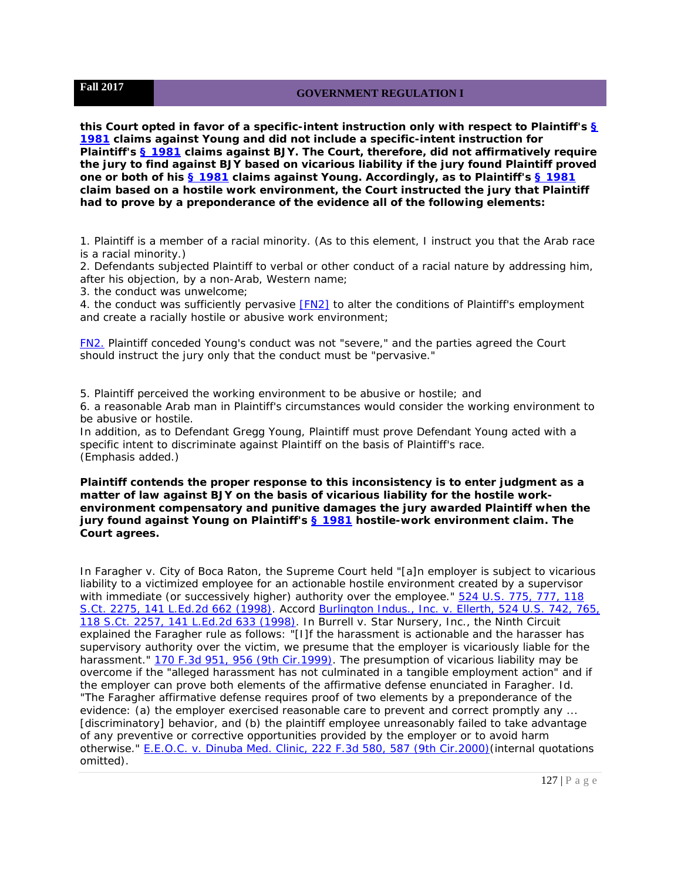**this Court opted in favor of a specific-intent instruction only with respect to Plaintiff's [§](http://web2.westlaw.com/find/default.wl?rp=%2ffind%2fdefault.wl&vc=0&DB=1000546&DocName=42USCAS1981&FindType=L&AP=&fn=_top&rs=WLW7.01&mt=LawSchoolPractitioner&vr=2.0&sv=Split)  [1981](http://web2.westlaw.com/find/default.wl?rp=%2ffind%2fdefault.wl&vc=0&DB=1000546&DocName=42USCAS1981&FindType=L&AP=&fn=_top&rs=WLW7.01&mt=LawSchoolPractitioner&vr=2.0&sv=Split) claims against Young and did not include a specific-intent instruction for Plaintiff's [§ 1981](http://web2.westlaw.com/find/default.wl?rp=%2ffind%2fdefault.wl&vc=0&DB=1000546&DocName=42USCAS1981&FindType=L&AP=&fn=_top&rs=WLW7.01&mt=LawSchoolPractitioner&vr=2.0&sv=Split) claims against BJY. The Court, therefore, did not affirmatively require the jury to find against BJY based on vicarious liability if the jury found Plaintiff proved one or both of his [§ 1981](http://web2.westlaw.com/find/default.wl?rp=%2ffind%2fdefault.wl&vc=0&DB=1000546&DocName=42USCAS1981&FindType=L&AP=&fn=_top&rs=WLW7.01&mt=LawSchoolPractitioner&vr=2.0&sv=Split) claims against Young. Accordingly, as to Plaintiff's [§ 1981](http://web2.westlaw.com/find/default.wl?rp=%2ffind%2fdefault.wl&vc=0&DB=1000546&DocName=42USCAS1981&FindType=L&AP=&fn=_top&rs=WLW7.01&mt=LawSchoolPractitioner&vr=2.0&sv=Split) claim based on a hostile work environment, the Court instructed the jury that Plaintiff had to prove by a preponderance of the evidence all of the following elements:** 

1. Plaintiff is a member of a racial minority. (As to this element, I instruct you that the Arab race is a racial minority.)

2. Defendants subjected Plaintiff to verbal or other conduct of a racial nature by addressing him, after his objection, by a non-Arab, Western name;

3. the conduct was unwelcome;

4. the conduct was sufficiently pervasive [\[FN2\]](http://web2.westlaw.com/result/documenttext.aspx?sv=Split&service=Find&fcl=False&findtype=0&casecite=126+S.Ct.+1470&cnt=DOC&cxt=DC&rlt=CLID_FQRLT3022812&rs=WLW7.01&ss=CNT&docname=262F.Supp.2d1139&fn=_top&n=1&mt=LawSchoolPractitioner&vr=2.0&rp=%2fFind%2fdefault.wl&caseserial=2008108931&serialnum=2003349506&docsample=False#FN;F0022#FN;F0022) to alter the conditions of Plaintiff's employment and create a racially hostile or abusive work environment;

[FN2.](http://web2.westlaw.com/result/documenttext.aspx?sv=Split&service=Find&fcl=False&findtype=0&casecite=126+S.Ct.+1470&cnt=DOC&cxt=DC&rlt=CLID_FQRLT3022812&rs=WLW7.01&ss=CNT&docname=262F.Supp.2d1139&fn=_top&n=1&mt=LawSchoolPractitioner&vr=2.0&rp=%2fFind%2fdefault.wl&caseserial=2008108931&serialnum=2003349506&docsample=False#FN;B0022#FN;B0022) Plaintiff conceded Young's conduct was not "severe," and the parties agreed the Court should instruct the jury only that the conduct must be "pervasive."

5. Plaintiff perceived the working environment to be abusive or hostile; and

6. a reasonable Arab man in Plaintiff's circumstances would consider the working environment to be abusive or hostile.

*In addition, as to Defendant Gregg Young, Plaintiff must prove Defendant Young acted with a specific intent to discriminate against Plaintiff on the basis of Plaintiff's race.* (Emphasis added.)

**Plaintiff contends the proper response to this inconsistency is to enter judgment as a matter of law against BJY on the basis of vicarious liability for the hostile workenvironment compensatory and punitive damages the jury awarded Plaintiff when the jury found against Young on Plaintiff's [§ 1981](http://web2.westlaw.com/find/default.wl?rp=%2ffind%2fdefault.wl&vc=0&DB=1000546&DocName=42USCAS1981&FindType=L&AP=&fn=_top&rs=WLW7.01&mt=LawSchoolPractitioner&vr=2.0&sv=Split) hostile-work environment claim. The Court agrees.**

In *Faragher v. City of Boca Raton,* the Supreme Court held "[a]n employer is subject to vicarious liability to a victimized employee for an actionable hostile environment created by a supervisor with immediate (or successively higher) authority over the employee." 524 U.S. 775, 777, 118 [S.Ct. 2275, 141 L.Ed.2d 662 \(1998\).](http://web2.westlaw.com/find/default.wl?rp=%2ffind%2fdefault.wl&vc=0&DB=708&SerialNum=1998132969&FindType=Y&AP=&fn=_top&rs=WLW7.01&mt=LawSchoolPractitioner&vr=2.0&sv=Split) *Accord [Burlington Indus., Inc. v. Ellerth,](http://web2.westlaw.com/find/default.wl?rp=%2ffind%2fdefault.wl&vc=0&DB=708&SerialNum=1998132973&FindType=Y&AP=&fn=_top&rs=WLW7.01&mt=LawSchoolPractitioner&vr=2.0&sv=Split)* 524 U.S. 742, 765, [118 S.Ct. 2257, 141 L.Ed.2d 633 \(1998\).](http://web2.westlaw.com/find/default.wl?rp=%2ffind%2fdefault.wl&vc=0&DB=708&SerialNum=1998132973&FindType=Y&AP=&fn=_top&rs=WLW7.01&mt=LawSchoolPractitioner&vr=2.0&sv=Split) In *Burrell v. Star Nursery, Inc.,* the Ninth Circuit explained the *Faragher* rule as follows: "[I]f the harassment is actionable and the harasser has supervisory authority over the victim, we presume that the employer is vicariously liable for the harassment." [170 F.3d 951, 956 \(9th Cir.1999\).](http://web2.westlaw.com/find/default.wl?rp=%2ffind%2fdefault.wl&vc=0&DB=506&SerialNum=1999086726&FindType=Y&ReferencePositionType=S&ReferencePosition=956&AP=&fn=_top&rs=WLW7.01&mt=LawSchoolPractitioner&vr=2.0&sv=Split) The presumption of vicarious liability may be overcome if the "alleged harassment has not culminated in a tangible employment action" and if the employer can prove both elements of the affirmative defense enunciated in *Faragher. Id.* "The *Faragher* affirmative defense requires proof of two elements by a preponderance of the evidence: (a) the employer exercised reasonable care to prevent and correct promptly any ... [discriminatory] behavior, and (b) the plaintiff employee unreasonably failed to take advantage of any preventive or corrective opportunities provided by the employer or to avoid harm otherwise." *E.E.O.C. v. Dinuba Med. Clinic,* [222 F.3d 580, 587 \(9th Cir.2000\)\(](http://web2.westlaw.com/find/default.wl?rp=%2ffind%2fdefault.wl&vc=0&DB=506&SerialNum=2000487481&FindType=Y&ReferencePositionType=S&ReferencePosition=587&AP=&fn=_top&rs=WLW7.01&mt=LawSchoolPractitioner&vr=2.0&sv=Split)internal quotations omitted).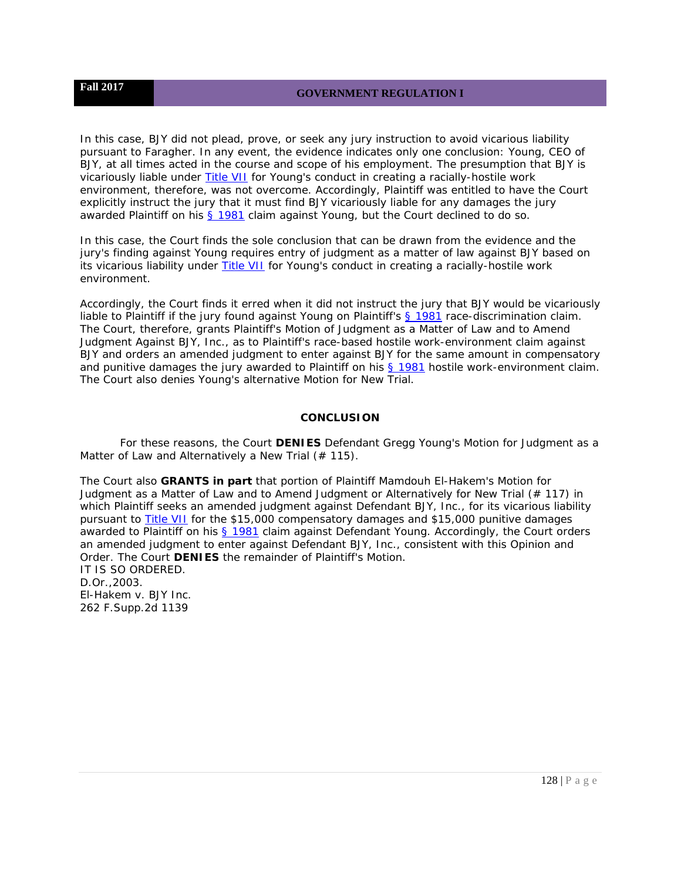In this case, BJY did not plead, prove, or seek any jury instruction to avoid vicarious liability pursuant to *Faragher.* In any event, the evidence indicates only one conclusion: Young, CEO of BJY, at all times acted in the course and scope of his employment. The presumption that BJY is vicariously liable under **Title VII** for Young's conduct in creating a racially-hostile work environment, therefore, was not overcome. Accordingly, Plaintiff was entitled to have the Court explicitly instruct the jury that it must find BJY vicariously liable for any damages the jury awarded Plaintiff on his  $\S$  1981 claim against Young, but the Court declined to do so.

In this case, the Court finds the sole conclusion that can be drawn from the evidence and the jury's finding against Young requires entry of judgment as a matter of law against BJY based on its vicarious liability under [Title VII](http://web2.westlaw.com/find/default.wl?rp=%2ffind%2fdefault.wl&vc=0&DB=1000546&DocName=7USCAS1981&FindType=L&AP=&fn=_top&rs=WLW7.01&mt=LawSchoolPractitioner&vr=2.0&sv=Split) for Young's conduct in creating a racially-hostile work environment.

Accordingly, the Court finds it erred when it did not instruct the jury that BJY would be vicariously liable to Plaintiff if the jury found against Young on Plaintiff's [§ 1981](http://web2.westlaw.com/find/default.wl?rp=%2ffind%2fdefault.wl&vc=0&DB=1000546&DocName=42USCAS1981&FindType=L&AP=&fn=_top&rs=WLW7.01&mt=LawSchoolPractitioner&vr=2.0&sv=Split) race-discrimination claim. The Court, therefore, grants Plaintiff's Motion of Judgment as a Matter of Law and to Amend Judgment Against BJY, Inc., as to Plaintiff's race-based hostile work-environment claim against BJY and orders an amended judgment to enter against BJY for the same amount in compensatory and punitive damages the jury awarded to Plaintiff on his [§ 1981](http://web2.westlaw.com/find/default.wl?rp=%2ffind%2fdefault.wl&vc=0&DB=1000546&DocName=42USCAS1981&FindType=L&AP=&fn=_top&rs=WLW7.01&mt=LawSchoolPractitioner&vr=2.0&sv=Split) hostile work-environment claim. The Court also denies Young's alternative Motion for New Trial.

### *CONCLUSION*

For these reasons, the Court **DENIES** Defendant Gregg Young's Motion for Judgment as a Matter of Law and Alternatively a New Trial (# 115).

The Court also **GRANTS in part** that portion of Plaintiff Mamdouh El-Hakem's Motion for Judgment as a Matter of Law and to Amend Judgment or Alternatively for New Trial (# 117) in which Plaintiff seeks an amended judgment against Defendant BJY, Inc., for its vicarious liability pursuant to [Title VII](http://web2.westlaw.com/find/default.wl?rp=%2ffind%2fdefault.wl&vc=0&DB=1000546&DocName=7USCAS1981&FindType=L&AP=&fn=_top&rs=WLW7.01&mt=LawSchoolPractitioner&vr=2.0&sv=Split) for the \$15,000 compensatory damages and \$15,000 punitive damages awarded to Plaintiff on his [§ 1981](http://web2.westlaw.com/find/default.wl?rp=%2ffind%2fdefault.wl&vc=0&DB=1000546&DocName=42USCAS1981&FindType=L&AP=&fn=_top&rs=WLW7.01&mt=LawSchoolPractitioner&vr=2.0&sv=Split) claim against Defendant Young. Accordingly, the Court orders an amended judgment to enter against Defendant BJY, Inc., consistent with this Opinion and Order. The Court **DENIES** the remainder of Plaintiff's Motion. IT IS SO ORDERED.

D.Or.,2003. El-Hakem v. BJY Inc. 262 F.Supp.2d 1139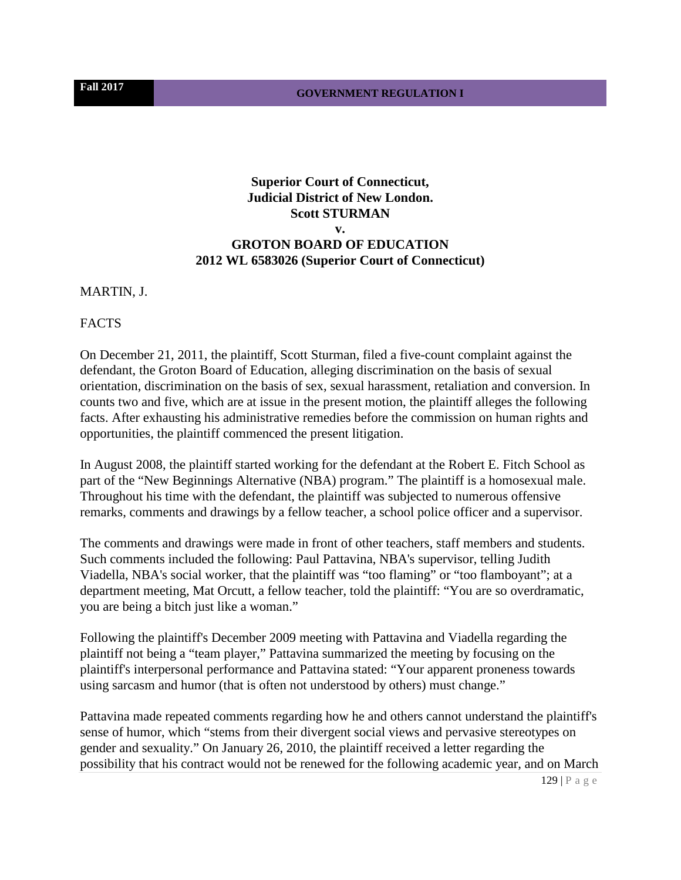### **Superior Court of Connecticut, Judicial District of New London. Scott STURMAN v. GROTON BOARD OF EDUCATION 2012 WL 6583026 (Superior Court of Connecticut)**

MARTIN, J.

FACTS

On December 21, 2011, the plaintiff, Scott Sturman, filed a five-count complaint against the defendant, the Groton Board of Education, alleging discrimination on the basis of sexual orientation, discrimination on the basis of sex, sexual harassment, retaliation and conversion. In counts two and five, which are at issue in the present motion, the plaintiff alleges the following facts. After exhausting his administrative remedies before the commission on human rights and opportunities, the plaintiff commenced the present litigation.

In August 2008, the plaintiff started working for the defendant at the Robert E. Fitch School as part of the "New Beginnings Alternative (NBA) program." The plaintiff is a homosexual male. Throughout his time with the defendant, the plaintiff was subjected to numerous offensive remarks, comments and drawings by a fellow teacher, a school police officer and a supervisor.

The comments and drawings were made in front of other teachers, staff members and students. Such comments included the following: Paul Pattavina, NBA's supervisor, telling Judith Viadella, NBA's social worker, that the plaintiff was "too flaming" or "too flamboyant"; at a department meeting, Mat Orcutt, a fellow teacher, told the plaintiff: "You are so overdramatic, you are being a bitch just like a woman."

Following the plaintiff's December 2009 meeting with Pattavina and Viadella regarding the plaintiff not being a "team player," Pattavina summarized the meeting by focusing on the plaintiff's interpersonal performance and Pattavina stated: "Your apparent proneness towards using sarcasm and humor (that is often not understood by others) must change."

Pattavina made repeated comments regarding how he and others cannot understand the plaintiff's sense of humor, which "stems from their divergent social views and pervasive stereotypes on gender and sexuality." On January 26, 2010, the plaintiff received a letter regarding the possibility that his contract would not be renewed for the following academic year, and on March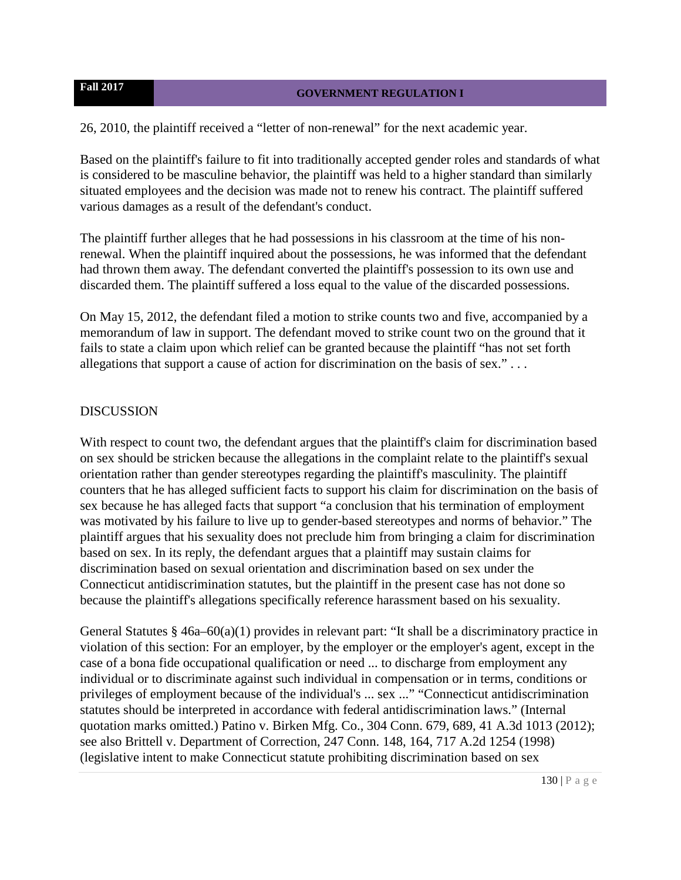26, 2010, the plaintiff received a "letter of non-renewal" for the next academic year.

Based on the plaintiff's failure to fit into traditionally accepted gender roles and standards of what is considered to be masculine behavior, the plaintiff was held to a higher standard than similarly situated employees and the decision was made not to renew his contract. The plaintiff suffered various damages as a result of the defendant's conduct.

The plaintiff further alleges that he had possessions in his classroom at the time of his nonrenewal. When the plaintiff inquired about the possessions, he was informed that the defendant had thrown them away. The defendant converted the plaintiff's possession to its own use and discarded them. The plaintiff suffered a loss equal to the value of the discarded possessions.

On May 15, 2012, the defendant filed a motion to strike counts two and five, accompanied by a memorandum of law in support. The defendant moved to strike count two on the ground that it fails to state a claim upon which relief can be granted because the plaintiff "has not set forth allegations that support a cause of action for discrimination on the basis of sex." . . .

### DISCUSSION

With respect to count two, the defendant argues that the plaintiff's claim for discrimination based on sex should be stricken because the allegations in the complaint relate to the plaintiff's sexual orientation rather than gender stereotypes regarding the plaintiff's masculinity. The plaintiff counters that he has alleged sufficient facts to support his claim for discrimination on the basis of sex because he has alleged facts that support "a conclusion that his termination of employment was motivated by his failure to live up to gender-based stereotypes and norms of behavior." The plaintiff argues that his sexuality does not preclude him from bringing a claim for discrimination based on sex. In its reply, the defendant argues that a plaintiff may sustain claims for discrimination based on sexual orientation and discrimination based on sex under the Connecticut antidiscrimination statutes, but the plaintiff in the present case has not done so because the plaintiff's allegations specifically reference harassment based on his sexuality.

General Statutes  $\S$  46a–60(a)(1) provides in relevant part: "It shall be a discriminatory practice in violation of this section: For an employer, by the employer or the employer's agent, except in the case of a bona fide occupational qualification or need ... to discharge from employment any individual or to discriminate against such individual in compensation or in terms, conditions or privileges of employment because of the individual's ... sex ..." "Connecticut antidiscrimination statutes should be interpreted in accordance with federal antidiscrimination laws." (Internal quotation marks omitted.) Patino v. Birken Mfg. Co., 304 Conn. 679, 689, 41 A.3d 1013 (2012); see also Brittell v. Department of Correction, 247 Conn. 148, 164, 717 A.2d 1254 (1998) (legislative intent to make Connecticut statute prohibiting discrimination based on sex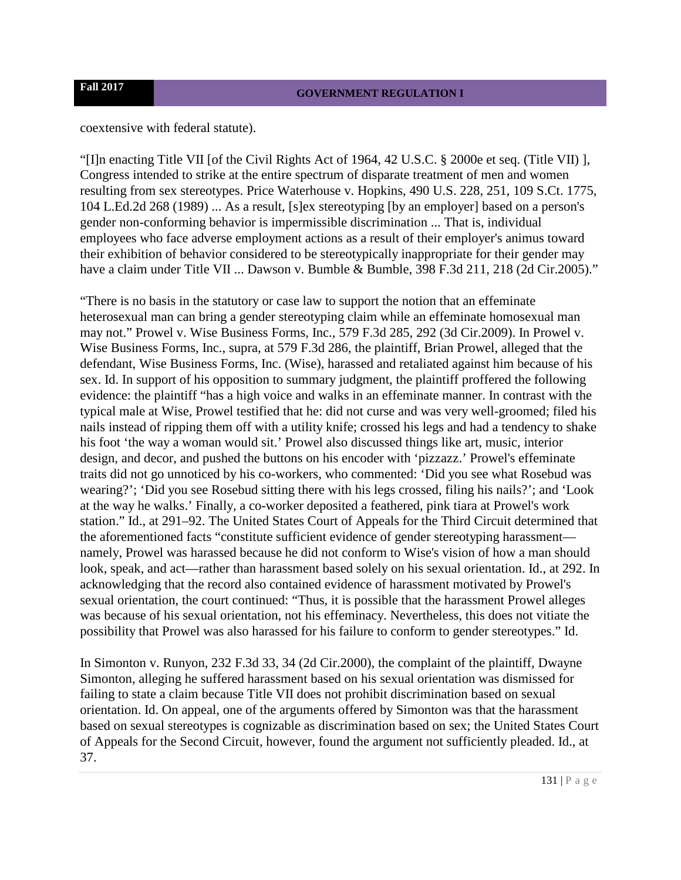coextensive with federal statute).

"[I]n enacting Title VII [of the Civil Rights Act of 1964, 42 U.S.C. § 2000e et seq. (Title VII) ], Congress intended to strike at the entire spectrum of disparate treatment of men and women resulting from sex stereotypes. Price Waterhouse v. Hopkins, 490 U.S. 228, 251, 109 S.Ct. 1775, 104 L.Ed.2d 268 (1989) ... As a result, [s]ex stereotyping [by an employer] based on a person's gender non-conforming behavior is impermissible discrimination ... That is, individual employees who face adverse employment actions as a result of their employer's animus toward their exhibition of behavior considered to be stereotypically inappropriate for their gender may have a claim under Title VII ... Dawson v. Bumble & Bumble, 398 F.3d 211, 218 (2d Cir.2005)."

"There is no basis in the statutory or case law to support the notion that an effeminate heterosexual man can bring a gender stereotyping claim while an effeminate homosexual man may not." Prowel v. Wise Business Forms, Inc., 579 F.3d 285, 292 (3d Cir.2009). In Prowel v. Wise Business Forms, Inc., supra, at 579 F.3d 286, the plaintiff, Brian Prowel, alleged that the defendant, Wise Business Forms, Inc. (Wise), harassed and retaliated against him because of his sex. Id. In support of his opposition to summary judgment, the plaintiff proffered the following evidence: the plaintiff "has a high voice and walks in an effeminate manner. In contrast with the typical male at Wise, Prowel testified that he: did not curse and was very well-groomed; filed his nails instead of ripping them off with a utility knife; crossed his legs and had a tendency to shake his foot 'the way a woman would sit.' Prowel also discussed things like art, music, interior design, and decor, and pushed the buttons on his encoder with 'pizzazz.' Prowel's effeminate traits did not go unnoticed by his co-workers, who commented: 'Did you see what Rosebud was wearing?'; 'Did you see Rosebud sitting there with his legs crossed, filing his nails?'; and 'Look at the way he walks.' Finally, a co-worker deposited a feathered, pink tiara at Prowel's work station." Id., at 291–92. The United States Court of Appeals for the Third Circuit determined that the aforementioned facts "constitute sufficient evidence of gender stereotyping harassment namely, Prowel was harassed because he did not conform to Wise's vision of how a man should look, speak, and act—rather than harassment based solely on his sexual orientation. Id., at 292. In acknowledging that the record also contained evidence of harassment motivated by Prowel's sexual orientation, the court continued: "Thus, it is possible that the harassment Prowel alleges was because of his sexual orientation, not his effeminacy. Nevertheless, this does not vitiate the possibility that Prowel was also harassed for his failure to conform to gender stereotypes." Id.

In Simonton v. Runyon, 232 F.3d 33, 34 (2d Cir.2000), the complaint of the plaintiff, Dwayne Simonton, alleging he suffered harassment based on his sexual orientation was dismissed for failing to state a claim because Title VII does not prohibit discrimination based on sexual orientation. Id. On appeal, one of the arguments offered by Simonton was that the harassment based on sexual stereotypes is cognizable as discrimination based on sex; the United States Court of Appeals for the Second Circuit, however, found the argument not sufficiently pleaded. Id., at 37.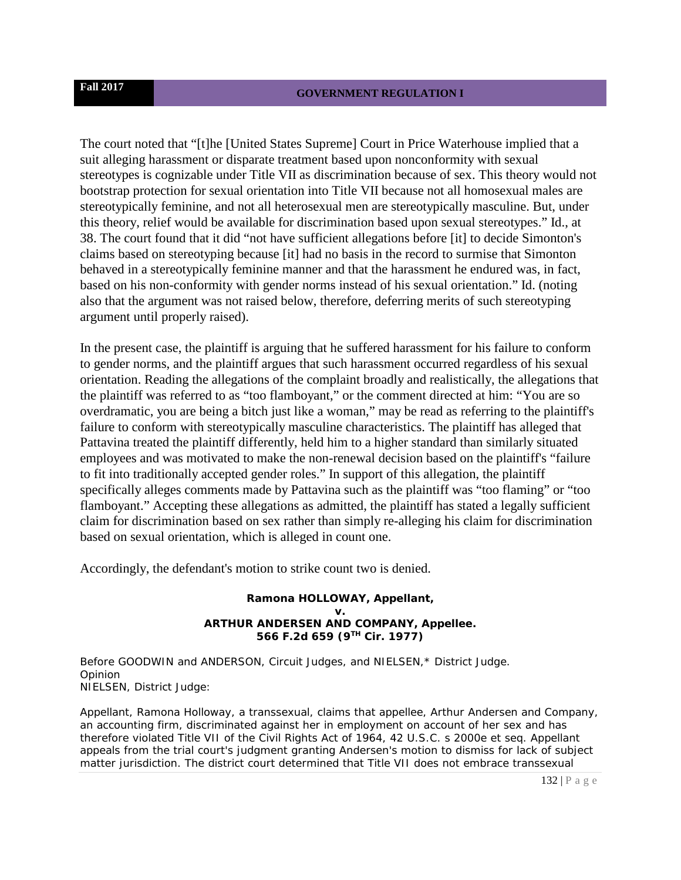The court noted that "[t]he [United States Supreme] Court in Price Waterhouse implied that a suit alleging harassment or disparate treatment based upon nonconformity with sexual stereotypes is cognizable under Title VII as discrimination because of sex. This theory would not bootstrap protection for sexual orientation into Title VII because not all homosexual males are stereotypically feminine, and not all heterosexual men are stereotypically masculine. But, under this theory, relief would be available for discrimination based upon sexual stereotypes." Id., at 38. The court found that it did "not have sufficient allegations before [it] to decide Simonton's claims based on stereotyping because [it] had no basis in the record to surmise that Simonton behaved in a stereotypically feminine manner and that the harassment he endured was, in fact, based on his non-conformity with gender norms instead of his sexual orientation." Id. (noting also that the argument was not raised below, therefore, deferring merits of such stereotyping argument until properly raised).

In the present case, the plaintiff is arguing that he suffered harassment for his failure to conform to gender norms, and the plaintiff argues that such harassment occurred regardless of his sexual orientation. Reading the allegations of the complaint broadly and realistically, the allegations that the plaintiff was referred to as "too flamboyant," or the comment directed at him: "You are so overdramatic, you are being a bitch just like a woman," may be read as referring to the plaintiff's failure to conform with stereotypically masculine characteristics. The plaintiff has alleged that Pattavina treated the plaintiff differently, held him to a higher standard than similarly situated employees and was motivated to make the non-renewal decision based on the plaintiff's "failure to fit into traditionally accepted gender roles." In support of this allegation, the plaintiff specifically alleges comments made by Pattavina such as the plaintiff was "too flaming" or "too flamboyant." Accepting these allegations as admitted, the plaintiff has stated a legally sufficient claim for discrimination based on sex rather than simply re-alleging his claim for discrimination based on sexual orientation, which is alleged in count one.

Accordingly, the defendant's motion to strike count two is denied.

### **Ramona HOLLOWAY, Appellant, v. ARTHUR ANDERSEN AND COMPANY, Appellee. 566 F.2d 659 (9TH Cir. 1977)**

Before GOODWIN and ANDERSON, Circuit Judges, and NIELSEN,\* District Judge. Opinion NIELSEN, District Judge:

Appellant, Ramona Holloway, a transsexual, claims that appellee, Arthur Andersen and Company, an accounting firm, discriminated against her in employment on account of her sex and has therefore violated Title VII of the Civil Rights Act of 1964, 42 U.S.C. s 2000e et seq. Appellant appeals from the trial court's judgment granting Andersen's motion to dismiss for lack of subject matter jurisdiction. The district court determined that Title VII does not embrace transsexual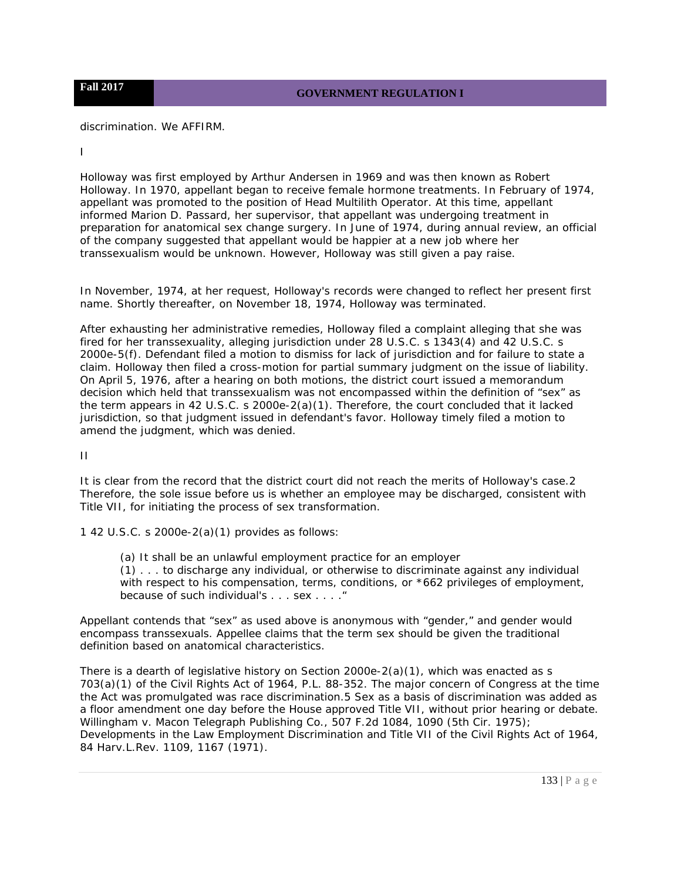discrimination. We AFFIRM.

I

Holloway was first employed by Arthur Andersen in 1969 and was then known as Robert Holloway. In 1970, appellant began to receive female hormone treatments. In February of 1974, appellant was promoted to the position of Head Multilith Operator. At this time, appellant informed Marion D. Passard, her supervisor, that appellant was undergoing treatment in preparation for anatomical sex change surgery. In June of 1974, during annual review, an official of the company suggested that appellant would be happier at a new job where her transsexualism would be unknown. However, Holloway was still given a pay raise.

In November, 1974, at her request, Holloway's records were changed to reflect her present first name. Shortly thereafter, on November 18, 1974, Holloway was terminated.

After exhausting her administrative remedies, Holloway filed a complaint alleging that she was fired for her transsexuality, alleging jurisdiction under 28 U.S.C. s 1343(4) and 42 U.S.C. s 2000e-5(f). Defendant filed a motion to dismiss for lack of jurisdiction and for failure to state a claim. Holloway then filed a cross-motion for partial summary judgment on the issue of liability. On April 5, 1976, after a hearing on both motions, the district court issued a memorandum decision which held that transsexualism was not encompassed within the definition of "sex" as the term appears in 42 U.S.C. s 2000e-2(a)(1). Therefore, the court concluded that it lacked jurisdiction, so that judgment issued in defendant's favor. Holloway timely filed a motion to amend the judgment, which was denied.

### II

It is clear from the record that the district court did not reach the merits of Holloway's case.2 Therefore, the sole issue before us is whether an employee may be discharged, consistent with Title VII, for initiating the process of sex transformation.

1 42 U.S.C. s 2000e-2(a)(1) provides as follows:

(a) It shall be an unlawful employment practice for an employer

(1) . . . to discharge any individual, or otherwise to discriminate against any individual with respect to his compensation, terms, conditions, or \*662 privileges of employment, because of such individual's . . . sex . . . . "

Appellant contends that "sex" as used above is anonymous with "gender," and gender would encompass transsexuals. Appellee claims that the term sex should be given the traditional definition based on anatomical characteristics.

There is a dearth of legislative history on Section 2000e-2(a)(1), which was enacted as s 703(a)(1) of the Civil Rights Act of 1964, P.L. 88-352. The major concern of Congress at the time the Act was promulgated was race discrimination.5 Sex as a basis of discrimination was added as a floor amendment one day before the House approved Title VII, without prior hearing or debate. Willingham v. Macon Telegraph Publishing Co., 507 F.2d 1084, 1090 (5th Cir. 1975); Developments in the Law Employment Discrimination and Title VII of the Civil Rights Act of 1964, 84 Harv.L.Rev. 1109, 1167 (1971).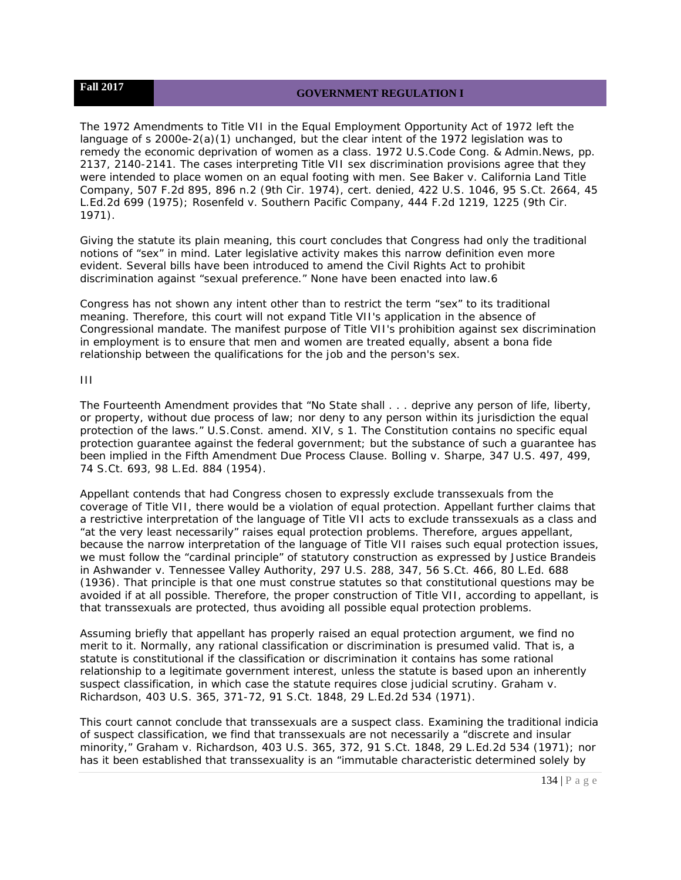The 1972 Amendments to Title VII in the Equal Employment Opportunity Act of 1972 left the language of s 2000e-2(a)(1) unchanged, but the clear intent of the 1972 legislation was to remedy the economic deprivation of women as a class. 1972 U.S.Code Cong. & Admin.News, pp. 2137, 2140-2141. The cases interpreting Title VII sex discrimination provisions agree that they were intended to place women on an equal footing with men. See Baker v. California Land Title Company, 507 F.2d 895, 896 n.2 (9th Cir. 1974), cert. denied, 422 U.S. 1046, 95 S.Ct. 2664, 45 L.Ed.2d 699 (1975); Rosenfeld v. Southern Pacific Company, 444 F.2d 1219, 1225 (9th Cir. 1971).

Giving the statute its plain meaning, this court concludes that Congress had only the traditional notions of "sex" in mind. Later legislative activity makes this narrow definition even more evident. Several bills have been introduced to amend the Civil Rights Act to prohibit discrimination against "sexual preference." None have been enacted into law.6

Congress has not shown any intent other than to restrict the term "sex" to its traditional meaning. Therefore, this court will not expand Title VII's application in the absence of Congressional mandate. The manifest purpose of Title VII's prohibition against sex discrimination in employment is to ensure that men and women are treated equally, absent a bona fide relationship between the qualifications for the job and the person's sex.

### III

The Fourteenth Amendment provides that "No State shall . . . deprive any person of life, liberty, or property, without due process of law; nor deny to any person within its jurisdiction the equal protection of the laws." U.S.Const. amend. XIV, s 1. The Constitution contains no specific equal protection guarantee against the federal government; but the substance of such a guarantee has been implied in the Fifth Amendment Due Process Clause. Bolling v. Sharpe, 347 U.S. 497, 499, 74 S.Ct. 693, 98 L.Ed. 884 (1954).

Appellant contends that had Congress chosen to expressly exclude transsexuals from the coverage of Title VII, there would be a violation of equal protection. Appellant further claims that a restrictive interpretation of the language of Title VII acts to exclude transsexuals as a class and "at the very least necessarily" raises equal protection problems. Therefore, argues appellant, because the narrow interpretation of the language of Title VII raises such equal protection issues, we must follow the "cardinal principle" of statutory construction as expressed by Justice Brandeis in Ashwander v. Tennessee Valley Authority, 297 U.S. 288, 347, 56 S.Ct. 466, 80 L.Ed. 688 (1936). That principle is that one must construe statutes so that constitutional questions may be avoided if at all possible. Therefore, the proper construction of Title VII, according to appellant, is that transsexuals are protected, thus avoiding all possible equal protection problems.

Assuming briefly that appellant has properly raised an equal protection argument, we find no merit to it. Normally, any rational classification or discrimination is presumed valid. That is, a statute is constitutional if the classification or discrimination it contains has some rational relationship to a legitimate government interest, unless the statute is based upon an inherently suspect classification, in which case the statute requires close judicial scrutiny. Graham v. Richardson, 403 U.S. 365, 371-72, 91 S.Ct. 1848, 29 L.Ed.2d 534 (1971).

This court cannot conclude that transsexuals are a suspect class. Examining the traditional indicia of suspect classification, we find that transsexuals are not necessarily a "discrete and insular minority," Graham v. Richardson, 403 U.S. 365, 372, 91 S.Ct. 1848, 29 L.Ed.2d 534 (1971); nor has it been established that transsexuality is an "immutable characteristic determined solely by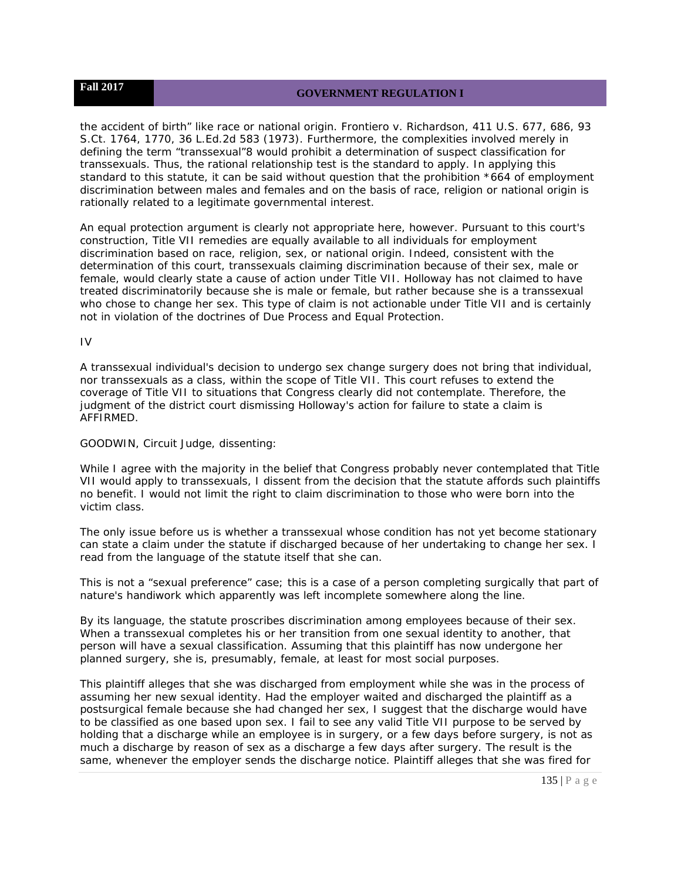the accident of birth" like race or national origin. Frontiero v. Richardson, 411 U.S. 677, 686, 93 S.Ct. 1764, 1770, 36 L.Ed.2d 583 (1973). Furthermore, the complexities involved merely in defining the term "transsexual"8 would prohibit a determination of suspect classification for transsexuals. Thus, the rational relationship test is the standard to apply. In applying this standard to this statute, it can be said without question that the prohibition \*664 of employment discrimination between males and females and on the basis of race, religion or national origin is rationally related to a legitimate governmental interest.

An equal protection argument is clearly not appropriate here, however. Pursuant to this court's construction, Title VII remedies are equally available to all individuals for employment discrimination based on race, religion, sex, or national origin. Indeed, consistent with the determination of this court, transsexuals claiming discrimination because of their sex, male or female, would clearly state a cause of action under Title VII. Holloway has not claimed to have treated discriminatorily because she is male or female, but rather because she is a transsexual who chose to change her sex. This type of claim is not actionable under Title VII and is certainly not in violation of the doctrines of Due Process and Equal Protection.

### IV

A transsexual individual's decision to undergo sex change surgery does not bring that individual, nor transsexuals as a class, within the scope of Title VII. This court refuses to extend the coverage of Title VII to situations that Congress clearly did not contemplate. Therefore, the judgment of the district court dismissing Holloway's action for failure to state a claim is AFFIRMED.

### GOODWIN, Circuit Judge, dissenting:

While I agree with the majority in the belief that Congress probably never contemplated that Title VII would apply to transsexuals, I dissent from the decision that the statute affords such plaintiffs no benefit. I would not limit the right to claim discrimination to those who were born into the victim class.

The only issue before us is whether a transsexual whose condition has not yet become stationary can state a claim under the statute if discharged because of her undertaking to change her sex. I read from the language of the statute itself that she can.

This is not a "sexual preference" case; this is a case of a person completing surgically that part of nature's handiwork which apparently was left incomplete somewhere along the line.

By its language, the statute proscribes discrimination among employees because of their sex. When a transsexual completes his or her transition from one sexual identity to another, that person will have a sexual classification. Assuming that this plaintiff has now undergone her planned surgery, she is, presumably, female, at least for most social purposes.

This plaintiff alleges that she was discharged from employment while she was in the process of assuming her new sexual identity. Had the employer waited and discharged the plaintiff as a postsurgical female because she had changed her sex, I suggest that the discharge would have to be classified as one based upon sex. I fail to see any valid Title VII purpose to be served by holding that a discharge while an employee is in surgery, or a few days before surgery, is not as much a discharge by reason of sex as a discharge a few days after surgery. The result is the same, whenever the employer sends the discharge notice. Plaintiff alleges that she was fired for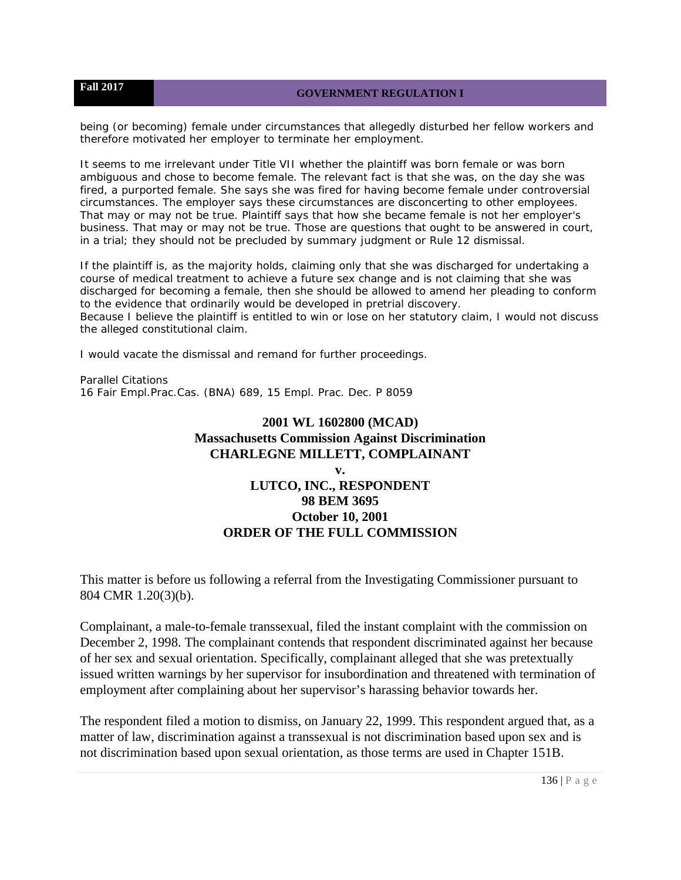being (or becoming) female under circumstances that allegedly disturbed her fellow workers and therefore motivated her employer to terminate her employment.

It seems to me irrelevant under Title VII whether the plaintiff was born female or was born ambiguous and chose to become female. The relevant fact is that she was, on the day she was fired, a purported female. She says she was fired for having become female under controversial circumstances. The employer says these circumstances are disconcerting to other employees. That may or may not be true. Plaintiff says that how she became female is not her employer's business. That may or may not be true. Those are questions that ought to be answered in court, in a trial; they should not be precluded by summary judgment or Rule 12 dismissal.

If the plaintiff is, as the majority holds, claiming only that she was discharged for undertaking a course of medical treatment to achieve a future sex change and is not claiming that she was discharged for becoming a female, then she should be allowed to amend her pleading to conform to the evidence that ordinarily would be developed in pretrial discovery.

Because I believe the plaintiff is entitled to win or lose on her statutory claim, I would not discuss the alleged constitutional claim.

I would vacate the dismissal and remand for further proceedings.

Parallel Citations 16 Fair Empl.Prac.Cas. (BNA) 689, 15 Empl. Prac. Dec. P 8059

### **2001 WL 1602800 (MCAD) Massachusetts Commission Against Discrimination CHARLEGNE MILLETT, COMPLAINANT v.**

### **LUTCO, INC., RESPONDENT 98 BEM 3695 October 10, 2001 ORDER OF THE FULL COMMISSION**

This matter is before us following a referral from the Investigating Commissioner pursuant to 804 CMR 1.20(3)(b).

Complainant, a male-to-female transsexual, filed the instant complaint with the commission on December 2, 1998. The complainant contends that respondent discriminated against her because of her sex and sexual orientation. Specifically, complainant alleged that she was pretextually issued written warnings by her supervisor for insubordination and threatened with termination of employment after complaining about her supervisor's harassing behavior towards her.

The respondent filed a motion to dismiss, on January 22, 1999. This respondent argued that, as a matter of law, discrimination against a transsexual is not discrimination based upon sex and is not discrimination based upon sexual orientation, as those terms are used in Chapter 151B.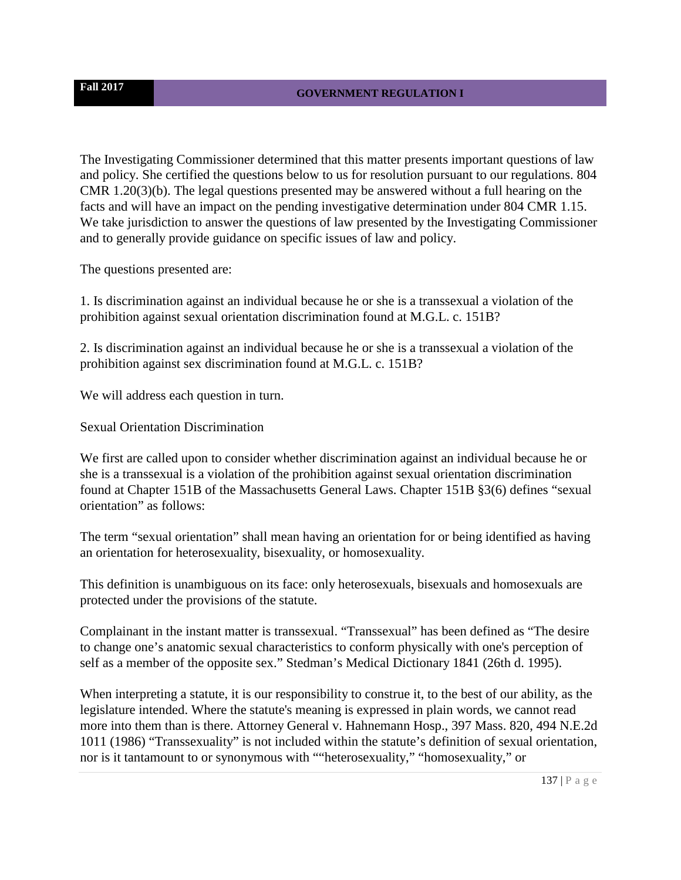The Investigating Commissioner determined that this matter presents important questions of law and policy. She certified the questions below to us for resolution pursuant to our regulations. 804 CMR 1.20(3)(b). The legal questions presented may be answered without a full hearing on the facts and will have an impact on the pending investigative determination under 804 CMR 1.15. We take jurisdiction to answer the questions of law presented by the Investigating Commissioner and to generally provide guidance on specific issues of law and policy.

The questions presented are:

1. Is discrimination against an individual because he or she is a transsexual a violation of the prohibition against sexual orientation discrimination found at M.G.L. c. 151B?

2. Is discrimination against an individual because he or she is a transsexual a violation of the prohibition against sex discrimination found at M.G.L. c. 151B?

We will address each question in turn.

Sexual Orientation Discrimination

We first are called upon to consider whether discrimination against an individual because he or she is a transsexual is a violation of the prohibition against sexual orientation discrimination found at Chapter 151B of the Massachusetts General Laws. Chapter 151B §3(6) defines "sexual orientation" as follows:

The term "sexual orientation" shall mean having an orientation for or being identified as having an orientation for heterosexuality, bisexuality, or homosexuality.

This definition is unambiguous on its face: only heterosexuals, bisexuals and homosexuals are protected under the provisions of the statute.

Complainant in the instant matter is transsexual. "Transsexual" has been defined as "The desire to change one's anatomic sexual characteristics to conform physically with one's perception of self as a member of the opposite sex." Stedman's Medical Dictionary 1841 (26th d. 1995).

When interpreting a statute, it is our responsibility to construe it, to the best of our ability, as the legislature intended. Where the statute's meaning is expressed in plain words, we cannot read more into them than is there. Attorney General v. Hahnemann Hosp., 397 Mass. 820, 494 N.E.2d 1011 (1986) "Transsexuality" is not included within the statute's definition of sexual orientation, nor is it tantamount to or synonymous with ""heterosexuality," "homosexuality," or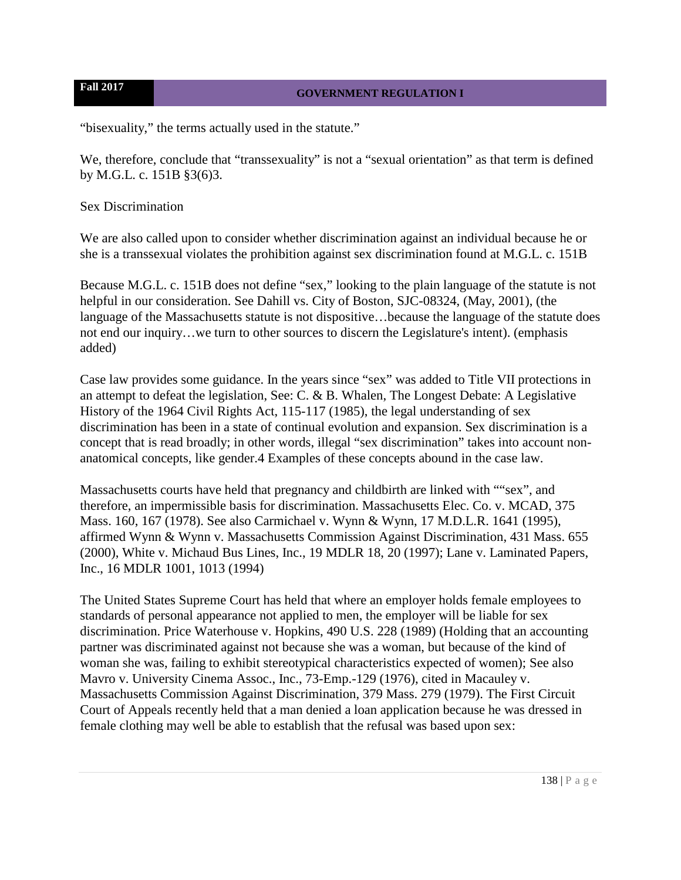"bisexuality," the terms actually used in the statute."

We, therefore, conclude that "transsexuality" is not a "sexual orientation" as that term is defined by M.G.L. c. 151B §3(6)3.

### Sex Discrimination

We are also called upon to consider whether discrimination against an individual because he or she is a transsexual violates the prohibition against sex discrimination found at M.G.L. c. 151B

Because M.G.L. c. 151B does not define "sex," looking to the plain language of the statute is not helpful in our consideration. See Dahill vs. City of Boston, SJC-08324, (May, 2001), (the language of the Massachusetts statute is not dispositive…because the language of the statute does not end our inquiry…we turn to other sources to discern the Legislature's intent). (emphasis added)

Case law provides some guidance. In the years since "sex" was added to Title VII protections in an attempt to defeat the legislation, See: C. & B. Whalen, The Longest Debate: A Legislative History of the 1964 Civil Rights Act, 115-117 (1985), the legal understanding of sex discrimination has been in a state of continual evolution and expansion. Sex discrimination is a concept that is read broadly; in other words, illegal "sex discrimination" takes into account nonanatomical concepts, like gender.4 Examples of these concepts abound in the case law.

Massachusetts courts have held that pregnancy and childbirth are linked with ""sex", and therefore, an impermissible basis for discrimination. Massachusetts Elec. Co. v. MCAD, 375 Mass. 160, 167 (1978). See also Carmichael v. Wynn & Wynn, 17 M.D.L.R. 1641 (1995), affirmed Wynn & Wynn v. Massachusetts Commission Against Discrimination, 431 Mass. 655 (2000), White v. Michaud Bus Lines, Inc., 19 MDLR 18, 20 (1997); Lane v. Laminated Papers, Inc., 16 MDLR 1001, 1013 (1994)

The United States Supreme Court has held that where an employer holds female employees to standards of personal appearance not applied to men, the employer will be liable for sex discrimination. Price Waterhouse v. Hopkins, 490 U.S. 228 (1989) (Holding that an accounting partner was discriminated against not because she was a woman, but because of the kind of woman she was, failing to exhibit stereotypical characteristics expected of women); See also Mavro v. University Cinema Assoc., Inc., 73-Emp.-129 (1976), cited in Macauley v. Massachusetts Commission Against Discrimination, 379 Mass. 279 (1979). The First Circuit Court of Appeals recently held that a man denied a loan application because he was dressed in female clothing may well be able to establish that the refusal was based upon sex: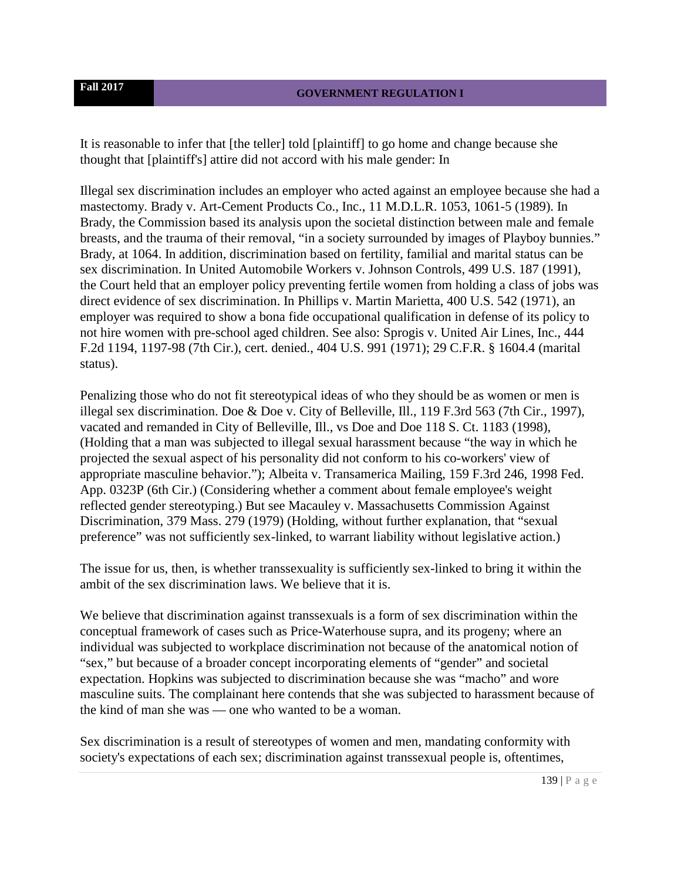It is reasonable to infer that [the teller] told [plaintiff] to go home and change because she thought that [plaintiff's] attire did not accord with his male gender: In

Illegal sex discrimination includes an employer who acted against an employee because she had a mastectomy. Brady v. Art-Cement Products Co., Inc., 11 M.D.L.R. 1053, 1061-5 (1989). In Brady, the Commission based its analysis upon the societal distinction between male and female breasts, and the trauma of their removal, "in a society surrounded by images of Playboy bunnies." Brady, at 1064. In addition, discrimination based on fertility, familial and marital status can be sex discrimination. In United Automobile Workers v. Johnson Controls, 499 U.S. 187 (1991), the Court held that an employer policy preventing fertile women from holding a class of jobs was direct evidence of sex discrimination. In Phillips v. Martin Marietta, 400 U.S. 542 (1971), an employer was required to show a bona fide occupational qualification in defense of its policy to not hire women with pre-school aged children. See also: Sprogis v. United Air Lines, Inc., 444 F.2d 1194, 1197-98 (7th Cir.), cert. denied., 404 U.S. 991 (1971); 29 C.F.R. § 1604.4 (marital status).

Penalizing those who do not fit stereotypical ideas of who they should be as women or men is illegal sex discrimination. Doe & Doe v. City of Belleville, Ill., 119 F.3rd 563 (7th Cir., 1997), vacated and remanded in City of Belleville, Ill., vs Doe and Doe 118 S. Ct. 1183 (1998), (Holding that a man was subjected to illegal sexual harassment because "the way in which he projected the sexual aspect of his personality did not conform to his co-workers' view of appropriate masculine behavior."); Albeita v. Transamerica Mailing, 159 F.3rd 246, 1998 Fed. App. 0323P (6th Cir.) (Considering whether a comment about female employee's weight reflected gender stereotyping.) But see Macauley v. Massachusetts Commission Against Discrimination, 379 Mass. 279 (1979) (Holding, without further explanation, that "sexual preference" was not sufficiently sex-linked, to warrant liability without legislative action.)

The issue for us, then, is whether transsexuality is sufficiently sex-linked to bring it within the ambit of the sex discrimination laws. We believe that it is.

We believe that discrimination against transsexuals is a form of sex discrimination within the conceptual framework of cases such as Price-Waterhouse supra, and its progeny; where an individual was subjected to workplace discrimination not because of the anatomical notion of "sex," but because of a broader concept incorporating elements of "gender" and societal expectation. Hopkins was subjected to discrimination because she was "macho" and wore masculine suits. The complainant here contends that she was subjected to harassment because of the kind of man she was — one who wanted to be a woman.

Sex discrimination is a result of stereotypes of women and men, mandating conformity with society's expectations of each sex; discrimination against transsexual people is, oftentimes,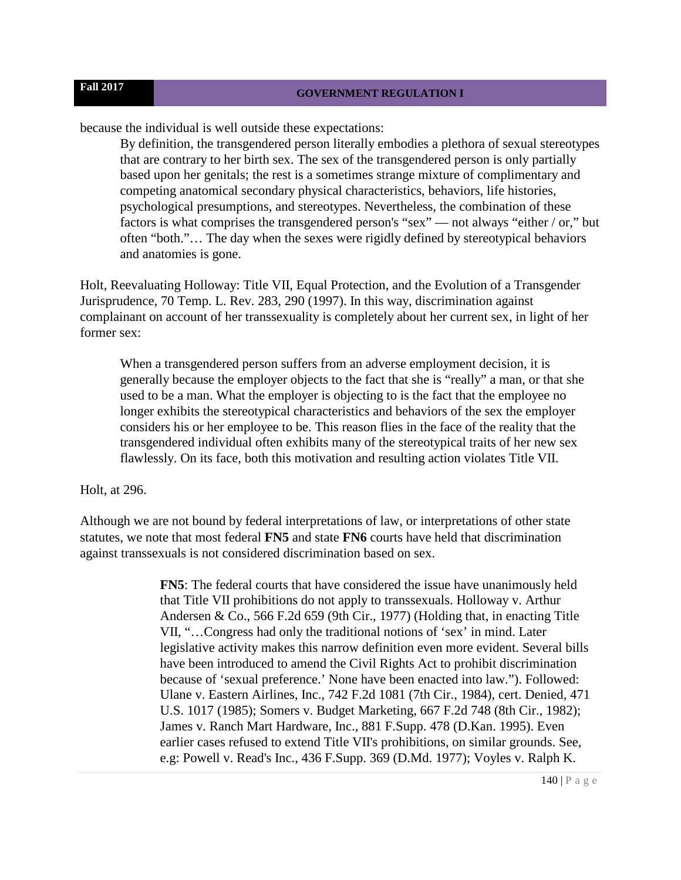because the individual is well outside these expectations:

By definition, the transgendered person literally embodies a plethora of sexual stereotypes that are contrary to her birth sex. The sex of the transgendered person is only partially based upon her genitals; the rest is a sometimes strange mixture of complimentary and competing anatomical secondary physical characteristics, behaviors, life histories, psychological presumptions, and stereotypes. Nevertheless, the combination of these factors is what comprises the transgendered person's "sex" — not always "either / or," but often "both."… The day when the sexes were rigidly defined by stereotypical behaviors and anatomies is gone.

Holt, Reevaluating Holloway: Title VII, Equal Protection, and the Evolution of a Transgender Jurisprudence, 70 Temp. L. Rev. 283, 290 (1997). In this way, discrimination against complainant on account of her transsexuality is completely about her current sex, in light of her former sex:

When a transgendered person suffers from an adverse employment decision, it is generally because the employer objects to the fact that she is "really" a man, or that she used to be a man. What the employer is objecting to is the fact that the employee no longer exhibits the stereotypical characteristics and behaviors of the sex the employer considers his or her employee to be. This reason flies in the face of the reality that the transgendered individual often exhibits many of the stereotypical traits of her new sex flawlessly. On its face, both this motivation and resulting action violates Title VII.

Holt, at 296.

Although we are not bound by federal interpretations of law, or interpretations of other state statutes, we note that most federal **FN5** and state **FN6** courts have held that discrimination against transsexuals is not considered discrimination based on sex.

> **FN5**: The federal courts that have considered the issue have unanimously held that Title VII prohibitions do not apply to transsexuals. Holloway v. Arthur Andersen & Co., 566 F.2d 659 (9th Cir., 1977) (Holding that, in enacting Title VII, "…Congress had only the traditional notions of 'sex' in mind. Later legislative activity makes this narrow definition even more evident. Several bills have been introduced to amend the Civil Rights Act to prohibit discrimination because of 'sexual preference.' None have been enacted into law."). Followed: Ulane v. Eastern Airlines, Inc., 742 F.2d 1081 (7th Cir., 1984), cert. Denied, 471 U.S. 1017 (1985); Somers v. Budget Marketing, 667 F.2d 748 (8th Cir., 1982); James v. Ranch Mart Hardware, Inc., 881 F.Supp. 478 (D.Kan. 1995). Even earlier cases refused to extend Title VII's prohibitions, on similar grounds. See, e.g: Powell v. Read's Inc., 436 F.Supp. 369 (D.Md. 1977); Voyles v. Ralph K.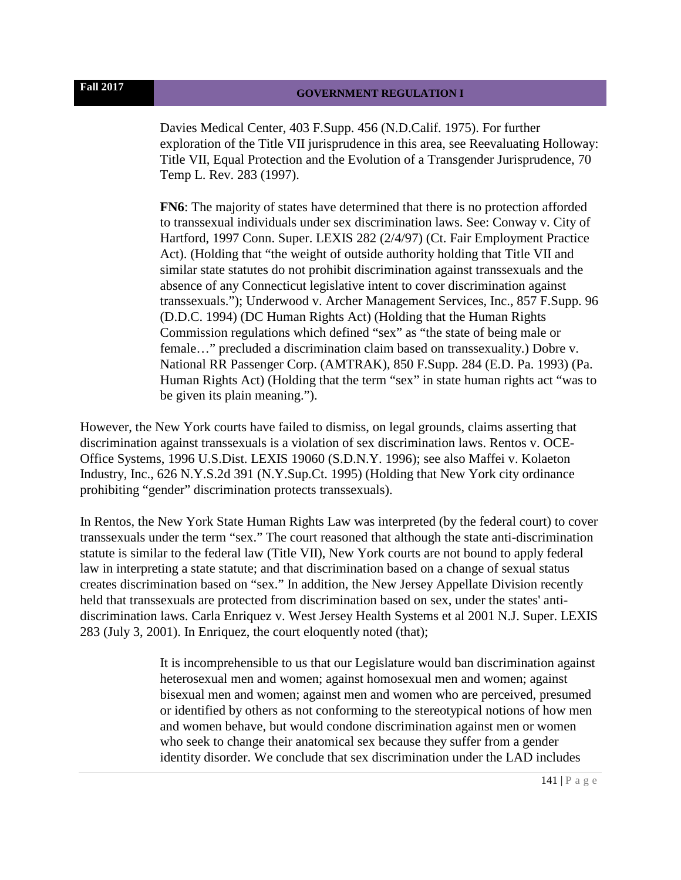Davies Medical Center, 403 F.Supp. 456 (N.D.Calif. 1975). For further exploration of the Title VII jurisprudence in this area, see Reevaluating Holloway: Title VII, Equal Protection and the Evolution of a Transgender Jurisprudence, 70 Temp L. Rev. 283 (1997).

**FN6**: The majority of states have determined that there is no protection afforded to transsexual individuals under sex discrimination laws. See: Conway v. City of Hartford, 1997 Conn. Super. LEXIS 282 (2/4/97) (Ct. Fair Employment Practice Act). (Holding that "the weight of outside authority holding that Title VII and similar state statutes do not prohibit discrimination against transsexuals and the absence of any Connecticut legislative intent to cover discrimination against transsexuals."); Underwood v. Archer Management Services, Inc., 857 F.Supp. 96 (D.D.C. 1994) (DC Human Rights Act) (Holding that the Human Rights Commission regulations which defined "sex" as "the state of being male or female…" precluded a discrimination claim based on transsexuality.) Dobre v. National RR Passenger Corp. (AMTRAK), 850 F.Supp. 284 (E.D. Pa. 1993) (Pa. Human Rights Act) (Holding that the term "sex" in state human rights act "was to be given its plain meaning.").

However, the New York courts have failed to dismiss, on legal grounds, claims asserting that discrimination against transsexuals is a violation of sex discrimination laws. Rentos v. OCE-Office Systems, 1996 U.S.Dist. LEXIS 19060 (S.D.N.Y. 1996); see also Maffei v. Kolaeton Industry, Inc., 626 N.Y.S.2d 391 (N.Y.Sup.Ct. 1995) (Holding that New York city ordinance prohibiting "gender" discrimination protects transsexuals).

In Rentos, the New York State Human Rights Law was interpreted (by the federal court) to cover transsexuals under the term "sex." The court reasoned that although the state anti-discrimination statute is similar to the federal law (Title VII), New York courts are not bound to apply federal law in interpreting a state statute; and that discrimination based on a change of sexual status creates discrimination based on "sex." In addition, the New Jersey Appellate Division recently held that transsexuals are protected from discrimination based on sex, under the states' antidiscrimination laws. Carla Enriquez v. West Jersey Health Systems et al 2001 N.J. Super. LEXIS 283 (July 3, 2001). In Enriquez, the court eloquently noted (that);

> It is incomprehensible to us that our Legislature would ban discrimination against heterosexual men and women; against homosexual men and women; against bisexual men and women; against men and women who are perceived, presumed or identified by others as not conforming to the stereotypical notions of how men and women behave, but would condone discrimination against men or women who seek to change their anatomical sex because they suffer from a gender identity disorder. We conclude that sex discrimination under the LAD includes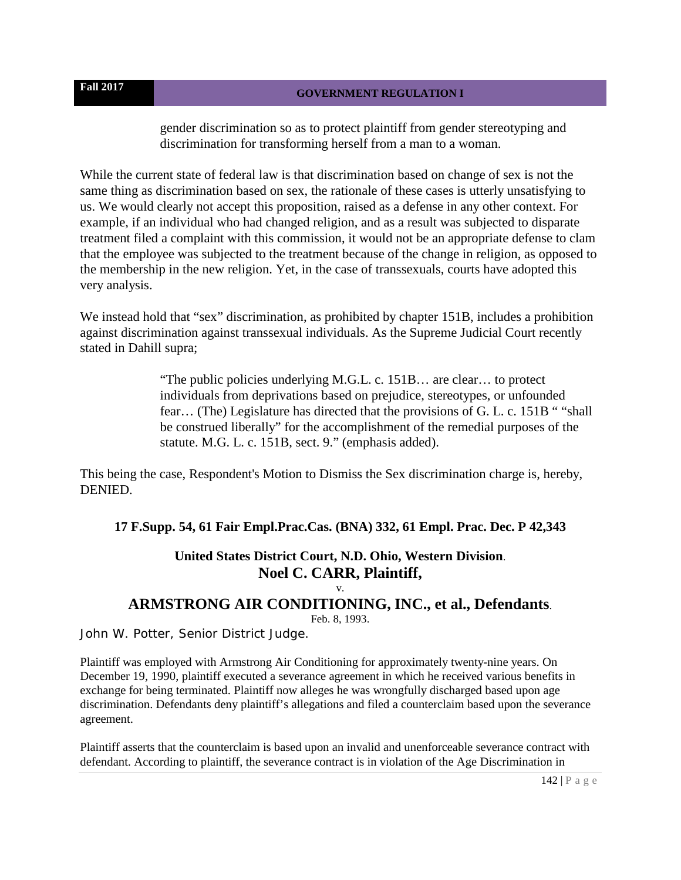gender discrimination so as to protect plaintiff from gender stereotyping and discrimination for transforming herself from a man to a woman.

While the current state of federal law is that discrimination based on change of sex is not the same thing as discrimination based on sex, the rationale of these cases is utterly unsatisfying to us. We would clearly not accept this proposition, raised as a defense in any other context. For example, if an individual who had changed religion, and as a result was subjected to disparate treatment filed a complaint with this commission, it would not be an appropriate defense to clam that the employee was subjected to the treatment because of the change in religion, as opposed to the membership in the new religion. Yet, in the case of transsexuals, courts have adopted this very analysis.

We instead hold that "sex" discrimination, as prohibited by chapter 151B, includes a prohibition against discrimination against transsexual individuals. As the Supreme Judicial Court recently stated in Dahill supra;

> "The public policies underlying M.G.L. c. 151B… are clear… to protect individuals from deprivations based on prejudice, stereotypes, or unfounded fear… (The) Legislature has directed that the provisions of G. L. c. 151B " "shall be construed liberally" for the accomplishment of the remedial purposes of the statute. M.G. L. c. 151B, sect. 9." (emphasis added).

This being the case, Respondent's Motion to Dismiss the Sex discrimination charge is, hereby, DENIED.

### **17 F.Supp. 54, 61 Fair Empl.Prac.Cas. (BNA) 332, 61 Empl. Prac. Dec. P 42,343**

### **United States District Court, N.D. Ohio, Western Division**. **Noel C. CARR, Plaintiff,**

### v. **ARMSTRONG AIR CONDITIONING, INC., et al., Defendants**.

Feb. 8, 1993.

John W. Potter, Senior District Judge.

Plaintiff was employed with Armstrong Air Conditioning for approximately twenty-nine years. On December 19, 1990, plaintiff executed a severance agreement in which he received various benefits in exchange for being terminated. Plaintiff now alleges he was wrongfully discharged based upon age discrimination. Defendants deny plaintiff's allegations and filed a counterclaim based upon the severance agreement.

Plaintiff asserts that the counterclaim is based upon an invalid and unenforceable severance contract with defendant. According to plaintiff, the severance contract is in violation of the Age Discrimination in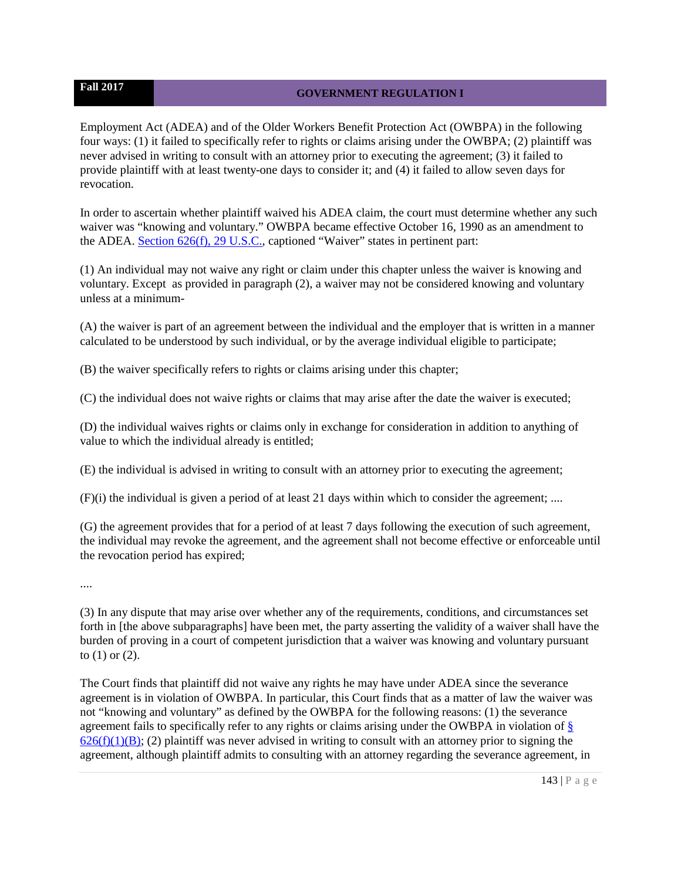Employment Act (ADEA) and of the Older Workers Benefit Protection Act (OWBPA) in the following four ways: (1) it failed to specifically refer to rights or claims arising under the OWBPA; (2) plaintiff was never advised in writing to consult with an attorney prior to executing the agreement; (3) it failed to provide plaintiff with at least twenty-one days to consider it; and (4) it failed to allow seven days for revocation.

In order to ascertain whether plaintiff waived his ADEA claim, the court must determine whether any such waiver was "knowing and voluntary." OWBPA became effective October 16, 1990 as an amendment to the ADEA. [Section 626\(f\), 29 U.S.C.,](http://web2.westlaw.com/find/default.wl?tf=-1&rs=WLW7.10&fn=_top&sv=Split&tc=-1&findtype=L&docname=29USCAS626&db=1000546&vr=2.0&rp=%2ffind%2fdefault.wl&mt=LawSchoolPractitioner) captioned "Waiver" states in pertinent part:

(1) An individual may not waive any right or claim under this chapter unless the waiver is knowing and voluntary. Except as provided in paragraph (2), a waiver may not be considered knowing and voluntary unless at a minimum-

(A) the waiver is part of an agreement between the individual and the employer that is written in a manner calculated to be understood by such individual, or by the average individual eligible to participate;

(B) the waiver specifically refers to rights or claims arising under this chapter;

(C) the individual does not waive rights or claims that may arise after the date the waiver is executed;

(D) the individual waives rights or claims only in exchange for consideration in addition to anything of value to which the individual already is entitled;

(E) the individual is advised in writing to consult with an attorney prior to executing the agreement;

(F)(i) the individual is given a period of at least 21 days within which to consider the agreement; ....

(G) the agreement provides that for a period of at least 7 days following the execution of such agreement, the individual may revoke the agreement, and the agreement shall not become effective or enforceable until the revocation period has expired;

....

(3) In any dispute that may arise over whether any of the requirements, conditions, and circumstances set forth in [the above subparagraphs] have been met, the party asserting the validity of a waiver shall have the burden of proving in a court of competent jurisdiction that a waiver was knowing and voluntary pursuant to (1) or (2).

The Court finds that plaintiff did not waive any rights he may have under ADEA since the severance agreement is in violation of OWBPA. In particular, this Court finds that as a matter of law the waiver was not "knowing and voluntary" as defined by the OWBPA for the following reasons: (1) the severance agreement fails to specifically refer to any rights or claims arising under the OWBPA in violation of  $\frac{8}{9}$  $626(f)(1)(B)$ ; (2) plaintiff was never advised in writing to consult with an attorney prior to signing the agreement, although plaintiff admits to consulting with an attorney regarding the severance agreement, in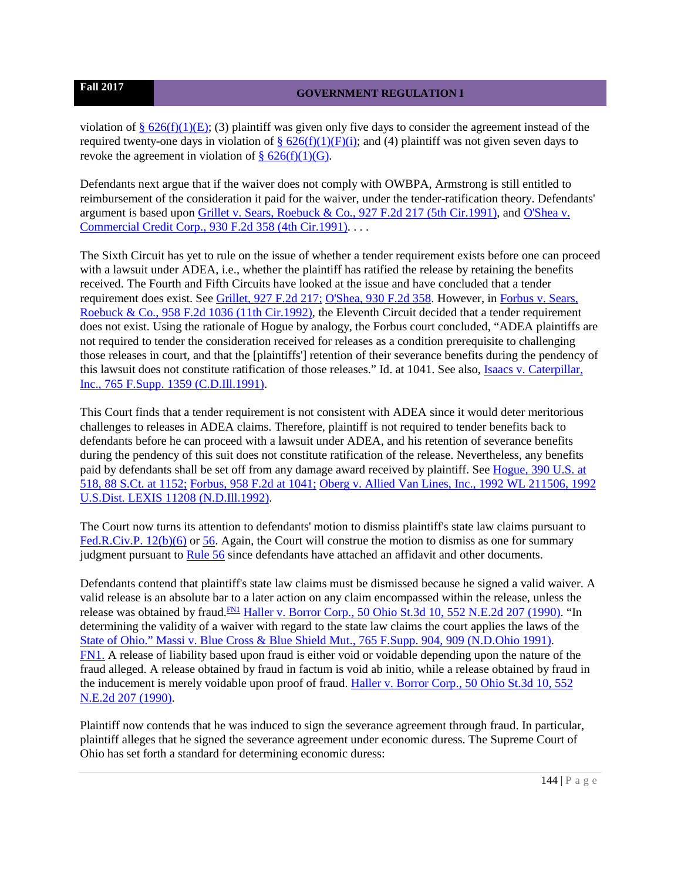violation of §  $626(f)(1)(E)$ ; (3) plaintiff was given only five days to consider the agreement instead of the required twenty-one days in violation of  $\S 626(f)(1)(F)(i)$ ; and (4) plaintiff was not given seven days to revoke the agreement in violation of  $\S$  626(f)(1)(G).

Defendants next argue that if the waiver does not comply with OWBPA, Armstrong is still entitled to reimbursement of the consideration it paid for the waiver, under the tender-ratification theory. Defendants' argument is based upon [Grillet v. Sears, Roebuck & Co.,](http://web2.westlaw.com/find/default.wl?rs=WLW7.10&serialnum=1991051393&fn=_top&sv=Split&tc=-1&findtype=Y&tf=-1&db=350&vr=2.0&rp=%2ffind%2fdefault.wl&mt=LawSchoolPractitioner) 927 F.2d 217 (5th Cir.1991), and O'Shea v. Commercial Credit Corp., [930 F.2d 358 \(4th Cir.1991\).](http://web2.westlaw.com/find/default.wl?rs=WLW7.10&serialnum=1991072750&fn=_top&sv=Split&tc=-1&findtype=Y&tf=-1&db=350&vr=2.0&rp=%2ffind%2fdefault.wl&mt=LawSchoolPractitioner) . . .

The Sixth Circuit has yet to rule on the issue of whether a tender requirement exists before one can proceed with a lawsuit under ADEA, i.e., whether the plaintiff has ratified the release by retaining the benefits received. The Fourth and Fifth Circuits have looked at the issue and have concluded that a tender requirement does exist. See Grillet, [927 F.2d 217;](http://web2.westlaw.com/find/default.wl?rs=WLW7.10&serialnum=1991051393&fn=_top&sv=Split&tc=-1&findtype=Y&tf=-1&db=350&vr=2.0&rp=%2ffind%2fdefault.wl&mt=LawSchoolPractitioner) O'Shea, [930 F.2d 358.](http://web2.westlaw.com/find/default.wl?rs=WLW7.10&serialnum=1991072750&fn=_top&sv=Split&tc=-1&findtype=Y&tf=-1&db=350&vr=2.0&rp=%2ffind%2fdefault.wl&mt=LawSchoolPractitioner) However, in [Forbus v. Sears,](http://web2.westlaw.com/find/default.wl?rs=WLW7.10&serialnum=1992069181&fn=_top&sv=Split&tc=-1&findtype=Y&tf=-1&db=350&vr=2.0&rp=%2ffind%2fdefault.wl&mt=LawSchoolPractitioner)  Roebuck & Co., [958 F.2d 1036 \(11th Cir.1992\),](http://web2.westlaw.com/find/default.wl?rs=WLW7.10&serialnum=1992069181&fn=_top&sv=Split&tc=-1&findtype=Y&tf=-1&db=350&vr=2.0&rp=%2ffind%2fdefault.wl&mt=LawSchoolPractitioner) the Eleventh Circuit decided that a tender requirement does not exist. Using the rationale of Hogue by analogy, the Forbus court concluded, "ADEA plaintiffs are not required to tender the consideration received for releases as a condition prerequisite to challenging those releases in court, and that the [plaintiffs'] retention of their severance benefits during the pendency of this lawsuit does not constitute ratification of those releases." Id. at 1041. See also, [Isaacs v. Caterpillar,](http://web2.westlaw.com/find/default.wl?rs=WLW7.10&serialnum=1991114008&fn=_top&sv=Split&tc=-1&findtype=Y&tf=-1&db=345&vr=2.0&rp=%2ffind%2fdefault.wl&mt=LawSchoolPractitioner)  Inc., [765 F.Supp. 1359 \(C.D.Ill.1991\).](http://web2.westlaw.com/find/default.wl?rs=WLW7.10&serialnum=1991114008&fn=_top&sv=Split&tc=-1&findtype=Y&tf=-1&db=345&vr=2.0&rp=%2ffind%2fdefault.wl&mt=LawSchoolPractitioner)

This Court finds that a tender requirement is not consistent with ADEA since it would deter meritorious challenges to releases in ADEA claims. Therefore, plaintiff is not required to tender benefits back to defendants before he can proceed with a lawsuit under ADEA, and his retention of severance benefits during the pendency of this suit does not constitute ratification of the release. Nevertheless, any benefits paid by defendants shall be set off from any damage award received by plaintiff. See Hogue, [390 U.S. at](http://web2.westlaw.com/find/default.wl?tf=-1&rs=WLW7.10&referencepositiontype=S&serialnum=1968131156&fn=_top&sv=Split&tc=-1&findtype=Y&referenceposition=1152&db=708&vr=2.0&rp=%2ffind%2fdefault.wl&mt=LawSchoolPractitioner)  [518, 88 S.Ct. at 1152;](http://web2.westlaw.com/find/default.wl?tf=-1&rs=WLW7.10&referencepositiontype=S&serialnum=1968131156&fn=_top&sv=Split&tc=-1&findtype=Y&referenceposition=1152&db=708&vr=2.0&rp=%2ffind%2fdefault.wl&mt=LawSchoolPractitioner) Forbus, [958 F.2d at 1041;](http://web2.westlaw.com/find/default.wl?tf=-1&rs=WLW7.10&referencepositiontype=S&serialnum=1992069181&fn=_top&sv=Split&tc=-1&findtype=Y&referenceposition=1041&db=350&vr=2.0&rp=%2ffind%2fdefault.wl&mt=LawSchoolPractitioner) [Oberg v. Allied Van Lines, Inc.,](http://web2.westlaw.com/find/default.wl?rs=WLW7.10&serialnum=1992154976&fn=_top&sv=Split&tc=-1&findtype=Y&tf=-1&db=0000999&vr=2.0&rp=%2ffind%2fdefault.wl&mt=LawSchoolPractitioner) 1992 WL 211506, 1992 [U.S.Dist. LEXIS 11208 \(N.D.Ill.1992\).](http://web2.westlaw.com/find/default.wl?rs=WLW7.10&serialnum=1992154976&fn=_top&sv=Split&tc=-1&findtype=Y&tf=-1&db=0000999&vr=2.0&rp=%2ffind%2fdefault.wl&mt=LawSchoolPractitioner)

The Court now turns its attention to defendants' motion to dismiss plaintiff's state law claims pursuant to [Fed.R.Civ.P. 12\(b\)\(6\)](http://web2.westlaw.com/find/default.wl?tf=-1&rs=WLW7.10&fn=_top&sv=Split&tc=-1&findtype=L&docname=USFRCPR12&db=1004365&vr=2.0&rp=%2ffind%2fdefault.wl&mt=LawSchoolPractitioner) or [56.](http://web2.westlaw.com/find/default.wl?tf=-1&rs=WLW7.10&fn=_top&sv=Split&tc=-1&findtype=L&docname=USFRCPR56&db=1004365&vr=2.0&rp=%2ffind%2fdefault.wl&mt=LawSchoolPractitioner) Again, the Court will construe the motion to dismiss as one for summary judgment pursuant to [Rule 56](http://web2.westlaw.com/find/default.wl?tf=-1&rs=WLW7.10&fn=_top&sv=Split&tc=-1&findtype=L&docname=USFRCPR56&db=1004365&vr=2.0&rp=%2ffind%2fdefault.wl&mt=LawSchoolPractitioner) since defendants have attached an affidavit and other documents.

Defendants contend that plaintiff's state law claims must be dismissed because he signed a valid waiver. A valid release is an absolute bar to a later action on any claim encompassed within the release, unless the release was obtained by fraud.<sup>FN1</sup> Haller v. Borror Corp., [50 Ohio St.3d 10, 552 N.E.2d 207 \(1990\).](http://web2.westlaw.com/find/default.wl?rs=WLW7.10&serialnum=1990053892&fn=_top&sv=Split&tc=-1&findtype=Y&tf=-1&db=578&vr=2.0&rp=%2ffind%2fdefault.wl&mt=LawSchoolPractitioner) "In determining the validity of a waiver with regard to the state law claims the court applies the laws of the [State of Ohio." Massi v. Blue Cross & Blue Shield Mut.,](http://web2.westlaw.com/find/default.wl?tf=-1&rs=WLW7.10&referencepositiontype=S&serialnum=1991113985&fn=_top&sv=Split&tc=-1&findtype=Y&referenceposition=909&db=345&vr=2.0&rp=%2ffind%2fdefault.wl&mt=LawSchoolPractitioner) 765 F.Supp. 904, 909 (N.D.Ohio 1991). [FN1.](http://web2.westlaw.com/result/documenttext.aspx?sv=Split&service=Find&fcl=False&rlti=1&cnt=DOC&cxt=DC&rlt=CLID_FQRLT40172210&rs=WLW7.10&ss=CNT&scxt=WL&fn=_top&n=1&mt=LawSchoolPractitioner&vr=2.0&rp=%2fFind%2fdefault.wl&cite=817fsupp54&findjuris=00001&docsample=False#F00111993080124#F00111993080124) A release of liability based upon fraud is either void or voidable depending upon the nature of the fraud alleged. A release obtained by fraud in factum is void ab initio, while a release obtained by fraud in the inducement is merely voidable upon proof of fraud. [Haller v. Borror Corp.,](http://web2.westlaw.com/find/default.wl?rs=WLW7.10&serialnum=1990053892&fn=_top&sv=Split&tc=-1&findtype=Y&tf=-1&db=578&vr=2.0&rp=%2ffind%2fdefault.wl&mt=LawSchoolPractitioner) 50 Ohio St.3d 10, 552 [N.E.2d 207 \(1990\).](http://web2.westlaw.com/find/default.wl?rs=WLW7.10&serialnum=1990053892&fn=_top&sv=Split&tc=-1&findtype=Y&tf=-1&db=578&vr=2.0&rp=%2ffind%2fdefault.wl&mt=LawSchoolPractitioner)

Plaintiff now contends that he was induced to sign the severance agreement through fraud. In particular, plaintiff alleges that he signed the severance agreement under economic duress. The Supreme Court of Ohio has set forth a standard for determining economic duress: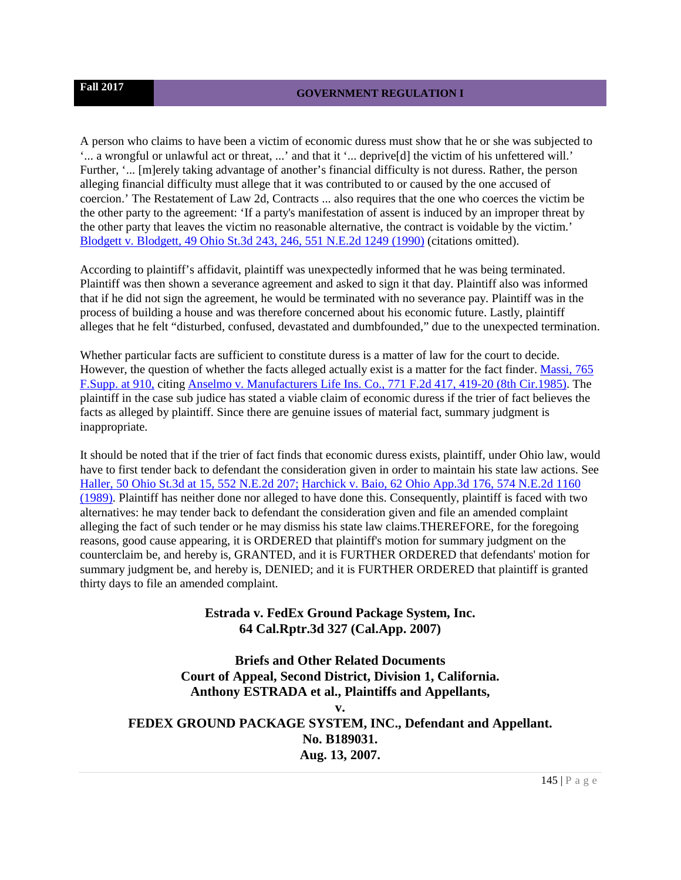A person who claims to have been a victim of economic duress must show that he or she was subjected to '... a wrongful or unlawful act or threat, ...' and that it '... deprive[d] the victim of his unfettered will.' Further, '... [m]erely taking advantage of another's financial difficulty is not duress. Rather, the person alleging financial difficulty must allege that it was contributed to or caused by the one accused of coercion.' The Restatement of Law 2d, Contracts ... also requires that the one who coerces the victim be the other party to the agreement: 'If a party's manifestation of assent is induced by an improper threat by the other party that leaves the victim no reasonable alternative, the contract is voidable by the victim.' Blodgett v. Blodgett, [49 Ohio St.3d 243, 246, 551 N.E.2d 1249 \(1990\)](http://web2.westlaw.com/find/default.wl?rs=WLW7.10&serialnum=1990050237&fn=_top&sv=Split&tc=-1&findtype=Y&tf=-1&db=578&vr=2.0&rp=%2ffind%2fdefault.wl&mt=LawSchoolPractitioner) (citations omitted).

According to plaintiff's affidavit, plaintiff was unexpectedly informed that he was being terminated. Plaintiff was then shown a severance agreement and asked to sign it that day. Plaintiff also was informed that if he did not sign the agreement, he would be terminated with no severance pay. Plaintiff was in the process of building a house and was therefore concerned about his economic future. Lastly, plaintiff alleges that he felt "disturbed, confused, devastated and dumbfounded," due to the unexpected termination.

Whether particular facts are sufficient to constitute duress is a matter of law for the court to decide. However, the question of whether the facts alleged actually exist is a matter for the fact finder. [Massi,](http://web2.westlaw.com/find/default.wl?tf=-1&rs=WLW7.10&referencepositiontype=S&serialnum=1991113985&fn=_top&sv=Split&tc=-1&findtype=Y&referenceposition=910&db=345&vr=2.0&rp=%2ffind%2fdefault.wl&mt=LawSchoolPractitioner) 765 [F.Supp. at 910,](http://web2.westlaw.com/find/default.wl?tf=-1&rs=WLW7.10&referencepositiontype=S&serialnum=1991113985&fn=_top&sv=Split&tc=-1&findtype=Y&referenceposition=910&db=345&vr=2.0&rp=%2ffind%2fdefault.wl&mt=LawSchoolPractitioner) citing [Anselmo v. Manufacturers Life Ins. Co.,](http://web2.westlaw.com/find/default.wl?tf=-1&rs=WLW7.10&referencepositiontype=S&serialnum=1985143472&fn=_top&sv=Split&tc=-1&findtype=Y&referenceposition=419&db=350&vr=2.0&rp=%2ffind%2fdefault.wl&mt=LawSchoolPractitioner) 771 F.2d 417, 419-20 (8th Cir.1985). The plaintiff in the case sub judice has stated a viable claim of economic duress if the trier of fact believes the facts as alleged by plaintiff. Since there are genuine issues of material fact, summary judgment is inappropriate.

It should be noted that if the trier of fact finds that economic duress exists, plaintiff, under Ohio law, would have to first tender back to defendant the consideration given in order to maintain his state law actions. See Haller, [50 Ohio St.3d at 15, 552 N.E.2d 207;](http://web2.westlaw.com/find/default.wl?rs=WLW7.10&serialnum=1990053892&fn=_top&sv=Split&tc=-1&findtype=Y&tf=-1&db=578&vr=2.0&rp=%2ffind%2fdefault.wl&mt=LawSchoolPractitioner) Harchick v. Baio, [62 Ohio App.3d 176, 574 N.E.2d 1160](http://web2.westlaw.com/find/default.wl?rs=WLW7.10&serialnum=1991098204&fn=_top&sv=Split&tc=-1&findtype=Y&tf=-1&db=578&vr=2.0&rp=%2ffind%2fdefault.wl&mt=LawSchoolPractitioner)  [\(1989\).](http://web2.westlaw.com/find/default.wl?rs=WLW7.10&serialnum=1991098204&fn=_top&sv=Split&tc=-1&findtype=Y&tf=-1&db=578&vr=2.0&rp=%2ffind%2fdefault.wl&mt=LawSchoolPractitioner) Plaintiff has neither done nor alleged to have done this. Consequently, plaintiff is faced with two alternatives: he may tender back to defendant the consideration given and file an amended complaint alleging the fact of such tender or he may dismiss his state law claims.THEREFORE, for the foregoing reasons, good cause appearing, it is ORDERED that plaintiff's motion for summary judgment on the counterclaim be, and hereby is, GRANTED, and it is FURTHER ORDERED that defendants' motion for summary judgment be, and hereby is, DENIED; and it is FURTHER ORDERED that plaintiff is granted thirty days to file an amended complaint.

> **Estrada v. FedEx Ground Package System, Inc. 64 Cal.Rptr.3d 327 (Cal.App. 2007)**

**[Briefs and Other Related Documents](http://web2.westlaw.com/result/documenttext.aspx?rltdb=CLID_DB2901691&docsample=False&db=ALLSTATES&service=Search&sskey=CLID_SSSA2901691&effdate=1%2f1%2f0001+12%3a00%3a00+AM&fmqv=s&rlti=1&sv=Split&blinkedcitelist=False&fn=_top&cxt=DC&method=TNC&fcl=False&origin=Search&query=FEDEX+%26+da(last+180+days)&mt=LawSchoolPractitioner&eq=search&n=17&mqv=d&rlt=CLID_QRYRLT2901691&vr=2.0&rp=%2fsearch%2fdefault.wl&cnt=DOC&cfid=1&scxt=WL&rs=WLW7.11&ss=CNT#IN;F1#IN;F1) Court of Appeal, Second District, Division 1, California. Anthony ESTRADA et al., Plaintiffs and Appellants, v. FEDEX GROUND PACKAGE SYSTEM, INC., Defendant and Appellant. No. B189031. Aug. 13, 2007.**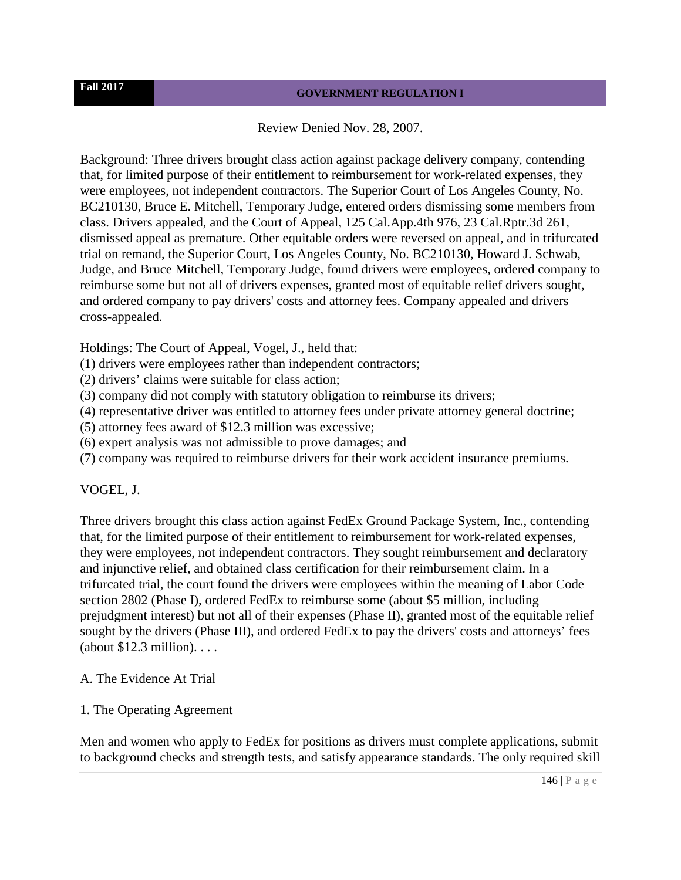Review Denied Nov. 28, 2007.

Background: Three drivers brought class action against package delivery company, contending that, for limited purpose of their entitlement to reimbursement for work-related expenses, they were employees, not independent contractors. The Superior Court of Los Angeles County, No. BC210130, Bruce E. Mitchell, Temporary Judge, entered orders dismissing some members from class. Drivers appealed, and the Court of Appeal, [125 Cal.App.4th 976, 23 Cal.Rptr.3d 261,](http://web2.westlaw.com/find/default.wl?rs=WLW7.11&serialnum=2005972605&fn=_top&sv=Split&tc=-1&findtype=Y&tf=-1&db=7047&vr=2.0&rp=%2ffind%2fdefault.wl&mt=LawSchoolPractitioner) dismissed appeal as premature. Other equitable orders were reversed on appeal, and in trifurcated trial on remand, the Superior Court, Los Angeles County, No. BC210130, Howard J. [Schwab,](http://web2.westlaw.com/find/default.wl?tf=-1&rs=WLW7.11&fn=_top&sv=Split&tc=-1&findtype=h&docname=0144387001&db=PROFILER-WLD&vr=2.0&rp=%2ffind%2fdefault.wl&mt=LawSchoolPractitioner) Judge, and Bruce Mitchell, Temporary Judge, found drivers were employees, ordered company to reimburse some but not all of drivers expenses, granted most of equitable relief drivers sought, and ordered company to pay drivers' costs and attorney fees. Company appealed and drivers cross-appealed.

Holdings: The Court of Appeal, Vogel, J., held that:

- [\(1\)](http://web2.westlaw.com/result/documenttext.aspx?rltdb=CLID_DB2901691&docsample=False&db=ALLSTATES&service=Search&sskey=CLID_SSSA2901691&effdate=1%2f1%2f0001+12%3a00%3a00+AM&fmqv=s&rlti=1&sv=Split&blinkedcitelist=False&fn=_top&cxt=DC&method=TNC&fcl=False&origin=Search&query=FEDEX+%26+da(last+180+days)&mt=LawSchoolPractitioner&eq=search&n=17&mqv=d&rlt=CLID_QRYRLT2901691&vr=2.0&rp=%2fsearch%2fdefault.wl&cnt=DOC&cfid=1&scxt=WL&rs=WLW7.11&ss=CNT#F12012903697#F12012903697) drivers were employees rather than independent contractors;
- [\(2\)](http://web2.westlaw.com/result/documenttext.aspx?rltdb=CLID_DB2901691&docsample=False&db=ALLSTATES&service=Search&sskey=CLID_SSSA2901691&effdate=1%2f1%2f0001+12%3a00%3a00+AM&fmqv=s&rlti=1&sv=Split&blinkedcitelist=False&fn=_top&cxt=DC&method=TNC&fcl=False&origin=Search&query=FEDEX+%26+da(last+180+days)&mt=LawSchoolPractitioner&eq=search&n=17&mqv=d&rlt=CLID_QRYRLT2901691&vr=2.0&rp=%2fsearch%2fdefault.wl&cnt=DOC&cfid=1&scxt=WL&rs=WLW7.11&ss=CNT#F72012903697#F72012903697) drivers' claims were suitable for class action;
- [\(3\)](http://web2.westlaw.com/result/documenttext.aspx?rltdb=CLID_DB2901691&docsample=False&db=ALLSTATES&service=Search&sskey=CLID_SSSA2901691&effdate=1%2f1%2f0001+12%3a00%3a00+AM&fmqv=s&rlti=1&sv=Split&blinkedcitelist=False&fn=_top&cxt=DC&method=TNC&fcl=False&origin=Search&query=FEDEX+%26+da(last+180+days)&mt=LawSchoolPractitioner&eq=search&n=17&mqv=d&rlt=CLID_QRYRLT2901691&vr=2.0&rp=%2fsearch%2fdefault.wl&cnt=DOC&cfid=1&scxt=WL&rs=WLW7.11&ss=CNT#F132012903697#F132012903697) company did not comply with statutory obligation to reimburse its drivers;
- [\(4\)](http://web2.westlaw.com/result/documenttext.aspx?rltdb=CLID_DB2901691&docsample=False&db=ALLSTATES&service=Search&sskey=CLID_SSSA2901691&effdate=1%2f1%2f0001+12%3a00%3a00+AM&fmqv=s&rlti=1&sv=Split&blinkedcitelist=False&fn=_top&cxt=DC&method=TNC&fcl=False&origin=Search&query=FEDEX+%26+da(last+180+days)&mt=LawSchoolPractitioner&eq=search&n=17&mqv=d&rlt=CLID_QRYRLT2901691&vr=2.0&rp=%2fsearch%2fdefault.wl&cnt=DOC&cfid=1&scxt=WL&rs=WLW7.11&ss=CNT#F142012903697#F142012903697) representative driver was entitled to attorney fees under private attorney general doctrine;
- [\(5\)](http://web2.westlaw.com/result/documenttext.aspx?rltdb=CLID_DB2901691&docsample=False&db=ALLSTATES&service=Search&sskey=CLID_SSSA2901691&effdate=1%2f1%2f0001+12%3a00%3a00+AM&fmqv=s&rlti=1&sv=Split&blinkedcitelist=False&fn=_top&cxt=DC&method=TNC&fcl=False&origin=Search&query=FEDEX+%26+da(last+180+days)&mt=LawSchoolPractitioner&eq=search&n=17&mqv=d&rlt=CLID_QRYRLT2901691&vr=2.0&rp=%2fsearch%2fdefault.wl&cnt=DOC&cfid=1&scxt=WL&rs=WLW7.11&ss=CNT#F152012903697#F152012903697) attorney fees award of \$12.3 million was excessive;
- [\(6\)](http://web2.westlaw.com/result/documenttext.aspx?rltdb=CLID_DB2901691&docsample=False&db=ALLSTATES&service=Search&sskey=CLID_SSSA2901691&effdate=1%2f1%2f0001+12%3a00%3a00+AM&fmqv=s&rlti=1&sv=Split&blinkedcitelist=False&fn=_top&cxt=DC&method=TNC&fcl=False&origin=Search&query=FEDEX+%26+da(last+180+days)&mt=LawSchoolPractitioner&eq=search&n=17&mqv=d&rlt=CLID_QRYRLT2901691&vr=2.0&rp=%2fsearch%2fdefault.wl&cnt=DOC&cfid=1&scxt=WL&rs=WLW7.11&ss=CNT#F172012903697#F172012903697) expert analysis was not admissible to prove damages; and
- [\(7\)](http://web2.westlaw.com/result/documenttext.aspx?rltdb=CLID_DB2901691&docsample=False&db=ALLSTATES&service=Search&sskey=CLID_SSSA2901691&effdate=1%2f1%2f0001+12%3a00%3a00+AM&fmqv=s&rlti=1&sv=Split&blinkedcitelist=False&fn=_top&cxt=DC&method=TNC&fcl=False&origin=Search&query=FEDEX+%26+da(last+180+days)&mt=LawSchoolPractitioner&eq=search&n=17&mqv=d&rlt=CLID_QRYRLT2901691&vr=2.0&rp=%2fsearch%2fdefault.wl&cnt=DOC&cfid=1&scxt=WL&rs=WLW7.11&ss=CNT#F192012903697#F192012903697) company was required to reimburse drivers for their work accident insurance premiums.

### VOGEL, J.

Three drivers brought this class action against FedEx Ground Package System, Inc., contending that, for the limited purpose of their entitlement to reimbursement for work-related expenses, they were employees, not independent contractors. They sought reimbursement and declaratory and injunctive relief, and obtained class certification for their reimbursement claim. In a trifurcated trial, the court found the drivers were employees within the meaning of [Labor Code](http://web2.westlaw.com/find/default.wl?tf=-1&rs=WLW7.11&fn=_top&sv=Split&tc=-1&findtype=L&docname=CALBS2802&db=1000215&vr=2.0&rp=%2ffind%2fdefault.wl&mt=LawSchoolPractitioner)  [section 2802](http://web2.westlaw.com/find/default.wl?tf=-1&rs=WLW7.11&fn=_top&sv=Split&tc=-1&findtype=L&docname=CALBS2802&db=1000215&vr=2.0&rp=%2ffind%2fdefault.wl&mt=LawSchoolPractitioner) (Phase I), ordered FedEx to reimburse some (about \$5 million, including prejudgment interest) but not all of their expenses (Phase II), granted most of the equitable relief sought by the drivers (Phase III), and ordered FedEx to pay the drivers' costs and attorneys' fees (about \$12.3 million). . . .

### A. The Evidence At Trial

### 1. The Operating Agreement

Men and women who apply to FedEx for positions as drivers must complete applications, submit to background checks and strength tests, and satisfy appearance standards. The only required skill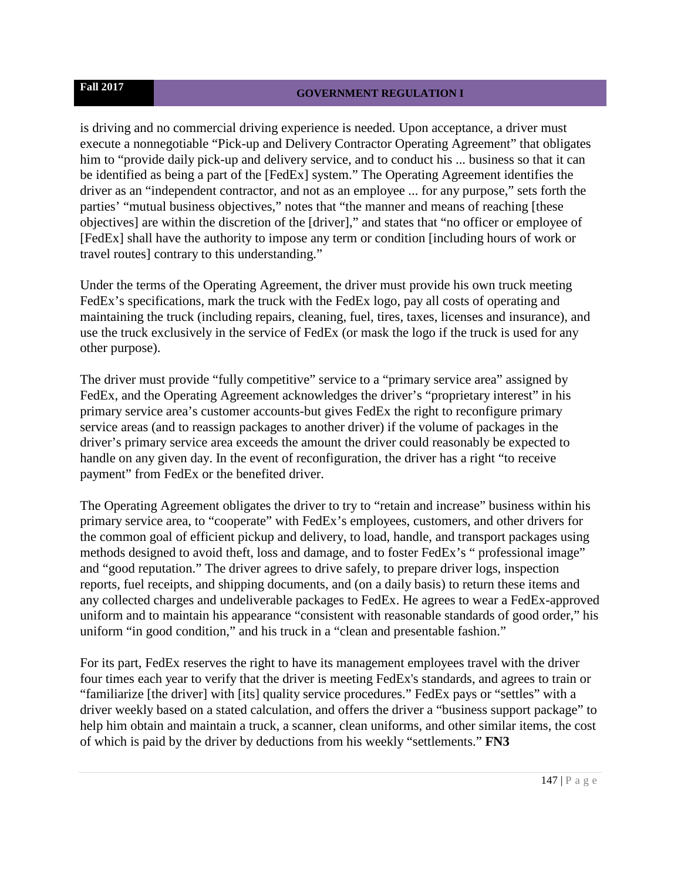is driving and no commercial driving experience is needed. Upon acceptance, a driver must execute a nonnegotiable "Pick-up and Delivery Contractor Operating Agreement" that obligates him to "provide daily pick-up and delivery service, and to conduct his ... business so that it can be identified as being a part of the [FedEx] system." The Operating Agreement identifies the driver as an "independent contractor, and not as an employee ... for any purpose," sets forth the parties' "mutual business objectives," notes that "the manner and means of reaching [these objectives] are within the discretion of the [driver]," and states that "no officer or employee of [FedEx] shall have the authority to impose any term or condition [including hours of work or travel routes] contrary to this understanding."

Under the terms of the Operating Agreement, the driver must provide his own truck meeting FedEx's specifications, mark the truck with the FedEx logo, pay all costs of operating and maintaining the truck (including repairs, cleaning, fuel, tires, taxes, licenses and insurance), and use the truck exclusively in the service of FedEx (or mask the logo if the truck is used for any other purpose).

The driver must provide "fully competitive" service to a "primary service area" assigned by FedEx, and the Operating Agreement acknowledges the driver's "proprietary interest" in his primary service area's customer accounts-but gives FedEx the right to reconfigure primary service areas (and to reassign packages to another driver) if the volume of packages in the driver's primary service area exceeds the amount the driver could reasonably be expected to handle on any given day. In the event of reconfiguration, the driver has a right "to receive payment" from FedEx or the benefited driver.

The Operating Agreement obligates the driver to try to "retain and increase" business within his primary service area, to "cooperate" with FedEx's employees, customers, and other drivers for the common goal of efficient pickup and delivery, to load, handle, and transport packages using methods designed to avoid theft, loss and damage, and to foster FedEx's " professional image" and "good reputation." The driver agrees to drive safely, to prepare driver logs, inspection reports, fuel receipts, and shipping documents, and (on a daily basis) to return these items and any collected charges and undeliverable packages to FedEx. He agrees to wear a FedEx-approved uniform and to maintain his appearance "consistent with reasonable standards of good order," his uniform "in good condition," and his truck in a "clean and presentable fashion."

For its part, FedEx reserves the right to have its management employees travel with the driver four times each year to verify that the driver is meeting FedEx's standards, and agrees to train or "familiarize [the driver] with [its] quality service procedures." FedEx pays or "settles" with a driver weekly based on a stated calculation, and offers the driver a "business support package" to help him obtain and maintain a truck, a scanner, clean uniforms, and other similar items, the cost of which is paid by the driver by deductions from his weekly "settlements." **[FN3](http://web2.westlaw.com/result/documenttext.aspx?rltdb=CLID_DB2901691&docsample=False&db=ALLSTATES&service=Search&sskey=CLID_SSSA2901691&effdate=1%2f1%2f0001+12%3a00%3a00+AM&fmqv=s&rlti=1&sv=Split&blinkedcitelist=False&fn=_top&cxt=DC&method=TNC&fcl=False&origin=Search&query=FEDEX+%26+da(last+180+days)&mt=LawSchoolPractitioner&eq=search&n=17&mqv=d&rlt=CLID_QRYRLT2901691&vr=2.0&rp=%2fsearch%2fdefault.wl&cnt=DOC&cfid=1&scxt=WL&rs=WLW7.11&ss=CNT#B00332012903697#B00332012903697)**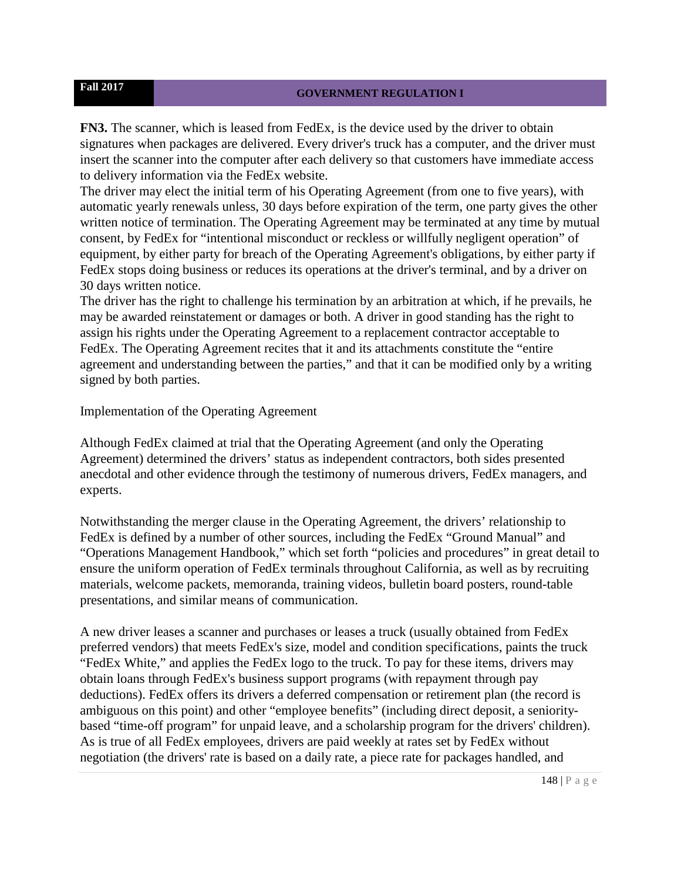**[FN3.](http://web2.westlaw.com/result/documenttext.aspx?rltdb=CLID_DB2901691&docsample=False&db=ALLSTATES&service=Search&sskey=CLID_SSSA2901691&effdate=1%2f1%2f0001+12%3a00%3a00+AM&fmqv=s&rlti=1&sv=Split&blinkedcitelist=False&fn=_top&cxt=DC&method=TNC&fcl=False&origin=Search&query=FEDEX+%26+da(last+180+days)&mt=LawSchoolPractitioner&eq=search&n=17&mqv=d&rlt=CLID_QRYRLT2901691&vr=2.0&rp=%2fsearch%2fdefault.wl&cnt=DOC&cfid=1&scxt=WL&rs=WLW7.11&ss=CNT#F00332012903697#F00332012903697)** The scanner, which is leased from FedEx, is the device used by the driver to obtain signatures when packages are delivered. Every driver's truck has a computer, and the driver must insert the scanner into the computer after each delivery so that customers have immediate access to delivery information via the FedEx website.

The driver may elect the initial term of his Operating Agreement (from one to five years), with automatic yearly renewals unless, 30 days before expiration of the term, one party gives the other written notice of termination. The Operating Agreement may be terminated at any time by mutual consent, by FedEx for "intentional misconduct or reckless or willfully negligent operation" of equipment, by either party for breach of the Operating Agreement's obligations, by either party if FedEx stops doing business or reduces its operations at the driver's terminal, and by a driver on 30 days written notice.

The driver has the right to challenge his termination by an arbitration at which, if he prevails, he may be awarded reinstatement or damages or both. A driver in good standing has the right to assign his rights under the Operating Agreement to a replacement contractor acceptable to FedEx. The Operating Agreement recites that it and its attachments constitute the "entire agreement and understanding between the parties," and that it can be modified only by a writing signed by both parties.

### Implementation of the Operating Agreement

Although FedEx claimed at trial that the Operating Agreement (and only the Operating Agreement) determined the drivers' status as independent contractors, both sides presented anecdotal and other evidence through the testimony of numerous drivers, FedEx managers, and experts.

Notwithstanding the merger clause in the Operating Agreement, the drivers' relationship to FedEx is defined by a number of other sources, including the FedEx "Ground Manual" and "Operations Management Handbook," which set forth "policies and procedures" in great detail to ensure the uniform operation of FedEx terminals throughout California, as well as by recruiting materials, welcome packets, memoranda, training videos, bulletin board posters, round-table presentations, and similar means of communication.

A new driver leases a scanner and purchases or leases a truck (usually obtained from FedEx preferred vendors) that meets FedEx's size, model and condition specifications, paints the truck "FedEx White," and applies the FedEx logo to the truck. To pay for these items, drivers may obtain loans through FedEx's business support programs (with repayment through pay deductions). FedEx offers its drivers a deferred compensation or retirement plan (the record is ambiguous on this point) and other "employee benefits" (including direct deposit, a senioritybased "time-off program" for unpaid leave, and a scholarship program for the drivers' children). As is true of all FedEx employees, drivers are paid weekly at rates set by FedEx without negotiation (the drivers' rate is based on a daily rate, a piece rate for packages handled, and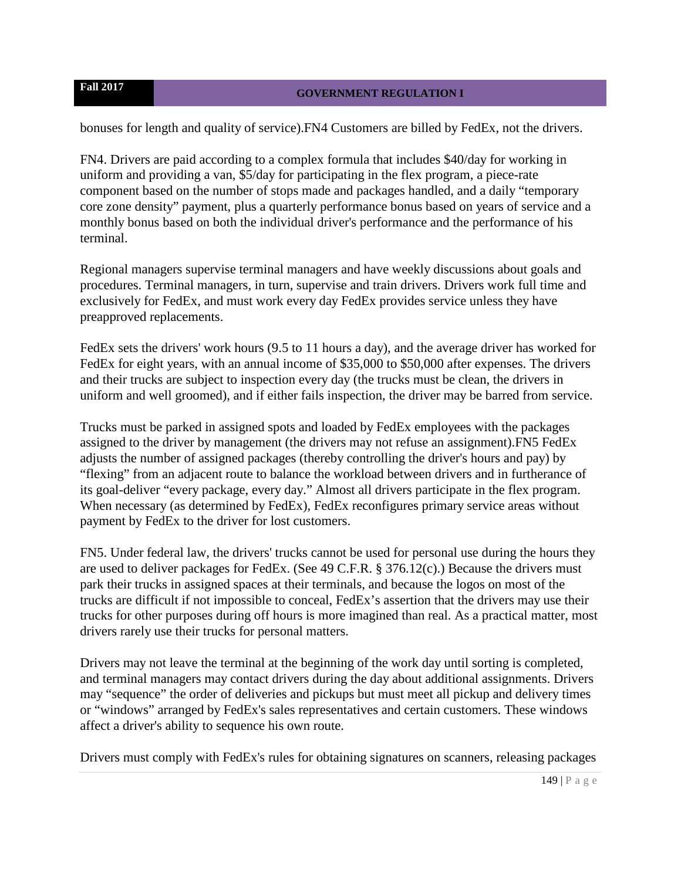bonuses for length and quality of service)[.FN4](http://web2.westlaw.com/result/documenttext.aspx?rltdb=CLID_DB2901691&docsample=False&db=ALLSTATES&service=Search&sskey=CLID_SSSA2901691&effdate=1%2f1%2f0001+12%3a00%3a00+AM&fmqv=s&rlti=1&sv=Split&blinkedcitelist=False&fn=_top&cxt=DC&method=TNC&fcl=False&origin=Search&query=FEDEX+%26+da(last+180+days)&mt=LawSchoolPractitioner&eq=search&n=17&mqv=d&rlt=CLID_QRYRLT2901691&vr=2.0&rp=%2fsearch%2fdefault.wl&cnt=DOC&cfid=1&scxt=WL&rs=WLW7.11&ss=CNT#B00442012903697#B00442012903697) Customers are billed by FedEx, not the drivers.

[FN4.](http://web2.westlaw.com/result/documenttext.aspx?rltdb=CLID_DB2901691&docsample=False&db=ALLSTATES&service=Search&sskey=CLID_SSSA2901691&effdate=1%2f1%2f0001+12%3a00%3a00+AM&fmqv=s&rlti=1&sv=Split&blinkedcitelist=False&fn=_top&cxt=DC&method=TNC&fcl=False&origin=Search&query=FEDEX+%26+da(last+180+days)&mt=LawSchoolPractitioner&eq=search&n=17&mqv=d&rlt=CLID_QRYRLT2901691&vr=2.0&rp=%2fsearch%2fdefault.wl&cnt=DOC&cfid=1&scxt=WL&rs=WLW7.11&ss=CNT#F00442012903697#F00442012903697) Drivers are paid according to a complex formula that includes \$40/day for working in uniform and providing a van, \$5/day for participating in the flex program, a piece-rate component based on the number of stops made and packages handled, and a daily "temporary core zone density" payment, plus a quarterly performance bonus based on years of service and a monthly bonus based on both the individual driver's performance and the performance of his terminal.

Regional managers supervise terminal managers and have weekly discussions about goals and procedures. Terminal managers, in turn, supervise and train drivers. Drivers work full time and exclusively for FedEx, and must work every day FedEx provides service unless they have preapproved replacements.

FedEx sets the drivers' work hours (9.5 to 11 hours a day), and the average driver has worked for FedEx for eight years, with an annual income of \$35,000 to \$50,000 after expenses. The drivers and their trucks are subject to inspection every day (the trucks must be clean, the drivers in uniform and well groomed), and if either fails inspection, the driver may be barred from service.

Trucks must be parked in assigned spots and loaded by FedEx employees with the packages assigned to the driver by management (the drivers may not refuse an assignment)[.FN5](http://web2.westlaw.com/result/documenttext.aspx?rltdb=CLID_DB2901691&docsample=False&db=ALLSTATES&service=Search&sskey=CLID_SSSA2901691&effdate=1%2f1%2f0001+12%3a00%3a00+AM&fmqv=s&rlti=1&sv=Split&blinkedcitelist=False&fn=_top&cxt=DC&method=TNC&fcl=False&origin=Search&query=FEDEX+%26+da(last+180+days)&mt=LawSchoolPractitioner&eq=search&n=17&mqv=d&rlt=CLID_QRYRLT2901691&vr=2.0&rp=%2fsearch%2fdefault.wl&cnt=DOC&cfid=1&scxt=WL&rs=WLW7.11&ss=CNT#B00552012903697#B00552012903697) FedEx adjusts the number of assigned packages (thereby controlling the driver's hours and pay) by "flexing" from an adjacent route to balance the workload between drivers and in furtherance of its goal-deliver "every package, every day." Almost all drivers participate in the flex program. When necessary (as determined by FedEx), FedEx reconfigures primary service areas without payment by FedEx to the driver for lost customers.

[FN5.](http://web2.westlaw.com/result/documenttext.aspx?rltdb=CLID_DB2901691&docsample=False&db=ALLSTATES&service=Search&sskey=CLID_SSSA2901691&effdate=1%2f1%2f0001+12%3a00%3a00+AM&fmqv=s&rlti=1&sv=Split&blinkedcitelist=False&fn=_top&cxt=DC&method=TNC&fcl=False&origin=Search&query=FEDEX+%26+da(last+180+days)&mt=LawSchoolPractitioner&eq=search&n=17&mqv=d&rlt=CLID_QRYRLT2901691&vr=2.0&rp=%2fsearch%2fdefault.wl&cnt=DOC&cfid=1&scxt=WL&rs=WLW7.11&ss=CNT#F00552012903697#F00552012903697) Under federal law, the drivers' trucks cannot be used for personal use during the hours they are used to deliver packages for FedEx. (See [49 C.F.R. § 376.12\(c\).](http://web2.westlaw.com/find/default.wl?tf=-1&rs=WLW7.11&referencepositiontype=T&referenceposition=SP%3b4b24000003ba5&fn=_top&sv=Split&tc=-1&findtype=L&docname=49CFRS376.12&db=1000547&vr=2.0&rp=%2ffind%2fdefault.wl&mt=LawSchoolPractitioner)) Because the drivers must park their trucks in assigned spaces at their terminals, and because the logos on most of the trucks are difficult if not impossible to conceal, FedEx's assertion that the drivers may use their trucks for other purposes during off hours is more imagined than real. As a practical matter, most drivers rarely use their trucks for personal matters.

Drivers may not leave the terminal at the beginning of the work day until sorting is completed, and terminal managers may contact drivers during the day about additional assignments. Drivers may "sequence" the order of deliveries and pickups but must meet all pickup and delivery times or "windows" arranged by FedEx's sales representatives and certain customers. These windows affect a driver's ability to sequence his own route.

Drivers must comply with FedEx's rules for obtaining signatures on scanners, releasing packages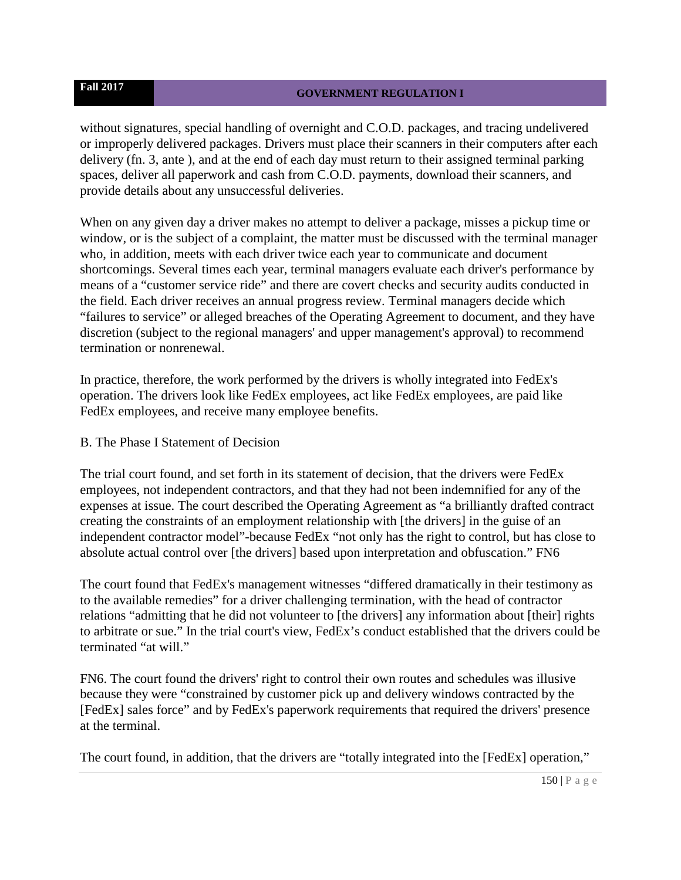without signatures, special handling of overnight and C.O.D. packages, and tracing undelivered or improperly delivered packages. Drivers must place their scanners in their computers after each delivery (fn. 3, ante ), and at the end of each day must return to their assigned terminal parking spaces, deliver all paperwork and cash from C.O.D. payments, download their scanners, and provide details about any unsuccessful deliveries.

When on any given day a driver makes no attempt to deliver a package, misses a pickup time or window, or is the subject of a complaint, the matter must be discussed with the terminal manager who, in addition, meets with each driver twice each year to communicate and document shortcomings. Several times each year, terminal managers evaluate each driver's performance by means of a "customer service ride" and there are covert checks and security audits conducted in the field. Each driver receives an annual progress review. Terminal managers decide which "failures to service" or alleged breaches of the Operating Agreement to document, and they have discretion (subject to the regional managers' and upper management's approval) to recommend termination or nonrenewal.

In practice, therefore, the work performed by the drivers is wholly integrated into FedEx's operation. The drivers look like FedEx employees, act like FedEx employees, are paid like FedEx employees, and receive many employee benefits.

### B. The Phase I Statement of Decision

The trial court found, and set forth in its statement of decision, that the drivers were FedEx employees, not independent contractors, and that they had not been indemnified for any of the expenses at issue. The court described the Operating Agreement as "a brilliantly drafted contract creating the constraints of an employment relationship with [the drivers] in the guise of an independent contractor model"-because FedEx "not only has the right to control, but has close to absolute actual control over [the drivers] based upon interpretation and obfuscation." [FN6](http://web2.westlaw.com/result/documenttext.aspx?rltdb=CLID_DB2901691&docsample=False&db=ALLSTATES&service=Search&sskey=CLID_SSSA2901691&effdate=1%2f1%2f0001+12%3a00%3a00+AM&fmqv=s&rlti=1&sv=Split&blinkedcitelist=False&fn=_top&cxt=DC&method=TNC&fcl=False&origin=Search&query=FEDEX+%26+da(last+180+days)&mt=LawSchoolPractitioner&eq=search&n=17&mqv=d&rlt=CLID_QRYRLT2901691&vr=2.0&rp=%2fsearch%2fdefault.wl&cnt=DOC&cfid=1&scxt=WL&rs=WLW7.11&ss=CNT#B00662012903697#B00662012903697)

The court found that FedEx's management witnesses "differed dramatically in their testimony as to the available remedies" for a driver challenging termination, with the head of contractor relations "admitting that he did not volunteer to [the drivers] any information about [their] rights to arbitrate or sue." In the trial court's view, FedEx's conduct established that the drivers could be terminated "at will."

[FN6.](http://web2.westlaw.com/result/documenttext.aspx?rltdb=CLID_DB2901691&docsample=False&db=ALLSTATES&service=Search&sskey=CLID_SSSA2901691&effdate=1%2f1%2f0001+12%3a00%3a00+AM&fmqv=s&rlti=1&sv=Split&blinkedcitelist=False&fn=_top&cxt=DC&method=TNC&fcl=False&origin=Search&query=FEDEX+%26+da(last+180+days)&mt=LawSchoolPractitioner&eq=search&n=17&mqv=d&rlt=CLID_QRYRLT2901691&vr=2.0&rp=%2fsearch%2fdefault.wl&cnt=DOC&cfid=1&scxt=WL&rs=WLW7.11&ss=CNT#F00662012903697#F00662012903697) The court found the drivers' right to control their own routes and schedules was illusive because they were "constrained by customer pick up and delivery windows contracted by the [FedEx] sales force" and by FedEx's paperwork requirements that required the drivers' presence at the terminal.

The court found, in addition, that the drivers are "totally integrated into the [FedEx] operation,"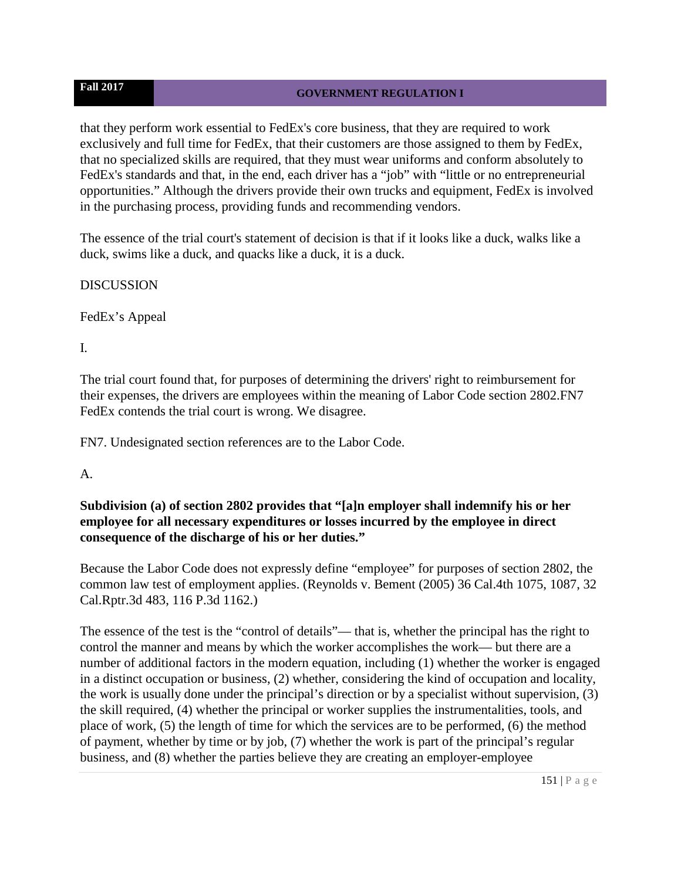that they perform work essential to FedEx's core business, that they are required to work exclusively and full time for FedEx, that their customers are those assigned to them by FedEx, that no specialized skills are required, that they must wear uniforms and conform absolutely to FedEx's standards and that, in the end, each driver has a "job" with "little or no entrepreneurial opportunities." Although the drivers provide their own trucks and equipment, FedEx is involved in the purchasing process, providing funds and recommending vendors.

The essence of the trial court's statement of decision is that if it looks like a duck, walks like a duck, swims like a duck, and quacks like a duck, it is a duck.

DISCUSSION

FedEx's Appeal

I.

The trial court found that, for purposes of determining the drivers' right to reimbursement for their expenses, the drivers are employees within the meaning of [Labor Code section 2802](http://web2.westlaw.com/find/default.wl?tf=-1&rs=WLW7.11&fn=_top&sv=Split&tc=-1&findtype=L&docname=CALBS2802&db=1000215&vr=2.0&rp=%2ffind%2fdefault.wl&mt=LawSchoolPractitioner)[.FN7](http://web2.westlaw.com/result/documenttext.aspx?rltdb=CLID_DB2901691&docsample=False&db=ALLSTATES&service=Search&sskey=CLID_SSSA2901691&effdate=1%2f1%2f0001+12%3a00%3a00+AM&fmqv=s&rlti=1&sv=Split&blinkedcitelist=False&fn=_top&cxt=DC&method=TNC&fcl=False&origin=Search&query=FEDEX+%26+da(last+180+days)&mt=LawSchoolPractitioner&eq=search&n=17&mqv=d&rlt=CLID_QRYRLT2901691&vr=2.0&rp=%2fsearch%2fdefault.wl&cnt=DOC&cfid=1&scxt=WL&rs=WLW7.11&ss=CNT#B00772012903697#B00772012903697) FedEx contends the trial court is wrong. We disagree.

[FN7.](http://web2.westlaw.com/result/documenttext.aspx?rltdb=CLID_DB2901691&docsample=False&db=ALLSTATES&service=Search&sskey=CLID_SSSA2901691&effdate=1%2f1%2f0001+12%3a00%3a00+AM&fmqv=s&rlti=1&sv=Split&blinkedcitelist=False&fn=_top&cxt=DC&method=TNC&fcl=False&origin=Search&query=FEDEX+%26+da(last+180+days)&mt=LawSchoolPractitioner&eq=search&n=17&mqv=d&rlt=CLID_QRYRLT2901691&vr=2.0&rp=%2fsearch%2fdefault.wl&cnt=DOC&cfid=1&scxt=WL&rs=WLW7.11&ss=CNT#F00772012903697#F00772012903697) Undesignated section references are to the Labor Code.

A.

### **[Subdivision \(a\) of section 2802](http://web2.westlaw.com/find/default.wl?tf=-1&rs=WLW7.11&fn=_top&sv=Split&tc=-1&findtype=L&docname=CALBS2802&db=1000215&vr=2.0&rp=%2ffind%2fdefault.wl&mt=LawSchoolPractitioner) provides that "[a]n employer shall indemnify his or her employee for all necessary expenditures or losses incurred by the employee in direct consequence of the discharge of his or her duties."**

Because the Labor Code does not expressly define "employee" for purposes of [section 2802,](http://web2.westlaw.com/find/default.wl?tf=-1&rs=WLW7.11&fn=_top&sv=Split&tc=-1&findtype=L&docname=CALBS2802&db=1000215&vr=2.0&rp=%2ffind%2fdefault.wl&mt=LawSchoolPractitioner) the common law test of employment applies. [\(Reynolds v. Bement \(2005\) 36 Cal.4th 1075, 1087, 32](http://web2.westlaw.com/find/default.wl?rs=WLW7.11&serialnum=2007113942&fn=_top&sv=Split&tc=-1&findtype=Y&tf=-1&db=4645&vr=2.0&rp=%2ffind%2fdefault.wl&mt=LawSchoolPractitioner)  [Cal.Rptr.3d 483, 116 P.3d 1162.\)](http://web2.westlaw.com/find/default.wl?rs=WLW7.11&serialnum=2007113942&fn=_top&sv=Split&tc=-1&findtype=Y&tf=-1&db=4645&vr=2.0&rp=%2ffind%2fdefault.wl&mt=LawSchoolPractitioner)

The essence of the test is the "control of details"— that is, whether the principal has the right to control the manner and means by which the worker accomplishes the work— but there are a number of additional factors in the modern equation, including (1) whether the worker is engaged in a distinct occupation or business, (2) whether, considering the kind of occupation and locality, the work is usually done under the principal's direction or by a specialist without supervision, (3) the skill required, (4) whether the principal or worker supplies the instrumentalities, tools, and place of work, (5) the length of time for which the services are to be performed, (6) the method of payment, whether by time or by job, (7) whether the work is part of the principal's regular business, and (8) whether the parties believe they are creating an employer-employee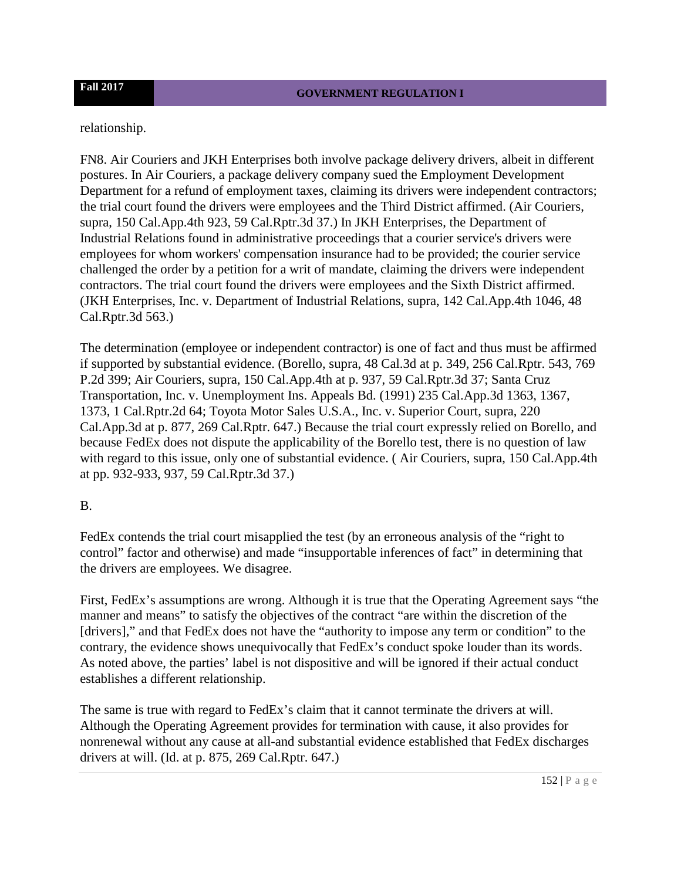### relationship.

[FN8.](http://web2.westlaw.com/result/documenttext.aspx?rltdb=CLID_DB2901691&docsample=False&db=ALLSTATES&service=Search&sskey=CLID_SSSA2901691&effdate=1%2f1%2f0001+12%3a00%3a00+AM&fmqv=s&rlti=1&sv=Split&blinkedcitelist=False&fn=_top&cxt=DC&method=TNC&fcl=False&origin=Search&query=FEDEX+%26+da(last+180+days)&mt=LawSchoolPractitioner&eq=search&n=17&mqv=d&rlt=CLID_QRYRLT2901691&vr=2.0&rp=%2fsearch%2fdefault.wl&cnt=DOC&cfid=1&scxt=WL&rs=WLW7.11&ss=CNT#F00882012903697#F00882012903697) [Air Couriers](http://web2.westlaw.com/find/default.wl?rs=WLW7.11&serialnum=2011934885&sv=Split&fn=_top&findtype=Y&tc=-1&tf=-1&vr=2.0&rp=%2ffind%2fdefault.wl&mt=LawSchoolPractitioner) and [JKH Enterprises](http://web2.westlaw.com/find/default.wl?rs=WLW7.11&serialnum=2009771497&sv=Split&fn=_top&findtype=Y&tc=-1&tf=-1&vr=2.0&rp=%2ffind%2fdefault.wl&mt=LawSchoolPractitioner) both involve package delivery drivers, albeit in different postures. In [Air Couriers,](http://web2.westlaw.com/find/default.wl?rs=WLW7.11&serialnum=2011934885&sv=Split&fn=_top&findtype=Y&tc=-1&tf=-1&vr=2.0&rp=%2ffind%2fdefault.wl&mt=LawSchoolPractitioner) a package delivery company sued the Employment Development Department for a refund of employment taxes, claiming its drivers were independent contractors; the trial court found the drivers were employees and the Third District affirmed. [\(Air Couriers,](http://web2.westlaw.com/find/default.wl?rs=WLW7.11&serialnum=2011934885&fn=_top&sv=Split&tc=-1&findtype=Y&tf=-1&db=7047&vr=2.0&rp=%2ffind%2fdefault.wl&mt=LawSchoolPractitioner)  [supra, 150 Cal.App.4th 923, 59 Cal.Rptr.3d 37.\)](http://web2.westlaw.com/find/default.wl?rs=WLW7.11&serialnum=2011934885&fn=_top&sv=Split&tc=-1&findtype=Y&tf=-1&db=7047&vr=2.0&rp=%2ffind%2fdefault.wl&mt=LawSchoolPractitioner) In [JKH Enterprises,](http://web2.westlaw.com/find/default.wl?rs=WLW7.11&serialnum=2009771497&sv=Split&fn=_top&findtype=Y&tc=-1&tf=-1&vr=2.0&rp=%2ffind%2fdefault.wl&mt=LawSchoolPractitioner) the Department of Industrial Relations found in administrative proceedings that a courier service's drivers were employees for whom workers' compensation insurance had to be provided; the courier service challenged the order by a petition for a writ of mandate, claiming the drivers were independent contractors. The trial court found the drivers were employees and the Sixth District affirmed. [\(JKH Enterprises, Inc. v. Department of Industrial Relations, supra, 142 Cal.App.4th 1046, 48](http://web2.westlaw.com/find/default.wl?rs=WLW7.11&serialnum=2009771497&fn=_top&sv=Split&tc=-1&findtype=Y&tf=-1&db=7047&vr=2.0&rp=%2ffind%2fdefault.wl&mt=LawSchoolPractitioner)  [Cal.Rptr.3d 563.\)](http://web2.westlaw.com/find/default.wl?rs=WLW7.11&serialnum=2009771497&fn=_top&sv=Split&tc=-1&findtype=Y&tf=-1&db=7047&vr=2.0&rp=%2ffind%2fdefault.wl&mt=LawSchoolPractitioner)

The determination (employee or independent contractor) is one of fact and thus must be affirmed if supported by substantial evidence. [\(Borello, supra, 48 Cal.3d at p. 349, 256 Cal.Rptr. 543, 769](http://web2.westlaw.com/find/default.wl?rs=WLW7.11&serialnum=1989044696&fn=_top&sv=Split&tc=-1&findtype=Y&tf=-1&db=661&vr=2.0&rp=%2ffind%2fdefault.wl&mt=LawSchoolPractitioner)  [P.2d 399;](http://web2.westlaw.com/find/default.wl?rs=WLW7.11&serialnum=1989044696&fn=_top&sv=Split&tc=-1&findtype=Y&tf=-1&db=661&vr=2.0&rp=%2ffind%2fdefault.wl&mt=LawSchoolPractitioner) [Air Couriers, supra, 150 Cal.App.4th at p. 937, 59 Cal.Rptr.3d 37;](http://web2.westlaw.com/find/default.wl?rs=WLW7.11&serialnum=2011934885&fn=_top&sv=Split&tc=-1&findtype=Y&tf=-1&db=7047&vr=2.0&rp=%2ffind%2fdefault.wl&mt=LawSchoolPractitioner) [Santa Cruz](http://web2.westlaw.com/find/default.wl?rs=WLW7.11&serialnum=1991184438&fn=_top&sv=Split&tc=-1&findtype=Y&tf=-1&db=3484&vr=2.0&rp=%2ffind%2fdefault.wl&mt=LawSchoolPractitioner)  [Transportation, Inc. v. Unemployment Ins. Appeals Bd. \(1991\) 235 Cal.App.3d 1363, 1367,](http://web2.westlaw.com/find/default.wl?rs=WLW7.11&serialnum=1991184438&fn=_top&sv=Split&tc=-1&findtype=Y&tf=-1&db=3484&vr=2.0&rp=%2ffind%2fdefault.wl&mt=LawSchoolPractitioner)  [1373, 1 Cal.Rptr.2d 64;](http://web2.westlaw.com/find/default.wl?rs=WLW7.11&serialnum=1991184438&fn=_top&sv=Split&tc=-1&findtype=Y&tf=-1&db=3484&vr=2.0&rp=%2ffind%2fdefault.wl&mt=LawSchoolPractitioner) [Toyota Motor Sales U.S.A., Inc. v. Superior Court, supra, 220](http://web2.westlaw.com/find/default.wl?rs=WLW7.11&serialnum=1990083905&fn=_top&sv=Split&tc=-1&findtype=Y&tf=-1&db=227&vr=2.0&rp=%2ffind%2fdefault.wl&mt=LawSchoolPractitioner)  [Cal.App.3d at p. 877, 269 Cal.Rptr. 647.\)](http://web2.westlaw.com/find/default.wl?rs=WLW7.11&serialnum=1990083905&fn=_top&sv=Split&tc=-1&findtype=Y&tf=-1&db=227&vr=2.0&rp=%2ffind%2fdefault.wl&mt=LawSchoolPractitioner) Because the trial court expressly relied on [Borello,](http://web2.westlaw.com/find/default.wl?rs=WLW7.11&serialnum=1989044696&sv=Split&fn=_top&findtype=Y&tc=-1&tf=-1&vr=2.0&rp=%2ffind%2fdefault.wl&mt=LawSchoolPractitioner) and because FedEx does not dispute the applicability of the [Borello](http://web2.westlaw.com/find/default.wl?rs=WLW7.11&serialnum=1989044696&sv=Split&fn=_top&findtype=Y&tc=-1&tf=-1&vr=2.0&rp=%2ffind%2fdefault.wl&mt=LawSchoolPractitioner) test, there is no question of law with regard to this issue, only one of substantial evidence. [\( Air Couriers, supra, 150 Cal.App.4th](http://web2.westlaw.com/find/default.wl?rs=WLW7.11&serialnum=2011934885&fn=_top&sv=Split&tc=-1&findtype=Y&tf=-1&db=7047&vr=2.0&rp=%2ffind%2fdefault.wl&mt=LawSchoolPractitioner)  [at pp. 932-933, 937, 59 Cal.Rptr.3d 37.\)](http://web2.westlaw.com/find/default.wl?rs=WLW7.11&serialnum=2011934885&fn=_top&sv=Split&tc=-1&findtype=Y&tf=-1&db=7047&vr=2.0&rp=%2ffind%2fdefault.wl&mt=LawSchoolPractitioner)

### B.

FedEx contends the trial court misapplied the test (by an erroneous analysis of the "right to control" factor and otherwise) and made "insupportable inferences of fact" in determining that the drivers are employees. We disagree.

First, FedEx's assumptions are wrong. Although it is true that the Operating Agreement says "the manner and means" to satisfy the objectives of the contract "are within the discretion of the [drivers]," and that FedEx does not have the "authority to impose any term or condition" to the contrary, the evidence shows unequivocally that FedEx's conduct spoke louder than its words. As noted above, the parties' label is not dispositive and will be ignored if their actual conduct establishes a different relationship.

The same is true with regard to FedEx's claim that it cannot terminate the drivers at will. Although the Operating Agreement provides for termination with cause, it also provides for nonrenewal without any cause at all-and substantial evidence established that FedEx discharges drivers at will. [\(Id. at p. 875, 269 Cal.Rptr. 647.\)](http://web2.westlaw.com/find/default.wl?rs=WLW7.11&serialnum=1990083905&fn=_top&sv=Split&tc=-1&findtype=Y&tf=-1&db=227&vr=2.0&rp=%2ffind%2fdefault.wl&mt=LawSchoolPractitioner)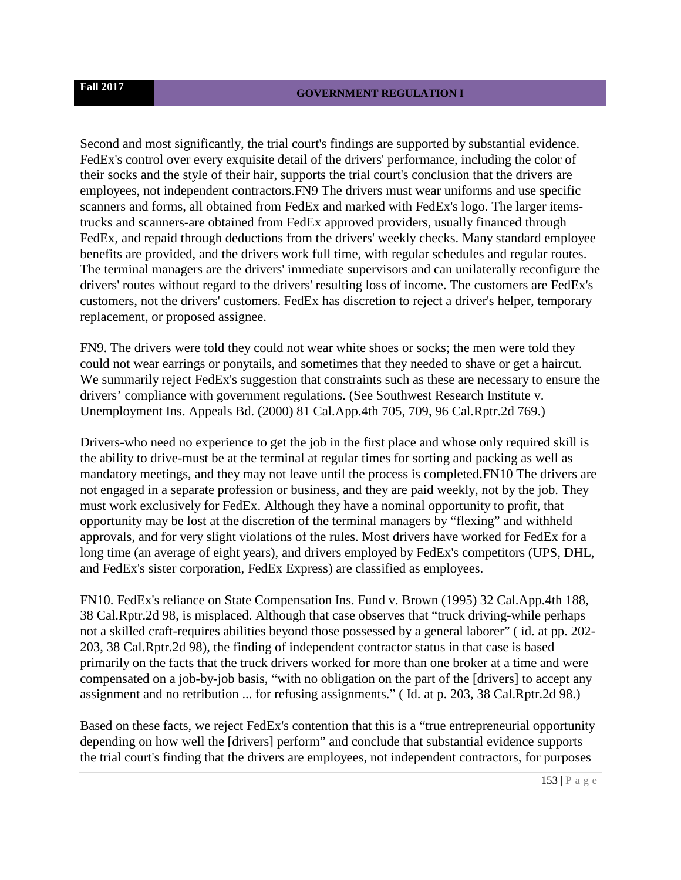Second and most significantly, the trial court's findings are supported by substantial evidence. FedEx's control over every exquisite detail of the drivers' performance, including the color of their socks and the style of their hair, supports the trial court's conclusion that the drivers are employees, not independent contractors[.FN9](http://web2.westlaw.com/result/documenttext.aspx?rltdb=CLID_DB2901691&docsample=False&db=ALLSTATES&service=Search&sskey=CLID_SSSA2901691&effdate=1%2f1%2f0001+12%3a00%3a00+AM&fmqv=s&rlti=1&sv=Split&blinkedcitelist=False&fn=_top&cxt=DC&method=TNC&fcl=False&origin=Search&query=FEDEX+%26+da(last+180+days)&mt=LawSchoolPractitioner&eq=search&n=17&mqv=d&rlt=CLID_QRYRLT2901691&vr=2.0&rp=%2fsearch%2fdefault.wl&cnt=DOC&cfid=1&scxt=WL&rs=WLW7.11&ss=CNT#B00992012903697#B00992012903697) The drivers must wear uniforms and use specific scanners and forms, all obtained from FedEx and marked with FedEx's logo. The larger itemstrucks and scanners-are obtained from FedEx approved providers, usually financed through FedEx, and repaid through deductions from the drivers' weekly checks. Many standard employee benefits are provided, and the drivers work full time, with regular schedules and regular routes. The terminal managers are the drivers' immediate supervisors and can unilaterally reconfigure the drivers' routes without regard to the drivers' resulting loss of income. The customers are FedEx's customers, not the drivers' customers. FedEx has discretion to reject a driver's helper, temporary replacement, or proposed assignee.

[FN9.](http://web2.westlaw.com/result/documenttext.aspx?rltdb=CLID_DB2901691&docsample=False&db=ALLSTATES&service=Search&sskey=CLID_SSSA2901691&effdate=1%2f1%2f0001+12%3a00%3a00+AM&fmqv=s&rlti=1&sv=Split&blinkedcitelist=False&fn=_top&cxt=DC&method=TNC&fcl=False&origin=Search&query=FEDEX+%26+da(last+180+days)&mt=LawSchoolPractitioner&eq=search&n=17&mqv=d&rlt=CLID_QRYRLT2901691&vr=2.0&rp=%2fsearch%2fdefault.wl&cnt=DOC&cfid=1&scxt=WL&rs=WLW7.11&ss=CNT#F00992012903697#F00992012903697) The drivers were told they could not wear white shoes or socks; the men were told they could not wear earrings or ponytails, and sometimes that they needed to shave or get a haircut. We summarily reject FedEx's suggestion that constraints such as these are necessary to ensure the drivers' compliance with government regulations. (See [Southwest Research Institute v.](http://web2.westlaw.com/find/default.wl?rs=WLW7.11&serialnum=2000381561&fn=_top&sv=Split&tc=-1&findtype=Y&tf=-1&db=3484&vr=2.0&rp=%2ffind%2fdefault.wl&mt=LawSchoolPractitioner)  [Unemployment Ins. Appeals Bd. \(2000\) 81 Cal.App.4th 705, 709, 96 Cal.Rptr.2d 769.\)](http://web2.westlaw.com/find/default.wl?rs=WLW7.11&serialnum=2000381561&fn=_top&sv=Split&tc=-1&findtype=Y&tf=-1&db=3484&vr=2.0&rp=%2ffind%2fdefault.wl&mt=LawSchoolPractitioner)

Drivers-who need no experience to get the job in the first place and whose only required skill is the ability to drive-must be at the terminal at regular times for sorting and packing as well as mandatory meetings, and they may not leave until the process is completed[.FN10](http://web2.westlaw.com/result/documenttext.aspx?rltdb=CLID_DB2901691&docsample=False&db=ALLSTATES&service=Search&sskey=CLID_SSSA2901691&effdate=1%2f1%2f0001+12%3a00%3a00+AM&fmqv=s&rlti=1&sv=Split&blinkedcitelist=False&fn=_top&cxt=DC&method=TNC&fcl=False&origin=Search&query=FEDEX+%26+da(last+180+days)&mt=LawSchoolPractitioner&eq=search&n=17&mqv=d&rlt=CLID_QRYRLT2901691&vr=2.0&rp=%2fsearch%2fdefault.wl&cnt=DOC&cfid=1&scxt=WL&rs=WLW7.11&ss=CNT#B010102012903697#B010102012903697) The drivers are not engaged in a separate profession or business, and they are paid weekly, not by the job. They must work exclusively for FedEx. Although they have a nominal opportunity to profit, that opportunity may be lost at the discretion of the terminal managers by "flexing" and withheld approvals, and for very slight violations of the rules. Most drivers have worked for FedEx for a long time (an average of eight years), and drivers employed by FedEx's competitors (UPS, DHL, and FedEx's sister corporation, FedEx Express) are classified as employees.

[FN10.](http://web2.westlaw.com/result/documenttext.aspx?rltdb=CLID_DB2901691&docsample=False&db=ALLSTATES&service=Search&sskey=CLID_SSSA2901691&effdate=1%2f1%2f0001+12%3a00%3a00+AM&fmqv=s&rlti=1&sv=Split&blinkedcitelist=False&fn=_top&cxt=DC&method=TNC&fcl=False&origin=Search&query=FEDEX+%26+da(last+180+days)&mt=LawSchoolPractitioner&eq=search&n=17&mqv=d&rlt=CLID_QRYRLT2901691&vr=2.0&rp=%2fsearch%2fdefault.wl&cnt=DOC&cfid=1&scxt=WL&rs=WLW7.11&ss=CNT#F010102012903697#F010102012903697) FedEx's reliance on [State Compensation Ins. Fund v. Brown \(1995\) 32 Cal.App.4th 188,](http://web2.westlaw.com/find/default.wl?rs=WLW7.11&serialnum=1995045188&fn=_top&sv=Split&tc=-1&findtype=Y&tf=-1&db=3484&vr=2.0&rp=%2ffind%2fdefault.wl&mt=LawSchoolPractitioner)  [38 Cal.Rptr.2d 98,](http://web2.westlaw.com/find/default.wl?rs=WLW7.11&serialnum=1995045188&fn=_top&sv=Split&tc=-1&findtype=Y&tf=-1&db=3484&vr=2.0&rp=%2ffind%2fdefault.wl&mt=LawSchoolPractitioner) is misplaced. Although that case observes that "truck driving-while perhaps not a skilled craft-requires abilities beyond those possessed by a general laborer" [\( id. at pp. 202-](http://web2.westlaw.com/find/default.wl?rs=WLW7.11&serialnum=1995045188&fn=_top&sv=Split&tc=-1&findtype=Y&tf=-1&db=3484&vr=2.0&rp=%2ffind%2fdefault.wl&mt=LawSchoolPractitioner) [203, 38 Cal.Rptr.2d 98\),](http://web2.westlaw.com/find/default.wl?rs=WLW7.11&serialnum=1995045188&fn=_top&sv=Split&tc=-1&findtype=Y&tf=-1&db=3484&vr=2.0&rp=%2ffind%2fdefault.wl&mt=LawSchoolPractitioner) the finding of independent contractor status in that case is based primarily on the facts that the truck drivers worked for more than one broker at a time and were compensated on a job-by-job basis, "with no obligation on the part of the [drivers] to accept any assignment and no retribution ... for refusing assignments." [\( Id. at p. 203, 38 Cal.Rptr.2d 98.\)](http://web2.westlaw.com/find/default.wl?rs=WLW7.11&serialnum=1995045188&fn=_top&sv=Split&tc=-1&findtype=Y&tf=-1&db=3484&vr=2.0&rp=%2ffind%2fdefault.wl&mt=LawSchoolPractitioner)

Based on these facts, we reject FedEx's contention that this is a "true entrepreneurial opportunity depending on how well the [drivers] perform" and conclude that substantial evidence supports the trial court's finding that the drivers are employees, not independent contractors, for purposes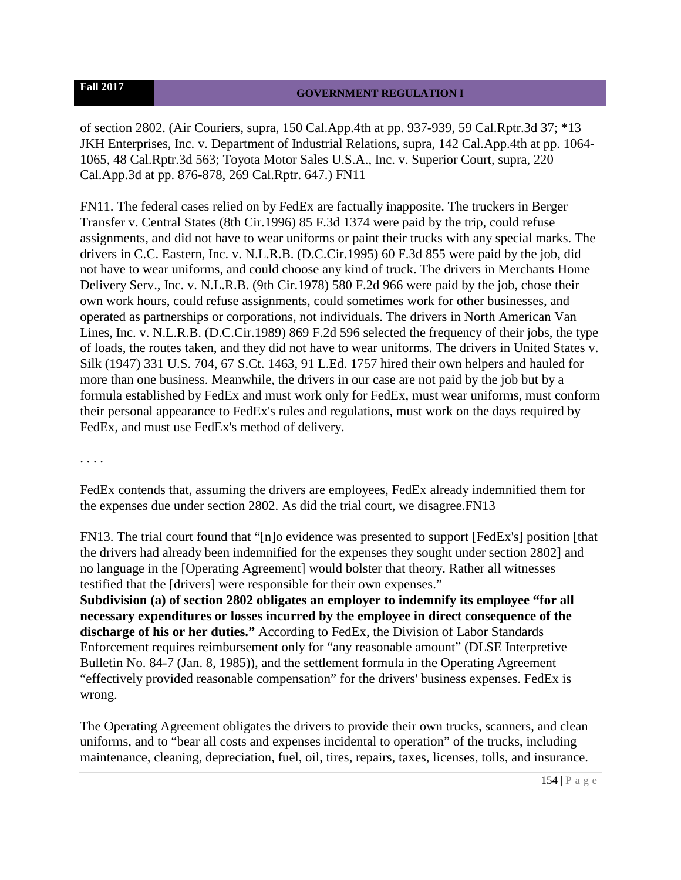of [section 2802.](http://web2.westlaw.com/find/default.wl?tf=-1&rs=WLW7.11&fn=_top&sv=Split&tc=-1&findtype=L&docname=CALBS2802&db=1000215&vr=2.0&rp=%2ffind%2fdefault.wl&mt=LawSchoolPractitioner) [\(Air Couriers, supra, 150 Cal.App.4th at pp. 937-939, 59 Cal.Rptr.3d 37;](http://web2.westlaw.com/find/default.wl?rs=WLW7.11&serialnum=2011934885&fn=_top&sv=Split&tc=-1&findtype=Y&tf=-1&db=7047&vr=2.0&rp=%2ffind%2fdefault.wl&mt=LawSchoolPractitioner) \*13 [JKH Enterprises, Inc. v. Department of Industrial Relations, supra, 142 Cal.App.4th at pp. 1064-](http://web2.westlaw.com/find/default.wl?rs=WLW7.11&serialnum=2009771497&fn=_top&sv=Split&tc=-1&findtype=Y&tf=-1&db=7047&vr=2.0&rp=%2ffind%2fdefault.wl&mt=LawSchoolPractitioner) [1065, 48 Cal.Rptr.3d 563;](http://web2.westlaw.com/find/default.wl?rs=WLW7.11&serialnum=2009771497&fn=_top&sv=Split&tc=-1&findtype=Y&tf=-1&db=7047&vr=2.0&rp=%2ffind%2fdefault.wl&mt=LawSchoolPractitioner) [Toyota Motor Sales U.S.A., Inc. v. Superior](http://web2.westlaw.com/find/default.wl?rs=WLW7.11&serialnum=1990083905&fn=_top&sv=Split&tc=-1&findtype=Y&tf=-1&db=227&vr=2.0&rp=%2ffind%2fdefault.wl&mt=LawSchoolPractitioner) Court, supra, 220 [Cal.App.3d at pp. 876-878, 269 Cal.Rptr. 647.\)](http://web2.westlaw.com/find/default.wl?rs=WLW7.11&serialnum=1990083905&fn=_top&sv=Split&tc=-1&findtype=Y&tf=-1&db=227&vr=2.0&rp=%2ffind%2fdefault.wl&mt=LawSchoolPractitioner) [FN11](http://web2.westlaw.com/result/documenttext.aspx?rltdb=CLID_DB2901691&docsample=False&db=ALLSTATES&service=Search&sskey=CLID_SSSA2901691&effdate=1%2f1%2f0001+12%3a00%3a00+AM&fmqv=s&rlti=1&sv=Split&blinkedcitelist=False&fn=_top&cxt=DC&method=TNC&fcl=False&origin=Search&query=FEDEX+%26+da(last+180+days)&mt=LawSchoolPractitioner&eq=search&n=17&mqv=d&rlt=CLID_QRYRLT2901691&vr=2.0&rp=%2fsearch%2fdefault.wl&cnt=DOC&cfid=1&scxt=WL&rs=WLW7.11&ss=CNT#B011112012903697#B011112012903697)

[FN11.](http://web2.westlaw.com/result/documenttext.aspx?rltdb=CLID_DB2901691&docsample=False&db=ALLSTATES&service=Search&sskey=CLID_SSSA2901691&effdate=1%2f1%2f0001+12%3a00%3a00+AM&fmqv=s&rlti=1&sv=Split&blinkedcitelist=False&fn=_top&cxt=DC&method=TNC&fcl=False&origin=Search&query=FEDEX+%26+da(last+180+days)&mt=LawSchoolPractitioner&eq=search&n=17&mqv=d&rlt=CLID_QRYRLT2901691&vr=2.0&rp=%2fsearch%2fdefault.wl&cnt=DOC&cfid=1&scxt=WL&rs=WLW7.11&ss=CNT#F011112012903697#F011112012903697) The federal cases relied on by FedEx are factually inapposite. The truckers in [Berger](http://web2.westlaw.com/find/default.wl?rs=WLW7.11&serialnum=1996137578&fn=_top&sv=Split&tc=-1&findtype=Y&tf=-1&db=506&vr=2.0&rp=%2ffind%2fdefault.wl&mt=LawSchoolPractitioner)  [Transfer v. Central States \(8th Cir.1996\) 85 F.3d 1374](http://web2.westlaw.com/find/default.wl?rs=WLW7.11&serialnum=1996137578&fn=_top&sv=Split&tc=-1&findtype=Y&tf=-1&db=506&vr=2.0&rp=%2ffind%2fdefault.wl&mt=LawSchoolPractitioner) were paid by the trip, could refuse assignments, and did not have to wear uniforms or paint their trucks with any special marks. The drivers in [C.C. Eastern, Inc. v. N.L.R.B. \(D.C.Cir.1995\) 60 F.3d 855](http://web2.westlaw.com/find/default.wl?rs=WLW7.11&serialnum=1995154198&fn=_top&sv=Split&tc=-1&findtype=Y&tf=-1&db=506&vr=2.0&rp=%2ffind%2fdefault.wl&mt=LawSchoolPractitioner) were paid by the job, did not have to wear uniforms, and could choose any kind of truck. The drivers in [Merchants Home](http://web2.westlaw.com/find/default.wl?rs=WLW7.11&serialnum=1978119694&fn=_top&sv=Split&tc=-1&findtype=Y&tf=-1&db=350&vr=2.0&rp=%2ffind%2fdefault.wl&mt=LawSchoolPractitioner)  [Delivery Serv., Inc. v. N.L.R.B. \(9th Cir.1978\) 580 F.2d 966](http://web2.westlaw.com/find/default.wl?rs=WLW7.11&serialnum=1978119694&fn=_top&sv=Split&tc=-1&findtype=Y&tf=-1&db=350&vr=2.0&rp=%2ffind%2fdefault.wl&mt=LawSchoolPractitioner) were paid by the job, chose their own work hours, could refuse assignments, could sometimes work for other businesses, and operated as partnerships or corporations, not individuals. The drivers in [North American Van](http://web2.westlaw.com/find/default.wl?rs=WLW7.11&serialnum=1989032298&fn=_top&sv=Split&tc=-1&findtype=Y&tf=-1&db=350&vr=2.0&rp=%2ffind%2fdefault.wl&mt=LawSchoolPractitioner)  [Lines, Inc. v. N.L.R.B. \(D.C.Cir.1989\) 869 F.2d 596](http://web2.westlaw.com/find/default.wl?rs=WLW7.11&serialnum=1989032298&fn=_top&sv=Split&tc=-1&findtype=Y&tf=-1&db=350&vr=2.0&rp=%2ffind%2fdefault.wl&mt=LawSchoolPractitioner) selected the frequency of their jobs, the type of loads, the routes taken, and they did not have to wear uniforms. The drivers in [United States v.](http://web2.westlaw.com/find/default.wl?rs=WLW7.11&serialnum=1941125460&fn=_top&sv=Split&tc=-1&findtype=Y&tf=-1&db=708&vr=2.0&rp=%2ffind%2fdefault.wl&mt=LawSchoolPractitioner)  [Silk \(1947\) 331 U.S. 704, 67 S.Ct. 1463, 91 L.Ed.](http://web2.westlaw.com/find/default.wl?rs=WLW7.11&serialnum=1941125460&fn=_top&sv=Split&tc=-1&findtype=Y&tf=-1&db=708&vr=2.0&rp=%2ffind%2fdefault.wl&mt=LawSchoolPractitioner) 1757 hired their own helpers and hauled for more than one business. Meanwhile, the drivers in our case are not paid by the job but by a formula established by FedEx and must work only for FedEx, must wear uniforms, must conform their personal appearance to FedEx's rules and regulations, must work on the days required by FedEx, and must use FedEx's method of delivery.

. . . .

FedEx contends that, assuming the drivers are employees, FedEx already indemnified them for the expenses due under [section 2802.](http://web2.westlaw.com/find/default.wl?tf=-1&rs=WLW7.11&fn=_top&sv=Split&tc=-1&findtype=L&docname=CALBS2802&db=1000215&vr=2.0&rp=%2ffind%2fdefault.wl&mt=LawSchoolPractitioner) As did the trial court, we disagree[.FN13](http://web2.westlaw.com/result/documenttext.aspx?rltdb=CLID_DB2901691&docsample=False&db=ALLSTATES&service=Search&sskey=CLID_SSSA2901691&effdate=1%2f1%2f0001+12%3a00%3a00+AM&fmqv=s&rlti=1&sv=Split&blinkedcitelist=False&fn=_top&cxt=DC&method=TNC&fcl=False&origin=Search&query=FEDEX+%26+da(last+180+days)&mt=LawSchoolPractitioner&eq=search&n=17&mqv=d&rlt=CLID_QRYRLT2901691&vr=2.0&rp=%2fsearch%2fdefault.wl&cnt=DOC&cfid=1&scxt=WL&rs=WLW7.11&ss=CNT#B013132012903697#B013132012903697)

[FN13.](http://web2.westlaw.com/result/documenttext.aspx?rltdb=CLID_DB2901691&docsample=False&db=ALLSTATES&service=Search&sskey=CLID_SSSA2901691&effdate=1%2f1%2f0001+12%3a00%3a00+AM&fmqv=s&rlti=1&sv=Split&blinkedcitelist=False&fn=_top&cxt=DC&method=TNC&fcl=False&origin=Search&query=FEDEX+%26+da(last+180+days)&mt=LawSchoolPractitioner&eq=search&n=17&mqv=d&rlt=CLID_QRYRLT2901691&vr=2.0&rp=%2fsearch%2fdefault.wl&cnt=DOC&cfid=1&scxt=WL&rs=WLW7.11&ss=CNT#F013132012903697#F013132012903697) The trial court found that "[n]o evidence was presented to support [FedEx's] position [that the drivers had already been indemnified for the expenses they sought under [section 2802\]](http://web2.westlaw.com/find/default.wl?tf=-1&rs=WLW7.11&fn=_top&sv=Split&tc=-1&findtype=L&docname=CALBS2802&db=1000215&vr=2.0&rp=%2ffind%2fdefault.wl&mt=LawSchoolPractitioner) and no language in the [Operating Agreement] would bolster that theory. Rather all witnesses testified that the [drivers] were responsible for their own expenses." **[Subdivision \(a\) of section 2802](http://web2.westlaw.com/find/default.wl?tf=-1&rs=WLW7.11&fn=_top&sv=Split&tc=-1&findtype=L&docname=CALBS2802&db=1000215&vr=2.0&rp=%2ffind%2fdefault.wl&mt=LawSchoolPractitioner) obligates an employer to indemnify its employee "for all** 

**necessary expenditures or losses incurred by the employee in direct consequence of the discharge of his or her duties."** According to FedEx, the Division of Labor Standards Enforcement requires reimbursement only for "any reasonable amount" (DLSE Interpretive Bulletin No. 84-7 (Jan. 8, 1985)), and the settlement formula in the Operating Agreement "effectively provided reasonable compensation" for the drivers' business expenses. FedEx is wrong.

The Operating Agreement obligates the drivers to provide their own trucks, scanners, and clean uniforms, and to "bear all costs and expenses incidental to operation" of the trucks, including maintenance, cleaning, depreciation, fuel, oil, tires, repairs, taxes, licenses, tolls, and insurance.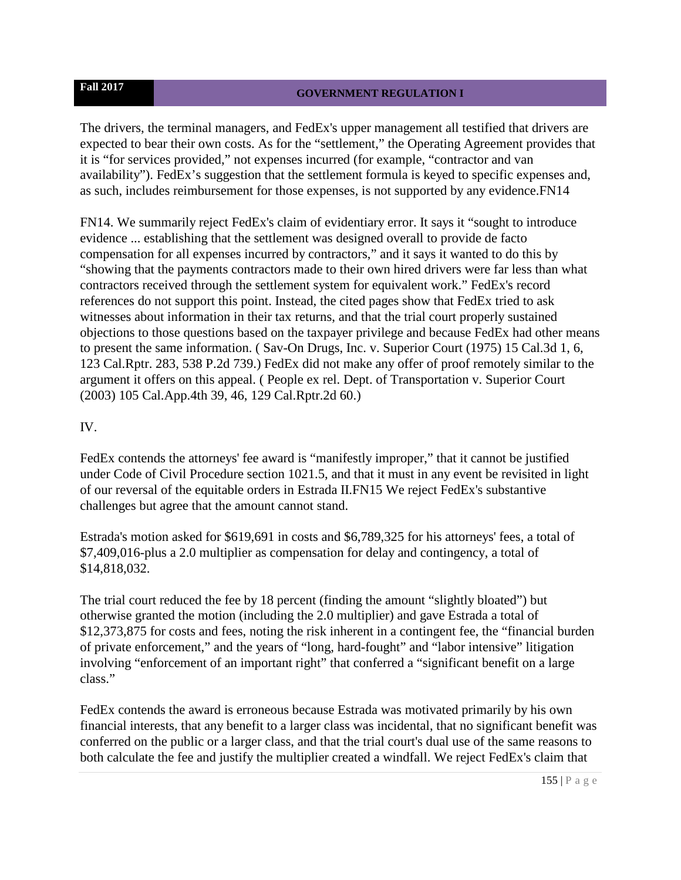The drivers, the terminal managers, and FedEx's upper management all testified that drivers are expected to bear their own costs. As for the "settlement," the Operating Agreement provides that it is "for services provided," not expenses incurred (for example, "contractor and van availability"). FedEx's suggestion that the settlement formula is keyed to specific expenses and, as such, includes reimbursement for those expenses, is not supported by any evidence[.FN14](http://web2.westlaw.com/result/documenttext.aspx?rltdb=CLID_DB2901691&docsample=False&db=ALLSTATES&service=Search&sskey=CLID_SSSA2901691&effdate=1%2f1%2f0001+12%3a00%3a00+AM&fmqv=s&rlti=1&sv=Split&blinkedcitelist=False&fn=_top&cxt=DC&method=TNC&fcl=False&origin=Search&query=FEDEX+%26+da(last+180+days)&mt=LawSchoolPractitioner&eq=search&n=17&mqv=d&rlt=CLID_QRYRLT2901691&vr=2.0&rp=%2fsearch%2fdefault.wl&cnt=DOC&cfid=1&scxt=WL&rs=WLW7.11&ss=CNT#B014142012903697#B014142012903697)

[FN14.](http://web2.westlaw.com/result/documenttext.aspx?rltdb=CLID_DB2901691&docsample=False&db=ALLSTATES&service=Search&sskey=CLID_SSSA2901691&effdate=1%2f1%2f0001+12%3a00%3a00+AM&fmqv=s&rlti=1&sv=Split&blinkedcitelist=False&fn=_top&cxt=DC&method=TNC&fcl=False&origin=Search&query=FEDEX+%26+da(last+180+days)&mt=LawSchoolPractitioner&eq=search&n=17&mqv=d&rlt=CLID_QRYRLT2901691&vr=2.0&rp=%2fsearch%2fdefault.wl&cnt=DOC&cfid=1&scxt=WL&rs=WLW7.11&ss=CNT#F014142012903697#F014142012903697) We summarily reject FedEx's claim of evidentiary error. It says it "sought to introduce evidence ... establishing that the settlement was designed overall to provide de facto compensation for all expenses incurred by contractors," and it says it wanted to do this by "showing that the payments contractors made to their own hired drivers were far less than what contractors received through the settlement system for equivalent work." FedEx's record references do not support this point. Instead, the cited pages show that FedEx tried to ask witnesses about information in their tax returns, and that the trial court properly sustained objections to those questions based on the taxpayer privilege and because FedEx had other means to present the same information. [\( Sav-On Drugs, Inc. v. Superior Court \(1975\) 15 Cal.3d 1, 6,](http://web2.westlaw.com/find/default.wl?rs=WLW7.11&serialnum=1975127566&fn=_top&sv=Split&tc=-1&findtype=Y&tf=-1&db=661&vr=2.0&rp=%2ffind%2fdefault.wl&mt=LawSchoolPractitioner)  [123 Cal.Rptr. 283, 538 P.2d 739.\)](http://web2.westlaw.com/find/default.wl?rs=WLW7.11&serialnum=1975127566&fn=_top&sv=Split&tc=-1&findtype=Y&tf=-1&db=661&vr=2.0&rp=%2ffind%2fdefault.wl&mt=LawSchoolPractitioner) FedEx did not make any offer of proof remotely similar to the argument it offers on this appeal. [\( People ex rel. Dept. of Transportation v. Superior Court](http://web2.westlaw.com/find/default.wl?rs=WLW7.11&serialnum=2003066001&fn=_top&sv=Split&tc=-1&findtype=Y&tf=-1&db=3484&vr=2.0&rp=%2ffind%2fdefault.wl&mt=LawSchoolPractitioner)  [\(2003\) 105 Cal.App.4th 39, 46, 129 Cal.Rptr.2d 60.\)](http://web2.westlaw.com/find/default.wl?rs=WLW7.11&serialnum=2003066001&fn=_top&sv=Split&tc=-1&findtype=Y&tf=-1&db=3484&vr=2.0&rp=%2ffind%2fdefault.wl&mt=LawSchoolPractitioner)

### IV.

FedEx contends the attorneys' fee award is "manifestly improper," that it cannot be justified under [Code of Civil Procedure section 1021.5,](http://web2.westlaw.com/find/default.wl?tf=-1&rs=WLW7.11&fn=_top&sv=Split&tc=-1&findtype=L&docname=CACPS1021.5&db=1000201&vr=2.0&rp=%2ffind%2fdefault.wl&mt=LawSchoolPractitioner) and that it must in any event be revisited in light of our reversal of the equitable orders in [Estrada II.FN15](http://web2.westlaw.com/find/default.wl?rs=WLW7.11&serialnum=2010706378&sv=Split&fn=_top&findtype=Y&tc=-1&tf=-1&vr=2.0&rp=%2ffind%2fdefault.wl&mt=LawSchoolPractitioner) We reject FedEx's substantive challenges but agree that the amount cannot stand.

Estrada's motion asked for \$619,691 in costs and \$6,789,325 for his attorneys' fees, a total of \$7,409,016-plus a 2.0 multiplier as compensation for delay and contingency, a total of \$14,818,032.

The trial court reduced the fee by 18 percent (finding the amount "slightly bloated") but otherwise granted the motion (including the 2.0 multiplier) and gave Estrada a total of \$12,373,875 for costs and fees, noting the risk inherent in a contingent fee, the "financial burden of private enforcement," and the years of "long, hard-fought" and "labor intensive" litigation involving "enforcement of an important right" that conferred a "significant benefit on a large class."

FedEx contends the award is erroneous because Estrada was motivated primarily by his own financial interests, that any benefit to a larger class was incidental, that no significant benefit was conferred on the public or a larger class, and that the trial court's dual use of the same reasons to both calculate the fee and justify the multiplier created a windfall. We reject FedEx's claim that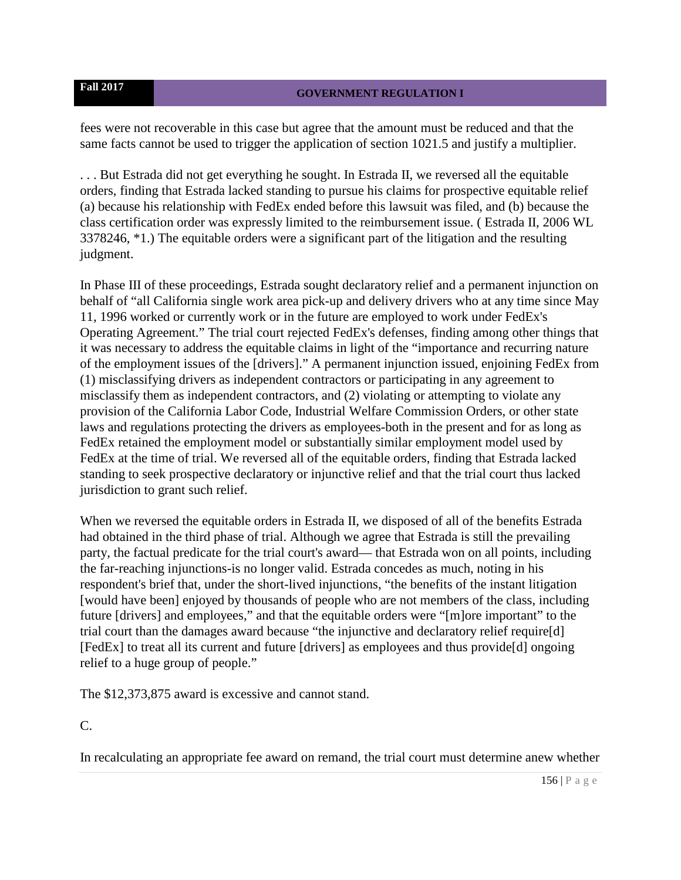fees were not recoverable in this case but agree that the amount must be reduced and that the same facts cannot be used to trigger the application of [section 1021.5](http://web2.westlaw.com/find/default.wl?tf=-1&rs=WLW7.11&fn=_top&sv=Split&tc=-1&findtype=L&docname=CACPS1021.5&db=1000201&vr=2.0&rp=%2ffind%2fdefault.wl&mt=LawSchoolPractitioner) and justify a multiplier.

. . . But Estrada did not get everything he sought. In [Estrada II,](http://web2.westlaw.com/find/default.wl?rs=WLW7.11&serialnum=2010706378&sv=Split&fn=_top&findtype=Y&tc=-1&tf=-1&vr=2.0&rp=%2ffind%2fdefault.wl&mt=LawSchoolPractitioner) we reversed all the equitable orders, finding that Estrada lacked standing to pursue his claims for prospective equitable relief (a) because his relationship with FedEx ended before this lawsuit was filed, and (b) because the class certification order was expressly limited to the reimbursement issue. ( [Estrada II, 2006 WL](http://web2.westlaw.com/find/default.wl?rs=WLW7.11&serialnum=2010706378&fn=_top&sv=Split&tc=-1&findtype=Y&tf=-1&db=999&vr=2.0&rp=%2ffind%2fdefault.wl&mt=LawSchoolPractitioner)  [3378246, \\*1.\)](http://web2.westlaw.com/find/default.wl?rs=WLW7.11&serialnum=2010706378&fn=_top&sv=Split&tc=-1&findtype=Y&tf=-1&db=999&vr=2.0&rp=%2ffind%2fdefault.wl&mt=LawSchoolPractitioner) The equitable orders were a significant part of the litigation and the resulting judgment.

In Phase III of these proceedings, Estrada sought declaratory relief and a permanent injunction on behalf of "all California single work area pick-up and delivery drivers who at any time since May 11, 1996 worked or currently work or in the future are employed to work under FedEx's Operating Agreement." The trial court rejected FedEx's defenses, finding among other things that it was necessary to address the equitable claims in light of the "importance and recurring nature of the employment issues of the [drivers]." A permanent injunction issued, enjoining FedEx from (1) misclassifying drivers as independent contractors or participating in any agreement to misclassify them as independent contractors, and (2) violating or attempting to violate any provision of the California Labor Code, Industrial Welfare Commission Orders, or other state laws and regulations protecting the drivers as employees-both in the present and for as long as FedEx retained the employment model or substantially similar employment model used by FedEx at the time of trial. We reversed all of the equitable orders, finding that Estrada lacked standing to seek prospective declaratory or injunctive relief and that the trial court thus lacked jurisdiction to grant such relief.

When we reversed the equitable orders in [Estrada II,](http://web2.westlaw.com/find/default.wl?rs=WLW7.11&serialnum=2010706378&sv=Split&fn=_top&findtype=Y&tc=-1&tf=-1&vr=2.0&rp=%2ffind%2fdefault.wl&mt=LawSchoolPractitioner) we disposed of all of the benefits Estrada had obtained in the third phase of trial. Although we agree that Estrada is still the prevailing party, the factual predicate for the trial court's award— that Estrada won on all points, including the far-reaching injunctions-is no longer valid. Estrada concedes as much, noting in his respondent's brief that, under the short-lived injunctions, "the benefits of the instant litigation [would have been] enjoyed by thousands of people who are not members of the class, including future [drivers] and employees," and that the equitable orders were "[m]ore important" to the trial court than the damages award because "the injunctive and declaratory relief require[d] [FedEx] to treat all its current and future [drivers] as employees and thus provide[d] ongoing relief to a huge group of people."

The \$12,373,875 award is excessive and cannot stand.

C.

In recalculating an appropriate fee award on remand, the trial court must determine anew whether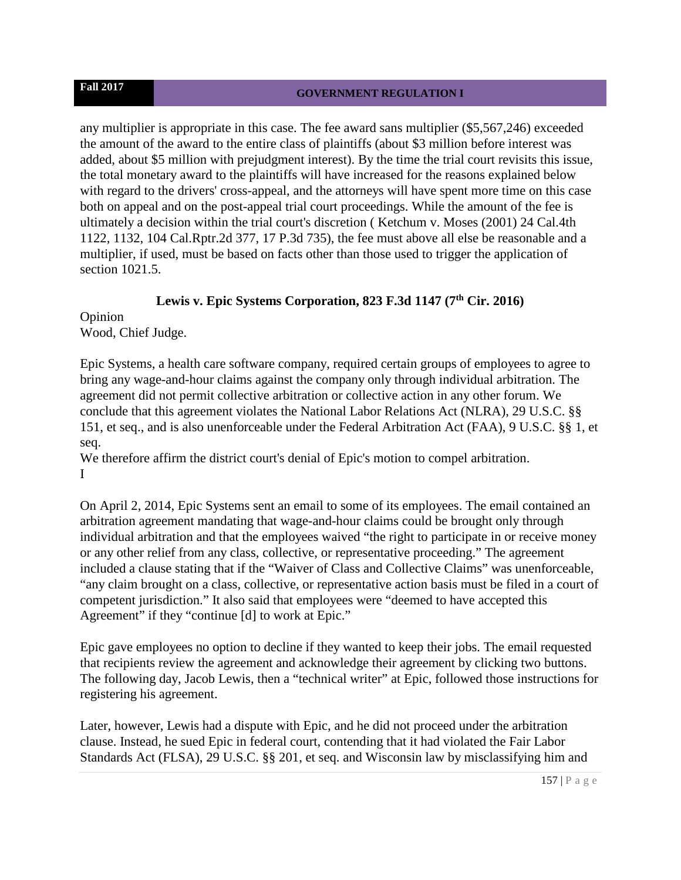any multiplier is appropriate in this case. The fee award sans multiplier (\$5,567,246) exceeded the amount of the award to the entire class of plaintiffs (about \$3 million before interest was added, about \$5 million with prejudgment interest). By the time the trial court revisits this issue, the total monetary award to the plaintiffs will have increased for the reasons explained below with regard to the drivers' cross-appeal, and the attorneys will have spent more time on this case both on appeal and on the post-appeal trial court proceedings. While the amount of the fee is ultimately a decision within the trial court's discretion [\( Ketchum v. Moses \(2001\) 24 Cal.4th](http://web2.westlaw.com/find/default.wl?rs=WLW7.11&serialnum=2001174677&fn=_top&sv=Split&tc=-1&findtype=Y&tf=-1&db=4645&vr=2.0&rp=%2ffind%2fdefault.wl&mt=LawSchoolPractitioner)  [1122, 1132, 104 Cal.Rptr.2d 377, 17 P.3d](http://web2.westlaw.com/find/default.wl?rs=WLW7.11&serialnum=2001174677&fn=_top&sv=Split&tc=-1&findtype=Y&tf=-1&db=4645&vr=2.0&rp=%2ffind%2fdefault.wl&mt=LawSchoolPractitioner) 735), the fee must above all else be reasonable and a multiplier, if used, must be based on facts other than those used to trigger the application of [section 1021.5.](http://web2.westlaw.com/find/default.wl?tf=-1&rs=WLW7.11&fn=_top&sv=Split&tc=-1&findtype=L&docname=CACPS1021.5&db=1000201&vr=2.0&rp=%2ffind%2fdefault.wl&mt=LawSchoolPractitioner)

### Lewis v. Epic Systems Corporation, 823 F.3d 1147 (7<sup>th</sup> Cir. 2016)

Opinion Wood, Chief Judge.

Epic Systems, a health care software company, required certain groups of employees to agree to

bring any wage-and-hour claims against the company only through individual arbitration. The agreement did not permit collective arbitration or collective action in any other forum. We conclude that this agreement violates the National Labor Relations Act (NLRA), 29 U.S.C. §§ 151, et seq., and is also unenforceable under the Federal Arbitration Act (FAA), 9 U.S.C. §§ 1, et seq.

We therefore affirm the district court's denial of Epic's motion to compel arbitration. I

On April 2, 2014, Epic Systems sent an email to some of its employees. The email contained an arbitration agreement mandating that wage-and-hour claims could be brought only through individual arbitration and that the employees waived "the right to participate in or receive money or any other relief from any class, collective, or representative proceeding." The agreement included a clause stating that if the "Waiver of Class and Collective Claims" was unenforceable, "any claim brought on a class, collective, or representative action basis must be filed in a court of competent jurisdiction." It also said that employees were "deemed to have accepted this Agreement" if they "continue [d] to work at Epic."

Epic gave employees no option to decline if they wanted to keep their jobs. The email requested that recipients review the agreement and acknowledge their agreement by clicking two buttons. The following day, Jacob Lewis, then a "technical writer" at Epic, followed those instructions for registering his agreement.

Later, however, Lewis had a dispute with Epic, and he did not proceed under the arbitration clause. Instead, he sued Epic in federal court, contending that it had violated the Fair Labor Standards Act (FLSA), 29 U.S.C. §§ 201, et seq. and Wisconsin law by misclassifying him and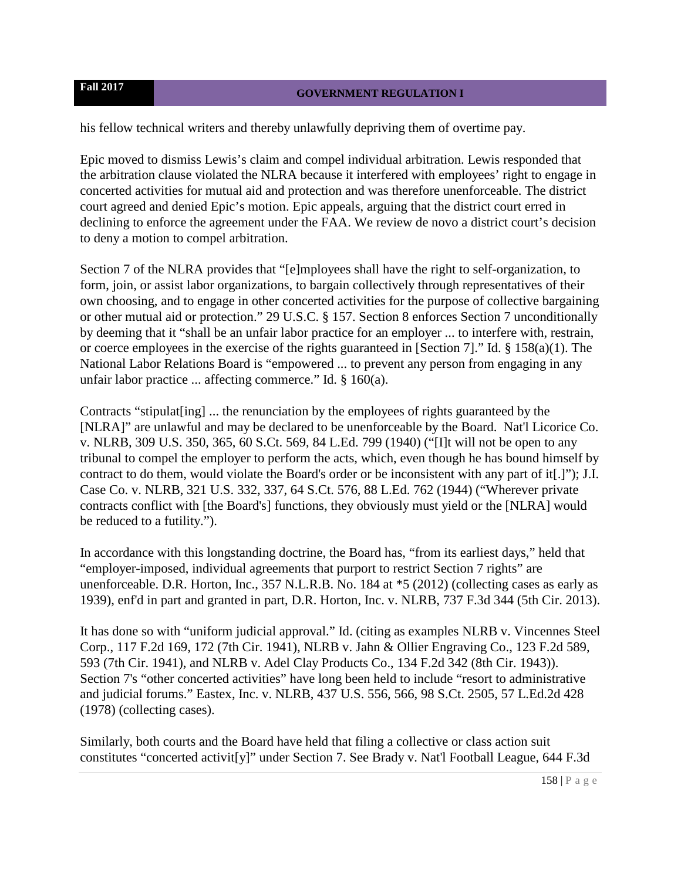his fellow technical writers and thereby unlawfully depriving them of overtime pay.

Epic moved to dismiss Lewis's claim and compel individual arbitration. Lewis responded that the arbitration clause violated the NLRA because it interfered with employees' right to engage in concerted activities for mutual aid and protection and was therefore unenforceable. The district court agreed and denied Epic's motion. Epic appeals, arguing that the district court erred in declining to enforce the agreement under the FAA. We review de novo a district court's decision to deny a motion to compel arbitration.

Section 7 of the NLRA provides that "[e]mployees shall have the right to self-organization, to form, join, or assist labor organizations, to bargain collectively through representatives of their own choosing, and to engage in other concerted activities for the purpose of collective bargaining or other mutual aid or protection." 29 U.S.C. § 157. Section 8 enforces Section 7 unconditionally by deeming that it "shall be an unfair labor practice for an employer ... to interfere with, restrain, or coerce employees in the exercise of the rights guaranteed in [Section 7]." Id. § 158(a)(1). The National Labor Relations Board is "empowered ... to prevent any person from engaging in any unfair labor practice ... affecting commerce." Id. § 160(a).

Contracts "stipulat[ing] ... the renunciation by the employees of rights guaranteed by the [NLRA]" are unlawful and may be declared to be unenforceable by the Board. Nat'l Licorice Co. v. NLRB, 309 U.S. 350, 365, 60 S.Ct. 569, 84 L.Ed. 799 (1940) ("[I]t will not be open to any tribunal to compel the employer to perform the acts, which, even though he has bound himself by contract to do them, would violate the Board's order or be inconsistent with any part of it[.]"); J.I. Case Co. v. NLRB, 321 U.S. 332, 337, 64 S.Ct. 576, 88 L.Ed. 762 (1944) ("Wherever private contracts conflict with [the Board's] functions, they obviously must yield or the [NLRA] would be reduced to a futility.").

In accordance with this longstanding doctrine, the Board has, "from its earliest days," held that "employer-imposed, individual agreements that purport to restrict Section 7 rights" are unenforceable. D.R. Horton, Inc., 357 N.L.R.B. No. 184 at \*5 (2012) (collecting cases as early as 1939), enf'd in part and granted in part, D.R. Horton, Inc. v. NLRB, 737 F.3d 344 (5th Cir. 2013).

It has done so with "uniform judicial approval." Id. (citing as examples NLRB v. Vincennes Steel Corp., 117 F.2d 169, 172 (7th Cir. 1941), NLRB v. Jahn & Ollier Engraving Co., 123 F.2d 589, 593 (7th Cir. 1941), and NLRB v. Adel Clay Products Co., 134 F.2d 342 (8th Cir. 1943)). Section 7's "other concerted activities" have long been held to include "resort to administrative and judicial forums." Eastex, Inc. v. NLRB, 437 U.S. 556, 566, 98 S.Ct. 2505, 57 L.Ed.2d 428 (1978) (collecting cases).

Similarly, both courts and the Board have held that filing a collective or class action suit constitutes "concerted activit[y]" under Section 7. See Brady v. Nat'l Football League, 644 F.3d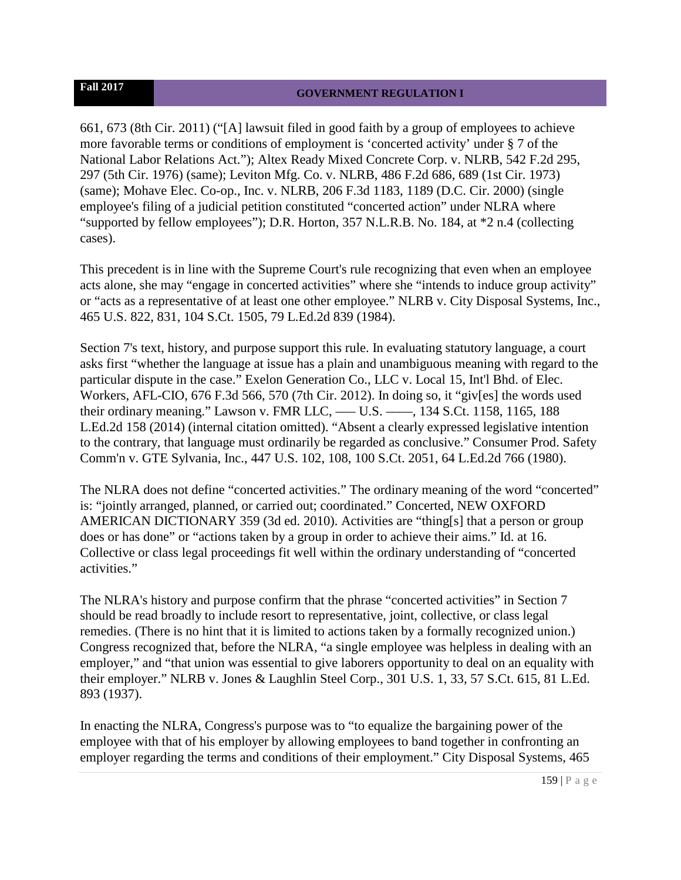661, 673 (8th Cir. 2011) ("[A] lawsuit filed in good faith by a group of employees to achieve more favorable terms or conditions of employment is 'concerted activity' under § 7 of the National Labor Relations Act."); Altex Ready Mixed Concrete Corp. v. NLRB, 542 F.2d 295, 297 (5th Cir. 1976) (same); Leviton Mfg. Co. v. NLRB, 486 F.2d 686, 689 (1st Cir. 1973) (same); Mohave Elec. Co-op., Inc. v. NLRB, 206 F.3d 1183, 1189 (D.C. Cir. 2000) (single employee's filing of a judicial petition constituted "concerted action" under NLRA where "supported by fellow employees"); D.R. Horton, 357 N.L.R.B. No. 184, at \*2 n.4 (collecting cases).

This precedent is in line with the Supreme Court's rule recognizing that even when an employee acts alone, she may "engage in concerted activities" where she "intends to induce group activity" or "acts as a representative of at least one other employee." NLRB v. City Disposal Systems, Inc., 465 U.S. 822, 831, 104 S.Ct. 1505, 79 L.Ed.2d 839 (1984).

Section 7's text, history, and purpose support this rule. In evaluating statutory language, a court asks first "whether the language at issue has a plain and unambiguous meaning with regard to the particular dispute in the case." Exelon Generation Co., LLC v. Local 15, Int'l Bhd. of Elec. Workers, AFL-CIO, 676 F.3d 566, 570 (7th Cir. 2012). In doing so, it "giv[es] the words used their ordinary meaning." Lawson v. FMR LLC, ––– U.S. ––––, 134 S.Ct. 1158, 1165, 188 L.Ed.2d 158 (2014) (internal citation omitted). "Absent a clearly expressed legislative intention to the contrary, that language must ordinarily be regarded as conclusive." Consumer Prod. Safety Comm'n v. GTE Sylvania, Inc., 447 U.S. 102, 108, 100 S.Ct. 2051, 64 L.Ed.2d 766 (1980).

The NLRA does not define "concerted activities." The ordinary meaning of the word "concerted" is: "jointly arranged, planned, or carried out; coordinated." Concerted, NEW OXFORD AMERICAN DICTIONARY 359 (3d ed. 2010). Activities are "thing[s] that a person or group does or has done" or "actions taken by a group in order to achieve their aims." Id. at 16. Collective or class legal proceedings fit well within the ordinary understanding of "concerted activities."

The NLRA's history and purpose confirm that the phrase "concerted activities" in Section 7 should be read broadly to include resort to representative, joint, collective, or class legal remedies. (There is no hint that it is limited to actions taken by a formally recognized union.) Congress recognized that, before the NLRA, "a single employee was helpless in dealing with an employer," and "that union was essential to give laborers opportunity to deal on an equality with their employer." NLRB v. Jones & Laughlin Steel Corp., 301 U.S. 1, 33, 57 S.Ct. 615, 81 L.Ed. 893 (1937).

In enacting the NLRA, Congress's purpose was to "to equalize the bargaining power of the employee with that of his employer by allowing employees to band together in confronting an employer regarding the terms and conditions of their employment." City Disposal Systems, 465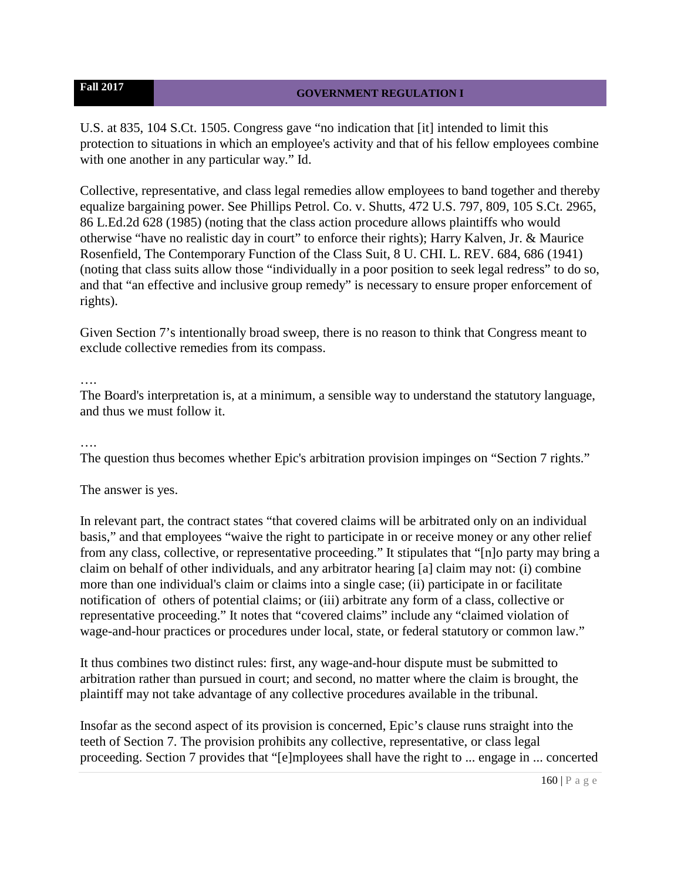U.S. at 835, 104 S.Ct. 1505. Congress gave "no indication that [it] intended to limit this protection to situations in which an employee's activity and that of his fellow employees combine with one another in any particular way." Id.

Collective, representative, and class legal remedies allow employees to band together and thereby equalize bargaining power. See Phillips Petrol. Co. v. Shutts, 472 U.S. 797, 809, 105 S.Ct. 2965, 86 L.Ed.2d 628 (1985) (noting that the class action procedure allows plaintiffs who would otherwise "have no realistic day in court" to enforce their rights); Harry Kalven, Jr. & Maurice Rosenfield, The Contemporary Function of the Class Suit, 8 U. CHI. L. REV. 684, 686 (1941) (noting that class suits allow those "individually in a poor position to seek legal redress" to do so, and that "an effective and inclusive group remedy" is necessary to ensure proper enforcement of rights).

Given Section 7's intentionally broad sweep, there is no reason to think that Congress meant to exclude collective remedies from its compass.

### ….

The Board's interpretation is, at a minimum, a sensible way to understand the statutory language, and thus we must follow it.

### ….

The question thus becomes whether Epic's arbitration provision impinges on "Section 7 rights."

### The answer is yes.

In relevant part, the contract states "that covered claims will be arbitrated only on an individual basis," and that employees "waive the right to participate in or receive money or any other relief from any class, collective, or representative proceeding." It stipulates that "[n]o party may bring a claim on behalf of other individuals, and any arbitrator hearing [a] claim may not: (i) combine more than one individual's claim or claims into a single case; (ii) participate in or facilitate notification of others of potential claims; or (iii) arbitrate any form of a class, collective or representative proceeding." It notes that "covered claims" include any "claimed violation of wage-and-hour practices or procedures under local, state, or federal statutory or common law."

It thus combines two distinct rules: first, any wage-and-hour dispute must be submitted to arbitration rather than pursued in court; and second, no matter where the claim is brought, the plaintiff may not take advantage of any collective procedures available in the tribunal.

Insofar as the second aspect of its provision is concerned, Epic's clause runs straight into the teeth of Section 7. The provision prohibits any collective, representative, or class legal proceeding. Section 7 provides that "[e]mployees shall have the right to ... engage in ... concerted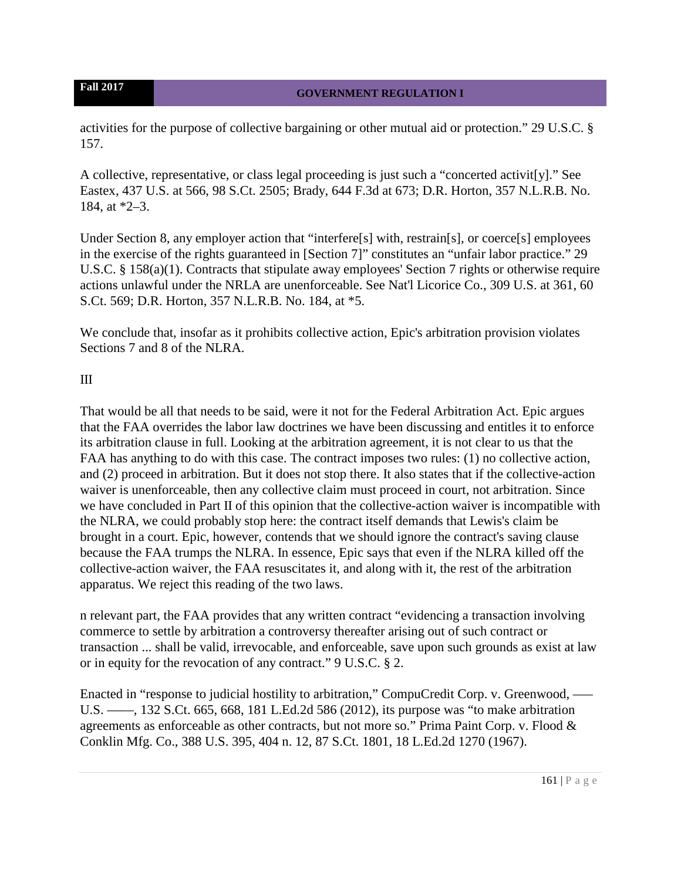activities for the purpose of collective bargaining or other mutual aid or protection." 29 U.S.C. § 157.

A collective, representative, or class legal proceeding is just such a "concerted activit[y]." See Eastex, 437 U.S. at 566, 98 S.Ct. 2505; Brady, 644 F.3d at 673; D.R. Horton, 357 N.L.R.B. No. 184, at \*2–3.

Under Section 8, any employer action that "interfere[s] with, restrain[s], or coerce[s] employees in the exercise of the rights guaranteed in [Section 7]" constitutes an "unfair labor practice." 29 U.S.C. § 158(a)(1). Contracts that stipulate away employees' Section 7 rights or otherwise require actions unlawful under the NRLA are unenforceable. See Nat'l Licorice Co., 309 U.S. at 361, 60 S.Ct. 569; D.R. Horton, 357 N.L.R.B. No. 184, at \*5.

We conclude that, insofar as it prohibits collective action, Epic's arbitration provision violates Sections 7 and 8 of the NLRA.

### III

That would be all that needs to be said, were it not for the Federal Arbitration Act. Epic argues that the FAA overrides the labor law doctrines we have been discussing and entitles it to enforce its arbitration clause in full. Looking at the arbitration agreement, it is not clear to us that the FAA has anything to do with this case. The contract imposes two rules: (1) no collective action, and (2) proceed in arbitration. But it does not stop there. It also states that if the collective-action waiver is unenforceable, then any collective claim must proceed in court, not arbitration. Since we have concluded in Part II of this opinion that the collective-action waiver is incompatible with the NLRA, we could probably stop here: the contract itself demands that Lewis's claim be brought in a court. Epic, however, contends that we should ignore the contract's saving clause because the FAA trumps the NLRA. In essence, Epic says that even if the NLRA killed off the collective-action waiver, the FAA resuscitates it, and along with it, the rest of the arbitration apparatus. We reject this reading of the two laws.

n relevant part, the FAA provides that any written contract "evidencing a transaction involving commerce to settle by arbitration a controversy thereafter arising out of such contract or transaction ... shall be valid, irrevocable, and enforceable, save upon such grounds as exist at law or in equity for the revocation of any contract." 9 U.S.C. § 2.

Enacted in "response to judicial hostility to arbitration," CompuCredit Corp. v. Greenwood, ––– U.S. ––––, 132 S.Ct. 665, 668, 181 L.Ed.2d 586 (2012), its purpose was "to make arbitration agreements as enforceable as other contracts, but not more so." Prima Paint Corp. v. Flood & Conklin Mfg. Co., 388 U.S. 395, 404 n. 12, 87 S.Ct. 1801, 18 L.Ed.2d 1270 (1967).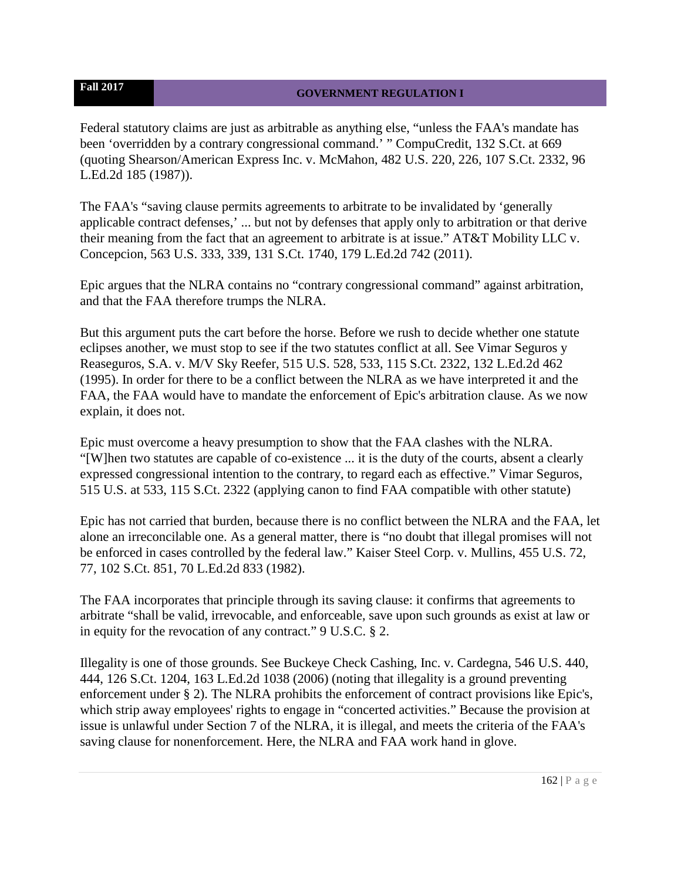Federal statutory claims are just as arbitrable as anything else, "unless the FAA's mandate has been 'overridden by a contrary congressional command.' " CompuCredit, 132 S.Ct. at 669 (quoting Shearson/American Express Inc. v. McMahon, 482 U.S. 220, 226, 107 S.Ct. 2332, 96 L.Ed.2d 185 (1987)).

The FAA's "saving clause permits agreements to arbitrate to be invalidated by 'generally applicable contract defenses,' ... but not by defenses that apply only to arbitration or that derive their meaning from the fact that an agreement to arbitrate is at issue." AT&T Mobility LLC v. Concepcion, 563 U.S. 333, 339, 131 S.Ct. 1740, 179 L.Ed.2d 742 (2011).

Epic argues that the NLRA contains no "contrary congressional command" against arbitration, and that the FAA therefore trumps the NLRA.

But this argument puts the cart before the horse. Before we rush to decide whether one statute eclipses another, we must stop to see if the two statutes conflict at all. See Vimar Seguros y Reaseguros, S.A. v. M/V Sky Reefer, 515 U.S. 528, 533, 115 S.Ct. 2322, 132 L.Ed.2d 462 (1995). In order for there to be a conflict between the NLRA as we have interpreted it and the FAA, the FAA would have to mandate the enforcement of Epic's arbitration clause. As we now explain, it does not.

Epic must overcome a heavy presumption to show that the FAA clashes with the NLRA. "[W]hen two statutes are capable of co-existence ... it is the duty of the courts, absent a clearly expressed congressional intention to the contrary, to regard each as effective." Vimar Seguros, 515 U.S. at 533, 115 S.Ct. 2322 (applying canon to find FAA compatible with other statute)

Epic has not carried that burden, because there is no conflict between the NLRA and the FAA, let alone an irreconcilable one. As a general matter, there is "no doubt that illegal promises will not be enforced in cases controlled by the federal law." Kaiser Steel Corp. v. Mullins, 455 U.S. 72, 77, 102 S.Ct. 851, 70 L.Ed.2d 833 (1982).

The FAA incorporates that principle through its saving clause: it confirms that agreements to arbitrate "shall be valid, irrevocable, and enforceable, save upon such grounds as exist at law or in equity for the revocation of any contract." 9 U.S.C. § 2.

Illegality is one of those grounds. See Buckeye Check Cashing, Inc. v. Cardegna, 546 U.S. 440, 444, 126 S.Ct. 1204, 163 L.Ed.2d 1038 (2006) (noting that illegality is a ground preventing enforcement under § 2). The NLRA prohibits the enforcement of contract provisions like Epic's, which strip away employees' rights to engage in "concerted activities." Because the provision at issue is unlawful under Section 7 of the NLRA, it is illegal, and meets the criteria of the FAA's saving clause for nonenforcement. Here, the NLRA and FAA work hand in glove.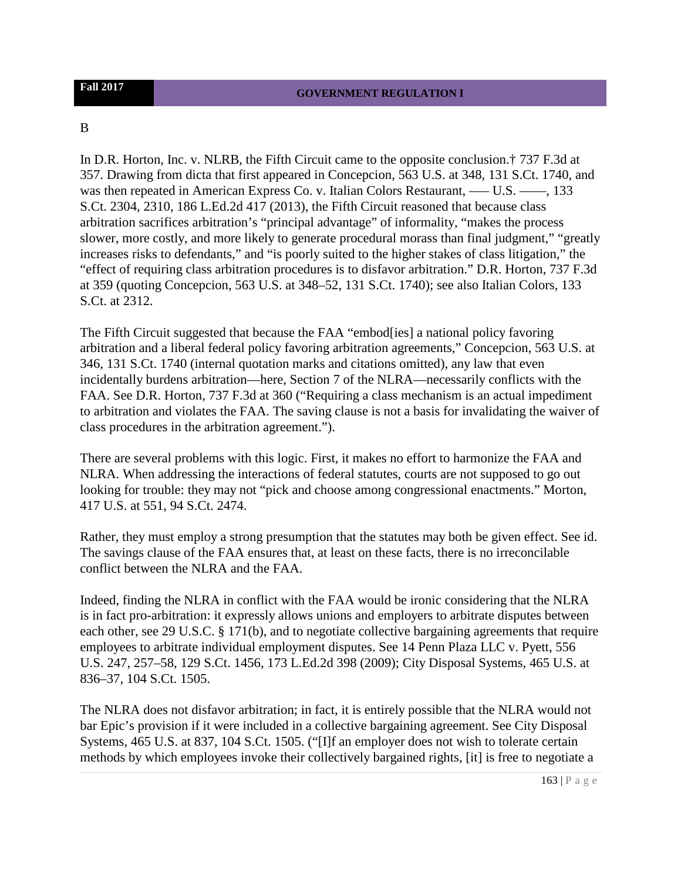### B

In D.R. Horton, Inc. v. NLRB, the Fifth Circuit came to the opposite conclusion.† 737 F.3d at 357. Drawing from dicta that first appeared in Concepcion, 563 U.S. at 348, 131 S.Ct. 1740, and was then repeated in American Express Co. v. Italian Colors Restaurant, — U.S. — , 133 S.Ct. 2304, 2310, 186 L.Ed.2d 417 (2013), the Fifth Circuit reasoned that because class arbitration sacrifices arbitration's "principal advantage" of informality, "makes the process slower, more costly, and more likely to generate procedural morass than final judgment," "greatly increases risks to defendants," and "is poorly suited to the higher stakes of class litigation," the "effect of requiring class arbitration procedures is to disfavor arbitration." D.R. Horton, 737 F.3d at 359 (quoting Concepcion, 563 U.S. at 348–52, 131 S.Ct. 1740); see also Italian Colors, 133 S.Ct. at 2312.

The Fifth Circuit suggested that because the FAA "embod[ies] a national policy favoring arbitration and a liberal federal policy favoring arbitration agreements," Concepcion, 563 U.S. at 346, 131 S.Ct. 1740 (internal quotation marks and citations omitted), any law that even incidentally burdens arbitration—here, Section 7 of the NLRA—necessarily conflicts with the FAA. See D.R. Horton, 737 F.3d at 360 ("Requiring a class mechanism is an actual impediment to arbitration and violates the FAA. The saving clause is not a basis for invalidating the waiver of class procedures in the arbitration agreement.").

There are several problems with this logic. First, it makes no effort to harmonize the FAA and NLRA. When addressing the interactions of federal statutes, courts are not supposed to go out looking for trouble: they may not "pick and choose among congressional enactments." Morton, 417 U.S. at 551, 94 S.Ct. 2474.

Rather, they must employ a strong presumption that the statutes may both be given effect. See id. The savings clause of the FAA ensures that, at least on these facts, there is no irreconcilable conflict between the NLRA and the FAA.

Indeed, finding the NLRA in conflict with the FAA would be ironic considering that the NLRA is in fact pro-arbitration: it expressly allows unions and employers to arbitrate disputes between each other, see 29 U.S.C. § 171(b), and to negotiate collective bargaining agreements that require employees to arbitrate individual employment disputes. See 14 Penn Plaza LLC v. Pyett, 556 U.S. 247, 257–58, 129 S.Ct. 1456, 173 L.Ed.2d 398 (2009); City Disposal Systems, 465 U.S. at 836–37, 104 S.Ct. 1505.

The NLRA does not disfavor arbitration; in fact, it is entirely possible that the NLRA would not bar Epic's provision if it were included in a collective bargaining agreement. See City Disposal Systems, 465 U.S. at 837, 104 S.Ct. 1505. ("[I]f an employer does not wish to tolerate certain methods by which employees invoke their collectively bargained rights, [it] is free to negotiate a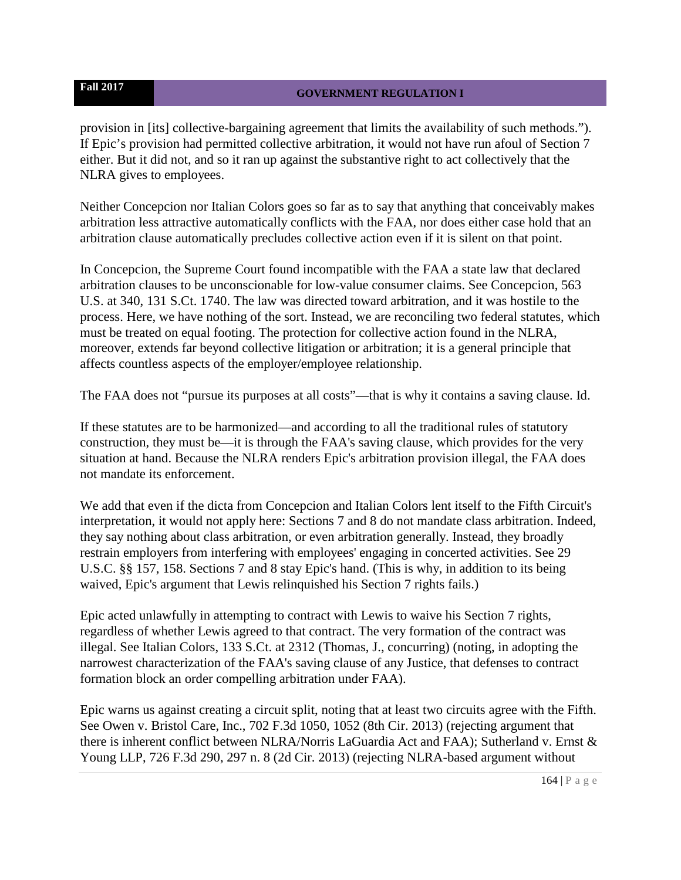provision in [its] collective-bargaining agreement that limits the availability of such methods."). If Epic's provision had permitted collective arbitration, it would not have run afoul of Section 7 either. But it did not, and so it ran up against the substantive right to act collectively that the NLRA gives to employees.

Neither Concepcion nor Italian Colors goes so far as to say that anything that conceivably makes arbitration less attractive automatically conflicts with the FAA, nor does either case hold that an arbitration clause automatically precludes collective action even if it is silent on that point.

In Concepcion, the Supreme Court found incompatible with the FAA a state law that declared arbitration clauses to be unconscionable for low-value consumer claims. See Concepcion, 563 U.S. at 340, 131 S.Ct. 1740. The law was directed toward arbitration, and it was hostile to the process. Here, we have nothing of the sort. Instead, we are reconciling two federal statutes, which must be treated on equal footing. The protection for collective action found in the NLRA, moreover, extends far beyond collective litigation or arbitration; it is a general principle that affects countless aspects of the employer/employee relationship.

The FAA does not "pursue its purposes at all costs"—that is why it contains a saving clause. Id.

If these statutes are to be harmonized—and according to all the traditional rules of statutory construction, they must be—it is through the FAA's saving clause, which provides for the very situation at hand. Because the NLRA renders Epic's arbitration provision illegal, the FAA does not mandate its enforcement.

We add that even if the dicta from Concepcion and Italian Colors lent itself to the Fifth Circuit's interpretation, it would not apply here: Sections 7 and 8 do not mandate class arbitration. Indeed, they say nothing about class arbitration, or even arbitration generally. Instead, they broadly restrain employers from interfering with employees' engaging in concerted activities. See 29 U.S.C. §§ 157, 158. Sections 7 and 8 stay Epic's hand. (This is why, in addition to its being waived, Epic's argument that Lewis relinquished his Section 7 rights fails.)

Epic acted unlawfully in attempting to contract with Lewis to waive his Section 7 rights, regardless of whether Lewis agreed to that contract. The very formation of the contract was illegal. See Italian Colors, 133 S.Ct. at 2312 (Thomas, J., concurring) (noting, in adopting the narrowest characterization of the FAA's saving clause of any Justice, that defenses to contract formation block an order compelling arbitration under FAA).

Epic warns us against creating a circuit split, noting that at least two circuits agree with the Fifth. See Owen v. Bristol Care, Inc., 702 F.3d 1050, 1052 (8th Cir. 2013) (rejecting argument that there is inherent conflict between NLRA/Norris LaGuardia Act and FAA); Sutherland v. Ernst & Young LLP, 726 F.3d 290, 297 n. 8 (2d Cir. 2013) (rejecting NLRA-based argument without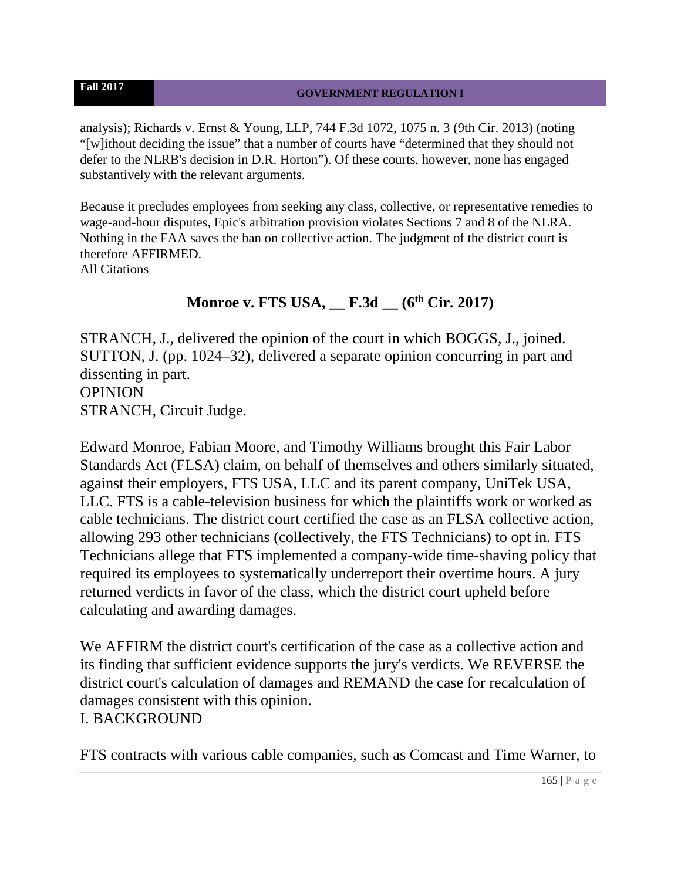analysis); Richards v. Ernst & Young, LLP, 744 F.3d 1072, 1075 n. 3 (9th Cir. 2013) (noting "[w]ithout deciding the issue" that a number of courts have "determined that they should not defer to the NLRB's decision in D.R. Horton"). Of these courts, however, none has engaged substantively with the relevant arguments.

Because it precludes employees from seeking any class, collective, or representative remedies to wage-and-hour disputes, Epic's arbitration provision violates Sections 7 and 8 of the NLRA. Nothing in the FAA saves the ban on collective action. The judgment of the district court is therefore AFFIRMED.

All Citations

### **Monroe v. FTS USA, \_\_ F.3d \_\_ (6th Cir. 2017)**

STRANCH, J., delivered the opinion of the court in which BOGGS, J., joined. SUTTON, J. (pp. 1024–32), delivered a separate opinion concurring in part and dissenting in part. OPINION STRANCH, Circuit Judge.

Edward Monroe, Fabian Moore, and Timothy Williams brought this Fair Labor Standards Act (FLSA) claim, on behalf of themselves and others similarly situated, against their employers, FTS USA, LLC and its parent company, UniTek USA, LLC. FTS is a cable-television business for which the plaintiffs work or worked as cable technicians. The district court certified the case as an FLSA collective action, allowing 293 other technicians (collectively, the FTS Technicians) to opt in. FTS Technicians allege that FTS implemented a company-wide time-shaving policy that required its employees to systematically underreport their overtime hours. A jury returned verdicts in favor of the class, which the district court upheld before calculating and awarding damages.

We AFFIRM the district court's certification of the case as a collective action and its finding that sufficient evidence supports the jury's verdicts. We REVERSE the district court's calculation of damages and REMAND the case for recalculation of damages consistent with this opinion.

### I. BACKGROUND

FTS contracts with various cable companies, such as Comcast and Time Warner, to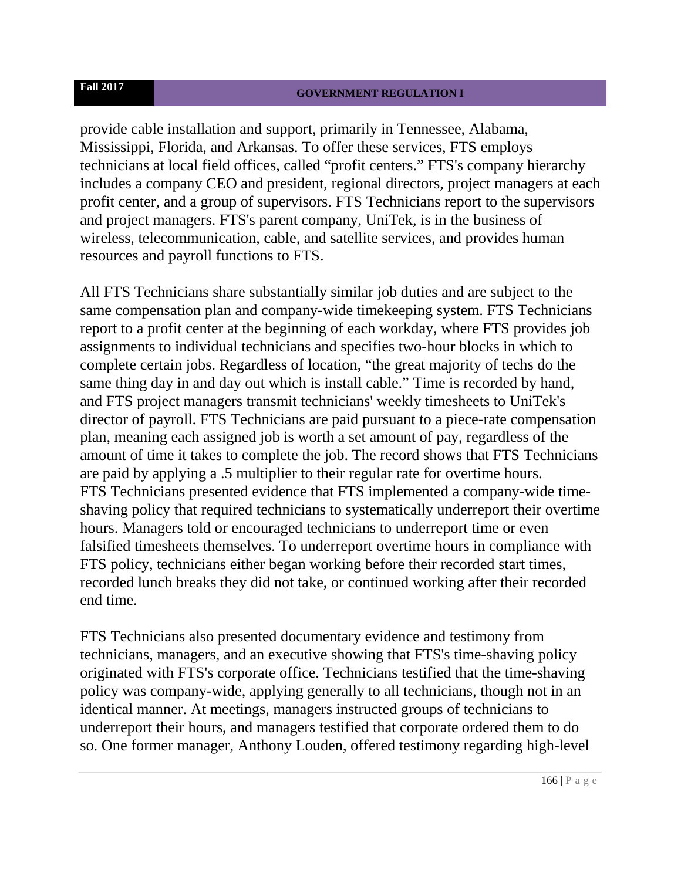provide cable installation and support, primarily in Tennessee, Alabama, Mississippi, Florida, and Arkansas. To offer these services, FTS employs technicians at local field offices, called "profit centers." FTS's company hierarchy includes a company CEO and president, regional directors, project managers at each profit center, and a group of supervisors. FTS Technicians report to the supervisors and project managers. FTS's parent company, UniTek, is in the business of wireless, telecommunication, cable, and satellite services, and provides human resources and payroll functions to FTS.

All FTS Technicians share substantially similar job duties and are subject to the same compensation plan and company-wide timekeeping system. FTS Technicians report to a profit center at the beginning of each workday, where FTS provides job assignments to individual technicians and specifies two-hour blocks in which to complete certain jobs. Regardless of location, "the great majority of techs do the same thing day in and day out which is install cable." Time is recorded by hand, and FTS project managers transmit technicians' weekly timesheets to UniTek's director of payroll. FTS Technicians are paid pursuant to a piece-rate compensation plan, meaning each assigned job is worth a set amount of pay, regardless of the amount of time it takes to complete the job. The record shows that FTS Technicians are paid by applying a .5 multiplier to their regular rate for overtime hours. FTS Technicians presented evidence that FTS implemented a company-wide timeshaving policy that required technicians to systematically underreport their overtime hours. Managers told or encouraged technicians to underreport time or even falsified timesheets themselves. To underreport overtime hours in compliance with FTS policy, technicians either began working before their recorded start times, recorded lunch breaks they did not take, or continued working after their recorded end time.

FTS Technicians also presented documentary evidence and testimony from technicians, managers, and an executive showing that FTS's time-shaving policy originated with FTS's corporate office. Technicians testified that the time-shaving policy was company-wide, applying generally to all technicians, though not in an identical manner. At meetings, managers instructed groups of technicians to underreport their hours, and managers testified that corporate ordered them to do so. One former manager, Anthony Louden, offered testimony regarding high-level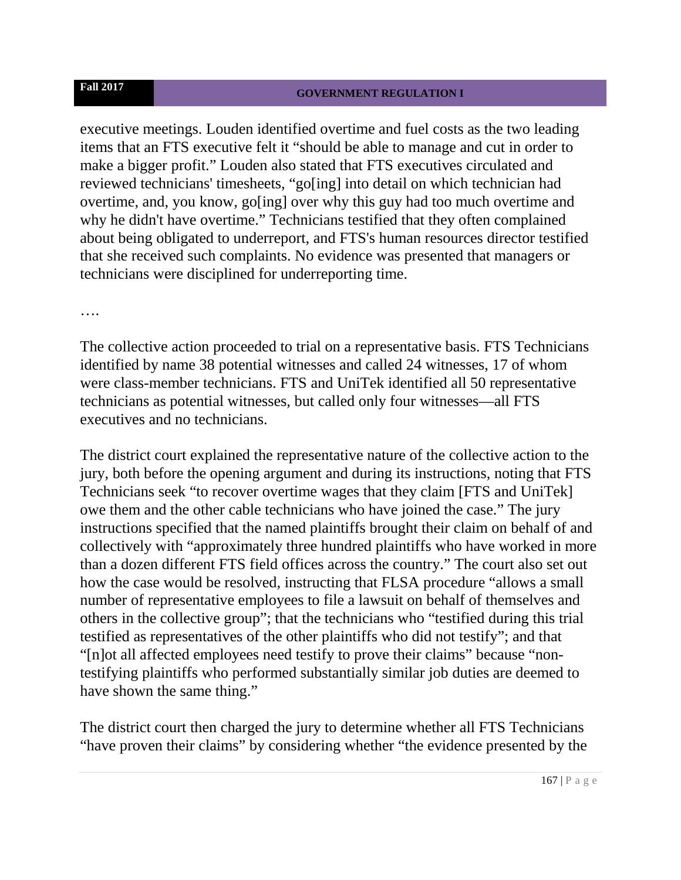executive meetings. Louden identified overtime and fuel costs as the two leading items that an FTS executive felt it "should be able to manage and cut in order to make a bigger profit." Louden also stated that FTS executives circulated and reviewed technicians' timesheets, "go[ing] into detail on which technician had overtime, and, you know, go[ing] over why this guy had too much overtime and why he didn't have overtime." Technicians testified that they often complained about being obligated to underreport, and FTS's human resources director testified that she received such complaints. No evidence was presented that managers or technicians were disciplined for underreporting time.

….

The collective action proceeded to trial on a representative basis. FTS Technicians identified by name 38 potential witnesses and called 24 witnesses, 17 of whom were class-member technicians. FTS and UniTek identified all 50 representative technicians as potential witnesses, but called only four witnesses—all FTS executives and no technicians.

The district court explained the representative nature of the collective action to the jury, both before the opening argument and during its instructions, noting that FTS Technicians seek "to recover overtime wages that they claim [FTS and UniTek] owe them and the other cable technicians who have joined the case." The jury instructions specified that the named plaintiffs brought their claim on behalf of and collectively with "approximately three hundred plaintiffs who have worked in more than a dozen different FTS field offices across the country." The court also set out how the case would be resolved, instructing that FLSA procedure "allows a small number of representative employees to file a lawsuit on behalf of themselves and others in the collective group"; that the technicians who "testified during this trial testified as representatives of the other plaintiffs who did not testify"; and that "[n]ot all affected employees need testify to prove their claims" because "nontestifying plaintiffs who performed substantially similar job duties are deemed to have shown the same thing."

The district court then charged the jury to determine whether all FTS Technicians "have proven their claims" by considering whether "the evidence presented by the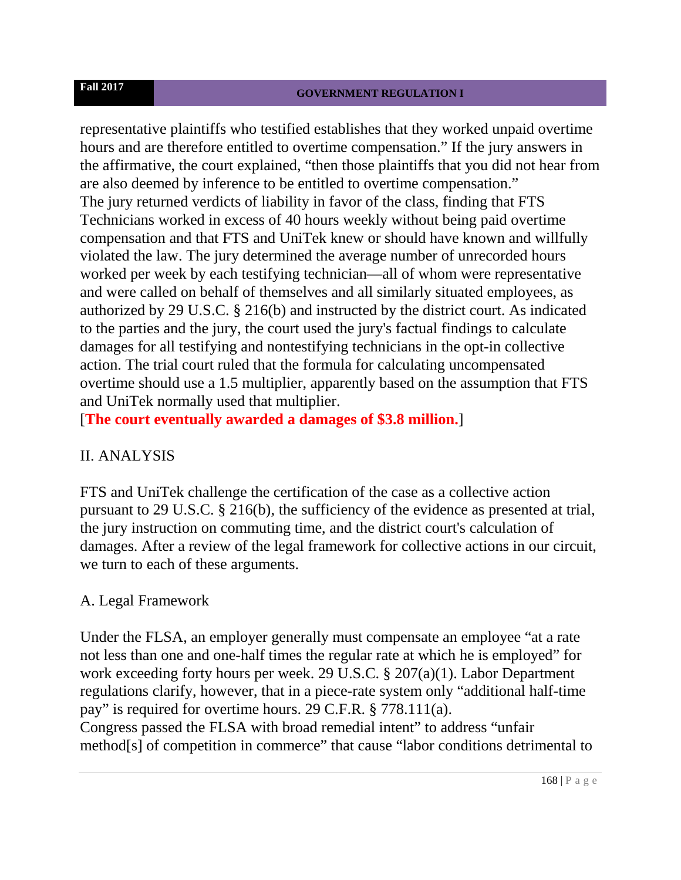representative plaintiffs who testified establishes that they worked unpaid overtime hours and are therefore entitled to overtime compensation." If the jury answers in the affirmative, the court explained, "then those plaintiffs that you did not hear from are also deemed by inference to be entitled to overtime compensation." The jury returned verdicts of liability in favor of the class, finding that FTS Technicians worked in excess of 40 hours weekly without being paid overtime compensation and that FTS and UniTek knew or should have known and willfully violated the law. The jury determined the average number of unrecorded hours worked per week by each testifying technician—all of whom were representative and were called on behalf of themselves and all similarly situated employees, as authorized by 29 U.S.C. § 216(b) and instructed by the district court. As indicated to the parties and the jury, the court used the jury's factual findings to calculate damages for all testifying and nontestifying technicians in the opt-in collective action. The trial court ruled that the formula for calculating uncompensated overtime should use a 1.5 multiplier, apparently based on the assumption that FTS and UniTek normally used that multiplier.

[**The court eventually awarded a damages of \$3.8 million.**]

### II. ANALYSIS

FTS and UniTek challenge the certification of the case as a collective action pursuant to 29 U.S.C. § 216(b), the sufficiency of the evidence as presented at trial, the jury instruction on commuting time, and the district court's calculation of damages. After a review of the legal framework for collective actions in our circuit, we turn to each of these arguments.

### A. Legal Framework

Under the FLSA, an employer generally must compensate an employee "at a rate not less than one and one-half times the regular rate at which he is employed" for work exceeding forty hours per week. 29 U.S.C. § 207(a)(1). Labor Department regulations clarify, however, that in a piece-rate system only "additional half-time pay" is required for overtime hours. 29 C.F.R. § 778.111(a).

Congress passed the FLSA with broad remedial intent" to address "unfair method[s] of competition in commerce" that cause "labor conditions detrimental to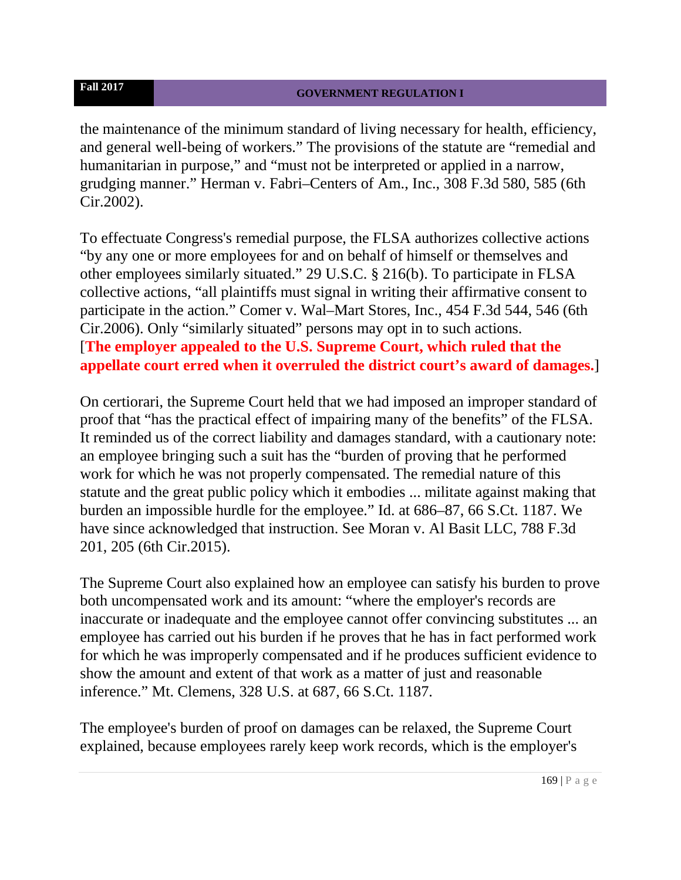the maintenance of the minimum standard of living necessary for health, efficiency, and general well-being of workers." The provisions of the statute are "remedial and humanitarian in purpose," and "must not be interpreted or applied in a narrow, grudging manner." Herman v. Fabri–Centers of Am., Inc., 308 F.3d 580, 585 (6th Cir.2002).

To effectuate Congress's remedial purpose, the FLSA authorizes collective actions "by any one or more employees for and on behalf of himself or themselves and other employees similarly situated." 29 U.S.C. § 216(b). To participate in FLSA collective actions, "all plaintiffs must signal in writing their affirmative consent to participate in the action." Comer v. Wal–Mart Stores, Inc., 454 F.3d 544, 546 (6th Cir.2006). Only "similarly situated" persons may opt in to such actions. [**The employer appealed to the U.S. Supreme Court, which ruled that the appellate court erred when it overruled the district court's award of damages.**]

On certiorari, the Supreme Court held that we had imposed an improper standard of proof that "has the practical effect of impairing many of the benefits" of the FLSA. It reminded us of the correct liability and damages standard, with a cautionary note: an employee bringing such a suit has the "burden of proving that he performed work for which he was not properly compensated. The remedial nature of this statute and the great public policy which it embodies ... militate against making that burden an impossible hurdle for the employee." Id. at 686–87, 66 S.Ct. 1187. We have since acknowledged that instruction. See Moran v. Al Basit LLC, 788 F.3d 201, 205 (6th Cir.2015).

The Supreme Court also explained how an employee can satisfy his burden to prove both uncompensated work and its amount: "where the employer's records are inaccurate or inadequate and the employee cannot offer convincing substitutes ... an employee has carried out his burden if he proves that he has in fact performed work for which he was improperly compensated and if he produces sufficient evidence to show the amount and extent of that work as a matter of just and reasonable inference." Mt. Clemens, 328 U.S. at 687, 66 S.Ct. 1187.

The employee's burden of proof on damages can be relaxed, the Supreme Court explained, because employees rarely keep work records, which is the employer's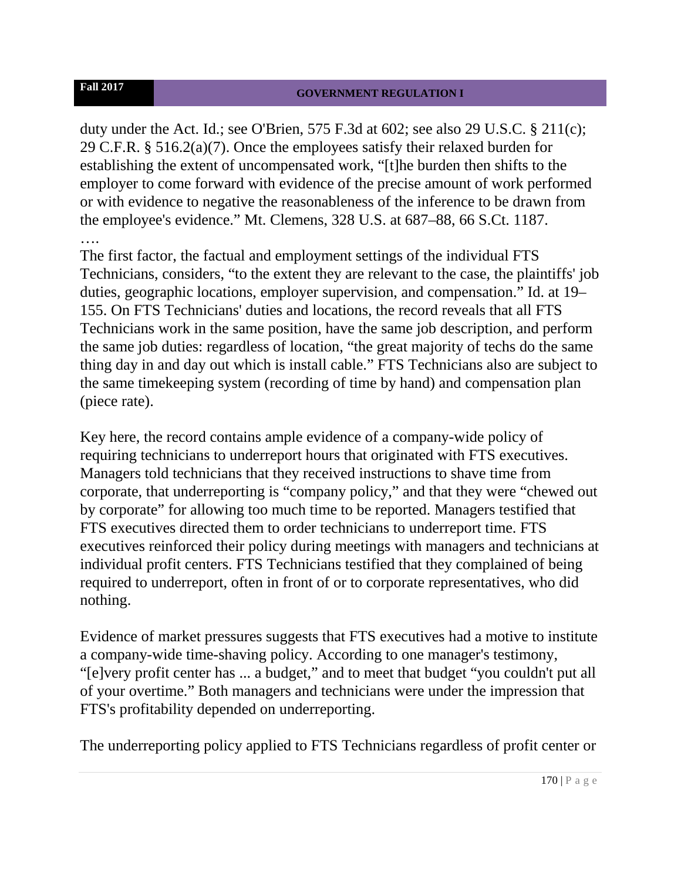duty under the Act. Id.; see O'Brien, 575 F.3d at 602; see also 29 U.S.C. § 211(c); 29 C.F.R. § 516.2(a)(7). Once the employees satisfy their relaxed burden for establishing the extent of uncompensated work, "[t]he burden then shifts to the employer to come forward with evidence of the precise amount of work performed or with evidence to negative the reasonableness of the inference to be drawn from the employee's evidence." Mt. Clemens, 328 U.S. at 687–88, 66 S.Ct. 1187.

The first factor, the factual and employment settings of the individual FTS Technicians, considers, "to the extent they are relevant to the case, the plaintiffs' job duties, geographic locations, employer supervision, and compensation." Id. at 19– 155. On FTS Technicians' duties and locations, the record reveals that all FTS Technicians work in the same position, have the same job description, and perform the same job duties: regardless of location, "the great majority of techs do the same thing day in and day out which is install cable." FTS Technicians also are subject to the same timekeeping system (recording of time by hand) and compensation plan (piece rate).

Key here, the record contains ample evidence of a company-wide policy of requiring technicians to underreport hours that originated with FTS executives. Managers told technicians that they received instructions to shave time from corporate, that underreporting is "company policy," and that they were "chewed out by corporate" for allowing too much time to be reported. Managers testified that FTS executives directed them to order technicians to underreport time. FTS executives reinforced their policy during meetings with managers and technicians at individual profit centers. FTS Technicians testified that they complained of being required to underreport, often in front of or to corporate representatives, who did nothing.

Evidence of market pressures suggests that FTS executives had a motive to institute a company-wide time-shaving policy. According to one manager's testimony, "[e]very profit center has ... a budget," and to meet that budget "you couldn't put all of your overtime." Both managers and technicians were under the impression that FTS's profitability depended on underreporting.

The underreporting policy applied to FTS Technicians regardless of profit center or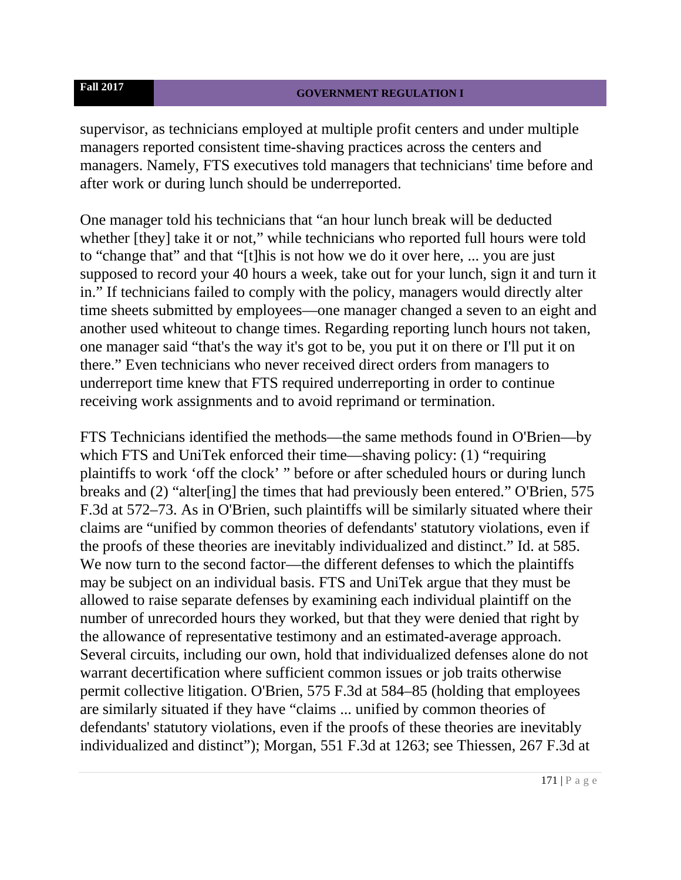supervisor, as technicians employed at multiple profit centers and under multiple managers reported consistent time-shaving practices across the centers and managers. Namely, FTS executives told managers that technicians' time before and after work or during lunch should be underreported.

One manager told his technicians that "an hour lunch break will be deducted whether [they] take it or not," while technicians who reported full hours were told to "change that" and that "[t]his is not how we do it over here, ... you are just supposed to record your 40 hours a week, take out for your lunch, sign it and turn it in." If technicians failed to comply with the policy, managers would directly alter time sheets submitted by employees—one manager changed a seven to an eight and another used whiteout to change times. Regarding reporting lunch hours not taken, one manager said "that's the way it's got to be, you put it on there or I'll put it on there." Even technicians who never received direct orders from managers to underreport time knew that FTS required underreporting in order to continue receiving work assignments and to avoid reprimand or termination.

FTS Technicians identified the methods—the same methods found in O'Brien—by which FTS and UniTek enforced their time—shaving policy: (1) "requiring plaintiffs to work 'off the clock' " before or after scheduled hours or during lunch breaks and (2) "alter[ing] the times that had previously been entered." O'Brien, 575 F.3d at 572–73. As in O'Brien, such plaintiffs will be similarly situated where their claims are "unified by common theories of defendants' statutory violations, even if the proofs of these theories are inevitably individualized and distinct." Id. at 585. We now turn to the second factor—the different defenses to which the plaintiffs may be subject on an individual basis. FTS and UniTek argue that they must be allowed to raise separate defenses by examining each individual plaintiff on the number of unrecorded hours they worked, but that they were denied that right by the allowance of representative testimony and an estimated-average approach. Several circuits, including our own, hold that individualized defenses alone do not warrant decertification where sufficient common issues or job traits otherwise permit collective litigation. O'Brien, 575 F.3d at 584–85 (holding that employees are similarly situated if they have "claims ... unified by common theories of defendants' statutory violations, even if the proofs of these theories are inevitably individualized and distinct"); Morgan, 551 F.3d at 1263; see Thiessen, 267 F.3d at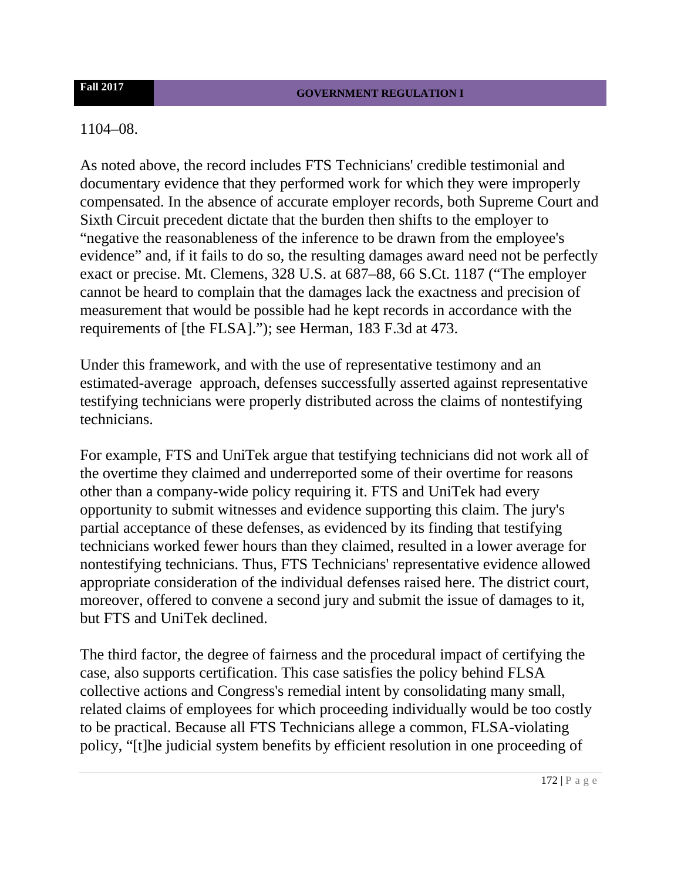### 1104–08.

As noted above, the record includes FTS Technicians' credible testimonial and documentary evidence that they performed work for which they were improperly compensated. In the absence of accurate employer records, both Supreme Court and Sixth Circuit precedent dictate that the burden then shifts to the employer to "negative the reasonableness of the inference to be drawn from the employee's evidence" and, if it fails to do so, the resulting damages award need not be perfectly exact or precise. Mt. Clemens, 328 U.S. at 687–88, 66 S.Ct. 1187 ("The employer cannot be heard to complain that the damages lack the exactness and precision of measurement that would be possible had he kept records in accordance with the requirements of [the FLSA]."); see Herman, 183 F.3d at 473.

Under this framework, and with the use of representative testimony and an estimated-average approach, defenses successfully asserted against representative testifying technicians were properly distributed across the claims of nontestifying technicians.

For example, FTS and UniTek argue that testifying technicians did not work all of the overtime they claimed and underreported some of their overtime for reasons other than a company-wide policy requiring it. FTS and UniTek had every opportunity to submit witnesses and evidence supporting this claim. The jury's partial acceptance of these defenses, as evidenced by its finding that testifying technicians worked fewer hours than they claimed, resulted in a lower average for nontestifying technicians. Thus, FTS Technicians' representative evidence allowed appropriate consideration of the individual defenses raised here. The district court, moreover, offered to convene a second jury and submit the issue of damages to it, but FTS and UniTek declined.

The third factor, the degree of fairness and the procedural impact of certifying the case, also supports certification. This case satisfies the policy behind FLSA collective actions and Congress's remedial intent by consolidating many small, related claims of employees for which proceeding individually would be too costly to be practical. Because all FTS Technicians allege a common, FLSA-violating policy, "[t]he judicial system benefits by efficient resolution in one proceeding of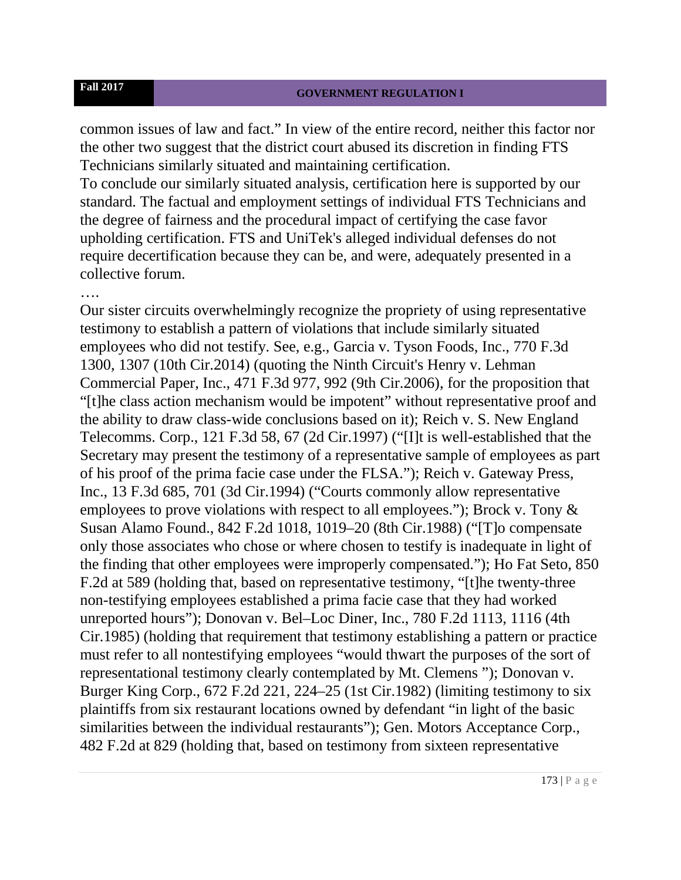common issues of law and fact." In view of the entire record, neither this factor nor the other two suggest that the district court abused its discretion in finding FTS Technicians similarly situated and maintaining certification.

To conclude our similarly situated analysis, certification here is supported by our standard. The factual and employment settings of individual FTS Technicians and the degree of fairness and the procedural impact of certifying the case favor upholding certification. FTS and UniTek's alleged individual defenses do not require decertification because they can be, and were, adequately presented in a collective forum.

Our sister circuits overwhelmingly recognize the propriety of using representative testimony to establish a pattern of violations that include similarly situated employees who did not testify. See, e.g., Garcia v. Tyson Foods, Inc., 770 F.3d 1300, 1307 (10th Cir.2014) (quoting the Ninth Circuit's Henry v. Lehman Commercial Paper, Inc., 471 F.3d 977, 992 (9th Cir.2006), for the proposition that "[t]he class action mechanism would be impotent" without representative proof and the ability to draw class-wide conclusions based on it); Reich v. S. New England Telecomms. Corp., 121 F.3d 58, 67 (2d Cir.1997) ("[I]t is well-established that the Secretary may present the testimony of a representative sample of employees as part of his proof of the prima facie case under the FLSA."); Reich v. Gateway Press, Inc., 13 F.3d 685, 701 (3d Cir.1994) ("Courts commonly allow representative employees to prove violations with respect to all employees."); Brock v. Tony & Susan Alamo Found., 842 F.2d 1018, 1019–20 (8th Cir.1988) ("[T]o compensate only those associates who chose or where chosen to testify is inadequate in light of the finding that other employees were improperly compensated."); Ho Fat Seto, 850 F.2d at 589 (holding that, based on representative testimony, "[t]he twenty-three non-testifying employees established a prima facie case that they had worked unreported hours"); Donovan v. Bel–Loc Diner, Inc., 780 F.2d 1113, 1116 (4th Cir.1985) (holding that requirement that testimony establishing a pattern or practice must refer to all nontestifying employees "would thwart the purposes of the sort of representational testimony clearly contemplated by Mt. Clemens "); Donovan v. Burger King Corp., 672 F.2d 221, 224–25 (1st Cir.1982) (limiting testimony to six plaintiffs from six restaurant locations owned by defendant "in light of the basic similarities between the individual restaurants"); Gen. Motors Acceptance Corp., 482 F.2d at 829 (holding that, based on testimony from sixteen representative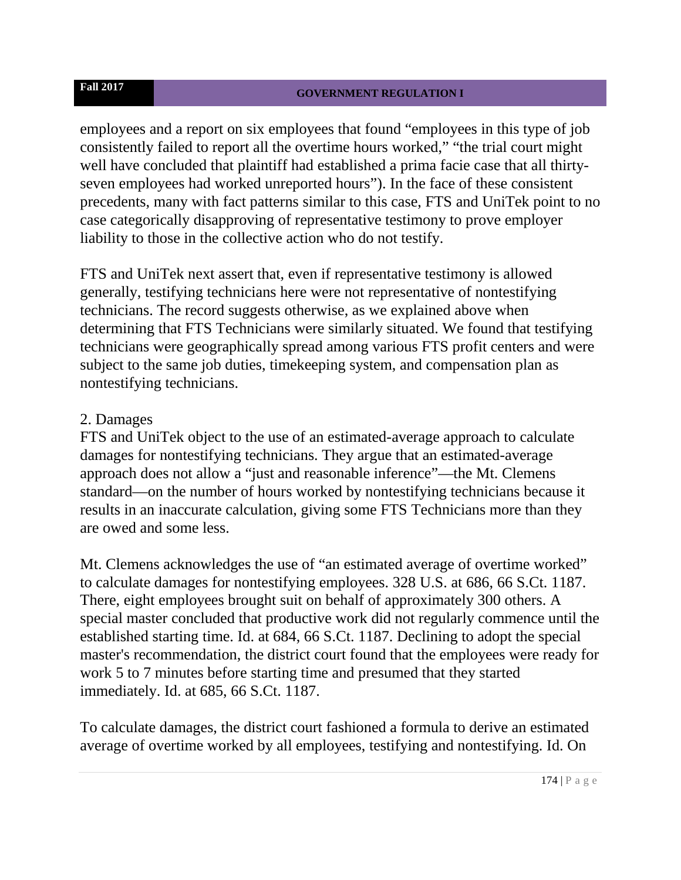employees and a report on six employees that found "employees in this type of job consistently failed to report all the overtime hours worked," "the trial court might well have concluded that plaintiff had established a prima facie case that all thirtyseven employees had worked unreported hours"). In the face of these consistent precedents, many with fact patterns similar to this case, FTS and UniTek point to no case categorically disapproving of representative testimony to prove employer liability to those in the collective action who do not testify.

FTS and UniTek next assert that, even if representative testimony is allowed generally, testifying technicians here were not representative of nontestifying technicians. The record suggests otherwise, as we explained above when determining that FTS Technicians were similarly situated. We found that testifying technicians were geographically spread among various FTS profit centers and were subject to the same job duties, timekeeping system, and compensation plan as nontestifying technicians.

### 2. Damages

FTS and UniTek object to the use of an estimated-average approach to calculate damages for nontestifying technicians. They argue that an estimated-average approach does not allow a "just and reasonable inference"—the Mt. Clemens standard—on the number of hours worked by nontestifying technicians because it results in an inaccurate calculation, giving some FTS Technicians more than they are owed and some less.

Mt. Clemens acknowledges the use of "an estimated average of overtime worked" to calculate damages for nontestifying employees. 328 U.S. at 686, 66 S.Ct. 1187. There, eight employees brought suit on behalf of approximately 300 others. A special master concluded that productive work did not regularly commence until the established starting time. Id. at 684, 66 S.Ct. 1187. Declining to adopt the special master's recommendation, the district court found that the employees were ready for work 5 to 7 minutes before starting time and presumed that they started immediately. Id. at 685, 66 S.Ct. 1187.

To calculate damages, the district court fashioned a formula to derive an estimated average of overtime worked by all employees, testifying and nontestifying. Id. On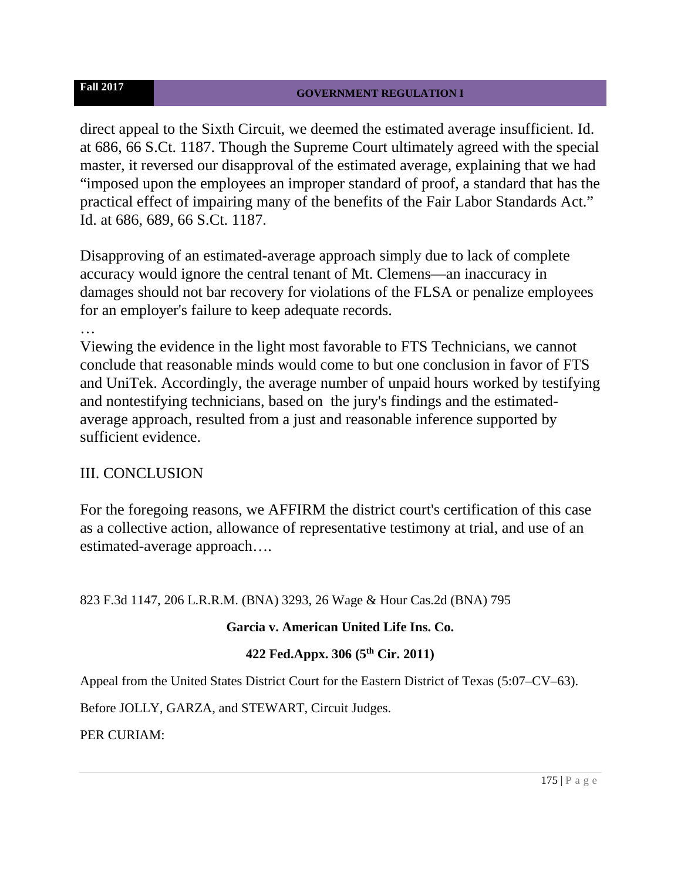direct appeal to the Sixth Circuit, we deemed the estimated average insufficient. Id. at 686, 66 S.Ct. 1187. Though the Supreme Court ultimately agreed with the special master, it reversed our disapproval of the estimated average, explaining that we had "imposed upon the employees an improper standard of proof, a standard that has the practical effect of impairing many of the benefits of the Fair Labor Standards Act." Id. at 686, 689, 66 S.Ct. 1187.

Disapproving of an estimated-average approach simply due to lack of complete accuracy would ignore the central tenant of Mt. Clemens—an inaccuracy in damages should not bar recovery for violations of the FLSA or penalize employees for an employer's failure to keep adequate records.

… Viewing the evidence in the light most favorable to FTS Technicians, we cannot conclude that reasonable minds would come to but one conclusion in favor of FTS and UniTek. Accordingly, the average number of unpaid hours worked by testifying and nontestifying technicians, based on the jury's findings and the estimatedaverage approach, resulted from a just and reasonable inference supported by sufficient evidence.

### III. CONCLUSION

For the foregoing reasons, we AFFIRM the district court's certification of this case as a collective action, allowance of representative testimony at trial, and use of an estimated-average approach….

823 F.3d 1147, 206 L.R.R.M. (BNA) 3293, 26 Wage & Hour Cas.2d (BNA) 795

### **Garcia v. American United Life Ins. Co.**

### **422 Fed.Appx. 306 (5th Cir. 2011)**

Appeal from the United States District Court for the Eastern District of Texas (5:07–CV–63).

Before JOLLY, GARZA, and STEWART, Circuit Judges.

PER CURIAM: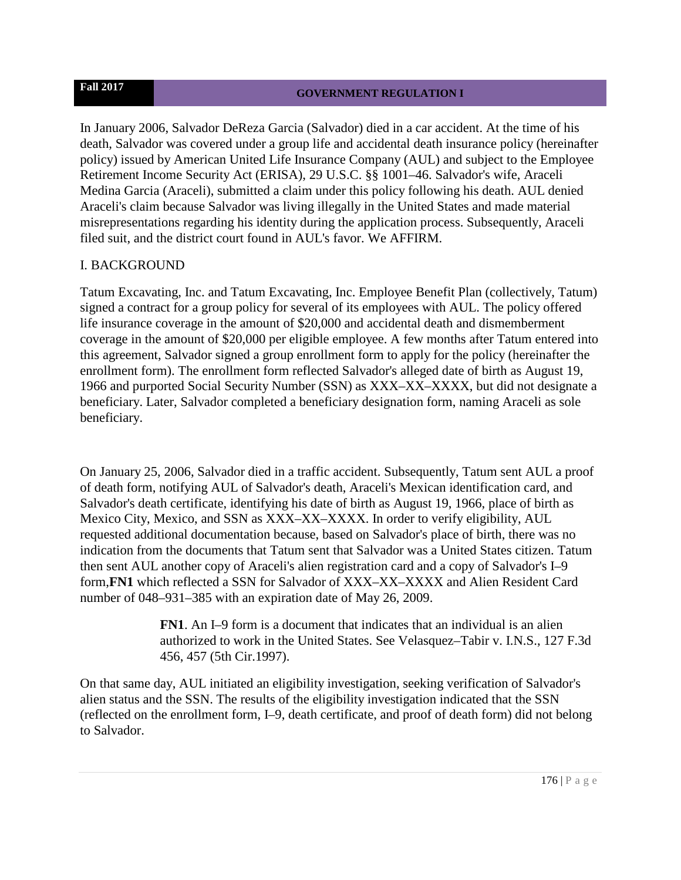In January 2006, Salvador DeReza Garcia (Salvador) died in a car accident. At the time of his death, Salvador was covered under a group life and accidental death insurance policy (hereinafter policy) issued by American United Life Insurance Company (AUL) and subject to the Employee Retirement Income Security Act (ERISA), 29 U.S.C. §§ 1001–46. Salvador's wife, Araceli Medina Garcia (Araceli), submitted a claim under this policy following his death. AUL denied Araceli's claim because Salvador was living illegally in the United States and made material misrepresentations regarding his identity during the application process. Subsequently, Araceli filed suit, and the district court found in AUL's favor. We AFFIRM.

### I. BACKGROUND

Tatum Excavating, Inc. and Tatum Excavating, Inc. Employee Benefit Plan (collectively, Tatum) signed a contract for a group policy for several of its employees with AUL. The policy offered life insurance coverage in the amount of \$20,000 and accidental death and dismemberment coverage in the amount of \$20,000 per eligible employee. A few months after Tatum entered into this agreement, Salvador signed a group enrollment form to apply for the policy (hereinafter the enrollment form). The enrollment form reflected Salvador's alleged date of birth as August 19, 1966 and purported Social Security Number (SSN) as XXX–XX–XXXX, but did not designate a beneficiary. Later, Salvador completed a beneficiary designation form, naming Araceli as sole beneficiary.

On January 25, 2006, Salvador died in a traffic accident. Subsequently, Tatum sent AUL a proof of death form, notifying AUL of Salvador's death, Araceli's Mexican identification card, and Salvador's death certificate, identifying his date of birth as August 19, 1966, place of birth as Mexico City, Mexico, and SSN as XXX–XX–XXXX. In order to verify eligibility, AUL requested additional documentation because, based on Salvador's place of birth, there was no indication from the documents that Tatum sent that Salvador was a United States citizen. Tatum then sent AUL another copy of Araceli's alien registration card and a copy of Salvador's I–9 form,**FN1** which reflected a SSN for Salvador of XXX–XX–XXXX and Alien Resident Card number of 048–931–385 with an expiration date of May 26, 2009.

> **FN1**. An I–9 form is a document that indicates that an individual is an alien authorized to work in the United States. See Velasquez–Tabir v. I.N.S., 127 F.3d 456, 457 (5th Cir.1997).

On that same day, AUL initiated an eligibility investigation, seeking verification of Salvador's alien status and the SSN. The results of the eligibility investigation indicated that the SSN (reflected on the enrollment form, I–9, death certificate, and proof of death form) did not belong to Salvador.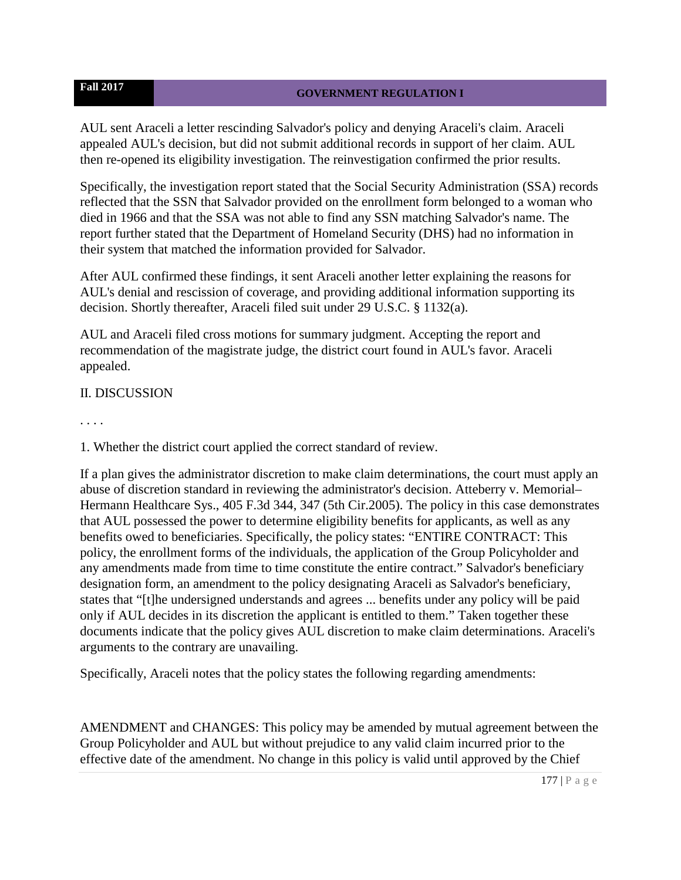AUL sent Araceli a letter rescinding Salvador's policy and denying Araceli's claim. Araceli appealed AUL's decision, but did not submit additional records in support of her claim. AUL then re-opened its eligibility investigation. The reinvestigation confirmed the prior results.

Specifically, the investigation report stated that the Social Security Administration (SSA) records reflected that the SSN that Salvador provided on the enrollment form belonged to a woman who died in 1966 and that the SSA was not able to find any SSN matching Salvador's name. The report further stated that the Department of Homeland Security (DHS) had no information in their system that matched the information provided for Salvador.

After AUL confirmed these findings, it sent Araceli another letter explaining the reasons for AUL's denial and rescission of coverage, and providing additional information supporting its decision. Shortly thereafter, Araceli filed suit under 29 U.S.C. § 1132(a).

AUL and Araceli filed cross motions for summary judgment. Accepting the report and recommendation of the magistrate judge, the district court found in AUL's favor. Araceli appealed.

### II. DISCUSSION

. . . .

1. Whether the district court applied the correct standard of review.

If a plan gives the administrator discretion to make claim determinations, the court must apply an abuse of discretion standard in reviewing the administrator's decision. Atteberry v. Memorial– Hermann Healthcare Sys., 405 F.3d 344, 347 (5th Cir.2005). The policy in this case demonstrates that AUL possessed the power to determine eligibility benefits for applicants, as well as any benefits owed to beneficiaries. Specifically, the policy states: "ENTIRE CONTRACT: This policy, the enrollment forms of the individuals, the application of the Group Policyholder and any amendments made from time to time constitute the entire contract." Salvador's beneficiary designation form, an amendment to the policy designating Araceli as Salvador's beneficiary, states that "[t]he undersigned understands and agrees ... benefits under any policy will be paid only if AUL decides in its discretion the applicant is entitled to them." Taken together these documents indicate that the policy gives AUL discretion to make claim determinations. Araceli's arguments to the contrary are unavailing.

Specifically, Araceli notes that the policy states the following regarding amendments:

AMENDMENT and CHANGES: This policy may be amended by mutual agreement between the Group Policyholder and AUL but without prejudice to any valid claim incurred prior to the effective date of the amendment. No change in this policy is valid until approved by the Chief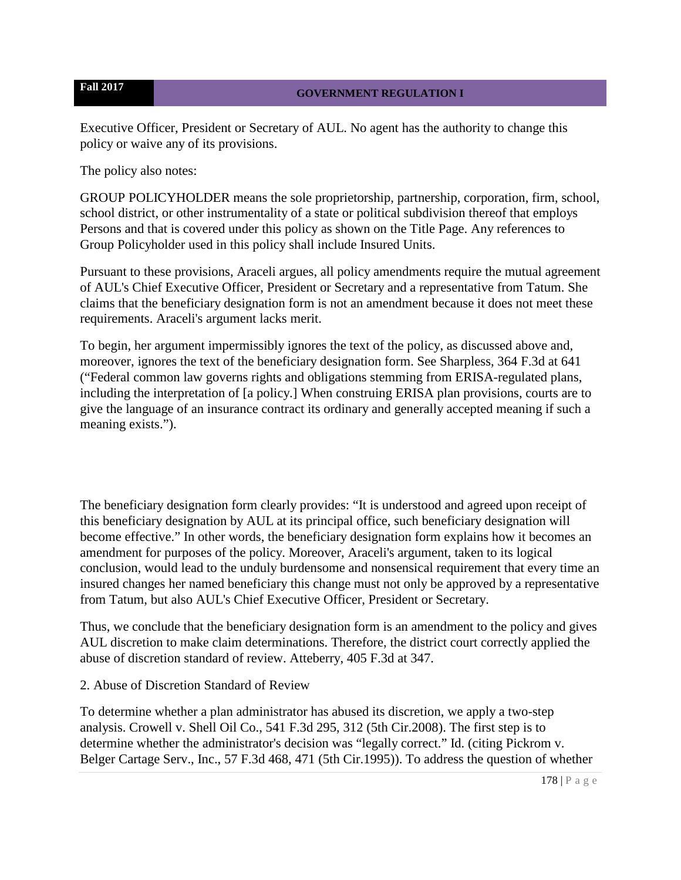Executive Officer, President or Secretary of AUL. No agent has the authority to change this policy or waive any of its provisions.

The policy also notes:

GROUP POLICYHOLDER means the sole proprietorship, partnership, corporation, firm, school, school district, or other instrumentality of a state or political subdivision thereof that employs Persons and that is covered under this policy as shown on the Title Page. Any references to Group Policyholder used in this policy shall include Insured Units.

Pursuant to these provisions, Araceli argues, all policy amendments require the mutual agreement of AUL's Chief Executive Officer, President or Secretary and a representative from Tatum. She claims that the beneficiary designation form is not an amendment because it does not meet these requirements. Araceli's argument lacks merit.

To begin, her argument impermissibly ignores the text of the policy, as discussed above and, moreover, ignores the text of the beneficiary designation form. See Sharpless, 364 F.3d at 641 ("Federal common law governs rights and obligations stemming from ERISA-regulated plans, including the interpretation of [a policy.] When construing ERISA plan provisions, courts are to give the language of an insurance contract its ordinary and generally accepted meaning if such a meaning exists.").

The beneficiary designation form clearly provides: "It is understood and agreed upon receipt of this beneficiary designation by AUL at its principal office, such beneficiary designation will become effective." In other words, the beneficiary designation form explains how it becomes an amendment for purposes of the policy. Moreover, Araceli's argument, taken to its logical conclusion, would lead to the unduly burdensome and nonsensical requirement that every time an insured changes her named beneficiary this change must not only be approved by a representative from Tatum, but also AUL's Chief Executive Officer, President or Secretary.

Thus, we conclude that the beneficiary designation form is an amendment to the policy and gives AUL discretion to make claim determinations. Therefore, the district court correctly applied the abuse of discretion standard of review. Atteberry, 405 F.3d at 347.

2. Abuse of Discretion Standard of Review

To determine whether a plan administrator has abused its discretion, we apply a two-step analysis. Crowell v. Shell Oil Co., 541 F.3d 295, 312 (5th Cir.2008). The first step is to determine whether the administrator's decision was "legally correct." Id. (citing Pickrom v. Belger Cartage Serv., Inc., 57 F.3d 468, 471 (5th Cir.1995)). To address the question of whether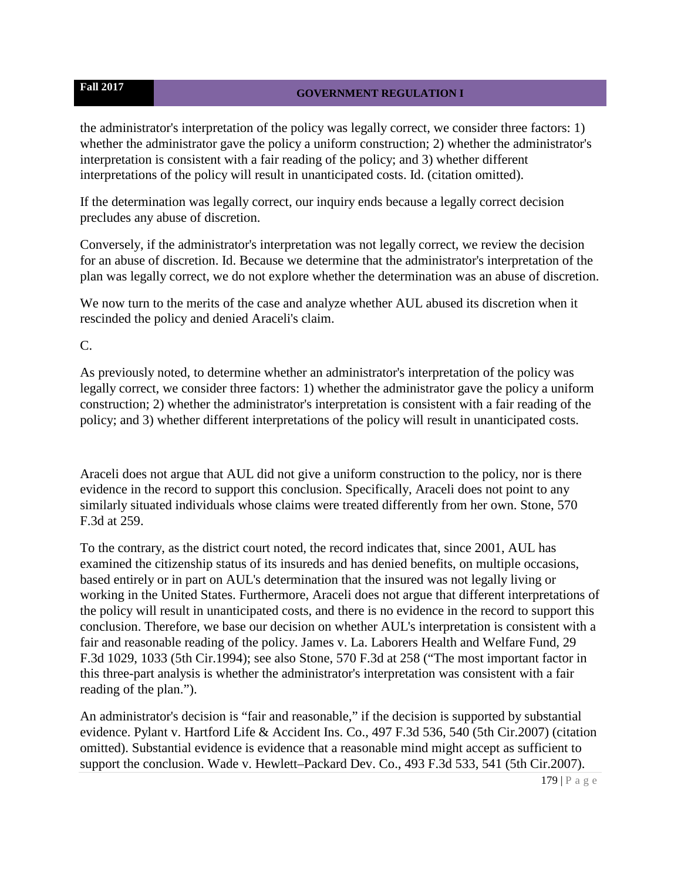the administrator's interpretation of the policy was legally correct, we consider three factors: 1) whether the administrator gave the policy a uniform construction; 2) whether the administrator's interpretation is consistent with a fair reading of the policy; and 3) whether different interpretations of the policy will result in unanticipated costs. Id. (citation omitted).

If the determination was legally correct, our inquiry ends because a legally correct decision precludes any abuse of discretion.

Conversely, if the administrator's interpretation was not legally correct, we review the decision for an abuse of discretion. Id. Because we determine that the administrator's interpretation of the plan was legally correct, we do not explore whether the determination was an abuse of discretion.

We now turn to the merits of the case and analyze whether AUL abused its discretion when it rescinded the policy and denied Araceli's claim.

C.

As previously noted, to determine whether an administrator's interpretation of the policy was legally correct, we consider three factors: 1) whether the administrator gave the policy a uniform construction; 2) whether the administrator's interpretation is consistent with a fair reading of the policy; and 3) whether different interpretations of the policy will result in unanticipated costs.

Araceli does not argue that AUL did not give a uniform construction to the policy, nor is there evidence in the record to support this conclusion. Specifically, Araceli does not point to any similarly situated individuals whose claims were treated differently from her own. Stone, 570 F.3d at 259.

To the contrary, as the district court noted, the record indicates that, since 2001, AUL has examined the citizenship status of its insureds and has denied benefits, on multiple occasions, based entirely or in part on AUL's determination that the insured was not legally living or working in the United States. Furthermore, Araceli does not argue that different interpretations of the policy will result in unanticipated costs, and there is no evidence in the record to support this conclusion. Therefore, we base our decision on whether AUL's interpretation is consistent with a fair and reasonable reading of the policy. James v. La. Laborers Health and Welfare Fund, 29 F.3d 1029, 1033 (5th Cir.1994); see also Stone, 570 F.3d at 258 ("The most important factor in this three-part analysis is whether the administrator's interpretation was consistent with a fair reading of the plan.").

An administrator's decision is "fair and reasonable," if the decision is supported by substantial evidence. Pylant v. Hartford Life & Accident Ins. Co., 497 F.3d 536, 540 (5th Cir.2007) (citation omitted). Substantial evidence is evidence that a reasonable mind might accept as sufficient to support the conclusion. Wade v. Hewlett–Packard Dev. Co., 493 F.3d 533, 541 (5th Cir.2007).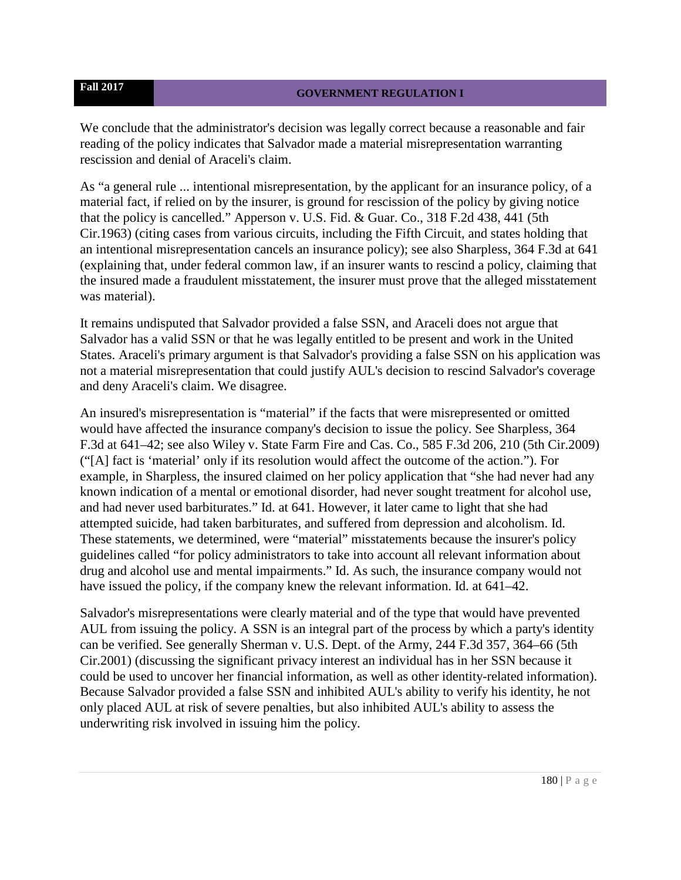We conclude that the administrator's decision was legally correct because a reasonable and fair reading of the policy indicates that Salvador made a material misrepresentation warranting rescission and denial of Araceli's claim.

As "a general rule ... intentional misrepresentation, by the applicant for an insurance policy, of a material fact, if relied on by the insurer, is ground for rescission of the policy by giving notice that the policy is cancelled." Apperson v. U.S. Fid. & Guar. Co., 318 F.2d 438, 441 (5th Cir.1963) (citing cases from various circuits, including the Fifth Circuit, and states holding that an intentional misrepresentation cancels an insurance policy); see also Sharpless, 364 F.3d at 641 (explaining that, under federal common law, if an insurer wants to rescind a policy, claiming that the insured made a fraudulent misstatement, the insurer must prove that the alleged misstatement was material).

It remains undisputed that Salvador provided a false SSN, and Araceli does not argue that Salvador has a valid SSN or that he was legally entitled to be present and work in the United States. Araceli's primary argument is that Salvador's providing a false SSN on his application was not a material misrepresentation that could justify AUL's decision to rescind Salvador's coverage and deny Araceli's claim. We disagree.

An insured's misrepresentation is "material" if the facts that were misrepresented or omitted would have affected the insurance company's decision to issue the policy. See Sharpless, 364 F.3d at 641–42; see also Wiley v. State Farm Fire and Cas. Co., 585 F.3d 206, 210 (5th Cir.2009) ("[A] fact is 'material' only if its resolution would affect the outcome of the action."). For example, in Sharpless, the insured claimed on her policy application that "she had never had any known indication of a mental or emotional disorder, had never sought treatment for alcohol use, and had never used barbiturates." Id. at 641. However, it later came to light that she had attempted suicide, had taken barbiturates, and suffered from depression and alcoholism. Id. These statements, we determined, were "material" misstatements because the insurer's policy guidelines called "for policy administrators to take into account all relevant information about drug and alcohol use and mental impairments." Id. As such, the insurance company would not have issued the policy, if the company knew the relevant information. Id. at 641–42.

Salvador's misrepresentations were clearly material and of the type that would have prevented AUL from issuing the policy. A SSN is an integral part of the process by which a party's identity can be verified. See generally Sherman v. U.S. Dept. of the Army, 244 F.3d 357, 364–66 (5th Cir.2001) (discussing the significant privacy interest an individual has in her SSN because it could be used to uncover her financial information, as well as other identity-related information). Because Salvador provided a false SSN and inhibited AUL's ability to verify his identity, he not only placed AUL at risk of severe penalties, but also inhibited AUL's ability to assess the underwriting risk involved in issuing him the policy.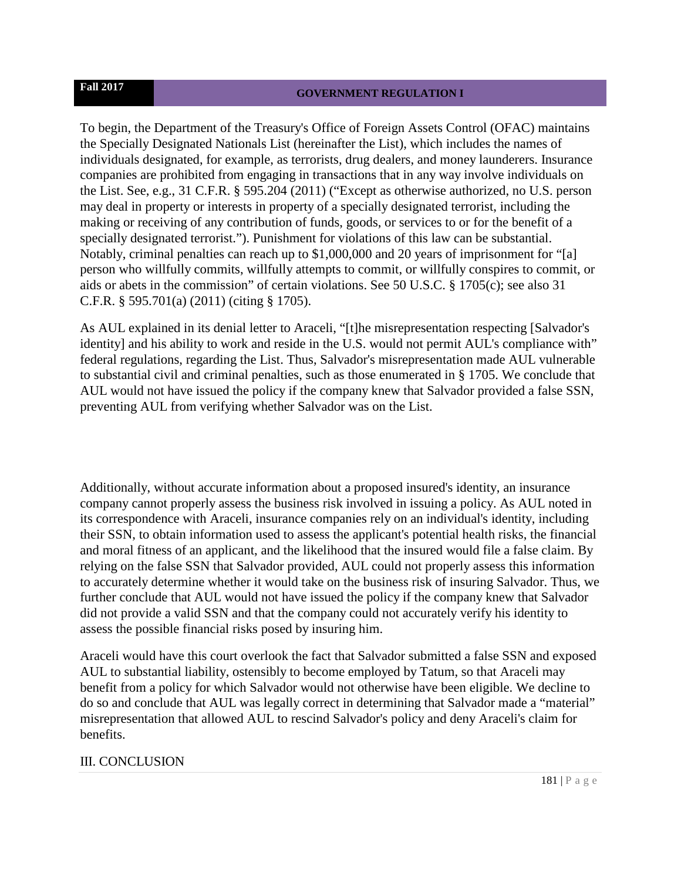To begin, the Department of the Treasury's Office of Foreign Assets Control (OFAC) maintains the Specially Designated Nationals List (hereinafter the List), which includes the names of individuals designated, for example, as terrorists, drug dealers, and money launderers. Insurance companies are prohibited from engaging in transactions that in any way involve individuals on the List. See, e.g., 31 C.F.R. § 595.204 (2011) ("Except as otherwise authorized, no U.S. person may deal in property or interests in property of a specially designated terrorist, including the making or receiving of any contribution of funds, goods, or services to or for the benefit of a specially designated terrorist."). Punishment for violations of this law can be substantial. Notably, criminal penalties can reach up to \$1,000,000 and 20 years of imprisonment for "[a] person who willfully commits, willfully attempts to commit, or willfully conspires to commit, or aids or abets in the commission" of certain violations. See 50 U.S.C. § 1705(c); see also 31 C.F.R. § 595.701(a) (2011) (citing § 1705).

As AUL explained in its denial letter to Araceli, "[t]he misrepresentation respecting [Salvador's identity] and his ability to work and reside in the U.S. would not permit AUL's compliance with" federal regulations, regarding the List. Thus, Salvador's misrepresentation made AUL vulnerable to substantial civil and criminal penalties, such as those enumerated in § 1705. We conclude that AUL would not have issued the policy if the company knew that Salvador provided a false SSN, preventing AUL from verifying whether Salvador was on the List.

Additionally, without accurate information about a proposed insured's identity, an insurance company cannot properly assess the business risk involved in issuing a policy. As AUL noted in its correspondence with Araceli, insurance companies rely on an individual's identity, including their SSN, to obtain information used to assess the applicant's potential health risks, the financial and moral fitness of an applicant, and the likelihood that the insured would file a false claim. By relying on the false SSN that Salvador provided, AUL could not properly assess this information to accurately determine whether it would take on the business risk of insuring Salvador. Thus, we further conclude that AUL would not have issued the policy if the company knew that Salvador did not provide a valid SSN and that the company could not accurately verify his identity to assess the possible financial risks posed by insuring him.

Araceli would have this court overlook the fact that Salvador submitted a false SSN and exposed AUL to substantial liability, ostensibly to become employed by Tatum, so that Araceli may benefit from a policy for which Salvador would not otherwise have been eligible. We decline to do so and conclude that AUL was legally correct in determining that Salvador made a "material" misrepresentation that allowed AUL to rescind Salvador's policy and deny Araceli's claim for benefits.

### III. CONCLUSION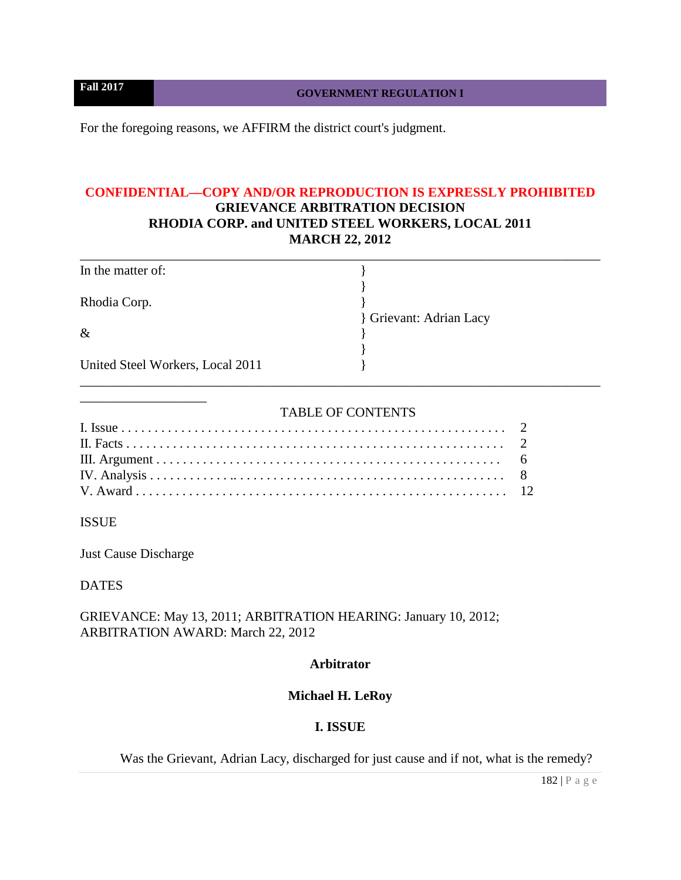For the foregoing reasons, we AFFIRM the district court's judgment.

## **CONFIDENTIAL—COPY AND/OR REPRODUCTION IS EXPRESSLY PROHIBITED GRIEVANCE ARBITRATION DECISION RHODIA CORP. and UNITED STEEL WORKERS, LOCAL 2011 MARCH 22, 2012**

| In the matter of:                |                               |
|----------------------------------|-------------------------------|
|                                  |                               |
| Rhodia Corp.                     |                               |
|                                  | <b>Strievant: Adrian Lacy</b> |
| $\&$                             |                               |
|                                  |                               |
| United Steel Workers, Local 2011 |                               |

\_\_\_\_\_\_\_\_\_\_\_\_\_\_\_\_\_\_\_\_\_\_\_\_\_\_\_\_\_\_\_\_\_\_\_\_\_\_\_\_\_\_\_\_\_\_\_\_\_\_\_\_\_\_\_\_\_\_\_\_\_\_\_\_\_\_\_\_\_\_\_\_\_\_\_\_\_\_

### TABLE OF CONTENTS

## ISSUE

Just Cause Discharge

\_\_\_\_\_\_\_\_\_\_\_\_\_\_\_\_\_\_\_

DATES

GRIEVANCE: May 13, 2011; ARBITRATION HEARING: January 10, 2012; ARBITRATION AWARD: March 22, 2012

### **Arbitrator**

### **Michael H. LeRoy**

### **I. ISSUE**

Was the Grievant, Adrian Lacy, discharged for just cause and if not, what is the remedy?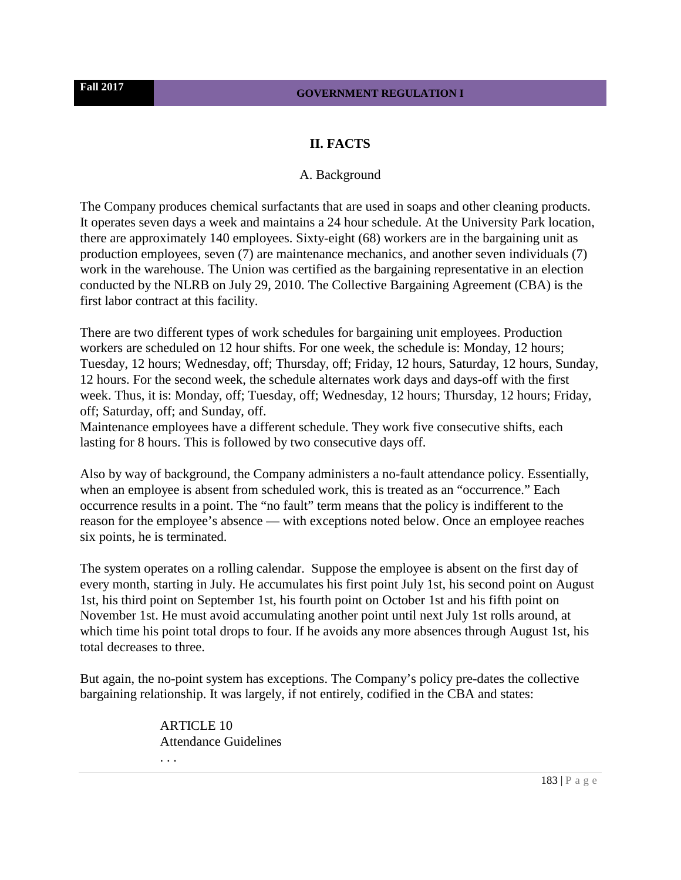## **II. FACTS**

### A. Background

The Company produces chemical surfactants that are used in soaps and other cleaning products. It operates seven days a week and maintains a 24 hour schedule. At the University Park location, there are approximately 140 employees. Sixty-eight (68) workers are in the bargaining unit as production employees, seven (7) are maintenance mechanics, and another seven individuals (7) work in the warehouse. The Union was certified as the bargaining representative in an election conducted by the NLRB on July 29, 2010. The Collective Bargaining Agreement (CBA) is the first labor contract at this facility.

There are two different types of work schedules for bargaining unit employees. Production workers are scheduled on 12 hour shifts. For one week, the schedule is: Monday, 12 hours; Tuesday, 12 hours; Wednesday, off; Thursday, off; Friday, 12 hours, Saturday, 12 hours, Sunday, 12 hours. For the second week, the schedule alternates work days and days-off with the first week. Thus, it is: Monday, off; Tuesday, off; Wednesday, 12 hours; Thursday, 12 hours; Friday, off; Saturday, off; and Sunday, off.

Maintenance employees have a different schedule. They work five consecutive shifts, each lasting for 8 hours. This is followed by two consecutive days off.

Also by way of background, the Company administers a no-fault attendance policy. Essentially, when an employee is absent from scheduled work, this is treated as an "occurrence." Each occurrence results in a point. The "no fault" term means that the policy is indifferent to the reason for the employee's absence — with exceptions noted below. Once an employee reaches six points, he is terminated.

The system operates on a rolling calendar. Suppose the employee is absent on the first day of every month, starting in July. He accumulates his first point July 1st, his second point on August 1st, his third point on September 1st, his fourth point on October 1st and his fifth point on November 1st. He must avoid accumulating another point until next July 1st rolls around, at which time his point total drops to four. If he avoids any more absences through August 1st, his total decreases to three.

But again, the no-point system has exceptions. The Company's policy pre-dates the collective bargaining relationship. It was largely, if not entirely, codified in the CBA and states:

> ARTICLE 10 Attendance Guidelines . . .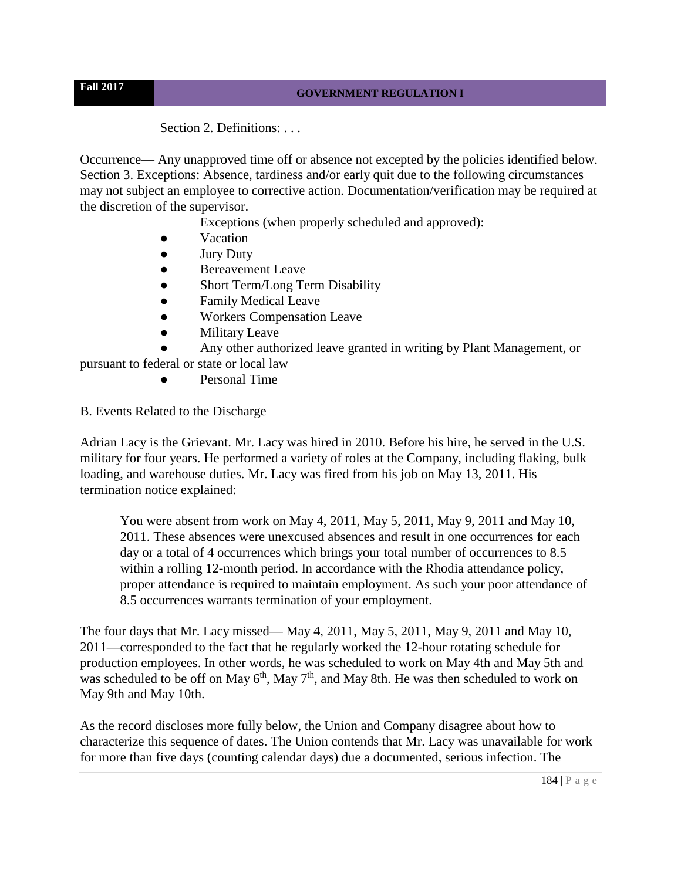Section 2. Definitions: . . .

Occurrence— Any unapproved time off or absence not excepted by the policies identified below. Section 3. Exceptions: Absence, tardiness and/or early quit due to the following circumstances may not subject an employee to corrective action. Documentation/verification may be required at the discretion of the supervisor.

Exceptions (when properly scheduled and approved):

- Vacation
- Jury Duty
- **Bereavement Leave**
- Short Term/Long Term Disability
- Family Medical Leave
- Workers Compensation Leave
- Military Leave
	- Any other authorized leave granted in writing by Plant Management, or

pursuant to federal or state or local law

Personal Time

B. Events Related to the Discharge

Adrian Lacy is the Grievant. Mr. Lacy was hired in 2010. Before his hire, he served in the U.S. military for four years. He performed a variety of roles at the Company, including flaking, bulk loading, and warehouse duties. Mr. Lacy was fired from his job on May 13, 2011. His termination notice explained:

You were absent from work on May 4, 2011, May 5, 2011, May 9, 2011 and May 10, 2011. These absences were unexcused absences and result in one occurrences for each day or a total of 4 occurrences which brings your total number of occurrences to 8.5 within a rolling 12-month period. In accordance with the Rhodia attendance policy, proper attendance is required to maintain employment. As such your poor attendance of 8.5 occurrences warrants termination of your employment.

The four days that Mr. Lacy missed— May 4, 2011, May 5, 2011, May 9, 2011 and May 10, 2011—corresponded to the fact that he regularly worked the 12-hour rotating schedule for production employees. In other words, he was scheduled to work on May 4th and May 5th and was scheduled to be off on May 6<sup>th</sup>, May 7<sup>th</sup>, and May 8th. He was then scheduled to work on May 9th and May 10th.

As the record discloses more fully below, the Union and Company disagree about how to characterize this sequence of dates. The Union contends that Mr. Lacy was unavailable for work for more than five days (counting calendar days) due a documented, serious infection. The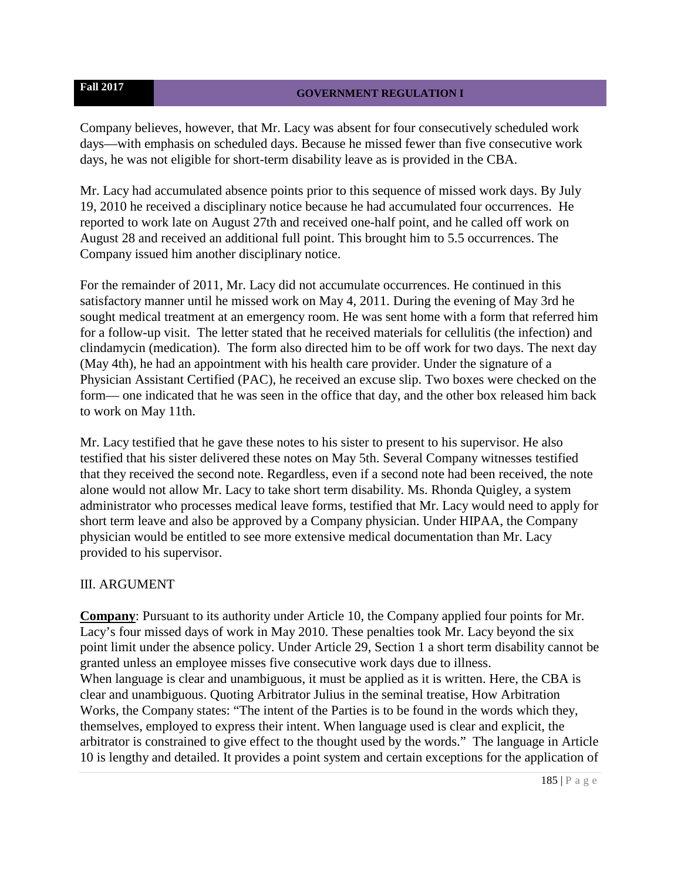Company believes, however, that Mr. Lacy was absent for four consecutively scheduled work days—with emphasis on scheduled days. Because he missed fewer than five consecutive work days, he was not eligible for short-term disability leave as is provided in the CBA.

Mr. Lacy had accumulated absence points prior to this sequence of missed work days. By July 19, 2010 he received a disciplinary notice because he had accumulated four occurrences. He reported to work late on August 27th and received one-half point, and he called off work on August 28 and received an additional full point. This brought him to 5.5 occurrences. The Company issued him another disciplinary notice.

For the remainder of 2011, Mr. Lacy did not accumulate occurrences. He continued in this satisfactory manner until he missed work on May 4, 2011. During the evening of May 3rd he sought medical treatment at an emergency room. He was sent home with a form that referred him for a follow-up visit. The letter stated that he received materials for cellulitis (the infection) and clindamycin (medication). The form also directed him to be off work for two days. The next day (May 4th), he had an appointment with his health care provider. Under the signature of a Physician Assistant Certified (PAC), he received an excuse slip. Two boxes were checked on the form— one indicated that he was seen in the office that day, and the other box released him back to work on May 11th.

Mr. Lacy testified that he gave these notes to his sister to present to his supervisor. He also testified that his sister delivered these notes on May 5th. Several Company witnesses testified that they received the second note. Regardless, even if a second note had been received, the note alone would not allow Mr. Lacy to take short term disability. Ms. Rhonda Quigley, a system administrator who processes medical leave forms, testified that Mr. Lacy would need to apply for short term leave and also be approved by a Company physician. Under HIPAA, the Company physician would be entitled to see more extensive medical documentation than Mr. Lacy provided to his supervisor.

### III. ARGUMENT

**Company**: Pursuant to its authority under Article 10, the Company applied four points for Mr. Lacy's four missed days of work in May 2010. These penalties took Mr. Lacy beyond the six point limit under the absence policy. Under Article 29, Section 1 a short term disability cannot be granted unless an employee misses five consecutive work days due to illness. When language is clear and unambiguous, it must be applied as it is written. Here, the CBA is clear and unambiguous. Quoting Arbitrator Julius in the seminal treatise, How Arbitration Works, the Company states: "The intent of the Parties is to be found in the words which they, themselves, employed to express their intent. When language used is clear and explicit, the arbitrator is constrained to give effect to the thought used by the words." The language in Article 10 is lengthy and detailed. It provides a point system and certain exceptions for the application of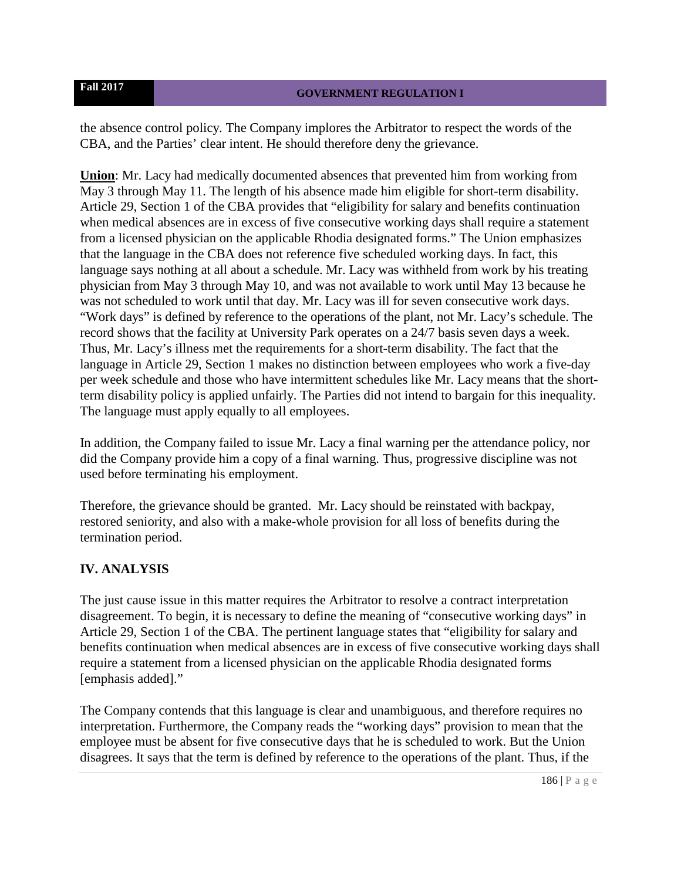the absence control policy. The Company implores the Arbitrator to respect the words of the CBA, and the Parties' clear intent. He should therefore deny the grievance.

**Union**: Mr. Lacy had medically documented absences that prevented him from working from May 3 through May 11. The length of his absence made him eligible for short-term disability. Article 29, Section 1 of the CBA provides that "eligibility for salary and benefits continuation when medical absences are in excess of five consecutive working days shall require a statement from a licensed physician on the applicable Rhodia designated forms." The Union emphasizes that the language in the CBA does not reference five scheduled working days. In fact, this language says nothing at all about a schedule. Mr. Lacy was withheld from work by his treating physician from May 3 through May 10, and was not available to work until May 13 because he was not scheduled to work until that day. Mr. Lacy was ill for seven consecutive work days. "Work days" is defined by reference to the operations of the plant, not Mr. Lacy's schedule. The record shows that the facility at University Park operates on a 24/7 basis seven days a week. Thus, Mr. Lacy's illness met the requirements for a short-term disability. The fact that the language in Article 29, Section 1 makes no distinction between employees who work a five-day per week schedule and those who have intermittent schedules like Mr. Lacy means that the shortterm disability policy is applied unfairly. The Parties did not intend to bargain for this inequality. The language must apply equally to all employees.

In addition, the Company failed to issue Mr. Lacy a final warning per the attendance policy, nor did the Company provide him a copy of a final warning. Thus, progressive discipline was not used before terminating his employment.

Therefore, the grievance should be granted. Mr. Lacy should be reinstated with backpay, restored seniority, and also with a make-whole provision for all loss of benefits during the termination period.

## **IV. ANALYSIS**

The just cause issue in this matter requires the Arbitrator to resolve a contract interpretation disagreement. To begin, it is necessary to define the meaning of "consecutive working days" in Article 29, Section 1 of the CBA. The pertinent language states that "eligibility for salary and benefits continuation when medical absences are in excess of five consecutive working days shall require a statement from a licensed physician on the applicable Rhodia designated forms [emphasis added]."

The Company contends that this language is clear and unambiguous, and therefore requires no interpretation. Furthermore, the Company reads the "working days" provision to mean that the employee must be absent for five consecutive days that he is scheduled to work. But the Union disagrees. It says that the term is defined by reference to the operations of the plant. Thus, if the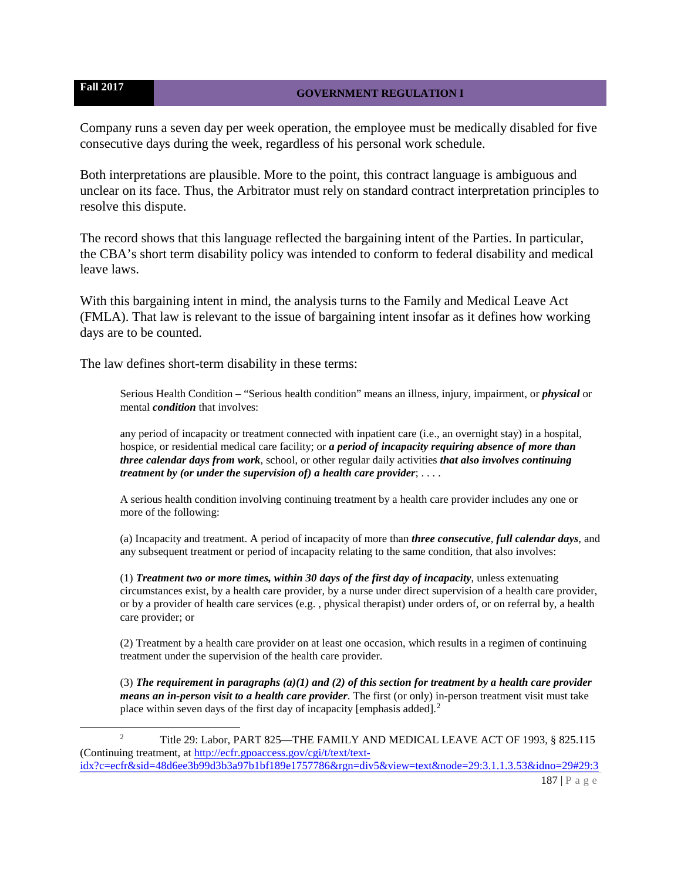Company runs a seven day per week operation, the employee must be medically disabled for five consecutive days during the week, regardless of his personal work schedule.

Both interpretations are plausible. More to the point, this contract language is ambiguous and unclear on its face. Thus, the Arbitrator must rely on standard contract interpretation principles to resolve this dispute.

The record shows that this language reflected the bargaining intent of the Parties. In particular, the CBA's short term disability policy was intended to conform to federal disability and medical leave laws.

With this bargaining intent in mind, the analysis turns to the Family and Medical Leave Act (FMLA). That law is relevant to the issue of bargaining intent insofar as it defines how working days are to be counted.

The law defines short-term disability in these terms:

Serious Health Condition – "Serious health condition" means an illness, injury, impairment, or *physical* or mental *condition* that involves:

any period of incapacity or treatment connected with inpatient care (i.e., an overnight stay) in a hospital, hospice, or residential medical care facility; or *a period of incapacity requiring absence of more than three calendar days from work*, school, or other regular daily activities *that also involves continuing treatment by (or under the supervision of) a health care provider*; . . . .

A serious health condition involving continuing treatment by a health care provider includes any one or more of the following:

(a) Incapacity and treatment. A period of incapacity of more than *three consecutive*, *full calendar days*, and any subsequent treatment or period of incapacity relating to the same condition, that also involves:

(1) *Treatment two or more times, within 30 days of the first day of incapacity*, unless extenuating circumstances exist, by a health care provider, by a nurse under direct supervision of a health care provider, or by a provider of health care services (e.g. , physical therapist) under orders of, or on referral by, a health care provider; or

(2) Treatment by a health care provider on at least one occasion, which results in a regimen of continuing treatment under the supervision of the health care provider.

(3) *The requirement in paragraphs (a)(1) and (2) of this section for treatment by a health care provider means an in-person visit to a health care provider*. The first (or only) in-person treatment visit must take place within seven days of the first day of incapacity [emphasis added]. $2$ 

<span id="page-186-0"></span><sup>&</sup>lt;sup>2</sup> Title 29: Labor, PART 825—THE FAMILY AND MEDICAL LEAVE ACT OF 1993, § 825.115 (Continuing treatment, a[t http://ecfr.gpoaccess.gov/cgi/t/text/text](http://ecfr.gpoaccess.gov/cgi/t/text/text-idx?c=ecfr&sid=48d6ee3b99d3b3a97b1bf189e1757786&rgn=div5&view=text&node=29:3.1.1.3.53&idno=29#29:3.1.1.3.53.1.477.13)[idx?c=ecfr&sid=48d6ee3b99d3b3a97b1bf189e1757786&rgn=div5&view=text&node=29:3.1.1.3.53&idno=29#29:3](http://ecfr.gpoaccess.gov/cgi/t/text/text-idx?c=ecfr&sid=48d6ee3b99d3b3a97b1bf189e1757786&rgn=div5&view=text&node=29:3.1.1.3.53&idno=29#29:3.1.1.3.53.1.477.13)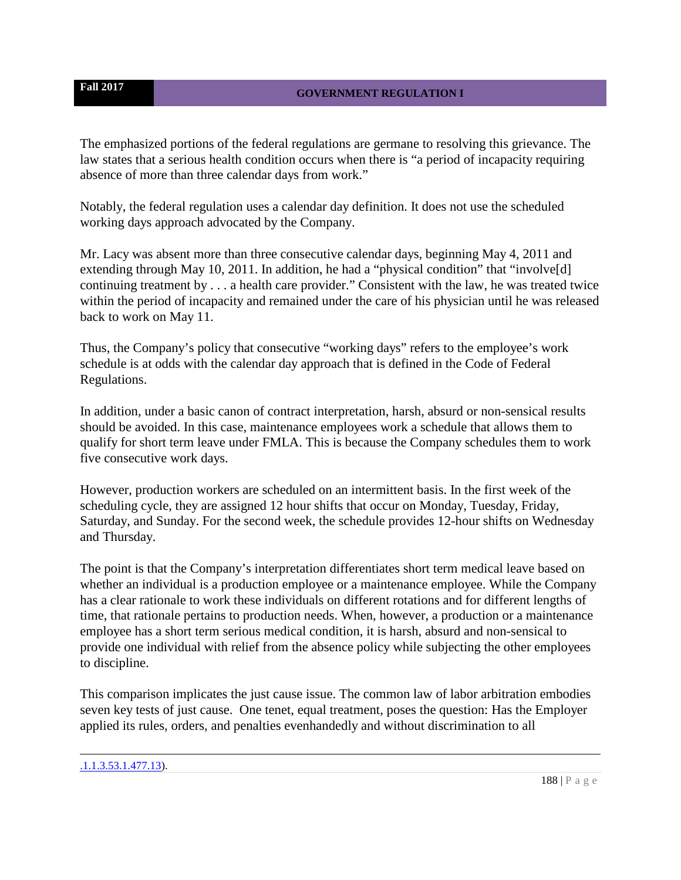The emphasized portions of the federal regulations are germane to resolving this grievance. The law states that a serious health condition occurs when there is "a period of incapacity requiring absence of more than three calendar days from work."

Notably, the federal regulation uses a calendar day definition. It does not use the scheduled working days approach advocated by the Company.

Mr. Lacy was absent more than three consecutive calendar days, beginning May 4, 2011 and extending through May 10, 2011. In addition, he had a "physical condition" that "involve[d] continuing treatment by . . . a health care provider." Consistent with the law, he was treated twice within the period of incapacity and remained under the care of his physician until he was released back to work on May 11.

Thus, the Company's policy that consecutive "working days" refers to the employee's work schedule is at odds with the calendar day approach that is defined in the Code of Federal Regulations.

In addition, under a basic canon of contract interpretation, harsh, absurd or non-sensical results should be avoided. In this case, maintenance employees work a schedule that allows them to qualify for short term leave under FMLA. This is because the Company schedules them to work five consecutive work days.

However, production workers are scheduled on an intermittent basis. In the first week of the scheduling cycle, they are assigned 12 hour shifts that occur on Monday, Tuesday, Friday, Saturday, and Sunday. For the second week, the schedule provides 12-hour shifts on Wednesday and Thursday.

The point is that the Company's interpretation differentiates short term medical leave based on whether an individual is a production employee or a maintenance employee. While the Company has a clear rationale to work these individuals on different rotations and for different lengths of time, that rationale pertains to production needs. When, however, a production or a maintenance employee has a short term serious medical condition, it is harsh, absurd and non-sensical to provide one individual with relief from the absence policy while subjecting the other employees to discipline.

This comparison implicates the just cause issue. The common law of labor arbitration embodies seven key tests of just cause. One tenet, equal treatment, poses the question: Has the Employer applied its rules, orders, and penalties evenhandedly and without discrimination to all

 $\overline{a}$